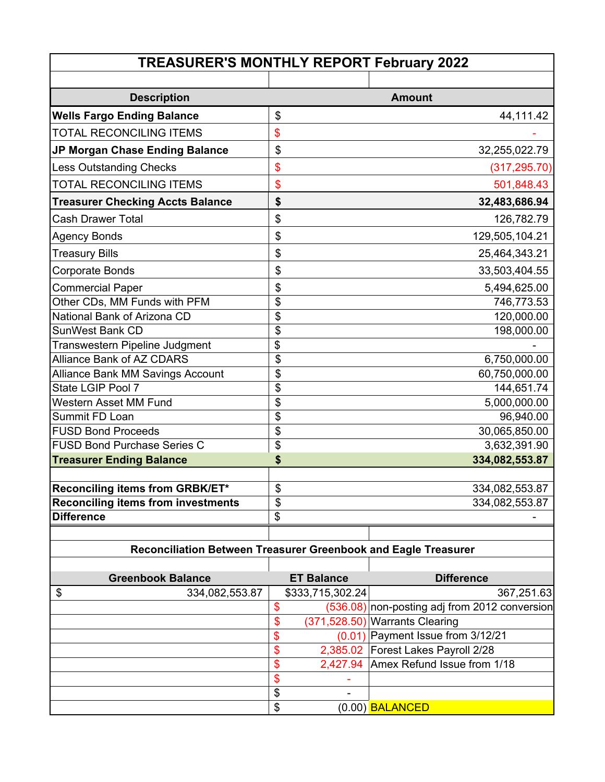| <b>TREASURER'S MONTHLY REPORT February 2022</b>                |                     |                   |                                                 |  |  |  |
|----------------------------------------------------------------|---------------------|-------------------|-------------------------------------------------|--|--|--|
|                                                                |                     |                   |                                                 |  |  |  |
| <b>Description</b>                                             |                     |                   | <b>Amount</b>                                   |  |  |  |
| <b>Wells Fargo Ending Balance</b>                              | \$                  |                   | 44,111.42                                       |  |  |  |
| <b>TOTAL RECONCILING ITEMS</b>                                 | \$                  |                   |                                                 |  |  |  |
| JP Morgan Chase Ending Balance                                 | \$                  |                   | 32,255,022.79                                   |  |  |  |
| <b>Less Outstanding Checks</b>                                 | \$                  |                   | (317, 295.70)                                   |  |  |  |
| <b>TOTAL RECONCILING ITEMS</b>                                 | \$                  |                   | 501,848.43                                      |  |  |  |
| <b>Treasurer Checking Accts Balance</b>                        | \$                  |                   | 32,483,686.94                                   |  |  |  |
| <b>Cash Drawer Total</b>                                       | \$                  |                   | 126,782.79                                      |  |  |  |
| <b>Agency Bonds</b>                                            | \$                  |                   | 129,505,104.21                                  |  |  |  |
| <b>Treasury Bills</b>                                          | \$                  |                   | 25,464,343.21                                   |  |  |  |
| Corporate Bonds                                                | \$                  |                   | 33,503,404.55                                   |  |  |  |
| <b>Commercial Paper</b>                                        | \$                  |                   | 5,494,625.00                                    |  |  |  |
| Other CDs, MM Funds with PFM                                   | \$                  |                   | 746,773.53                                      |  |  |  |
| National Bank of Arizona CD                                    | \$                  |                   | 120,000.00                                      |  |  |  |
| <b>SunWest Bank CD</b>                                         | \$                  |                   | 198,000.00                                      |  |  |  |
| Transwestern Pipeline Judgment                                 | \$                  |                   |                                                 |  |  |  |
| Alliance Bank of AZ CDARS                                      | \$                  |                   | 6,750,000.00                                    |  |  |  |
| <b>Alliance Bank MM Savings Account</b>                        | \$                  |                   | 60,750,000.00                                   |  |  |  |
| State LGIP Pool 7                                              | \$                  |                   | 144,651.74                                      |  |  |  |
| <b>Western Asset MM Fund</b>                                   | \$                  |                   | 5,000,000.00                                    |  |  |  |
| Summit FD Loan                                                 | \$                  |                   | 96,940.00                                       |  |  |  |
| <b>FUSD Bond Proceeds</b>                                      | \$                  |                   | 30,065,850.00                                   |  |  |  |
| <b>FUSD Bond Purchase Series C</b>                             | \$                  |                   | 3,632,391.90                                    |  |  |  |
| <b>Treasurer Ending Balance</b>                                | \$                  |                   | 334,082,553.87                                  |  |  |  |
|                                                                |                     |                   |                                                 |  |  |  |
| Reconciling items from GRBK/ET*                                | \$                  |                   | 334,082,553.87                                  |  |  |  |
| <b>Reconciling items from investments</b><br><b>Difference</b> | $\frac{1}{2}$<br>\$ |                   | 334,082,553.87                                  |  |  |  |
|                                                                |                     |                   |                                                 |  |  |  |
|                                                                |                     |                   |                                                 |  |  |  |
| Reconciliation Between Treasurer Greenbook and Eagle Treasurer |                     |                   |                                                 |  |  |  |
| <b>Greenbook Balance</b>                                       |                     | <b>ET Balance</b> | <b>Difference</b>                               |  |  |  |
| 334,082,553.87<br>\$                                           |                     | \$333,715,302.24  | 367,251.63                                      |  |  |  |
|                                                                | \$                  |                   | $(536.08)$ non-posting adj from 2012 conversion |  |  |  |
|                                                                | \$                  |                   | (371,528.50) Warrants Clearing                  |  |  |  |
|                                                                | \$                  | (0.01)            | Payment Issue from 3/12/21                      |  |  |  |
|                                                                | \$                  |                   | 2,385.02 Forest Lakes Payroll 2/28              |  |  |  |
|                                                                | \$                  |                   | 2,427.94 Amex Refund Issue from 1/18            |  |  |  |
|                                                                | \$                  |                   |                                                 |  |  |  |
|                                                                | \$                  |                   |                                                 |  |  |  |
|                                                                | \$                  |                   | (0.00) BALANCED                                 |  |  |  |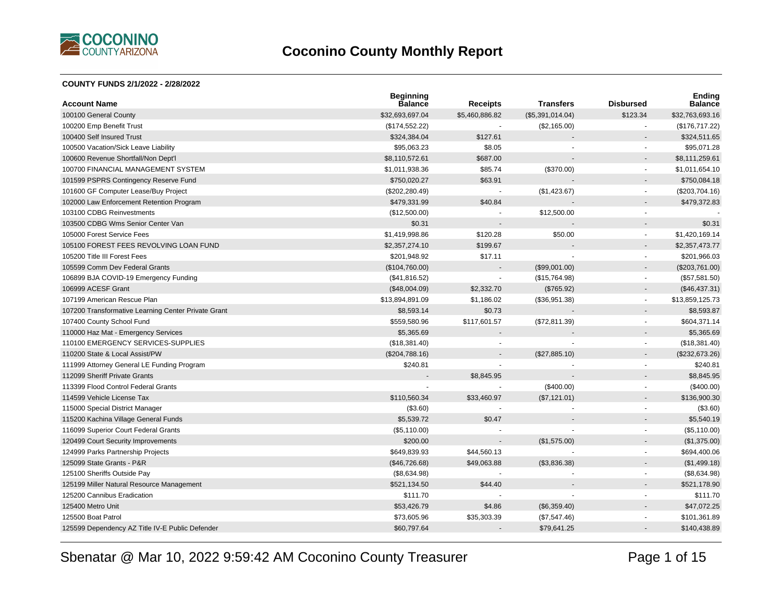

#### **COUNTY FUNDS 2/1/2022 - 2/28/2022**

| <b>Account Name</b>                                 | <b>Beginning</b><br><b>Balance</b> | <b>Receipts</b> | <b>Transfers</b> | <b>Disbursed</b>         | <b>Ending</b><br><b>Balance</b> |
|-----------------------------------------------------|------------------------------------|-----------------|------------------|--------------------------|---------------------------------|
| 100100 General County                               | \$32,693,697.04                    | \$5,460,886.82  | (\$5,391,014.04) | \$123.34                 | \$32,763,693.16                 |
| 100200 Emp Benefit Trust                            | (\$174,552.22)                     |                 | (\$2,165.00)     |                          | (\$176,717.22)                  |
| 100400 Self Insured Trust                           | \$324,384.04                       | \$127.61        |                  |                          | \$324,511.65                    |
| 100500 Vacation/Sick Leave Liability                | \$95,063.23                        | \$8.05          |                  |                          | \$95,071.28                     |
| 100600 Revenue Shortfall/Non Dept'l                 | \$8,110,572.61                     | \$687.00        |                  |                          | \$8,111,259.61                  |
| 100700 FINANCIAL MANAGEMENT SYSTEM                  | \$1,011,938.36                     | \$85.74         | (\$370.00)       | $\sim$                   | \$1,011,654.10                  |
| 101599 PSPRS Contingency Reserve Fund               | \$750,020.27                       | \$63.91         |                  |                          | \$750,084.18                    |
| 101600 GF Computer Lease/Buy Project                | (\$202,280.49)                     | $\sim$          | (\$1,423.67)     | $\blacksquare$           | (\$203,704.16)                  |
| 102000 Law Enforcement Retention Program            | \$479,331.99                       | \$40.84         |                  |                          | \$479,372.83                    |
| 103100 CDBG Reinvestments                           | (\$12,500.00)                      |                 | \$12,500.00      |                          |                                 |
| 103500 CDBG Wms Senior Center Van                   | \$0.31                             |                 |                  |                          | \$0.31                          |
| 105000 Forest Service Fees                          | \$1,419,998.86                     | \$120.28        | \$50.00          | $\blacksquare$           | \$1,420,169.14                  |
| 105100 FOREST FEES REVOLVING LOAN FUND              | \$2,357,274.10                     | \$199.67        |                  | $\overline{\phantom{a}}$ | \$2,357,473.77                  |
| 105200 Title III Forest Fees                        | \$201,948.92                       | \$17.11         |                  | $\blacksquare$           | \$201,966.03                    |
| 105599 Comm Dev Federal Grants                      | (\$104,760.00)                     |                 | (\$99,001.00)    |                          | (\$203,761.00)                  |
| 106899 BJA COVID-19 Emergency Funding               | (\$41,816.52)                      |                 | (\$15,764.98)    | $\blacksquare$           | (\$57,581.50)                   |
| 106999 ACESF Grant                                  | (\$48,004.09)                      | \$2,332.70      | (\$765.92)       |                          | (\$46,437.31)                   |
| 107199 American Rescue Plan                         | \$13,894,891.09                    | \$1,186.02      | (\$36,951.38)    | $\blacksquare$           | \$13,859,125.73                 |
| 107200 Transformative Learning Center Private Grant | \$8,593.14                         | \$0.73          |                  |                          | \$8,593.87                      |
| 107400 County School Fund                           | \$559,580.96                       | \$117,601.57    | (\$72,811.39)    | $\blacksquare$           | \$604,371.14                    |
| 110000 Haz Mat - Emergency Services                 | \$5,365.69                         |                 |                  |                          | \$5,365.69                      |
| 110100 EMERGENCY SERVICES-SUPPLIES                  | (\$18,381.40)                      |                 |                  | $\mathbf{r}$             | (\$18,381.40)                   |
| 110200 State & Local Assist/PW                      | (\$204,788.16)                     |                 | (\$27,885.10)    |                          | (\$232,673.26)                  |
| 111999 Attorney General LE Funding Program          | \$240.81                           |                 |                  | $\ddot{\phantom{1}}$     | \$240.81                        |
| 112099 Sheriff Private Grants                       |                                    | \$8,845.95      |                  |                          | \$8,845.95                      |
| 113399 Flood Control Federal Grants                 |                                    |                 | (\$400.00)       | $\blacksquare$           | (\$400.00)                      |
| 114599 Vehicle License Tax                          | \$110,560.34                       | \$33,460.97     | (\$7,121.01)     |                          | \$136,900.30                    |
| 115000 Special District Manager                     | (\$3.60)                           |                 |                  |                          | (\$3.60)                        |
| 115200 Kachina Village General Funds                | \$5,539.72                         | \$0.47          |                  |                          | \$5,540.19                      |
| 116099 Superior Court Federal Grants                | (\$5,110.00)                       |                 |                  |                          | (\$5,110.00)                    |
| 120499 Court Security Improvements                  | \$200.00                           |                 | (\$1,575.00)     |                          | (\$1,375.00)                    |
| 124999 Parks Partnership Projects                   | \$649,839.93                       | \$44,560.13     |                  | $\blacksquare$           | \$694,400.06                    |
| 125099 State Grants - P&R                           | (\$46,726.68)                      | \$49,063.88     | (\$3,836.38)     |                          | (\$1,499.18)                    |
| 125100 Sheriffs Outside Pay                         | (\$8,634.98)                       |                 |                  | $\blacksquare$           | (\$8,634.98)                    |
| 125199 Miller Natural Resource Management           | \$521,134.50                       | \$44.40         |                  |                          | \$521,178.90                    |
| 125200 Cannibus Eradication                         | \$111.70                           |                 |                  | $\blacksquare$           | \$111.70                        |
| 125400 Metro Unit                                   | \$53,426.79                        | \$4.86          | (\$6,359.40)     |                          | \$47,072.25                     |
| 125500 Boat Patrol                                  | \$73,605.96                        | \$35,303.39     | (\$7,547.46)     |                          | \$101,361.89                    |
| 125599 Dependency AZ Title IV-E Public Defender     | \$60,797.64                        |                 | \$79,641.25      |                          | \$140,438.89                    |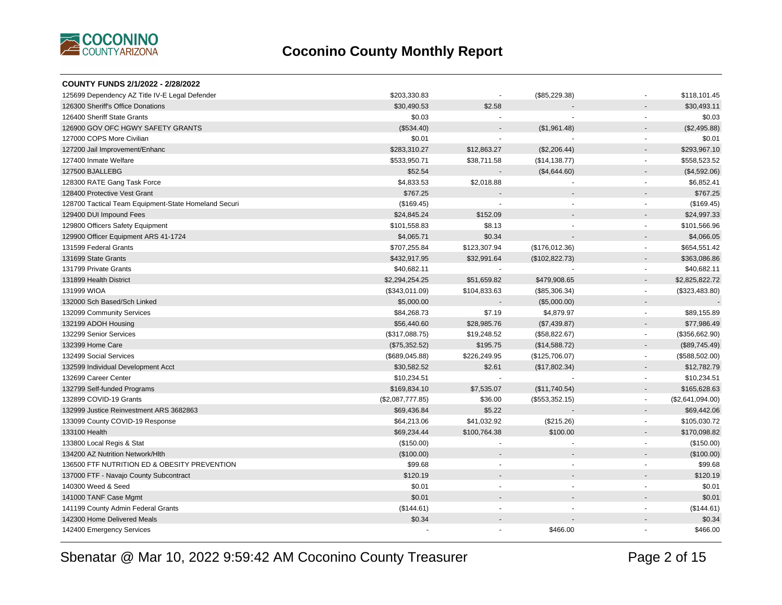

| COUNTY FUNDS 2/1/2022 - 2/28/2022                    |                  |                      |                |                          |                  |
|------------------------------------------------------|------------------|----------------------|----------------|--------------------------|------------------|
| 125699 Dependency AZ Title IV-E Legal Defender       | \$203,330.83     | $\overline{a}$       | (\$85,229.38)  |                          | \$118,101.45     |
| 126300 Sheriff's Office Donations                    | \$30,490.53      | \$2.58               |                |                          | \$30,493.11      |
| 126400 Sheriff State Grants                          | \$0.03           |                      |                | $\blacksquare$           | \$0.03           |
| 126900 GOV OFC HGWY SAFETY GRANTS                    | (\$534.40)       |                      | (\$1,961.48)   |                          | (\$2,495.88)     |
| 127000 COPS More Civilian                            | \$0.01           |                      |                | $\blacksquare$           | \$0.01           |
| 127200 Jail Improvement/Enhanc                       | \$283,310.27     | \$12,863.27          | (\$2,206.44)   |                          | \$293,967.10     |
| 127400 Inmate Welfare                                | \$533,950.71     | \$38,711.58          | (\$14,138.77)  | $\sim$                   | \$558,523.52     |
| 127500 BJALLEBG                                      | \$52.54          |                      | (\$4,644.60)   |                          | (\$4,592.06)     |
| 128300 RATE Gang Task Force                          | \$4,833.53       | \$2,018.88           |                |                          | \$6,852.41       |
| 128400 Protective Vest Grant                         | \$767.25         |                      |                |                          | \$767.25         |
| 128700 Tactical Team Equipment-State Homeland Securi | (\$169.45)       |                      |                |                          | (\$169.45)       |
| 129400 DUI Impound Fees                              | \$24,845.24      | \$152.09             |                |                          | \$24,997.33      |
| 129800 Officers Safety Equipment                     | \$101,558.83     | \$8.13               |                |                          | \$101,566.96     |
| 129900 Officer Equipment ARS 41-1724                 | \$4,065.71       | \$0.34               |                |                          | \$4,066.05       |
| 131599 Federal Grants                                | \$707,255.84     | \$123,307.94         | (\$176,012.36) | $\blacksquare$           | \$654,551.42     |
| 131699 State Grants                                  | \$432,917.95     | \$32,991.64          | (\$102,822.73) |                          | \$363,086.86     |
| 131799 Private Grants                                | \$40,682.11      | $\sim$               |                | $\sim$                   | \$40,682.11      |
| 131899 Health District                               | \$2,294,254.25   | \$51,659.82          | \$479,908.65   | $\sim$                   | \$2,825,822.72   |
| 131999 WIOA                                          | (\$343,011.09)   | \$104,833.63         | (\$85,306.34)  | $\overline{\phantom{a}}$ | (\$323,483.80)   |
| 132000 Sch Based/Sch Linked                          | \$5,000.00       |                      | (\$5,000.00)   | $\sim$                   |                  |
| 132099 Community Services                            | \$84,268.73      | \$7.19               | \$4,879.97     | $\sim$                   | \$89,155.89      |
| 132199 ADOH Housing                                  | \$56,440.60      | \$28,985.76          | (\$7,439.87)   |                          | \$77,986.49      |
| 132299 Senior Services                               | (\$317,088.75)   | \$19,248.52          | (\$58,822.67)  | $\blacksquare$           | (\$356,662.90)   |
| 132399 Home Care                                     | (\$75,352.52)    | \$195.75             | (\$14,588.72)  | $\blacksquare$           | (\$89,745.49)    |
| 132499 Social Services                               | (\$689,045.88)   | \$226,249.95         | (\$125,706.07) | $\blacksquare$           | (\$588,502.00)   |
| 132599 Individual Development Acct                   | \$30,582.52      | \$2.61               | (\$17,802.34)  |                          | \$12,782.79      |
| 132699 Career Center                                 | \$10,234.51      |                      |                |                          | \$10,234.51      |
| 132799 Self-funded Programs                          | \$169,834.10     | \$7,535.07           | (\$11,740.54)  | $\overline{\phantom{a}}$ | \$165,628.63     |
| 132899 COVID-19 Grants                               | (\$2,087,777.85) | \$36.00              | (\$553,352.15) | $\sim$                   | (\$2,641,094.00) |
| 132999 Justice Reinvestment ARS 3682863              | \$69,436.84      | \$5.22               |                |                          | \$69,442.06      |
| 133099 County COVID-19 Response                      | \$64,213.06      | \$41,032.92          | (\$215.26)     |                          | \$105,030.72     |
| 133100 Health                                        | \$69,234.44      | \$100,764.38         | \$100.00       |                          | \$170,098.82     |
| 133800 Local Regis & Stat                            | (\$150.00)       |                      |                |                          | (\$150.00)       |
| 134200 AZ Nutrition Network/Hlth                     | (\$100.00)       |                      |                |                          | (\$100.00)       |
| 136500 FTF NUTRITION ED & OBESITY PREVENTION         | \$99.68          | $\blacksquare$       | $\blacksquare$ |                          | \$99.68          |
| 137000 FTF - Navajo County Subcontract               | \$120.19         |                      |                |                          | \$120.19         |
| 140300 Weed & Seed                                   | \$0.01           | $\ddot{\phantom{1}}$ | $\sim$         |                          | \$0.01           |
| 141000 TANF Case Mgmt                                | \$0.01           |                      |                |                          | \$0.01           |
| 141199 County Admin Federal Grants                   | (\$144.61)       |                      |                |                          | (\$144.61)       |
| 142300 Home Delivered Meals                          | \$0.34           |                      |                |                          | \$0.34           |
| 142400 Emergency Services                            |                  |                      | \$466.00       |                          | \$466.00         |
|                                                      |                  |                      |                |                          |                  |

Sbenatar @ Mar 10, 2022 9:59:42 AM Coconino County Treasurer

Page 2 of 15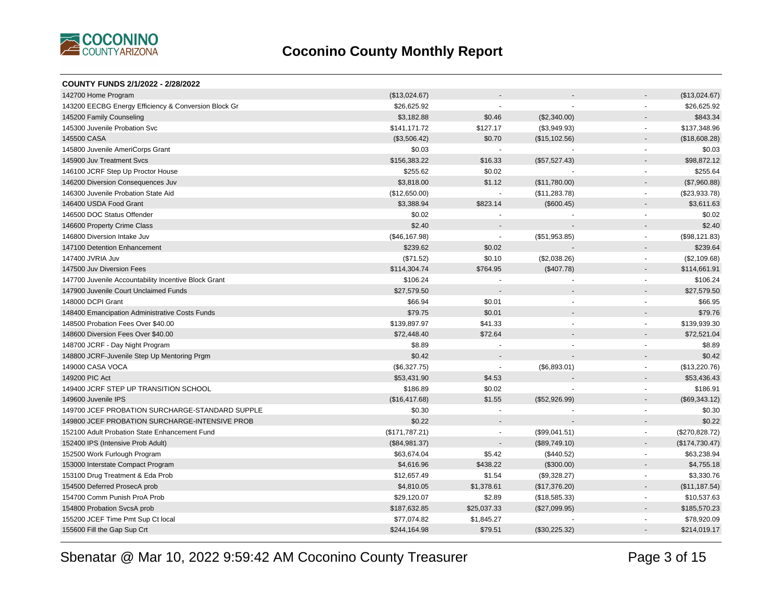

| COUNTY FUNDS 2/1/2022 - 2/28/2022                    |                |                |               |                          |                |
|------------------------------------------------------|----------------|----------------|---------------|--------------------------|----------------|
| 142700 Home Program                                  | (\$13,024.67)  |                |               |                          | (\$13,024.67)  |
| 143200 EECBG Energy Efficiency & Conversion Block Gr | \$26,625.92    |                |               |                          | \$26,625.92    |
| 145200 Family Counseling                             | \$3,182.88     | \$0.46         | (\$2,340.00)  | $\blacksquare$           | \$843.34       |
| 145300 Juvenile Probation Svc                        | \$141,171.72   | \$127.17       | (\$3,949.93)  | $\blacksquare$           | \$137,348.96   |
| 145500 CASA                                          | (\$3,506.42)   | \$0.70         | (\$15,102.56) | $\blacksquare$           | (\$18,608.28)  |
| 145800 Juvenile AmeriCorps Grant                     | \$0.03         | ÷.             |               | $\blacksquare$           | \$0.03         |
| 145900 Juv Treatment Svcs                            | \$156,383.22   | \$16.33        | (\$57,527.43) |                          | \$98,872.12    |
| 146100 JCRF Step Up Proctor House                    | \$255.62       | \$0.02         |               | $\sim$                   | \$255.64       |
| 146200 Diversion Consequences Juv                    | \$3,818.00     | \$1.12         | (\$11,780.00) | $\blacksquare$           | (\$7,960.88)   |
| 146300 Juvenile Probation State Aid                  | (\$12,650.00)  | ÷,             | (\$11,283.78) | $\blacksquare$           | (\$23,933.78)  |
| 146400 USDA Food Grant                               | \$3,388.94     | \$823.14       | (\$600.45)    | $\blacksquare$           | \$3,611.63     |
| 146500 DOC Status Offender                           | \$0.02         |                |               | $\blacksquare$           | \$0.02         |
| 146600 Property Crime Class                          | \$2.40         |                |               | $\overline{a}$           | \$2.40         |
| 146800 Diversion Intake Juv                          | (\$46,167.98)  | L.             | (\$51,953.85) | $\blacksquare$           | (\$98,121.83)  |
| 147100 Detention Enhancement                         | \$239.62       | \$0.02         |               |                          | \$239.64       |
| 147400 JVRIA Juv                                     | (\$71.52)      | \$0.10         | (\$2,038.26)  | $\blacksquare$           | (\$2,109.68)   |
| 147500 Juv Diversion Fees                            | \$114,304.74   | \$764.95       | (\$407.78)    | $\blacksquare$           | \$114,661.91   |
| 147700 Juvenile Accountability Incentive Block Grant | \$106.24       |                |               | $\blacksquare$           | \$106.24       |
| 147900 Juvenile Court Unclaimed Funds                | \$27,579.50    |                |               |                          | \$27,579.50    |
| 148000 DCPI Grant                                    | \$66.94        | \$0.01         |               | $\blacksquare$           | \$66.95        |
| 148400 Emancipation Administrative Costs Funds       | \$79.75        | \$0.01         |               | $\overline{a}$           | \$79.76        |
| 148500 Probation Fees Over \$40.00                   | \$139,897.97   | \$41.33        |               | $\blacksquare$           | \$139,939.30   |
| 148600 Diversion Fees Over \$40.00                   | \$72,448.40    | \$72.64        |               | $\blacksquare$           | \$72,521.04    |
| 148700 JCRF - Day Night Program                      | \$8.89         |                |               | $\blacksquare$           | \$8.89         |
| 148800 JCRF-Juvenile Step Up Mentoring Prgm          | \$0.42         |                |               |                          | \$0.42         |
| 149000 CASA VOCA                                     | (\$6,327.75)   | $\blacksquare$ | (\$6,893.01)  | $\blacksquare$           | (\$13,220.76)  |
| 149200 PIC Act                                       | \$53,431.90    | \$4.53         |               | $\blacksquare$           | \$53,436.43    |
| 149400 JCRF STEP UP TRANSITION SCHOOL                | \$186.89       | \$0.02         |               | $\blacksquare$           | \$186.91       |
| 149600 Juvenile IPS                                  | (\$16,417.68)  | \$1.55         | (\$52,926.99) | $\overline{a}$           | (\$69,343.12)  |
| 149700 JCEF PROBATION SURCHARGE-STANDARD SUPPLE      | \$0.30         |                |               | $\blacksquare$           | \$0.30         |
| 149800 JCEF PROBATION SURCHARGE-INTENSIVE PROB       | \$0.22         |                |               | ۰                        | \$0.22         |
| 152100 Adult Probation State Enhancement Fund        | (\$171,787.21) | $\blacksquare$ | (\$99,041.51) | $\blacksquare$           | (\$270,828.72) |
| 152400 IPS (Intensive Prob Adult)                    | (\$84,981.37)  |                | (\$89,749.10) | $\overline{\phantom{a}}$ | (\$174,730.47) |
| 152500 Work Furlough Program                         | \$63,674.04    | \$5.42         | $(\$440.52)$  | $\sim$                   | \$63,238.94    |
| 153000 Interstate Compact Program                    | \$4,616.96     | \$438.22       | (\$300.00)    | $\overline{\phantom{a}}$ | \$4,755.18     |
| 153100 Drug Treatment & Eda Prob                     | \$12,657.49    | \$1.54         | (\$9,328.27)  | $\blacksquare$           | \$3,330.76     |
| 154500 Deferred ProsecA prob                         | \$4,810.05     | \$1,378.61     | (\$17,376.20) | $\overline{\phantom{a}}$ | (\$11, 187.54) |
| 154700 Comm Punish ProA Prob                         | \$29,120.07    | \$2.89         | (\$18,585.33) | $\blacksquare$           | \$10,537.63    |
| 154800 Probation SvcsA prob                          | \$187,632.85   | \$25,037.33    | (\$27,099.95) | $\blacksquare$           | \$185,570.23   |
| 155200 JCEF Time Pmt Sup Ct local                    | \$77,074.82    | \$1,845.27     |               |                          | \$78,920.09    |
| 155600 Fill the Gap Sup Crt                          | \$244,164.98   | \$79.51        | (\$30,225.32) | $\blacksquare$           | \$214,019.17   |
|                                                      |                |                |               |                          |                |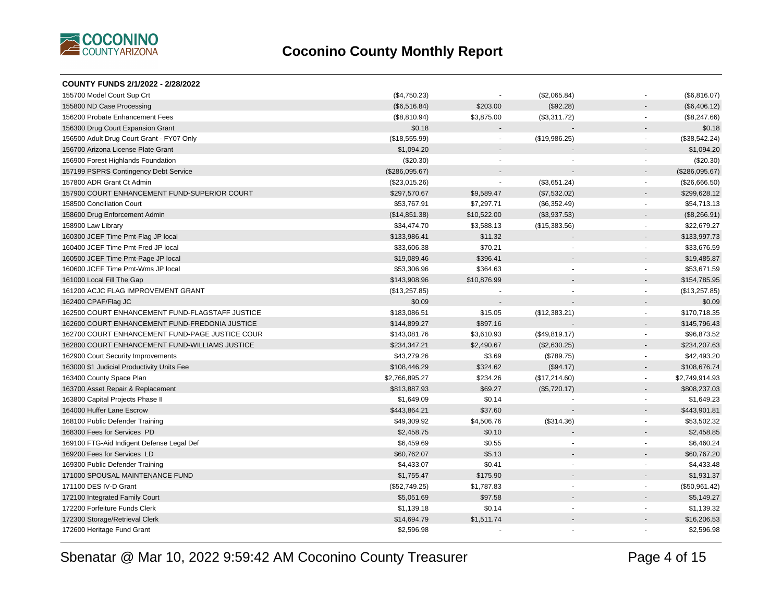

| COUNTY FUNDS 2/1/2022 - 2/28/2022               |                |             |                |                                            |
|-------------------------------------------------|----------------|-------------|----------------|--------------------------------------------|
| 155700 Model Court Sup Crt                      | (\$4,750.23)   |             | (\$2,065.84)   | (\$6,816.07)                               |
| 155800 ND Case Processing                       | (\$6,516.84)   | \$203.00    | (\$92.28)      | (\$6,406.12)                               |
| 156200 Probate Enhancement Fees                 | (\$8,810.94)   | \$3,875.00  | (\$3,311.72)   | (\$8,247.66)<br>$\blacksquare$             |
| 156300 Drug Court Expansion Grant               | \$0.18         |             |                | \$0.18                                     |
| 156500 Adult Drug Court Grant - FY07 Only       | (\$18,555.99)  | ÷,          | (\$19,986.25)  | (\$38,542.24)<br>$\blacksquare$            |
| 156700 Arizona License Plate Grant              | \$1,094.20     |             |                | \$1,094.20                                 |
| 156900 Forest Highlands Foundation              | $(\$20.30)$    |             |                | $(\$20.30)$<br>$\overline{a}$              |
| 157199 PSPRS Contingency Debt Service           | (\$286,095.67) |             |                | (\$286,095.67)<br>$\overline{\phantom{a}}$ |
| 157800 ADR Grant Ct Admin                       | (\$23,015.26)  |             | (\$3,651.24)   | (\$26,666.50)<br>$\blacksquare$            |
| 157900 COURT ENHANCEMENT FUND-SUPERIOR COURT    | \$297,570.67   | \$9,589.47  | (\$7,532.02)   | \$299,628.12<br>$\overline{\phantom{a}}$   |
| 158500 Conciliation Court                       | \$53,767.91    | \$7,297.71  | (\$6,352.49)   | \$54,713.13<br>$\blacksquare$              |
| 158600 Drug Enforcement Admin                   | (\$14,851.38)  | \$10,522.00 | (\$3,937.53)   | (\$8,266.91)                               |
| 158900 Law Library                              | \$34,474.70    | \$3,588.13  | (\$15,383.56)  | \$22,679.27                                |
| 160300 JCEF Time Pmt-Flag JP local              | \$133,986.41   | \$11.32     |                | \$133,997.73                               |
| 160400 JCEF Time Pmt-Fred JP local              | \$33,606.38    | \$70.21     |                | \$33,676.59<br>$\overline{\phantom{a}}$    |
| 160500 JCEF Time Pmt-Page JP local              | \$19,089.46    | \$396.41    |                | \$19,485.87                                |
| 160600 JCEF Time Pmt-Wms JP local               | \$53,306.96    | \$364.63    | $\sim$         | \$53,671.59<br>$\blacksquare$              |
| 161000 Local Fill The Gap                       | \$143,908.96   | \$10,876.99 |                | \$154,785.95<br>$\sim$                     |
| 161200 ACJC FLAG IMPROVEMENT GRANT              | (\$13,257.85)  |             | ÷              | (\$13,257.85)<br>$\blacksquare$            |
| 162400 CPAF/Flag JC                             | \$0.09         |             |                | \$0.09<br>$\overline{a}$                   |
| 162500 COURT ENHANCEMENT FUND-FLAGSTAFF JUSTICE | \$183,086.51   | \$15.05     | (\$12,383.21)  | \$170,718.35<br>$\sim$                     |
| 162600 COURT ENHANCEMENT FUND-FREDONIA JUSTICE  | \$144,899.27   | \$897.16    |                | \$145,796.43                               |
| 162700 COURT ENHANCEMENT FUND-PAGE JUSTICE COUR | \$143,081.76   | \$3,610.93  | (\$49,819.17)  | \$96,873.52<br>$\blacksquare$              |
| 162800 COURT ENHANCEMENT FUND-WILLIAMS JUSTICE  | \$234,347.21   | \$2,490.67  | (\$2,630.25)   | \$234,207.63                               |
| 162900 Court Security Improvements              | \$43,279.26    | \$3.69      | (\$789.75)     | \$42,493.20<br>$\sim$                      |
| 163000 \$1 Judicial Productivity Units Fee      | \$108,446.29   | \$324.62    | (\$94.17)      | \$108,676.74<br>$\overline{\phantom{a}}$   |
| 163400 County Space Plan                        | \$2,766,895.27 | \$234.26    | (\$17,214.60)  | \$2,749,914.93<br>$\blacksquare$           |
| 163700 Asset Repair & Replacement               | \$813,887.93   | \$69.27     | (\$5,720.17)   | \$808,237.03<br>$\overline{\phantom{a}}$   |
| 163800 Capital Projects Phase II                | \$1,649.09     | \$0.14      |                | \$1,649.23<br>$\blacksquare$               |
| 164000 Huffer Lane Escrow                       | \$443,864.21   | \$37.60     |                | \$443,901.81                               |
| 168100 Public Defender Training                 | \$49,309.92    | \$4,506.76  | (\$314.36)     | \$53,502.32<br>$\blacksquare$              |
| 168300 Fees for Services PD                     | \$2,458.75     | \$0.10      |                | \$2,458.85                                 |
| 169100 FTG-Aid Indigent Defense Legal Def       | \$6,459.69     | \$0.55      |                | \$6,460.24<br>$\sim$                       |
| 169200 Fees for Services LD                     | \$60,762.07    | \$5.13      |                | \$60,767.20                                |
| 169300 Public Defender Training                 | \$4,433.07     | \$0.41      | $\overline{a}$ | \$4,433.48<br>$\overline{a}$               |
| 171000 SPOUSAL MAINTENANCE FUND                 | \$1,755.47     | \$175.90    |                | \$1,931.37                                 |
| 171100 DES IV-D Grant                           | (\$52,749.25)  | \$1,787.83  | $\blacksquare$ | (\$50,961.42)<br>$\blacksquare$            |
| 172100 Integrated Family Court                  | \$5,051.69     | \$97.58     |                | \$5,149.27                                 |
| 172200 Forfeiture Funds Clerk                   | \$1,139.18     | \$0.14      | $\overline{a}$ | \$1,139.32<br>$\overline{a}$               |
| 172300 Storage/Retrieval Clerk                  | \$14,694.79    | \$1,511.74  |                | \$16,206.53                                |
| 172600 Heritage Fund Grant                      | \$2,596.98     |             |                | \$2,596.98                                 |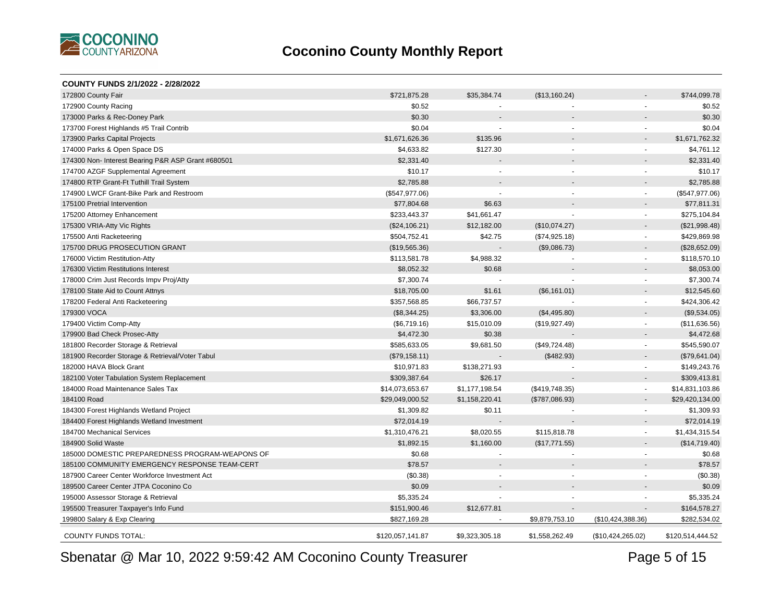

| COUNTY FUNDS 2/1/2022 - 2/28/2022                  |                  |                |                |                   |                  |
|----------------------------------------------------|------------------|----------------|----------------|-------------------|------------------|
| 172800 County Fair                                 | \$721,875.28     | \$35,384.74    | (\$13,160.24)  |                   | \$744,099.78     |
| 172900 County Racing                               | \$0.52           |                |                |                   | \$0.52           |
| 173000 Parks & Rec-Doney Park                      | \$0.30           |                |                |                   | \$0.30           |
| 173700 Forest Highlands #5 Trail Contrib           | \$0.04           |                |                |                   | \$0.04           |
| 173900 Parks Capital Projects                      | \$1,671,626.36   | \$135.96       |                |                   | \$1,671,762.32   |
| 174000 Parks & Open Space DS                       | \$4,633.82       | \$127.30       | $\overline{a}$ |                   | \$4,761.12       |
| 174300 Non- Interest Bearing P&R ASP Grant #680501 | \$2,331.40       |                |                |                   | \$2,331.40       |
| 174700 AZGF Supplemental Agreement                 | \$10.17          |                |                |                   | \$10.17          |
| 174800 RTP Grant-Ft Tuthill Trail System           | \$2,785.88       |                |                |                   | \$2,785.88       |
| 174900 LWCF Grant-Bike Park and Restroom           | (\$547,977.06)   |                | $\blacksquare$ | $\blacksquare$    | (\$547,977.06)   |
| 175100 Pretrial Intervention                       | \$77,804.68      | \$6.63         |                |                   | \$77,811.31      |
| 175200 Attorney Enhancement                        | \$233,443.37     | \$41,661.47    |                |                   | \$275,104.84     |
| 175300 VRIA-Atty Vic Rights                        | (\$24,106.21)    | \$12,182.00    | (\$10,074.27)  |                   | (\$21,998.48)    |
| 175500 Anti Racketeering                           | \$504,752.41     | \$42.75        | (\$74,925.18)  | $\blacksquare$    | \$429,869.98     |
| 175700 DRUG PROSECUTION GRANT                      | (\$19,565.36)    |                | (\$9,086.73)   |                   | (\$28,652.09)    |
| 176000 Victim Restitution-Atty                     | \$113,581.78     | \$4,988.32     |                |                   | \$118,570.10     |
| 176300 Victim Restitutions Interest                | \$8,052.32       | \$0.68         |                |                   | \$8,053.00       |
| 178000 Crim Just Records Impv Proj/Atty            | \$7,300.74       |                |                |                   | \$7,300.74       |
| 178100 State Aid to Count Attnys                   | \$18,705.00      | \$1.61         | (\$6,161.01)   |                   | \$12,545.60      |
| 178200 Federal Anti Racketeering                   | \$357,568.85     | \$66,737.57    |                |                   | \$424,306.42     |
| 179300 VOCA                                        | (\$8,344.25)     | \$3,306.00     | (\$4,495.80)   |                   | (\$9,534.05)     |
| 179400 Victim Comp-Atty                            | (\$6,719.16)     | \$15,010.09    | (\$19,927.49)  | $\sim$            | (\$11,636.56)    |
| 179900 Bad Check Prosec-Atty                       | \$4,472.30       | \$0.38         |                |                   | \$4,472.68       |
| 181800 Recorder Storage & Retrieval                | \$585,633.05     | \$9,681.50     | (\$49,724.48)  | $\sim$            | \$545,590.07     |
| 181900 Recorder Storage & Retrieval/Voter Tabul    | (\$79,158.11)    |                | (\$482.93)     | $\blacksquare$    | (\$79,641.04)    |
| 182000 HAVA Block Grant                            | \$10,971.83      | \$138,271.93   |                | $\sim$            | \$149,243.76     |
| 182100 Voter Tabulation System Replacement         | \$309,387.64     | \$26.17        |                |                   | \$309,413.81     |
| 184000 Road Maintenance Sales Tax                  | \$14,073,653.67  | \$1,177,198.54 | (\$419,748.35) | $\sim$            | \$14,831,103.86  |
| 184100 Road                                        | \$29,049,000.52  | \$1,158,220.41 | (\$787,086.93) |                   | \$29,420,134.00  |
| 184300 Forest Highlands Wetland Project            | \$1,309.82       | \$0.11         |                | $\sim$            | \$1,309.93       |
| 184400 Forest Highlands Wetland Investment         | \$72,014.19      |                |                |                   | \$72,014.19      |
| 184700 Mechanical Services                         | \$1,310,476.21   | \$8,020.55     | \$115,818.78   | $\sim$            | \$1,434,315.54   |
| 184900 Solid Waste                                 | \$1,892.15       | \$1,160.00     | (\$17,771.55)  |                   | (\$14,719.40)    |
| 185000 DOMESTIC PREPAREDNESS PROGRAM-WEAPONS OF    | \$0.68           | $\blacksquare$ |                | $\sim$            | \$0.68           |
| 185100 COMMUNITY EMERGENCY RESPONSE TEAM-CERT      | \$78.57          |                |                |                   | \$78.57          |
| 187900 Career Center Workforce Investment Act      | (\$0.38)         |                |                |                   | (\$0.38)         |
| 189500 Career Center JTPA Coconino Co              | \$0.09           |                |                |                   | \$0.09           |
| 195000 Assessor Storage & Retrieval                | \$5,335.24       |                |                |                   | \$5,335.24       |
| 195500 Treasurer Taxpayer's Info Fund              | \$151,900.46     | \$12,677.81    |                |                   | \$164,578.27     |
| 199800 Salary & Exp Clearing                       | \$827,169.28     |                | \$9,879,753.10 | (\$10,424,388.36) | \$282,534.02     |
| <b>COUNTY FUNDS TOTAL:</b>                         | \$120,057,141.87 | \$9,323,305.18 | \$1,558,262.49 | (\$10,424,265.02) | \$120,514,444.52 |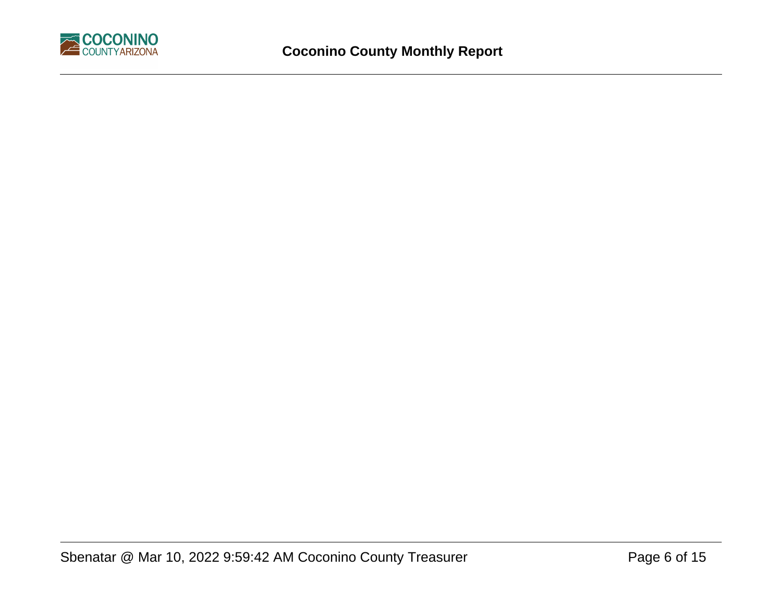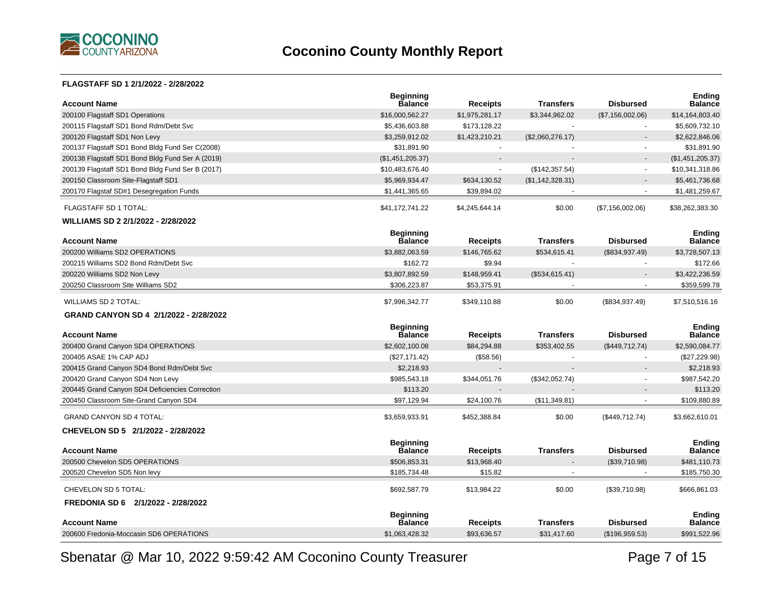

#### **FLAGSTAFF SD 1 2/1/2022 - 2/28/2022**

| <b>Account Name</b>                              | <b>Beginning</b><br><b>Balance</b> | <b>Receipts</b>       | <b>Transfers</b> | <b>Disbursed</b> | <b>Ending</b><br><b>Balance</b> |
|--------------------------------------------------|------------------------------------|-----------------------|------------------|------------------|---------------------------------|
| 200100 Flagstaff SD1 Operations                  | \$16,000,562.27                    | \$1,975,281.17        | \$3,344,962.02   | (\$7,156,002.06) | \$14,164,803.40                 |
| 200115 Flagstaff SD1 Bond Rdm/Debt Svc           | \$5,436,603.88                     | \$173.128.22          |                  |                  | \$5,609,732.10                  |
| 200120 Flagstaff SD1 Non Levy                    | \$3,259,912.02                     | \$1,423,210.21        | (\$2,060,276.17) |                  | \$2,622,846.06                  |
| 200137 Flagstaff SD1 Bond Bldg Fund Ser C(2008)  | \$31,891.90                        |                       |                  |                  | \$31,891.90                     |
| 200138 Flagstaff SD1 Bond Bldg Fund Ser A (2019) | (\$1,451,205.37)                   | $\overline{a}$        |                  |                  | (\$1,451,205.37)                |
| 200139 Flagstaff SD1 Bond Bldg Fund Ser B (2017) | \$10,483,676.40                    | $\tilde{\phantom{a}}$ | (\$142, 357.54)  | $\sim$           | \$10,341,318.86                 |
| 200150 Classroom Site-Flagstaff SD1              | \$5,969,934.47                     | \$634,130.52          | (\$1,142,328.31) |                  | \$5,461,736.68                  |
| 200170 Flagstaf SD#1 Desegregation Funds         | \$1,441,365.65                     | \$39,894.02           |                  |                  | \$1,481,259.67                  |
| FLAGSTAFF SD 1 TOTAL:                            | \$41,172,741.22                    | \$4,245,644.14        | \$0.00           | (\$7,156,002.06) | \$38,262,383.30                 |
| WILLIAMS SD 2 2/1/2022 - 2/28/2022               |                                    |                       |                  |                  |                                 |
| <b>Account Name</b>                              | <b>Beginning</b><br><b>Balance</b> | <b>Receipts</b>       | <b>Transfers</b> | <b>Disbursed</b> | <b>Ending</b><br><b>Balance</b> |
| 200200 Williams SD2 OPERATIONS                   | \$3,882,063.59                     | \$146,765.62          | \$534,615.41     | (\$834,937.49)   | \$3,728,507.13                  |
| 200215 Williams SD2 Bond Rdm/Debt Svc            | \$162.72                           | \$9.94                |                  | $\sim$           | \$172.66                        |
| 200220 Williams SD2 Non Levy                     | \$3,807,892.59                     | \$148,959.41          | (\$534,615.41)   |                  | \$3,422,236.59                  |
| 200250 Classroom Site Williams SD2               | \$306,223.87                       | \$53,375.91           |                  |                  | \$359,599.78                    |
| <b>WILLIAMS SD 2 TOTAL:</b>                      | \$7,996,342.77                     | \$349.110.88          | \$0.00           | (\$834,937.49)   | \$7,510,516.16                  |
|                                                  |                                    |                       |                  |                  |                                 |
| GRAND CANYON SD 4 2/1/2022 - 2/28/2022           |                                    |                       |                  |                  |                                 |
| <b>Account Name</b>                              | <b>Beginning</b><br><b>Balance</b> | <b>Receipts</b>       | <b>Transfers</b> | <b>Disbursed</b> | <b>Ending</b><br><b>Balance</b> |
| 200400 Grand Canyon SD4 OPERATIONS               | \$2,602,100.08                     | \$84,294.88           | \$353,402.55     | (\$449,712.74)   | \$2,590,084.77                  |
| 200405 ASAE 1% CAP ADJ                           | (\$27,171.42)                      | (\$58.56)             |                  |                  | (\$27,229.98)                   |
| 200415 Grand Canyon SD4 Bond Rdm/Debt Svc        | \$2,218.93                         |                       |                  |                  | \$2,218.93                      |
| 200420 Grand Canyon SD4 Non Levy                 | \$985,543.18                       | \$344,051.76          | (\$342,052.74)   |                  | \$987,542.20                    |
| 200445 Grand Canyon SD4 Deficiencies Correction  | \$113.20                           |                       |                  |                  | \$113.20                        |
| 200450 Classroom Site-Grand Canyon SD4           | \$97.129.94                        | \$24.100.76           | (\$11,349.81)    |                  | \$109,880.89                    |
| <b>GRAND CANYON SD 4 TOTAL:</b>                  | \$3,659,933.91                     | \$452,388.84          | \$0.00           | (\$449,712.74)   | \$3,662,610.01                  |
| CHEVELON SD 5 2/1/2022 - 2/28/2022               |                                    |                       |                  |                  |                                 |
| <b>Account Name</b>                              | <b>Beginning</b><br><b>Balance</b> | <b>Receipts</b>       | <b>Transfers</b> | <b>Disbursed</b> | <b>Ending</b><br><b>Balance</b> |
| 200500 Chevelon SD5 OPERATIONS                   | \$506,853.31                       | \$13,968.40           |                  | (\$39,710.98)    | \$481,110.73                    |
| 200520 Chevelon SD5 Non levy                     | \$185,734.48                       | \$15.82               |                  |                  | \$185,750.30                    |
| CHEVELON SD 5 TOTAL:                             | \$692,587.79                       | \$13,984.22           | \$0.00           | (\$39,710.98)    | \$666,861.03                    |
| FREDONIA SD 6 2/1/2022 - 2/28/2022               |                                    |                       |                  |                  |                                 |
| <b>Account Name</b>                              | <b>Beginning</b><br><b>Balance</b> | <b>Receipts</b>       | <b>Transfers</b> | <b>Disbursed</b> | <b>Ending</b><br><b>Balance</b> |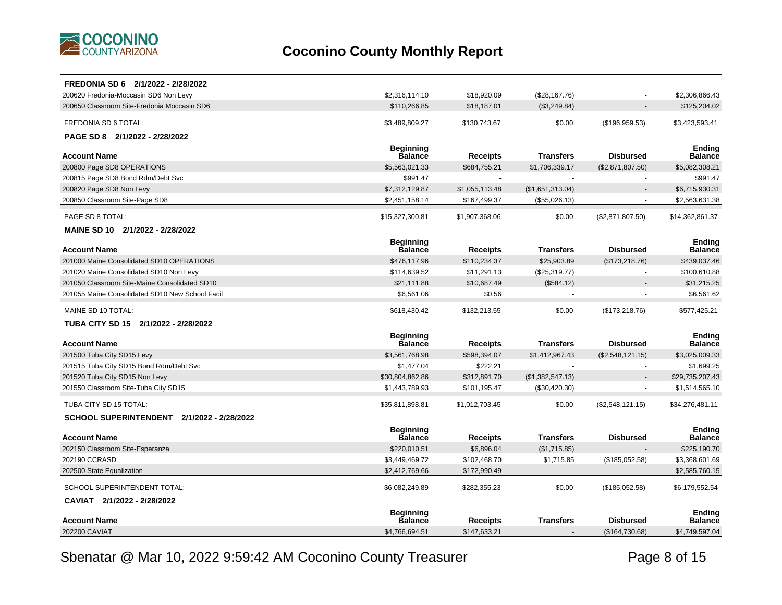

| FREDONIA SD 6 2/1/2022 - 2/28/2022              |                                    |                 |                  |                  |                                 |
|-------------------------------------------------|------------------------------------|-----------------|------------------|------------------|---------------------------------|
| 200620 Fredonia-Moccasin SD6 Non Levy           | \$2,316,114.10                     | \$18,920.09     | (\$28,167.76)    |                  | \$2,306,866.43                  |
| 200650 Classroom Site-Fredonia Moccasin SD6     | \$110,266.85                       | \$18,187.01     | (\$3,249.84)     |                  | \$125,204.02                    |
| <b>FREDONIA SD 6 TOTAL:</b>                     | \$3,489,809.27                     | \$130,743.67    | \$0.00           | (\$196,959.53)   | \$3,423,593.41                  |
| PAGE SD 8 2/1/2022 - 2/28/2022                  |                                    |                 |                  |                  |                                 |
|                                                 | <b>Beginning</b>                   |                 |                  |                  | <b>Ending</b>                   |
| <b>Account Name</b>                             | <b>Balance</b>                     | <b>Receipts</b> | <b>Transfers</b> | <b>Disbursed</b> | <b>Balance</b>                  |
| 200800 Page SD8 OPERATIONS                      | \$5,563,021.33                     | \$684,755.21    | \$1,706,339.17   | (\$2,871,807.50) | \$5,082,308.21                  |
| 200815 Page SD8 Bond Rdm/Debt Svc               | \$991.47                           |                 |                  |                  | \$991.47                        |
| 200820 Page SD8 Non Levy                        | \$7,312,129.87                     | \$1,055,113.48  | (\$1,651,313.04) |                  | \$6,715,930.31                  |
| 200850 Classroom Site-Page SD8                  | \$2,451,158.14                     | \$167,499.37    | (\$55,026.13)    |                  | \$2,563,631.38                  |
| PAGE SD 8 TOTAL:                                | \$15,327,300.81                    | \$1,907,368.06  | \$0.00           | (\$2,871,807.50) | \$14,362,861.37                 |
| MAINE SD 10 2/1/2022 - 2/28/2022                |                                    |                 |                  |                  |                                 |
| <b>Account Name</b>                             | <b>Beginning</b><br><b>Balance</b> | <b>Receipts</b> | <b>Transfers</b> | <b>Disbursed</b> | Ending<br><b>Balance</b>        |
| 201000 Maine Consolidated SD10 OPERATIONS       | \$476,117.96                       | \$110,234.37    | \$25,903.89      | (\$173,218.76)   | \$439,037.46                    |
| 201020 Maine Consolidated SD10 Non Levy         | \$114,639.52                       | \$11,291.13     | (\$25,319.77)    |                  | \$100,610.88                    |
| 201050 Classroom Site-Maine Consolidated SD10   | \$21,111.88                        | \$10,687.49     | (\$584.12)       |                  | \$31,215.25                     |
| 201055 Maine Consolidated SD10 New School Facil | \$6,561.06                         | \$0.56          |                  |                  | \$6,561.62                      |
| MAINE SD 10 TOTAL:                              | \$618,430.42                       | \$132,213.55    | \$0.00           | (\$173, 218.76)  | \$577,425.21                    |
| TUBA CITY SD 15 2/1/2022 - 2/28/2022            |                                    |                 |                  |                  |                                 |
|                                                 | <b>Beginning</b>                   |                 |                  |                  | <b>Ending</b>                   |
| <b>Account Name</b>                             | <b>Balance</b>                     | <b>Receipts</b> | <b>Transfers</b> | <b>Disbursed</b> | <b>Balance</b>                  |
| 201500 Tuba City SD15 Levy                      | \$3,561,768.98                     | \$598,394.07    | \$1,412,967.43   | (\$2,548,121.15) | \$3,025,009.33                  |
| 201515 Tuba City SD15 Bond Rdm/Debt Svc         | \$1,477.04                         | \$222.21        |                  |                  | \$1,699.25                      |
| 201520 Tuba City SD15 Non Levy                  | \$30,804,862.86                    | \$312.891.70    | (\$1,382,547.13) |                  | \$29.735.207.43                 |
| 201550 Classroom Site-Tuba City SD15            | \$1,443,789.93                     | \$101,195.47    | (\$30,420.30)    |                  | \$1,514,565.10                  |
| TUBA CITY SD 15 TOTAL:                          | \$35,811,898.81                    | \$1,012,703.45  | \$0.00           | (\$2,548,121.15) | \$34,276,481.11                 |
| SCHOOL SUPERINTENDENT 2/1/2022 - 2/28/2022      |                                    |                 |                  |                  |                                 |
| <b>Account Name</b>                             | <b>Beginning</b><br>Balance        | <b>Receipts</b> | <b>Transfers</b> | <b>Disbursed</b> | <b>Ending</b><br><b>Balance</b> |
| 202150 Classroom Site-Esperanza                 | \$220,010.51                       | \$6,896.04      | (\$1,715.85)     |                  | \$225,190.70                    |
| 202190 CCRASD                                   | \$3,449,469.72                     | \$102,468.70    | \$1,715.85       | (\$185,052.58)   | \$3,368,601.69                  |
| 202500 State Equalization                       | \$2,412,769.66                     | \$172,990.49    |                  |                  | \$2,585,760.15                  |
|                                                 |                                    |                 |                  |                  |                                 |
| SCHOOL SUPERINTENDENT TOTAL:                    | \$6,082,249.89                     | \$282,355.23    | \$0.00           | (\$185,052.58)   | \$6,179,552.54                  |
| CAVIAT 2/1/2022 - 2/28/2022                     |                                    |                 |                  |                  |                                 |
| <b>Account Name</b>                             | Beginning<br><b>Balance</b>        | Receipts        | <b>Transfers</b> | <b>Disbursed</b> | Ending<br><b>Balance</b>        |
| 202200 CAVIAT                                   | \$4,766,694.51                     | \$147,633.21    |                  | (\$164,730.68)   | \$4,749,597.04                  |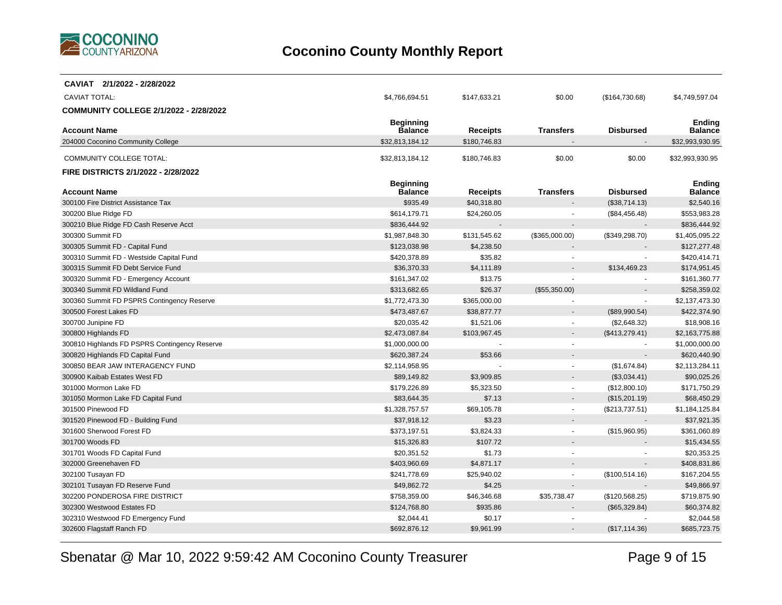

| CAVIAT 2/1/2022 - 2/28/2022                   |                             |                 |                          |                  |                                 |
|-----------------------------------------------|-----------------------------|-----------------|--------------------------|------------------|---------------------------------|
| <b>CAVIAT TOTAL:</b>                          | \$4,766,694.51              | \$147,633.21    | \$0.00                   | (\$164,730.68)   | \$4,749,597.04                  |
| <b>COMMUNITY COLLEGE 2/1/2022 - 2/28/2022</b> |                             |                 |                          |                  |                                 |
|                                               | <b>Beginning</b>            |                 |                          |                  | Ending                          |
| <b>Account Name</b>                           | Balance                     | <b>Receipts</b> | <b>Transfers</b>         | <b>Disbursed</b> | <b>Balance</b>                  |
| 204000 Coconino Community College             | \$32,813,184.12             | \$180,746.83    |                          |                  | \$32,993,930.95                 |
| COMMUNITY COLLEGE TOTAL:                      | \$32,813,184.12             | \$180,746.83    | \$0.00                   | \$0.00           | \$32,993,930.95                 |
| FIRE DISTRICTS 2/1/2022 - 2/28/2022           |                             |                 |                          |                  |                                 |
| <b>Account Name</b>                           | <b>Beginning</b><br>Balance | Receipts        | <b>Transfers</b>         | <b>Disbursed</b> | <b>Ending</b><br><b>Balance</b> |
| 300100 Fire District Assistance Tax           | \$935.49                    | \$40,318.80     |                          | (\$38,714.13)    | \$2,540.16                      |
| 300200 Blue Ridge FD                          | \$614,179.71                | \$24,260.05     |                          | (\$84,456.48)    | \$553,983.28                    |
| 300210 Blue Ridge FD Cash Reserve Acct        | \$836,444.92                |                 |                          |                  | \$836,444.92                    |
| 300300 Summit FD                              | \$1,987,848.30              | \$131,545.62    | (\$365,000.00)           | (\$349,298.70)   | \$1,405,095.22                  |
| 300305 Summit FD - Capital Fund               | \$123,038.98                | \$4,238.50      |                          |                  | \$127,277.48                    |
| 300310 Summit FD - Westside Capital Fund      | \$420,378.89                | \$35.82         |                          |                  | \$420,414.71                    |
| 300315 Summit FD Debt Service Fund            | \$36,370.33                 | \$4,111.89      |                          | \$134,469.23     | \$174,951.45                    |
| 300320 Summit FD - Emergency Account          | \$161,347.02                | \$13.75         |                          |                  | \$161,360.77                    |
| 300340 Summit FD Wildland Fund                | \$313,682.65                | \$26.37         | (\$55,350.00)            |                  | \$258,359.02                    |
| 300360 Summit FD PSPRS Contingency Reserve    | \$1,772,473.30              | \$365,000.00    |                          | $\overline{a}$   | \$2,137,473.30                  |
| 300500 Forest Lakes FD                        | \$473,487.67                | \$38,877.77     |                          | (\$89,990.54)    | \$422,374.90                    |
| 300700 Junipine FD                            | \$20,035.42                 | \$1,521.06      |                          | (\$2,648.32)     | \$18,908.16                     |
| 300800 Highlands FD                           | \$2,473,087.84              | \$103,967.45    |                          | (\$413,279.41)   | \$2,163,775.88                  |
| 300810 Highlands FD PSPRS Contingency Reserve | \$1,000,000.00              |                 | $\overline{\phantom{a}}$ |                  | \$1,000,000.00                  |
| 300820 Highlands FD Capital Fund              | \$620,387.24                | \$53.66         |                          |                  | \$620,440.90                    |
| 300850 BEAR JAW INTERAGENCY FUND              | \$2,114,958.95              |                 | $\overline{\phantom{a}}$ | (\$1,674.84)     | \$2,113,284.11                  |
| 300900 Kaibab Estates West FD                 | \$89,149.82                 | \$3,909.85      |                          | (\$3,034.41)     | \$90,025.26                     |
| 301000 Mormon Lake FD                         | \$179,226.89                | \$5,323.50      | $\overline{\phantom{a}}$ | (\$12,800.10)    | \$171,750.29                    |
| 301050 Mormon Lake FD Capital Fund            | \$83,644.35                 | \$7.13          |                          | (\$15,201.19)    | \$68,450.29                     |
| 301500 Pinewood FD                            | \$1,328,757.57              | \$69,105.78     |                          | (\$213,737.51)   | \$1,184,125.84                  |
| 301520 Pinewood FD - Building Fund            | \$37,918.12                 | \$3.23          |                          |                  | \$37,921.35                     |
| 301600 Sherwood Forest FD                     | \$373,197.51                | \$3,824.33      |                          | (\$15,960.95)    | \$361,060.89                    |
| 301700 Woods FD                               | \$15,326.83                 | \$107.72        |                          |                  | \$15,434.55                     |
| 301701 Woods FD Capital Fund                  | \$20,351.52                 | \$1.73          |                          |                  | \$20,353.25                     |
| 302000 Greenehaven FD                         | \$403,960.69                | \$4,871.17      |                          |                  | \$408,831.86                    |
| 302100 Tusayan FD                             | \$241,778.69                | \$25,940.02     |                          | (\$100,514.16)   | \$167,204.55                    |
| 302101 Tusayan FD Reserve Fund                | \$49,862.72                 | \$4.25          |                          |                  | \$49,866.97                     |
| 302200 PONDEROSA FIRE DISTRICT                | \$758,359.00                | \$46,346.68     | \$35,738.47              | (\$120,568.25)   | \$719,875.90                    |
| 302300 Westwood Estates FD                    | \$124,768.80                | \$935.86        |                          | (\$65,329.84)    | \$60,374.82                     |
| 302310 Westwood FD Emergency Fund             | \$2,044.41                  | \$0.17          |                          |                  | \$2,044.58                      |
| 302600 Flagstaff Ranch FD                     | \$692,876.12                | \$9,961.99      |                          | (\$17,114.36)    | \$685,723.75                    |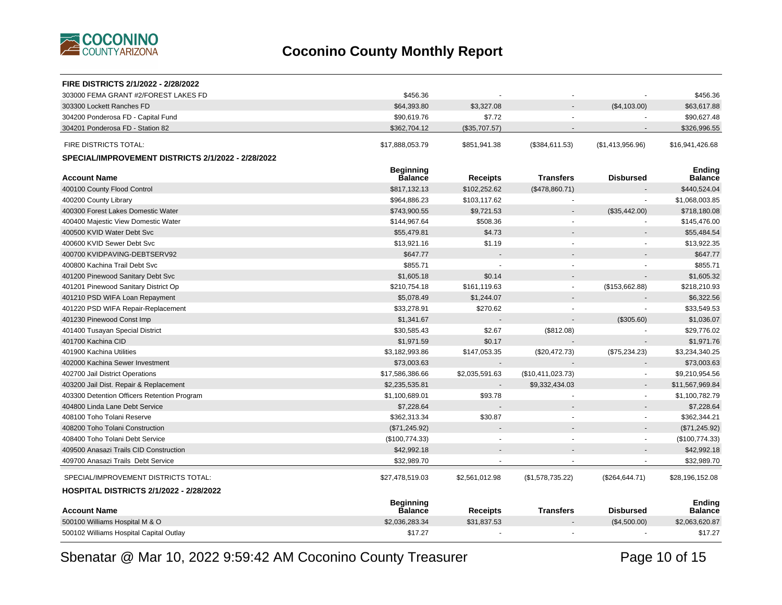

| FIRE DISTRICTS 2/1/2022 - 2/28/2022                |                                    |                 |                       |                  |                                 |
|----------------------------------------------------|------------------------------------|-----------------|-----------------------|------------------|---------------------------------|
| 303000 FEMA GRANT #2/FOREST LAKES FD               | \$456.36                           |                 |                       |                  | \$456.36                        |
| 303300 Lockett Ranches FD                          | \$64,393.80                        | \$3,327.08      |                       | (\$4,103.00)     | \$63,617.88                     |
| 304200 Ponderosa FD - Capital Fund                 | \$90,619.76                        | \$7.72          |                       |                  | \$90,627.48                     |
| 304201 Ponderosa FD - Station 82                   | \$362,704.12                       | (\$35,707.57)   |                       |                  | \$326,996.55                    |
| FIRE DISTRICTS TOTAL:                              | \$17,888,053.79                    | \$851,941.38    | (\$384,611.53)        | (\$1,413,956.96) | \$16,941,426.68                 |
| SPECIAL/IMPROVEMENT DISTRICTS 2/1/2022 - 2/28/2022 |                                    |                 |                       |                  |                                 |
| <b>Account Name</b>                                | <b>Beginning</b><br><b>Balance</b> | <b>Receipts</b> | <b>Transfers</b>      | <b>Disbursed</b> | <b>Ending</b><br><b>Balance</b> |
| 400100 County Flood Control                        | \$817,132.13                       | \$102,252.62    | (\$478,860.71)        |                  | \$440,524.04                    |
| 400200 County Library                              | \$964,886.23                       | \$103,117.62    |                       |                  | \$1,068,003.85                  |
| 400300 Forest Lakes Domestic Water                 | \$743,900.55                       | \$9,721.53      |                       | (\$35,442.00)    | \$718,180.08                    |
| 400400 Majestic View Domestic Water                | \$144,967.64                       | \$508.36        | $\overline{a}$        |                  | \$145,476.00                    |
| 400500 KVID Water Debt Svc                         | \$55,479.81                        | \$4.73          |                       |                  | \$55,484.54                     |
| 400600 KVID Sewer Debt Svc                         | \$13,921.16                        | \$1.19          |                       |                  | \$13,922.35                     |
| 400700 KVIDPAVING-DEBTSERV92                       | \$647.77                           |                 |                       |                  | \$647.77                        |
| 400800 Kachina Trail Debt Svc                      | \$855.71                           |                 |                       |                  | \$855.71                        |
| 401200 Pinewood Sanitary Debt Svc                  | \$1,605.18                         | \$0.14          |                       |                  | \$1,605.32                      |
| 401201 Pinewood Sanitary District Op               | \$210,754.18                       | \$161,119.63    | $\blacksquare$        | (\$153,662.88)   | \$218,210.93                    |
| 401210 PSD WIFA Loan Repayment                     | \$5,078.49                         | \$1,244.07      |                       |                  | \$6,322.56                      |
| 401220 PSD WIFA Repair-Replacement                 | \$33,278.91                        | \$270.62        | $\tilde{\phantom{a}}$ |                  | \$33,549.53                     |
| 401230 Pinewood Const Imp                          | \$1,341.67                         |                 |                       | (\$305.60)       | \$1,036.07                      |
| 401400 Tusayan Special District                    | \$30,585.43                        | \$2.67          | (\$812.08)            |                  | \$29,776.02                     |
| 401700 Kachina CID                                 | \$1,971.59                         | \$0.17          |                       |                  | \$1,971.76                      |
| 401900 Kachina Utilities                           | \$3,182,993.86                     | \$147,053.35    | (\$20,472.73)         | (\$75,234.23)    | \$3,234,340.25                  |
| 402000 Kachina Sewer Investment                    | \$73,003.63                        |                 |                       |                  | \$73,003.63                     |
| 402700 Jail District Operations                    | \$17,586,386.66                    | \$2,035,591.63  | (\$10,411,023.73)     |                  | \$9,210,954.56                  |
| 403200 Jail Dist. Repair & Replacement             | \$2,235,535.81                     |                 | \$9,332,434.03        |                  | \$11,567,969.84                 |
| 403300 Detention Officers Retention Program        | \$1,100,689.01                     | \$93.78         |                       | $\sim$           | \$1,100,782.79                  |
| 404800 Linda Lane Debt Service                     | \$7,228.64                         |                 |                       |                  | \$7,228.64                      |
| 408100 Toho Tolani Reserve                         | \$362,313.34                       | \$30.87         |                       |                  | \$362,344.21                    |
| 408200 Toho Tolani Construction                    | (\$71,245.92)                      |                 |                       |                  | (\$71,245.92)                   |
| 408400 Toho Tolani Debt Service                    | (\$100,774.33)                     |                 | $\overline{a}$        | $\blacksquare$   | (\$100,774.33)                  |
| 409500 Anasazi Trails CID Construction             | \$42,992.18                        |                 |                       |                  | \$42,992.18                     |
| 409700 Anasazi Trails Debt Service                 | \$32,989.70                        |                 |                       |                  | \$32,989.70                     |
| SPECIAL/IMPROVEMENT DISTRICTS TOTAL:               | \$27,478,519.03                    | \$2,561,012.98  | (\$1,578,735.22)      | (\$264, 644.71)  | \$28,196,152.08                 |
| <b>HOSPITAL DISTRICTS 2/1/2022 - 2/28/2022</b>     |                                    |                 |                       |                  |                                 |
|                                                    | <b>Beginning</b>                   |                 |                       |                  | <b>Ending</b>                   |
| <b>Account Name</b>                                | <b>Balance</b>                     | <b>Receipts</b> | <b>Transfers</b>      | <b>Disbursed</b> | <b>Balance</b>                  |
| 500100 Williams Hospital M & O                     | \$2,036,283.34                     | \$31,837.53     |                       | (\$4,500.00)     | \$2,063,620.87                  |
| 500102 Williams Hospital Capital Outlay            | \$17.27                            |                 |                       |                  | \$17.27                         |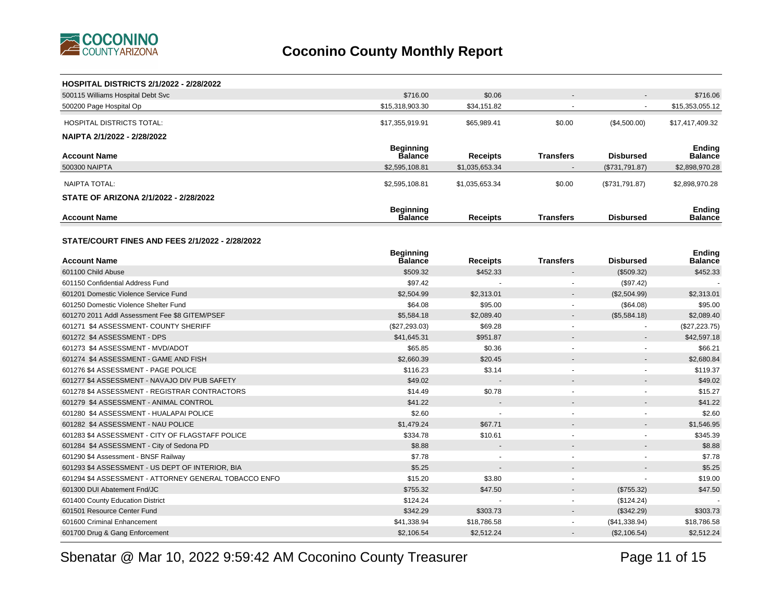

| <b>HOSPITAL DISTRICTS 2/1/2022 - 2/28/2022</b>         |                  |                |                          |                  |                 |
|--------------------------------------------------------|------------------|----------------|--------------------------|------------------|-----------------|
| 500115 Williams Hospital Debt Svc                      | \$716.00         | \$0.06         |                          |                  | \$716.06        |
| 500200 Page Hospital Op                                | \$15,318,903.30  | \$34,151.82    |                          |                  | \$15,353,055.12 |
| <b>HOSPITAL DISTRICTS TOTAL:</b>                       | \$17,355,919.91  | \$65,989.41    | \$0.00                   | (\$4,500.00)     | \$17,417,409.32 |
| NAIPTA 2/1/2022 - 2/28/2022                            |                  |                |                          |                  |                 |
|                                                        | <b>Beginning</b> |                |                          |                  | <b>Ending</b>   |
| <b>Account Name</b>                                    | <b>Balance</b>   | Receipts       | <b>Transfers</b>         | <b>Disbursed</b> | Balance         |
| 500300 NAIPTA                                          | \$2,595,108.81   | \$1,035,653.34 |                          | (\$731,791.87)   | \$2,898,970.28  |
| NAIPTA TOTAL:                                          | \$2,595,108.81   | \$1,035,653.34 | \$0.00                   | (\$731,791.87)   | \$2,898,970.28  |
| STATE OF ARIZONA 2/1/2022 - 2/28/2022                  |                  |                |                          |                  |                 |
|                                                        | <b>Beginning</b> |                |                          |                  | <b>Ending</b>   |
| <b>Account Name</b>                                    | <b>Balance</b>   | Receipts       | <b>Transfers</b>         | <b>Disbursed</b> | <b>Balance</b>  |
|                                                        |                  |                |                          |                  |                 |
| <b>STATE/COURT FINES AND FEES 2/1/2022 - 2/28/2022</b> |                  |                |                          |                  |                 |
|                                                        | <b>Beginning</b> |                |                          |                  | Ending          |
| <b>Account Name</b>                                    | Balance          | Receipts       | <b>Transfers</b>         | <b>Disbursed</b> | Balance         |
| 601100 Child Abuse                                     | \$509.32         | \$452.33       |                          | (\$509.32)       | \$452.33        |
| 601150 Confidential Address Fund                       | \$97.42          |                |                          | (\$97.42)        |                 |
| 601201 Domestic Violence Service Fund                  | \$2,504.99       | \$2,313.01     |                          | (\$2,504.99)     | \$2,313.01      |
| 601250 Domestic Violence Shelter Fund                  | \$64.08          | \$95.00        |                          | (\$64.08)        | \$95.00         |
| 601270 2011 Addl Assessment Fee \$8 GITEM/PSEF         | \$5,584.18       | \$2,089.40     |                          | (\$5,584.18)     | \$2,089.40      |
| 601271 \$4 ASSESSMENT- COUNTY SHERIFF                  | (\$27,293.03)    | \$69.28        | $\sim$                   | $\blacksquare$   | (\$27,223.75)   |
| 601272 \$4 ASSESSMENT - DPS                            | \$41,645.31      | \$951.87       |                          |                  | \$42,597.18     |
| 601273 \$4 ASSESSMENT - MVD/ADOT                       | \$65.85          | \$0.36         |                          |                  | \$66.21         |
| 601274 \$4 ASSESSMENT - GAME AND FISH                  | \$2,660.39       | \$20.45        |                          |                  | \$2,680.84      |
| 601276 \$4 ASSESSMENT - PAGE POLICE                    | \$116.23         | \$3.14         |                          | $\blacksquare$   | \$119.37        |
| 601277 \$4 ASSESSMENT - NAVAJO DIV PUB SAFETY          | \$49.02          |                |                          |                  | \$49.02         |
| 601278 \$4 ASSESSMENT - REGISTRAR CONTRACTORS          | \$14.49          | \$0.78         |                          |                  | \$15.27         |
| 601279 \$4 ASSESSMENT - ANIMAL CONTROL                 | \$41.22          |                |                          |                  | \$41.22         |
| 601280 \$4 ASSESSMENT - HUALAPAI POLICE                | \$2.60           |                |                          |                  | \$2.60          |
| 601282 \$4 ASSESSMENT - NAU POLICE                     | \$1,479.24       | \$67.71        |                          |                  | \$1,546.95      |
| 601283 \$4 ASSESSMENT - CITY OF FLAGSTAFF POLICE       | \$334.78         | \$10.61        |                          |                  | \$345.39        |
| 601284 \$4 ASSESSMENT - City of Sedona PD              | \$8.88           |                |                          |                  | \$8.88          |
| 601290 \$4 Assessment - BNSF Railway                   | \$7.78           |                |                          |                  | \$7.78          |
| 601293 \$4 ASSESSMENT - US DEPT OF INTERIOR, BIA       | \$5.25           |                |                          |                  | \$5.25          |
| 601294 \$4 ASSESSMENT - ATTORNEY GENERAL TOBACCO ENFO  | \$15.20          | \$3.80         |                          |                  | \$19.00         |
| 601300 DUI Abatement Fnd/JC                            | \$755.32         | \$47.50        |                          | (\$755.32)       | \$47.50         |
| 601400 County Education District                       | \$124.24         |                | $\overline{\phantom{a}}$ | (\$124.24)       |                 |
| 601501 Resource Center Fund                            | \$342.29         | \$303.73       |                          | (\$342.29)       | \$303.73        |
| 601600 Criminal Enhancement                            | \$41,338.94      | \$18,786.58    |                          | (\$41,338.94)    | \$18,786.58     |
| 601700 Drug & Gang Enforcement                         | \$2,106.54       | \$2,512.24     |                          | (\$2,106.54)     | \$2,512.24      |

Sbenatar @ Mar 10, 2022 9:59:42 AM Coconino County Treasurer

Page 11 of 15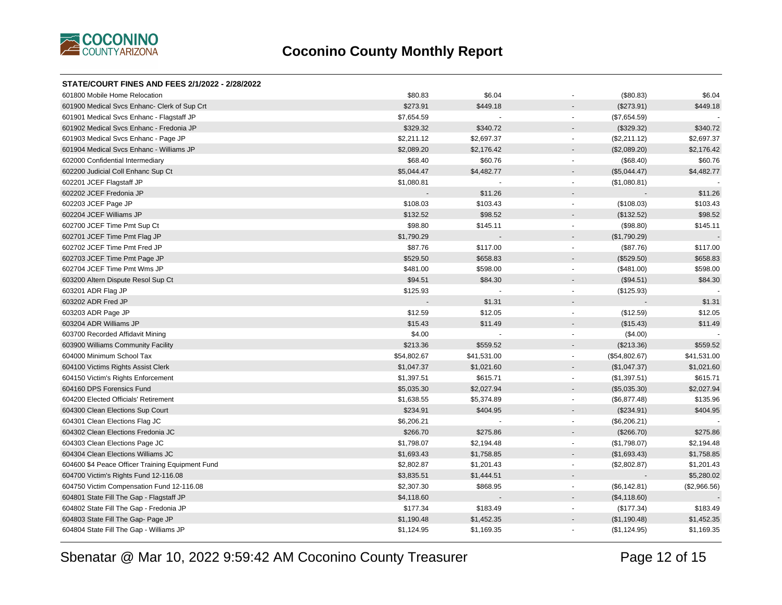

| <b>STATE/COURT FINES AND FEES 2/1/2022 - 2/28/2022</b> |  |
|--------------------------------------------------------|--|
|--------------------------------------------------------|--|

| 601800 Mobile Home Relocation                    | \$80.83     | \$6.04      | (\$80.83)                                | \$6.04       |
|--------------------------------------------------|-------------|-------------|------------------------------------------|--------------|
| 601900 Medical Svcs Enhanc- Clerk of Sup Crt     | \$273.91    | \$449.18    | (\$273.91)                               | \$449.18     |
| 601901 Medical Svcs Enhanc - Flagstaff JP        | \$7,654.59  |             | (\$7,654.59)<br>÷,                       |              |
| 601902 Medical Svcs Enhanc - Fredonia JP         | \$329.32    | \$340.72    | (\$329.32)<br>$\overline{\phantom{0}}$   | \$340.72     |
| 601903 Medical Svcs Enhanc - Page JP             | \$2,211.12  | \$2,697.37  | (\$2,211.12)<br>$\blacksquare$           | \$2,697.37   |
| 601904 Medical Svcs Enhanc - Williams JP         | \$2,089.20  | \$2,176.42  | (\$2,089.20)                             | \$2,176.42   |
| 602000 Confidential Intermediary                 | \$68.40     | \$60.76     | (\$68.40)<br>$\blacksquare$              | \$60.76      |
| 602200 Judicial Coll Enhanc Sup Ct               | \$5,044.47  | \$4,482.77  | (\$5,044.47)<br>$\overline{\phantom{0}}$ | \$4,482.77   |
| 602201 JCEF Flagstaff JP                         | \$1,080.81  |             | (\$1,080.81)<br>$\blacksquare$           |              |
| 602202 JCEF Fredonia JP                          |             | \$11.26     |                                          | \$11.26      |
| 602203 JCEF Page JP                              | \$108.03    | \$103.43    | (\$108.03)<br>$\mathbf{r}$               | \$103.43     |
| 602204 JCEF Williams JP                          | \$132.52    | \$98.52     | (\$132.52)                               | \$98.52      |
| 602700 JCEF Time Pmt Sup Ct                      | \$98.80     | \$145.11    | (\$98.80)<br>$\blacksquare$              | \$145.11     |
| 602701 JCEF Time Pmt Flag JP                     | \$1,790.29  |             | (\$1,790.29)                             |              |
| 602702 JCEF Time Pmt Fred JP                     | \$87.76     | \$117.00    | (\$87.76)<br>$\blacksquare$              | \$117.00     |
| 602703 JCEF Time Pmt Page JP                     | \$529.50    | \$658.83    | (\$529.50)<br>$\overline{a}$             | \$658.83     |
| 602704 JCEF Time Pmt Wms JP                      | \$481.00    | \$598.00    | (\$481.00)<br>$\blacksquare$             | \$598.00     |
| 603200 Altern Dispute Resol Sup Ct               | \$94.51     | \$84.30     | (\$94.51)                                | \$84.30      |
| 603201 ADR Flag JP                               | \$125.93    |             | (\$125.93)<br>$\overline{a}$             |              |
| 603202 ADR Fred JP                               |             | \$1.31      |                                          | \$1.31       |
| 603203 ADR Page JP                               | \$12.59     | \$12.05     | (\$12.59)<br>$\blacksquare$              | \$12.05      |
| 603204 ADR Williams JP                           | \$15.43     | \$11.49     | (\$15.43)                                | \$11.49      |
| 603700 Recorded Affidavit Mining                 | \$4.00      |             | (\$4.00)<br>$\blacksquare$               |              |
| 603900 Williams Community Facility               | \$213.36    | \$559.52    | (\$213.36)<br>$\overline{\phantom{0}}$   | \$559.52     |
| 604000 Minimum School Tax                        | \$54,802.67 | \$41,531.00 | (\$54,802.67)<br>$\mathbf{r}$            | \$41,531.00  |
| 604100 Victims Rights Assist Clerk               | \$1,047.37  | \$1,021.60  | (\$1,047.37)<br>$\overline{\phantom{0}}$ | \$1,021.60   |
| 604150 Victim's Rights Enforcement               | \$1,397.51  | \$615.71    | (\$1,397.51)<br>$\blacksquare$           | \$615.71     |
| 604160 DPS Forensics Fund                        | \$5,035.30  | \$2,027.94  | (\$5,035.30)<br>$\blacksquare$           | \$2,027.94   |
| 604200 Elected Officials' Retirement             | \$1,638.55  | \$5,374.89  | (\$6,877.48)<br>$\blacksquare$           | \$135.96     |
| 604300 Clean Elections Sup Court                 | \$234.91    | \$404.95    | (\$234.91)                               | \$404.95     |
| 604301 Clean Elections Flag JC                   | \$6,206.21  |             | (\$6,206.21)<br>$\overline{\phantom{a}}$ |              |
| 604302 Clean Elections Fredonia JC               | \$266.70    | \$275.86    | (\$266.70)<br>$\overline{a}$             | \$275.86     |
| 604303 Clean Elections Page JC                   | \$1,798.07  | \$2,194.48  | (\$1,798.07)<br>$\mathbf{r}$             | \$2,194.48   |
| 604304 Clean Elections Williams JC               | \$1,693.43  | \$1,758.85  | (\$1,693.43)<br>$\overline{\phantom{0}}$ | \$1,758.85   |
| 604600 \$4 Peace Officer Training Equipment Fund | \$2,802.87  | \$1,201.43  | (\$2,802.87)<br>$\blacksquare$           | \$1,201.43   |
| 604700 Victim's Rights Fund 12-116.08            | \$3,835.51  | \$1,444.51  | $\overline{\phantom{0}}$                 | \$5,280.02   |
| 604750 Victim Compensation Fund 12-116.08        | \$2,307.30  | \$868.95    | (\$6,142.81)<br>$\overline{\phantom{a}}$ | (\$2,966.56) |
| 604801 State Fill The Gap - Flagstaff JP         | \$4,118.60  |             | (\$4,118.60)<br>$\overline{a}$           |              |
| 604802 State Fill The Gap - Fredonia JP          | \$177.34    | \$183.49    | (\$177.34)<br>$\blacksquare$             | \$183.49     |
| 604803 State Fill The Gap- Page JP               | \$1,190.48  | \$1,452.35  | (\$1,190.48)                             | \$1,452.35   |
| 604804 State Fill The Gap - Williams JP          | \$1,124.95  | \$1,169.35  | (\$1, 124.95)                            | \$1,169.35   |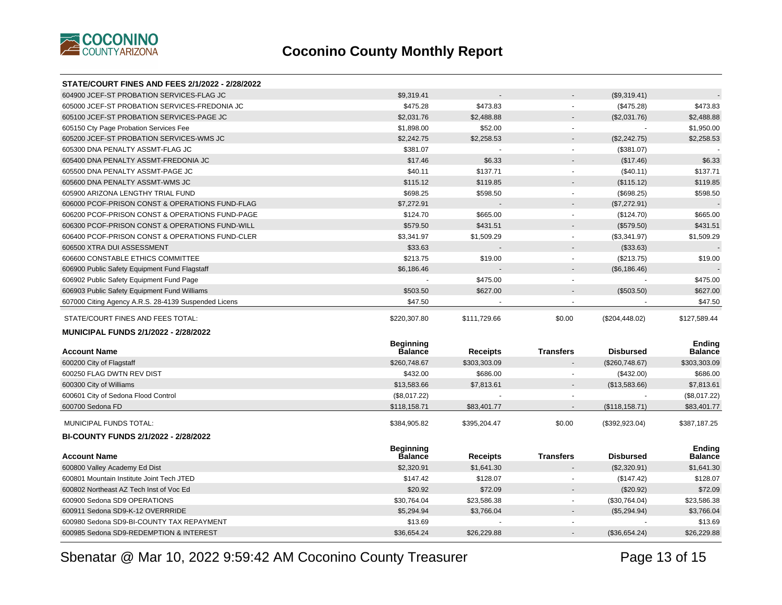

| STATE/COURT FINES AND FEES 2/1/2022 - 2/28/2022      |                                    |                 |                          |                  |                                 |
|------------------------------------------------------|------------------------------------|-----------------|--------------------------|------------------|---------------------------------|
| 604900 JCEF-ST PROBATION SERVICES-FLAG JC            | \$9,319.41                         |                 |                          | (\$9,319.41)     |                                 |
| 605000 JCEF-ST PROBATION SERVICES-FREDONIA JC        | \$475.28                           | \$473.83        |                          | (\$475.28)       | \$473.83                        |
| 605100 JCEF-ST PROBATION SERVICES-PAGE JC            | \$2,031.76                         | \$2,488.88      |                          | (\$2,031.76)     | \$2,488.88                      |
| 605150 Cty Page Probation Services Fee               | \$1,898.00                         | \$52.00         | $\sim$                   |                  | \$1,950.00                      |
| 605200 JCEF-ST PROBATION SERVICES-WMS JC             | \$2,242.75                         | \$2,258.53      |                          | (\$2,242.75)     | \$2,258.53                      |
| 605300 DNA PENALTY ASSMT-FLAG JC                     | \$381.07                           |                 | $\overline{\phantom{a}}$ | (\$381.07)       |                                 |
| 605400 DNA PENALTY ASSMT-FREDONIA JC                 | \$17.46                            | \$6.33          |                          | (\$17.46)        | \$6.33                          |
| 605500 DNA PENALTY ASSMT-PAGE JC                     | \$40.11                            | \$137.71        | $\sim$                   | (\$40.11)        | \$137.71                        |
| 605600 DNA PENALTY ASSMT-WMS JC                      | \$115.12                           | \$119.85        |                          | (\$115.12)       | \$119.85                        |
| 605900 ARIZONA LENGTHY TRIAL FUND                    | \$698.25                           | \$598.50        | $\sim$                   | (\$698.25)       | \$598.50                        |
| 606000 PCOF-PRISON CONST & OPERATIONS FUND-FLAG      | \$7,272.91                         |                 |                          | (\$7,272.91)     |                                 |
| 606200 PCOF-PRISON CONST & OPERATIONS FUND-PAGE      | \$124.70                           | \$665.00        | $\sim$                   | (\$124.70)       | \$665.00                        |
| 606300 PCOF-PRISON CONST & OPERATIONS FUND-WILL      | \$579.50                           | \$431.51        |                          | (\$579.50)       | \$431.51                        |
| 606400 PCOF-PRISON CONST & OPERATIONS FUND-CLER      | \$3,341.97                         | \$1,509.29      | $\sim$                   | (\$3,341.97)     | \$1,509.29                      |
| 606500 XTRA DUI ASSESSMENT                           | \$33.63                            |                 |                          | (\$33.63)        |                                 |
| 606600 CONSTABLE ETHICS COMMITTEE                    | \$213.75                           | \$19.00         | $\sim$                   | (\$213.75)       | \$19.00                         |
| 606900 Public Safety Equipment Fund Flagstaff        | \$6,186.46                         |                 |                          | (\$6,186.46)     |                                 |
| 606902 Public Safety Equipment Fund Page             | $\overline{a}$                     | \$475.00        | $\sim$                   |                  | \$475.00                        |
| 606903 Public Safety Equipment Fund Williams         | \$503.50                           | \$627.00        |                          | (\$503.50)       | \$627.00                        |
| 607000 Citing Agency A.R.S. 28-4139 Suspended Licens | \$47.50                            |                 |                          |                  | \$47.50                         |
| STATE/COURT FINES AND FEES TOTAL:                    | \$220,307.80                       | \$111,729.66    | \$0.00                   | (\$204,448.02)   | \$127,589.44                    |
| <b>MUNICIPAL FUNDS 2/1/2022 - 2/28/2022</b>          |                                    |                 |                          |                  |                                 |
|                                                      | <b>Beginning</b>                   |                 |                          |                  | <b>Ending</b>                   |
| <b>Account Name</b>                                  | <b>Balance</b>                     | <b>Receipts</b> | <b>Transfers</b>         | <b>Disbursed</b> | <b>Balance</b>                  |
| 600200 City of Flagstaff                             | \$260,748.67                       | \$303,303.09    |                          | (\$260,748.67)   | \$303,303.09                    |
| 600250 FLAG DWTN REV DIST                            | \$432.00                           | \$686.00        |                          | (\$432.00)       | \$686.00                        |
| 600300 City of Williams                              | \$13,583.66                        | \$7,813.61      |                          | (\$13,583.66)    | \$7,813.61                      |
| 600601 City of Sedona Flood Control                  | (\$8,017.22)                       |                 |                          |                  | (\$8,017.22)                    |
| 600700 Sedona FD                                     | \$118,158.71                       | \$83,401.77     |                          | (\$118, 158.71)  | \$83,401.77                     |
| MUNICIPAL FUNDS TOTAL:                               | \$384,905.82                       | \$395,204.47    | \$0.00                   | (\$392,923.04)   | \$387,187.25                    |
| BI-COUNTY FUNDS 2/1/2022 - 2/28/2022                 |                                    |                 |                          |                  |                                 |
| <b>Account Name</b>                                  | <b>Beginning</b><br><b>Balance</b> | Receipts        | <b>Transfers</b>         | <b>Disbursed</b> | <b>Ending</b><br><b>Balance</b> |
| 600800 Valley Academy Ed Dist                        | \$2,320.91                         | \$1,641.30      |                          | (\$2,320.91)     | \$1,641.30                      |
| 600801 Mountain Institute Joint Tech JTED            | \$147.42                           | \$128.07        |                          | (\$147.42)       | \$128.07                        |
| 600802 Northeast AZ Tech Inst of Voc Ed              | \$20.92                            | \$72.09         |                          | (\$20.92)        | \$72.09                         |
| 600900 Sedona SD9 OPERATIONS                         | \$30,764.04                        | \$23,586.38     | $\sim$                   | (\$30,764.04)    | \$23,586.38                     |
| 600911 Sedona SD9-K-12 OVERRRIDE                     |                                    |                 |                          |                  |                                 |
|                                                      | \$5,294.94                         | \$3,766.04      |                          | (\$5,294.94)     | \$3,766.04                      |
| 600980 Sedona SD9-BI-COUNTY TAX REPAYMENT            | \$13.69                            |                 |                          |                  | \$13.69                         |
| 600985 Sedona SD9-REDEMPTION & INTEREST              | \$36,654.24                        | \$26,229.88     |                          | (\$36,654.24)    | \$26,229.88                     |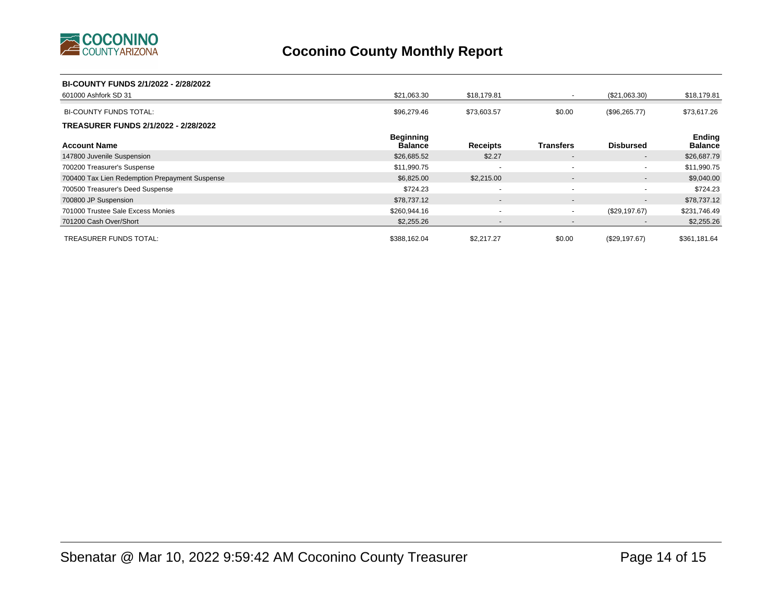

#### **BI-COUNTY FUNDS 2/1/2022 - 2/28/2022**

| 601000 Ashfork SD 31                           | \$21,063.30                        | \$18,179.81              | $\sim$                   | (\$21,063.30)    | \$18,179.81              |
|------------------------------------------------|------------------------------------|--------------------------|--------------------------|------------------|--------------------------|
| <b>BI-COUNTY FUNDS TOTAL:</b>                  | \$96,279.46                        | \$73,603.57              | \$0.00                   | (\$96,265.77)    | \$73,617.26              |
| TREASURER FUNDS 2/1/2022 - 2/28/2022           |                                    |                          |                          |                  |                          |
| <b>Account Name</b>                            | <b>Beginning</b><br><b>Balance</b> | <b>Receipts</b>          | <b>Transfers</b>         | <b>Disbursed</b> | Ending<br><b>Balance</b> |
| 147800 Juvenile Suspension                     | \$26,685.52                        | \$2.27                   | $\overline{\phantom{a}}$ | $\sim$           | \$26,687.79              |
| 700200 Treasurer's Suspense                    | \$11,990.75                        |                          |                          |                  | \$11,990.75              |
| 700400 Tax Lien Redemption Prepayment Suspense | \$6,825.00                         | \$2,215.00               | $\overline{\phantom{a}}$ | $\sim$           | \$9,040.00               |
| 700500 Treasurer's Deed Suspense               | \$724.23                           |                          |                          |                  | \$724.23                 |
| 700800 JP Suspension                           | \$78,737.12                        | $\overline{\phantom{a}}$ | $\overline{\phantom{a}}$ | $\sim$           | \$78,737.12              |
| 701000 Trustee Sale Excess Monies              | \$260,944.16                       | $\blacksquare$           | $\sim$                   | (\$29,197.67)    | \$231,746.49             |
| 701200 Cash Over/Short                         | \$2,255.26                         | $\overline{\phantom{a}}$ | $\overline{\phantom{a}}$ |                  | \$2,255.26               |
| <b>TREASURER FUNDS TOTAL:</b>                  | \$388.162.04                       | \$2,217.27               | \$0.00                   | (\$29,197.67)    | \$361,181.64             |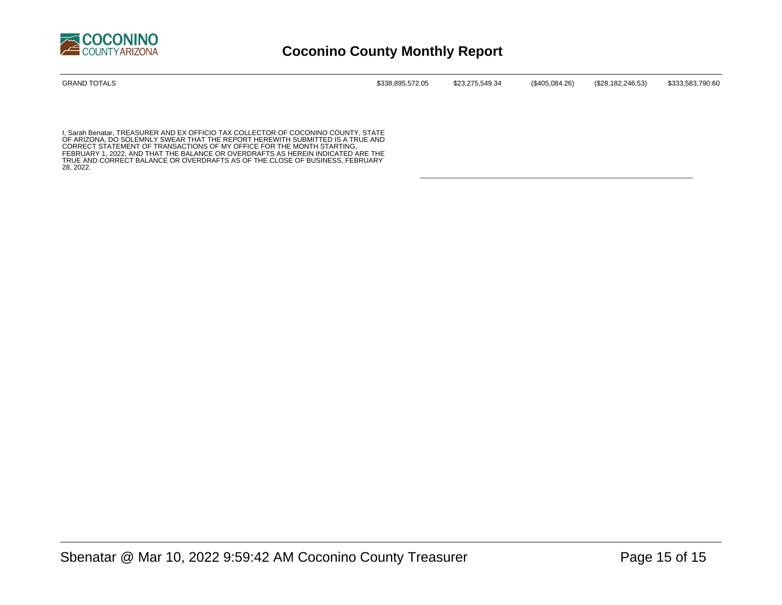

\_\_\_\_\_\_\_\_\_\_\_\_\_\_\_\_\_\_\_\_\_\_\_\_\_\_\_\_\_\_\_\_\_\_\_\_\_\_\_\_\_\_\_\_\_\_\_\_\_\_\_\_\_\_\_\_\_\_\_\_\_\_\_\_\_\_\_\_\_\_\_

I, Sarah Benatar, TREASURER AND EX OFFICIO TAX COLLECTOR OF COCONINO COUNTY, STATE<br>OF ARIZONA, DO SOLEMNLY SWEAR THAT THE REPORT HEREWITH SUBMITTED IS A TRUE AND<br>CORRECT STATEMENT OF TRANSACTIONS OF MY OFFICE FOR THE MONTH FEBRUARY 1, 2022, AND THAT THE BALANCE OR OVERDRAFTS AS HEREIN INDICATED ARE THE TRUE AND CORRECT BALANCE OR OVERDRAFTS AS OF THE CLOSE OF BUSINESS, FEBRUARY 28, 2022.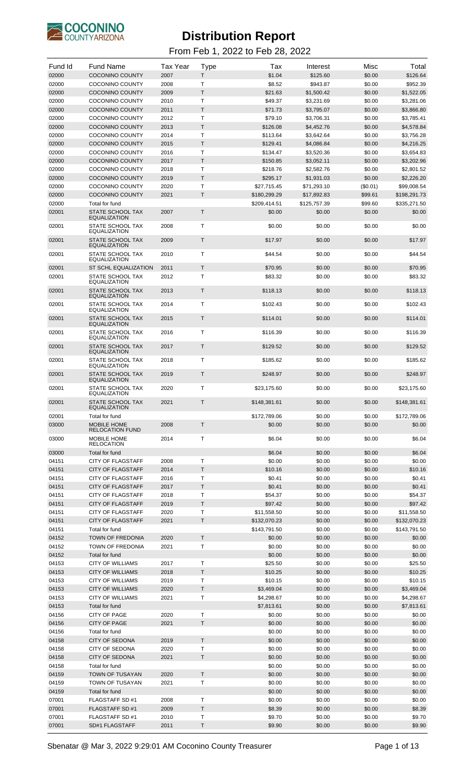

| Fund Id        | <b>Fund Name</b>                                     | <b>Tax Year</b> | <b>Type</b>      | Tax                      | Interest                 | Misc             | Total                    |
|----------------|------------------------------------------------------|-----------------|------------------|--------------------------|--------------------------|------------------|--------------------------|
| 02000          | <b>COCONINO COUNTY</b>                               | 2007            | T.               | \$1.04                   | \$125.60                 | \$0.00           | \$126.64                 |
| 02000          | <b>COCONINO COUNTY</b>                               | 2008            | T                | \$8.52                   | \$943.87                 | \$0.00           | \$952.39                 |
| 02000          | <b>COCONINO COUNTY</b>                               | 2009            | T                | \$21.63                  | \$1,500.42               | \$0.00           | \$1,522.05               |
| 02000<br>02000 | <b>COCONINO COUNTY</b><br><b>COCONINO COUNTY</b>     | 2010<br>2011    | Т<br>$\mathsf T$ | \$49.37<br>\$71.73       | \$3,231.69<br>\$3,795.07 | \$0.00<br>\$0.00 | \$3,281.06<br>\$3,866.80 |
| 02000          | <b>COCONINO COUNTY</b>                               | 2012            | $\mathsf{T}$     | \$79.10                  | \$3,706.31               | \$0.00           | \$3,785.41               |
| 02000          | <b>COCONINO COUNTY</b>                               | 2013            | $\sf T$          | \$126.08                 | \$4,452.76               | \$0.00           | \$4,578.84               |
| 02000          | <b>COCONINO COUNTY</b>                               | 2014            | Τ                | \$113.64                 | \$3,642.64               | \$0.00           | \$3,756.28               |
| 02000          | <b>COCONINO COUNTY</b>                               | 2015            | $\sf T$          | \$129.41                 | \$4,086.84               | \$0.00           | \$4,216.25               |
| 02000          | <b>COCONINO COUNTY</b><br><b>COCONINO COUNTY</b>     | 2016            | T<br>$\mathsf T$ | \$134.47<br>\$150.85     | \$3,520.36               | \$0.00           | \$3,654.83               |
| 02000<br>02000 | <b>COCONINO COUNTY</b>                               | 2017<br>2018    | $\mathsf{T}$     | \$218.76                 | \$3,052.11<br>\$2,582.76 | \$0.00<br>\$0.00 | \$3,202.96<br>\$2,801.52 |
| 02000          | <b>COCONINO COUNTY</b>                               | 2019            | T                | \$295.17                 | \$1,931.03               | \$0.00           | \$2,226.20               |
| 02000          | <b>COCONINO COUNTY</b>                               | 2020            | Τ                | \$27,715.45              | \$71,293.10              | (\$0.01)         | \$99,008.54              |
| 02000          | <b>COCONINO COUNTY</b>                               | 2021            | T                | \$180,299.29             | \$17,892.83              | \$99.61          | \$198,291.73             |
| 02000          | Total for fund                                       |                 |                  | \$209,414.51             | \$125,757.39             | \$99.60          | \$335,271.50             |
| 02001          | <b>STATE SCHOOL TAX</b><br><b>EQUALIZATION</b>       | 2007            | $\mathsf{T}$     | \$0.00                   | \$0.00                   | \$0.00           | \$0.00                   |
| 02001          | STATE SCHOOL TAX<br><b>EQUALIZATION</b>              | 2008            | Τ                | \$0.00                   | \$0.00                   | \$0.00           | \$0.00                   |
| 02001          | <b>STATE SCHOOL TAX</b><br><b>EQUALIZATION</b>       | 2009            | $\mathsf{T}$     | \$17.97                  | \$0.00                   | \$0.00           | \$17.97                  |
| 02001          | STATE SCHOOL TAX<br><b>EQUALIZATION</b>              | 2010            | Τ                | \$44.54                  | \$0.00                   | \$0.00           | \$44.54                  |
| 02001          | <b>ST SCHL EQUALIZATION</b>                          | 2011            | $\mathsf T$      | \$70.95                  | \$0.00                   | \$0.00           | \$70.95                  |
| 02001          | STATE SCHOOL TAX<br><b>EQUALIZATION</b>              | 2012            | T                | \$83.32                  | \$0.00                   | \$0.00           | \$83.32                  |
| 02001          | <b>STATE SCHOOL TAX</b><br><b>EQUALIZATION</b>       | 2013            | $\mathsf{T}$     | \$118.13                 | \$0.00                   | \$0.00           | \$118.13                 |
| 02001          | STATE SCHOOL TAX<br><b>EQUALIZATION</b>              | 2014            | Τ                | \$102.43                 | \$0.00                   | \$0.00           | \$102.43                 |
| 02001          | <b>STATE SCHOOL TAX</b><br><b>EQUALIZATION</b>       | 2015            | $\mathsf{T}$     | \$114.01                 | \$0.00                   | \$0.00           | \$114.01                 |
| 02001          | STATE SCHOOL TAX<br><b>EQUALIZATION</b>              | 2016            | Τ                | \$116.39                 | \$0.00                   | \$0.00           | \$116.39                 |
| 02001          | <b>STATE SCHOOL TAX</b><br><b>EQUALIZATION</b>       | 2017            | $\mathsf{T}$     | \$129.52                 | \$0.00                   | \$0.00           | \$129.52                 |
| 02001          | <b>STATE SCHOOL TAX</b><br><b>EQUALIZATION</b>       | 2018            | Τ                | \$185.62                 | \$0.00                   | \$0.00           | \$185.62                 |
| 02001          | <b>STATE SCHOOL TAX</b><br><b>EQUALIZATION</b>       | 2019            | $\mathsf{T}$     | \$248.97                 | \$0.00                   | \$0.00           | \$248.97                 |
| 02001          | STATE SCHOOL TAX<br><b>EQUALIZATION</b>              | 2020            | T                | \$23,175.60              | \$0.00                   | \$0.00           | \$23,175.60              |
| 02001          | <b>STATE SCHOOL TAX</b><br><b>EQUALIZATION</b>       | 2021            | T                | \$148,381.61             | \$0.00                   | \$0.00           | \$148,381.61             |
| 02001          | Total for fund                                       |                 |                  | \$172,789.06             | \$0.00                   | \$0.00           | \$172,789.06             |
| 03000          | MOBILE HOME                                          | 2008            | Τ                | \$0.00                   | \$0.00                   | \$0.00           | \$0.00                   |
| 03000          | <b>RELOCATION FUND</b><br>MOBILE HOME                | 2014            | Τ                | \$6.04                   | \$0.00                   | \$0.00           | \$6.04                   |
| 03000          | <b>RELOCATION</b><br>Total for fund                  |                 |                  | \$6.04                   | \$0.00                   | \$0.00           | \$6.04                   |
| 04151          | <b>CITY OF FLAGSTAFF</b>                             | 2008            | Τ                | \$0.00                   | \$0.00                   | \$0.00           | \$0.00                   |
| 04151          | <b>CITY OF FLAGSTAFF</b>                             | 2014            | $\sf T$          | \$10.16                  | \$0.00                   | \$0.00           | \$10.16                  |
| 04151          | <b>CITY OF FLAGSTAFF</b>                             | 2016            | Τ                | \$0.41                   | \$0.00                   | \$0.00           | \$0.41                   |
| 04151          | <b>CITY OF FLAGSTAFF</b>                             | 2017            | $\mathsf T$      | \$0.41                   | \$0.00                   | \$0.00           | \$0.41                   |
| 04151          | <b>CITY OF FLAGSTAFF</b>                             | 2018            | T                | \$54.37                  | \$0.00                   | \$0.00           | \$54.37                  |
| 04151<br>04151 | <b>CITY OF FLAGSTAFF</b><br><b>CITY OF FLAGSTAFF</b> | 2019<br>2020    | $\sf T$<br>Τ     | \$97.42<br>\$11,558.50   | \$0.00<br>\$0.00         | \$0.00<br>\$0.00 | \$97.42<br>\$11,558.50   |
| 04151          | <b>CITY OF FLAGSTAFF</b>                             | 2021            | $\sf T$          | \$132,070.23             | \$0.00                   | \$0.00           | \$132,070.23             |
| 04151          | Total for fund                                       |                 |                  | \$143,791.50             | \$0.00                   | \$0.00           | \$143,791.50             |
| 04152          | <b>TOWN OF FREDONIA</b>                              | 2020            | $\mathsf T$      | \$0.00                   | \$0.00                   | \$0.00           | \$0.00                   |
| 04152          | TOWN OF FREDONIA                                     | 2021            | Τ                | \$0.00                   | \$0.00                   | \$0.00           | \$0.00                   |
| 04152          | Total for fund                                       |                 |                  | \$0.00                   | \$0.00                   | \$0.00           | \$0.00                   |
| 04153          | <b>CITY OF WILLIAMS</b>                              | 2017            | Τ                | \$25.50                  | \$0.00                   | \$0.00           | \$25.50                  |
| 04153          | <b>CITY OF WILLIAMS</b>                              | 2018            | T                | \$10.25                  | \$0.00                   | \$0.00           | \$10.25                  |
| 04153          | <b>CITY OF WILLIAMS</b>                              | 2019            | Τ                | \$10.15                  | \$0.00                   | \$0.00           | \$10.15                  |
| 04153<br>04153 | <b>CITY OF WILLIAMS</b><br><b>CITY OF WILLIAMS</b>   | 2020<br>2021    | $\mathsf T$<br>Τ | \$3,469.04<br>\$4,298.67 | \$0.00<br>\$0.00         | \$0.00<br>\$0.00 | \$3,469.04<br>\$4,298.67 |
| 04153          | Total for fund                                       |                 |                  | \$7,813.61               | \$0.00                   | \$0.00           | \$7,813.61               |
| 04156          | CITY OF PAGE                                         | 2020            | Τ                | \$0.00                   | \$0.00                   | \$0.00           | \$0.00                   |
| 04156          | <b>CITY OF PAGE</b>                                  | 2021            | $\sf T$          | \$0.00                   | \$0.00                   | \$0.00           | \$0.00                   |
| 04156          | Total for fund                                       |                 |                  | \$0.00                   | \$0.00                   | \$0.00           | \$0.00                   |
| 04158          | <b>CITY OF SEDONA</b>                                | 2019            | $\mathsf T$      | \$0.00                   | \$0.00                   | \$0.00           | \$0.00                   |
| 04158          | <b>CITY OF SEDONA</b>                                | 2020            | T                | \$0.00                   | \$0.00                   | \$0.00           | \$0.00                   |
| 04158          | <b>CITY OF SEDONA</b>                                | 2021            | T                | \$0.00                   | \$0.00                   | \$0.00           | \$0.00                   |
| 04158          | Total for fund                                       |                 |                  | \$0.00                   | \$0.00                   | \$0.00           | \$0.00                   |
| 04159<br>04159 | <b>TOWN OF TUSAYAN</b><br>TOWN OF TUSAYAN            | 2020<br>2021    | T<br>T           | \$0.00<br>\$0.00         | \$0.00<br>\$0.00         | \$0.00<br>\$0.00 | \$0.00<br>\$0.00         |
| 04159          | Total for fund                                       |                 |                  | \$0.00                   | \$0.00                   | \$0.00           | \$0.00                   |
| 07001          | FLAGSTAFF SD #1                                      | 2008            | Τ                | \$0.00                   | \$0.00                   | \$0.00           | \$0.00                   |
| 07001          | <b>FLAGSTAFF SD#1</b>                                | 2009            | $\sf T$          | \$8.39                   | \$0.00                   | \$0.00           | \$8.39                   |
| 07001          | FLAGSTAFF SD #1                                      | 2010            | Τ                | \$9.70                   | \$0.00                   | \$0.00           | \$9.70                   |
| 07001          | SD#1 FLAGSTAFF                                       | 2011            | T                | \$9.90                   | \$0.00                   | \$0.00           | \$9.90                   |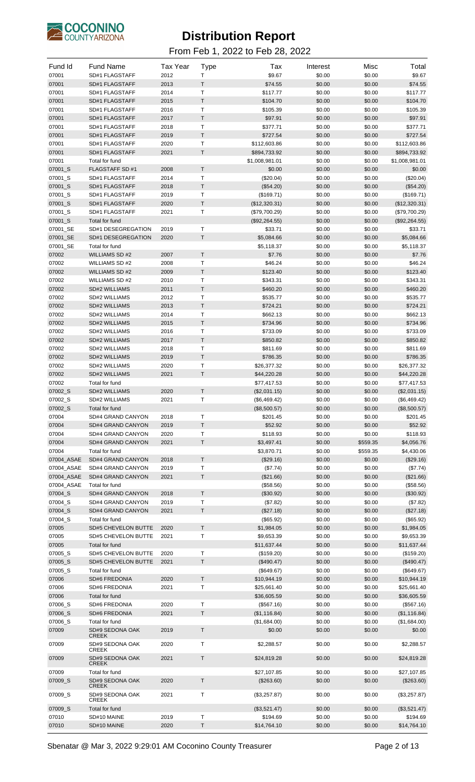

| Fund Id              | <b>Fund Name</b>                                | <b>Tax Year</b> | <b>Type</b>  | Tax                            | Interest         | Misc             | Total                          |
|----------------------|-------------------------------------------------|-----------------|--------------|--------------------------------|------------------|------------------|--------------------------------|
| 07001                | SD#1 FLAGSTAFF                                  | 2012            | Τ            | \$9.67                         | \$0.00           | \$0.00           | \$9.67                         |
| 07001<br>07001       | SD#1 FLAGSTAFF<br>SD#1 FLAGSTAFF                | 2013<br>2014    | T<br>Т       | \$74.55<br>\$117.77            | \$0.00<br>\$0.00 | \$0.00<br>\$0.00 | \$74.55<br>\$117.77            |
| 07001                | SD#1 FLAGSTAFF                                  | 2015            | $\top$       | \$104.70                       | \$0.00           | \$0.00           | \$104.70                       |
| 07001                | SD#1 FLAGSTAFF                                  | 2016            | T            | \$105.39                       | \$0.00           | \$0.00           | \$105.39                       |
| 07001                | SD#1 FLAGSTAFF                                  | 2017            | $\sf T$      | \$97.91                        | \$0.00           | \$0.00           | \$97.91                        |
| 07001                | SD#1 FLAGSTAFF                                  | 2018            | T            | \$377.71                       | \$0.00           | \$0.00           | \$377.71                       |
| 07001                | SD#1 FLAGSTAFF                                  | 2019            | $\sf T$      | \$727.54                       | \$0.00           | \$0.00           | \$727.54                       |
| 07001                | SD#1 FLAGSTAFF                                  | 2020            | Т<br>$\top$  | \$112,603.86                   | \$0.00           | \$0.00           | \$112,603.86                   |
| 07001<br>07001       | SD#1 FLAGSTAFF<br>Total for fund                | 2021            |              | \$894,733.92<br>\$1,008,981.01 | \$0.00<br>\$0.00 | \$0.00<br>\$0.00 | \$894,733.92<br>\$1,008,981.01 |
| 07001_S              | <b>FLAGSTAFF SD#1</b>                           | 2008            | T            | \$0.00                         | \$0.00           | \$0.00           | \$0.00                         |
| 07001_S              | SD#1 FLAGSTAFF                                  | 2014            | T            | (\$20.04)                      | \$0.00           | \$0.00           | (\$20.04)                      |
| 07001_S              | SD#1 FLAGSTAFF                                  | 2018            | $\sf T$      | (\$54.20)                      | \$0.00           | \$0.00           | (\$54.20)                      |
| 07001_S              | SD#1 FLAGSTAFF                                  | 2019            | Т            | (\$169.71)                     | \$0.00           | \$0.00           | (\$169.71)                     |
| 07001_S              | SD#1 FLAGSTAFF                                  | 2020            | $\top$       | (\$12,320.31)                  | \$0.00           | \$0.00           | (\$12,320.31)                  |
| 07001_S              | SD#1 FLAGSTAFF                                  | 2021            | T            | (\$79,700.29)                  | \$0.00           | \$0.00           | (\$79,700.29)                  |
| 07001_S              | <b>Total for fund</b>                           |                 |              | (\$92,264.55)                  | \$0.00           | \$0.00           | (\$92,264.55)                  |
| 07001 SE<br>07001 SE | SD#1 DESEGREGATION<br>SD#1 DESEGREGATION        | 2019<br>2020    | Т<br>$\sf T$ | \$33.71<br>\$5,084.66          | \$0.00<br>\$0.00 | \$0.00<br>\$0.00 | \$33.71<br>\$5,084.66          |
| 07001 SE             | Total for fund                                  |                 |              | \$5,118.37                     | \$0.00           | \$0.00           | \$5,118.37                     |
| 07002                | <b>WILLIAMS SD#2</b>                            | 2007            | $\sf T$      | \$7.76                         | \$0.00           | \$0.00           | \$7.76                         |
| 07002                | <b>WILLIAMS SD#2</b>                            | 2008            | T            | \$46.24                        | \$0.00           | \$0.00           | \$46.24                        |
| 07002                | <b>WILLIAMS SD #2</b>                           | 2009            | $\sf T$      | \$123.40                       | \$0.00           | \$0.00           | \$123.40                       |
| 07002                | WILLIAMS SD #2                                  | 2010            | T            | \$343.31                       | \$0.00           | \$0.00           | \$343.31                       |
| 07002                | SD#2 WILLIAMS                                   | 2011            | $\sf T$      | \$460.20                       | \$0.00           | \$0.00           | \$460.20                       |
| 07002                | SD#2 WILLIAMS                                   | 2012            | Т            | \$535.77                       | \$0.00           | \$0.00           | \$535.77                       |
| 07002                | <b>SD#2 WILLIAMS</b>                            | 2013            | $\top$       | \$724.21                       | \$0.00           | \$0.00           | \$724.21                       |
| 07002                | SD#2 WILLIAMS                                   | 2014            | T            | \$662.13                       | \$0.00           | \$0.00           | \$662.13                       |
| 07002<br>07002       | SD#2 WILLIAMS<br>SD#2 WILLIAMS                  | 2015<br>2016    | $\sf T$<br>Т | \$734.96<br>\$733.09           | \$0.00<br>\$0.00 | \$0.00<br>\$0.00 | \$734.96<br>\$733.09           |
| 07002                | <b>SD#2 WILLIAMS</b>                            | 2017            | $\sf T$      | \$850.82                       | \$0.00           | \$0.00           | \$850.82                       |
| 07002                | SD#2 WILLIAMS                                   | 2018            | Т            | \$811.69                       | \$0.00           | \$0.00           | \$811.69                       |
| 07002                | <b>SD#2 WILLIAMS</b>                            | 2019            | $\top$       | \$786.35                       | \$0.00           | \$0.00           | \$786.35                       |
| 07002                | SD#2 WILLIAMS                                   | 2020            | T            | \$26,377.32                    | \$0.00           | \$0.00           | \$26,377.32                    |
| 07002                | SD#2 WILLIAMS                                   | 2021            | $\sf T$      | \$44,220.28                    | \$0.00           | \$0.00           | \$44,220.28                    |
| 07002                | Total for fund                                  |                 |              | \$77,417.53                    | \$0.00           | \$0.00           | \$77,417.53                    |
| 07002_S              | <b>SD#2 WILLIAMS</b>                            | 2020            | $\sf T$      | (\$2,031.15)                   | \$0.00           | \$0.00           | (\$2,031.15)                   |
| 07002_S              | SD#2 WILLIAMS                                   | 2021            | Т            | (\$6,469.42)                   | \$0.00           | \$0.00           | (\$6,469.42)                   |
| 07002_S              | Total for fund                                  |                 |              | (\$8,500.57)                   | \$0.00           | \$0.00<br>\$0.00 | (\$8,500.57)                   |
| 07004<br>07004       | SD#4 GRAND CANYON<br>SD#4 GRAND CANYON          | 2018<br>2019    | Т<br>T       | \$201.45<br>\$52.92            | \$0.00<br>\$0.00 | \$0.00           | \$201.45<br>\$52.92            |
| 07004                | SD#4 GRAND CANYON                               | 2020            | Т            | \$118.93                       | \$0.00           | \$0.00           | \$118.93                       |
| 07004                | SD#4 GRAND CANYON                               | 2021            | T            | \$3,497.41                     | \$0.00           | \$559.35         | \$4,056.76                     |
| 07004                | Total for fund                                  |                 |              | \$3,870.71                     | \$0.00           | \$559.35         | \$4,430.06                     |
| 07004 ASAE           | SD#4 GRAND CANYON                               | 2018            | $\sf T$      | (\$29.16)                      | \$0.00           | \$0.00           | (\$29.16)                      |
| 07004_ASAE           | SD#4 GRAND CANYON                               | 2019            | Т            | (\$7.74)                       | \$0.00           | \$0.00           | (\$7.74)                       |
| 07004 ASAE           | SD#4 GRAND CANYON                               | 2021            | T            | (\$21.66)                      | \$0.00           | \$0.00           | (\$21.66)                      |
| 07004_ASAE           | Total for fund                                  |                 |              | (\$58.56)                      | \$0.00           | \$0.00           | (\$58.56)                      |
| 07004_S              | SD#4 GRAND CANYON                               | 2018            | T            | (\$30.92)                      | \$0.00           | \$0.00           | (\$30.92)                      |
| 07004_S<br>07004_S   | SD#4 GRAND CANYON<br>SD#4 GRAND CANYON          | 2019<br>2021    | Т<br>$\sf T$ | (\$7.82)<br>(\$27.18)          | \$0.00<br>\$0.00 | \$0.00<br>\$0.00 | (\$7.82)<br>(\$27.18)          |
| 07004_S              | Total for fund                                  |                 |              | (\$65.92)                      | \$0.00           | \$0.00           | (\$65.92)                      |
| 07005                | <b>SD#5 CHEVELON BUTTE</b>                      | 2020            | T            | \$1,984.05                     | \$0.00           | \$0.00           | \$1,984.05                     |
| 07005                | SD#5 CHEVELON BUTTE                             | 2021            | Т            | \$9,653.39                     | \$0.00           | \$0.00           | \$9,653.39                     |
| 07005                | Total for fund                                  |                 |              | \$11,637.44                    | \$0.00           | \$0.00           | \$11,637.44                    |
| 07005_S              | SD#5 CHEVELON BUTTE                             | 2020            | Т            | (\$159.20)                     | \$0.00           | \$0.00           | (\$159.20)                     |
| 07005_S              | <b>SD#5 CHEVELON BUTTE</b>                      | 2021            | T            | (\$490.47)                     | \$0.00           | \$0.00           | (\$490.47)                     |
| 07005_S              | Total for fund                                  |                 |              | (\$649.67)                     | \$0.00           | \$0.00           | (\$649.67)                     |
| 07006                | <b>SD#6 FREDONIA</b>                            | 2020            | T            | \$10,944.19                    | \$0.00           | \$0.00           | \$10,944.19                    |
| 07006                | SD#6 FREDONIA                                   | 2021            | Т            | \$25,661.40                    | \$0.00           | \$0.00           | \$25,661.40                    |
| 07006<br>07006_S     | Total for fund<br>SD#6 FREDONIA                 | 2020            | т            | \$36,605.59<br>(\$567.16)      | \$0.00<br>\$0.00 | \$0.00<br>\$0.00 | \$36,605.59<br>(\$567.16)      |
| 07006_S              | <b>SD#6 FREDONIA</b>                            | 2021            | $\sf T$      | (\$1,116.84)                   | \$0.00           | \$0.00           | (\$1,116.84)                   |
| 07006_S              | Total for fund                                  |                 |              | (\$1,684.00)                   | \$0.00           | \$0.00           | (\$1,684.00)                   |
| 07009                | SD#9 SEDONA OAK<br><b>CREEK</b>                 | 2019            | T            | \$0.00                         | \$0.00           | \$0.00           | \$0.00                         |
| 07009                | SD#9 SEDONA OAK<br><b>CREEK</b>                 | 2020            | Т            | \$2,288.57                     | \$0.00           | \$0.00           | \$2,288.57                     |
| 07009                | SD#9 SEDONA OAK<br><b>CREEK</b>                 | 2021            | T            | \$24,819.28                    | \$0.00           | \$0.00           | \$24,819.28                    |
| 07009<br>07009_S     | Total for fund<br>SD#9 SEDONA OAK               | 2020            | Τ            | \$27,107.85<br>(\$263.60)      | \$0.00<br>\$0.00 | \$0.00<br>\$0.00 | \$27,107.85<br>$(\$263.60)$    |
| 07009_S              | <b>CREEK</b><br>SD#9 SEDONA OAK<br><b>CREEK</b> | 2021            | Т            | (\$3,257.87)                   | \$0.00           | \$0.00           | (\$3,257.87)                   |
| 07009_S              | Total for fund                                  |                 |              | $(\$3,521.47)$                 | \$0.00           | \$0.00           | (\$3,521.47)                   |
| 07010                | SD#10 MAINE                                     | 2019            | Т            | \$194.69                       | \$0.00           | \$0.00           | \$194.69                       |
| 07010                | SD#10 MAINE                                     | 2020            | T            | \$14,764.10                    | \$0.00           | \$0.00           | \$14,764.10                    |
|                      |                                                 |                 |              |                                |                  |                  |                                |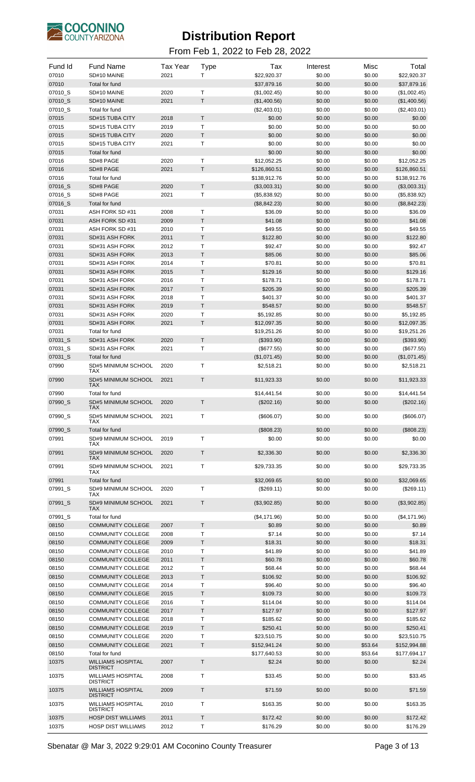

| Fund Id            | <b>Fund Name</b>                                     | <b>Tax Year</b> | <b>Type</b>                | Tax                          | Interest         | Misc             | Total                        |
|--------------------|------------------------------------------------------|-----------------|----------------------------|------------------------------|------------------|------------------|------------------------------|
| 07010              | SD#10 MAINE                                          | 2021            | T.                         | \$22,920.37                  | \$0.00           | \$0.00           | \$22,920.37                  |
| 07010              | <b>Total for fund</b>                                |                 |                            | \$37,879.16                  | \$0.00           | \$0.00           | \$37,879.16                  |
| 07010_S            | SD#10 MAINE                                          | 2020            | Τ                          | (\$1,002.45)                 | \$0.00           | \$0.00           | (\$1,002.45)                 |
| 07010_S<br>07010 S | SD#10 MAINE<br>Total for fund                        | 2021            | T.                         | (\$1,400.56)<br>(\$2,403.01) | \$0.00<br>\$0.00 | \$0.00<br>\$0.00 | (\$1,400.56)<br>(\$2,403.01) |
| 07015              | SD#15 TUBA CITY                                      | 2018            | T                          | \$0.00                       | \$0.00           | \$0.00           | \$0.00                       |
| 07015              | SD#15 TUBA CITY                                      | 2019            | $\mathsf T$                | \$0.00                       | \$0.00           | \$0.00           | \$0.00                       |
| 07015              | SD#15 TUBA CITY                                      | 2020            | $\mathsf T$                | \$0.00                       | \$0.00           | \$0.00           | \$0.00                       |
| 07015              | SD#15 TUBA CITY                                      | 2021            | Τ                          | \$0.00                       | \$0.00           | \$0.00           | \$0.00                       |
| 07015              | Total for fund                                       |                 |                            | \$0.00                       | \$0.00           | \$0.00           | \$0.00                       |
| 07016              | SD#8 PAGE                                            | 2020            | $\mathsf{T}$               | \$12,052.25                  | \$0.00           | \$0.00           | \$12,052.25                  |
| 07016<br>07016     | SD#8 PAGE<br>Total for fund                          | 2021            | $\top$                     | \$126,860.51                 | \$0.00<br>\$0.00 | \$0.00<br>\$0.00 | \$126,860.51                 |
| 07016_S            | SD#8 PAGE                                            | 2020            | $\mathsf T$                | \$138,912.76<br>(\$3,003.31) | \$0.00           | \$0.00           | \$138,912.76<br>(\$3,003.31) |
| 07016_S            | SD#8 PAGE                                            | 2021            | Τ                          | (\$5,838.92)                 | \$0.00           | \$0.00           | (\$5,838.92)                 |
| 07016_S            | Total for fund                                       |                 |                            | (\$8,842.23)                 | \$0.00           | \$0.00           | (\$8,842.23)                 |
| 07031              | ASH FORK SD #31                                      | 2008            | $\mathsf T$                | \$36.09                      | \$0.00           | \$0.00           | \$36.09                      |
| 07031              | ASH FORK SD #31                                      | 2009            | T                          | \$41.08                      | \$0.00           | \$0.00           | \$41.08                      |
| 07031              | ASH FORK SD #31                                      | 2010            | Τ                          | \$49.55                      | \$0.00           | \$0.00           | \$49.55                      |
| 07031              | SD#31 ASH FORK                                       | 2011            | $\mathsf T$                | \$122.80                     | \$0.00           | \$0.00           | \$122.80                     |
| 07031              | SD#31 ASH FORK                                       | 2012            | Τ                          | \$92.47                      | \$0.00           | \$0.00           | \$92.47                      |
| 07031<br>07031     | SD#31 ASH FORK<br>SD#31 ASH FORK                     | 2013<br>2014    | $\mathsf T$<br>$\mathsf T$ | \$85.06<br>\$70.81           | \$0.00<br>\$0.00 | \$0.00<br>\$0.00 | \$85.06<br>\$70.81           |
| 07031              | SD#31 ASH FORK                                       | 2015            | T                          | \$129.16                     | \$0.00           | \$0.00           | \$129.16                     |
| 07031              | SD#31 ASH FORK                                       | 2016            | Τ                          | \$178.71                     | \$0.00           | \$0.00           | \$178.71                     |
| 07031              | SD#31 ASH FORK                                       | 2017            | $\mathsf T$                | \$205.39                     | \$0.00           | \$0.00           | \$205.39                     |
| 07031              | SD#31 ASH FORK                                       | 2018            | T                          | \$401.37                     | \$0.00           | \$0.00           | \$401.37                     |
| 07031              | SD#31 ASH FORK                                       | 2019            | $\mathsf T$                | \$548.57                     | \$0.00           | \$0.00           | \$548.57                     |
| 07031              | SD#31 ASH FORK                                       | 2020            | $\mathsf T$                | \$5,192.85                   | \$0.00           | \$0.00           | \$5,192.85                   |
| 07031              | SD#31 ASH FORK                                       | 2021            | $\mathsf T$                | \$12,097.35                  | \$0.00           | \$0.00           | \$12,097.35                  |
| 07031              | Total for fund                                       |                 |                            | \$19,251.26                  | \$0.00           | \$0.00           | \$19,251.26                  |
| 07031_S<br>07031_S | SD#31 ASH FORK<br>SD#31 ASH FORK                     | 2020<br>2021    | $\top$<br>Τ                | (\$393.90)<br>(\$677.55)     | \$0.00<br>\$0.00 | \$0.00<br>\$0.00 | (\$393.90)                   |
| 07031_S            | Total for fund                                       |                 |                            | (\$1,071.45)                 | \$0.00           | \$0.00           | (\$677.55)<br>(\$1,071.45)   |
| 07990              | SD#5 MINIMUM SCHOOL                                  | 2020            | $\mathsf{T}$               | \$2,518.21                   | \$0.00           | \$0.00           | \$2,518.21                   |
|                    | TAX                                                  |                 |                            |                              |                  |                  |                              |
| 07990              | SD#5 MINIMUM SCHOOL<br><b>TAX</b>                    | 2021            | $\mathsf T$                | \$11,923.33                  | \$0.00           | \$0.00           | \$11,923.33                  |
| 07990<br>07990_S   | Total for fund<br><b>SD#5 MINIMUM SCHOOL</b>         | 2020            | $\sf T$                    | \$14,441.54<br>(\$202.16)    | \$0.00<br>\$0.00 | \$0.00<br>\$0.00 | \$14,441.54<br>(\$202.16)    |
|                    | I A A                                                |                 |                            |                              |                  |                  |                              |
| 07990 S            | SD#5 MINIMUM SCHOOL<br>TAX                           | 2021            | Τ                          | $(\$606.07)$                 | \$0.00           | \$0.00           | (\$606.07)                   |
| 07990 S<br>07991   | Total for fund<br>SD#9 MINIMUM SCHOOL                | 2019            | $\mathsf{T}$               | (\$808.23)<br>\$0.00         | \$0.00<br>\$0.00 | \$0.00<br>\$0.00 | (\$808.23)<br>\$0.00         |
|                    | TAX                                                  |                 |                            |                              |                  |                  |                              |
| 07991              | SD#9 MINIMUM SCHOOL<br><b>TAX</b>                    | 2020            | T                          | \$2,336.30                   | \$0.00           | \$0.00           | \$2,336.30                   |
| 07991              | SD#9 MINIMUM SCHOOL<br><b>TAX</b>                    | 2021            | T                          | \$29,733.35                  | \$0.00           | \$0.00           | \$29,733.35                  |
| 07991              | Total for fund                                       |                 |                            | \$32,069.65                  | \$0.00           | \$0.00           | \$32,069.65                  |
| 07991 S            | SD#9 MINIMUM SCHOOL<br><b>TAX</b>                    | 2020            | $\mathsf{T}$               | (\$269.11)                   | \$0.00           | \$0.00           | (\$269.11)                   |
| 07991_S            | SD#9 MINIMUM SCHOOL<br><b>TAX</b>                    | 2021            | $\mathsf T$                | (\$3,902.85)                 | \$0.00           | \$0.00           | (\$3,902.85)                 |
| 07991_S            | Total for fund                                       |                 |                            | (\$4,171.96)                 | \$0.00           | \$0.00           | (\$4,171.96)                 |
| 08150              | <b>COMMUNITY COLLEGE</b>                             | 2007            | T                          | \$0.89                       | \$0.00           | \$0.00           | \$0.89                       |
| 08150              | <b>COMMUNITY COLLEGE</b>                             | 2008            | T                          | \$7.14                       | \$0.00           | \$0.00           | \$7.14                       |
| 08150              | <b>COMMUNITY COLLEGE</b>                             | 2009            | $\sf T$<br>Т               | \$18.31<br>\$41.89           | \$0.00           | \$0.00           | \$18.31<br>\$41.89           |
| 08150<br>08150     | <b>COMMUNITY COLLEGE</b><br><b>COMMUNITY COLLEGE</b> | 2010<br>2011    | T                          | \$60.78                      | \$0.00<br>\$0.00 | \$0.00<br>\$0.00 | \$60.78                      |
| 08150              | <b>COMMUNITY COLLEGE</b>                             | 2012            | $\mathsf{T}$               | \$68.44                      | \$0.00           | \$0.00           | \$68.44                      |
| 08150              | <b>COMMUNITY COLLEGE</b>                             | 2013            | $\sf T$                    | \$106.92                     | \$0.00           | \$0.00           | \$106.92                     |
| 08150              | <b>COMMUNITY COLLEGE</b>                             | 2014            | $\mathsf{T}$               | \$96.40                      | \$0.00           | \$0.00           | \$96.40                      |
| 08150              | <b>COMMUNITY COLLEGE</b>                             | 2015            | T                          | \$109.73                     | \$0.00           | \$0.00           | \$109.73                     |
| 08150              | <b>COMMUNITY COLLEGE</b>                             | 2016            | T                          | \$114.04                     | \$0.00           | \$0.00           | \$114.04                     |
| 08150              | <b>COMMUNITY COLLEGE</b>                             | 2017            | T                          | \$127.97                     | \$0.00           | \$0.00           | \$127.97                     |
| 08150              | <b>COMMUNITY COLLEGE</b>                             | 2018            | $\mathsf{T}$               | \$185.62                     | \$0.00           | \$0.00           | \$185.62                     |
| 08150<br>08150     | <b>COMMUNITY COLLEGE</b><br><b>COMMUNITY COLLEGE</b> | 2019<br>2020    | T<br>$\mathsf{T}$          | \$250.41<br>\$23,510.75      | \$0.00<br>\$0.00 | \$0.00<br>\$0.00 | \$250.41<br>\$23,510.75      |
| 08150              | <b>COMMUNITY COLLEGE</b>                             | 2021            | $\sf T$                    | \$152,941.24                 | \$0.00           | \$53.64          | \$152,994.88                 |
| 08150              | Total for fund                                       |                 |                            | \$177,640.53                 | \$0.00           | \$53.64          | \$177,694.17                 |
| 10375              | <b>WILLIAMS HOSPITAL</b><br><b>DISTRICT</b>          | 2007            | T                          | \$2.24                       | \$0.00           | \$0.00           | \$2.24                       |
| 10375              | <b>WILLIAMS HOSPITAL</b><br><b>DISTRICT</b>          | 2008            | $\mathsf{T}$               | \$33.45                      | \$0.00           | \$0.00           | \$33.45                      |
| 10375              | <b>WILLIAMS HOSPITAL</b><br><b>DISTRICT</b>          | 2009            | $\mathsf T$                | \$71.59                      | \$0.00           | \$0.00           | \$71.59                      |
| 10375              | <b>WILLIAMS HOSPITAL</b><br><b>DISTRICT</b>          | 2010            | T                          | \$163.35                     | \$0.00           | \$0.00           | \$163.35                     |
| 10375              | <b>HOSP DIST WILLIAMS</b>                            | 2011            | T                          | \$172.42                     | \$0.00           | \$0.00           | \$172.42                     |
| 10375              | <b>HOSP DIST WILLIAMS</b>                            | 2012            | Т                          | \$176.29                     | \$0.00           | \$0.00           | \$176.29                     |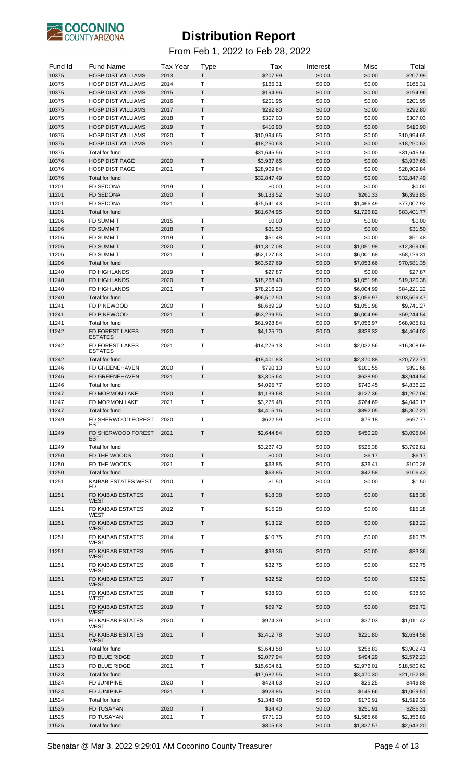

| Fund Id        | <b>Fund Name</b>                        | <b>Tax Year</b> | <b>Type</b> | Tax                       | Interest         | Misc                   | Total                     |
|----------------|-----------------------------------------|-----------------|-------------|---------------------------|------------------|------------------------|---------------------------|
| 10375          | <b>HOSP DIST WILLIAMS</b>               | 2013            | T           | \$207.99                  | \$0.00           | \$0.00                 | \$207.99                  |
| 10375          | <b>HOSP DIST WILLIAMS</b>               | 2014            | Т           | \$165.31                  | \$0.00           | \$0.00                 | \$165.31                  |
| 10375          | <b>HOSP DIST WILLIAMS</b>               | 2015            | T           | \$194.96                  | \$0.00           | \$0.00                 | \$194.96                  |
| 10375          | <b>HOSP DIST WILLIAMS</b>               | 2016            | T           | \$201.95                  | \$0.00           | \$0.00                 | \$201.95                  |
| 10375          | <b>HOSP DIST WILLIAMS</b>               | 2017            | T           | \$292.80                  | \$0.00           | \$0.00                 | \$292.80                  |
| 10375          | <b>HOSP DIST WILLIAMS</b>               | 2018            | Т           | \$307.03                  | \$0.00           | \$0.00                 | \$307.03                  |
| 10375          | <b>HOSP DIST WILLIAMS</b>               | 2019            | $\sf T$     | \$410.90                  | \$0.00           | \$0.00                 | \$410.90                  |
| 10375          | <b>HOSP DIST WILLIAMS</b>               | 2020            | Т           | \$10,994.65               | \$0.00           | \$0.00                 | \$10,994.65               |
| 10375          | <b>HOSP DIST WILLIAMS</b>               | 2021            | Τ           | \$18,250.63               | \$0.00           | \$0.00                 | \$18,250.63               |
| 10375          | Total for fund                          |                 |             | \$31,645.56               | \$0.00           | \$0.00                 | \$31,645.56               |
| 10376          | <b>HOSP DIST PAGE</b>                   | 2020            | T           | \$3,937.65                | \$0.00           | \$0.00                 | \$3,937.65                |
| 10376          | <b>HOSP DIST PAGE</b>                   | 2021            | Т           | \$28,909.84               | \$0.00           | \$0.00                 | \$28,909.84               |
| 10376          | Total for fund                          |                 |             | \$32,847.49               | \$0.00           | \$0.00                 | \$32,847.49               |
| 11201          | FD SEDONA<br><b>FD SEDONA</b>           | 2019<br>2020    | Т<br>T      | \$0.00                    | \$0.00           | \$0.00                 | \$0.00                    |
| 11201<br>11201 | <b>FD SEDONA</b>                        | 2021            | Т           | \$6,133.52<br>\$75,541.43 | \$0.00<br>\$0.00 | \$260.33<br>\$1,466.49 | \$6,393.85<br>\$77,007.92 |
| 11201          | Total for fund                          |                 |             | \$81,674.95               | \$0.00           | \$1,726.82             | \$83,401.77               |
| 11206          | <b>FD SUMMIT</b>                        | 2015            | Т           | \$0.00                    | \$0.00           | \$0.00                 | \$0.00                    |
| 11206          | <b>FD SUMMIT</b>                        | 2018            | $\sf T$     | \$31.50                   | \$0.00           | \$0.00                 | \$31.50                   |
| 11206          | <b>FD SUMMIT</b>                        | 2019            | Т           | \$51.48                   | \$0.00           | \$0.00                 | \$51.48                   |
| 11206          | <b>FD SUMMIT</b>                        | 2020            | T           | \$11,317.08               | \$0.00           | \$1,051.98             | \$12,369.06               |
| 11206          | <b>FD SUMMIT</b>                        | 2021            | Т           | \$52,127.63               | \$0.00           | \$6,001.68             | \$58,129.31               |
| 11206          | Total for fund                          |                 |             | \$63,527.69               | \$0.00           | \$7,053.66             | \$70,581.35               |
| 11240          | FD HIGHLANDS                            | 2019            | Т           | \$27.87                   | \$0.00           | \$0.00                 | \$27.87                   |
| 11240          | <b>FD HIGHLANDS</b>                     | 2020            | T           | \$18,268.40               | \$0.00           | \$1,051.98             | \$19,320.38               |
| 11240          | FD HIGHLANDS                            | 2021            | Т           | \$78,216.23               | \$0.00           | \$6,004.99             | \$84,221.22               |
| 11240          | Total for fund                          |                 |             | \$96,512.50               | \$0.00           | \$7,056.97             | \$103,569.47              |
| 11241          | FD PINEWOOD                             | 2020            | Т           | \$8,689.29                | \$0.00           | \$1,051.98             | \$9,741.27                |
| 11241          | FD PINEWOOD                             | 2021            | T           | \$53,239.55               | \$0.00           | \$6,004.99             | \$59,244.54               |
| 11241          | Total for fund                          |                 |             | \$61,928.84               | \$0.00           | \$7,056.97             | \$68,985.81               |
| 11242          | FD FOREST LAKES<br><b>ESTATES</b>       | 2020            | T           | \$4,125.70                | \$0.00           | \$338.32               | \$4,464.02                |
| 11242          | FD FOREST LAKES<br><b>ESTATES</b>       | 2021            | T           | \$14,276.13               | \$0.00           | \$2,032.56             | \$16,308.69               |
| 11242          | Total for fund                          |                 |             | \$18,401.83               | \$0.00           | \$2,370.88             | \$20,772.71               |
| 11246          | <b>FD GREENEHAVEN</b>                   | 2020            | Т           | \$790.13                  | \$0.00           | \$101.55               | \$891.68                  |
| 11246          | <b>FD GREENEHAVEN</b>                   | 2021            | T           | \$3,305.64                | \$0.00           | \$638.90               | \$3,944.54                |
| 11246          | Total for fund                          |                 |             | \$4,095.77                | \$0.00           | \$740.45               | \$4,836.22                |
| 11247          | FD MORMON LAKE                          | 2020            | T           | \$1,139.68                | \$0.00           | \$127.36               | \$1,267.04                |
| 11247          | FD MORMON LAKE                          | 2021            | Т           | \$3,275.48                | \$0.00           | \$764.69               | \$4,040.17                |
| 11247          | Total for fund                          |                 |             | \$4,415.16                | \$0.00           | \$892.05               | \$5,307.21                |
| 11249          | FD SHERWOOD FOREST<br><b>EST</b>        | 2020            | т           | \$622.59                  | \$0.00           | \$75.18                | \$697.77                  |
| 11249          | FD SHERWOOD FOREST<br><b>EST</b>        | 2021            | $\sf T$     | \$2,644.84                | \$0.00           | \$450.20               | \$3,095.04                |
| 11249          | Total for fund                          |                 |             | \$3,267.43                | \$0.00           | \$525.38               | \$3,792.81                |
| 11250          | FD THE WOODS                            | 2020            | T           | \$0.00                    | \$0.00           | \$6.17                 | \$6.17                    |
| 11250          | FD THE WOODS                            | 2021            | T           | \$63.85                   | \$0.00           | \$36.41                | \$100.26                  |
| 11250          | Total for fund                          |                 |             | \$63.85                   | \$0.00           | \$42.58                | \$106.43                  |
| 11251          | KAIBAB ESTATES WEST<br><b>FD</b>        | 2010            | Т           | \$1.50                    | \$0.00           | \$0.00                 | \$1.50                    |
| 11251          | <b>FD KAIBAB ESTATES</b><br>WEST        | 2011            | Τ           | \$18.38                   | \$0.00           | \$0.00                 | \$18.38                   |
| 11251          | FD KAIBAB ESTATES<br>WEST               | 2012            | Т           | \$15.28                   | \$0.00           | \$0.00                 | \$15.28                   |
| 11251          | <b>FD KAIBAB ESTATES</b><br>WEST        | 2013            | Τ           | \$13.22                   | \$0.00           | \$0.00                 | \$13.22                   |
| 11251          | FD KAIBAB ESTATES<br>WEST               | 2014            | Т           | \$10.75                   | \$0.00           | \$0.00                 | \$10.75                   |
| 11251          | <b>FD KAIBAB ESTATES</b><br>WEST        | 2015            | Τ           | \$33.36                   | \$0.00           | \$0.00                 | \$33.36                   |
| 11251          | FD KAIBAB ESTATES<br>WEST               | 2016            | Т           | \$32.75                   | \$0.00           | \$0.00                 | \$32.75                   |
| 11251          | <b>FD KAIBAB ESTATES</b><br>WEST        | 2017            | Τ           | \$32.52                   | \$0.00           | \$0.00                 | \$32.52                   |
| 11251          | FD KAIBAB ESTATES<br>WEST               | 2018            | Т           | \$38.93                   | \$0.00           | \$0.00                 | \$38.93                   |
| 11251          | <b>FD KAIBAB ESTATES</b><br>WEST        | 2019            | Τ           | \$59.72                   | \$0.00           | \$0.00                 | \$59.72                   |
| 11251          | FD KAIBAB ESTATES<br>WEST               | 2020            | Т           | \$974.39                  | \$0.00           | \$37.03                | \$1,011.42                |
| 11251          | <b>FD KAIBAB ESTATES</b><br><b>WEST</b> | 2021            | Τ           | \$2,412.78                | \$0.00           | \$221.80               | \$2,634.58                |
| 11251          | Total for fund                          |                 |             | \$3,643.58                | \$0.00           | \$258.83               | \$3,902.41                |
| 11523          | FD BLUE RIDGE                           | 2020            | T           | \$2,077.94                | \$0.00           | \$494.29               | \$2,572.23                |
| 11523          | FD BLUE RIDGE                           | 2021            | Т           | \$15,604.61               | \$0.00           | \$2,976.01             | \$18,580.62               |
| 11523          | Total for fund                          |                 |             | \$17,682.55               | \$0.00           | \$3,470.30             | \$21,152.85               |
| 11524          | FD JUNIPINE                             | 2020            | Т           | \$424.63                  | \$0.00           | \$25.25                | \$449.88                  |
| 11524          | <b>FD JUNIPINE</b>                      | 2021            | T.          | \$923.85                  | \$0.00           | \$145.66               | \$1,069.51                |
| 11524          | Total for fund                          |                 |             | \$1,348.48                | \$0.00           | \$170.91               | \$1,519.39                |
| 11525<br>11525 | <b>FD TUSAYAN</b><br>FD TUSAYAN         | 2020<br>2021    | T<br>Т      | \$34.40<br>\$771.23       | \$0.00<br>\$0.00 | \$251.91<br>\$1,585.66 | \$286.31<br>\$2,356.89    |
| 11525          | Total for fund                          |                 |             | \$805.63                  | \$0.00           | \$1,837.57             | \$2,643.20                |
|                |                                         |                 |             |                           |                  |                        |                           |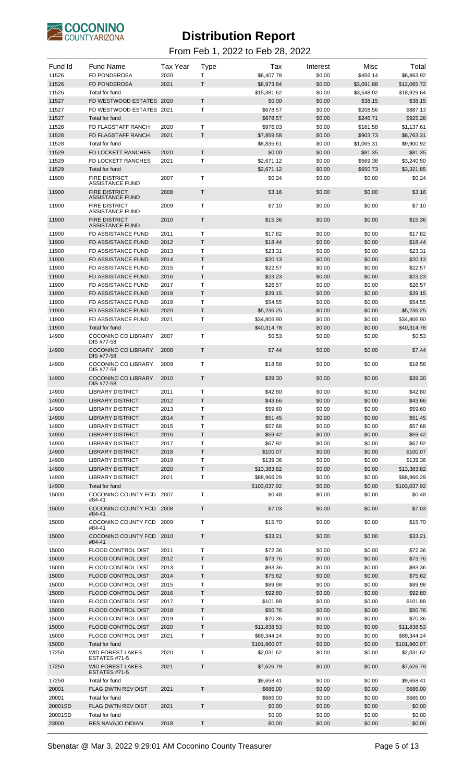

| Fund Id        | <b>Fund Name</b>                                   | <b>Tax Year</b> | Type         | Tax                        | Interest         | Misc                  | Total                      |
|----------------|----------------------------------------------------|-----------------|--------------|----------------------------|------------------|-----------------------|----------------------------|
| 11526          | <b>FD PONDEROSA</b>                                | 2020            | T            | \$6,407.78                 | \$0.00           | \$456.14              | \$6,863.92                 |
| 11526          | <b>FD PONDEROSA</b>                                | 2021            | T            | \$8,973.84                 | \$0.00           | \$3,091.88            | \$12,065.72                |
| 11526<br>11527 | Total for fund<br>FD WESTWOOD ESTATES 2020         |                 | T            | \$15,381.62<br>\$0.00      | \$0.00<br>\$0.00 | \$3,548.02<br>\$38.15 | \$18,929.64<br>\$38.15     |
| 11527          | FD WESTWOOD ESTATES 2021                           |                 | т            | \$678.57                   | \$0.00           | \$208.56              | \$887.13                   |
| 11527          | Total for fund                                     |                 |              | \$678.57                   | \$0.00           | \$246.71              | \$925.28                   |
| 11528          | FD FLAGSTAFF RANCH                                 | 2020            | T            | \$976.03                   | \$0.00           | \$161.58              | \$1,137.61                 |
| 11528          | FD FLAGSTAFF RANCH                                 | 2021            | T            | \$7,859.58                 | \$0.00           | \$903.73              | \$8,763.31                 |
| 11528<br>11529 | Total for fund<br>FD LOCKETT RANCHES               | 2020            | T            | \$8,835.61<br>\$0.00       | \$0.00<br>\$0.00 | \$1,065.31<br>\$81.35 | \$9,900.92<br>\$81.35      |
| 11529          | FD LOCKETT RANCHES                                 | 2021            | T            | \$2,671.12                 | \$0.00           | \$569.38              | \$3,240.50                 |
| 11529          | Total for fund                                     |                 |              | \$2,671.12                 | \$0.00           | \$650.73              | \$3,321.85                 |
| 11900          | <b>FIRE DISTRICT</b><br><b>ASSISTANCE FUND</b>     | 2007            | T            | \$0.24                     | \$0.00           | \$0.00                | \$0.24                     |
| 11900          | <b>FIRE DISTRICT</b><br><b>ASSISTANCE FUND</b>     | 2008            | $\mathsf{T}$ | \$3.16                     | \$0.00           | \$0.00                | \$3.16                     |
| 11900          | <b>FIRE DISTRICT</b><br><b>ASSISTANCE FUND</b>     | 2009            | T            | \$7.10                     | \$0.00           | \$0.00                | \$7.10                     |
| 11900          | <b>FIRE DISTRICT</b><br><b>ASSISTANCE FUND</b>     | 2010            | $\mathsf{T}$ | \$15.36                    | \$0.00           | \$0.00                | \$15.36                    |
| 11900          | FD ASSISTANCE FUND                                 | 2011            | T            | \$17.82                    | \$0.00           | \$0.00                | \$17.82                    |
| 11900          | FD ASSISTANCE FUND                                 | 2012            | T            | \$18.44                    | \$0.00           | \$0.00                | \$18.44                    |
| 11900<br>11900 | FD ASSISTANCE FUND<br><b>FD ASSISTANCE FUND</b>    | 2013<br>2014    | Τ<br>T       | \$23.31<br>\$20.13         | \$0.00<br>\$0.00 | \$0.00<br>\$0.00      | \$23.31<br>\$20.13         |
| 11900          | FD ASSISTANCE FUND                                 | 2015            | T            | \$22.57                    | \$0.00           | \$0.00                | \$22.57                    |
| 11900          | <b>FD ASSISTANCE FUND</b>                          | 2016            | T.           | \$23.23                    | \$0.00           | \$0.00                | \$23.23                    |
| 11900          | <b>FD ASSISTANCE FUND</b>                          | 2017            | T            | \$26.57                    | \$0.00           | \$0.00                | \$26.57                    |
| 11900          | FD ASSISTANCE FUND                                 | 2018            | T            | \$39.15                    | \$0.00           | \$0.00                | \$39.15                    |
| 11900          | FD ASSISTANCE FUND                                 | 2019            | Τ            | \$54.55                    | \$0.00           | \$0.00                | \$54.55                    |
| 11900          | FD ASSISTANCE FUND                                 | 2020            | T            | \$5,236.25                 | \$0.00           | \$0.00                | \$5,236.25                 |
| 11900<br>11900 | FD ASSISTANCE FUND<br>Total for fund               | 2021            | Т            | \$34,806.90<br>\$40,314.78 | \$0.00<br>\$0.00 | \$0.00<br>\$0.00      | \$34,806.90<br>\$40,314.78 |
| 14900          | COCONINO CO LIBRARY                                | 2007            | T            | \$0.53                     | \$0.00           | \$0.00                | \$0.53                     |
| 14900          | DIS #77-58<br>COCONINO CO LIBRARY                  | 2008            | $\mathsf{T}$ | \$7.44                     | \$0.00           | \$0.00                | \$7.44                     |
| 14900          | DIS #77-58<br>COCONINO CO LIBRARY                  | 2009            | T            | \$18.58                    | \$0.00           | \$0.00                | \$18.58                    |
| 14900          | DIS #77-58<br>COCONINO CO LIBRARY                  | 2010            | $\mathsf{T}$ | \$39.30                    | \$0.00           | \$0.00                | \$39.30                    |
| 14900          | DIS #77-58<br><b>LIBRARY DISTRICT</b>              | 2011            | T            | \$42.80                    | \$0.00           | \$0.00                | \$42.80                    |
| 14900          | <b>LIBRARY DISTRICT</b>                            | 2012            | T            | \$43.66                    | \$0.00           | \$0.00                | \$43.66                    |
| 14900          | <b>LIBRARY DISTRICT</b>                            | 2013            | Т            | \$59.60                    | \$0.00           | \$0.00                | \$59.60                    |
| 14900          | <b>LIBRARY DISTRICT</b>                            | 2014            | T            | \$51.45                    | \$0.00           | \$0.00                | \$51.45                    |
| 14900          | <b>LIBRARY DISTRICT</b>                            | 2015            | T            | \$57.68                    | \$0.00           | \$0.00                | \$57.68                    |
| 14900<br>14900 | <b>LIBRARY DISTRICT</b><br><b>LIBRARY DISTRICT</b> | 2016<br>2017    | T<br>T       | \$59.42<br>\$67.92         | \$0.00<br>\$0.00 | \$0.00<br>\$0.00      | \$59.42<br>\$67.92         |
| 14900          | <b>LIBRARY DISTRICT</b>                            | 2018            | T            | \$100.07                   | \$0.00           | \$0.00                | \$100.07                   |
| 14900          | <b>LIBRARY DISTRICT</b>                            | 2019            | T            | \$139.36                   | \$0.00           | \$0.00                | \$139.36                   |
| 14900          | <b>LIBRARY DISTRICT</b>                            | 2020            | T            | \$13,383.82                | \$0.00           | \$0.00                | \$13,383.82                |
| 14900          | <b>LIBRARY DISTRICT</b>                            | 2021            | T            | \$88.966.29                | \$0.00           | \$0.00                | \$88,966.29                |
| 14900          | Total for fund                                     |                 |              | \$103,037.92               | \$0.00           | \$0.00                | \$103,037.92               |
| 15000          | COCONINO COUNTY FCD<br>#84-41                      | 2007            | т            | \$0.48                     | \$0.00           | \$0.00                | \$0.48                     |
| 15000          | COCONINO COUNTY FCD<br>#84-41                      | 2008            | T            | \$7.03                     | \$0.00           | \$0.00                | \$7.03                     |
| 15000          | COCONINO COUNTY FCD<br>#84-41                      | 2009            | T            | \$15.70                    | \$0.00           | \$0.00                | \$15.70                    |
| 15000          | COCONINO COUNTY FCD<br>#84-41                      | 2010            | T            | \$33.21                    | \$0.00           | \$0.00                | \$33.21                    |
| 15000          | <b>FLOOD CONTROL DIST</b>                          | 2011            | T            | \$72.36                    | \$0.00           | \$0.00                | \$72.36                    |
| 15000          | FLOOD CONTROL DIST                                 | 2012            | T            | \$73.76                    | \$0.00           | \$0.00                | \$73.76                    |
| 15000<br>15000 | FLOOD CONTROL DIST<br>FLOOD CONTROL DIST           | 2013<br>2014    | Τ<br>T       | \$93.36<br>\$75.62         | \$0.00<br>\$0.00 | \$0.00<br>\$0.00      | \$93.36<br>\$75.62         |
| 15000          | FLOOD CONTROL DIST                                 | 2015            | Т            | \$89.98                    | \$0.00           | \$0.00                | \$89.98                    |
| 15000          | <b>FLOOD CONTROL DIST</b>                          | 2016            | T            | \$92.80                    | \$0.00           | \$0.00                | \$92.80                    |
| 15000          | FLOOD CONTROL DIST                                 | 2017            | T            | \$101.88                   | \$0.00           | \$0.00                | \$101.88                   |
| 15000          | FLOOD CONTROL DIST                                 | 2018            | T            | \$50.76                    | \$0.00           | \$0.00                | \$50.76                    |
| 15000          | FLOOD CONTROL DIST                                 | 2019            | Τ            | \$70.36                    | \$0.00           | \$0.00                | \$70.36                    |
| 15000          | FLOOD CONTROL DIST                                 | 2020            | T            | \$11,838.53                | \$0.00           | \$0.00                | \$11,838.53                |
| 15000          | FLOOD CONTROL DIST                                 | 2021            | T            | \$89,344.24                | \$0.00           | \$0.00                | \$89,344.24                |
| 15000<br>17250 | Total for fund<br><b>WID FOREST LAKES</b>          | 2020            | т            | \$101,960.07<br>\$2,031.62 | \$0.00<br>\$0.00 | \$0.00<br>\$0.00      | \$101,960.07<br>\$2,031.62 |
| 17250          | ESTATES #71-5<br><b>WID FOREST LAKES</b>           | 2021            | T            | \$7,626.79                 | \$0.00           | \$0.00                | \$7,626.79                 |
| 17250          | ESTATES #71-5<br>Total for fund                    |                 |              | \$9,658.41                 | \$0.00           | \$0.00                | \$9,658.41                 |
| 20001          | <b>FLAG DWTN REV DIST</b>                          | 2021            | T            | \$686.00                   | \$0.00           | \$0.00                | \$686.00                   |
| 20001          | Total for fund                                     |                 |              | \$686.00                   | \$0.00           | \$0.00                | \$686.00                   |
| 20001SD        | <b>FLAG DWTN REV DIST</b>                          | 2021            | T            | \$0.00                     | \$0.00           | \$0.00                | \$0.00                     |
| 20001SD        | Total for fund                                     |                 |              | \$0.00                     | \$0.00           | \$0.00                | \$0.00                     |
| 23900          | <b>RES NAVAJO INDIAN</b>                           | 2018            | T            | \$0.00                     | \$0.00           | \$0.00                | \$0.00                     |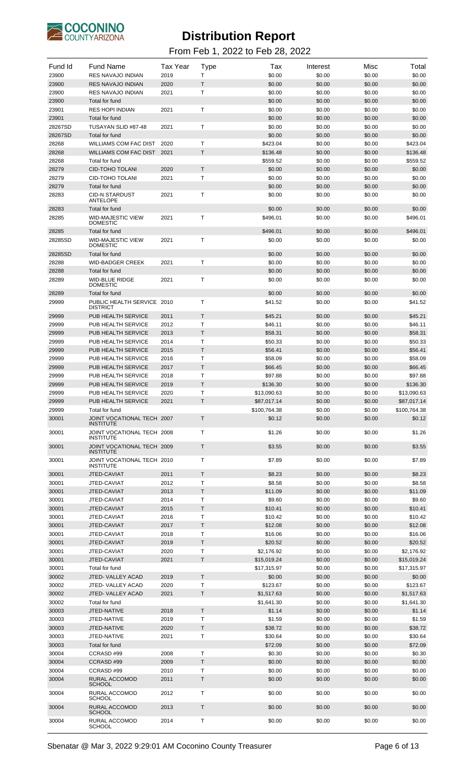

| Fund Id        | <b>Fund Name</b>                               | <b>Tax Year</b> | <b>Type</b>  | Tax                | Interest         | Misc             | Total              |
|----------------|------------------------------------------------|-----------------|--------------|--------------------|------------------|------------------|--------------------|
| 23900          | <b>RES NAVAJO INDIAN</b>                       | 2019            | T            | \$0.00             | \$0.00           | \$0.00           | \$0.00             |
| 23900          | <b>RES NAVAJO INDIAN</b>                       | 2020            | T            | \$0.00             | \$0.00           | \$0.00           | \$0.00             |
| 23900          | RES NAVAJO INDIAN                              | 2021            | T            | \$0.00             | \$0.00           | \$0.00           | \$0.00             |
| 23900          | Total for fund                                 |                 |              | \$0.00             | \$0.00           | \$0.00           | \$0.00             |
| 23901<br>23901 | <b>RES HOPI INDIAN</b><br>Total for fund       | 2021            | $\mathsf{T}$ | \$0.00<br>\$0.00   | \$0.00<br>\$0.00 | \$0.00<br>\$0.00 | \$0.00<br>\$0.00   |
| 28267SD        | TUSAYAN SLID #87-48                            | 2021            | $\mathsf{T}$ | \$0.00             | \$0.00           | \$0.00           | \$0.00             |
| 28267SD        | <b>Total for fund</b>                          |                 |              | \$0.00             | \$0.00           | \$0.00           | \$0.00             |
| 28268          | WILLIAMS COM FAC DIST                          | 2020            | Τ            | \$423.04           | \$0.00           | \$0.00           | \$423.04           |
| 28268          | WILLIAMS COM FAC DIST                          | 2021            | T            | \$136.48           | \$0.00           | \$0.00           | \$136.48           |
| 28268          | Total for fund                                 |                 |              | \$559.52           | \$0.00           | \$0.00           | \$559.52           |
| 28279          | <b>CID-TOHO TOLANI</b>                         | 2020            | T.           | \$0.00             | \$0.00           | \$0.00           | \$0.00             |
| 28279          | CID-TOHO TOLANI                                | 2021            | T            | \$0.00             | \$0.00           | \$0.00           | \$0.00             |
| 28279          | Total for fund                                 |                 |              | \$0.00             | \$0.00           | \$0.00           | \$0.00             |
| 28283          | <b>CID-N STARDUST</b><br>ANTELOPE              | 2021            | Τ            | \$0.00             | \$0.00           | \$0.00           | \$0.00             |
| 28283          | Total for fund                                 |                 |              | \$0.00             | \$0.00           | \$0.00           | \$0.00             |
| 28285          | <b>WID-MAJESTIC VIEW</b>                       | 2021            | т            | \$496.01           | \$0.00           | \$0.00           | \$496.01           |
|                | <b>DOMESTIC</b>                                |                 |              |                    |                  |                  |                    |
| 28285          | <b>Total for fund</b>                          |                 |              | \$496.01           | \$0.00           | \$0.00           | \$496.01           |
| 28285SD        | WID-MAJESTIC VIEW<br><b>DOMESTIC</b>           | 2021            | $\mathsf{T}$ | \$0.00             | \$0.00           | \$0.00           | \$0.00             |
| 28285SD        | Total for fund                                 |                 |              | \$0.00             | \$0.00           | \$0.00           | \$0.00             |
| 28288          | <b>WID-BADGER CREEK</b>                        | 2021            | T            | \$0.00             | \$0.00           | \$0.00           | \$0.00             |
| 28288          | Total for fund                                 |                 |              | \$0.00             | \$0.00           | \$0.00           | \$0.00             |
| 28289          | <b>WID-BLUE RIDGE</b><br><b>DOMESTIC</b>       | 2021            | $\mathsf{T}$ | \$0.00             | \$0.00           | \$0.00           | \$0.00             |
| 28289          | Total for fund                                 |                 |              | \$0.00             | \$0.00           | \$0.00           | \$0.00             |
| 29999          | PUBLIC HEALTH SERVICE 2010                     |                 | Τ            | \$41.52            | \$0.00           | \$0.00           | \$41.52            |
|                | <b>DISTRICT</b>                                |                 |              |                    |                  |                  |                    |
| 29999          | PUB HEALTH SERVICE                             | 2011            | $\mathsf{T}$ | \$45.21            | \$0.00           | \$0.00           | \$45.21            |
| 29999          | PUB HEALTH SERVICE                             | 2012            | T            | \$46.11            | \$0.00           | \$0.00           | \$46.11            |
| 29999          | PUB HEALTH SERVICE                             | 2013            | $\sf T$      | \$58.31            | \$0.00           | \$0.00           | \$58.31            |
| 29999<br>29999 | PUB HEALTH SERVICE                             | 2014<br>2015    | T<br>T.      | \$50.33<br>\$56.41 | \$0.00           | \$0.00<br>\$0.00 | \$50.33<br>\$56.41 |
| 29999          | PUB HEALTH SERVICE<br>PUB HEALTH SERVICE       | 2016            | T            | \$58.09            | \$0.00<br>\$0.00 | \$0.00           | \$58.09            |
| 29999          | PUB HEALTH SERVICE                             | 2017            | T            | \$66.45            | \$0.00           | \$0.00           | \$66.45            |
| 29999          | PUB HEALTH SERVICE                             | 2018            | T            | \$97.88            | \$0.00           | \$0.00           | \$97.88            |
| 29999          | PUB HEALTH SERVICE                             | 2019            | $\sf T$      | \$136.30           | \$0.00           | \$0.00           | \$136.30           |
| 29999          | PUB HEALTH SERVICE                             | 2020            | Т            | \$13,090.63        | \$0.00           | \$0.00           | \$13,090.63        |
| 29999          | PUB HEALTH SERVICE                             | 2021            | T            | \$87,017.14        | \$0.00           | \$0.00           | \$87,017.14        |
| 29999          | Total for fund                                 |                 |              | \$100,764.38       | \$0.00           | \$0.00           | \$100,764.38       |
| 30001          | JOINT VOCATIONAL TECH 2007<br><b>INSTITUTE</b> |                 | T            | \$0.12             | \$0.00           | \$0.00           | \$0.12             |
| 30001          | JOINT VOCATIONAL TECH 2008                     |                 | Τ            | \$1.26             | \$0.00           | \$0.00           | \$1.26             |
|                | <b>INSTITUTE</b>                               |                 |              |                    |                  |                  |                    |
| 30001          | JOINT VOCATIONAL TECH 2009<br><b>INSTITUTE</b> |                 | T            | \$3.55             | \$0.00           | \$0.00           | \$3.55             |
| 30001          | JOINT VOCATIONAL TECH 2010                     |                 | Τ            | \$7.89             | \$0.00           | \$0.00           | \$7.89             |
| 30001          | <b>INSTITUTE</b><br>JTED-CAVIAT                | 2011            | T.           | \$8.23             | \$0.00           | \$0.00           | \$8.23             |
| 30001          | JTED-CAVIAT                                    | 2012            | T            | \$8.58             | \$0.00           | \$0.00           | \$8.58             |
| 30001          | JTED-CAVIAT                                    | 2013            | T            | \$11.09            | \$0.00           | \$0.00           | \$11.09            |
| 30001          | JTED-CAVIAT                                    | 2014            | Т            | \$9.60             | \$0.00           | \$0.00           | \$9.60             |
| 30001          | JTED-CAVIAT                                    | 2015            | T.           | \$10.41            | \$0.00           | \$0.00           | \$10.41            |
| 30001          | JTED-CAVIAT                                    | 2016            | T            | \$10.42            | \$0.00           | \$0.00           | \$10.42            |
| 30001          | JTED-CAVIAT                                    | 2017            | T.           | \$12.08            | \$0.00           | \$0.00           | \$12.08            |
| 30001          | JTED-CAVIAT                                    | 2018            | T            | \$16.06            | \$0.00           | \$0.00           | \$16.06            |
| 30001          | JTED-CAVIAT                                    | 2019            | $\sf T$      | \$20.52            | \$0.00           | \$0.00           | \$20.52            |
| 30001          | JTED-CAVIAT                                    | 2020            | Т            | \$2,176.92         | \$0.00           | \$0.00           | \$2,176.92         |
| 30001          | JTED-CAVIAT                                    | 2021            | T.           | \$15,019.24        | \$0.00           | \$0.00           | \$15,019.24        |
| 30001          | Total for fund                                 |                 | T.           | \$17,315.97        | \$0.00           | \$0.00           | \$17,315.97        |
| 30002<br>30002 | JTED- VALLEY ACAD<br>JTED- VALLEY ACAD         | 2019<br>2020    | T            | \$0.00<br>\$123.67 | \$0.00<br>\$0.00 | \$0.00<br>\$0.00 | \$0.00<br>\$123.67 |
| 30002          | JTED- VALLEY ACAD                              | 2021            | T            | \$1,517.63         | \$0.00           | \$0.00           | \$1,517.63         |
| 30002          | Total for fund                                 |                 |              | \$1,641.30         | \$0.00           | \$0.00           | \$1,641.30         |
| 30003          | JTED-NATIVE                                    | 2018            | T.           | \$1.14             | \$0.00           | \$0.00           | \$1.14             |
| 30003          | JTED-NATIVE                                    | 2019            | T            | \$1.59             | \$0.00           | \$0.00           | \$1.59             |
| 30003          | JTED-NATIVE                                    | 2020            | T.           | \$38.72            | \$0.00           | \$0.00           | \$38.72            |
| 30003          | JTED-NATIVE                                    | 2021            | T.           | \$30.64            | \$0.00           | \$0.00           | \$30.64            |
| 30003          | Total for fund                                 |                 |              | \$72.09            | \$0.00           | \$0.00           | \$72.09            |
| 30004          | CCRASD#99                                      | 2008            | Т            | \$0.30             | \$0.00           | \$0.00           | \$0.30             |
| 30004          | CCRASD#99                                      | 2009            | T.           | \$0.00             | \$0.00           | \$0.00           | \$0.00             |
| 30004          | CCRASD #99                                     | 2010            | T            | \$0.00             | \$0.00           | \$0.00           | \$0.00             |
| 30004          | <b>RURAL ACCOMOD</b><br><b>SCHOOL</b>          | 2011            | T            | \$0.00             | \$0.00           | \$0.00           | \$0.00             |
| 30004          | <b>RURAL ACCOMOD</b>                           | 2012            | Τ            | \$0.00             | \$0.00           | \$0.00           | \$0.00             |
| 30004          | <b>SCHOOL</b><br>RURAL ACCOMOD                 | 2013            | Т            | \$0.00             | \$0.00           | \$0.00           | \$0.00             |
|                | <b>SCHOOL</b>                                  |                 |              |                    |                  |                  |                    |
| 30004          | RURAL ACCOMOD<br><b>SCHOOL</b>                 | 2014            | Т            | \$0.00             | \$0.00           | \$0.00           | \$0.00             |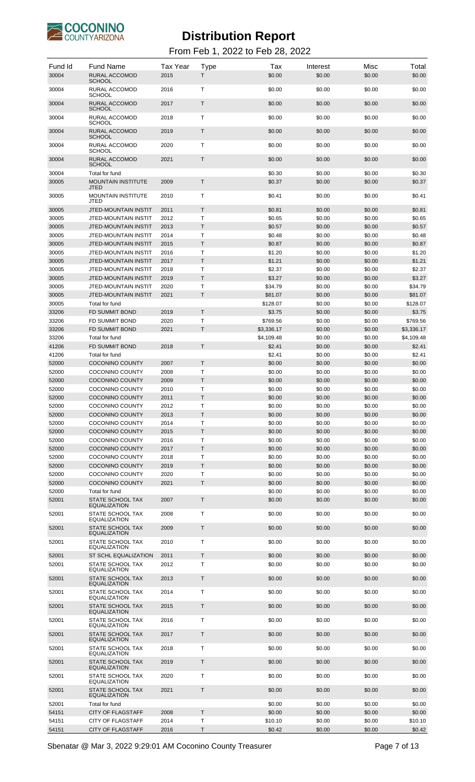

| Fund Id        | <b>Fund Name</b>                                           | <b>Tax Year</b> | <b>Type</b> | Tax                | Interest         | Misc             | Total              |
|----------------|------------------------------------------------------------|-----------------|-------------|--------------------|------------------|------------------|--------------------|
| 30004          | RURAL ACCOMOD<br><b>SCHOOL</b>                             | 2015            | T           | \$0.00             | \$0.00           | \$0.00           | \$0.00             |
| 30004          | RURAL ACCOMOD<br><b>SCHOOL</b>                             | 2016            | т           | \$0.00             | \$0.00           | \$0.00           | \$0.00             |
| 30004          | <b>RURAL ACCOMOD</b><br><b>SCHOOL</b>                      | 2017            | Τ           | \$0.00             | \$0.00           | \$0.00           | \$0.00             |
| 30004          | RURAL ACCOMOD<br><b>SCHOOL</b>                             | 2018            | Т           | \$0.00             | \$0.00           | \$0.00           | \$0.00             |
| 30004          | RURAL ACCOMOD<br><b>SCHOOL</b>                             | 2019            | Τ           | \$0.00             | \$0.00           | \$0.00           | \$0.00             |
| 30004          | <b>RURAL ACCOMOD</b><br><b>SCHOOL</b>                      | 2020            | Т           | \$0.00             | \$0.00           | \$0.00           | \$0.00             |
| 30004          | RURAL ACCOMOD                                              | 2021            | Τ           | \$0.00             | \$0.00           | \$0.00           | \$0.00             |
| 30004          | <b>SCHOOL</b><br>Total for fund                            |                 |             | \$0.30             | \$0.00           | \$0.00           | \$0.30             |
| 30005          | <b>MOUNTAIN INSTITUTE</b><br><b>JTED</b>                   | 2009            | T           | \$0.37             | \$0.00           | \$0.00           | \$0.37             |
| 30005          | <b>MOUNTAIN INSTITUTE</b><br><b>JTED</b>                   | 2010            | Т           | \$0.41             | \$0.00           | \$0.00           | \$0.41             |
| 30005          | <b>JTED-MOUNTAIN INSTIT</b>                                | 2011            | T           | \$0.81             | \$0.00           | \$0.00           | \$0.81             |
| 30005          | <b>JTED-MOUNTAIN INSTIT</b>                                | 2012            | Т           | \$0.65             | \$0.00           | \$0.00           | \$0.65             |
| 30005<br>30005 | <b>JTED-MOUNTAIN INSTIT</b><br><b>JTED-MOUNTAIN INSTIT</b> | 2013<br>2014    | T<br>T      | \$0.57<br>\$0.48   | \$0.00<br>\$0.00 | \$0.00<br>\$0.00 | \$0.57<br>\$0.48   |
| 30005          | <b>JTED-MOUNTAIN INSTIT</b>                                | 2015            | T           | \$0.87             | \$0.00           | \$0.00           | \$0.87             |
| 30005          | <b>JTED-MOUNTAIN INSTIT</b>                                | 2016            | Τ           | \$1.20             | \$0.00           | \$0.00           | \$1.20             |
| 30005          | <b>JTED-MOUNTAIN INSTIT</b>                                | 2017            | T           | \$1.21             | \$0.00           | \$0.00           | \$1.21             |
| 30005          | <b>JTED-MOUNTAIN INSTIT</b>                                | 2018            | Т           | \$2.37             | \$0.00           | \$0.00           | \$2.37             |
| 30005          | <b>JTED-MOUNTAIN INSTIT</b>                                | 2019            | T           | \$3.27             | \$0.00           | \$0.00           | \$3.27             |
| 30005<br>30005 | <b>JTED-MOUNTAIN INSTIT</b><br><b>JTED-MOUNTAIN INSTIT</b> | 2020<br>2021    | Т<br>T      | \$34.79<br>\$81.07 | \$0.00<br>\$0.00 | \$0.00<br>\$0.00 | \$34.79<br>\$81.07 |
| 30005          | Total for fund                                             |                 |             | \$128.07           | \$0.00           | \$0.00           | \$128.07           |
| 33206          | <b>FD SUMMIT BOND</b>                                      | 2019            | T           | \$3.75             | \$0.00           | \$0.00           | \$3.75             |
| 33206          | FD SUMMIT BOND                                             | 2020            | Τ           | \$769.56           | \$0.00           | \$0.00           | \$769.56           |
| 33206          | <b>FD SUMMIT BOND</b>                                      | 2021            | T           | \$3,336.17         | \$0.00           | \$0.00           | \$3,336.17         |
| 33206          | Total for fund                                             |                 |             | \$4,109.48         | \$0.00           | \$0.00           | \$4,109.48         |
| 41206<br>41206 | <b>FD SUMMIT BOND</b><br>Total for fund                    | 2018            | T           | \$2.41<br>\$2.41   | \$0.00<br>\$0.00 | \$0.00<br>\$0.00 | \$2.41<br>\$2.41   |
| 52000          | <b>COCONINO COUNTY</b>                                     | 2007            | T           | \$0.00             | \$0.00           | \$0.00           | \$0.00             |
| 52000          | COCONINO COUNTY                                            | 2008            | Т           | \$0.00             | \$0.00           | \$0.00           | \$0.00             |
| 52000          | <b>COCONINO COUNTY</b>                                     | 2009            | T           | \$0.00             | \$0.00           | \$0.00           | \$0.00             |
| 52000          | <b>COCONINO COUNTY</b>                                     | 2010            | T           | \$0.00             | \$0.00           | \$0.00           | \$0.00             |
| 52000          | <b>COCONINO COUNTY</b>                                     | 2011            | T           | \$0.00             | \$0.00           | \$0.00           | \$0.00             |
| 52000<br>52000 | COCONINO COUNTY<br>COCONINO COUNTY                         | 2012<br>2013    | Т<br>T      | \$0.00<br>\$0.00   | \$0.00<br>\$0.00 | \$0.00<br>\$0.00 | \$0.00<br>\$0.00   |
| 52000          | COCONINO COUNTY                                            | 2014            | т           | \$0.00             | \$0.00           | \$0.00           | \$0.00             |
| 52000          | <b>COCONINO COUNTY</b>                                     | 2015            | T           | \$0.00             | \$0.00           | \$0.00           | \$0.00             |
| 52000          | COCONINO COUNTY                                            | 2016            | T           | \$0.00             | \$0.00           | \$0.00           | \$0.00             |
| 52000          | <b>COCONINO COUNTY</b>                                     | 2017            | T           | \$0.00             | \$0.00           | \$0.00           | \$0.00             |
| 52000          | COCONINO COUNTY                                            | 2018            | Τ           | \$0.00             | \$0.00           | \$0.00           | \$0.00             |
| 52000          | <b>COCONINO COUNTY</b>                                     | 2019            | T           | \$0.00             | \$0.00           | \$0.00           | \$0.00             |
| 52000          | COCONINO COUNTY                                            | 2020            | Τ<br>T      | \$0.00             | \$0.00           | \$0.00           | \$0.00             |
| 52000<br>52000 | <b>COCONINO COUNTY</b><br>Total for fund                   | 2021            |             | \$0.00<br>\$0.00   | \$0.00<br>\$0.00 | \$0.00<br>\$0.00 | \$0.00<br>\$0.00   |
| 52001          | STATE SCHOOL TAX                                           | 2007            | T           | \$0.00             | \$0.00           | \$0.00           | \$0.00             |
| 52001          | <b>EQUALIZATION</b><br>STATE SCHOOL TAX                    | 2008            | Т           | \$0.00             | \$0.00           | \$0.00           | \$0.00             |
| 52001          | <b>EQUALIZATION</b><br><b>STATE SCHOOL TAX</b>             | 2009            | T           | \$0.00             | \$0.00           | \$0.00           | \$0.00             |
| 52001          | <b>EQUALIZATION</b><br>STATE SCHOOL TAX                    | 2010            | т           | \$0.00             | \$0.00           | \$0.00           | \$0.00             |
|                | <b>EQUALIZATION</b>                                        |                 |             |                    |                  |                  |                    |
| 52001          | ST SCHL EQUALIZATION                                       | 2011            | T<br>Τ      | \$0.00             | \$0.00           | \$0.00           | \$0.00<br>\$0.00   |
| 52001          | STATE SCHOOL TAX<br><b>EQUALIZATION</b>                    | 2012            |             | \$0.00             | \$0.00           | \$0.00           |                    |
| 52001          | STATE SCHOOL TAX<br><b>EQUALIZATION</b>                    | 2013            | Т           | \$0.00             | \$0.00           | \$0.00           | \$0.00             |
| 52001          | STATE SCHOOL TAX<br><b>EQUALIZATION</b>                    | 2014            | Т           | \$0.00             | \$0.00           | \$0.00           | \$0.00             |
| 52001          | STATE SCHOOL TAX<br><b>EQUALIZATION</b>                    | 2015            | Т           | \$0.00             | \$0.00           | \$0.00           | \$0.00             |
| 52001          | STATE SCHOOL TAX<br><b>EQUALIZATION</b>                    | 2016            | Т           | \$0.00             | \$0.00           | \$0.00           | \$0.00             |
| 52001          | STATE SCHOOL TAX<br><b>EQUALIZATION</b>                    | 2017            | т           | \$0.00             | \$0.00           | \$0.00           | \$0.00             |
| 52001          | STATE SCHOOL TAX<br><b>EQUALIZATION</b>                    | 2018            | Τ           | \$0.00             | \$0.00           | \$0.00           | \$0.00             |
| 52001          | STATE SCHOOL TAX<br><b>EQUALIZATION</b>                    | 2019            | Т           | \$0.00             | \$0.00           | \$0.00           | \$0.00             |
| 52001          | STATE SCHOOL TAX<br><b>EQUALIZATION</b>                    | 2020            | Τ           | \$0.00             | \$0.00           | \$0.00           | \$0.00             |
| 52001          | STATE SCHOOL TAX<br><b>EQUALIZATION</b>                    | 2021            | Т           | \$0.00             | \$0.00           | \$0.00           | \$0.00             |
| 52001          | Total for fund                                             |                 |             | \$0.00             | \$0.00           | \$0.00           | \$0.00             |
| 54151          | <b>CITY OF FLAGSTAFF</b>                                   | 2008            | T           | \$0.00             | \$0.00           | \$0.00           | \$0.00             |
| 54151          | <b>CITY OF FLAGSTAFF</b>                                   | 2014            | Τ           | \$10.10            | \$0.00           | \$0.00           | \$10.10            |
| 54151          | <b>CITY OF FLAGSTAFF</b>                                   | 2016            | Τ           | \$0.42             | \$0.00           | \$0.00           | \$0.42             |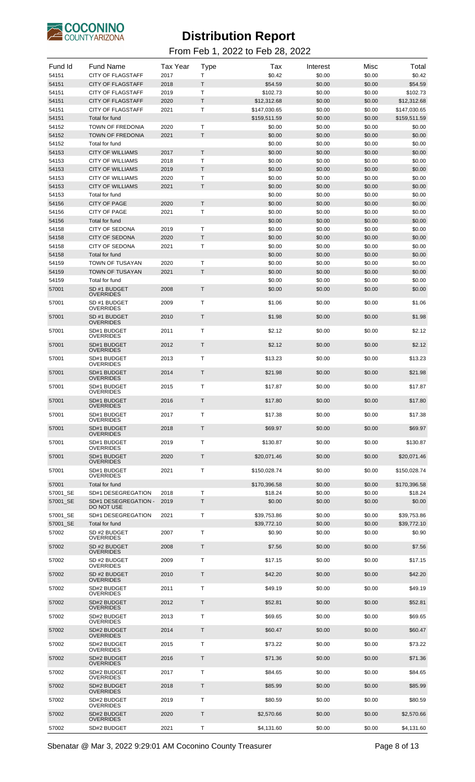

| Fund Id        | <b>Fund Name</b>                                     | Tax Year     | <b>Type</b>  | Tax                 | Interest         | Misc             | Total             |
|----------------|------------------------------------------------------|--------------|--------------|---------------------|------------------|------------------|-------------------|
| 54151          | <b>CITY OF FLAGSTAFF</b><br><b>CITY OF FLAGSTAFF</b> | 2017         | T<br>T       | \$0.42              | \$0.00           | \$0.00           | \$0.42<br>\$54.59 |
| 54151<br>54151 | <b>CITY OF FLAGSTAFF</b>                             | 2018<br>2019 | Τ            | \$54.59<br>\$102.73 | \$0.00<br>\$0.00 | \$0.00<br>\$0.00 | \$102.73          |
| 54151          | <b>CITY OF FLAGSTAFF</b>                             | 2020         | Т            | \$12,312.68         | \$0.00           | \$0.00           | \$12,312.68       |
| 54151          | <b>CITY OF FLAGSTAFF</b>                             | 2021         | T            | \$147,030.65        | \$0.00           | \$0.00           | \$147,030.65      |
| 54151          | Total for fund                                       |              |              | \$159,511.59        | \$0.00           | \$0.00           | \$159,511.59      |
| 54152          | TOWN OF FREDONIA                                     | 2020         | Т            | \$0.00              | \$0.00           | \$0.00           | \$0.00            |
| 54152<br>54152 | TOWN OF FREDONIA<br>Total for fund                   | 2021         | T            | \$0.00<br>\$0.00    | \$0.00<br>\$0.00 | \$0.00<br>\$0.00 | \$0.00<br>\$0.00  |
| 54153          | <b>CITY OF WILLIAMS</b>                              | 2017         | Т            | \$0.00              | \$0.00           | \$0.00           | \$0.00            |
| 54153          | <b>CITY OF WILLIAMS</b>                              | 2018         | T            | \$0.00              | \$0.00           | \$0.00           | \$0.00            |
| 54153          | <b>CITY OF WILLIAMS</b>                              | 2019         | T            | \$0.00              | \$0.00           | \$0.00           | \$0.00            |
| 54153          | <b>CITY OF WILLIAMS</b>                              | 2020         | Т            | \$0.00              | \$0.00           | \$0.00           | \$0.00            |
| 54153          | <b>CITY OF WILLIAMS</b>                              | 2021         | T            | \$0.00              | \$0.00           | \$0.00           | \$0.00            |
| 54153          | Total for fund                                       |              | T            | \$0.00              | \$0.00           | \$0.00           | \$0.00            |
| 54156<br>54156 | <b>CITY OF PAGE</b><br>CITY OF PAGE                  | 2020<br>2021 | T            | \$0.00<br>\$0.00    | \$0.00<br>\$0.00 | \$0.00<br>\$0.00 | \$0.00<br>\$0.00  |
| 54156          | Total for fund                                       |              |              | \$0.00              | \$0.00           | \$0.00           | \$0.00            |
| 54158          | <b>CITY OF SEDONA</b>                                | 2019         | Т            | \$0.00              | \$0.00           | \$0.00           | \$0.00            |
| 54158          | <b>CITY OF SEDONA</b>                                | 2020         | T            | \$0.00              | \$0.00           | \$0.00           | \$0.00            |
| 54158          | <b>CITY OF SEDONA</b>                                | 2021         | Τ            | \$0.00              | \$0.00           | \$0.00           | \$0.00            |
| 54158<br>54159 | Total for fund<br>TOWN OF TUSAYAN                    | 2020         | Τ            | \$0.00<br>\$0.00    | \$0.00<br>\$0.00 | \$0.00           | \$0.00<br>\$0.00  |
| 54159          | <b>TOWN OF TUSAYAN</b>                               | 2021         | T            | \$0.00              | \$0.00           | \$0.00<br>\$0.00 | \$0.00            |
| 54159          | Total for fund                                       |              |              | \$0.00              | \$0.00           | \$0.00           | \$0.00            |
| 57001          | SD #1 BUDGET<br><b>OVERRIDES</b>                     | 2008         | $\mathsf{T}$ | \$0.00              | \$0.00           | \$0.00           | \$0.00            |
| 57001          | SD #1 BUDGET<br><b>OVERRIDES</b>                     | 2009         | Т            | \$1.06              | \$0.00           | \$0.00           | \$1.06            |
| 57001          | SD #1 BUDGET<br><b>OVERRIDES</b>                     | 2010         | $\mathsf{T}$ | \$1.98              | \$0.00           | \$0.00           | \$1.98            |
| 57001          | SD#1 BUDGET                                          | 2011         | Т            | \$2.12              | \$0.00           | \$0.00           | \$2.12            |
| 57001          | <b>OVERRIDES</b><br>SD#1 BUDGET                      | 2012         | $\mathsf{T}$ | \$2.12              | \$0.00           | \$0.00           | \$2.12            |
| 57001          | <b>OVERRIDES</b><br>SD#1 BUDGET                      | 2013         | Т            | \$13.23             | \$0.00           | \$0.00           | \$13.23           |
| 57001          | <b>OVERRIDES</b><br>SD#1 BUDGET                      | 2014         | $\mathsf{T}$ | \$21.98             | \$0.00           | \$0.00           | \$21.98           |
| 57001          | <b>OVERRIDES</b><br>SD#1 BUDGET                      | 2015         | Т            | \$17.87             | \$0.00           | \$0.00           | \$17.87           |
| 57001          | <b>OVERRIDES</b><br>SD#1 BUDGET                      | 2016         | T            | \$17.80             | \$0.00           | \$0.00           | \$17.80           |
| 57001          | <b>OVERRIDES</b><br>SD#1 BUDGET                      | 2017         | T            | \$17.38             | \$0.00           | \$0.00           | \$17.38           |
| 57001          | <b>OVERRIDES</b><br>SD#1 BUDGET                      | 2018         | T            | \$69.97             | \$0.00           | \$0.00           | \$69.97           |
|                | <b>OVERRIDES</b>                                     |              |              |                     |                  |                  |                   |
| 57001          | SD#1 BUDGET<br><b>OVERRIDES</b>                      | 2019         | T            | \$130.87            | \$0.00           | \$0.00           | \$130.87          |
| 57001          | SD#1 BUDGET<br><b>OVERRIDES</b>                      | 2020         | T            | \$20,071.46         | \$0.00           | \$0.00           | \$20,071.46       |
| 57001          | SD#1 BUDGET<br><b>OVERRIDES</b>                      | 2021         | T            | \$150,028.74        | \$0.00           | \$0.00           | \$150,028.74      |
| 57001          | Total for fund                                       |              |              | \$170.396.58        | \$0.00           | \$0.00           | \$170,396.58      |
| 57001 SE       | SD#1 DESEGREGATION                                   | 2018         | т            | \$18.24             | \$0.00           | \$0.00           | \$18.24           |
| 57001 SE       | SD#1 DESEGREGATION -<br>DO NOT USE                   | 2019         | Т            | \$0.00              | \$0.00           | \$0.00           | \$0.00            |
| 57001 SE       | SD#1 DESEGREGATION                                   | 2021         | Τ            | \$39,753.86         | \$0.00           | \$0.00           | \$39,753.86       |
| 57001 SE       | Total for fund                                       |              |              | \$39,772.10         | \$0.00           | \$0.00           | \$39,772.10       |
| 57002          | SD #2 BUDGET<br><b>OVERRIDES</b>                     | 2007         | T.           | \$0.90              | \$0.00           | \$0.00           | \$0.90            |
| 57002          | SD #2 BUDGET<br><b>OVERRIDES</b>                     | 2008         | T.           | \$7.56              | \$0.00           | \$0.00           | \$7.56            |
| 57002          | SD #2 BUDGET<br><b>OVERRIDES</b>                     | 2009         | т            | \$17.15             | \$0.00           | \$0.00           | \$17.15           |
| 57002          | SD #2 BUDGET<br><b>OVERRIDES</b>                     | 2010         | T.           | \$42.20             | \$0.00           | \$0.00           | \$42.20           |
| 57002          | SD#2 BUDGET<br><b>OVERRIDES</b>                      | 2011         | T.           | \$49.19             | \$0.00           | \$0.00           | \$49.19           |
| 57002          | SD#2 BUDGET<br><b>OVERRIDES</b>                      | 2012         | T.           | \$52.81             | \$0.00           | \$0.00           | \$52.81           |
| 57002          | SD#2 BUDGET<br><b>OVERRIDES</b>                      | 2013         | т            | \$69.65             | \$0.00           | \$0.00           | \$69.65           |
| 57002          | SD#2 BUDGET                                          | 2014         | T.           | \$60.47             | \$0.00           | \$0.00           | \$60.47           |
| 57002          | <b>OVERRIDES</b><br>SD#2 BUDGET                      | 2015         | T.           | \$73.22             | \$0.00           | \$0.00           | \$73.22           |
| 57002          | <b>OVERRIDES</b><br>SD#2 BUDGET                      | 2016         | T.           | \$71.36             | \$0.00           | \$0.00           | \$71.36           |
| 57002          | <b>OVERRIDES</b><br>SD#2 BUDGET                      | 2017         | т            | \$84.65             | \$0.00           | \$0.00           | \$84.65           |
| 57002          | <b>OVERRIDES</b><br>SD#2 BUDGET                      | 2018         | T.           | \$85.99             | \$0.00           | \$0.00           | \$85.99           |
| 57002          | <b>OVERRIDES</b><br>SD#2 BUDGET                      | 2019         | Т            | \$80.59             | \$0.00           | \$0.00           | \$80.59           |
| 57002          | <b>OVERRIDES</b><br>SD#2 BUDGET                      | 2020         | T            | \$2,570.66          | \$0.00           | \$0.00           | \$2,570.66        |
| 57002          | <b>OVERRIDES</b><br>SD#2 BUDGET                      | 2021         | т            | \$4,131.60          | \$0.00           | \$0.00           | \$4,131.60        |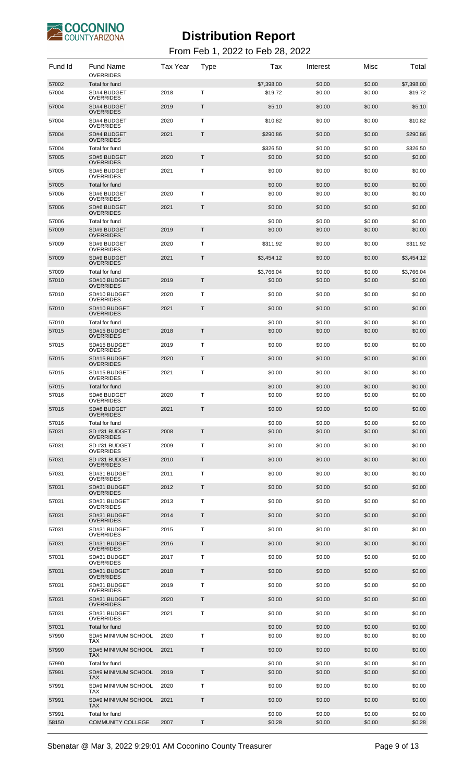

| Fund Id        | <b>Fund Name</b><br><b>OVERRIDES</b>       | <b>Tax Year</b> | <b>Type</b>  | Tax                  | Interest         | Misc             | Total                |
|----------------|--------------------------------------------|-----------------|--------------|----------------------|------------------|------------------|----------------------|
| 57002          | Total for fund                             |                 |              | \$7,398.00           | \$0.00           | \$0.00           | \$7,398.00           |
| 57004          | SD#4 BUDGET<br><b>OVERRIDES</b>            | 2018            | T.           | \$19.72              | \$0.00           | \$0.00           | \$19.72              |
| 57004          | SD#4 BUDGET<br><b>OVERRIDES</b>            | 2019            | $\mathsf T$  | \$5.10               | \$0.00           | \$0.00           | \$5.10               |
| 57004          | SD#4 BUDGET<br><b>OVERRIDES</b>            | 2020            | Τ            | \$10.82              | \$0.00           | \$0.00           | \$10.82              |
| 57004          | SD#4 BUDGET<br><b>OVERRIDES</b>            | 2021            | T            | \$290.86             | \$0.00           | \$0.00           | \$290.86             |
| 57004          | Total for fund                             |                 |              | \$326.50             | \$0.00           | \$0.00           | \$326.50             |
| 57005          | SD#5 BUDGET<br><b>OVERRIDES</b>            | 2020            | $\mathsf T$  | \$0.00               | \$0.00           | \$0.00           | \$0.00               |
| 57005          | SD#5 BUDGET<br><b>OVERRIDES</b>            | 2021            | T            | \$0.00               | \$0.00           | \$0.00           | \$0.00               |
| 57005<br>57006 | Total for fund<br>SD#6 BUDGET              | 2020            | $\mathsf{T}$ | \$0.00<br>\$0.00     | \$0.00<br>\$0.00 | \$0.00           | \$0.00               |
|                | <b>OVERRIDES</b>                           |                 |              |                      |                  | \$0.00           | \$0.00               |
| 57006          | SD#6 BUDGET<br><b>OVERRIDES</b>            | 2021            | $\mathsf T$  | \$0.00               | \$0.00           | \$0.00           | \$0.00               |
| 57006<br>57009 | Total for fund<br>SD#9 BUDGET              | 2019            | $\mathsf T$  | \$0.00<br>\$0.00     | \$0.00<br>\$0.00 | \$0.00<br>\$0.00 | \$0.00<br>\$0.00     |
| 57009          | <b>OVERRIDES</b><br>SD#9 BUDGET            | 2020            | T            | \$311.92             | \$0.00           | \$0.00           | \$311.92             |
|                | <b>OVERRIDES</b>                           |                 |              |                      |                  |                  |                      |
| 57009          | SD#9 BUDGET<br><b>OVERRIDES</b>            | 2021            | $\mathsf{T}$ | \$3,454.12           | \$0.00           | \$0.00           | \$3,454.12           |
| 57009<br>57010 | Total for fund<br>SD#10 BUDGET             | 2019            | $\mathsf{T}$ | \$3,766.04<br>\$0.00 | \$0.00<br>\$0.00 | \$0.00<br>\$0.00 | \$3,766.04<br>\$0.00 |
| 57010          | <b>OVERRIDES</b><br>SD#10 BUDGET           | 2020            | Τ            | \$0.00               | \$0.00           | \$0.00           | \$0.00               |
|                | <b>OVERRIDES</b>                           |                 |              |                      |                  |                  |                      |
| 57010          | SD#10 BUDGET<br><b>OVERRIDES</b>           | 2021            | T            | \$0.00               | \$0.00           | \$0.00           | \$0.00               |
| 57010<br>57015 | Total for fund<br>SD#15 BUDGET             | 2018            | $\mathsf T$  | \$0.00<br>\$0.00     | \$0.00<br>\$0.00 | \$0.00<br>\$0.00 | \$0.00<br>\$0.00     |
|                | <b>OVERRIDES</b><br>SD#15 BUDGET           |                 | Τ            |                      |                  |                  |                      |
| 57015          | <b>OVERRIDES</b>                           | 2019            |              | \$0.00               | \$0.00           | \$0.00           | \$0.00               |
| 57015          | SD#15 BUDGET<br><b>OVERRIDES</b>           | 2020            | $\mathsf T$  | \$0.00               | \$0.00           | \$0.00           | \$0.00               |
| 57015          | SD#15 BUDGET<br><b>OVERRIDES</b>           | 2021            | $\mathsf T$  | \$0.00               | \$0.00           | \$0.00           | \$0.00               |
| 57015          | Total for fund                             |                 |              | \$0.00               | \$0.00           | \$0.00           | \$0.00               |
| 57016          | SD#8 BUDGET<br><b>OVERRIDES</b>            | 2020            | т            | \$0.00               | \$0.00           | \$0.00           | \$0.00               |
| 57016          | SD#8 BUDGET<br><b>OVERRIDES</b>            | 2021            | Т            | \$0.00               | \$0.00           | \$0.00           | \$0.00               |
| 57016<br>57031 | Total for fund<br>SD #31 BUDGET            | 2008            | $\mathsf{T}$ | \$0.00<br>\$0.00     | \$0.00<br>\$0.00 | \$0.00<br>\$0.00 | \$0.00<br>\$0.00     |
|                | <b>OVERRIDES</b>                           |                 |              |                      |                  |                  |                      |
| 57031          | SD #31 BUDGET<br><b>OVERRIDES</b>          | 2009            | T            | \$0.00               | \$0.00           | \$0.00           | \$0.00               |
| 57031          | SD #31 BUDGET<br><b>OVERRIDES</b>          | 2010            | $\mathsf T$  | \$0.00               | \$0.00           | \$0.00           | \$0.00               |
| 57031          | SD#31 BUDGET<br><b>OVERRIDES</b>           | 2011            | Τ            | \$0.00               | \$0.00           | \$0.00           | \$0.00               |
| 57031          | SD#31 BUDGET<br><b>OVERRIDES</b>           | 2012            | $\mathsf{T}$ | \$0.00               | \$0.00           | \$0.00           | \$0.00               |
| 57031          | SD#31 BUDGET<br><b>OVERRIDES</b>           | 2013            | Т            | \$0.00               | \$0.00           | \$0.00           | \$0.00               |
| 57031          | SD#31 BUDGET<br><b>OVERRIDES</b>           | 2014            | $\mathsf{T}$ | \$0.00               | \$0.00           | \$0.00           | \$0.00               |
| 57031          | SD#31 BUDGET                               | 2015            | Τ            | \$0.00               | \$0.00           | \$0.00           | \$0.00               |
| 57031          | <b>OVERRIDES</b><br>SD#31 BUDGET           | 2016            | $\mathsf T$  | \$0.00               | \$0.00           | \$0.00           | \$0.00               |
| 57031          | <b>OVERRIDES</b><br>SD#31 BUDGET           | 2017            | Т            | \$0.00               | \$0.00           | \$0.00           | \$0.00               |
| 57031          | <b>OVERRIDES</b><br>SD#31 BUDGET           | 2018            | $\mathsf{T}$ | \$0.00               | \$0.00           | \$0.00           | \$0.00               |
| 57031          | <b>OVERRIDES</b><br>SD#31 BUDGET           | 2019            | Т            | \$0.00               | \$0.00           | \$0.00           | \$0.00               |
|                | <b>OVERRIDES</b>                           |                 |              |                      |                  |                  |                      |
| 57031          | SD#31 BUDGET<br><b>OVERRIDES</b>           | 2020            | $\mathsf T$  | \$0.00               | \$0.00           | \$0.00           | \$0.00               |
| 57031          | SD#31 BUDGET<br><b>OVERRIDES</b>           | 2021            | Τ            | \$0.00               | \$0.00           | \$0.00           | \$0.00               |
| 57031<br>57990 | Total for fund<br>SD#5 MINIMUM SCHOOL      | 2020            | T            | \$0.00<br>\$0.00     | \$0.00<br>\$0.00 | \$0.00<br>\$0.00 | \$0.00<br>\$0.00     |
|                | TAX                                        |                 |              |                      |                  |                  |                      |
| 57990          | SD#5 MINIMUM SCHOOL<br><b>TAX</b>          | 2021            | $\mathsf T$  | \$0.00               | \$0.00           | \$0.00           | \$0.00               |
| 57990<br>57991 | Total for fund<br>SD#9 MINIMUM SCHOOL      | 2019            | T            | \$0.00<br>\$0.00     | \$0.00<br>\$0.00 | \$0.00<br>\$0.00 | \$0.00<br>\$0.00     |
| 57991          | <b>TAX</b><br>SD#9 MINIMUM SCHOOL          | 2020            | Τ            | \$0.00               | \$0.00           | \$0.00           | \$0.00               |
|                | TAX                                        |                 |              |                      |                  |                  |                      |
| 57991          | SD#9 MINIMUM SCHOOL<br><b>TAX</b>          | 2021            | T            | \$0.00               | \$0.00           | \$0.00           | \$0.00               |
| 57991<br>58150 | Total for fund<br><b>COMMUNITY COLLEGE</b> | 2007            | Τ            | \$0.00<br>\$0.28     | \$0.00<br>\$0.00 | \$0.00<br>\$0.00 | \$0.00<br>\$0.28     |
|                |                                            |                 |              |                      |                  |                  |                      |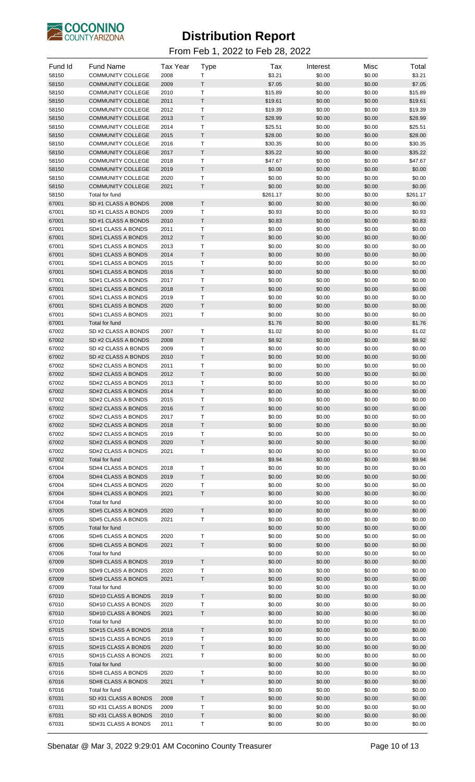

| \$0.00<br>\$0.00<br>58150<br><b>COMMUNITY COLLEGE</b><br>2008<br>Τ<br>\$3.21<br>\$3.21<br>$\sf T$<br>58150<br>2009<br>\$7.05<br>\$0.00<br>\$0.00<br>\$7.05<br>COMMUNITY COLLEGE<br>58150<br>2010<br>Τ<br>\$15.89<br>\$0.00<br>\$0.00<br>\$15.89<br><b>COMMUNITY COLLEGE</b><br>$\mathsf T$<br>58150<br><b>COMMUNITY COLLEGE</b><br>2011<br>\$19.61<br>\$0.00<br>\$0.00<br>\$19.61<br>$\mathsf T$<br>58150<br><b>COMMUNITY COLLEGE</b><br>2012<br>\$19.39<br>\$0.00<br>\$0.00<br>\$19.39<br>$\top$<br>\$0.00<br>58150<br>2013<br>\$28.99<br>\$0.00<br>\$28.99<br><b>COMMUNITY COLLEGE</b><br>58150<br><b>COMMUNITY COLLEGE</b><br>2014<br>Τ<br>\$25.51<br>\$0.00<br>\$0.00<br>\$25.51<br>$\mathsf T$<br>58150<br>2015<br>\$28.00<br>\$0.00<br>\$0.00<br>\$28.00<br>COMMUNITY COLLEGE<br>$\top$<br>\$0.00<br>\$0.00<br>\$30.35<br>58150<br><b>COMMUNITY COLLEGE</b><br>2016<br>\$30.35<br>$\mathsf T$<br><b>COMMUNITY COLLEGE</b><br>2017<br>\$35.22<br>\$0.00<br>\$0.00<br>\$35.22<br>58150<br>$\mathsf T$<br>58150<br><b>COMMUNITY COLLEGE</b><br>2018<br>\$47.67<br>\$0.00<br>\$0.00<br>\$47.67<br>$\top$<br>58150<br>2019<br>\$0.00<br>\$0.00<br>\$0.00<br>\$0.00<br><b>COMMUNITY COLLEGE</b><br>T<br>\$0.00<br>58150<br><b>COMMUNITY COLLEGE</b><br>2020<br>\$0.00<br>\$0.00<br>\$0.00<br>$\mathsf T$<br>58150<br>2021<br>\$0.00<br>\$0.00<br>\$0.00<br>\$0.00<br>COMMUNITY COLLEGE<br>58150<br>\$261.17<br>\$0.00<br>\$0.00<br>Total for fund<br>\$261.17<br>67001<br>SD #1 CLASS A BONDS<br>T<br>\$0.00<br>\$0.00<br>\$0.00<br>\$0.00<br>2008<br>$\mathsf T$<br>67001<br>SD #1 CLASS A BONDS<br>2009<br>\$0.93<br>\$0.00<br>\$0.00<br>\$0.93<br>$\top$<br>\$0.83<br>\$0.00<br>67001<br>SD #1 CLASS A BONDS<br>2010<br>\$0.00<br>\$0.83<br>67001<br>SD#1 CLASS A BONDS<br>2011<br>Τ<br>\$0.00<br>\$0.00<br>\$0.00<br>\$0.00<br>$\mathsf T$<br>67001<br>SD#1 CLASS A BONDS<br>2012<br>\$0.00<br>\$0.00<br>\$0.00<br>\$0.00<br>$\top$<br>67001<br>SD#1 CLASS A BONDS<br>2013<br>\$0.00<br>\$0.00<br>\$0.00<br>\$0.00<br>$\top$<br>67001<br>SD#1 CLASS A BONDS<br>2014<br>\$0.00<br>\$0.00<br>\$0.00<br>\$0.00<br>$\mathsf T$<br>67001<br>SD#1 CLASS A BONDS<br>2015<br>\$0.00<br>\$0.00<br>\$0.00<br>\$0.00<br>$\top$<br>\$0.00<br>67001<br>SD#1 CLASS A BONDS<br>2016<br>\$0.00<br>\$0.00<br>\$0.00<br>T<br>\$0.00<br>67001<br>SD#1 CLASS A BONDS<br>2017<br>\$0.00<br>\$0.00<br>\$0.00<br>$\mathsf T$<br>67001<br>SD#1 CLASS A BONDS<br>2018<br>\$0.00<br>\$0.00<br>\$0.00<br>\$0.00<br>$\top$<br>67001<br>\$0.00<br>\$0.00<br>\$0.00<br>\$0.00<br>SD#1 CLASS A BONDS<br>2019<br>$\top$<br>67001<br>SD#1 CLASS A BONDS<br>2020<br>\$0.00<br>\$0.00<br>\$0.00<br>\$0.00<br>$\mathsf T$<br>67001<br>SD#1 CLASS A BONDS<br>2021<br>\$0.00<br>\$0.00<br>\$0.00<br>\$0.00<br>\$0.00<br>67001<br>\$1.76<br>\$0.00<br>\$1.76<br>Total for fund<br>67002<br>SD #2 CLASS A BONDS<br>2007<br>Τ<br>\$1.02<br>\$0.00<br>\$0.00<br>\$1.02<br>$\top$<br>67002<br>SD #2 CLASS A BONDS<br>2008<br>\$8.92<br>\$0.00<br>\$0.00<br>\$8.92<br>$\top$<br>67002<br>\$0.00<br>\$0.00<br>\$0.00<br>SD #2 CLASS A BONDS<br>2009<br>\$0.00<br>$\top$<br>67002<br>SD #2 CLASS A BONDS<br>2010<br>\$0.00<br>\$0.00<br>\$0.00<br>\$0.00<br>$\mathsf T$<br>67002<br>SD#2 CLASS A BONDS<br>2011<br>\$0.00<br>\$0.00<br>\$0.00<br>\$0.00<br>$\top$<br>67002<br>2012<br>\$0.00<br>\$0.00<br>\$0.00<br>\$0.00<br>SD#2 CLASS A BONDS<br>67002<br>SD#2 CLASS A BONDS<br>2013<br>Τ<br>\$0.00<br>\$0.00<br>\$0.00<br>\$0.00<br>$\sf T$<br>67002<br>SD#2 CLASS A BONDS<br>2014<br>\$0.00<br>\$0.00<br>\$0.00<br>\$0.00<br>T<br>\$0.00<br>\$0.00<br>67002<br>SD#2 CLASS A BONDS<br>2015<br>\$0.00<br>\$0.00<br>\$0.00<br>SD#2 CLASS A BONDS<br>\$0.00<br>\$0.00<br>\$0.00<br>67002<br>2016<br>67002<br>2017<br>Τ<br>\$0.00<br>\$0.00<br>\$0.00<br>\$0.00<br>SD#2 CLASS A BONDS<br>$\top$<br>67002<br>\$0.00<br>\$0.00<br>\$0.00<br>\$0.00<br>SD#2 CLASS A BONDS<br>2018<br>\$0.00<br>67002<br>SD#2 CLASS A BONDS<br>2019<br>Τ<br>\$0.00<br>\$0.00<br>\$0.00<br>$\mathsf T$<br>67002<br>SD#2 CLASS A BONDS<br>2020<br>\$0.00<br>\$0.00<br>\$0.00<br>\$0.00<br>2021<br>Τ<br>\$0.00<br>\$0.00<br>\$0.00<br>\$0.00<br>67002<br>SD#2 CLASS A BONDS<br>67002<br>\$9.94<br>\$0.00<br>\$0.00<br>\$9.94<br>Total for fund<br>T<br>67004<br>SD#4 CLASS A BONDS<br>2018<br>\$0.00<br>\$0.00<br>\$0.00<br>\$0.00<br>$\sf T$<br>67004<br>SD#4 CLASS A BONDS<br>2019<br>\$0.00<br>\$0.00<br>\$0.00<br>\$0.00<br>T<br>67004<br>SD#4 CLASS A BONDS<br>2020<br>\$0.00<br>\$0.00<br>\$0.00<br>\$0.00<br>$\mathsf T$<br>67004<br>SD#4 CLASS A BONDS<br>2021<br>\$0.00<br>\$0.00<br>\$0.00<br>\$0.00<br>\$0.00<br>\$0.00<br>\$0.00<br>\$0.00<br>67004<br>Total for fund<br>$\mathsf T$<br>SD#5 CLASS A BONDS<br>\$0.00<br>\$0.00<br>\$0.00<br>\$0.00<br>67005<br>2020<br>T<br>67005<br>SD#5 CLASS A BONDS<br>2021<br>\$0.00<br>\$0.00<br>\$0.00<br>\$0.00<br>67005<br>\$0.00<br>\$0.00<br>\$0.00<br>\$0.00<br>Total for fund<br>67006<br>SD#6 CLASS A BONDS<br>2020<br>Τ<br>\$0.00<br>\$0.00<br>\$0.00<br>\$0.00<br>$\mathsf T$<br>67006<br>SD#6 CLASS A BONDS<br>2021<br>\$0.00<br>\$0.00<br>\$0.00<br>\$0.00<br>\$0.00<br>\$0.00<br>\$0.00<br>\$0.00<br>67006<br>Total for fund<br>67009<br>SD#9 CLASS A BONDS<br>Τ<br>\$0.00<br>\$0.00<br>\$0.00<br>\$0.00<br>2019<br>T<br>67009<br>SD#9 CLASS A BONDS<br>2020<br>\$0.00<br>\$0.00<br>\$0.00<br>\$0.00<br>$\top$<br>67009<br>\$0.00<br>\$0.00<br>\$0.00<br>\$0.00<br>SD#9 CLASS A BONDS<br>2021<br>67009<br>\$0.00<br>\$0.00<br>\$0.00<br>\$0.00<br>Total for fund<br>$\mathsf T$<br>67010<br>SD#10 CLASS A BONDS<br>2019<br>\$0.00<br>\$0.00<br>\$0.00<br>\$0.00<br>Τ<br>\$0.00<br>\$0.00<br>\$0.00<br>67010<br>SD#10 CLASS A BONDS<br>2020<br>\$0.00<br>$\top$<br>SD#10 CLASS A BONDS<br>2021<br>\$0.00<br>\$0.00<br>\$0.00<br>\$0.00<br>67010<br>67010<br>\$0.00<br>\$0.00<br>\$0.00<br>\$0.00<br>Total for fund<br>$\mathsf T$<br>2018<br>\$0.00<br>\$0.00<br>\$0.00<br>\$0.00<br>67015<br>SD#15 CLASS A BONDS<br>67015<br>SD#15 CLASS A BONDS<br>2019<br>Τ<br>\$0.00<br>\$0.00<br>\$0.00<br>\$0.00<br>$\mathsf T$<br>67015<br>SD#15 CLASS A BONDS<br>2020<br>\$0.00<br>\$0.00<br>\$0.00<br>\$0.00<br>Τ<br>\$0.00<br>\$0.00<br>\$0.00<br>\$0.00<br>67015<br>SD#15 CLASS A BONDS<br>2021<br>67015<br>\$0.00<br>\$0.00<br>\$0.00<br>\$0.00<br>Total for fund<br>$\top$<br>67016<br>SD#8 CLASS A BONDS<br>2020<br>\$0.00<br>\$0.00<br>\$0.00<br>\$0.00<br>$\top$<br>\$0.00<br>\$0.00<br>\$0.00<br>\$0.00<br>67016<br>SD#8 CLASS A BONDS<br>2021<br>67016<br>\$0.00<br>\$0.00<br>\$0.00<br>\$0.00<br>Total for fund<br>$\mathsf T$<br>67031<br>SD #31 CLASS A BONDS<br>2008<br>\$0.00<br>\$0.00<br>\$0.00<br>\$0.00<br>Τ<br>\$0.00<br>\$0.00<br>67031<br>SD #31 CLASS A BONDS<br>2009<br>\$0.00<br>\$0.00<br>$\sf T$<br>67031<br>SD #31 CLASS A BONDS<br>2010<br>\$0.00<br>\$0.00<br>\$0.00<br>\$0.00<br>$\top$<br>67031<br>SD#31 CLASS A BONDS<br>2011<br>\$0.00<br>\$0.00<br>\$0.00<br>\$0.00 | Fund Id | <b>Fund Name</b> | <b>Tax Year</b> | <b>Type</b> | Tax | Interest | Misc | Total |
|--------------------------------------------------------------------------------------------------------------------------------------------------------------------------------------------------------------------------------------------------------------------------------------------------------------------------------------------------------------------------------------------------------------------------------------------------------------------------------------------------------------------------------------------------------------------------------------------------------------------------------------------------------------------------------------------------------------------------------------------------------------------------------------------------------------------------------------------------------------------------------------------------------------------------------------------------------------------------------------------------------------------------------------------------------------------------------------------------------------------------------------------------------------------------------------------------------------------------------------------------------------------------------------------------------------------------------------------------------------------------------------------------------------------------------------------------------------------------------------------------------------------------------------------------------------------------------------------------------------------------------------------------------------------------------------------------------------------------------------------------------------------------------------------------------------------------------------------------------------------------------------------------------------------------------------------------------------------------------------------------------------------------------------------------------------------------------------------------------------------------------------------------------------------------------------------------------------------------------------------------------------------------------------------------------------------------------------------------------------------------------------------------------------------------------------------------------------------------------------------------------------------------------------------------------------------------------------------------------------------------------------------------------------------------------------------------------------------------------------------------------------------------------------------------------------------------------------------------------------------------------------------------------------------------------------------------------------------------------------------------------------------------------------------------------------------------------------------------------------------------------------------------------------------------------------------------------------------------------------------------------------------------------------------------------------------------------------------------------------------------------------------------------------------------------------------------------------------------------------------------------------------------------------------------------------------------------------------------------------------------------------------------------------------------------------------------------------------------------------------------------------------------------------------------------------------------------------------------------------------------------------------------------------------------------------------------------------------------------------------------------------------------------------------------------------------------------------------------------------------------------------------------------------------------------------------------------------------------------------------------------------------------------------------------------------------------------------------------------------------------------------------------------------------------------------------------------------------------------------------------------------------------------------------------------------------------------------------------------------------------------------------------------------------------------------------------------------------------------------------------------------------------------------------------------------------------------------------------------------------------------------------------------------------------------------------------------------------------------------------------------------------------------------------------------------------------------------------------------------------------------------------------------------------------------------------------------------------------------------------------------------------------------------------------------------------------------------------------------------------------------------------------------------------------------------------------------------------------------------------------------------------------------------------------------------------------------------------------------------------------------------------------------------------------------------------------------------------------------------------------------------------------------------------------------------------------------------------------------------------------------------------------------------------------------------------------------------------------------------------------------------------------------------------------------------------------------------------------------------------------------------------------------------------------------------------------------------------------------------------------------------------------------------------------------------------------------------------------------------------------------------------------------------------------------------------------------------------------------------------------------------------------------------------------------------------------------------------------------------------------------------------------------------------------------------------------------------------------------------------------------------------------------------------------------------------------------------------------------------------------------------------------------------------------------------------------------------------------------------------|---------|------------------|-----------------|-------------|-----|----------|------|-------|
|                                                                                                                                                                                                                                                                                                                                                                                                                                                                                                                                                                                                                                                                                                                                                                                                                                                                                                                                                                                                                                                                                                                                                                                                                                                                                                                                                                                                                                                                                                                                                                                                                                                                                                                                                                                                                                                                                                                                                                                                                                                                                                                                                                                                                                                                                                                                                                                                                                                                                                                                                                                                                                                                                                                                                                                                                                                                                                                                                                                                                                                                                                                                                                                                                                                                                                                                                                                                                                                                                                                                                                                                                                                                                                                                                                                                                                                                                                                                                                                                                                                                                                                                                                                                                                                                                                                                                                                                                                                                                                                                                                                                                                                                                                                                                                                                                                                                                                                                                                                                                                                                                                                                                                                                                                                                                                                                                                                                                                                                                                                                                                                                                                                                                                                                                                                                                                                                                                                                                                                                                                                                                                                                                                                                                                                                                                                                                                                                                                                                                                                                                                                                                                                                                                                                                                                                                                                                                                                                                                                            |         |                  |                 |             |     |          |      |       |
|                                                                                                                                                                                                                                                                                                                                                                                                                                                                                                                                                                                                                                                                                                                                                                                                                                                                                                                                                                                                                                                                                                                                                                                                                                                                                                                                                                                                                                                                                                                                                                                                                                                                                                                                                                                                                                                                                                                                                                                                                                                                                                                                                                                                                                                                                                                                                                                                                                                                                                                                                                                                                                                                                                                                                                                                                                                                                                                                                                                                                                                                                                                                                                                                                                                                                                                                                                                                                                                                                                                                                                                                                                                                                                                                                                                                                                                                                                                                                                                                                                                                                                                                                                                                                                                                                                                                                                                                                                                                                                                                                                                                                                                                                                                                                                                                                                                                                                                                                                                                                                                                                                                                                                                                                                                                                                                                                                                                                                                                                                                                                                                                                                                                                                                                                                                                                                                                                                                                                                                                                                                                                                                                                                                                                                                                                                                                                                                                                                                                                                                                                                                                                                                                                                                                                                                                                                                                                                                                                                                            |         |                  |                 |             |     |          |      |       |
|                                                                                                                                                                                                                                                                                                                                                                                                                                                                                                                                                                                                                                                                                                                                                                                                                                                                                                                                                                                                                                                                                                                                                                                                                                                                                                                                                                                                                                                                                                                                                                                                                                                                                                                                                                                                                                                                                                                                                                                                                                                                                                                                                                                                                                                                                                                                                                                                                                                                                                                                                                                                                                                                                                                                                                                                                                                                                                                                                                                                                                                                                                                                                                                                                                                                                                                                                                                                                                                                                                                                                                                                                                                                                                                                                                                                                                                                                                                                                                                                                                                                                                                                                                                                                                                                                                                                                                                                                                                                                                                                                                                                                                                                                                                                                                                                                                                                                                                                                                                                                                                                                                                                                                                                                                                                                                                                                                                                                                                                                                                                                                                                                                                                                                                                                                                                                                                                                                                                                                                                                                                                                                                                                                                                                                                                                                                                                                                                                                                                                                                                                                                                                                                                                                                                                                                                                                                                                                                                                                                            |         |                  |                 |             |     |          |      |       |
|                                                                                                                                                                                                                                                                                                                                                                                                                                                                                                                                                                                                                                                                                                                                                                                                                                                                                                                                                                                                                                                                                                                                                                                                                                                                                                                                                                                                                                                                                                                                                                                                                                                                                                                                                                                                                                                                                                                                                                                                                                                                                                                                                                                                                                                                                                                                                                                                                                                                                                                                                                                                                                                                                                                                                                                                                                                                                                                                                                                                                                                                                                                                                                                                                                                                                                                                                                                                                                                                                                                                                                                                                                                                                                                                                                                                                                                                                                                                                                                                                                                                                                                                                                                                                                                                                                                                                                                                                                                                                                                                                                                                                                                                                                                                                                                                                                                                                                                                                                                                                                                                                                                                                                                                                                                                                                                                                                                                                                                                                                                                                                                                                                                                                                                                                                                                                                                                                                                                                                                                                                                                                                                                                                                                                                                                                                                                                                                                                                                                                                                                                                                                                                                                                                                                                                                                                                                                                                                                                                                            |         |                  |                 |             |     |          |      |       |
|                                                                                                                                                                                                                                                                                                                                                                                                                                                                                                                                                                                                                                                                                                                                                                                                                                                                                                                                                                                                                                                                                                                                                                                                                                                                                                                                                                                                                                                                                                                                                                                                                                                                                                                                                                                                                                                                                                                                                                                                                                                                                                                                                                                                                                                                                                                                                                                                                                                                                                                                                                                                                                                                                                                                                                                                                                                                                                                                                                                                                                                                                                                                                                                                                                                                                                                                                                                                                                                                                                                                                                                                                                                                                                                                                                                                                                                                                                                                                                                                                                                                                                                                                                                                                                                                                                                                                                                                                                                                                                                                                                                                                                                                                                                                                                                                                                                                                                                                                                                                                                                                                                                                                                                                                                                                                                                                                                                                                                                                                                                                                                                                                                                                                                                                                                                                                                                                                                                                                                                                                                                                                                                                                                                                                                                                                                                                                                                                                                                                                                                                                                                                                                                                                                                                                                                                                                                                                                                                                                                            |         |                  |                 |             |     |          |      |       |
|                                                                                                                                                                                                                                                                                                                                                                                                                                                                                                                                                                                                                                                                                                                                                                                                                                                                                                                                                                                                                                                                                                                                                                                                                                                                                                                                                                                                                                                                                                                                                                                                                                                                                                                                                                                                                                                                                                                                                                                                                                                                                                                                                                                                                                                                                                                                                                                                                                                                                                                                                                                                                                                                                                                                                                                                                                                                                                                                                                                                                                                                                                                                                                                                                                                                                                                                                                                                                                                                                                                                                                                                                                                                                                                                                                                                                                                                                                                                                                                                                                                                                                                                                                                                                                                                                                                                                                                                                                                                                                                                                                                                                                                                                                                                                                                                                                                                                                                                                                                                                                                                                                                                                                                                                                                                                                                                                                                                                                                                                                                                                                                                                                                                                                                                                                                                                                                                                                                                                                                                                                                                                                                                                                                                                                                                                                                                                                                                                                                                                                                                                                                                                                                                                                                                                                                                                                                                                                                                                                                            |         |                  |                 |             |     |          |      |       |
|                                                                                                                                                                                                                                                                                                                                                                                                                                                                                                                                                                                                                                                                                                                                                                                                                                                                                                                                                                                                                                                                                                                                                                                                                                                                                                                                                                                                                                                                                                                                                                                                                                                                                                                                                                                                                                                                                                                                                                                                                                                                                                                                                                                                                                                                                                                                                                                                                                                                                                                                                                                                                                                                                                                                                                                                                                                                                                                                                                                                                                                                                                                                                                                                                                                                                                                                                                                                                                                                                                                                                                                                                                                                                                                                                                                                                                                                                                                                                                                                                                                                                                                                                                                                                                                                                                                                                                                                                                                                                                                                                                                                                                                                                                                                                                                                                                                                                                                                                                                                                                                                                                                                                                                                                                                                                                                                                                                                                                                                                                                                                                                                                                                                                                                                                                                                                                                                                                                                                                                                                                                                                                                                                                                                                                                                                                                                                                                                                                                                                                                                                                                                                                                                                                                                                                                                                                                                                                                                                                                            |         |                  |                 |             |     |          |      |       |
|                                                                                                                                                                                                                                                                                                                                                                                                                                                                                                                                                                                                                                                                                                                                                                                                                                                                                                                                                                                                                                                                                                                                                                                                                                                                                                                                                                                                                                                                                                                                                                                                                                                                                                                                                                                                                                                                                                                                                                                                                                                                                                                                                                                                                                                                                                                                                                                                                                                                                                                                                                                                                                                                                                                                                                                                                                                                                                                                                                                                                                                                                                                                                                                                                                                                                                                                                                                                                                                                                                                                                                                                                                                                                                                                                                                                                                                                                                                                                                                                                                                                                                                                                                                                                                                                                                                                                                                                                                                                                                                                                                                                                                                                                                                                                                                                                                                                                                                                                                                                                                                                                                                                                                                                                                                                                                                                                                                                                                                                                                                                                                                                                                                                                                                                                                                                                                                                                                                                                                                                                                                                                                                                                                                                                                                                                                                                                                                                                                                                                                                                                                                                                                                                                                                                                                                                                                                                                                                                                                                            |         |                  |                 |             |     |          |      |       |
|                                                                                                                                                                                                                                                                                                                                                                                                                                                                                                                                                                                                                                                                                                                                                                                                                                                                                                                                                                                                                                                                                                                                                                                                                                                                                                                                                                                                                                                                                                                                                                                                                                                                                                                                                                                                                                                                                                                                                                                                                                                                                                                                                                                                                                                                                                                                                                                                                                                                                                                                                                                                                                                                                                                                                                                                                                                                                                                                                                                                                                                                                                                                                                                                                                                                                                                                                                                                                                                                                                                                                                                                                                                                                                                                                                                                                                                                                                                                                                                                                                                                                                                                                                                                                                                                                                                                                                                                                                                                                                                                                                                                                                                                                                                                                                                                                                                                                                                                                                                                                                                                                                                                                                                                                                                                                                                                                                                                                                                                                                                                                                                                                                                                                                                                                                                                                                                                                                                                                                                                                                                                                                                                                                                                                                                                                                                                                                                                                                                                                                                                                                                                                                                                                                                                                                                                                                                                                                                                                                                            |         |                  |                 |             |     |          |      |       |
|                                                                                                                                                                                                                                                                                                                                                                                                                                                                                                                                                                                                                                                                                                                                                                                                                                                                                                                                                                                                                                                                                                                                                                                                                                                                                                                                                                                                                                                                                                                                                                                                                                                                                                                                                                                                                                                                                                                                                                                                                                                                                                                                                                                                                                                                                                                                                                                                                                                                                                                                                                                                                                                                                                                                                                                                                                                                                                                                                                                                                                                                                                                                                                                                                                                                                                                                                                                                                                                                                                                                                                                                                                                                                                                                                                                                                                                                                                                                                                                                                                                                                                                                                                                                                                                                                                                                                                                                                                                                                                                                                                                                                                                                                                                                                                                                                                                                                                                                                                                                                                                                                                                                                                                                                                                                                                                                                                                                                                                                                                                                                                                                                                                                                                                                                                                                                                                                                                                                                                                                                                                                                                                                                                                                                                                                                                                                                                                                                                                                                                                                                                                                                                                                                                                                                                                                                                                                                                                                                                                            |         |                  |                 |             |     |          |      |       |
|                                                                                                                                                                                                                                                                                                                                                                                                                                                                                                                                                                                                                                                                                                                                                                                                                                                                                                                                                                                                                                                                                                                                                                                                                                                                                                                                                                                                                                                                                                                                                                                                                                                                                                                                                                                                                                                                                                                                                                                                                                                                                                                                                                                                                                                                                                                                                                                                                                                                                                                                                                                                                                                                                                                                                                                                                                                                                                                                                                                                                                                                                                                                                                                                                                                                                                                                                                                                                                                                                                                                                                                                                                                                                                                                                                                                                                                                                                                                                                                                                                                                                                                                                                                                                                                                                                                                                                                                                                                                                                                                                                                                                                                                                                                                                                                                                                                                                                                                                                                                                                                                                                                                                                                                                                                                                                                                                                                                                                                                                                                                                                                                                                                                                                                                                                                                                                                                                                                                                                                                                                                                                                                                                                                                                                                                                                                                                                                                                                                                                                                                                                                                                                                                                                                                                                                                                                                                                                                                                                                            |         |                  |                 |             |     |          |      |       |
|                                                                                                                                                                                                                                                                                                                                                                                                                                                                                                                                                                                                                                                                                                                                                                                                                                                                                                                                                                                                                                                                                                                                                                                                                                                                                                                                                                                                                                                                                                                                                                                                                                                                                                                                                                                                                                                                                                                                                                                                                                                                                                                                                                                                                                                                                                                                                                                                                                                                                                                                                                                                                                                                                                                                                                                                                                                                                                                                                                                                                                                                                                                                                                                                                                                                                                                                                                                                                                                                                                                                                                                                                                                                                                                                                                                                                                                                                                                                                                                                                                                                                                                                                                                                                                                                                                                                                                                                                                                                                                                                                                                                                                                                                                                                                                                                                                                                                                                                                                                                                                                                                                                                                                                                                                                                                                                                                                                                                                                                                                                                                                                                                                                                                                                                                                                                                                                                                                                                                                                                                                                                                                                                                                                                                                                                                                                                                                                                                                                                                                                                                                                                                                                                                                                                                                                                                                                                                                                                                                                            |         |                  |                 |             |     |          |      |       |
|                                                                                                                                                                                                                                                                                                                                                                                                                                                                                                                                                                                                                                                                                                                                                                                                                                                                                                                                                                                                                                                                                                                                                                                                                                                                                                                                                                                                                                                                                                                                                                                                                                                                                                                                                                                                                                                                                                                                                                                                                                                                                                                                                                                                                                                                                                                                                                                                                                                                                                                                                                                                                                                                                                                                                                                                                                                                                                                                                                                                                                                                                                                                                                                                                                                                                                                                                                                                                                                                                                                                                                                                                                                                                                                                                                                                                                                                                                                                                                                                                                                                                                                                                                                                                                                                                                                                                                                                                                                                                                                                                                                                                                                                                                                                                                                                                                                                                                                                                                                                                                                                                                                                                                                                                                                                                                                                                                                                                                                                                                                                                                                                                                                                                                                                                                                                                                                                                                                                                                                                                                                                                                                                                                                                                                                                                                                                                                                                                                                                                                                                                                                                                                                                                                                                                                                                                                                                                                                                                                                            |         |                  |                 |             |     |          |      |       |
|                                                                                                                                                                                                                                                                                                                                                                                                                                                                                                                                                                                                                                                                                                                                                                                                                                                                                                                                                                                                                                                                                                                                                                                                                                                                                                                                                                                                                                                                                                                                                                                                                                                                                                                                                                                                                                                                                                                                                                                                                                                                                                                                                                                                                                                                                                                                                                                                                                                                                                                                                                                                                                                                                                                                                                                                                                                                                                                                                                                                                                                                                                                                                                                                                                                                                                                                                                                                                                                                                                                                                                                                                                                                                                                                                                                                                                                                                                                                                                                                                                                                                                                                                                                                                                                                                                                                                                                                                                                                                                                                                                                                                                                                                                                                                                                                                                                                                                                                                                                                                                                                                                                                                                                                                                                                                                                                                                                                                                                                                                                                                                                                                                                                                                                                                                                                                                                                                                                                                                                                                                                                                                                                                                                                                                                                                                                                                                                                                                                                                                                                                                                                                                                                                                                                                                                                                                                                                                                                                                                            |         |                  |                 |             |     |          |      |       |
|                                                                                                                                                                                                                                                                                                                                                                                                                                                                                                                                                                                                                                                                                                                                                                                                                                                                                                                                                                                                                                                                                                                                                                                                                                                                                                                                                                                                                                                                                                                                                                                                                                                                                                                                                                                                                                                                                                                                                                                                                                                                                                                                                                                                                                                                                                                                                                                                                                                                                                                                                                                                                                                                                                                                                                                                                                                                                                                                                                                                                                                                                                                                                                                                                                                                                                                                                                                                                                                                                                                                                                                                                                                                                                                                                                                                                                                                                                                                                                                                                                                                                                                                                                                                                                                                                                                                                                                                                                                                                                                                                                                                                                                                                                                                                                                                                                                                                                                                                                                                                                                                                                                                                                                                                                                                                                                                                                                                                                                                                                                                                                                                                                                                                                                                                                                                                                                                                                                                                                                                                                                                                                                                                                                                                                                                                                                                                                                                                                                                                                                                                                                                                                                                                                                                                                                                                                                                                                                                                                                            |         |                  |                 |             |     |          |      |       |
|                                                                                                                                                                                                                                                                                                                                                                                                                                                                                                                                                                                                                                                                                                                                                                                                                                                                                                                                                                                                                                                                                                                                                                                                                                                                                                                                                                                                                                                                                                                                                                                                                                                                                                                                                                                                                                                                                                                                                                                                                                                                                                                                                                                                                                                                                                                                                                                                                                                                                                                                                                                                                                                                                                                                                                                                                                                                                                                                                                                                                                                                                                                                                                                                                                                                                                                                                                                                                                                                                                                                                                                                                                                                                                                                                                                                                                                                                                                                                                                                                                                                                                                                                                                                                                                                                                                                                                                                                                                                                                                                                                                                                                                                                                                                                                                                                                                                                                                                                                                                                                                                                                                                                                                                                                                                                                                                                                                                                                                                                                                                                                                                                                                                                                                                                                                                                                                                                                                                                                                                                                                                                                                                                                                                                                                                                                                                                                                                                                                                                                                                                                                                                                                                                                                                                                                                                                                                                                                                                                                            |         |                  |                 |             |     |          |      |       |
|                                                                                                                                                                                                                                                                                                                                                                                                                                                                                                                                                                                                                                                                                                                                                                                                                                                                                                                                                                                                                                                                                                                                                                                                                                                                                                                                                                                                                                                                                                                                                                                                                                                                                                                                                                                                                                                                                                                                                                                                                                                                                                                                                                                                                                                                                                                                                                                                                                                                                                                                                                                                                                                                                                                                                                                                                                                                                                                                                                                                                                                                                                                                                                                                                                                                                                                                                                                                                                                                                                                                                                                                                                                                                                                                                                                                                                                                                                                                                                                                                                                                                                                                                                                                                                                                                                                                                                                                                                                                                                                                                                                                                                                                                                                                                                                                                                                                                                                                                                                                                                                                                                                                                                                                                                                                                                                                                                                                                                                                                                                                                                                                                                                                                                                                                                                                                                                                                                                                                                                                                                                                                                                                                                                                                                                                                                                                                                                                                                                                                                                                                                                                                                                                                                                                                                                                                                                                                                                                                                                            |         |                  |                 |             |     |          |      |       |
|                                                                                                                                                                                                                                                                                                                                                                                                                                                                                                                                                                                                                                                                                                                                                                                                                                                                                                                                                                                                                                                                                                                                                                                                                                                                                                                                                                                                                                                                                                                                                                                                                                                                                                                                                                                                                                                                                                                                                                                                                                                                                                                                                                                                                                                                                                                                                                                                                                                                                                                                                                                                                                                                                                                                                                                                                                                                                                                                                                                                                                                                                                                                                                                                                                                                                                                                                                                                                                                                                                                                                                                                                                                                                                                                                                                                                                                                                                                                                                                                                                                                                                                                                                                                                                                                                                                                                                                                                                                                                                                                                                                                                                                                                                                                                                                                                                                                                                                                                                                                                                                                                                                                                                                                                                                                                                                                                                                                                                                                                                                                                                                                                                                                                                                                                                                                                                                                                                                                                                                                                                                                                                                                                                                                                                                                                                                                                                                                                                                                                                                                                                                                                                                                                                                                                                                                                                                                                                                                                                                            |         |                  |                 |             |     |          |      |       |
|                                                                                                                                                                                                                                                                                                                                                                                                                                                                                                                                                                                                                                                                                                                                                                                                                                                                                                                                                                                                                                                                                                                                                                                                                                                                                                                                                                                                                                                                                                                                                                                                                                                                                                                                                                                                                                                                                                                                                                                                                                                                                                                                                                                                                                                                                                                                                                                                                                                                                                                                                                                                                                                                                                                                                                                                                                                                                                                                                                                                                                                                                                                                                                                                                                                                                                                                                                                                                                                                                                                                                                                                                                                                                                                                                                                                                                                                                                                                                                                                                                                                                                                                                                                                                                                                                                                                                                                                                                                                                                                                                                                                                                                                                                                                                                                                                                                                                                                                                                                                                                                                                                                                                                                                                                                                                                                                                                                                                                                                                                                                                                                                                                                                                                                                                                                                                                                                                                                                                                                                                                                                                                                                                                                                                                                                                                                                                                                                                                                                                                                                                                                                                                                                                                                                                                                                                                                                                                                                                                                            |         |                  |                 |             |     |          |      |       |
|                                                                                                                                                                                                                                                                                                                                                                                                                                                                                                                                                                                                                                                                                                                                                                                                                                                                                                                                                                                                                                                                                                                                                                                                                                                                                                                                                                                                                                                                                                                                                                                                                                                                                                                                                                                                                                                                                                                                                                                                                                                                                                                                                                                                                                                                                                                                                                                                                                                                                                                                                                                                                                                                                                                                                                                                                                                                                                                                                                                                                                                                                                                                                                                                                                                                                                                                                                                                                                                                                                                                                                                                                                                                                                                                                                                                                                                                                                                                                                                                                                                                                                                                                                                                                                                                                                                                                                                                                                                                                                                                                                                                                                                                                                                                                                                                                                                                                                                                                                                                                                                                                                                                                                                                                                                                                                                                                                                                                                                                                                                                                                                                                                                                                                                                                                                                                                                                                                                                                                                                                                                                                                                                                                                                                                                                                                                                                                                                                                                                                                                                                                                                                                                                                                                                                                                                                                                                                                                                                                                            |         |                  |                 |             |     |          |      |       |
|                                                                                                                                                                                                                                                                                                                                                                                                                                                                                                                                                                                                                                                                                                                                                                                                                                                                                                                                                                                                                                                                                                                                                                                                                                                                                                                                                                                                                                                                                                                                                                                                                                                                                                                                                                                                                                                                                                                                                                                                                                                                                                                                                                                                                                                                                                                                                                                                                                                                                                                                                                                                                                                                                                                                                                                                                                                                                                                                                                                                                                                                                                                                                                                                                                                                                                                                                                                                                                                                                                                                                                                                                                                                                                                                                                                                                                                                                                                                                                                                                                                                                                                                                                                                                                                                                                                                                                                                                                                                                                                                                                                                                                                                                                                                                                                                                                                                                                                                                                                                                                                                                                                                                                                                                                                                                                                                                                                                                                                                                                                                                                                                                                                                                                                                                                                                                                                                                                                                                                                                                                                                                                                                                                                                                                                                                                                                                                                                                                                                                                                                                                                                                                                                                                                                                                                                                                                                                                                                                                                            |         |                  |                 |             |     |          |      |       |
|                                                                                                                                                                                                                                                                                                                                                                                                                                                                                                                                                                                                                                                                                                                                                                                                                                                                                                                                                                                                                                                                                                                                                                                                                                                                                                                                                                                                                                                                                                                                                                                                                                                                                                                                                                                                                                                                                                                                                                                                                                                                                                                                                                                                                                                                                                                                                                                                                                                                                                                                                                                                                                                                                                                                                                                                                                                                                                                                                                                                                                                                                                                                                                                                                                                                                                                                                                                                                                                                                                                                                                                                                                                                                                                                                                                                                                                                                                                                                                                                                                                                                                                                                                                                                                                                                                                                                                                                                                                                                                                                                                                                                                                                                                                                                                                                                                                                                                                                                                                                                                                                                                                                                                                                                                                                                                                                                                                                                                                                                                                                                                                                                                                                                                                                                                                                                                                                                                                                                                                                                                                                                                                                                                                                                                                                                                                                                                                                                                                                                                                                                                                                                                                                                                                                                                                                                                                                                                                                                                                            |         |                  |                 |             |     |          |      |       |
|                                                                                                                                                                                                                                                                                                                                                                                                                                                                                                                                                                                                                                                                                                                                                                                                                                                                                                                                                                                                                                                                                                                                                                                                                                                                                                                                                                                                                                                                                                                                                                                                                                                                                                                                                                                                                                                                                                                                                                                                                                                                                                                                                                                                                                                                                                                                                                                                                                                                                                                                                                                                                                                                                                                                                                                                                                                                                                                                                                                                                                                                                                                                                                                                                                                                                                                                                                                                                                                                                                                                                                                                                                                                                                                                                                                                                                                                                                                                                                                                                                                                                                                                                                                                                                                                                                                                                                                                                                                                                                                                                                                                                                                                                                                                                                                                                                                                                                                                                                                                                                                                                                                                                                                                                                                                                                                                                                                                                                                                                                                                                                                                                                                                                                                                                                                                                                                                                                                                                                                                                                                                                                                                                                                                                                                                                                                                                                                                                                                                                                                                                                                                                                                                                                                                                                                                                                                                                                                                                                                            |         |                  |                 |             |     |          |      |       |
|                                                                                                                                                                                                                                                                                                                                                                                                                                                                                                                                                                                                                                                                                                                                                                                                                                                                                                                                                                                                                                                                                                                                                                                                                                                                                                                                                                                                                                                                                                                                                                                                                                                                                                                                                                                                                                                                                                                                                                                                                                                                                                                                                                                                                                                                                                                                                                                                                                                                                                                                                                                                                                                                                                                                                                                                                                                                                                                                                                                                                                                                                                                                                                                                                                                                                                                                                                                                                                                                                                                                                                                                                                                                                                                                                                                                                                                                                                                                                                                                                                                                                                                                                                                                                                                                                                                                                                                                                                                                                                                                                                                                                                                                                                                                                                                                                                                                                                                                                                                                                                                                                                                                                                                                                                                                                                                                                                                                                                                                                                                                                                                                                                                                                                                                                                                                                                                                                                                                                                                                                                                                                                                                                                                                                                                                                                                                                                                                                                                                                                                                                                                                                                                                                                                                                                                                                                                                                                                                                                                            |         |                  |                 |             |     |          |      |       |
|                                                                                                                                                                                                                                                                                                                                                                                                                                                                                                                                                                                                                                                                                                                                                                                                                                                                                                                                                                                                                                                                                                                                                                                                                                                                                                                                                                                                                                                                                                                                                                                                                                                                                                                                                                                                                                                                                                                                                                                                                                                                                                                                                                                                                                                                                                                                                                                                                                                                                                                                                                                                                                                                                                                                                                                                                                                                                                                                                                                                                                                                                                                                                                                                                                                                                                                                                                                                                                                                                                                                                                                                                                                                                                                                                                                                                                                                                                                                                                                                                                                                                                                                                                                                                                                                                                                                                                                                                                                                                                                                                                                                                                                                                                                                                                                                                                                                                                                                                                                                                                                                                                                                                                                                                                                                                                                                                                                                                                                                                                                                                                                                                                                                                                                                                                                                                                                                                                                                                                                                                                                                                                                                                                                                                                                                                                                                                                                                                                                                                                                                                                                                                                                                                                                                                                                                                                                                                                                                                                                            |         |                  |                 |             |     |          |      |       |
|                                                                                                                                                                                                                                                                                                                                                                                                                                                                                                                                                                                                                                                                                                                                                                                                                                                                                                                                                                                                                                                                                                                                                                                                                                                                                                                                                                                                                                                                                                                                                                                                                                                                                                                                                                                                                                                                                                                                                                                                                                                                                                                                                                                                                                                                                                                                                                                                                                                                                                                                                                                                                                                                                                                                                                                                                                                                                                                                                                                                                                                                                                                                                                                                                                                                                                                                                                                                                                                                                                                                                                                                                                                                                                                                                                                                                                                                                                                                                                                                                                                                                                                                                                                                                                                                                                                                                                                                                                                                                                                                                                                                                                                                                                                                                                                                                                                                                                                                                                                                                                                                                                                                                                                                                                                                                                                                                                                                                                                                                                                                                                                                                                                                                                                                                                                                                                                                                                                                                                                                                                                                                                                                                                                                                                                                                                                                                                                                                                                                                                                                                                                                                                                                                                                                                                                                                                                                                                                                                                                            |         |                  |                 |             |     |          |      |       |
|                                                                                                                                                                                                                                                                                                                                                                                                                                                                                                                                                                                                                                                                                                                                                                                                                                                                                                                                                                                                                                                                                                                                                                                                                                                                                                                                                                                                                                                                                                                                                                                                                                                                                                                                                                                                                                                                                                                                                                                                                                                                                                                                                                                                                                                                                                                                                                                                                                                                                                                                                                                                                                                                                                                                                                                                                                                                                                                                                                                                                                                                                                                                                                                                                                                                                                                                                                                                                                                                                                                                                                                                                                                                                                                                                                                                                                                                                                                                                                                                                                                                                                                                                                                                                                                                                                                                                                                                                                                                                                                                                                                                                                                                                                                                                                                                                                                                                                                                                                                                                                                                                                                                                                                                                                                                                                                                                                                                                                                                                                                                                                                                                                                                                                                                                                                                                                                                                                                                                                                                                                                                                                                                                                                                                                                                                                                                                                                                                                                                                                                                                                                                                                                                                                                                                                                                                                                                                                                                                                                            |         |                  |                 |             |     |          |      |       |
|                                                                                                                                                                                                                                                                                                                                                                                                                                                                                                                                                                                                                                                                                                                                                                                                                                                                                                                                                                                                                                                                                                                                                                                                                                                                                                                                                                                                                                                                                                                                                                                                                                                                                                                                                                                                                                                                                                                                                                                                                                                                                                                                                                                                                                                                                                                                                                                                                                                                                                                                                                                                                                                                                                                                                                                                                                                                                                                                                                                                                                                                                                                                                                                                                                                                                                                                                                                                                                                                                                                                                                                                                                                                                                                                                                                                                                                                                                                                                                                                                                                                                                                                                                                                                                                                                                                                                                                                                                                                                                                                                                                                                                                                                                                                                                                                                                                                                                                                                                                                                                                                                                                                                                                                                                                                                                                                                                                                                                                                                                                                                                                                                                                                                                                                                                                                                                                                                                                                                                                                                                                                                                                                                                                                                                                                                                                                                                                                                                                                                                                                                                                                                                                                                                                                                                                                                                                                                                                                                                                            |         |                  |                 |             |     |          |      |       |
|                                                                                                                                                                                                                                                                                                                                                                                                                                                                                                                                                                                                                                                                                                                                                                                                                                                                                                                                                                                                                                                                                                                                                                                                                                                                                                                                                                                                                                                                                                                                                                                                                                                                                                                                                                                                                                                                                                                                                                                                                                                                                                                                                                                                                                                                                                                                                                                                                                                                                                                                                                                                                                                                                                                                                                                                                                                                                                                                                                                                                                                                                                                                                                                                                                                                                                                                                                                                                                                                                                                                                                                                                                                                                                                                                                                                                                                                                                                                                                                                                                                                                                                                                                                                                                                                                                                                                                                                                                                                                                                                                                                                                                                                                                                                                                                                                                                                                                                                                                                                                                                                                                                                                                                                                                                                                                                                                                                                                                                                                                                                                                                                                                                                                                                                                                                                                                                                                                                                                                                                                                                                                                                                                                                                                                                                                                                                                                                                                                                                                                                                                                                                                                                                                                                                                                                                                                                                                                                                                                                            |         |                  |                 |             |     |          |      |       |
|                                                                                                                                                                                                                                                                                                                                                                                                                                                                                                                                                                                                                                                                                                                                                                                                                                                                                                                                                                                                                                                                                                                                                                                                                                                                                                                                                                                                                                                                                                                                                                                                                                                                                                                                                                                                                                                                                                                                                                                                                                                                                                                                                                                                                                                                                                                                                                                                                                                                                                                                                                                                                                                                                                                                                                                                                                                                                                                                                                                                                                                                                                                                                                                                                                                                                                                                                                                                                                                                                                                                                                                                                                                                                                                                                                                                                                                                                                                                                                                                                                                                                                                                                                                                                                                                                                                                                                                                                                                                                                                                                                                                                                                                                                                                                                                                                                                                                                                                                                                                                                                                                                                                                                                                                                                                                                                                                                                                                                                                                                                                                                                                                                                                                                                                                                                                                                                                                                                                                                                                                                                                                                                                                                                                                                                                                                                                                                                                                                                                                                                                                                                                                                                                                                                                                                                                                                                                                                                                                                                            |         |                  |                 |             |     |          |      |       |
|                                                                                                                                                                                                                                                                                                                                                                                                                                                                                                                                                                                                                                                                                                                                                                                                                                                                                                                                                                                                                                                                                                                                                                                                                                                                                                                                                                                                                                                                                                                                                                                                                                                                                                                                                                                                                                                                                                                                                                                                                                                                                                                                                                                                                                                                                                                                                                                                                                                                                                                                                                                                                                                                                                                                                                                                                                                                                                                                                                                                                                                                                                                                                                                                                                                                                                                                                                                                                                                                                                                                                                                                                                                                                                                                                                                                                                                                                                                                                                                                                                                                                                                                                                                                                                                                                                                                                                                                                                                                                                                                                                                                                                                                                                                                                                                                                                                                                                                                                                                                                                                                                                                                                                                                                                                                                                                                                                                                                                                                                                                                                                                                                                                                                                                                                                                                                                                                                                                                                                                                                                                                                                                                                                                                                                                                                                                                                                                                                                                                                                                                                                                                                                                                                                                                                                                                                                                                                                                                                                                            |         |                  |                 |             |     |          |      |       |
|                                                                                                                                                                                                                                                                                                                                                                                                                                                                                                                                                                                                                                                                                                                                                                                                                                                                                                                                                                                                                                                                                                                                                                                                                                                                                                                                                                                                                                                                                                                                                                                                                                                                                                                                                                                                                                                                                                                                                                                                                                                                                                                                                                                                                                                                                                                                                                                                                                                                                                                                                                                                                                                                                                                                                                                                                                                                                                                                                                                                                                                                                                                                                                                                                                                                                                                                                                                                                                                                                                                                                                                                                                                                                                                                                                                                                                                                                                                                                                                                                                                                                                                                                                                                                                                                                                                                                                                                                                                                                                                                                                                                                                                                                                                                                                                                                                                                                                                                                                                                                                                                                                                                                                                                                                                                                                                                                                                                                                                                                                                                                                                                                                                                                                                                                                                                                                                                                                                                                                                                                                                                                                                                                                                                                                                                                                                                                                                                                                                                                                                                                                                                                                                                                                                                                                                                                                                                                                                                                                                            |         |                  |                 |             |     |          |      |       |
|                                                                                                                                                                                                                                                                                                                                                                                                                                                                                                                                                                                                                                                                                                                                                                                                                                                                                                                                                                                                                                                                                                                                                                                                                                                                                                                                                                                                                                                                                                                                                                                                                                                                                                                                                                                                                                                                                                                                                                                                                                                                                                                                                                                                                                                                                                                                                                                                                                                                                                                                                                                                                                                                                                                                                                                                                                                                                                                                                                                                                                                                                                                                                                                                                                                                                                                                                                                                                                                                                                                                                                                                                                                                                                                                                                                                                                                                                                                                                                                                                                                                                                                                                                                                                                                                                                                                                                                                                                                                                                                                                                                                                                                                                                                                                                                                                                                                                                                                                                                                                                                                                                                                                                                                                                                                                                                                                                                                                                                                                                                                                                                                                                                                                                                                                                                                                                                                                                                                                                                                                                                                                                                                                                                                                                                                                                                                                                                                                                                                                                                                                                                                                                                                                                                                                                                                                                                                                                                                                                                            |         |                  |                 |             |     |          |      |       |
|                                                                                                                                                                                                                                                                                                                                                                                                                                                                                                                                                                                                                                                                                                                                                                                                                                                                                                                                                                                                                                                                                                                                                                                                                                                                                                                                                                                                                                                                                                                                                                                                                                                                                                                                                                                                                                                                                                                                                                                                                                                                                                                                                                                                                                                                                                                                                                                                                                                                                                                                                                                                                                                                                                                                                                                                                                                                                                                                                                                                                                                                                                                                                                                                                                                                                                                                                                                                                                                                                                                                                                                                                                                                                                                                                                                                                                                                                                                                                                                                                                                                                                                                                                                                                                                                                                                                                                                                                                                                                                                                                                                                                                                                                                                                                                                                                                                                                                                                                                                                                                                                                                                                                                                                                                                                                                                                                                                                                                                                                                                                                                                                                                                                                                                                                                                                                                                                                                                                                                                                                                                                                                                                                                                                                                                                                                                                                                                                                                                                                                                                                                                                                                                                                                                                                                                                                                                                                                                                                                                            |         |                  |                 |             |     |          |      |       |
|                                                                                                                                                                                                                                                                                                                                                                                                                                                                                                                                                                                                                                                                                                                                                                                                                                                                                                                                                                                                                                                                                                                                                                                                                                                                                                                                                                                                                                                                                                                                                                                                                                                                                                                                                                                                                                                                                                                                                                                                                                                                                                                                                                                                                                                                                                                                                                                                                                                                                                                                                                                                                                                                                                                                                                                                                                                                                                                                                                                                                                                                                                                                                                                                                                                                                                                                                                                                                                                                                                                                                                                                                                                                                                                                                                                                                                                                                                                                                                                                                                                                                                                                                                                                                                                                                                                                                                                                                                                                                                                                                                                                                                                                                                                                                                                                                                                                                                                                                                                                                                                                                                                                                                                                                                                                                                                                                                                                                                                                                                                                                                                                                                                                                                                                                                                                                                                                                                                                                                                                                                                                                                                                                                                                                                                                                                                                                                                                                                                                                                                                                                                                                                                                                                                                                                                                                                                                                                                                                                                            |         |                  |                 |             |     |          |      |       |
|                                                                                                                                                                                                                                                                                                                                                                                                                                                                                                                                                                                                                                                                                                                                                                                                                                                                                                                                                                                                                                                                                                                                                                                                                                                                                                                                                                                                                                                                                                                                                                                                                                                                                                                                                                                                                                                                                                                                                                                                                                                                                                                                                                                                                                                                                                                                                                                                                                                                                                                                                                                                                                                                                                                                                                                                                                                                                                                                                                                                                                                                                                                                                                                                                                                                                                                                                                                                                                                                                                                                                                                                                                                                                                                                                                                                                                                                                                                                                                                                                                                                                                                                                                                                                                                                                                                                                                                                                                                                                                                                                                                                                                                                                                                                                                                                                                                                                                                                                                                                                                                                                                                                                                                                                                                                                                                                                                                                                                                                                                                                                                                                                                                                                                                                                                                                                                                                                                                                                                                                                                                                                                                                                                                                                                                                                                                                                                                                                                                                                                                                                                                                                                                                                                                                                                                                                                                                                                                                                                                            |         |                  |                 |             |     |          |      |       |
|                                                                                                                                                                                                                                                                                                                                                                                                                                                                                                                                                                                                                                                                                                                                                                                                                                                                                                                                                                                                                                                                                                                                                                                                                                                                                                                                                                                                                                                                                                                                                                                                                                                                                                                                                                                                                                                                                                                                                                                                                                                                                                                                                                                                                                                                                                                                                                                                                                                                                                                                                                                                                                                                                                                                                                                                                                                                                                                                                                                                                                                                                                                                                                                                                                                                                                                                                                                                                                                                                                                                                                                                                                                                                                                                                                                                                                                                                                                                                                                                                                                                                                                                                                                                                                                                                                                                                                                                                                                                                                                                                                                                                                                                                                                                                                                                                                                                                                                                                                                                                                                                                                                                                                                                                                                                                                                                                                                                                                                                                                                                                                                                                                                                                                                                                                                                                                                                                                                                                                                                                                                                                                                                                                                                                                                                                                                                                                                                                                                                                                                                                                                                                                                                                                                                                                                                                                                                                                                                                                                            |         |                  |                 |             |     |          |      |       |
|                                                                                                                                                                                                                                                                                                                                                                                                                                                                                                                                                                                                                                                                                                                                                                                                                                                                                                                                                                                                                                                                                                                                                                                                                                                                                                                                                                                                                                                                                                                                                                                                                                                                                                                                                                                                                                                                                                                                                                                                                                                                                                                                                                                                                                                                                                                                                                                                                                                                                                                                                                                                                                                                                                                                                                                                                                                                                                                                                                                                                                                                                                                                                                                                                                                                                                                                                                                                                                                                                                                                                                                                                                                                                                                                                                                                                                                                                                                                                                                                                                                                                                                                                                                                                                                                                                                                                                                                                                                                                                                                                                                                                                                                                                                                                                                                                                                                                                                                                                                                                                                                                                                                                                                                                                                                                                                                                                                                                                                                                                                                                                                                                                                                                                                                                                                                                                                                                                                                                                                                                                                                                                                                                                                                                                                                                                                                                                                                                                                                                                                                                                                                                                                                                                                                                                                                                                                                                                                                                                                            |         |                  |                 |             |     |          |      |       |
|                                                                                                                                                                                                                                                                                                                                                                                                                                                                                                                                                                                                                                                                                                                                                                                                                                                                                                                                                                                                                                                                                                                                                                                                                                                                                                                                                                                                                                                                                                                                                                                                                                                                                                                                                                                                                                                                                                                                                                                                                                                                                                                                                                                                                                                                                                                                                                                                                                                                                                                                                                                                                                                                                                                                                                                                                                                                                                                                                                                                                                                                                                                                                                                                                                                                                                                                                                                                                                                                                                                                                                                                                                                                                                                                                                                                                                                                                                                                                                                                                                                                                                                                                                                                                                                                                                                                                                                                                                                                                                                                                                                                                                                                                                                                                                                                                                                                                                                                                                                                                                                                                                                                                                                                                                                                                                                                                                                                                                                                                                                                                                                                                                                                                                                                                                                                                                                                                                                                                                                                                                                                                                                                                                                                                                                                                                                                                                                                                                                                                                                                                                                                                                                                                                                                                                                                                                                                                                                                                                                            |         |                  |                 |             |     |          |      |       |
|                                                                                                                                                                                                                                                                                                                                                                                                                                                                                                                                                                                                                                                                                                                                                                                                                                                                                                                                                                                                                                                                                                                                                                                                                                                                                                                                                                                                                                                                                                                                                                                                                                                                                                                                                                                                                                                                                                                                                                                                                                                                                                                                                                                                                                                                                                                                                                                                                                                                                                                                                                                                                                                                                                                                                                                                                                                                                                                                                                                                                                                                                                                                                                                                                                                                                                                                                                                                                                                                                                                                                                                                                                                                                                                                                                                                                                                                                                                                                                                                                                                                                                                                                                                                                                                                                                                                                                                                                                                                                                                                                                                                                                                                                                                                                                                                                                                                                                                                                                                                                                                                                                                                                                                                                                                                                                                                                                                                                                                                                                                                                                                                                                                                                                                                                                                                                                                                                                                                                                                                                                                                                                                                                                                                                                                                                                                                                                                                                                                                                                                                                                                                                                                                                                                                                                                                                                                                                                                                                                                            |         |                  |                 |             |     |          |      |       |
|                                                                                                                                                                                                                                                                                                                                                                                                                                                                                                                                                                                                                                                                                                                                                                                                                                                                                                                                                                                                                                                                                                                                                                                                                                                                                                                                                                                                                                                                                                                                                                                                                                                                                                                                                                                                                                                                                                                                                                                                                                                                                                                                                                                                                                                                                                                                                                                                                                                                                                                                                                                                                                                                                                                                                                                                                                                                                                                                                                                                                                                                                                                                                                                                                                                                                                                                                                                                                                                                                                                                                                                                                                                                                                                                                                                                                                                                                                                                                                                                                                                                                                                                                                                                                                                                                                                                                                                                                                                                                                                                                                                                                                                                                                                                                                                                                                                                                                                                                                                                                                                                                                                                                                                                                                                                                                                                                                                                                                                                                                                                                                                                                                                                                                                                                                                                                                                                                                                                                                                                                                                                                                                                                                                                                                                                                                                                                                                                                                                                                                                                                                                                                                                                                                                                                                                                                                                                                                                                                                                            |         |                  |                 |             |     |          |      |       |
|                                                                                                                                                                                                                                                                                                                                                                                                                                                                                                                                                                                                                                                                                                                                                                                                                                                                                                                                                                                                                                                                                                                                                                                                                                                                                                                                                                                                                                                                                                                                                                                                                                                                                                                                                                                                                                                                                                                                                                                                                                                                                                                                                                                                                                                                                                                                                                                                                                                                                                                                                                                                                                                                                                                                                                                                                                                                                                                                                                                                                                                                                                                                                                                                                                                                                                                                                                                                                                                                                                                                                                                                                                                                                                                                                                                                                                                                                                                                                                                                                                                                                                                                                                                                                                                                                                                                                                                                                                                                                                                                                                                                                                                                                                                                                                                                                                                                                                                                                                                                                                                                                                                                                                                                                                                                                                                                                                                                                                                                                                                                                                                                                                                                                                                                                                                                                                                                                                                                                                                                                                                                                                                                                                                                                                                                                                                                                                                                                                                                                                                                                                                                                                                                                                                                                                                                                                                                                                                                                                                            |         |                  |                 |             |     |          |      |       |
|                                                                                                                                                                                                                                                                                                                                                                                                                                                                                                                                                                                                                                                                                                                                                                                                                                                                                                                                                                                                                                                                                                                                                                                                                                                                                                                                                                                                                                                                                                                                                                                                                                                                                                                                                                                                                                                                                                                                                                                                                                                                                                                                                                                                                                                                                                                                                                                                                                                                                                                                                                                                                                                                                                                                                                                                                                                                                                                                                                                                                                                                                                                                                                                                                                                                                                                                                                                                                                                                                                                                                                                                                                                                                                                                                                                                                                                                                                                                                                                                                                                                                                                                                                                                                                                                                                                                                                                                                                                                                                                                                                                                                                                                                                                                                                                                                                                                                                                                                                                                                                                                                                                                                                                                                                                                                                                                                                                                                                                                                                                                                                                                                                                                                                                                                                                                                                                                                                                                                                                                                                                                                                                                                                                                                                                                                                                                                                                                                                                                                                                                                                                                                                                                                                                                                                                                                                                                                                                                                                                            |         |                  |                 |             |     |          |      |       |
|                                                                                                                                                                                                                                                                                                                                                                                                                                                                                                                                                                                                                                                                                                                                                                                                                                                                                                                                                                                                                                                                                                                                                                                                                                                                                                                                                                                                                                                                                                                                                                                                                                                                                                                                                                                                                                                                                                                                                                                                                                                                                                                                                                                                                                                                                                                                                                                                                                                                                                                                                                                                                                                                                                                                                                                                                                                                                                                                                                                                                                                                                                                                                                                                                                                                                                                                                                                                                                                                                                                                                                                                                                                                                                                                                                                                                                                                                                                                                                                                                                                                                                                                                                                                                                                                                                                                                                                                                                                                                                                                                                                                                                                                                                                                                                                                                                                                                                                                                                                                                                                                                                                                                                                                                                                                                                                                                                                                                                                                                                                                                                                                                                                                                                                                                                                                                                                                                                                                                                                                                                                                                                                                                                                                                                                                                                                                                                                                                                                                                                                                                                                                                                                                                                                                                                                                                                                                                                                                                                                            |         |                  |                 |             |     |          |      |       |
|                                                                                                                                                                                                                                                                                                                                                                                                                                                                                                                                                                                                                                                                                                                                                                                                                                                                                                                                                                                                                                                                                                                                                                                                                                                                                                                                                                                                                                                                                                                                                                                                                                                                                                                                                                                                                                                                                                                                                                                                                                                                                                                                                                                                                                                                                                                                                                                                                                                                                                                                                                                                                                                                                                                                                                                                                                                                                                                                                                                                                                                                                                                                                                                                                                                                                                                                                                                                                                                                                                                                                                                                                                                                                                                                                                                                                                                                                                                                                                                                                                                                                                                                                                                                                                                                                                                                                                                                                                                                                                                                                                                                                                                                                                                                                                                                                                                                                                                                                                                                                                                                                                                                                                                                                                                                                                                                                                                                                                                                                                                                                                                                                                                                                                                                                                                                                                                                                                                                                                                                                                                                                                                                                                                                                                                                                                                                                                                                                                                                                                                                                                                                                                                                                                                                                                                                                                                                                                                                                                                            |         |                  |                 |             |     |          |      |       |
|                                                                                                                                                                                                                                                                                                                                                                                                                                                                                                                                                                                                                                                                                                                                                                                                                                                                                                                                                                                                                                                                                                                                                                                                                                                                                                                                                                                                                                                                                                                                                                                                                                                                                                                                                                                                                                                                                                                                                                                                                                                                                                                                                                                                                                                                                                                                                                                                                                                                                                                                                                                                                                                                                                                                                                                                                                                                                                                                                                                                                                                                                                                                                                                                                                                                                                                                                                                                                                                                                                                                                                                                                                                                                                                                                                                                                                                                                                                                                                                                                                                                                                                                                                                                                                                                                                                                                                                                                                                                                                                                                                                                                                                                                                                                                                                                                                                                                                                                                                                                                                                                                                                                                                                                                                                                                                                                                                                                                                                                                                                                                                                                                                                                                                                                                                                                                                                                                                                                                                                                                                                                                                                                                                                                                                                                                                                                                                                                                                                                                                                                                                                                                                                                                                                                                                                                                                                                                                                                                                                            |         |                  |                 |             |     |          |      |       |
|                                                                                                                                                                                                                                                                                                                                                                                                                                                                                                                                                                                                                                                                                                                                                                                                                                                                                                                                                                                                                                                                                                                                                                                                                                                                                                                                                                                                                                                                                                                                                                                                                                                                                                                                                                                                                                                                                                                                                                                                                                                                                                                                                                                                                                                                                                                                                                                                                                                                                                                                                                                                                                                                                                                                                                                                                                                                                                                                                                                                                                                                                                                                                                                                                                                                                                                                                                                                                                                                                                                                                                                                                                                                                                                                                                                                                                                                                                                                                                                                                                                                                                                                                                                                                                                                                                                                                                                                                                                                                                                                                                                                                                                                                                                                                                                                                                                                                                                                                                                                                                                                                                                                                                                                                                                                                                                                                                                                                                                                                                                                                                                                                                                                                                                                                                                                                                                                                                                                                                                                                                                                                                                                                                                                                                                                                                                                                                                                                                                                                                                                                                                                                                                                                                                                                                                                                                                                                                                                                                                            |         |                  |                 |             |     |          |      |       |
|                                                                                                                                                                                                                                                                                                                                                                                                                                                                                                                                                                                                                                                                                                                                                                                                                                                                                                                                                                                                                                                                                                                                                                                                                                                                                                                                                                                                                                                                                                                                                                                                                                                                                                                                                                                                                                                                                                                                                                                                                                                                                                                                                                                                                                                                                                                                                                                                                                                                                                                                                                                                                                                                                                                                                                                                                                                                                                                                                                                                                                                                                                                                                                                                                                                                                                                                                                                                                                                                                                                                                                                                                                                                                                                                                                                                                                                                                                                                                                                                                                                                                                                                                                                                                                                                                                                                                                                                                                                                                                                                                                                                                                                                                                                                                                                                                                                                                                                                                                                                                                                                                                                                                                                                                                                                                                                                                                                                                                                                                                                                                                                                                                                                                                                                                                                                                                                                                                                                                                                                                                                                                                                                                                                                                                                                                                                                                                                                                                                                                                                                                                                                                                                                                                                                                                                                                                                                                                                                                                                            |         |                  |                 |             |     |          |      |       |
|                                                                                                                                                                                                                                                                                                                                                                                                                                                                                                                                                                                                                                                                                                                                                                                                                                                                                                                                                                                                                                                                                                                                                                                                                                                                                                                                                                                                                                                                                                                                                                                                                                                                                                                                                                                                                                                                                                                                                                                                                                                                                                                                                                                                                                                                                                                                                                                                                                                                                                                                                                                                                                                                                                                                                                                                                                                                                                                                                                                                                                                                                                                                                                                                                                                                                                                                                                                                                                                                                                                                                                                                                                                                                                                                                                                                                                                                                                                                                                                                                                                                                                                                                                                                                                                                                                                                                                                                                                                                                                                                                                                                                                                                                                                                                                                                                                                                                                                                                                                                                                                                                                                                                                                                                                                                                                                                                                                                                                                                                                                                                                                                                                                                                                                                                                                                                                                                                                                                                                                                                                                                                                                                                                                                                                                                                                                                                                                                                                                                                                                                                                                                                                                                                                                                                                                                                                                                                                                                                                                            |         |                  |                 |             |     |          |      |       |
|                                                                                                                                                                                                                                                                                                                                                                                                                                                                                                                                                                                                                                                                                                                                                                                                                                                                                                                                                                                                                                                                                                                                                                                                                                                                                                                                                                                                                                                                                                                                                                                                                                                                                                                                                                                                                                                                                                                                                                                                                                                                                                                                                                                                                                                                                                                                                                                                                                                                                                                                                                                                                                                                                                                                                                                                                                                                                                                                                                                                                                                                                                                                                                                                                                                                                                                                                                                                                                                                                                                                                                                                                                                                                                                                                                                                                                                                                                                                                                                                                                                                                                                                                                                                                                                                                                                                                                                                                                                                                                                                                                                                                                                                                                                                                                                                                                                                                                                                                                                                                                                                                                                                                                                                                                                                                                                                                                                                                                                                                                                                                                                                                                                                                                                                                                                                                                                                                                                                                                                                                                                                                                                                                                                                                                                                                                                                                                                                                                                                                                                                                                                                                                                                                                                                                                                                                                                                                                                                                                                            |         |                  |                 |             |     |          |      |       |
|                                                                                                                                                                                                                                                                                                                                                                                                                                                                                                                                                                                                                                                                                                                                                                                                                                                                                                                                                                                                                                                                                                                                                                                                                                                                                                                                                                                                                                                                                                                                                                                                                                                                                                                                                                                                                                                                                                                                                                                                                                                                                                                                                                                                                                                                                                                                                                                                                                                                                                                                                                                                                                                                                                                                                                                                                                                                                                                                                                                                                                                                                                                                                                                                                                                                                                                                                                                                                                                                                                                                                                                                                                                                                                                                                                                                                                                                                                                                                                                                                                                                                                                                                                                                                                                                                                                                                                                                                                                                                                                                                                                                                                                                                                                                                                                                                                                                                                                                                                                                                                                                                                                                                                                                                                                                                                                                                                                                                                                                                                                                                                                                                                                                                                                                                                                                                                                                                                                                                                                                                                                                                                                                                                                                                                                                                                                                                                                                                                                                                                                                                                                                                                                                                                                                                                                                                                                                                                                                                                                            |         |                  |                 |             |     |          |      |       |
|                                                                                                                                                                                                                                                                                                                                                                                                                                                                                                                                                                                                                                                                                                                                                                                                                                                                                                                                                                                                                                                                                                                                                                                                                                                                                                                                                                                                                                                                                                                                                                                                                                                                                                                                                                                                                                                                                                                                                                                                                                                                                                                                                                                                                                                                                                                                                                                                                                                                                                                                                                                                                                                                                                                                                                                                                                                                                                                                                                                                                                                                                                                                                                                                                                                                                                                                                                                                                                                                                                                                                                                                                                                                                                                                                                                                                                                                                                                                                                                                                                                                                                                                                                                                                                                                                                                                                                                                                                                                                                                                                                                                                                                                                                                                                                                                                                                                                                                                                                                                                                                                                                                                                                                                                                                                                                                                                                                                                                                                                                                                                                                                                                                                                                                                                                                                                                                                                                                                                                                                                                                                                                                                                                                                                                                                                                                                                                                                                                                                                                                                                                                                                                                                                                                                                                                                                                                                                                                                                                                            |         |                  |                 |             |     |          |      |       |
|                                                                                                                                                                                                                                                                                                                                                                                                                                                                                                                                                                                                                                                                                                                                                                                                                                                                                                                                                                                                                                                                                                                                                                                                                                                                                                                                                                                                                                                                                                                                                                                                                                                                                                                                                                                                                                                                                                                                                                                                                                                                                                                                                                                                                                                                                                                                                                                                                                                                                                                                                                                                                                                                                                                                                                                                                                                                                                                                                                                                                                                                                                                                                                                                                                                                                                                                                                                                                                                                                                                                                                                                                                                                                                                                                                                                                                                                                                                                                                                                                                                                                                                                                                                                                                                                                                                                                                                                                                                                                                                                                                                                                                                                                                                                                                                                                                                                                                                                                                                                                                                                                                                                                                                                                                                                                                                                                                                                                                                                                                                                                                                                                                                                                                                                                                                                                                                                                                                                                                                                                                                                                                                                                                                                                                                                                                                                                                                                                                                                                                                                                                                                                                                                                                                                                                                                                                                                                                                                                                                            |         |                  |                 |             |     |          |      |       |
|                                                                                                                                                                                                                                                                                                                                                                                                                                                                                                                                                                                                                                                                                                                                                                                                                                                                                                                                                                                                                                                                                                                                                                                                                                                                                                                                                                                                                                                                                                                                                                                                                                                                                                                                                                                                                                                                                                                                                                                                                                                                                                                                                                                                                                                                                                                                                                                                                                                                                                                                                                                                                                                                                                                                                                                                                                                                                                                                                                                                                                                                                                                                                                                                                                                                                                                                                                                                                                                                                                                                                                                                                                                                                                                                                                                                                                                                                                                                                                                                                                                                                                                                                                                                                                                                                                                                                                                                                                                                                                                                                                                                                                                                                                                                                                                                                                                                                                                                                                                                                                                                                                                                                                                                                                                                                                                                                                                                                                                                                                                                                                                                                                                                                                                                                                                                                                                                                                                                                                                                                                                                                                                                                                                                                                                                                                                                                                                                                                                                                                                                                                                                                                                                                                                                                                                                                                                                                                                                                                                            |         |                  |                 |             |     |          |      |       |
|                                                                                                                                                                                                                                                                                                                                                                                                                                                                                                                                                                                                                                                                                                                                                                                                                                                                                                                                                                                                                                                                                                                                                                                                                                                                                                                                                                                                                                                                                                                                                                                                                                                                                                                                                                                                                                                                                                                                                                                                                                                                                                                                                                                                                                                                                                                                                                                                                                                                                                                                                                                                                                                                                                                                                                                                                                                                                                                                                                                                                                                                                                                                                                                                                                                                                                                                                                                                                                                                                                                                                                                                                                                                                                                                                                                                                                                                                                                                                                                                                                                                                                                                                                                                                                                                                                                                                                                                                                                                                                                                                                                                                                                                                                                                                                                                                                                                                                                                                                                                                                                                                                                                                                                                                                                                                                                                                                                                                                                                                                                                                                                                                                                                                                                                                                                                                                                                                                                                                                                                                                                                                                                                                                                                                                                                                                                                                                                                                                                                                                                                                                                                                                                                                                                                                                                                                                                                                                                                                                                            |         |                  |                 |             |     |          |      |       |
|                                                                                                                                                                                                                                                                                                                                                                                                                                                                                                                                                                                                                                                                                                                                                                                                                                                                                                                                                                                                                                                                                                                                                                                                                                                                                                                                                                                                                                                                                                                                                                                                                                                                                                                                                                                                                                                                                                                                                                                                                                                                                                                                                                                                                                                                                                                                                                                                                                                                                                                                                                                                                                                                                                                                                                                                                                                                                                                                                                                                                                                                                                                                                                                                                                                                                                                                                                                                                                                                                                                                                                                                                                                                                                                                                                                                                                                                                                                                                                                                                                                                                                                                                                                                                                                                                                                                                                                                                                                                                                                                                                                                                                                                                                                                                                                                                                                                                                                                                                                                                                                                                                                                                                                                                                                                                                                                                                                                                                                                                                                                                                                                                                                                                                                                                                                                                                                                                                                                                                                                                                                                                                                                                                                                                                                                                                                                                                                                                                                                                                                                                                                                                                                                                                                                                                                                                                                                                                                                                                                            |         |                  |                 |             |     |          |      |       |
|                                                                                                                                                                                                                                                                                                                                                                                                                                                                                                                                                                                                                                                                                                                                                                                                                                                                                                                                                                                                                                                                                                                                                                                                                                                                                                                                                                                                                                                                                                                                                                                                                                                                                                                                                                                                                                                                                                                                                                                                                                                                                                                                                                                                                                                                                                                                                                                                                                                                                                                                                                                                                                                                                                                                                                                                                                                                                                                                                                                                                                                                                                                                                                                                                                                                                                                                                                                                                                                                                                                                                                                                                                                                                                                                                                                                                                                                                                                                                                                                                                                                                                                                                                                                                                                                                                                                                                                                                                                                                                                                                                                                                                                                                                                                                                                                                                                                                                                                                                                                                                                                                                                                                                                                                                                                                                                                                                                                                                                                                                                                                                                                                                                                                                                                                                                                                                                                                                                                                                                                                                                                                                                                                                                                                                                                                                                                                                                                                                                                                                                                                                                                                                                                                                                                                                                                                                                                                                                                                                                            |         |                  |                 |             |     |          |      |       |
|                                                                                                                                                                                                                                                                                                                                                                                                                                                                                                                                                                                                                                                                                                                                                                                                                                                                                                                                                                                                                                                                                                                                                                                                                                                                                                                                                                                                                                                                                                                                                                                                                                                                                                                                                                                                                                                                                                                                                                                                                                                                                                                                                                                                                                                                                                                                                                                                                                                                                                                                                                                                                                                                                                                                                                                                                                                                                                                                                                                                                                                                                                                                                                                                                                                                                                                                                                                                                                                                                                                                                                                                                                                                                                                                                                                                                                                                                                                                                                                                                                                                                                                                                                                                                                                                                                                                                                                                                                                                                                                                                                                                                                                                                                                                                                                                                                                                                                                                                                                                                                                                                                                                                                                                                                                                                                                                                                                                                                                                                                                                                                                                                                                                                                                                                                                                                                                                                                                                                                                                                                                                                                                                                                                                                                                                                                                                                                                                                                                                                                                                                                                                                                                                                                                                                                                                                                                                                                                                                                                            |         |                  |                 |             |     |          |      |       |
|                                                                                                                                                                                                                                                                                                                                                                                                                                                                                                                                                                                                                                                                                                                                                                                                                                                                                                                                                                                                                                                                                                                                                                                                                                                                                                                                                                                                                                                                                                                                                                                                                                                                                                                                                                                                                                                                                                                                                                                                                                                                                                                                                                                                                                                                                                                                                                                                                                                                                                                                                                                                                                                                                                                                                                                                                                                                                                                                                                                                                                                                                                                                                                                                                                                                                                                                                                                                                                                                                                                                                                                                                                                                                                                                                                                                                                                                                                                                                                                                                                                                                                                                                                                                                                                                                                                                                                                                                                                                                                                                                                                                                                                                                                                                                                                                                                                                                                                                                                                                                                                                                                                                                                                                                                                                                                                                                                                                                                                                                                                                                                                                                                                                                                                                                                                                                                                                                                                                                                                                                                                                                                                                                                                                                                                                                                                                                                                                                                                                                                                                                                                                                                                                                                                                                                                                                                                                                                                                                                                            |         |                  |                 |             |     |          |      |       |
|                                                                                                                                                                                                                                                                                                                                                                                                                                                                                                                                                                                                                                                                                                                                                                                                                                                                                                                                                                                                                                                                                                                                                                                                                                                                                                                                                                                                                                                                                                                                                                                                                                                                                                                                                                                                                                                                                                                                                                                                                                                                                                                                                                                                                                                                                                                                                                                                                                                                                                                                                                                                                                                                                                                                                                                                                                                                                                                                                                                                                                                                                                                                                                                                                                                                                                                                                                                                                                                                                                                                                                                                                                                                                                                                                                                                                                                                                                                                                                                                                                                                                                                                                                                                                                                                                                                                                                                                                                                                                                                                                                                                                                                                                                                                                                                                                                                                                                                                                                                                                                                                                                                                                                                                                                                                                                                                                                                                                                                                                                                                                                                                                                                                                                                                                                                                                                                                                                                                                                                                                                                                                                                                                                                                                                                                                                                                                                                                                                                                                                                                                                                                                                                                                                                                                                                                                                                                                                                                                                                            |         |                  |                 |             |     |          |      |       |
|                                                                                                                                                                                                                                                                                                                                                                                                                                                                                                                                                                                                                                                                                                                                                                                                                                                                                                                                                                                                                                                                                                                                                                                                                                                                                                                                                                                                                                                                                                                                                                                                                                                                                                                                                                                                                                                                                                                                                                                                                                                                                                                                                                                                                                                                                                                                                                                                                                                                                                                                                                                                                                                                                                                                                                                                                                                                                                                                                                                                                                                                                                                                                                                                                                                                                                                                                                                                                                                                                                                                                                                                                                                                                                                                                                                                                                                                                                                                                                                                                                                                                                                                                                                                                                                                                                                                                                                                                                                                                                                                                                                                                                                                                                                                                                                                                                                                                                                                                                                                                                                                                                                                                                                                                                                                                                                                                                                                                                                                                                                                                                                                                                                                                                                                                                                                                                                                                                                                                                                                                                                                                                                                                                                                                                                                                                                                                                                                                                                                                                                                                                                                                                                                                                                                                                                                                                                                                                                                                                                            |         |                  |                 |             |     |          |      |       |
|                                                                                                                                                                                                                                                                                                                                                                                                                                                                                                                                                                                                                                                                                                                                                                                                                                                                                                                                                                                                                                                                                                                                                                                                                                                                                                                                                                                                                                                                                                                                                                                                                                                                                                                                                                                                                                                                                                                                                                                                                                                                                                                                                                                                                                                                                                                                                                                                                                                                                                                                                                                                                                                                                                                                                                                                                                                                                                                                                                                                                                                                                                                                                                                                                                                                                                                                                                                                                                                                                                                                                                                                                                                                                                                                                                                                                                                                                                                                                                                                                                                                                                                                                                                                                                                                                                                                                                                                                                                                                                                                                                                                                                                                                                                                                                                                                                                                                                                                                                                                                                                                                                                                                                                                                                                                                                                                                                                                                                                                                                                                                                                                                                                                                                                                                                                                                                                                                                                                                                                                                                                                                                                                                                                                                                                                                                                                                                                                                                                                                                                                                                                                                                                                                                                                                                                                                                                                                                                                                                                            |         |                  |                 |             |     |          |      |       |
|                                                                                                                                                                                                                                                                                                                                                                                                                                                                                                                                                                                                                                                                                                                                                                                                                                                                                                                                                                                                                                                                                                                                                                                                                                                                                                                                                                                                                                                                                                                                                                                                                                                                                                                                                                                                                                                                                                                                                                                                                                                                                                                                                                                                                                                                                                                                                                                                                                                                                                                                                                                                                                                                                                                                                                                                                                                                                                                                                                                                                                                                                                                                                                                                                                                                                                                                                                                                                                                                                                                                                                                                                                                                                                                                                                                                                                                                                                                                                                                                                                                                                                                                                                                                                                                                                                                                                                                                                                                                                                                                                                                                                                                                                                                                                                                                                                                                                                                                                                                                                                                                                                                                                                                                                                                                                                                                                                                                                                                                                                                                                                                                                                                                                                                                                                                                                                                                                                                                                                                                                                                                                                                                                                                                                                                                                                                                                                                                                                                                                                                                                                                                                                                                                                                                                                                                                                                                                                                                                                                            |         |                  |                 |             |     |          |      |       |
|                                                                                                                                                                                                                                                                                                                                                                                                                                                                                                                                                                                                                                                                                                                                                                                                                                                                                                                                                                                                                                                                                                                                                                                                                                                                                                                                                                                                                                                                                                                                                                                                                                                                                                                                                                                                                                                                                                                                                                                                                                                                                                                                                                                                                                                                                                                                                                                                                                                                                                                                                                                                                                                                                                                                                                                                                                                                                                                                                                                                                                                                                                                                                                                                                                                                                                                                                                                                                                                                                                                                                                                                                                                                                                                                                                                                                                                                                                                                                                                                                                                                                                                                                                                                                                                                                                                                                                                                                                                                                                                                                                                                                                                                                                                                                                                                                                                                                                                                                                                                                                                                                                                                                                                                                                                                                                                                                                                                                                                                                                                                                                                                                                                                                                                                                                                                                                                                                                                                                                                                                                                                                                                                                                                                                                                                                                                                                                                                                                                                                                                                                                                                                                                                                                                                                                                                                                                                                                                                                                                            |         |                  |                 |             |     |          |      |       |
|                                                                                                                                                                                                                                                                                                                                                                                                                                                                                                                                                                                                                                                                                                                                                                                                                                                                                                                                                                                                                                                                                                                                                                                                                                                                                                                                                                                                                                                                                                                                                                                                                                                                                                                                                                                                                                                                                                                                                                                                                                                                                                                                                                                                                                                                                                                                                                                                                                                                                                                                                                                                                                                                                                                                                                                                                                                                                                                                                                                                                                                                                                                                                                                                                                                                                                                                                                                                                                                                                                                                                                                                                                                                                                                                                                                                                                                                                                                                                                                                                                                                                                                                                                                                                                                                                                                                                                                                                                                                                                                                                                                                                                                                                                                                                                                                                                                                                                                                                                                                                                                                                                                                                                                                                                                                                                                                                                                                                                                                                                                                                                                                                                                                                                                                                                                                                                                                                                                                                                                                                                                                                                                                                                                                                                                                                                                                                                                                                                                                                                                                                                                                                                                                                                                                                                                                                                                                                                                                                                                            |         |                  |                 |             |     |          |      |       |
|                                                                                                                                                                                                                                                                                                                                                                                                                                                                                                                                                                                                                                                                                                                                                                                                                                                                                                                                                                                                                                                                                                                                                                                                                                                                                                                                                                                                                                                                                                                                                                                                                                                                                                                                                                                                                                                                                                                                                                                                                                                                                                                                                                                                                                                                                                                                                                                                                                                                                                                                                                                                                                                                                                                                                                                                                                                                                                                                                                                                                                                                                                                                                                                                                                                                                                                                                                                                                                                                                                                                                                                                                                                                                                                                                                                                                                                                                                                                                                                                                                                                                                                                                                                                                                                                                                                                                                                                                                                                                                                                                                                                                                                                                                                                                                                                                                                                                                                                                                                                                                                                                                                                                                                                                                                                                                                                                                                                                                                                                                                                                                                                                                                                                                                                                                                                                                                                                                                                                                                                                                                                                                                                                                                                                                                                                                                                                                                                                                                                                                                                                                                                                                                                                                                                                                                                                                                                                                                                                                                            |         |                  |                 |             |     |          |      |       |
|                                                                                                                                                                                                                                                                                                                                                                                                                                                                                                                                                                                                                                                                                                                                                                                                                                                                                                                                                                                                                                                                                                                                                                                                                                                                                                                                                                                                                                                                                                                                                                                                                                                                                                                                                                                                                                                                                                                                                                                                                                                                                                                                                                                                                                                                                                                                                                                                                                                                                                                                                                                                                                                                                                                                                                                                                                                                                                                                                                                                                                                                                                                                                                                                                                                                                                                                                                                                                                                                                                                                                                                                                                                                                                                                                                                                                                                                                                                                                                                                                                                                                                                                                                                                                                                                                                                                                                                                                                                                                                                                                                                                                                                                                                                                                                                                                                                                                                                                                                                                                                                                                                                                                                                                                                                                                                                                                                                                                                                                                                                                                                                                                                                                                                                                                                                                                                                                                                                                                                                                                                                                                                                                                                                                                                                                                                                                                                                                                                                                                                                                                                                                                                                                                                                                                                                                                                                                                                                                                                                            |         |                  |                 |             |     |          |      |       |
|                                                                                                                                                                                                                                                                                                                                                                                                                                                                                                                                                                                                                                                                                                                                                                                                                                                                                                                                                                                                                                                                                                                                                                                                                                                                                                                                                                                                                                                                                                                                                                                                                                                                                                                                                                                                                                                                                                                                                                                                                                                                                                                                                                                                                                                                                                                                                                                                                                                                                                                                                                                                                                                                                                                                                                                                                                                                                                                                                                                                                                                                                                                                                                                                                                                                                                                                                                                                                                                                                                                                                                                                                                                                                                                                                                                                                                                                                                                                                                                                                                                                                                                                                                                                                                                                                                                                                                                                                                                                                                                                                                                                                                                                                                                                                                                                                                                                                                                                                                                                                                                                                                                                                                                                                                                                                                                                                                                                                                                                                                                                                                                                                                                                                                                                                                                                                                                                                                                                                                                                                                                                                                                                                                                                                                                                                                                                                                                                                                                                                                                                                                                                                                                                                                                                                                                                                                                                                                                                                                                            |         |                  |                 |             |     |          |      |       |
|                                                                                                                                                                                                                                                                                                                                                                                                                                                                                                                                                                                                                                                                                                                                                                                                                                                                                                                                                                                                                                                                                                                                                                                                                                                                                                                                                                                                                                                                                                                                                                                                                                                                                                                                                                                                                                                                                                                                                                                                                                                                                                                                                                                                                                                                                                                                                                                                                                                                                                                                                                                                                                                                                                                                                                                                                                                                                                                                                                                                                                                                                                                                                                                                                                                                                                                                                                                                                                                                                                                                                                                                                                                                                                                                                                                                                                                                                                                                                                                                                                                                                                                                                                                                                                                                                                                                                                                                                                                                                                                                                                                                                                                                                                                                                                                                                                                                                                                                                                                                                                                                                                                                                                                                                                                                                                                                                                                                                                                                                                                                                                                                                                                                                                                                                                                                                                                                                                                                                                                                                                                                                                                                                                                                                                                                                                                                                                                                                                                                                                                                                                                                                                                                                                                                                                                                                                                                                                                                                                                            |         |                  |                 |             |     |          |      |       |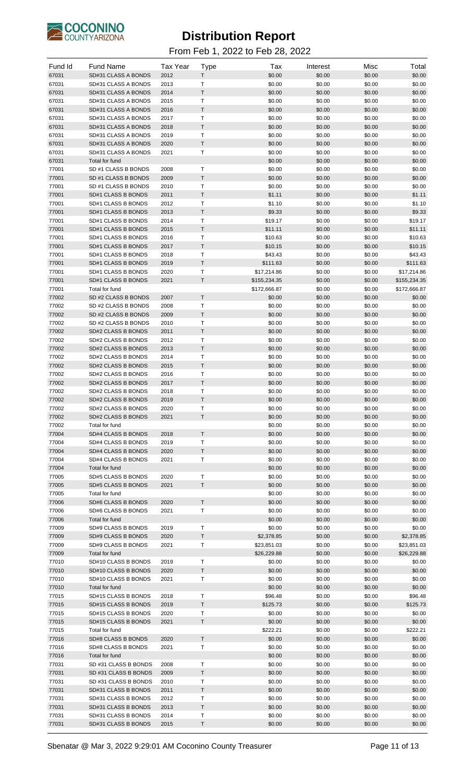

| Fund Id        | <b>Fund Name</b>                           | <b>Tax Year</b> | <b>Type</b>  | Tax                          | Interest         | Misc             | Total                        |
|----------------|--------------------------------------------|-----------------|--------------|------------------------------|------------------|------------------|------------------------------|
| 67031          | SD#31 CLASS A BONDS                        | 2012            | T            | \$0.00                       | \$0.00           | \$0.00           | \$0.00                       |
| 67031          | SD#31 CLASS A BONDS                        | 2013            | Т            | \$0.00                       | \$0.00           | \$0.00           | \$0.00                       |
| 67031<br>67031 | SD#31 CLASS A BONDS<br>SD#31 CLASS A BONDS | 2014<br>2015    | $\sf T$<br>T | \$0.00<br>\$0.00             | \$0.00<br>\$0.00 | \$0.00<br>\$0.00 | \$0.00<br>\$0.00             |
| 67031          | SD#31 CLASS A BONDS                        | 2016            | $\top$       | \$0.00                       | \$0.00           | \$0.00           | \$0.00                       |
| 67031          | SD#31 CLASS A BONDS                        | 2017            | Т            | \$0.00                       | \$0.00           | \$0.00           | \$0.00                       |
| 67031          | SD#31 CLASS A BONDS                        | 2018            | $\sf T$      | \$0.00                       | \$0.00           | \$0.00           | \$0.00                       |
| 67031          | SD#31 CLASS A BONDS                        | 2019            | Т            | \$0.00                       | \$0.00           | \$0.00           | \$0.00                       |
| 67031          | SD#31 CLASS A BONDS                        | 2020            | $\top$       | \$0.00                       | \$0.00           | \$0.00           | \$0.00                       |
| 67031<br>67031 | SD#31 CLASS A BONDS<br>Total for fund      | 2021            | T            | \$0.00<br>\$0.00             | \$0.00<br>\$0.00 | \$0.00<br>\$0.00 | \$0.00<br>\$0.00             |
| 77001          | SD #1 CLASS B BONDS                        | 2008            | T            | \$0.00                       | \$0.00           | \$0.00           | \$0.00                       |
| 77001          | SD #1 CLASS B BONDS                        | 2009            | $\top$       | \$0.00                       | \$0.00           | \$0.00           | \$0.00                       |
| 77001          | SD #1 CLASS B BONDS                        | 2010            | Т            | \$0.00                       | \$0.00           | \$0.00           | \$0.00                       |
| 77001          | SD#1 CLASS B BONDS                         | 2011            | $\sf T$      | \$1.11                       | \$0.00           | \$0.00           | \$1.11                       |
| 77001          | SD#1 CLASS B BONDS                         | 2012            | T            | \$1.10                       | \$0.00           | \$0.00           | \$1.10                       |
| 77001<br>77001 | SD#1 CLASS B BONDS<br>SD#1 CLASS B BONDS   | 2013<br>2014    | $\top$<br>Т  | \$9.33<br>\$19.17            | \$0.00<br>\$0.00 | \$0.00<br>\$0.00 | \$9.33<br>\$19.17            |
| 77001          | SD#1 CLASS B BONDS                         | 2015            | $\sf T$      | \$11.11                      | \$0.00           | \$0.00           | \$11.11                      |
| 77001          | SD#1 CLASS B BONDS                         | 2016            | Т            | \$10.63                      | \$0.00           | \$0.00           | \$10.63                      |
| 77001          | SD#1 CLASS B BONDS                         | 2017            | $\sf T$      | \$10.15                      | \$0.00           | \$0.00           | \$10.15                      |
| 77001          | SD#1 CLASS B BONDS                         | 2018            | T            | \$43.43                      | \$0.00           | \$0.00           | \$43.43                      |
| 77001          | SD#1 CLASS B BONDS                         | 2019            | $\top$       | \$111.63                     | \$0.00           | \$0.00           | \$111.63                     |
| 77001          | SD#1 CLASS B BONDS                         | 2020            | T            | \$17,214.86                  | \$0.00           | \$0.00           | \$17,214.86                  |
| 77001          | SD#1 CLASS B BONDS<br>Total for fund       | 2021            | $\sf T$      | \$155,234.35<br>\$172,666.87 | \$0.00<br>\$0.00 | \$0.00<br>\$0.00 | \$155,234.35<br>\$172,666.87 |
| 77001<br>77002 | SD #2 CLASS B BONDS                        | 2007            | T            | \$0.00                       | \$0.00           | \$0.00           | \$0.00                       |
| 77002          | SD #2 CLASS B BONDS                        | 2008            | T            | \$0.00                       | \$0.00           | \$0.00           | \$0.00                       |
| 77002          | SD #2 CLASS B BONDS                        | 2009            | $\top$       | \$0.00                       | \$0.00           | \$0.00           | \$0.00                       |
| 77002          | SD #2 CLASS B BONDS                        | 2010            | Т            | \$0.00                       | \$0.00           | \$0.00           | \$0.00                       |
| 77002          | SD#2 CLASS B BONDS                         | 2011            | $\sf T$      | \$0.00                       | \$0.00           | \$0.00           | \$0.00                       |
| 77002          | SD#2 CLASS B BONDS                         | 2012            | Т            | \$0.00                       | \$0.00           | \$0.00           | \$0.00                       |
| 77002          | SD#2 CLASS B BONDS                         | 2013            | $\top$       | \$0.00                       | \$0.00           | \$0.00           | \$0.00                       |
| 77002          | SD#2 CLASS B BONDS                         | 2014            | T            | \$0.00                       | \$0.00           | \$0.00           | \$0.00                       |
| 77002          | SD#2 CLASS B BONDS<br>SD#2 CLASS B BONDS   | 2015<br>2016    | $\top$<br>Т  | \$0.00                       | \$0.00           | \$0.00           | \$0.00                       |
| 77002<br>77002 | SD#2 CLASS B BONDS                         | 2017            | $\sf T$      | \$0.00<br>\$0.00             | \$0.00<br>\$0.00 | \$0.00<br>\$0.00 | \$0.00<br>\$0.00             |
| 77002          | SD#2 CLASS B BONDS                         | 2018            | Т            | \$0.00                       | \$0.00           | \$0.00           | \$0.00                       |
| 77002          | SD#2 CLASS B BONDS                         | 2019            | T            | \$0.00                       | \$0.00           | \$0.00           | \$0.00                       |
| 77002          | SD#2 CLASS B BONDS                         | 2020            | T            | \$0.00                       | \$0.00           | \$0.00           | \$0.00                       |
| 77002          | SD#2 CLASS B BONDS                         | 2021            | T            | \$0.00                       | \$0.00           | \$0.00           | \$0.00                       |
| 77002          | Total for fund                             |                 |              | \$0.00                       | \$0.00           | \$0.00           | \$0.00                       |
| 77004          | SD#4 CLASS B BONDS                         | 2018            | $\sf T$      | \$0.00                       | \$0.00           | \$0.00           | \$0.00                       |
| 77004          | SD#4 CLASS B BONDS                         | 2019            | Т            | \$0.00                       | \$0.00           | \$0.00           | \$0.00                       |
| 77004<br>77004 | SD#4 CLASS B BONDS<br>SD#4 CLASS B BONDS   | 2020<br>2021    | T<br>T       | \$0.00<br>\$0.00             | \$0.00<br>\$0.00 | \$0.00<br>\$0.00 | \$0.00<br>\$0.00             |
| 77004          | Total for fund                             |                 |              | \$0.00                       | \$0.00           | \$0.00           | \$0.00                       |
| 77005          | SD#5 CLASS B BONDS                         | 2020            | Τ            | \$0.00                       | \$0.00           | \$0.00           | \$0.00                       |
| 77005          | SD#5 CLASS B BONDS                         | 2021            | T            | \$0.00                       | \$0.00           | \$0.00           | \$0.00                       |
| 77005          | Total for fund                             |                 |              | \$0.00                       | \$0.00           | \$0.00           | \$0.00                       |
| 77006          | SD#6 CLASS B BONDS                         | 2020            | T            | \$0.00                       | \$0.00           | \$0.00           | \$0.00                       |
| 77006          | SD#6 CLASS B BONDS                         | 2021            | T            | \$0.00                       | \$0.00           | \$0.00           | \$0.00                       |
| 77006          | Total for fund                             |                 |              | \$0.00                       | \$0.00           | \$0.00           | \$0.00                       |
| 77009          | SD#9 CLASS B BONDS                         | 2019            | Τ            | \$0.00                       | \$0.00           | \$0.00           | \$0.00                       |
| 77009<br>77009 | SD#9 CLASS B BONDS<br>SD#9 CLASS B BONDS   | 2020<br>2021    | T<br>T       | \$2,378.85<br>\$23,851.03    | \$0.00<br>\$0.00 | \$0.00<br>\$0.00 | \$2,378.85<br>\$23,851.03    |
| 77009          | Total for fund                             |                 |              | \$26,229.88                  | \$0.00           | \$0.00           | \$26,229.88                  |
| 77010          | SD#10 CLASS B BONDS                        | 2019            | $\mathsf T$  | \$0.00                       | \$0.00           | \$0.00           | \$0.00                       |
| 77010          | SD#10 CLASS B BONDS                        | 2020            | $\mathsf T$  | \$0.00                       | \$0.00           | \$0.00           | \$0.00                       |
| 77010          | SD#10 CLASS B BONDS                        | 2021            | Τ            | \$0.00                       | \$0.00           | \$0.00           | \$0.00                       |
| 77010          | Total for fund                             |                 |              | \$0.00                       | \$0.00           | \$0.00           | \$0.00                       |
| 77015          | SD#15 CLASS B BONDS                        | 2018            | Τ            | \$96.48                      | \$0.00           | \$0.00           | \$96.48                      |
| 77015          | SD#15 CLASS B BONDS                        | 2019            | $\top$       | \$125.73                     | \$0.00           | \$0.00           | \$125.73                     |
| 77015<br>77015 | SD#15 CLASS B BONDS                        | 2020            | Τ<br>$\top$  | \$0.00<br>\$0.00             | \$0.00<br>\$0.00 | \$0.00<br>\$0.00 | \$0.00<br>\$0.00             |
| 77015          | SD#15 CLASS B BONDS<br>Total for fund      | 2021            |              | \$222.21                     | \$0.00           | \$0.00           | \$222.21                     |
| 77016          | SD#8 CLASS B BONDS                         | 2020            | $\sf T$      | \$0.00                       | \$0.00           | \$0.00           | \$0.00                       |
| 77016          | SD#8 CLASS B BONDS                         | 2021            | Т            | \$0.00                       | \$0.00           | \$0.00           | \$0.00                       |
| 77016          | Total for fund                             |                 |              | \$0.00                       | \$0.00           | \$0.00           | \$0.00                       |
| 77031          | SD #31 CLASS B BONDS                       | 2008            | Т            | \$0.00                       | \$0.00           | \$0.00           | \$0.00                       |
| 77031          | SD #31 CLASS B BONDS                       | 2009            | $\top$       | \$0.00                       | \$0.00           | \$0.00           | \$0.00                       |
| 77031          | SD #31 CLASS B BONDS                       | 2010            | т            | \$0.00                       | \$0.00           | \$0.00           | \$0.00                       |
| 77031          | SD#31 CLASS B BONDS                        | 2011            | $\sf T$      | \$0.00                       | \$0.00           | \$0.00           | \$0.00                       |
| 77031<br>77031 | SD#31 CLASS B BONDS<br>SD#31 CLASS B BONDS | 2012<br>2013    | т<br>$\top$  | \$0.00<br>\$0.00             | \$0.00<br>\$0.00 | \$0.00<br>\$0.00 | \$0.00<br>\$0.00             |
| 77031          | SD#31 CLASS B BONDS                        | 2014            | $\sf T$      | \$0.00                       | \$0.00           | \$0.00           | \$0.00                       |
| 77031          | SD#31 CLASS B BONDS                        | 2015            | $\sf T$      | \$0.00                       | \$0.00           | \$0.00           | \$0.00                       |
|                |                                            |                 |              |                              |                  |                  |                              |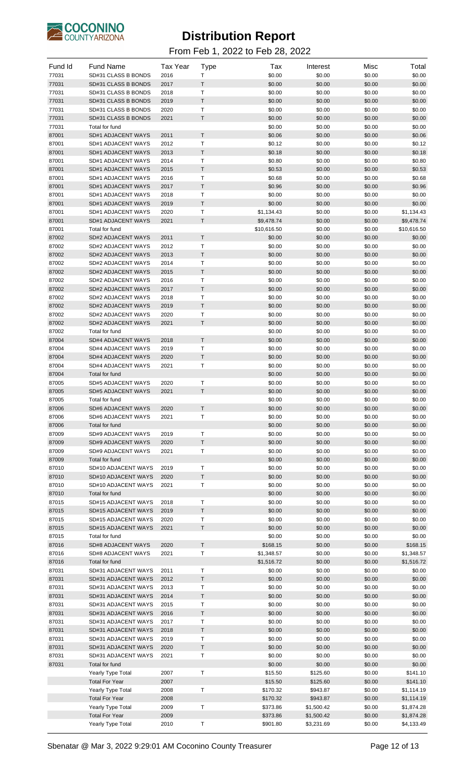

| \$0.00<br>\$0.00<br>77031<br>SD#31 CLASS B BONDS<br>2016<br>T<br>\$0.00<br>\$0.00<br>T<br>77031<br>SD#31 CLASS B BONDS<br>2017<br>\$0.00<br>\$0.00<br>\$0.00<br>\$0.00<br>77031<br>SD#31 CLASS B BONDS<br>\$0.00<br>\$0.00<br>\$0.00<br>\$0.00<br>2018<br>т<br>T<br>77031<br>SD#31 CLASS B BONDS<br>\$0.00<br>\$0.00<br>\$0.00<br>\$0.00<br>2019<br>T<br>77031<br>SD#31 CLASS B BONDS<br>2020<br>\$0.00<br>\$0.00<br>\$0.00<br>\$0.00<br>T<br>77031<br>2021<br>\$0.00<br>\$0.00<br>\$0.00<br>\$0.00<br>SD#31 CLASS B BONDS<br>77031<br>\$0.00<br>\$0.00<br>\$0.00<br>\$0.00<br>Total for fund<br>87001<br>SD#1 ADJACENT WAYS<br>2011<br>Т<br>\$0.06<br>\$0.00<br>\$0.00<br>\$0.06<br>87001<br>Τ<br>\$0.12<br>\$0.00<br>\$0.00<br>\$0.12<br>SD#1 ADJACENT WAYS<br>2012<br>T<br>\$0.18<br>\$0.00<br>\$0.00<br>\$0.18<br>87001<br>SD#1 ADJACENT WAYS<br>2013<br>87001<br>SD#1 ADJACENT WAYS<br>2014<br>т<br>\$0.80<br>\$0.00<br>\$0.00<br>\$0.80<br>T<br>87001<br>2015<br>\$0.53<br>\$0.00<br>\$0.00<br>\$0.53<br>SD#1 ADJACENT WAYS<br>T<br>87001<br>SD#1 ADJACENT WAYS<br>2016<br>\$0.68<br>\$0.00<br>\$0.00<br>\$0.68<br>87001<br>Т<br>\$0.96<br>\$0.00<br>\$0.00<br>\$0.96<br>SD#1 ADJACENT WAYS<br>2017<br>87001<br>Τ<br>\$0.00<br>\$0.00<br>\$0.00<br>\$0.00<br>SD#1 ADJACENT WAYS<br>2018<br>T<br>87001<br>\$0.00<br>\$0.00<br>\$0.00<br>\$0.00<br>SD#1 ADJACENT WAYS<br>2019<br>T<br>87001<br>2020<br>\$1,134.43<br>\$0.00<br>\$0.00<br>\$1,134.43<br>SD#1 ADJACENT WAYS<br>T<br>87001<br>2021<br>\$9,478.74<br>\$0.00<br>\$0.00<br>\$9,478.74<br>SD#1 ADJACENT WAYS<br>87001<br>\$10,616.50<br>\$0.00<br>\$0.00<br>\$10,616.50<br>Total for fund<br>T<br>87002<br>\$0.00<br>\$0.00<br><b>SD#2 ADJACENT WAYS</b><br>2011<br>\$0.00<br>\$0.00<br>87002<br>Τ<br>\$0.00<br>\$0.00<br>\$0.00<br>\$0.00<br>SD#2 ADJACENT WAYS<br>2012<br>T<br>87002<br>\$0.00<br>\$0.00<br>\$0.00<br>SD#2 ADJACENT WAYS<br>2013<br>\$0.00<br>87002<br>2014<br>Τ<br>\$0.00<br>\$0.00<br>\$0.00<br>\$0.00<br>SD#2 ADJACENT WAYS<br>T<br>87002<br>2015<br>\$0.00<br>\$0.00<br>\$0.00<br>\$0.00<br>SD#2 ADJACENT WAYS<br>87002<br>SD#2 ADJACENT WAYS<br>2016<br>Τ<br>\$0.00<br>\$0.00<br>\$0.00<br>\$0.00<br>T<br>87002<br>\$0.00<br>\$0.00<br>\$0.00<br>\$0.00<br>SD#2 ADJACENT WAYS<br>2017<br>87002<br>Τ<br>\$0.00<br>\$0.00<br>\$0.00<br>\$0.00<br>SD#2 ADJACENT WAYS<br>2018<br>T<br>87002<br>\$0.00<br>\$0.00<br>\$0.00<br>\$0.00<br>SD#2 ADJACENT WAYS<br>2019<br>T<br>87002<br>2020<br>\$0.00<br>\$0.00<br>\$0.00<br>\$0.00<br>SD#2 ADJACENT WAYS<br>T<br>87002<br>2021<br>\$0.00<br>\$0.00<br>\$0.00<br>\$0.00<br>SD#2 ADJACENT WAYS<br>87002<br>\$0.00<br>\$0.00<br>\$0.00<br>\$0.00<br>Total for fund<br>T<br>87004<br>\$0.00<br>\$0.00<br>\$0.00<br>\$0.00<br>SD#4 ADJACENT WAYS<br>2018<br>87004<br>Τ<br>\$0.00<br>\$0.00<br>\$0.00<br>\$0.00<br>SD#4 ADJACENT WAYS<br>2019<br>T<br>87004<br>\$0.00<br>\$0.00<br>\$0.00<br>\$0.00<br>SD#4 ADJACENT WAYS<br>2020<br>87004<br>2021<br>Т<br>\$0.00<br>\$0.00<br>\$0.00<br>\$0.00<br>SD#4 ADJACENT WAYS<br>87004<br>\$0.00<br>\$0.00<br>\$0.00<br>\$0.00<br>Total for fund<br>87005<br>Τ<br>\$0.00<br>\$0.00<br>\$0.00<br>\$0.00<br>SD#5 ADJACENT WAYS<br>2020<br>T<br>87005<br>\$0.00<br>\$0.00<br>\$0.00<br>\$0.00<br>SD#5 ADJACENT WAYS<br>2021<br>87005<br>\$0.00<br>\$0.00<br>\$0.00<br>\$0.00<br>Total for fund<br>\$0.00<br>\$0.00<br>87006<br>SD#6 ADJACENT WAYS<br>\$0.00<br>\$0.00<br>2020<br>87006<br>т<br>\$0.00<br>\$0.00<br>\$0.00<br>\$0.00<br>SD#6 ADJACENT WAYS<br>2021<br>\$0.00<br>87006<br>\$0.00<br>\$0.00<br>\$0.00<br>Total for fund<br>T<br>\$0.00<br>\$0.00<br>87009<br>SD#9 ADJACENT WAYS<br>2019<br>\$0.00<br>\$0.00<br>T<br>87009<br>SD#9 ADJACENT WAYS<br>\$0.00<br>\$0.00<br>\$0.00<br>\$0.00<br>2020<br>87009<br>2021<br>\$0.00<br>\$0.00<br>\$0.00<br>\$0.00<br>SD#9 ADJACENT WAYS<br>Τ<br>87009<br>\$0.00<br>\$0.00<br>\$0.00<br>\$0.00<br>Total for fund<br>T<br>87010<br>SD#10 ADJACENT WAYS<br>2019<br>\$0.00<br>\$0.00<br>\$0.00<br>\$0.00<br>T<br>\$0.00<br>87010<br>2020<br>\$0.00<br>\$0.00<br>\$0.00<br>SD#10 ADJACENT WAYS<br>T<br>87010<br>SD#10 ADJACENT WAYS<br>2021<br>\$0.00<br>\$0.00<br>\$0.00<br>\$0.00<br>87010<br>\$0.00<br>\$0.00<br>\$0.00<br>\$0.00<br>Total for fund<br>87015<br>SD#15 ADJACENT WAYS<br>Т<br>\$0.00<br>\$0.00<br>\$0.00<br>\$0.00<br>2018<br>T<br>\$0.00<br>\$0.00<br>\$0.00<br>\$0.00<br>87015<br>SD#15 ADJACENT WAYS<br>2019<br>Τ<br>87015<br>SD#15 ADJACENT WAYS<br>2020<br>\$0.00<br>\$0.00<br>\$0.00<br>\$0.00<br>$\top$<br>87015<br>\$0.00<br>\$0.00<br>\$0.00<br>\$0.00<br>SD#15 ADJACENT WAYS<br>2021<br>\$0.00<br>87015<br>\$0.00<br>\$0.00<br>\$0.00<br>Total for fund<br>T<br>87016<br>\$168.15<br>\$0.00<br>\$0.00<br>\$168.15<br>SD#8 ADJACENT WAYS<br>2020<br>87016<br>\$1,348.57<br>\$0.00<br>\$0.00<br>\$1,348.57<br>SD#8 ADJACENT WAYS<br>2021<br>т<br>87016<br>\$1,516.72<br>\$0.00<br>\$0.00<br>\$1,516.72<br>Total for fund<br>T<br>87031<br>SD#31 ADJACENT WAYS<br>2011<br>\$0.00<br>\$0.00<br>\$0.00<br>\$0.00<br>T<br>\$0.00<br>87031<br>2012<br>\$0.00<br>\$0.00<br>\$0.00<br>SD#31 ADJACENT WAYS<br>T<br>87031<br>SD#31 ADJACENT WAYS<br>2013<br>\$0.00<br>\$0.00<br>\$0.00<br>\$0.00<br>Τ<br>87031<br>SD#31 ADJACENT WAYS<br>\$0.00<br>\$0.00<br>\$0.00<br>\$0.00<br>2014<br>87031<br>SD#31 ADJACENT WAYS<br>Т<br>\$0.00<br>\$0.00<br>\$0.00<br>\$0.00<br>2015<br>T<br>SD#31 ADJACENT WAYS<br>\$0.00<br>\$0.00<br>\$0.00<br>\$0.00<br>87031<br>2016<br>T<br>87031<br>SD#31 ADJACENT WAYS<br>2017<br>\$0.00<br>\$0.00<br>\$0.00<br>\$0.00<br>T<br>87031<br>2018<br>\$0.00<br>\$0.00<br>\$0.00<br>\$0.00<br>SD#31 ADJACENT WAYS<br>Τ<br>87031<br>SD#31 ADJACENT WAYS<br>2019<br>\$0.00<br>\$0.00<br>\$0.00<br>\$0.00<br>Τ<br>87031<br>SD#31 ADJACENT WAYS<br>\$0.00<br>\$0.00<br>\$0.00<br>\$0.00<br>2020<br>87031<br>2021<br>Т<br>\$0.00<br>\$0.00<br>\$0.00<br>\$0.00<br>SD#31 ADJACENT WAYS<br>87031<br>\$0.00<br>\$0.00<br>\$0.00<br>\$0.00<br>Total for fund<br>T<br>2007<br>\$15.50<br>\$125.60<br>\$0.00<br>\$141.10<br>Yearly Type Total<br>2007<br>\$0.00<br><b>Total For Year</b><br>\$15.50<br>\$125.60<br>\$141.10<br>2008<br>Т<br>\$170.32<br>\$943.87<br>\$0.00<br>\$1,114.19<br>Yearly Type Total<br><b>Total For Year</b><br>2008<br>\$170.32<br>\$943.87<br>\$0.00<br>\$1,114.19<br>2009<br>Т<br>\$0.00<br>Yearly Type Total<br>\$373.86<br>\$1,500.42<br>\$1,874.28<br><b>Total For Year</b><br>2009<br>\$373.86<br>\$1,500.42<br>\$0.00<br>\$1,874.28<br>2010<br>Τ<br>\$901.80<br>\$0.00<br>\$4,133.49<br>Yearly Type Total<br>\$3,231.69 | Fund Id | <b>Fund Name</b> | Tax Year | <b>Type</b> | Tax | Interest | Misc | Total |
|---------------------------------------------------------------------------------------------------------------------------------------------------------------------------------------------------------------------------------------------------------------------------------------------------------------------------------------------------------------------------------------------------------------------------------------------------------------------------------------------------------------------------------------------------------------------------------------------------------------------------------------------------------------------------------------------------------------------------------------------------------------------------------------------------------------------------------------------------------------------------------------------------------------------------------------------------------------------------------------------------------------------------------------------------------------------------------------------------------------------------------------------------------------------------------------------------------------------------------------------------------------------------------------------------------------------------------------------------------------------------------------------------------------------------------------------------------------------------------------------------------------------------------------------------------------------------------------------------------------------------------------------------------------------------------------------------------------------------------------------------------------------------------------------------------------------------------------------------------------------------------------------------------------------------------------------------------------------------------------------------------------------------------------------------------------------------------------------------------------------------------------------------------------------------------------------------------------------------------------------------------------------------------------------------------------------------------------------------------------------------------------------------------------------------------------------------------------------------------------------------------------------------------------------------------------------------------------------------------------------------------------------------------------------------------------------------------------------------------------------------------------------------------------------------------------------------------------------------------------------------------------------------------------------------------------------------------------------------------------------------------------------------------------------------------------------------------------------------------------------------------------------------------------------------------------------------------------------------------------------------------------------------------------------------------------------------------------------------------------------------------------------------------------------------------------------------------------------------------------------------------------------------------------------------------------------------------------------------------------------------------------------------------------------------------------------------------------------------------------------------------------------------------------------------------------------------------------------------------------------------------------------------------------------------------------------------------------------------------------------------------------------------------------------------------------------------------------------------------------------------------------------------------------------------------------------------------------------------------------------------------------------------------------------------------------------------------------------------------------------------------------------------------------------------------------------------------------------------------------------------------------------------------------------------------------------------------------------------------------------------------------------------------------------------------------------------------------------------------------------------------------------------------------------------------------------------------------------------------------------------------------------------------------------------------------------------------------------------------------------------------------------------------------------------------------------------------------------------------------------------------------------------------------------------------------------------------------------------------------------------------------------------------------------------------------------------------------------------------------------------------------------------------------------------------------------------------------------------------------------------------------------------------------------------------------------------------------------------------------------------------------------------------------------------------------------------------------------------------------------------------------------------------------------------------------------------------------------------------------------------------------------------------------------------------------------------------------------------------------------------------------------------------------------------------------------------------------------------------------------------------------------------------------------------------------------------------------------------------------------------------------------------------------------------------------------------------------------------------------------------------------------------------------------------------------------------------------------------------------------------------------------------------------------------------------------------------------------------|---------|------------------|----------|-------------|-----|----------|------|-------|
|                                                                                                                                                                                                                                                                                                                                                                                                                                                                                                                                                                                                                                                                                                                                                                                                                                                                                                                                                                                                                                                                                                                                                                                                                                                                                                                                                                                                                                                                                                                                                                                                                                                                                                                                                                                                                                                                                                                                                                                                                                                                                                                                                                                                                                                                                                                                                                                                                                                                                                                                                                                                                                                                                                                                                                                                                                                                                                                                                                                                                                                                                                                                                                                                                                                                                                                                                                                                                                                                                                                                                                                                                                                                                                                                                                                                                                                                                                                                                                                                                                                                                                                                                                                                                                                                                                                                                                                                                                                                                                                                                                                                                                                                                                                                                                                                                                                                                                                                                                                                                                                                                                                                                                                                                                                                                                                                                                                                                                                                                                                                                                                                                                                                                                                                                                                                                                                                                                                                                                                                                                                                                                                                                                                                                                                                                                                                                                                                                                                                                                                                                                                                   |         |                  |          |             |     |          |      |       |
|                                                                                                                                                                                                                                                                                                                                                                                                                                                                                                                                                                                                                                                                                                                                                                                                                                                                                                                                                                                                                                                                                                                                                                                                                                                                                                                                                                                                                                                                                                                                                                                                                                                                                                                                                                                                                                                                                                                                                                                                                                                                                                                                                                                                                                                                                                                                                                                                                                                                                                                                                                                                                                                                                                                                                                                                                                                                                                                                                                                                                                                                                                                                                                                                                                                                                                                                                                                                                                                                                                                                                                                                                                                                                                                                                                                                                                                                                                                                                                                                                                                                                                                                                                                                                                                                                                                                                                                                                                                                                                                                                                                                                                                                                                                                                                                                                                                                                                                                                                                                                                                                                                                                                                                                                                                                                                                                                                                                                                                                                                                                                                                                                                                                                                                                                                                                                                                                                                                                                                                                                                                                                                                                                                                                                                                                                                                                                                                                                                                                                                                                                                                                   |         |                  |          |             |     |          |      |       |
|                                                                                                                                                                                                                                                                                                                                                                                                                                                                                                                                                                                                                                                                                                                                                                                                                                                                                                                                                                                                                                                                                                                                                                                                                                                                                                                                                                                                                                                                                                                                                                                                                                                                                                                                                                                                                                                                                                                                                                                                                                                                                                                                                                                                                                                                                                                                                                                                                                                                                                                                                                                                                                                                                                                                                                                                                                                                                                                                                                                                                                                                                                                                                                                                                                                                                                                                                                                                                                                                                                                                                                                                                                                                                                                                                                                                                                                                                                                                                                                                                                                                                                                                                                                                                                                                                                                                                                                                                                                                                                                                                                                                                                                                                                                                                                                                                                                                                                                                                                                                                                                                                                                                                                                                                                                                                                                                                                                                                                                                                                                                                                                                                                                                                                                                                                                                                                                                                                                                                                                                                                                                                                                                                                                                                                                                                                                                                                                                                                                                                                                                                                                                   |         |                  |          |             |     |          |      |       |
|                                                                                                                                                                                                                                                                                                                                                                                                                                                                                                                                                                                                                                                                                                                                                                                                                                                                                                                                                                                                                                                                                                                                                                                                                                                                                                                                                                                                                                                                                                                                                                                                                                                                                                                                                                                                                                                                                                                                                                                                                                                                                                                                                                                                                                                                                                                                                                                                                                                                                                                                                                                                                                                                                                                                                                                                                                                                                                                                                                                                                                                                                                                                                                                                                                                                                                                                                                                                                                                                                                                                                                                                                                                                                                                                                                                                                                                                                                                                                                                                                                                                                                                                                                                                                                                                                                                                                                                                                                                                                                                                                                                                                                                                                                                                                                                                                                                                                                                                                                                                                                                                                                                                                                                                                                                                                                                                                                                                                                                                                                                                                                                                                                                                                                                                                                                                                                                                                                                                                                                                                                                                                                                                                                                                                                                                                                                                                                                                                                                                                                                                                                                                   |         |                  |          |             |     |          |      |       |
|                                                                                                                                                                                                                                                                                                                                                                                                                                                                                                                                                                                                                                                                                                                                                                                                                                                                                                                                                                                                                                                                                                                                                                                                                                                                                                                                                                                                                                                                                                                                                                                                                                                                                                                                                                                                                                                                                                                                                                                                                                                                                                                                                                                                                                                                                                                                                                                                                                                                                                                                                                                                                                                                                                                                                                                                                                                                                                                                                                                                                                                                                                                                                                                                                                                                                                                                                                                                                                                                                                                                                                                                                                                                                                                                                                                                                                                                                                                                                                                                                                                                                                                                                                                                                                                                                                                                                                                                                                                                                                                                                                                                                                                                                                                                                                                                                                                                                                                                                                                                                                                                                                                                                                                                                                                                                                                                                                                                                                                                                                                                                                                                                                                                                                                                                                                                                                                                                                                                                                                                                                                                                                                                                                                                                                                                                                                                                                                                                                                                                                                                                                                                   |         |                  |          |             |     |          |      |       |
|                                                                                                                                                                                                                                                                                                                                                                                                                                                                                                                                                                                                                                                                                                                                                                                                                                                                                                                                                                                                                                                                                                                                                                                                                                                                                                                                                                                                                                                                                                                                                                                                                                                                                                                                                                                                                                                                                                                                                                                                                                                                                                                                                                                                                                                                                                                                                                                                                                                                                                                                                                                                                                                                                                                                                                                                                                                                                                                                                                                                                                                                                                                                                                                                                                                                                                                                                                                                                                                                                                                                                                                                                                                                                                                                                                                                                                                                                                                                                                                                                                                                                                                                                                                                                                                                                                                                                                                                                                                                                                                                                                                                                                                                                                                                                                                                                                                                                                                                                                                                                                                                                                                                                                                                                                                                                                                                                                                                                                                                                                                                                                                                                                                                                                                                                                                                                                                                                                                                                                                                                                                                                                                                                                                                                                                                                                                                                                                                                                                                                                                                                                                                   |         |                  |          |             |     |          |      |       |
|                                                                                                                                                                                                                                                                                                                                                                                                                                                                                                                                                                                                                                                                                                                                                                                                                                                                                                                                                                                                                                                                                                                                                                                                                                                                                                                                                                                                                                                                                                                                                                                                                                                                                                                                                                                                                                                                                                                                                                                                                                                                                                                                                                                                                                                                                                                                                                                                                                                                                                                                                                                                                                                                                                                                                                                                                                                                                                                                                                                                                                                                                                                                                                                                                                                                                                                                                                                                                                                                                                                                                                                                                                                                                                                                                                                                                                                                                                                                                                                                                                                                                                                                                                                                                                                                                                                                                                                                                                                                                                                                                                                                                                                                                                                                                                                                                                                                                                                                                                                                                                                                                                                                                                                                                                                                                                                                                                                                                                                                                                                                                                                                                                                                                                                                                                                                                                                                                                                                                                                                                                                                                                                                                                                                                                                                                                                                                                                                                                                                                                                                                                                                   |         |                  |          |             |     |          |      |       |
|                                                                                                                                                                                                                                                                                                                                                                                                                                                                                                                                                                                                                                                                                                                                                                                                                                                                                                                                                                                                                                                                                                                                                                                                                                                                                                                                                                                                                                                                                                                                                                                                                                                                                                                                                                                                                                                                                                                                                                                                                                                                                                                                                                                                                                                                                                                                                                                                                                                                                                                                                                                                                                                                                                                                                                                                                                                                                                                                                                                                                                                                                                                                                                                                                                                                                                                                                                                                                                                                                                                                                                                                                                                                                                                                                                                                                                                                                                                                                                                                                                                                                                                                                                                                                                                                                                                                                                                                                                                                                                                                                                                                                                                                                                                                                                                                                                                                                                                                                                                                                                                                                                                                                                                                                                                                                                                                                                                                                                                                                                                                                                                                                                                                                                                                                                                                                                                                                                                                                                                                                                                                                                                                                                                                                                                                                                                                                                                                                                                                                                                                                                                                   |         |                  |          |             |     |          |      |       |
|                                                                                                                                                                                                                                                                                                                                                                                                                                                                                                                                                                                                                                                                                                                                                                                                                                                                                                                                                                                                                                                                                                                                                                                                                                                                                                                                                                                                                                                                                                                                                                                                                                                                                                                                                                                                                                                                                                                                                                                                                                                                                                                                                                                                                                                                                                                                                                                                                                                                                                                                                                                                                                                                                                                                                                                                                                                                                                                                                                                                                                                                                                                                                                                                                                                                                                                                                                                                                                                                                                                                                                                                                                                                                                                                                                                                                                                                                                                                                                                                                                                                                                                                                                                                                                                                                                                                                                                                                                                                                                                                                                                                                                                                                                                                                                                                                                                                                                                                                                                                                                                                                                                                                                                                                                                                                                                                                                                                                                                                                                                                                                                                                                                                                                                                                                                                                                                                                                                                                                                                                                                                                                                                                                                                                                                                                                                                                                                                                                                                                                                                                                                                   |         |                  |          |             |     |          |      |       |
|                                                                                                                                                                                                                                                                                                                                                                                                                                                                                                                                                                                                                                                                                                                                                                                                                                                                                                                                                                                                                                                                                                                                                                                                                                                                                                                                                                                                                                                                                                                                                                                                                                                                                                                                                                                                                                                                                                                                                                                                                                                                                                                                                                                                                                                                                                                                                                                                                                                                                                                                                                                                                                                                                                                                                                                                                                                                                                                                                                                                                                                                                                                                                                                                                                                                                                                                                                                                                                                                                                                                                                                                                                                                                                                                                                                                                                                                                                                                                                                                                                                                                                                                                                                                                                                                                                                                                                                                                                                                                                                                                                                                                                                                                                                                                                                                                                                                                                                                                                                                                                                                                                                                                                                                                                                                                                                                                                                                                                                                                                                                                                                                                                                                                                                                                                                                                                                                                                                                                                                                                                                                                                                                                                                                                                                                                                                                                                                                                                                                                                                                                                                                   |         |                  |          |             |     |          |      |       |
|                                                                                                                                                                                                                                                                                                                                                                                                                                                                                                                                                                                                                                                                                                                                                                                                                                                                                                                                                                                                                                                                                                                                                                                                                                                                                                                                                                                                                                                                                                                                                                                                                                                                                                                                                                                                                                                                                                                                                                                                                                                                                                                                                                                                                                                                                                                                                                                                                                                                                                                                                                                                                                                                                                                                                                                                                                                                                                                                                                                                                                                                                                                                                                                                                                                                                                                                                                                                                                                                                                                                                                                                                                                                                                                                                                                                                                                                                                                                                                                                                                                                                                                                                                                                                                                                                                                                                                                                                                                                                                                                                                                                                                                                                                                                                                                                                                                                                                                                                                                                                                                                                                                                                                                                                                                                                                                                                                                                                                                                                                                                                                                                                                                                                                                                                                                                                                                                                                                                                                                                                                                                                                                                                                                                                                                                                                                                                                                                                                                                                                                                                                                                   |         |                  |          |             |     |          |      |       |
|                                                                                                                                                                                                                                                                                                                                                                                                                                                                                                                                                                                                                                                                                                                                                                                                                                                                                                                                                                                                                                                                                                                                                                                                                                                                                                                                                                                                                                                                                                                                                                                                                                                                                                                                                                                                                                                                                                                                                                                                                                                                                                                                                                                                                                                                                                                                                                                                                                                                                                                                                                                                                                                                                                                                                                                                                                                                                                                                                                                                                                                                                                                                                                                                                                                                                                                                                                                                                                                                                                                                                                                                                                                                                                                                                                                                                                                                                                                                                                                                                                                                                                                                                                                                                                                                                                                                                                                                                                                                                                                                                                                                                                                                                                                                                                                                                                                                                                                                                                                                                                                                                                                                                                                                                                                                                                                                                                                                                                                                                                                                                                                                                                                                                                                                                                                                                                                                                                                                                                                                                                                                                                                                                                                                                                                                                                                                                                                                                                                                                                                                                                                                   |         |                  |          |             |     |          |      |       |
|                                                                                                                                                                                                                                                                                                                                                                                                                                                                                                                                                                                                                                                                                                                                                                                                                                                                                                                                                                                                                                                                                                                                                                                                                                                                                                                                                                                                                                                                                                                                                                                                                                                                                                                                                                                                                                                                                                                                                                                                                                                                                                                                                                                                                                                                                                                                                                                                                                                                                                                                                                                                                                                                                                                                                                                                                                                                                                                                                                                                                                                                                                                                                                                                                                                                                                                                                                                                                                                                                                                                                                                                                                                                                                                                                                                                                                                                                                                                                                                                                                                                                                                                                                                                                                                                                                                                                                                                                                                                                                                                                                                                                                                                                                                                                                                                                                                                                                                                                                                                                                                                                                                                                                                                                                                                                                                                                                                                                                                                                                                                                                                                                                                                                                                                                                                                                                                                                                                                                                                                                                                                                                                                                                                                                                                                                                                                                                                                                                                                                                                                                                                                   |         |                  |          |             |     |          |      |       |
|                                                                                                                                                                                                                                                                                                                                                                                                                                                                                                                                                                                                                                                                                                                                                                                                                                                                                                                                                                                                                                                                                                                                                                                                                                                                                                                                                                                                                                                                                                                                                                                                                                                                                                                                                                                                                                                                                                                                                                                                                                                                                                                                                                                                                                                                                                                                                                                                                                                                                                                                                                                                                                                                                                                                                                                                                                                                                                                                                                                                                                                                                                                                                                                                                                                                                                                                                                                                                                                                                                                                                                                                                                                                                                                                                                                                                                                                                                                                                                                                                                                                                                                                                                                                                                                                                                                                                                                                                                                                                                                                                                                                                                                                                                                                                                                                                                                                                                                                                                                                                                                                                                                                                                                                                                                                                                                                                                                                                                                                                                                                                                                                                                                                                                                                                                                                                                                                                                                                                                                                                                                                                                                                                                                                                                                                                                                                                                                                                                                                                                                                                                                                   |         |                  |          |             |     |          |      |       |
|                                                                                                                                                                                                                                                                                                                                                                                                                                                                                                                                                                                                                                                                                                                                                                                                                                                                                                                                                                                                                                                                                                                                                                                                                                                                                                                                                                                                                                                                                                                                                                                                                                                                                                                                                                                                                                                                                                                                                                                                                                                                                                                                                                                                                                                                                                                                                                                                                                                                                                                                                                                                                                                                                                                                                                                                                                                                                                                                                                                                                                                                                                                                                                                                                                                                                                                                                                                                                                                                                                                                                                                                                                                                                                                                                                                                                                                                                                                                                                                                                                                                                                                                                                                                                                                                                                                                                                                                                                                                                                                                                                                                                                                                                                                                                                                                                                                                                                                                                                                                                                                                                                                                                                                                                                                                                                                                                                                                                                                                                                                                                                                                                                                                                                                                                                                                                                                                                                                                                                                                                                                                                                                                                                                                                                                                                                                                                                                                                                                                                                                                                                                                   |         |                  |          |             |     |          |      |       |
|                                                                                                                                                                                                                                                                                                                                                                                                                                                                                                                                                                                                                                                                                                                                                                                                                                                                                                                                                                                                                                                                                                                                                                                                                                                                                                                                                                                                                                                                                                                                                                                                                                                                                                                                                                                                                                                                                                                                                                                                                                                                                                                                                                                                                                                                                                                                                                                                                                                                                                                                                                                                                                                                                                                                                                                                                                                                                                                                                                                                                                                                                                                                                                                                                                                                                                                                                                                                                                                                                                                                                                                                                                                                                                                                                                                                                                                                                                                                                                                                                                                                                                                                                                                                                                                                                                                                                                                                                                                                                                                                                                                                                                                                                                                                                                                                                                                                                                                                                                                                                                                                                                                                                                                                                                                                                                                                                                                                                                                                                                                                                                                                                                                                                                                                                                                                                                                                                                                                                                                                                                                                                                                                                                                                                                                                                                                                                                                                                                                                                                                                                                                                   |         |                  |          |             |     |          |      |       |
|                                                                                                                                                                                                                                                                                                                                                                                                                                                                                                                                                                                                                                                                                                                                                                                                                                                                                                                                                                                                                                                                                                                                                                                                                                                                                                                                                                                                                                                                                                                                                                                                                                                                                                                                                                                                                                                                                                                                                                                                                                                                                                                                                                                                                                                                                                                                                                                                                                                                                                                                                                                                                                                                                                                                                                                                                                                                                                                                                                                                                                                                                                                                                                                                                                                                                                                                                                                                                                                                                                                                                                                                                                                                                                                                                                                                                                                                                                                                                                                                                                                                                                                                                                                                                                                                                                                                                                                                                                                                                                                                                                                                                                                                                                                                                                                                                                                                                                                                                                                                                                                                                                                                                                                                                                                                                                                                                                                                                                                                                                                                                                                                                                                                                                                                                                                                                                                                                                                                                                                                                                                                                                                                                                                                                                                                                                                                                                                                                                                                                                                                                                                                   |         |                  |          |             |     |          |      |       |
|                                                                                                                                                                                                                                                                                                                                                                                                                                                                                                                                                                                                                                                                                                                                                                                                                                                                                                                                                                                                                                                                                                                                                                                                                                                                                                                                                                                                                                                                                                                                                                                                                                                                                                                                                                                                                                                                                                                                                                                                                                                                                                                                                                                                                                                                                                                                                                                                                                                                                                                                                                                                                                                                                                                                                                                                                                                                                                                                                                                                                                                                                                                                                                                                                                                                                                                                                                                                                                                                                                                                                                                                                                                                                                                                                                                                                                                                                                                                                                                                                                                                                                                                                                                                                                                                                                                                                                                                                                                                                                                                                                                                                                                                                                                                                                                                                                                                                                                                                                                                                                                                                                                                                                                                                                                                                                                                                                                                                                                                                                                                                                                                                                                                                                                                                                                                                                                                                                                                                                                                                                                                                                                                                                                                                                                                                                                                                                                                                                                                                                                                                                                                   |         |                  |          |             |     |          |      |       |
|                                                                                                                                                                                                                                                                                                                                                                                                                                                                                                                                                                                                                                                                                                                                                                                                                                                                                                                                                                                                                                                                                                                                                                                                                                                                                                                                                                                                                                                                                                                                                                                                                                                                                                                                                                                                                                                                                                                                                                                                                                                                                                                                                                                                                                                                                                                                                                                                                                                                                                                                                                                                                                                                                                                                                                                                                                                                                                                                                                                                                                                                                                                                                                                                                                                                                                                                                                                                                                                                                                                                                                                                                                                                                                                                                                                                                                                                                                                                                                                                                                                                                                                                                                                                                                                                                                                                                                                                                                                                                                                                                                                                                                                                                                                                                                                                                                                                                                                                                                                                                                                                                                                                                                                                                                                                                                                                                                                                                                                                                                                                                                                                                                                                                                                                                                                                                                                                                                                                                                                                                                                                                                                                                                                                                                                                                                                                                                                                                                                                                                                                                                                                   |         |                  |          |             |     |          |      |       |
|                                                                                                                                                                                                                                                                                                                                                                                                                                                                                                                                                                                                                                                                                                                                                                                                                                                                                                                                                                                                                                                                                                                                                                                                                                                                                                                                                                                                                                                                                                                                                                                                                                                                                                                                                                                                                                                                                                                                                                                                                                                                                                                                                                                                                                                                                                                                                                                                                                                                                                                                                                                                                                                                                                                                                                                                                                                                                                                                                                                                                                                                                                                                                                                                                                                                                                                                                                                                                                                                                                                                                                                                                                                                                                                                                                                                                                                                                                                                                                                                                                                                                                                                                                                                                                                                                                                                                                                                                                                                                                                                                                                                                                                                                                                                                                                                                                                                                                                                                                                                                                                                                                                                                                                                                                                                                                                                                                                                                                                                                                                                                                                                                                                                                                                                                                                                                                                                                                                                                                                                                                                                                                                                                                                                                                                                                                                                                                                                                                                                                                                                                                                                   |         |                  |          |             |     |          |      |       |
|                                                                                                                                                                                                                                                                                                                                                                                                                                                                                                                                                                                                                                                                                                                                                                                                                                                                                                                                                                                                                                                                                                                                                                                                                                                                                                                                                                                                                                                                                                                                                                                                                                                                                                                                                                                                                                                                                                                                                                                                                                                                                                                                                                                                                                                                                                                                                                                                                                                                                                                                                                                                                                                                                                                                                                                                                                                                                                                                                                                                                                                                                                                                                                                                                                                                                                                                                                                                                                                                                                                                                                                                                                                                                                                                                                                                                                                                                                                                                                                                                                                                                                                                                                                                                                                                                                                                                                                                                                                                                                                                                                                                                                                                                                                                                                                                                                                                                                                                                                                                                                                                                                                                                                                                                                                                                                                                                                                                                                                                                                                                                                                                                                                                                                                                                                                                                                                                                                                                                                                                                                                                                                                                                                                                                                                                                                                                                                                                                                                                                                                                                                                                   |         |                  |          |             |     |          |      |       |
|                                                                                                                                                                                                                                                                                                                                                                                                                                                                                                                                                                                                                                                                                                                                                                                                                                                                                                                                                                                                                                                                                                                                                                                                                                                                                                                                                                                                                                                                                                                                                                                                                                                                                                                                                                                                                                                                                                                                                                                                                                                                                                                                                                                                                                                                                                                                                                                                                                                                                                                                                                                                                                                                                                                                                                                                                                                                                                                                                                                                                                                                                                                                                                                                                                                                                                                                                                                                                                                                                                                                                                                                                                                                                                                                                                                                                                                                                                                                                                                                                                                                                                                                                                                                                                                                                                                                                                                                                                                                                                                                                                                                                                                                                                                                                                                                                                                                                                                                                                                                                                                                                                                                                                                                                                                                                                                                                                                                                                                                                                                                                                                                                                                                                                                                                                                                                                                                                                                                                                                                                                                                                                                                                                                                                                                                                                                                                                                                                                                                                                                                                                                                   |         |                  |          |             |     |          |      |       |
|                                                                                                                                                                                                                                                                                                                                                                                                                                                                                                                                                                                                                                                                                                                                                                                                                                                                                                                                                                                                                                                                                                                                                                                                                                                                                                                                                                                                                                                                                                                                                                                                                                                                                                                                                                                                                                                                                                                                                                                                                                                                                                                                                                                                                                                                                                                                                                                                                                                                                                                                                                                                                                                                                                                                                                                                                                                                                                                                                                                                                                                                                                                                                                                                                                                                                                                                                                                                                                                                                                                                                                                                                                                                                                                                                                                                                                                                                                                                                                                                                                                                                                                                                                                                                                                                                                                                                                                                                                                                                                                                                                                                                                                                                                                                                                                                                                                                                                                                                                                                                                                                                                                                                                                                                                                                                                                                                                                                                                                                                                                                                                                                                                                                                                                                                                                                                                                                                                                                                                                                                                                                                                                                                                                                                                                                                                                                                                                                                                                                                                                                                                                                   |         |                  |          |             |     |          |      |       |
|                                                                                                                                                                                                                                                                                                                                                                                                                                                                                                                                                                                                                                                                                                                                                                                                                                                                                                                                                                                                                                                                                                                                                                                                                                                                                                                                                                                                                                                                                                                                                                                                                                                                                                                                                                                                                                                                                                                                                                                                                                                                                                                                                                                                                                                                                                                                                                                                                                                                                                                                                                                                                                                                                                                                                                                                                                                                                                                                                                                                                                                                                                                                                                                                                                                                                                                                                                                                                                                                                                                                                                                                                                                                                                                                                                                                                                                                                                                                                                                                                                                                                                                                                                                                                                                                                                                                                                                                                                                                                                                                                                                                                                                                                                                                                                                                                                                                                                                                                                                                                                                                                                                                                                                                                                                                                                                                                                                                                                                                                                                                                                                                                                                                                                                                                                                                                                                                                                                                                                                                                                                                                                                                                                                                                                                                                                                                                                                                                                                                                                                                                                                                   |         |                  |          |             |     |          |      |       |
|                                                                                                                                                                                                                                                                                                                                                                                                                                                                                                                                                                                                                                                                                                                                                                                                                                                                                                                                                                                                                                                                                                                                                                                                                                                                                                                                                                                                                                                                                                                                                                                                                                                                                                                                                                                                                                                                                                                                                                                                                                                                                                                                                                                                                                                                                                                                                                                                                                                                                                                                                                                                                                                                                                                                                                                                                                                                                                                                                                                                                                                                                                                                                                                                                                                                                                                                                                                                                                                                                                                                                                                                                                                                                                                                                                                                                                                                                                                                                                                                                                                                                                                                                                                                                                                                                                                                                                                                                                                                                                                                                                                                                                                                                                                                                                                                                                                                                                                                                                                                                                                                                                                                                                                                                                                                                                                                                                                                                                                                                                                                                                                                                                                                                                                                                                                                                                                                                                                                                                                                                                                                                                                                                                                                                                                                                                                                                                                                                                                                                                                                                                                                   |         |                  |          |             |     |          |      |       |
|                                                                                                                                                                                                                                                                                                                                                                                                                                                                                                                                                                                                                                                                                                                                                                                                                                                                                                                                                                                                                                                                                                                                                                                                                                                                                                                                                                                                                                                                                                                                                                                                                                                                                                                                                                                                                                                                                                                                                                                                                                                                                                                                                                                                                                                                                                                                                                                                                                                                                                                                                                                                                                                                                                                                                                                                                                                                                                                                                                                                                                                                                                                                                                                                                                                                                                                                                                                                                                                                                                                                                                                                                                                                                                                                                                                                                                                                                                                                                                                                                                                                                                                                                                                                                                                                                                                                                                                                                                                                                                                                                                                                                                                                                                                                                                                                                                                                                                                                                                                                                                                                                                                                                                                                                                                                                                                                                                                                                                                                                                                                                                                                                                                                                                                                                                                                                                                                                                                                                                                                                                                                                                                                                                                                                                                                                                                                                                                                                                                                                                                                                                                                   |         |                  |          |             |     |          |      |       |
|                                                                                                                                                                                                                                                                                                                                                                                                                                                                                                                                                                                                                                                                                                                                                                                                                                                                                                                                                                                                                                                                                                                                                                                                                                                                                                                                                                                                                                                                                                                                                                                                                                                                                                                                                                                                                                                                                                                                                                                                                                                                                                                                                                                                                                                                                                                                                                                                                                                                                                                                                                                                                                                                                                                                                                                                                                                                                                                                                                                                                                                                                                                                                                                                                                                                                                                                                                                                                                                                                                                                                                                                                                                                                                                                                                                                                                                                                                                                                                                                                                                                                                                                                                                                                                                                                                                                                                                                                                                                                                                                                                                                                                                                                                                                                                                                                                                                                                                                                                                                                                                                                                                                                                                                                                                                                                                                                                                                                                                                                                                                                                                                                                                                                                                                                                                                                                                                                                                                                                                                                                                                                                                                                                                                                                                                                                                                                                                                                                                                                                                                                                                                   |         |                  |          |             |     |          |      |       |
|                                                                                                                                                                                                                                                                                                                                                                                                                                                                                                                                                                                                                                                                                                                                                                                                                                                                                                                                                                                                                                                                                                                                                                                                                                                                                                                                                                                                                                                                                                                                                                                                                                                                                                                                                                                                                                                                                                                                                                                                                                                                                                                                                                                                                                                                                                                                                                                                                                                                                                                                                                                                                                                                                                                                                                                                                                                                                                                                                                                                                                                                                                                                                                                                                                                                                                                                                                                                                                                                                                                                                                                                                                                                                                                                                                                                                                                                                                                                                                                                                                                                                                                                                                                                                                                                                                                                                                                                                                                                                                                                                                                                                                                                                                                                                                                                                                                                                                                                                                                                                                                                                                                                                                                                                                                                                                                                                                                                                                                                                                                                                                                                                                                                                                                                                                                                                                                                                                                                                                                                                                                                                                                                                                                                                                                                                                                                                                                                                                                                                                                                                                                                   |         |                  |          |             |     |          |      |       |
|                                                                                                                                                                                                                                                                                                                                                                                                                                                                                                                                                                                                                                                                                                                                                                                                                                                                                                                                                                                                                                                                                                                                                                                                                                                                                                                                                                                                                                                                                                                                                                                                                                                                                                                                                                                                                                                                                                                                                                                                                                                                                                                                                                                                                                                                                                                                                                                                                                                                                                                                                                                                                                                                                                                                                                                                                                                                                                                                                                                                                                                                                                                                                                                                                                                                                                                                                                                                                                                                                                                                                                                                                                                                                                                                                                                                                                                                                                                                                                                                                                                                                                                                                                                                                                                                                                                                                                                                                                                                                                                                                                                                                                                                                                                                                                                                                                                                                                                                                                                                                                                                                                                                                                                                                                                                                                                                                                                                                                                                                                                                                                                                                                                                                                                                                                                                                                                                                                                                                                                                                                                                                                                                                                                                                                                                                                                                                                                                                                                                                                                                                                                                   |         |                  |          |             |     |          |      |       |
|                                                                                                                                                                                                                                                                                                                                                                                                                                                                                                                                                                                                                                                                                                                                                                                                                                                                                                                                                                                                                                                                                                                                                                                                                                                                                                                                                                                                                                                                                                                                                                                                                                                                                                                                                                                                                                                                                                                                                                                                                                                                                                                                                                                                                                                                                                                                                                                                                                                                                                                                                                                                                                                                                                                                                                                                                                                                                                                                                                                                                                                                                                                                                                                                                                                                                                                                                                                                                                                                                                                                                                                                                                                                                                                                                                                                                                                                                                                                                                                                                                                                                                                                                                                                                                                                                                                                                                                                                                                                                                                                                                                                                                                                                                                                                                                                                                                                                                                                                                                                                                                                                                                                                                                                                                                                                                                                                                                                                                                                                                                                                                                                                                                                                                                                                                                                                                                                                                                                                                                                                                                                                                                                                                                                                                                                                                                                                                                                                                                                                                                                                                                                   |         |                  |          |             |     |          |      |       |
|                                                                                                                                                                                                                                                                                                                                                                                                                                                                                                                                                                                                                                                                                                                                                                                                                                                                                                                                                                                                                                                                                                                                                                                                                                                                                                                                                                                                                                                                                                                                                                                                                                                                                                                                                                                                                                                                                                                                                                                                                                                                                                                                                                                                                                                                                                                                                                                                                                                                                                                                                                                                                                                                                                                                                                                                                                                                                                                                                                                                                                                                                                                                                                                                                                                                                                                                                                                                                                                                                                                                                                                                                                                                                                                                                                                                                                                                                                                                                                                                                                                                                                                                                                                                                                                                                                                                                                                                                                                                                                                                                                                                                                                                                                                                                                                                                                                                                                                                                                                                                                                                                                                                                                                                                                                                                                                                                                                                                                                                                                                                                                                                                                                                                                                                                                                                                                                                                                                                                                                                                                                                                                                                                                                                                                                                                                                                                                                                                                                                                                                                                                                                   |         |                  |          |             |     |          |      |       |
|                                                                                                                                                                                                                                                                                                                                                                                                                                                                                                                                                                                                                                                                                                                                                                                                                                                                                                                                                                                                                                                                                                                                                                                                                                                                                                                                                                                                                                                                                                                                                                                                                                                                                                                                                                                                                                                                                                                                                                                                                                                                                                                                                                                                                                                                                                                                                                                                                                                                                                                                                                                                                                                                                                                                                                                                                                                                                                                                                                                                                                                                                                                                                                                                                                                                                                                                                                                                                                                                                                                                                                                                                                                                                                                                                                                                                                                                                                                                                                                                                                                                                                                                                                                                                                                                                                                                                                                                                                                                                                                                                                                                                                                                                                                                                                                                                                                                                                                                                                                                                                                                                                                                                                                                                                                                                                                                                                                                                                                                                                                                                                                                                                                                                                                                                                                                                                                                                                                                                                                                                                                                                                                                                                                                                                                                                                                                                                                                                                                                                                                                                                                                   |         |                  |          |             |     |          |      |       |
|                                                                                                                                                                                                                                                                                                                                                                                                                                                                                                                                                                                                                                                                                                                                                                                                                                                                                                                                                                                                                                                                                                                                                                                                                                                                                                                                                                                                                                                                                                                                                                                                                                                                                                                                                                                                                                                                                                                                                                                                                                                                                                                                                                                                                                                                                                                                                                                                                                                                                                                                                                                                                                                                                                                                                                                                                                                                                                                                                                                                                                                                                                                                                                                                                                                                                                                                                                                                                                                                                                                                                                                                                                                                                                                                                                                                                                                                                                                                                                                                                                                                                                                                                                                                                                                                                                                                                                                                                                                                                                                                                                                                                                                                                                                                                                                                                                                                                                                                                                                                                                                                                                                                                                                                                                                                                                                                                                                                                                                                                                                                                                                                                                                                                                                                                                                                                                                                                                                                                                                                                                                                                                                                                                                                                                                                                                                                                                                                                                                                                                                                                                                                   |         |                  |          |             |     |          |      |       |
|                                                                                                                                                                                                                                                                                                                                                                                                                                                                                                                                                                                                                                                                                                                                                                                                                                                                                                                                                                                                                                                                                                                                                                                                                                                                                                                                                                                                                                                                                                                                                                                                                                                                                                                                                                                                                                                                                                                                                                                                                                                                                                                                                                                                                                                                                                                                                                                                                                                                                                                                                                                                                                                                                                                                                                                                                                                                                                                                                                                                                                                                                                                                                                                                                                                                                                                                                                                                                                                                                                                                                                                                                                                                                                                                                                                                                                                                                                                                                                                                                                                                                                                                                                                                                                                                                                                                                                                                                                                                                                                                                                                                                                                                                                                                                                                                                                                                                                                                                                                                                                                                                                                                                                                                                                                                                                                                                                                                                                                                                                                                                                                                                                                                                                                                                                                                                                                                                                                                                                                                                                                                                                                                                                                                                                                                                                                                                                                                                                                                                                                                                                                                   |         |                  |          |             |     |          |      |       |
|                                                                                                                                                                                                                                                                                                                                                                                                                                                                                                                                                                                                                                                                                                                                                                                                                                                                                                                                                                                                                                                                                                                                                                                                                                                                                                                                                                                                                                                                                                                                                                                                                                                                                                                                                                                                                                                                                                                                                                                                                                                                                                                                                                                                                                                                                                                                                                                                                                                                                                                                                                                                                                                                                                                                                                                                                                                                                                                                                                                                                                                                                                                                                                                                                                                                                                                                                                                                                                                                                                                                                                                                                                                                                                                                                                                                                                                                                                                                                                                                                                                                                                                                                                                                                                                                                                                                                                                                                                                                                                                                                                                                                                                                                                                                                                                                                                                                                                                                                                                                                                                                                                                                                                                                                                                                                                                                                                                                                                                                                                                                                                                                                                                                                                                                                                                                                                                                                                                                                                                                                                                                                                                                                                                                                                                                                                                                                                                                                                                                                                                                                                                                   |         |                  |          |             |     |          |      |       |
|                                                                                                                                                                                                                                                                                                                                                                                                                                                                                                                                                                                                                                                                                                                                                                                                                                                                                                                                                                                                                                                                                                                                                                                                                                                                                                                                                                                                                                                                                                                                                                                                                                                                                                                                                                                                                                                                                                                                                                                                                                                                                                                                                                                                                                                                                                                                                                                                                                                                                                                                                                                                                                                                                                                                                                                                                                                                                                                                                                                                                                                                                                                                                                                                                                                                                                                                                                                                                                                                                                                                                                                                                                                                                                                                                                                                                                                                                                                                                                                                                                                                                                                                                                                                                                                                                                                                                                                                                                                                                                                                                                                                                                                                                                                                                                                                                                                                                                                                                                                                                                                                                                                                                                                                                                                                                                                                                                                                                                                                                                                                                                                                                                                                                                                                                                                                                                                                                                                                                                                                                                                                                                                                                                                                                                                                                                                                                                                                                                                                                                                                                                                                   |         |                  |          |             |     |          |      |       |
|                                                                                                                                                                                                                                                                                                                                                                                                                                                                                                                                                                                                                                                                                                                                                                                                                                                                                                                                                                                                                                                                                                                                                                                                                                                                                                                                                                                                                                                                                                                                                                                                                                                                                                                                                                                                                                                                                                                                                                                                                                                                                                                                                                                                                                                                                                                                                                                                                                                                                                                                                                                                                                                                                                                                                                                                                                                                                                                                                                                                                                                                                                                                                                                                                                                                                                                                                                                                                                                                                                                                                                                                                                                                                                                                                                                                                                                                                                                                                                                                                                                                                                                                                                                                                                                                                                                                                                                                                                                                                                                                                                                                                                                                                                                                                                                                                                                                                                                                                                                                                                                                                                                                                                                                                                                                                                                                                                                                                                                                                                                                                                                                                                                                                                                                                                                                                                                                                                                                                                                                                                                                                                                                                                                                                                                                                                                                                                                                                                                                                                                                                                                                   |         |                  |          |             |     |          |      |       |
|                                                                                                                                                                                                                                                                                                                                                                                                                                                                                                                                                                                                                                                                                                                                                                                                                                                                                                                                                                                                                                                                                                                                                                                                                                                                                                                                                                                                                                                                                                                                                                                                                                                                                                                                                                                                                                                                                                                                                                                                                                                                                                                                                                                                                                                                                                                                                                                                                                                                                                                                                                                                                                                                                                                                                                                                                                                                                                                                                                                                                                                                                                                                                                                                                                                                                                                                                                                                                                                                                                                                                                                                                                                                                                                                                                                                                                                                                                                                                                                                                                                                                                                                                                                                                                                                                                                                                                                                                                                                                                                                                                                                                                                                                                                                                                                                                                                                                                                                                                                                                                                                                                                                                                                                                                                                                                                                                                                                                                                                                                                                                                                                                                                                                                                                                                                                                                                                                                                                                                                                                                                                                                                                                                                                                                                                                                                                                                                                                                                                                                                                                                                                   |         |                  |          |             |     |          |      |       |
|                                                                                                                                                                                                                                                                                                                                                                                                                                                                                                                                                                                                                                                                                                                                                                                                                                                                                                                                                                                                                                                                                                                                                                                                                                                                                                                                                                                                                                                                                                                                                                                                                                                                                                                                                                                                                                                                                                                                                                                                                                                                                                                                                                                                                                                                                                                                                                                                                                                                                                                                                                                                                                                                                                                                                                                                                                                                                                                                                                                                                                                                                                                                                                                                                                                                                                                                                                                                                                                                                                                                                                                                                                                                                                                                                                                                                                                                                                                                                                                                                                                                                                                                                                                                                                                                                                                                                                                                                                                                                                                                                                                                                                                                                                                                                                                                                                                                                                                                                                                                                                                                                                                                                                                                                                                                                                                                                                                                                                                                                                                                                                                                                                                                                                                                                                                                                                                                                                                                                                                                                                                                                                                                                                                                                                                                                                                                                                                                                                                                                                                                                                                                   |         |                  |          |             |     |          |      |       |
|                                                                                                                                                                                                                                                                                                                                                                                                                                                                                                                                                                                                                                                                                                                                                                                                                                                                                                                                                                                                                                                                                                                                                                                                                                                                                                                                                                                                                                                                                                                                                                                                                                                                                                                                                                                                                                                                                                                                                                                                                                                                                                                                                                                                                                                                                                                                                                                                                                                                                                                                                                                                                                                                                                                                                                                                                                                                                                                                                                                                                                                                                                                                                                                                                                                                                                                                                                                                                                                                                                                                                                                                                                                                                                                                                                                                                                                                                                                                                                                                                                                                                                                                                                                                                                                                                                                                                                                                                                                                                                                                                                                                                                                                                                                                                                                                                                                                                                                                                                                                                                                                                                                                                                                                                                                                                                                                                                                                                                                                                                                                                                                                                                                                                                                                                                                                                                                                                                                                                                                                                                                                                                                                                                                                                                                                                                                                                                                                                                                                                                                                                                                                   |         |                  |          |             |     |          |      |       |
|                                                                                                                                                                                                                                                                                                                                                                                                                                                                                                                                                                                                                                                                                                                                                                                                                                                                                                                                                                                                                                                                                                                                                                                                                                                                                                                                                                                                                                                                                                                                                                                                                                                                                                                                                                                                                                                                                                                                                                                                                                                                                                                                                                                                                                                                                                                                                                                                                                                                                                                                                                                                                                                                                                                                                                                                                                                                                                                                                                                                                                                                                                                                                                                                                                                                                                                                                                                                                                                                                                                                                                                                                                                                                                                                                                                                                                                                                                                                                                                                                                                                                                                                                                                                                                                                                                                                                                                                                                                                                                                                                                                                                                                                                                                                                                                                                                                                                                                                                                                                                                                                                                                                                                                                                                                                                                                                                                                                                                                                                                                                                                                                                                                                                                                                                                                                                                                                                                                                                                                                                                                                                                                                                                                                                                                                                                                                                                                                                                                                                                                                                                                                   |         |                  |          |             |     |          |      |       |
|                                                                                                                                                                                                                                                                                                                                                                                                                                                                                                                                                                                                                                                                                                                                                                                                                                                                                                                                                                                                                                                                                                                                                                                                                                                                                                                                                                                                                                                                                                                                                                                                                                                                                                                                                                                                                                                                                                                                                                                                                                                                                                                                                                                                                                                                                                                                                                                                                                                                                                                                                                                                                                                                                                                                                                                                                                                                                                                                                                                                                                                                                                                                                                                                                                                                                                                                                                                                                                                                                                                                                                                                                                                                                                                                                                                                                                                                                                                                                                                                                                                                                                                                                                                                                                                                                                                                                                                                                                                                                                                                                                                                                                                                                                                                                                                                                                                                                                                                                                                                                                                                                                                                                                                                                                                                                                                                                                                                                                                                                                                                                                                                                                                                                                                                                                                                                                                                                                                                                                                                                                                                                                                                                                                                                                                                                                                                                                                                                                                                                                                                                                                                   |         |                  |          |             |     |          |      |       |
|                                                                                                                                                                                                                                                                                                                                                                                                                                                                                                                                                                                                                                                                                                                                                                                                                                                                                                                                                                                                                                                                                                                                                                                                                                                                                                                                                                                                                                                                                                                                                                                                                                                                                                                                                                                                                                                                                                                                                                                                                                                                                                                                                                                                                                                                                                                                                                                                                                                                                                                                                                                                                                                                                                                                                                                                                                                                                                                                                                                                                                                                                                                                                                                                                                                                                                                                                                                                                                                                                                                                                                                                                                                                                                                                                                                                                                                                                                                                                                                                                                                                                                                                                                                                                                                                                                                                                                                                                                                                                                                                                                                                                                                                                                                                                                                                                                                                                                                                                                                                                                                                                                                                                                                                                                                                                                                                                                                                                                                                                                                                                                                                                                                                                                                                                                                                                                                                                                                                                                                                                                                                                                                                                                                                                                                                                                                                                                                                                                                                                                                                                                                                   |         |                  |          |             |     |          |      |       |
|                                                                                                                                                                                                                                                                                                                                                                                                                                                                                                                                                                                                                                                                                                                                                                                                                                                                                                                                                                                                                                                                                                                                                                                                                                                                                                                                                                                                                                                                                                                                                                                                                                                                                                                                                                                                                                                                                                                                                                                                                                                                                                                                                                                                                                                                                                                                                                                                                                                                                                                                                                                                                                                                                                                                                                                                                                                                                                                                                                                                                                                                                                                                                                                                                                                                                                                                                                                                                                                                                                                                                                                                                                                                                                                                                                                                                                                                                                                                                                                                                                                                                                                                                                                                                                                                                                                                                                                                                                                                                                                                                                                                                                                                                                                                                                                                                                                                                                                                                                                                                                                                                                                                                                                                                                                                                                                                                                                                                                                                                                                                                                                                                                                                                                                                                                                                                                                                                                                                                                                                                                                                                                                                                                                                                                                                                                                                                                                                                                                                                                                                                                                                   |         |                  |          |             |     |          |      |       |
|                                                                                                                                                                                                                                                                                                                                                                                                                                                                                                                                                                                                                                                                                                                                                                                                                                                                                                                                                                                                                                                                                                                                                                                                                                                                                                                                                                                                                                                                                                                                                                                                                                                                                                                                                                                                                                                                                                                                                                                                                                                                                                                                                                                                                                                                                                                                                                                                                                                                                                                                                                                                                                                                                                                                                                                                                                                                                                                                                                                                                                                                                                                                                                                                                                                                                                                                                                                                                                                                                                                                                                                                                                                                                                                                                                                                                                                                                                                                                                                                                                                                                                                                                                                                                                                                                                                                                                                                                                                                                                                                                                                                                                                                                                                                                                                                                                                                                                                                                                                                                                                                                                                                                                                                                                                                                                                                                                                                                                                                                                                                                                                                                                                                                                                                                                                                                                                                                                                                                                                                                                                                                                                                                                                                                                                                                                                                                                                                                                                                                                                                                                                                   |         |                  |          |             |     |          |      |       |
|                                                                                                                                                                                                                                                                                                                                                                                                                                                                                                                                                                                                                                                                                                                                                                                                                                                                                                                                                                                                                                                                                                                                                                                                                                                                                                                                                                                                                                                                                                                                                                                                                                                                                                                                                                                                                                                                                                                                                                                                                                                                                                                                                                                                                                                                                                                                                                                                                                                                                                                                                                                                                                                                                                                                                                                                                                                                                                                                                                                                                                                                                                                                                                                                                                                                                                                                                                                                                                                                                                                                                                                                                                                                                                                                                                                                                                                                                                                                                                                                                                                                                                                                                                                                                                                                                                                                                                                                                                                                                                                                                                                                                                                                                                                                                                                                                                                                                                                                                                                                                                                                                                                                                                                                                                                                                                                                                                                                                                                                                                                                                                                                                                                                                                                                                                                                                                                                                                                                                                                                                                                                                                                                                                                                                                                                                                                                                                                                                                                                                                                                                                                                   |         |                  |          |             |     |          |      |       |
|                                                                                                                                                                                                                                                                                                                                                                                                                                                                                                                                                                                                                                                                                                                                                                                                                                                                                                                                                                                                                                                                                                                                                                                                                                                                                                                                                                                                                                                                                                                                                                                                                                                                                                                                                                                                                                                                                                                                                                                                                                                                                                                                                                                                                                                                                                                                                                                                                                                                                                                                                                                                                                                                                                                                                                                                                                                                                                                                                                                                                                                                                                                                                                                                                                                                                                                                                                                                                                                                                                                                                                                                                                                                                                                                                                                                                                                                                                                                                                                                                                                                                                                                                                                                                                                                                                                                                                                                                                                                                                                                                                                                                                                                                                                                                                                                                                                                                                                                                                                                                                                                                                                                                                                                                                                                                                                                                                                                                                                                                                                                                                                                                                                                                                                                                                                                                                                                                                                                                                                                                                                                                                                                                                                                                                                                                                                                                                                                                                                                                                                                                                                                   |         |                  |          |             |     |          |      |       |
|                                                                                                                                                                                                                                                                                                                                                                                                                                                                                                                                                                                                                                                                                                                                                                                                                                                                                                                                                                                                                                                                                                                                                                                                                                                                                                                                                                                                                                                                                                                                                                                                                                                                                                                                                                                                                                                                                                                                                                                                                                                                                                                                                                                                                                                                                                                                                                                                                                                                                                                                                                                                                                                                                                                                                                                                                                                                                                                                                                                                                                                                                                                                                                                                                                                                                                                                                                                                                                                                                                                                                                                                                                                                                                                                                                                                                                                                                                                                                                                                                                                                                                                                                                                                                                                                                                                                                                                                                                                                                                                                                                                                                                                                                                                                                                                                                                                                                                                                                                                                                                                                                                                                                                                                                                                                                                                                                                                                                                                                                                                                                                                                                                                                                                                                                                                                                                                                                                                                                                                                                                                                                                                                                                                                                                                                                                                                                                                                                                                                                                                                                                                                   |         |                  |          |             |     |          |      |       |
|                                                                                                                                                                                                                                                                                                                                                                                                                                                                                                                                                                                                                                                                                                                                                                                                                                                                                                                                                                                                                                                                                                                                                                                                                                                                                                                                                                                                                                                                                                                                                                                                                                                                                                                                                                                                                                                                                                                                                                                                                                                                                                                                                                                                                                                                                                                                                                                                                                                                                                                                                                                                                                                                                                                                                                                                                                                                                                                                                                                                                                                                                                                                                                                                                                                                                                                                                                                                                                                                                                                                                                                                                                                                                                                                                                                                                                                                                                                                                                                                                                                                                                                                                                                                                                                                                                                                                                                                                                                                                                                                                                                                                                                                                                                                                                                                                                                                                                                                                                                                                                                                                                                                                                                                                                                                                                                                                                                                                                                                                                                                                                                                                                                                                                                                                                                                                                                                                                                                                                                                                                                                                                                                                                                                                                                                                                                                                                                                                                                                                                                                                                                                   |         |                  |          |             |     |          |      |       |
|                                                                                                                                                                                                                                                                                                                                                                                                                                                                                                                                                                                                                                                                                                                                                                                                                                                                                                                                                                                                                                                                                                                                                                                                                                                                                                                                                                                                                                                                                                                                                                                                                                                                                                                                                                                                                                                                                                                                                                                                                                                                                                                                                                                                                                                                                                                                                                                                                                                                                                                                                                                                                                                                                                                                                                                                                                                                                                                                                                                                                                                                                                                                                                                                                                                                                                                                                                                                                                                                                                                                                                                                                                                                                                                                                                                                                                                                                                                                                                                                                                                                                                                                                                                                                                                                                                                                                                                                                                                                                                                                                                                                                                                                                                                                                                                                                                                                                                                                                                                                                                                                                                                                                                                                                                                                                                                                                                                                                                                                                                                                                                                                                                                                                                                                                                                                                                                                                                                                                                                                                                                                                                                                                                                                                                                                                                                                                                                                                                                                                                                                                                                                   |         |                  |          |             |     |          |      |       |
|                                                                                                                                                                                                                                                                                                                                                                                                                                                                                                                                                                                                                                                                                                                                                                                                                                                                                                                                                                                                                                                                                                                                                                                                                                                                                                                                                                                                                                                                                                                                                                                                                                                                                                                                                                                                                                                                                                                                                                                                                                                                                                                                                                                                                                                                                                                                                                                                                                                                                                                                                                                                                                                                                                                                                                                                                                                                                                                                                                                                                                                                                                                                                                                                                                                                                                                                                                                                                                                                                                                                                                                                                                                                                                                                                                                                                                                                                                                                                                                                                                                                                                                                                                                                                                                                                                                                                                                                                                                                                                                                                                                                                                                                                                                                                                                                                                                                                                                                                                                                                                                                                                                                                                                                                                                                                                                                                                                                                                                                                                                                                                                                                                                                                                                                                                                                                                                                                                                                                                                                                                                                                                                                                                                                                                                                                                                                                                                                                                                                                                                                                                                                   |         |                  |          |             |     |          |      |       |
|                                                                                                                                                                                                                                                                                                                                                                                                                                                                                                                                                                                                                                                                                                                                                                                                                                                                                                                                                                                                                                                                                                                                                                                                                                                                                                                                                                                                                                                                                                                                                                                                                                                                                                                                                                                                                                                                                                                                                                                                                                                                                                                                                                                                                                                                                                                                                                                                                                                                                                                                                                                                                                                                                                                                                                                                                                                                                                                                                                                                                                                                                                                                                                                                                                                                                                                                                                                                                                                                                                                                                                                                                                                                                                                                                                                                                                                                                                                                                                                                                                                                                                                                                                                                                                                                                                                                                                                                                                                                                                                                                                                                                                                                                                                                                                                                                                                                                                                                                                                                                                                                                                                                                                                                                                                                                                                                                                                                                                                                                                                                                                                                                                                                                                                                                                                                                                                                                                                                                                                                                                                                                                                                                                                                                                                                                                                                                                                                                                                                                                                                                                                                   |         |                  |          |             |     |          |      |       |
|                                                                                                                                                                                                                                                                                                                                                                                                                                                                                                                                                                                                                                                                                                                                                                                                                                                                                                                                                                                                                                                                                                                                                                                                                                                                                                                                                                                                                                                                                                                                                                                                                                                                                                                                                                                                                                                                                                                                                                                                                                                                                                                                                                                                                                                                                                                                                                                                                                                                                                                                                                                                                                                                                                                                                                                                                                                                                                                                                                                                                                                                                                                                                                                                                                                                                                                                                                                                                                                                                                                                                                                                                                                                                                                                                                                                                                                                                                                                                                                                                                                                                                                                                                                                                                                                                                                                                                                                                                                                                                                                                                                                                                                                                                                                                                                                                                                                                                                                                                                                                                                                                                                                                                                                                                                                                                                                                                                                                                                                                                                                                                                                                                                                                                                                                                                                                                                                                                                                                                                                                                                                                                                                                                                                                                                                                                                                                                                                                                                                                                                                                                                                   |         |                  |          |             |     |          |      |       |
|                                                                                                                                                                                                                                                                                                                                                                                                                                                                                                                                                                                                                                                                                                                                                                                                                                                                                                                                                                                                                                                                                                                                                                                                                                                                                                                                                                                                                                                                                                                                                                                                                                                                                                                                                                                                                                                                                                                                                                                                                                                                                                                                                                                                                                                                                                                                                                                                                                                                                                                                                                                                                                                                                                                                                                                                                                                                                                                                                                                                                                                                                                                                                                                                                                                                                                                                                                                                                                                                                                                                                                                                                                                                                                                                                                                                                                                                                                                                                                                                                                                                                                                                                                                                                                                                                                                                                                                                                                                                                                                                                                                                                                                                                                                                                                                                                                                                                                                                                                                                                                                                                                                                                                                                                                                                                                                                                                                                                                                                                                                                                                                                                                                                                                                                                                                                                                                                                                                                                                                                                                                                                                                                                                                                                                                                                                                                                                                                                                                                                                                                                                                                   |         |                  |          |             |     |          |      |       |
|                                                                                                                                                                                                                                                                                                                                                                                                                                                                                                                                                                                                                                                                                                                                                                                                                                                                                                                                                                                                                                                                                                                                                                                                                                                                                                                                                                                                                                                                                                                                                                                                                                                                                                                                                                                                                                                                                                                                                                                                                                                                                                                                                                                                                                                                                                                                                                                                                                                                                                                                                                                                                                                                                                                                                                                                                                                                                                                                                                                                                                                                                                                                                                                                                                                                                                                                                                                                                                                                                                                                                                                                                                                                                                                                                                                                                                                                                                                                                                                                                                                                                                                                                                                                                                                                                                                                                                                                                                                                                                                                                                                                                                                                                                                                                                                                                                                                                                                                                                                                                                                                                                                                                                                                                                                                                                                                                                                                                                                                                                                                                                                                                                                                                                                                                                                                                                                                                                                                                                                                                                                                                                                                                                                                                                                                                                                                                                                                                                                                                                                                                                                                   |         |                  |          |             |     |          |      |       |
|                                                                                                                                                                                                                                                                                                                                                                                                                                                                                                                                                                                                                                                                                                                                                                                                                                                                                                                                                                                                                                                                                                                                                                                                                                                                                                                                                                                                                                                                                                                                                                                                                                                                                                                                                                                                                                                                                                                                                                                                                                                                                                                                                                                                                                                                                                                                                                                                                                                                                                                                                                                                                                                                                                                                                                                                                                                                                                                                                                                                                                                                                                                                                                                                                                                                                                                                                                                                                                                                                                                                                                                                                                                                                                                                                                                                                                                                                                                                                                                                                                                                                                                                                                                                                                                                                                                                                                                                                                                                                                                                                                                                                                                                                                                                                                                                                                                                                                                                                                                                                                                                                                                                                                                                                                                                                                                                                                                                                                                                                                                                                                                                                                                                                                                                                                                                                                                                                                                                                                                                                                                                                                                                                                                                                                                                                                                                                                                                                                                                                                                                                                                                   |         |                  |          |             |     |          |      |       |
|                                                                                                                                                                                                                                                                                                                                                                                                                                                                                                                                                                                                                                                                                                                                                                                                                                                                                                                                                                                                                                                                                                                                                                                                                                                                                                                                                                                                                                                                                                                                                                                                                                                                                                                                                                                                                                                                                                                                                                                                                                                                                                                                                                                                                                                                                                                                                                                                                                                                                                                                                                                                                                                                                                                                                                                                                                                                                                                                                                                                                                                                                                                                                                                                                                                                                                                                                                                                                                                                                                                                                                                                                                                                                                                                                                                                                                                                                                                                                                                                                                                                                                                                                                                                                                                                                                                                                                                                                                                                                                                                                                                                                                                                                                                                                                                                                                                                                                                                                                                                                                                                                                                                                                                                                                                                                                                                                                                                                                                                                                                                                                                                                                                                                                                                                                                                                                                                                                                                                                                                                                                                                                                                                                                                                                                                                                                                                                                                                                                                                                                                                                                                   |         |                  |          |             |     |          |      |       |
|                                                                                                                                                                                                                                                                                                                                                                                                                                                                                                                                                                                                                                                                                                                                                                                                                                                                                                                                                                                                                                                                                                                                                                                                                                                                                                                                                                                                                                                                                                                                                                                                                                                                                                                                                                                                                                                                                                                                                                                                                                                                                                                                                                                                                                                                                                                                                                                                                                                                                                                                                                                                                                                                                                                                                                                                                                                                                                                                                                                                                                                                                                                                                                                                                                                                                                                                                                                                                                                                                                                                                                                                                                                                                                                                                                                                                                                                                                                                                                                                                                                                                                                                                                                                                                                                                                                                                                                                                                                                                                                                                                                                                                                                                                                                                                                                                                                                                                                                                                                                                                                                                                                                                                                                                                                                                                                                                                                                                                                                                                                                                                                                                                                                                                                                                                                                                                                                                                                                                                                                                                                                                                                                                                                                                                                                                                                                                                                                                                                                                                                                                                                                   |         |                  |          |             |     |          |      |       |
|                                                                                                                                                                                                                                                                                                                                                                                                                                                                                                                                                                                                                                                                                                                                                                                                                                                                                                                                                                                                                                                                                                                                                                                                                                                                                                                                                                                                                                                                                                                                                                                                                                                                                                                                                                                                                                                                                                                                                                                                                                                                                                                                                                                                                                                                                                                                                                                                                                                                                                                                                                                                                                                                                                                                                                                                                                                                                                                                                                                                                                                                                                                                                                                                                                                                                                                                                                                                                                                                                                                                                                                                                                                                                                                                                                                                                                                                                                                                                                                                                                                                                                                                                                                                                                                                                                                                                                                                                                                                                                                                                                                                                                                                                                                                                                                                                                                                                                                                                                                                                                                                                                                                                                                                                                                                                                                                                                                                                                                                                                                                                                                                                                                                                                                                                                                                                                                                                                                                                                                                                                                                                                                                                                                                                                                                                                                                                                                                                                                                                                                                                                                                   |         |                  |          |             |     |          |      |       |
|                                                                                                                                                                                                                                                                                                                                                                                                                                                                                                                                                                                                                                                                                                                                                                                                                                                                                                                                                                                                                                                                                                                                                                                                                                                                                                                                                                                                                                                                                                                                                                                                                                                                                                                                                                                                                                                                                                                                                                                                                                                                                                                                                                                                                                                                                                                                                                                                                                                                                                                                                                                                                                                                                                                                                                                                                                                                                                                                                                                                                                                                                                                                                                                                                                                                                                                                                                                                                                                                                                                                                                                                                                                                                                                                                                                                                                                                                                                                                                                                                                                                                                                                                                                                                                                                                                                                                                                                                                                                                                                                                                                                                                                                                                                                                                                                                                                                                                                                                                                                                                                                                                                                                                                                                                                                                                                                                                                                                                                                                                                                                                                                                                                                                                                                                                                                                                                                                                                                                                                                                                                                                                                                                                                                                                                                                                                                                                                                                                                                                                                                                                                                   |         |                  |          |             |     |          |      |       |
|                                                                                                                                                                                                                                                                                                                                                                                                                                                                                                                                                                                                                                                                                                                                                                                                                                                                                                                                                                                                                                                                                                                                                                                                                                                                                                                                                                                                                                                                                                                                                                                                                                                                                                                                                                                                                                                                                                                                                                                                                                                                                                                                                                                                                                                                                                                                                                                                                                                                                                                                                                                                                                                                                                                                                                                                                                                                                                                                                                                                                                                                                                                                                                                                                                                                                                                                                                                                                                                                                                                                                                                                                                                                                                                                                                                                                                                                                                                                                                                                                                                                                                                                                                                                                                                                                                                                                                                                                                                                                                                                                                                                                                                                                                                                                                                                                                                                                                                                                                                                                                                                                                                                                                                                                                                                                                                                                                                                                                                                                                                                                                                                                                                                                                                                                                                                                                                                                                                                                                                                                                                                                                                                                                                                                                                                                                                                                                                                                                                                                                                                                                                                   |         |                  |          |             |     |          |      |       |
|                                                                                                                                                                                                                                                                                                                                                                                                                                                                                                                                                                                                                                                                                                                                                                                                                                                                                                                                                                                                                                                                                                                                                                                                                                                                                                                                                                                                                                                                                                                                                                                                                                                                                                                                                                                                                                                                                                                                                                                                                                                                                                                                                                                                                                                                                                                                                                                                                                                                                                                                                                                                                                                                                                                                                                                                                                                                                                                                                                                                                                                                                                                                                                                                                                                                                                                                                                                                                                                                                                                                                                                                                                                                                                                                                                                                                                                                                                                                                                                                                                                                                                                                                                                                                                                                                                                                                                                                                                                                                                                                                                                                                                                                                                                                                                                                                                                                                                                                                                                                                                                                                                                                                                                                                                                                                                                                                                                                                                                                                                                                                                                                                                                                                                                                                                                                                                                                                                                                                                                                                                                                                                                                                                                                                                                                                                                                                                                                                                                                                                                                                                                                   |         |                  |          |             |     |          |      |       |
|                                                                                                                                                                                                                                                                                                                                                                                                                                                                                                                                                                                                                                                                                                                                                                                                                                                                                                                                                                                                                                                                                                                                                                                                                                                                                                                                                                                                                                                                                                                                                                                                                                                                                                                                                                                                                                                                                                                                                                                                                                                                                                                                                                                                                                                                                                                                                                                                                                                                                                                                                                                                                                                                                                                                                                                                                                                                                                                                                                                                                                                                                                                                                                                                                                                                                                                                                                                                                                                                                                                                                                                                                                                                                                                                                                                                                                                                                                                                                                                                                                                                                                                                                                                                                                                                                                                                                                                                                                                                                                                                                                                                                                                                                                                                                                                                                                                                                                                                                                                                                                                                                                                                                                                                                                                                                                                                                                                                                                                                                                                                                                                                                                                                                                                                                                                                                                                                                                                                                                                                                                                                                                                                                                                                                                                                                                                                                                                                                                                                                                                                                                                                   |         |                  |          |             |     |          |      |       |
|                                                                                                                                                                                                                                                                                                                                                                                                                                                                                                                                                                                                                                                                                                                                                                                                                                                                                                                                                                                                                                                                                                                                                                                                                                                                                                                                                                                                                                                                                                                                                                                                                                                                                                                                                                                                                                                                                                                                                                                                                                                                                                                                                                                                                                                                                                                                                                                                                                                                                                                                                                                                                                                                                                                                                                                                                                                                                                                                                                                                                                                                                                                                                                                                                                                                                                                                                                                                                                                                                                                                                                                                                                                                                                                                                                                                                                                                                                                                                                                                                                                                                                                                                                                                                                                                                                                                                                                                                                                                                                                                                                                                                                                                                                                                                                                                                                                                                                                                                                                                                                                                                                                                                                                                                                                                                                                                                                                                                                                                                                                                                                                                                                                                                                                                                                                                                                                                                                                                                                                                                                                                                                                                                                                                                                                                                                                                                                                                                                                                                                                                                                                                   |         |                  |          |             |     |          |      |       |
|                                                                                                                                                                                                                                                                                                                                                                                                                                                                                                                                                                                                                                                                                                                                                                                                                                                                                                                                                                                                                                                                                                                                                                                                                                                                                                                                                                                                                                                                                                                                                                                                                                                                                                                                                                                                                                                                                                                                                                                                                                                                                                                                                                                                                                                                                                                                                                                                                                                                                                                                                                                                                                                                                                                                                                                                                                                                                                                                                                                                                                                                                                                                                                                                                                                                                                                                                                                                                                                                                                                                                                                                                                                                                                                                                                                                                                                                                                                                                                                                                                                                                                                                                                                                                                                                                                                                                                                                                                                                                                                                                                                                                                                                                                                                                                                                                                                                                                                                                                                                                                                                                                                                                                                                                                                                                                                                                                                                                                                                                                                                                                                                                                                                                                                                                                                                                                                                                                                                                                                                                                                                                                                                                                                                                                                                                                                                                                                                                                                                                                                                                                                                   |         |                  |          |             |     |          |      |       |
|                                                                                                                                                                                                                                                                                                                                                                                                                                                                                                                                                                                                                                                                                                                                                                                                                                                                                                                                                                                                                                                                                                                                                                                                                                                                                                                                                                                                                                                                                                                                                                                                                                                                                                                                                                                                                                                                                                                                                                                                                                                                                                                                                                                                                                                                                                                                                                                                                                                                                                                                                                                                                                                                                                                                                                                                                                                                                                                                                                                                                                                                                                                                                                                                                                                                                                                                                                                                                                                                                                                                                                                                                                                                                                                                                                                                                                                                                                                                                                                                                                                                                                                                                                                                                                                                                                                                                                                                                                                                                                                                                                                                                                                                                                                                                                                                                                                                                                                                                                                                                                                                                                                                                                                                                                                                                                                                                                                                                                                                                                                                                                                                                                                                                                                                                                                                                                                                                                                                                                                                                                                                                                                                                                                                                                                                                                                                                                                                                                                                                                                                                                                                   |         |                  |          |             |     |          |      |       |
|                                                                                                                                                                                                                                                                                                                                                                                                                                                                                                                                                                                                                                                                                                                                                                                                                                                                                                                                                                                                                                                                                                                                                                                                                                                                                                                                                                                                                                                                                                                                                                                                                                                                                                                                                                                                                                                                                                                                                                                                                                                                                                                                                                                                                                                                                                                                                                                                                                                                                                                                                                                                                                                                                                                                                                                                                                                                                                                                                                                                                                                                                                                                                                                                                                                                                                                                                                                                                                                                                                                                                                                                                                                                                                                                                                                                                                                                                                                                                                                                                                                                                                                                                                                                                                                                                                                                                                                                                                                                                                                                                                                                                                                                                                                                                                                                                                                                                                                                                                                                                                                                                                                                                                                                                                                                                                                                                                                                                                                                                                                                                                                                                                                                                                                                                                                                                                                                                                                                                                                                                                                                                                                                                                                                                                                                                                                                                                                                                                                                                                                                                                                                   |         |                  |          |             |     |          |      |       |
|                                                                                                                                                                                                                                                                                                                                                                                                                                                                                                                                                                                                                                                                                                                                                                                                                                                                                                                                                                                                                                                                                                                                                                                                                                                                                                                                                                                                                                                                                                                                                                                                                                                                                                                                                                                                                                                                                                                                                                                                                                                                                                                                                                                                                                                                                                                                                                                                                                                                                                                                                                                                                                                                                                                                                                                                                                                                                                                                                                                                                                                                                                                                                                                                                                                                                                                                                                                                                                                                                                                                                                                                                                                                                                                                                                                                                                                                                                                                                                                                                                                                                                                                                                                                                                                                                                                                                                                                                                                                                                                                                                                                                                                                                                                                                                                                                                                                                                                                                                                                                                                                                                                                                                                                                                                                                                                                                                                                                                                                                                                                                                                                                                                                                                                                                                                                                                                                                                                                                                                                                                                                                                                                                                                                                                                                                                                                                                                                                                                                                                                                                                                                   |         |                  |          |             |     |          |      |       |
|                                                                                                                                                                                                                                                                                                                                                                                                                                                                                                                                                                                                                                                                                                                                                                                                                                                                                                                                                                                                                                                                                                                                                                                                                                                                                                                                                                                                                                                                                                                                                                                                                                                                                                                                                                                                                                                                                                                                                                                                                                                                                                                                                                                                                                                                                                                                                                                                                                                                                                                                                                                                                                                                                                                                                                                                                                                                                                                                                                                                                                                                                                                                                                                                                                                                                                                                                                                                                                                                                                                                                                                                                                                                                                                                                                                                                                                                                                                                                                                                                                                                                                                                                                                                                                                                                                                                                                                                                                                                                                                                                                                                                                                                                                                                                                                                                                                                                                                                                                                                                                                                                                                                                                                                                                                                                                                                                                                                                                                                                                                                                                                                                                                                                                                                                                                                                                                                                                                                                                                                                                                                                                                                                                                                                                                                                                                                                                                                                                                                                                                                                                                                   |         |                  |          |             |     |          |      |       |
|                                                                                                                                                                                                                                                                                                                                                                                                                                                                                                                                                                                                                                                                                                                                                                                                                                                                                                                                                                                                                                                                                                                                                                                                                                                                                                                                                                                                                                                                                                                                                                                                                                                                                                                                                                                                                                                                                                                                                                                                                                                                                                                                                                                                                                                                                                                                                                                                                                                                                                                                                                                                                                                                                                                                                                                                                                                                                                                                                                                                                                                                                                                                                                                                                                                                                                                                                                                                                                                                                                                                                                                                                                                                                                                                                                                                                                                                                                                                                                                                                                                                                                                                                                                                                                                                                                                                                                                                                                                                                                                                                                                                                                                                                                                                                                                                                                                                                                                                                                                                                                                                                                                                                                                                                                                                                                                                                                                                                                                                                                                                                                                                                                                                                                                                                                                                                                                                                                                                                                                                                                                                                                                                                                                                                                                                                                                                                                                                                                                                                                                                                                                                   |         |                  |          |             |     |          |      |       |
|                                                                                                                                                                                                                                                                                                                                                                                                                                                                                                                                                                                                                                                                                                                                                                                                                                                                                                                                                                                                                                                                                                                                                                                                                                                                                                                                                                                                                                                                                                                                                                                                                                                                                                                                                                                                                                                                                                                                                                                                                                                                                                                                                                                                                                                                                                                                                                                                                                                                                                                                                                                                                                                                                                                                                                                                                                                                                                                                                                                                                                                                                                                                                                                                                                                                                                                                                                                                                                                                                                                                                                                                                                                                                                                                                                                                                                                                                                                                                                                                                                                                                                                                                                                                                                                                                                                                                                                                                                                                                                                                                                                                                                                                                                                                                                                                                                                                                                                                                                                                                                                                                                                                                                                                                                                                                                                                                                                                                                                                                                                                                                                                                                                                                                                                                                                                                                                                                                                                                                                                                                                                                                                                                                                                                                                                                                                                                                                                                                                                                                                                                                                                   |         |                  |          |             |     |          |      |       |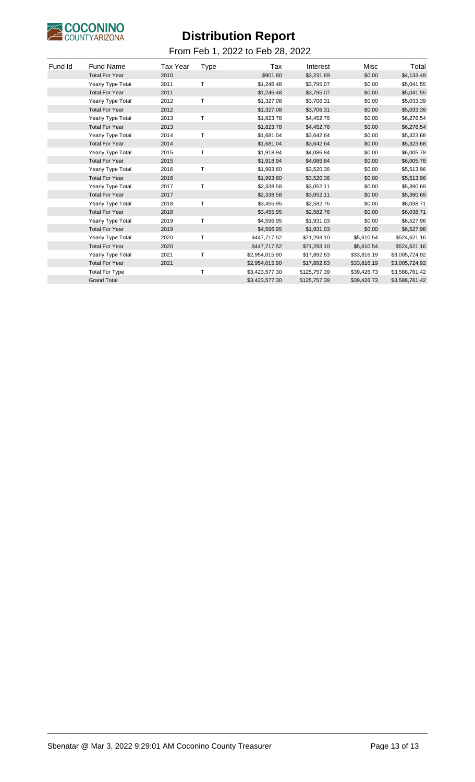

| Fund Id | <b>Fund Name</b>      | Tax Year | <b>Type</b> | Tax            | Interest     | Misc        | Total          |
|---------|-----------------------|----------|-------------|----------------|--------------|-------------|----------------|
|         | <b>Total For Year</b> | 2010     |             | \$901.80       | \$3,231.69   | \$0.00      | \$4,133.49     |
|         | Yearly Type Total     | 2011     | T           | \$1,246.48     | \$3,795.07   | \$0.00      | \$5,041.55     |
|         | <b>Total For Year</b> | 2011     |             | \$1,246.48     | \$3,795.07   | \$0.00      | \$5,041.55     |
|         | Yearly Type Total     | 2012     | T           | \$1,327.08     | \$3,706.31   | \$0.00      | \$5,033.39     |
|         | <b>Total For Year</b> | 2012     |             | \$1,327.08     | \$3,706.31   | \$0.00      | \$5,033.39     |
|         | Yearly Type Total     | 2013     | т           | \$1,823.78     | \$4,452.76   | \$0.00      | \$6,276.54     |
|         | <b>Total For Year</b> | 2013     |             | \$1,823.78     | \$4,452.76   | \$0.00      | \$6,276.54     |
|         | Yearly Type Total     | 2014     | Т           | \$1,681.04     | \$3,642.64   | \$0.00      | \$5,323.68     |
|         | <b>Total For Year</b> | 2014     |             | \$1,681.04     | \$3,642.64   | \$0.00      | \$5,323.68     |
|         | Yearly Type Total     | 2015     | T           | \$1,918.94     | \$4,086.84   | \$0.00      | \$6,005.78     |
|         | <b>Total For Year</b> | 2015     |             | \$1,918.94     | \$4,086.84   | \$0.00      | \$6,005.78     |
|         | Yearly Type Total     | 2016     | Т           | \$1,993.60     | \$3,520.36   | \$0.00      | \$5,513.96     |
|         | <b>Total For Year</b> | 2016     |             | \$1,993.60     | \$3,520.36   | \$0.00      | \$5,513.96     |
|         | Yearly Type Total     | 2017     | Τ           | \$2,338.58     | \$3,052.11   | \$0.00      | \$5,390.69     |
|         | <b>Total For Year</b> | 2017     |             | \$2,338.58     | \$3,052.11   | \$0.00      | \$5,390.69     |
|         | Yearly Type Total     | 2018     | T           | \$3,455.95     | \$2,582.76   | \$0.00      | \$6,038.71     |
|         | <b>Total For Year</b> | 2018     |             | \$3,455.95     | \$2,582.76   | \$0.00      | \$6,038.71     |
|         | Yearly Type Total     | 2019     | Т           | \$4,596.95     | \$1,931.03   | \$0.00      | \$6,527.98     |
|         | <b>Total For Year</b> | 2019     |             | \$4,596.95     | \$1,931.03   | \$0.00      | \$6,527.98     |
|         | Yearly Type Total     | 2020     | т           | \$447,717.52   | \$71,293.10  | \$5,610.54  | \$524,621.16   |
|         | <b>Total For Year</b> | 2020     |             | \$447,717.52   | \$71,293.10  | \$5,610.54  | \$524,621.16   |
|         | Yearly Type Total     | 2021     | Т           | \$2,954,015.90 | \$17,892.83  | \$33,816.19 | \$3,005,724.92 |
|         | <b>Total For Year</b> | 2021     |             | \$2,954,015.90 | \$17,892.83  | \$33,816.19 | \$3,005,724.92 |
|         | <b>Total For Type</b> |          | T           | \$3,423,577.30 | \$125,757.39 | \$39,426.73 | \$3,588,761.42 |
|         | <b>Grand Total</b>    |          |             | \$3,423,577.30 | \$125,757.39 | \$39,426.73 | \$3,588,761.42 |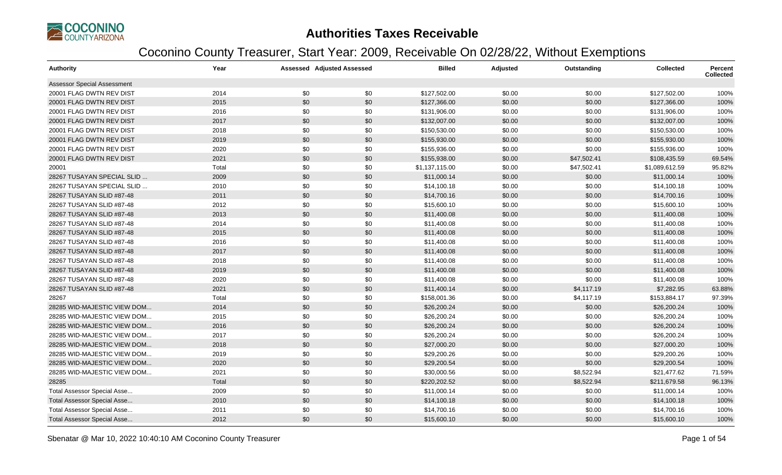

| Authority                          | Year  |     | <b>Assessed Adjusted Assessed</b> | <b>Billed</b>  | <b>Adjusted</b> | Outstanding | <b>Collected</b> | <b>Percent</b><br><b>Collected</b> |
|------------------------------------|-------|-----|-----------------------------------|----------------|-----------------|-------------|------------------|------------------------------------|
| Assessor Special Assessment        |       |     |                                   |                |                 |             |                  |                                    |
| 20001 FLAG DWTN REV DIST           | 2014  | \$0 | \$0                               | \$127,502.00   | \$0.00          | \$0.00      | \$127,502.00     | 100%                               |
| 20001 FLAG DWTN REV DIST           | 2015  | \$0 | \$0                               | \$127,366.00   | \$0.00          | \$0.00      | \$127,366.00     | 100%                               |
| 20001 FLAG DWTN REV DIST           | 2016  | \$0 | \$0                               | \$131,906.00   | \$0.00          | \$0.00      | \$131,906.00     | 100%                               |
| 20001 FLAG DWTN REV DIST           | 2017  | \$0 | \$0                               | \$132,007.00   | \$0.00          | \$0.00      | \$132,007.00     | 100%                               |
| 20001 FLAG DWTN REV DIST           | 2018  | \$0 | \$0                               | \$150,530.00   | \$0.00          | \$0.00      | \$150,530.00     | 100%                               |
| 20001 FLAG DWTN REV DIST           | 2019  | \$0 | \$0                               | \$155,930.00   | \$0.00          | \$0.00      | \$155,930.00     | 100%                               |
| 20001 FLAG DWTN REV DIST           | 2020  | \$0 | \$0                               | \$155,936.00   | \$0.00          | \$0.00      | \$155,936.00     | 100%                               |
| 20001 FLAG DWTN REV DIST           | 2021  | \$0 | \$0                               | \$155,938.00   | \$0.00          | \$47,502.41 | \$108,435.59     | 69.54%                             |
| 20001                              | Total | \$0 | \$0                               | \$1,137,115.00 | \$0.00          | \$47,502.41 | \$1,089,612.59   | 95.82%                             |
| 28267 TUSAYAN SPECIAL SLID         | 2009  | \$0 | \$0                               | \$11,000.14    | \$0.00          | \$0.00      | \$11,000.14      | 100%                               |
| 28267 TUSAYAN SPECIAL SLID         | 2010  | \$0 | \$0                               | \$14,100.18    | \$0.00          | \$0.00      | \$14,100.18      | 100%                               |
| 28267 TUSAYAN SLID #87-48          | 2011  | \$0 | \$0                               | \$14,700.16    | \$0.00          | \$0.00      | \$14,700.16      | 100%                               |
| 28267 TUSAYAN SLID #87-48          | 2012  | \$0 | \$0                               | \$15,600.10    | \$0.00          | \$0.00      | \$15,600.10      | 100%                               |
| 28267 TUSAYAN SLID #87-48          | 2013  | \$0 | \$0                               | \$11,400.08    | \$0.00          | \$0.00      | \$11,400.08      | 100%                               |
| 28267 TUSAYAN SLID #87-48          | 2014  | \$0 | \$0                               | \$11,400.08    | \$0.00          | \$0.00      | \$11,400.08      | 100%                               |
| 28267 TUSAYAN SLID #87-48          | 2015  | \$0 | \$0                               | \$11,400.08    | \$0.00          | \$0.00      | \$11,400.08      | 100%                               |
| 28267 TUSAYAN SLID #87-48          | 2016  | \$0 | \$0                               | \$11,400.08    | \$0.00          | \$0.00      | \$11,400.08      | 100%                               |
| 28267 TUSAYAN SLID #87-48          | 2017  | \$0 | \$0                               | \$11,400.08    | \$0.00          | \$0.00      | \$11,400.08      | 100%                               |
| 28267 TUSAYAN SLID #87-48          | 2018  | \$0 | \$0                               | \$11,400.08    | \$0.00          | \$0.00      | \$11,400.08      | 100%                               |
| 28267 TUSAYAN SLID #87-48          | 2019  | \$0 | \$0                               | \$11,400.08    | \$0.00          | \$0.00      | \$11,400.08      | 100%                               |
| 28267 TUSAYAN SLID #87-48          | 2020  | \$0 | \$0                               | \$11,400.08    | \$0.00          | \$0.00      | \$11,400.08      | 100%                               |
| 28267 TUSAYAN SLID #87-48          | 2021  | \$0 | \$0                               | \$11,400.14    | \$0.00          | \$4,117.19  | \$7,282.95       | 63.88%                             |
| 28267                              | Total | \$0 | \$0                               | \$158,001.36   | \$0.00          | \$4,117.19  | \$153,884.17     | 97.39%                             |
| 28285 WID-MAJESTIC VIEW DOM        | 2014  | \$0 | \$0                               | \$26,200.24    | \$0.00          | \$0.00      | \$26,200.24      | 100%                               |
| 28285 WID-MAJESTIC VIEW DOM        | 2015  | \$0 | \$0                               | \$26,200.24    | \$0.00          | \$0.00      | \$26,200.24      | 100%                               |
| 28285 WID-MAJESTIC VIEW DOM        | 2016  | \$0 | \$0                               | \$26,200.24    | \$0.00          | \$0.00      | \$26,200.24      | 100%                               |
| 28285 WID-MAJESTIC VIEW DOM        | 2017  | \$0 | \$0                               | \$26,200.24    | \$0.00          | \$0.00      | \$26,200.24      | 100%                               |
| 28285 WID-MAJESTIC VIEW DOM        | 2018  | \$0 | \$0                               | \$27,000.20    | \$0.00          | \$0.00      | \$27,000.20      | 100%                               |
| 28285 WID-MAJESTIC VIEW DOM        | 2019  | \$0 | \$0                               | \$29,200.26    | \$0.00          | \$0.00      | \$29,200.26      | 100%                               |
| 28285 WID-MAJESTIC VIEW DOM        | 2020  | \$0 | \$0                               | \$29,200.54    | \$0.00          | \$0.00      | \$29,200.54      | 100%                               |
| 28285 WID-MAJESTIC VIEW DOM        | 2021  | \$0 | \$0                               | \$30,000.56    | \$0.00          | \$8,522.94  | \$21,477.62      | 71.59%                             |
| 28285                              | Total | \$0 | \$0                               | \$220,202.52   | \$0.00          | \$8,522.94  | \$211,679.58     | 96.13%                             |
| Total Assessor Special Asse        | 2009  | \$0 | \$0                               | \$11,000.14    | \$0.00          | \$0.00      | \$11,000.14      | 100%                               |
| <b>Total Assessor Special Asse</b> | 2010  | \$0 | \$0                               | \$14,100.18    | \$0.00          | \$0.00      | \$14,100.18      | 100%                               |
| Total Assessor Special Asse        | 2011  | \$0 | \$0                               | \$14,700.16    | \$0.00          | \$0.00      | \$14,700.16      | 100%                               |
| Total Assessor Special Asse        | 2012  | \$0 | \$0                               | \$15,600.10    | \$0.00          | \$0.00      | \$15,600.10      | 100%                               |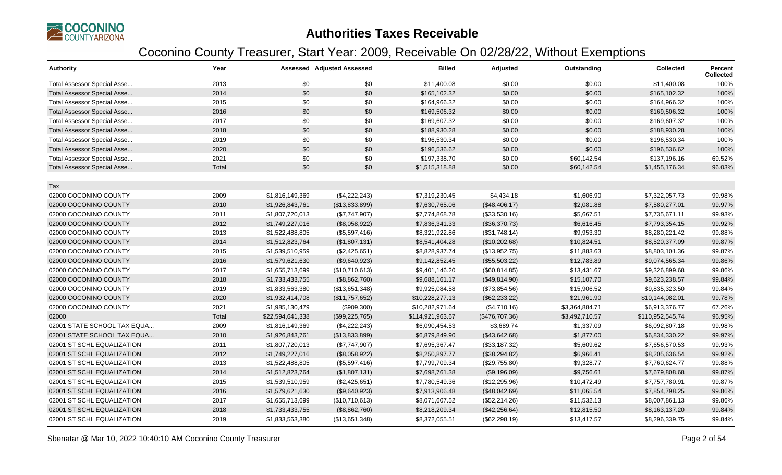

| Authority                          | Year  |                  | <b>Assessed Adjusted Assessed</b> | <b>Billed</b>    | Adjusted       | Outstanding    | <b>Collected</b> | Percent<br><b>Collected</b> |
|------------------------------------|-------|------------------|-----------------------------------|------------------|----------------|----------------|------------------|-----------------------------|
| Total Assessor Special Asse        | 2013  | \$0              | \$0                               | \$11,400.08      | \$0.00         | \$0.00         | \$11,400.08      | 100%                        |
| Total Assessor Special Asse        | 2014  | \$0              | \$0                               | \$165,102.32     | \$0.00         | \$0.00         | \$165,102.32     | 100%                        |
| Total Assessor Special Asse        | 2015  | \$0              | \$0                               | \$164,966.32     | \$0.00         | \$0.00         | \$164,966.32     | 100%                        |
| Total Assessor Special Asse        | 2016  | \$0              | \$0                               | \$169,506.32     | \$0.00         | \$0.00         | \$169,506.32     | 100%                        |
| Total Assessor Special Asse        | 2017  | \$0              | \$0                               | \$169,607.32     | \$0.00         | \$0.00         | \$169,607.32     | 100%                        |
| <b>Total Assessor Special Asse</b> | 2018  | \$0              | \$0                               | \$188,930.28     | \$0.00         | \$0.00         | \$188,930.28     | 100%                        |
| Total Assessor Special Asse        | 2019  | \$0              | \$0                               | \$196,530.34     | \$0.00         | \$0.00         | \$196,530.34     | 100%                        |
| Total Assessor Special Asse        | 2020  | \$0              | \$0                               | \$196,536.62     | \$0.00         | \$0.00         | \$196,536.62     | 100%                        |
| Total Assessor Special Asse        | 2021  | \$0              | \$0                               | \$197,338.70     | \$0.00         | \$60,142.54    | \$137,196.16     | 69.52%                      |
| <b>Total Assessor Special Asse</b> | Total | \$0              | \$0                               | \$1,515,318.88   | \$0.00         | \$60,142.54    | \$1,455,176.34   | 96.03%                      |
| Tax                                |       |                  |                                   |                  |                |                |                  |                             |
| 02000 COCONINO COUNTY              | 2009  | \$1,816,149,369  | (\$4,222,243)                     | \$7,319,230.45   | \$4,434.18     | \$1,606.90     | \$7,322,057.73   | 99.98%                      |
| 02000 COCONINO COUNTY              | 2010  | \$1,926,843,761  | (\$13,833,899)                    | \$7,630,765.06   | (\$48,406.17)  | \$2,081.88     | \$7,580,277.01   | 99.97%                      |
| 02000 COCONINO COUNTY              | 2011  | \$1,807,720,013  | (\$7,747,907)                     | \$7,774,868.78   | (\$33,530.16)  | \$5,667.51     | \$7,735,671.11   | 99.93%                      |
| 02000 COCONINO COUNTY              | 2012  | \$1,749,227,016  | (\$8,058,922)                     | \$7,836,341.33   | (\$36,370.73)  | \$6,616.45     | \$7,793,354.15   | 99.92%                      |
| 02000 COCONINO COUNTY              | 2013  | \$1,522,488,805  | (\$5,597,416)                     | \$8,321,922.86   | (\$31,748.14)  | \$9,953.30     | \$8,280,221.42   | 99.88%                      |
| 02000 COCONINO COUNTY              | 2014  | \$1,512,823,764  | (\$1,807,131)                     | \$8,541,404.28   | (\$10,202.68)  | \$10,824.51    | \$8,520,377.09   | 99.87%                      |
| 02000 COCONINO COUNTY              | 2015  | \$1,539,510,959  | (\$2,425,651)                     | \$8,828,937.74   | (\$13,952.75)  | \$11,883.63    | \$8,803,101.36   | 99.87%                      |
| 02000 COCONINO COUNTY              | 2016  | \$1,579,621,630  | (\$9,640,923)                     | \$9,142,852.45   | (\$55,503.22)  | \$12,783.89    | \$9,074,565.34   | 99.86%                      |
| 02000 COCONINO COUNTY              | 2017  | \$1,655,713,699  | (\$10,710,613)                    | \$9,401,146.20   | (\$60, 814.85) | \$13,431.67    | \$9,326,899.68   | 99.86%                      |
| 02000 COCONINO COUNTY              | 2018  | \$1,733,433,755  | (\$8,862,760)                     | \$9,688,161.17   | (\$49,814.90)  | \$15,107.70    | \$9,623,238.57   | 99.84%                      |
| 02000 COCONINO COUNTY              | 2019  | \$1,833,563,380  | (\$13,651,348)                    | \$9,925,084.58   | (\$73,854.56)  | \$15,906.52    | \$9,835,323.50   | 99.84%                      |
| 02000 COCONINO COUNTY              | 2020  | \$1,932,414,708  | (\$11,757,652)                    | \$10,228,277.13  | (\$62,233.22)  | \$21,961.90    | \$10,144,082.01  | 99.78%                      |
| 02000 COCONINO COUNTY              | 2021  | \$1,985,130,479  | (\$909,300)                       | \$10,282,971.64  | (\$4,710.16)   | \$3,364,884.71 | \$6,913,376.77   | 67.26%                      |
| 02000                              | Total | \$22,594,641,338 | (\$99,225,765)                    | \$114,921,963.67 | (\$476,707.36) | \$3,492,710.57 | \$110,952,545.74 | 96.95%                      |
| 02001 STATE SCHOOL TAX EQUA        | 2009  | \$1,816,149,369  | (\$4,222,243)                     | \$6,090,454.53   | \$3,689.74     | \$1,337.09     | \$6,092,807.18   | 99.98%                      |
| 02001 STATE SCHOOL TAX EQUA        | 2010  | \$1,926,843,761  | (\$13,833,899)                    | \$6,879,849.90   | (\$43,642.68)  | \$1,877.00     | \$6,834,330.22   | 99.97%                      |
| 02001 ST SCHL EQUALIZATION         | 2011  | \$1,807,720,013  | (\$7,747,907)                     | \$7,695,367.47   | (\$33,187.32)  | \$5,609.62     | \$7,656,570.53   | 99.93%                      |
| 02001 ST SCHL EQUALIZATION         | 2012  | \$1,749,227,016  | (\$8,058,922)                     | \$8,250,897.77   | (\$38,294.82)  | \$6,966.41     | \$8,205,636.54   | 99.92%                      |
| 02001 ST SCHL EQUALIZATION         | 2013  | \$1,522,488,805  | (\$5,597,416)                     | \$7,799,709.34   | (\$29,755.80)  | \$9,328.77     | \$7,760,624.77   | 99.88%                      |
| 02001 ST SCHL EQUALIZATION         | 2014  | \$1,512,823,764  | (\$1,807,131)                     | \$7,698,761.38   | (\$9,196.09)   | \$9,756.61     | \$7,679,808.68   | 99.87%                      |
| 02001 ST SCHL EQUALIZATION         | 2015  | \$1,539,510,959  | (\$2,425,651)                     | \$7,780,549.36   | (\$12,295.96)  | \$10,472.49    | \$7,757,780.91   | 99.87%                      |
| 02001 ST SCHL EQUALIZATION         | 2016  | \$1,579,621,630  | (\$9,640,923)                     | \$7,913,906.48   | (\$48,042.69)  | \$11,065.54    | \$7,854,798.25   | 99.86%                      |
| 02001 ST SCHL EQUALIZATION         | 2017  | \$1,655,713,699  | (\$10,710,613)                    | \$8,071,607.52   | (\$52,214.26)  | \$11,532.13    | \$8,007,861.13   | 99.86%                      |
| 02001 ST SCHL EQUALIZATION         | 2018  | \$1,733,433,755  | (\$8,862,760)                     | \$8,218,209.34   | (\$42,256.64)  | \$12,815.50    | \$8,163,137.20   | 99.84%                      |
| 02001 ST SCHL EQUALIZATION         | 2019  | \$1,833,563,380  | (\$13,651,348)                    | \$8,372,055.51   | (\$62,298.19)  | \$13,417.57    | \$8,296,339.75   | 99.84%                      |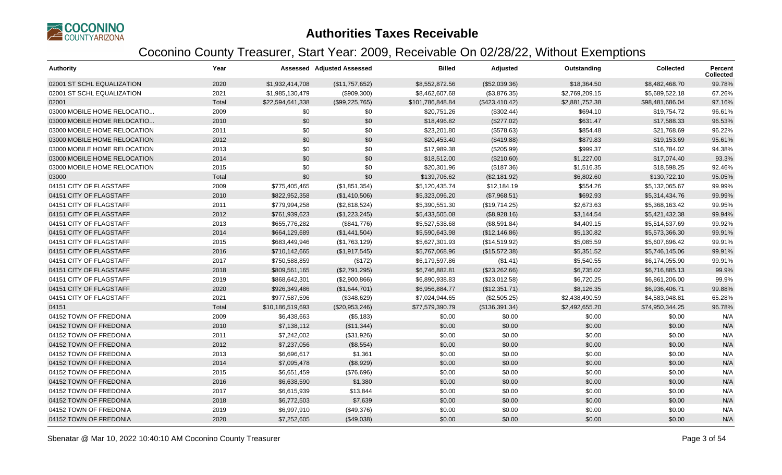

| <b>Authority</b>             | Year  |                  | <b>Assessed Adjusted Assessed</b> | <b>Billed</b>    | Adjusted       | Outstanding    | <b>Collected</b> | <b>Percent</b><br><b>Collected</b> |
|------------------------------|-------|------------------|-----------------------------------|------------------|----------------|----------------|------------------|------------------------------------|
| 02001 ST SCHL EQUALIZATION   | 2020  | \$1,932,414,708  | (\$11,757,652)                    | \$8,552,872.56   | (\$52,039.36)  | \$18,364.50    | \$8,482,468.70   | 99.78%                             |
| 02001 ST SCHL EQUALIZATION   | 2021  | \$1,985,130,479  | (\$909,300)                       | \$8,462,607.68   | (\$3,876.35)   | \$2,769,209.15 | \$5,689,522.18   | 67.26%                             |
| 02001                        | Total | \$22,594,641,338 | (\$99,225,765)                    | \$101,786,848.84 | (\$423,410.42) | \$2,881,752.38 | \$98,481,686.04  | 97.16%                             |
| 03000 MOBILE HOME RELOCATIO  | 2009  | \$0              | \$0                               | \$20,751.26      | (\$302.44)     | \$694.10       | \$19,754.72      | 96.61%                             |
| 03000 MOBILE HOME RELOCATIO  | 2010  | \$0              | \$0                               | \$18,496.82      | (\$277.02)     | \$631.47       | \$17,588.33      | 96.53%                             |
| 03000 MOBILE HOME RELOCATION | 2011  | \$0              | \$0                               | \$23,201.80      | (\$578.63)     | \$854.48       | \$21,768.69      | 96.22%                             |
| 03000 MOBILE HOME RELOCATION | 2012  | \$0              | \$0                               | \$20,453.40      | (\$419.88)     | \$879.83       | \$19,153.69      | 95.61%                             |
| 03000 MOBILE HOME RELOCATION | 2013  | \$0              | \$0                               | \$17,989.38      | (\$205.99)     | \$999.37       | \$16,784.02      | 94.38%                             |
| 03000 MOBILE HOME RELOCATION | 2014  | \$0              | \$0                               | \$18,512.00      | (\$210.60)     | \$1,227.00     | \$17,074.40      | 93.3%                              |
| 03000 MOBILE HOME RELOCATION | 2015  | \$0              | \$0                               | \$20,301.96      | (\$187.36)     | \$1,516.35     | \$18,598.25      | 92.46%                             |
| 03000                        | Total | \$0              | \$0                               | \$139,706.62     | (\$2,181.92)   | \$6,802.60     | \$130,722.10     | 95.05%                             |
| 04151 CITY OF FLAGSTAFF      | 2009  | \$775,405,465    | (\$1,851,354)                     | \$5,120,435.74   | \$12,184.19    | \$554.26       | \$5,132,065.67   | 99.99%                             |
| 04151 CITY OF FLAGSTAFF      | 2010  | \$822,952,358    | (\$1,410,506)                     | \$5,323,096.20   | (\$7,968.51)   | \$692.93       | \$5,314,434.76   | 99.99%                             |
| 04151 CITY OF FLAGSTAFF      | 2011  | \$779,994,258    | (\$2,818,524)                     | \$5,390,551.30   | (\$19,714.25)  | \$2,673.63     | \$5,368,163.42   | 99.95%                             |
| 04151 CITY OF FLAGSTAFF      | 2012  | \$761,939,623    | (\$1,223,245)                     | \$5,433,505.08   | (\$8,928.16)   | \$3,144.54     | \$5,421,432.38   | 99.94%                             |
| 04151 CITY OF FLAGSTAFF      | 2013  | \$655,776,282    | (\$841,776)                       | \$5,527,538.68   | (\$8,591.84)   | \$4,409.15     | \$5,514,537.69   | 99.92%                             |
| 04151 CITY OF FLAGSTAFF      | 2014  | \$664,129,689    | (\$1,441,504)                     | \$5,590,643.98   | (\$12,146.86)  | \$5,130.82     | \$5,573,366.30   | 99.91%                             |
| 04151 CITY OF FLAGSTAFF      | 2015  | \$683,449,946    | (\$1,763,129)                     | \$5,627,301.93   | (\$14,519.92)  | \$5,085.59     | \$5,607,696.42   | 99.91%                             |
| 04151 CITY OF FLAGSTAFF      | 2016  | \$710,142,665    | (\$1,917,545)                     | \$5,767,068.96   | (\$15,572.38)  | \$5,351.52     | \$5,746,145.06   | 99.91%                             |
| 04151 CITY OF FLAGSTAFF      | 2017  | \$750,588,859    | (\$172)                           | \$6,179,597.86   | (\$1.41)       | \$5,540.55     | \$6,174,055.90   | 99.91%                             |
| 04151 CITY OF FLAGSTAFF      | 2018  | \$809,561,165    | (\$2,791,295)                     | \$6,746,882.81   | (\$23,262.66)  | \$6,735.02     | \$6,716,885.13   | 99.9%                              |
| 04151 CITY OF FLAGSTAFF      | 2019  | \$868,642,301    | (\$2,900,866)                     | \$6,890,938.83   | (\$23,012.58)  | \$6,720.25     | \$6,861,206.00   | 99.9%                              |
| 04151 CITY OF FLAGSTAFF      | 2020  | \$926,349,486    | (\$1,644,701)                     | \$6,956,884.77   | (\$12,351.71)  | \$8,126.35     | \$6,936,406.71   | 99.88%                             |
| 04151 CITY OF FLAGSTAFF      | 2021  | \$977,587,596    | (\$348,629)                       | \$7,024,944.65   | (\$2,505.25)   | \$2,438,490.59 | \$4,583,948.81   | 65.28%                             |
| 04151                        | Total | \$10,186,519,693 | (\$20,953,246)                    | \$77,579,390.79  | (\$136,391.34) | \$2,492,655.20 | \$74,950,344.25  | 96.78%                             |
| 04152 TOWN OF FREDONIA       | 2009  | \$6,438,663      | (\$5,183)                         | \$0.00           | \$0.00         | \$0.00         | \$0.00           | N/A                                |
| 04152 TOWN OF FREDONIA       | 2010  | \$7,138,112      | (\$11,344)                        | \$0.00           | \$0.00         | \$0.00         | \$0.00           | N/A                                |
| 04152 TOWN OF FREDONIA       | 2011  | \$7,242,002      | (\$31,926)                        | \$0.00           | \$0.00         | \$0.00         | \$0.00           | N/A                                |
| 04152 TOWN OF FREDONIA       | 2012  | \$7,237,056      | (\$8,554)                         | \$0.00           | \$0.00         | \$0.00         | \$0.00           | N/A                                |
| 04152 TOWN OF FREDONIA       | 2013  | \$6,696,617      | \$1,361                           | \$0.00           | \$0.00         | \$0.00         | \$0.00           | N/A                                |
| 04152 TOWN OF FREDONIA       | 2014  | \$7,095,478      | (\$8,929)                         | \$0.00           | \$0.00         | \$0.00         | \$0.00           | N/A                                |
| 04152 TOWN OF FREDONIA       | 2015  | \$6,651,459      | (\$76,696)                        | \$0.00           | \$0.00         | \$0.00         | \$0.00           | N/A                                |
| 04152 TOWN OF FREDONIA       | 2016  | \$6,638,590      | \$1,380                           | \$0.00           | \$0.00         | \$0.00         | \$0.00           | N/A                                |
| 04152 TOWN OF FREDONIA       | 2017  | \$6,615,939      | \$13,844                          | \$0.00           | \$0.00         | \$0.00         | \$0.00           | N/A                                |
| 04152 TOWN OF FREDONIA       | 2018  | \$6,772,503      | \$7,639                           | \$0.00           | \$0.00         | \$0.00         | \$0.00           | N/A                                |
| 04152 TOWN OF FREDONIA       | 2019  | \$6,997,910      | (\$49,376)                        | \$0.00           | \$0.00         | \$0.00         | \$0.00           | N/A                                |
| 04152 TOWN OF FREDONIA       | 2020  | \$7,252,605      | (\$49,038)                        | \$0.00           | \$0.00         | \$0.00         | \$0.00           | N/A                                |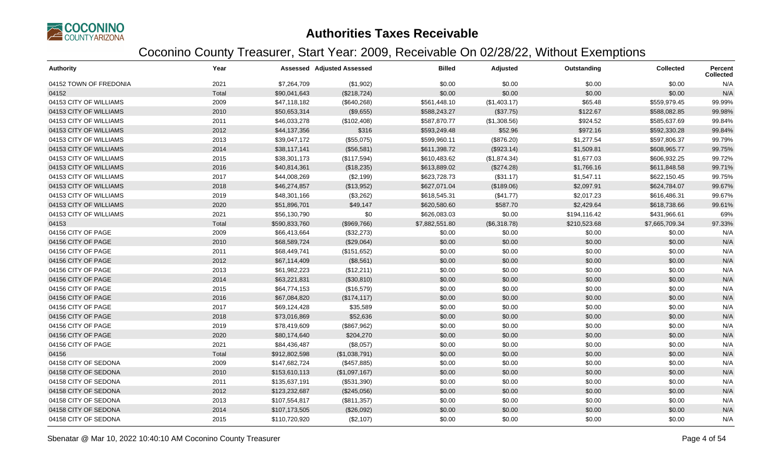

| <b>Authority</b>       | Year  |               | <b>Assessed Adjusted Assessed</b> | <b>Billed</b>  | Adjusted     | Outstanding  | <b>Collected</b> | Percent<br><b>Collected</b> |
|------------------------|-------|---------------|-----------------------------------|----------------|--------------|--------------|------------------|-----------------------------|
| 04152 TOWN OF FREDONIA | 2021  | \$7,264,709   | (\$1,902)                         | \$0.00         | \$0.00       | \$0.00       | \$0.00           | N/A                         |
| 04152                  | Total | \$90,041,643  | (\$218,724)                       | \$0.00         | \$0.00       | \$0.00       | \$0.00           | N/A                         |
| 04153 CITY OF WILLIAMS | 2009  | \$47,118,182  | (\$640,268)                       | \$561,448.10   | (\$1,403.17) | \$65.48      | \$559,979.45     | 99.99%                      |
| 04153 CITY OF WILLIAMS | 2010  | \$50,653,314  | (\$9,655)                         | \$588,243.27   | (\$37.75)    | \$122.67     | \$588,082.85     | 99.98%                      |
| 04153 CITY OF WILLIAMS | 2011  | \$46,033,278  | (\$102,408)                       | \$587,870.77   | (\$1,308.56) | \$924.52     | \$585,637.69     | 99.84%                      |
| 04153 CITY OF WILLIAMS | 2012  | \$44,137,356  | \$316                             | \$593,249.48   | \$52.96      | \$972.16     | \$592,330.28     | 99.84%                      |
| 04153 CITY OF WILLIAMS | 2013  | \$39,047,172  | (\$55,075)                        | \$599,960.11   | (\$876.20)   | \$1,277.54   | \$597,806.37     | 99.79%                      |
| 04153 CITY OF WILLIAMS | 2014  | \$38,117,141  | (\$56,581)                        | \$611,398.72   | (\$923.14)   | \$1,509.81   | \$608,965.77     | 99.75%                      |
| 04153 CITY OF WILLIAMS | 2015  | \$38,301,173  | (\$117,594)                       | \$610,483.62   | (\$1,874.34) | \$1,677.03   | \$606,932.25     | 99.72%                      |
| 04153 CITY OF WILLIAMS | 2016  | \$40,814,361  | (\$18,235)                        | \$613,889.02   | (\$274.28)   | \$1,766.16   | \$611,848.58     | 99.71%                      |
| 04153 CITY OF WILLIAMS | 2017  | \$44,008,269  | (\$2,199)                         | \$623,728.73   | (\$31.17)    | \$1,547.11   | \$622,150.45     | 99.75%                      |
| 04153 CITY OF WILLIAMS | 2018  | \$46,274,857  | (\$13,952)                        | \$627,071.04   | (\$189.06)   | \$2,097.91   | \$624,784.07     | 99.67%                      |
| 04153 CITY OF WILLIAMS | 2019  | \$48,301,166  | (\$3,262)                         | \$618,545.31   | (\$41.77)    | \$2,017.23   | \$616,486.31     | 99.67%                      |
| 04153 CITY OF WILLIAMS | 2020  | \$51,896,701  | \$49,147                          | \$620,580.60   | \$587.70     | \$2,429.64   | \$618,738.66     | 99.61%                      |
| 04153 CITY OF WILLIAMS | 2021  | \$56,130,790  | \$0                               | \$626,083.03   | \$0.00       | \$194,116.42 | \$431,966.61     | 69%                         |
| 04153                  | Total | \$590,833,760 | (\$969,766)                       | \$7,882,551.80 | (\$6,318.78) | \$210,523.68 | \$7,665,709.34   | 97.33%                      |
| 04156 CITY OF PAGE     | 2009  | \$66,413,664  | (\$32,273)                        | \$0.00         | \$0.00       | \$0.00       | \$0.00           | N/A                         |
| 04156 CITY OF PAGE     | 2010  | \$68,589,724  | (\$29,064)                        | \$0.00         | \$0.00       | \$0.00       | \$0.00           | N/A                         |
| 04156 CITY OF PAGE     | 2011  | \$68,449,741  | (\$151,652)                       | \$0.00         | \$0.00       | \$0.00       | \$0.00           | N/A                         |
| 04156 CITY OF PAGE     | 2012  | \$67,114,409  | (\$8,561)                         | \$0.00         | \$0.00       | \$0.00       | \$0.00           | N/A                         |
| 04156 CITY OF PAGE     | 2013  | \$61,982,223  | (\$12,211)                        | \$0.00         | \$0.00       | \$0.00       | \$0.00           | N/A                         |
| 04156 CITY OF PAGE     | 2014  | \$63,221,831  | (\$30, 810)                       | \$0.00         | \$0.00       | \$0.00       | \$0.00           | N/A                         |
| 04156 CITY OF PAGE     | 2015  | \$64,774,153  | (\$16,579)                        | \$0.00         | \$0.00       | \$0.00       | \$0.00           | N/A                         |
| 04156 CITY OF PAGE     | 2016  | \$67,084,820  | (\$174, 117)                      | \$0.00         | \$0.00       | \$0.00       | \$0.00           | N/A                         |
| 04156 CITY OF PAGE     | 2017  | \$69,124,428  | \$35,589                          | \$0.00         | \$0.00       | \$0.00       | \$0.00           | N/A                         |
| 04156 CITY OF PAGE     | 2018  | \$73,016,869  | \$52,636                          | \$0.00         | \$0.00       | \$0.00       | \$0.00           | N/A                         |
| 04156 CITY OF PAGE     | 2019  | \$78,419,609  | (\$867,962)                       | \$0.00         | \$0.00       | \$0.00       | \$0.00           | N/A                         |
| 04156 CITY OF PAGE     | 2020  | \$80,174,640  | \$204,270                         | \$0.00         | \$0.00       | \$0.00       | \$0.00           | N/A                         |
| 04156 CITY OF PAGE     | 2021  | \$84,436,487  | (\$8,057)                         | \$0.00         | \$0.00       | \$0.00       | \$0.00           | N/A                         |
| 04156                  | Total | \$912,802,598 | (\$1,038,791)                     | \$0.00         | \$0.00       | \$0.00       | \$0.00           | N/A                         |
| 04158 CITY OF SEDONA   | 2009  | \$147,682,724 | (\$457,885)                       | \$0.00         | \$0.00       | \$0.00       | \$0.00           | N/A                         |
| 04158 CITY OF SEDONA   | 2010  | \$153,610,113 | (\$1,097,167)                     | \$0.00         | \$0.00       | \$0.00       | \$0.00           | N/A                         |
| 04158 CITY OF SEDONA   | 2011  | \$135,637,191 | (\$531,390)                       | \$0.00         | \$0.00       | \$0.00       | \$0.00           | N/A                         |
| 04158 CITY OF SEDONA   | 2012  | \$123,232,687 | (\$245,056)                       | \$0.00         | \$0.00       | \$0.00       | \$0.00           | N/A                         |
| 04158 CITY OF SEDONA   | 2013  | \$107,554,817 | (\$811,357)                       | \$0.00         | \$0.00       | \$0.00       | \$0.00           | N/A                         |
| 04158 CITY OF SEDONA   | 2014  | \$107,173,505 | (\$26,092)                        | \$0.00         | \$0.00       | \$0.00       | \$0.00           | N/A                         |
| 04158 CITY OF SEDONA   | 2015  | \$110,720,920 | (\$2,107)                         | \$0.00         | \$0.00       | \$0.00       | \$0.00           | N/A                         |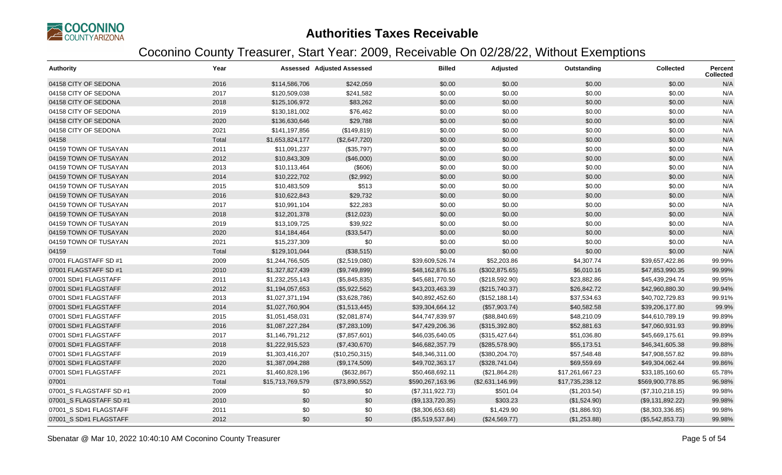

| <b>Authority</b>        | Year  |                  | <b>Assessed Adjusted Assessed</b> | <b>Billed</b>    | Adjusted         | Outstanding     | Collected        | <b>Percent</b><br><b>Collected</b> |
|-------------------------|-------|------------------|-----------------------------------|------------------|------------------|-----------------|------------------|------------------------------------|
| 04158 CITY OF SEDONA    | 2016  | \$114,586,706    | \$242,059                         | \$0.00           | \$0.00           | \$0.00          | \$0.00           | N/A                                |
| 04158 CITY OF SEDONA    | 2017  | \$120,509,038    | \$241,582                         | \$0.00           | \$0.00           | \$0.00          | \$0.00           | N/A                                |
| 04158 CITY OF SEDONA    | 2018  | \$125,106,972    | \$83,262                          | \$0.00           | \$0.00           | \$0.00          | \$0.00           | N/A                                |
| 04158 CITY OF SEDONA    | 2019  | \$130,181,002    | \$76,462                          | \$0.00           | \$0.00           | \$0.00          | \$0.00           | N/A                                |
| 04158 CITY OF SEDONA    | 2020  | \$136,630,646    | \$29,788                          | \$0.00           | \$0.00           | \$0.00          | \$0.00           | N/A                                |
| 04158 CITY OF SEDONA    | 2021  | \$141,197,856    | (\$149,819)                       | \$0.00           | \$0.00           | \$0.00          | \$0.00           | N/A                                |
| 04158                   | Total | \$1,653,824,177  | (\$2,647,720)                     | \$0.00           | \$0.00           | \$0.00          | \$0.00           | N/A                                |
| 04159 TOWN OF TUSAYAN   | 2011  | \$11,091,237     | (\$35,797)                        | \$0.00           | \$0.00           | \$0.00          | \$0.00           | N/A                                |
| 04159 TOWN OF TUSAYAN   | 2012  | \$10,843,309     | (\$46,000)                        | \$0.00           | \$0.00           | \$0.00          | \$0.00           | N/A                                |
| 04159 TOWN OF TUSAYAN   | 2013  | \$10,113,464     | (\$606)                           | \$0.00           | \$0.00           | \$0.00          | \$0.00           | N/A                                |
| 04159 TOWN OF TUSAYAN   | 2014  | \$10,222,702     | (\$2,992)                         | \$0.00           | \$0.00           | \$0.00          | \$0.00           | N/A                                |
| 04159 TOWN OF TUSAYAN   | 2015  | \$10,483,509     | \$513                             | \$0.00           | \$0.00           | \$0.00          | \$0.00           | N/A                                |
| 04159 TOWN OF TUSAYAN   | 2016  | \$10,622,843     | \$29,732                          | \$0.00           | \$0.00           | \$0.00          | \$0.00           | N/A                                |
| 04159 TOWN OF TUSAYAN   | 2017  | \$10,991,104     | \$22,283                          | \$0.00           | \$0.00           | \$0.00          | \$0.00           | N/A                                |
| 04159 TOWN OF TUSAYAN   | 2018  | \$12,201,378     | (\$12,023)                        | \$0.00           | \$0.00           | \$0.00          | \$0.00           | N/A                                |
| 04159 TOWN OF TUSAYAN   | 2019  | \$13,109,725     | \$39,922                          | \$0.00           | \$0.00           | \$0.00          | \$0.00           | N/A                                |
| 04159 TOWN OF TUSAYAN   | 2020  | \$14,184,464     | (\$33,547)                        | \$0.00           | \$0.00           | \$0.00          | \$0.00           | N/A                                |
| 04159 TOWN OF TUSAYAN   | 2021  | \$15,237,309     | \$0                               | \$0.00           | \$0.00           | \$0.00          | \$0.00           | N/A                                |
| 04159                   | Total | \$129,101,044    | (\$38,515)                        | \$0.00           | \$0.00           | \$0.00          | \$0.00           | N/A                                |
| 07001 FLAGSTAFF SD #1   | 2009  | \$1,244,766,505  | (\$2,519,080)                     | \$39,609,526.74  | \$52,203.86      | \$4,307.74      | \$39,657,422.86  | 99.99%                             |
| 07001 FLAGSTAFF SD #1   | 2010  | \$1,327,827,439  | (\$9,749,899)                     | \$48,162,876.16  | (\$302,875.65)   | \$6,010.16      | \$47,853,990.35  | 99.99%                             |
| 07001 SD#1 FLAGSTAFF    | 2011  | \$1,232,255,143  | (\$5,845,835)                     | \$45,681,770.50  | (\$218,592.90)   | \$23,882.86     | \$45,439,294.74  | 99.95%                             |
| 07001 SD#1 FLAGSTAFF    | 2012  | \$1,194,057,653  | (\$5,922,562)                     | \$43,203,463.39  | (\$215,740.37)   | \$26,842.72     | \$42,960,880.30  | 99.94%                             |
| 07001 SD#1 FLAGSTAFF    | 2013  | \$1,027,371,194  | (\$3,628,786)                     | \$40,892,452.60  | (\$152, 188.14)  | \$37,534.63     | \$40,702,729.83  | 99.91%                             |
| 07001 SD#1 FLAGSTAFF    | 2014  | \$1,027,760,904  | (\$1,513,445)                     | \$39,304,664.12  | (\$57,903.74)    | \$40,582.58     | \$39,206,177.80  | 99.9%                              |
| 07001 SD#1 FLAGSTAFF    | 2015  | \$1,051,458,031  | (\$2,081,874)                     | \$44,747,839.97  | (\$88, 840.69)   | \$48,210.09     | \$44,610,789.19  | 99.89%                             |
| 07001 SD#1 FLAGSTAFF    | 2016  | \$1,087,227,284  | (\$7,283,109)                     | \$47,429,206.36  | (\$315,392.80)   | \$52,881.63     | \$47,060,931.93  | 99.89%                             |
| 07001 SD#1 FLAGSTAFF    | 2017  | \$1,146,791,212  | (\$7,857,601)                     | \$46,035,640.05  | (\$315,427.64)   | \$51,036.80     | \$45,669,175.61  | 99.89%                             |
| 07001 SD#1 FLAGSTAFF    | 2018  | \$1,222,915,523  | (\$7,430,670)                     | \$46,682,357.79  | (\$285,578.90)   | \$55,173.51     | \$46,341,605.38  | 99.88%                             |
| 07001 SD#1 FLAGSTAFF    | 2019  | \$1,303,416,207  | (\$10,250,315)                    | \$48,346,311.00  | (\$380, 204.70)  | \$57,548.48     | \$47,908,557.82  | 99.88%                             |
| 07001 SD#1 FLAGSTAFF    | 2020  | \$1,387,094,288  | (\$9,174,509)                     | \$49,702,363.17  | (\$328,741.04)   | \$69,559.69     | \$49,304,062.44  | 99.86%                             |
| 07001 SD#1 FLAGSTAFF    | 2021  | \$1,460,828,196  | (\$632,867)                       | \$50,468,692.11  | (\$21,864.28)    | \$17,261,667.23 | \$33,185,160.60  | 65.78%                             |
| 07001                   | Total | \$15,713,769,579 | (\$73,890,552)                    | \$590,267,163.96 | (\$2,631,146.99) | \$17,735,238.12 | \$569,900,778.85 | 96.98%                             |
| 07001_S FLAGSTAFF SD #1 | 2009  | \$0              | \$0                               | (\$7,311,922.73) | \$501.04         | (\$1,203.54)    | (\$7,310,218.15) | 99.98%                             |
| 07001 S FLAGSTAFF SD #1 | 2010  | \$0              | \$0                               | (\$9,133,720.35) | \$303.23         | (\$1,524.90)    | (\$9,131,892.22) | 99.98%                             |
| 07001_S SD#1 FLAGSTAFF  | 2011  | \$0              | \$0                               | (\$8,306,653.68) | \$1,429.90       | (\$1,886.93)    | (\$8,303,336.85) | 99.98%                             |
| 07001_S SD#1 FLAGSTAFF  | 2012  | \$0              | \$0                               | (\$5,519,537.84) | (\$24,569.77)    | (\$1,253.88)    | (\$5,542,853.73) | 99.98%                             |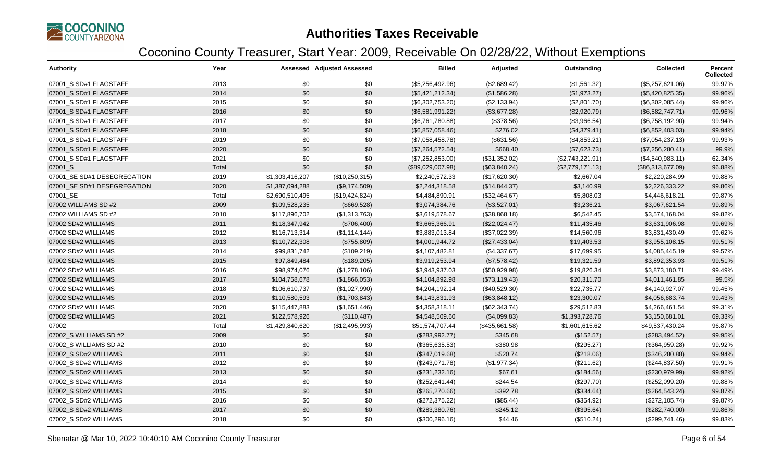

| Authority                   | Year  |                 | <b>Assessed Adjusted Assessed</b> | <b>Billed</b>     | Adjusted       | Outstanding      | <b>Collected</b>  | Percent<br><b>Collected</b> |
|-----------------------------|-------|-----------------|-----------------------------------|-------------------|----------------|------------------|-------------------|-----------------------------|
| 07001_S SD#1 FLAGSTAFF      | 2013  | \$0             | \$0                               | (\$5,256,492.96)  | (\$2,689.42)   | (\$1,561.32)     | (\$5,257,621.06)  | 99.97%                      |
| 07001 S SD#1 FLAGSTAFF      | 2014  | \$0             | \$0                               | (\$5,421,212.34)  | (\$1,586.28)   | (\$1,973.27)     | (\$5,420,825.35)  | 99.96%                      |
| 07001_S SD#1 FLAGSTAFF      | 2015  | \$0             | \$0                               | (\$6,302,753.20)  | (\$2,133.94)   | (\$2,801.70)     | (\$6,302,085.44)  | 99.96%                      |
| 07001 S SD#1 FLAGSTAFF      | 2016  | \$0             | \$0                               | (\$6,581,991.22)  | (\$3,677.28)   | (\$2,920.79)     | (\$6,582,747.71)  | 99.96%                      |
| 07001 S SD#1 FLAGSTAFF      | 2017  | \$0             | \$0                               | (\$6,761,780.88)  | (\$378.56)     | (\$3,966.54)     | (\$6,758,192.90)  | 99.94%                      |
| 07001_S SD#1 FLAGSTAFF      | 2018  | \$0             | \$0                               | (\$6,857,058.46)  | \$276.02       | (\$4,379.41)     | (\$6,852,403.03)  | 99.94%                      |
| 07001_S SD#1 FLAGSTAFF      | 2019  | \$0             | \$0                               | (\$7,058,458.78)  | (\$631.56)     | (\$4,853.21)     | (\$7,054,237.13)  | 99.93%                      |
| 07001 S SD#1 FLAGSTAFF      | 2020  | \$0             | \$0                               | (\$7,264,572.54)  | \$668.40       | (\$7,623.73)     | (\$7,256,280.41)  | 99.9%                       |
| 07001_S SD#1 FLAGSTAFF      | 2021  | \$0             | \$0                               | (\$7,252,853.00)  | (\$31,352.02)  | (\$2,743,221.91) | (\$4,540,983.11)  | 62.34%                      |
| 07001_S                     | Total | \$0             | \$0                               | (\$89,029,007.98) | (\$63,840.24)  | (\$2,779,171.13) | (\$86,313,677.09) | 96.88%                      |
| 07001 SE SD#1 DESEGREGATION | 2019  | \$1,303,416,207 | (\$10,250,315)                    | \$2,240,572.33    | (\$17,620.30)  | \$2,667.04       | \$2,220,284.99    | 99.88%                      |
| 07001_SE SD#1 DESEGREGATION | 2020  | \$1,387,094,288 | (\$9,174,509)                     | \$2,244,318.58    | (\$14,844.37)  | \$3,140.99       | \$2,226,333.22    | 99.86%                      |
| 07001_SE                    | Total | \$2,690,510,495 | (\$19,424,824)                    | \$4,484,890.91    | (\$32,464.67)  | \$5,808.03       | \$4,446,618.21    | 99.87%                      |
| 07002 WILLIAMS SD #2        | 2009  | \$109,528,235   | (\$669,528)                       | \$3,074,384.76    | (\$3,527.01)   | \$3,236.21       | \$3,067,621.54    | 99.89%                      |
| 07002 WILLIAMS SD #2        | 2010  | \$117,896,702   | (\$1,313,763)                     | \$3,619,578.67    | (\$38,868.18)  | \$6,542.45       | \$3,574,168.04    | 99.82%                      |
| 07002 SD#2 WILLIAMS         | 2011  | \$118,347,942   | (\$706,400)                       | \$3,665,366.91    | (\$22,024.47)  | \$11,435.46      | \$3,631,906.98    | 99.69%                      |
| 07002 SD#2 WILLIAMS         | 2012  | \$116,713,314   | (\$1,114,144)                     | \$3,883,013.84    | (\$37,022.39)  | \$14,560.96      | \$3,831,430.49    | 99.62%                      |
| 07002 SD#2 WILLIAMS         | 2013  | \$110,722,308   | (\$755,809)                       | \$4,001,944.72    | (\$27,433.04)  | \$19,403.53      | \$3,955,108.15    | 99.51%                      |
| 07002 SD#2 WILLIAMS         | 2014  | \$99,831,742    | (\$109,219)                       | \$4,107,482.81    | (\$4,337.67)   | \$17,699.95      | \$4,085,445.19    | 99.57%                      |
| 07002 SD#2 WILLIAMS         | 2015  | \$97,849,484    | (\$189,205)                       | \$3,919,253.94    | (\$7,578.42)   | \$19,321.59      | \$3,892,353.93    | 99.51%                      |
| 07002 SD#2 WILLIAMS         | 2016  | \$98,974,076    | (\$1,278,106)                     | \$3,943,937.03    | (\$50,929.98)  | \$19,826.34      | \$3,873,180.71    | 99.49%                      |
| 07002 SD#2 WILLIAMS         | 2017  | \$104,758,678   | (\$1,866,053)                     | \$4,104,892.98    | (\$73,119.43)  | \$20,311.70      | \$4,011,461.85    | 99.5%                       |
| 07002 SD#2 WILLIAMS         | 2018  | \$106,610,737   | (\$1,027,990)                     | \$4,204,192.14    | (\$40,529.30)  | \$22,735.77      | \$4,140,927.07    | 99.45%                      |
| 07002 SD#2 WILLIAMS         | 2019  | \$110,580,593   | (\$1,703,843)                     | \$4,143,831.93    | (\$63,848.12)  | \$23,300.07      | \$4,056,683.74    | 99.43%                      |
| 07002 SD#2 WILLIAMS         | 2020  | \$115,447,883   | (\$1,651,446)                     | \$4,358,318.11    | (\$62,343.74)  | \$29,512.83      | \$4,266,461.54    | 99.31%                      |
| 07002 SD#2 WILLIAMS         | 2021  | \$122,578,926   | (\$110,487)                       | \$4,548,509.60    | (\$4,099.83)   | \$1,393,728.76   | \$3,150,681.01    | 69.33%                      |
| 07002                       | Total | \$1,429,840,620 | (\$12,495,993)                    | \$51,574,707.44   | (\$435,661.58) | \$1,601,615.62   | \$49,537,430.24   | 96.87%                      |
| 07002 S WILLIAMS SD #2      | 2009  | \$0             | \$0                               | (\$283,992.77)    | \$345.68       | (\$152.57)       | (\$283,494.52)    | 99.95%                      |
| 07002_S WILLIAMS SD #2      | 2010  | \$0             | \$0                               | (\$365,635.53)    | \$380.98       | (\$295.27)       | (\$364,959.28)    | 99.92%                      |
| 07002 S SD#2 WILLIAMS       | 2011  | \$0             | \$0                               | (\$347,019.68)    | \$520.74       | (\$218.06)       | (\$346,280.88)    | 99.94%                      |
| 07002 S SD#2 WILLIAMS       | 2012  | \$0             | \$0                               | (\$243,071.78)    | (\$1,977.34)   | (\$211.62)       | (\$244, 837.50)   | 99.91%                      |
| 07002 S SD#2 WILLIAMS       | 2013  | \$0             | \$0                               | (\$231, 232.16)   | \$67.61        | (\$184.56)       | (\$230,979.99)    | 99.92%                      |
| 07002 S SD#2 WILLIAMS       | 2014  | \$0             | \$0                               | (\$252,641.44)    | \$244.54       | (\$297.70)       | (\$252,099.20)    | 99.88%                      |
| 07002_S SD#2 WILLIAMS       | 2015  | \$0             | \$0                               | (\$265,270.66)    | \$392.78       | (\$334.64)       | (\$264,543.24)    | 99.87%                      |
| 07002 S SD#2 WILLIAMS       | 2016  | \$0             | \$0                               | (\$272,375.22)    | (\$85.44)      | (\$354.92)       | (\$272,105.74)    | 99.87%                      |
| 07002 S SD#2 WILLIAMS       | 2017  | \$0             | \$0                               | (\$283,380.76)    | \$245.12       | (\$395.64)       | (\$282,740.00)    | 99.86%                      |
| 07002 S SD#2 WILLIAMS       | 2018  | \$0             | \$0                               | (\$300, 296.16)   | \$44.46        | (\$510.24)       | (\$299,741.46)    | 99.83%                      |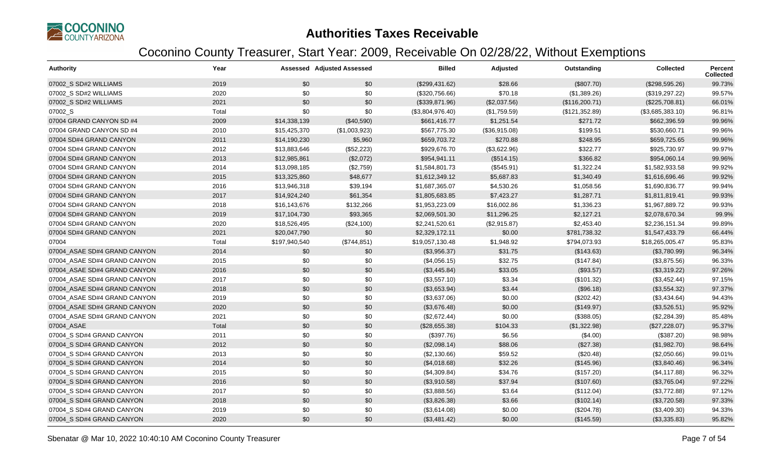

| <b>Authority</b>             | Year  |               | <b>Assessed Adjusted Assessed</b> | <b>Billed</b>    | Adjusted      | Outstanding    | <b>Collected</b> | <b>Percent</b><br><b>Collected</b> |
|------------------------------|-------|---------------|-----------------------------------|------------------|---------------|----------------|------------------|------------------------------------|
| 07002_S SD#2 WILLIAMS        | 2019  | \$0           | \$0                               | (\$299,431.62)   | \$28.66       | (\$807.70)     | (\$298,595.26)   | 99.73%                             |
| 07002 S SD#2 WILLIAMS        | 2020  | \$0           | \$0                               | (\$320,756.66)   | \$70.18       | (\$1,389.26)   | (\$319,297.22)   | 99.57%                             |
| 07002 S SD#2 WILLIAMS        | 2021  | \$0           | \$0                               | (\$339,871.96)   | (\$2,037.56)  | (\$116,200.71) | (\$225,708.81)   | 66.01%                             |
| 07002_S                      | Total | \$0           | \$0                               | (\$3,804,976.40) | (\$1,759.59)  | (\$121,352.89) | (\$3,685,383.10) | 96.81%                             |
| 07004 GRAND CANYON SD #4     | 2009  | \$14,338,139  | (\$40,590)                        | \$661,416.77     | \$1,251.54    | \$271.72       | \$662,396.59     | 99.96%                             |
| 07004 GRAND CANYON SD #4     | 2010  | \$15,425,370  | (\$1,003,923)                     | \$567,775.30     | (\$36,915.08) | \$199.51       | \$530,660.71     | 99.96%                             |
| 07004 SD#4 GRAND CANYON      | 2011  | \$14,190,230  | \$5,960                           | \$659,703.72     | \$270.88      | \$248.95       | \$659,725.65     | 99.96%                             |
| 07004 SD#4 GRAND CANYON      | 2012  | \$13,883,646  | (\$52,223)                        | \$929,676.70     | (\$3,622.96)  | \$322.77       | \$925,730.97     | 99.97%                             |
| 07004 SD#4 GRAND CANYON      | 2013  | \$12,985,861  | (\$2,072)                         | \$954,941.11     | (\$514.15)    | \$366.82       | \$954,060.14     | 99.96%                             |
| 07004 SD#4 GRAND CANYON      | 2014  | \$13,098,185  | (\$2,759)                         | \$1,584,801.73   | (\$545.91)    | \$1,322.24     | \$1,582,933.58   | 99.92%                             |
| 07004 SD#4 GRAND CANYON      | 2015  | \$13,325,860  | \$48,677                          | \$1,612,349.12   | \$5,687.83    | \$1,340.49     | \$1,616,696.46   | 99.92%                             |
| 07004 SD#4 GRAND CANYON      | 2016  | \$13,946,318  | \$39,194                          | \$1,687,365.07   | \$4,530.26    | \$1,058.56     | \$1,690,836.77   | 99.94%                             |
| 07004 SD#4 GRAND CANYON      | 2017  | \$14,924,240  | \$61,354                          | \$1,805,683.85   | \$7,423.27    | \$1,287.71     | \$1,811,819.41   | 99.93%                             |
| 07004 SD#4 GRAND CANYON      | 2018  | \$16,143,676  | \$132,266                         | \$1,953,223.09   | \$16,002.86   | \$1,336.23     | \$1,967,889.72   | 99.93%                             |
| 07004 SD#4 GRAND CANYON      | 2019  | \$17,104,730  | \$93,365                          | \$2,069,501.30   | \$11,296.25   | \$2,127.21     | \$2,078,670.34   | 99.9%                              |
| 07004 SD#4 GRAND CANYON      | 2020  | \$18,526,495  | (\$24,100)                        | \$2,241,520.61   | (\$2,915.87)  | \$2,453.40     | \$2,236,151.34   | 99.89%                             |
| 07004 SD#4 GRAND CANYON      | 2021  | \$20,047,790  | \$0                               | \$2,329,172.11   | \$0.00        | \$781,738.32   | \$1,547,433.79   | 66.44%                             |
| 07004                        | Total | \$197,940,540 | (\$744,851)                       | \$19,057,130.48  | \$1,948.92    | \$794,073.93   | \$18,265,005.47  | 95.83%                             |
| 07004 ASAE SD#4 GRAND CANYON | 2014  | \$0           | \$0                               | (\$3,956.37)     | \$31.75       | (\$143.63)     | (\$3,780.99)     | 96.34%                             |
| 07004_ASAE SD#4 GRAND CANYON | 2015  | \$0           | \$0                               | (\$4,056.15)     | \$32.75       | (\$147.84)     | (\$3,875.56)     | 96.33%                             |
| 07004 ASAE SD#4 GRAND CANYON | 2016  | \$0           | \$0                               | (\$3,445.84)     | \$33.05       | (\$93.57)      | (\$3,319.22)     | 97.26%                             |
| 07004 ASAE SD#4 GRAND CANYON | 2017  | \$0           | \$0                               | (\$3,557.10)     | \$3.34        | (\$101.32)     | (\$3,452.44)     | 97.15%                             |
| 07004 ASAE SD#4 GRAND CANYON | 2018  | \$0           | \$0                               | (\$3,653.94)     | \$3.44        | (\$96.18)      | (\$3,554.32)     | 97.37%                             |
| 07004 ASAE SD#4 GRAND CANYON | 2019  | \$0           | \$0                               | (\$3,637.06)     | \$0.00        | (\$202.42)     | (\$3,434.64)     | 94.43%                             |
| 07004_ASAE SD#4 GRAND CANYON | 2020  | \$0           | \$0                               | (\$3,676.48)     | \$0.00        | (\$149.97)     | (\$3,526.51)     | 95.92%                             |
| 07004_ASAE SD#4 GRAND CANYON | 2021  | \$0           | \$0                               | (\$2,672.44)     | \$0.00        | (\$388.05)     | (\$2,284.39)     | 85.48%                             |
| 07004 ASAE                   | Total | \$0           | \$0                               | (\$28,655.38)    | \$104.33      | (\$1,322.98)   | (\$27,228.07)    | 95.37%                             |
| 07004 S SD#4 GRAND CANYON    | 2011  | \$0           | \$0                               | (\$397.76)       | \$6.56        | (\$4.00)       | (\$387.20)       | 98.98%                             |
| 07004 S SD#4 GRAND CANYON    | 2012  | \$0           | \$0                               | (\$2,098.14)     | \$88.06       | (\$27.38)      | (\$1,982.70)     | 98.64%                             |
| 07004 S SD#4 GRAND CANYON    | 2013  | \$0           | \$0                               | (\$2,130.66)     | \$59.52       | (\$20.48)      | (\$2,050.66)     | 99.01%                             |
| 07004 S SD#4 GRAND CANYON    | 2014  | \$0           | \$0                               | (\$4,018.68)     | \$32.26       | (\$145.96)     | (\$3,840.46)     | 96.34%                             |
| 07004_S SD#4 GRAND CANYON    | 2015  | \$0           | \$0                               | (\$4,309.84)     | \$34.76       | (\$157.20)     | (\$4,117.88)     | 96.32%                             |
| 07004 S SD#4 GRAND CANYON    | 2016  | \$0           | \$0                               | (\$3,910.58)     | \$37.94       | (\$107.60)     | (\$3,765.04)     | 97.22%                             |
| 07004_S SD#4 GRAND CANYON    | 2017  | \$0           | \$0                               | (\$3,888.56)     | \$3.64        | (\$112.04)     | (\$3,772.88)     | 97.12%                             |
| 07004_S SD#4 GRAND CANYON    | 2018  | \$0           | \$0                               | (\$3,826.38)     | \$3.66        | (\$102.14)     | (\$3,720.58)     | 97.33%                             |
| 07004 S SD#4 GRAND CANYON    | 2019  | \$0           | \$0                               | (\$3,614.08)     | \$0.00        | (\$204.78)     | (\$3,409.30)     | 94.33%                             |
| 07004 S SD#4 GRAND CANYON    | 2020  | \$0           | \$0                               | (\$3,481.42)     | \$0.00        | (\$145.59)     | (\$3,335.83)     | 95.82%                             |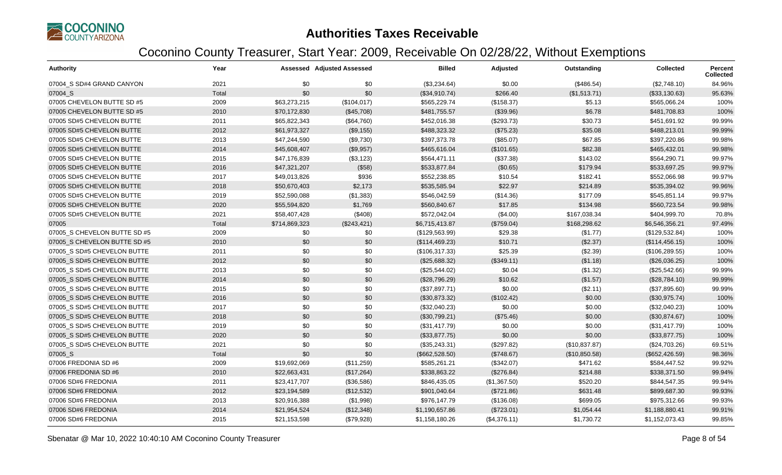

| <b>Authority</b>             | Year  |               | Assessed Adjusted Assessed | <b>Billed</b>  | Adjusted     | Outstanding   | <b>Collected</b> | Percent<br><b>Collected</b> |
|------------------------------|-------|---------------|----------------------------|----------------|--------------|---------------|------------------|-----------------------------|
| 07004 S SD#4 GRAND CANYON    | 2021  | \$0           | \$0                        | (\$3,234.64)   | \$0.00       | (\$486.54)    | (\$2,748.10)     | 84.96%                      |
| 07004 S                      | Total | \$0           | \$0                        | (\$34,910.74)  | \$266.40     | (\$1,513.71)  | (\$33,130.63)    | 95.63%                      |
| 07005 CHEVELON BUTTE SD #5   | 2009  | \$63,273,215  | (\$104,017)                | \$565,229.74   | (\$158.37)   | \$5.13        | \$565,066.24     | 100%                        |
| 07005 CHEVELON BUTTE SD #5   | 2010  | \$70,172,830  | (\$45,708)                 | \$481,755.57   | (\$39.96)    | \$6.78        | \$481,708.83     | 100%                        |
| 07005 SD#5 CHEVELON BUTTE    | 2011  | \$65,822,343  | (\$64,760)                 | \$452,016.38   | (\$293.73)   | \$30.73       | \$451,691.92     | 99.99%                      |
| 07005 SD#5 CHEVELON BUTTE    | 2012  | \$61,973,327  | (\$9,155)                  | \$488,323.32   | (\$75.23)    | \$35.08       | \$488,213.01     | 99.99%                      |
| 07005 SD#5 CHEVELON BUTTE    | 2013  | \$47,244,590  | (\$9,730)                  | \$397,373.78   | (\$85.07)    | \$67.85       | \$397,220.86     | 99.98%                      |
| 07005 SD#5 CHEVELON BUTTE    | 2014  | \$45,608,407  | (\$9,957)                  | \$465,616.04   | (\$101.65)   | \$82.38       | \$465,432.01     | 99.98%                      |
| 07005 SD#5 CHEVELON BUTTE    | 2015  | \$47,176,839  | (\$3,123)                  | \$564,471.11   | (\$37.38)    | \$143.02      | \$564,290.71     | 99.97%                      |
| 07005 SD#5 CHEVELON BUTTE    | 2016  | \$47,321,207  | (\$58)                     | \$533,877.84   | (\$0.65)     | \$179.94      | \$533,697.25     | 99.97%                      |
| 07005 SD#5 CHEVELON BUTTE    | 2017  | \$49,013,826  | \$936                      | \$552,238.85   | \$10.54      | \$182.41      | \$552,066.98     | 99.97%                      |
| 07005 SD#5 CHEVELON BUTTE    | 2018  | \$50,670,403  | \$2,173                    | \$535,585.94   | \$22.97      | \$214.89      | \$535,394.02     | 99.96%                      |
| 07005 SD#5 CHEVELON BUTTE    | 2019  | \$52,590,088  | (\$1,383)                  | \$546,042.59   | (\$14.36)    | \$177.09      | \$545,851.14     | 99.97%                      |
| 07005 SD#5 CHEVELON BUTTE    | 2020  | \$55,594,820  | \$1,769                    | \$560,840.67   | \$17.85      | \$134.98      | \$560,723.54     | 99.98%                      |
| 07005 SD#5 CHEVELON BUTTE    | 2021  | \$58,407,428  | (\$408)                    | \$572,042.04   | (\$4.00)     | \$167,038.34  | \$404,999.70     | 70.8%                       |
| 07005                        | Total | \$714,869,323 | (\$243, 421)               | \$6,715,413.87 | (\$759.04)   | \$168,298.62  | \$6,546,356.21   | 97.49%                      |
| 07005 S CHEVELON BUTTE SD #5 | 2009  | \$0           | \$0                        | (\$129,563.99) | \$29.38      | (\$1.77)      | (\$129,532.84)   | 100%                        |
| 07005 S CHEVELON BUTTE SD #5 | 2010  | \$0           | \$0                        | (\$114,469.23) | \$10.71      | (\$2.37)      | (\$114,456.15)   | 100%                        |
| 07005_S SD#5 CHEVELON BUTTE  | 2011  | \$0           | \$0                        | (\$106,317.33) | \$25.39      | (\$2.39)      | (\$106, 289.55)  | 100%                        |
| 07005 S SD#5 CHEVELON BUTTE  | 2012  | \$0           | \$0                        | (\$25,688.32)  | (\$349.11)   | (\$1.18)      | (\$26,036.25)    | 100%                        |
| 07005 S SD#5 CHEVELON BUTTE  | 2013  | \$0           | \$0                        | (\$25,544.02)  | \$0.04       | (\$1.32)      | (\$25,542.66)    | 99.99%                      |
| 07005 S SD#5 CHEVELON BUTTE  | 2014  | \$0           | \$0                        | (\$28,796.29)  | \$10.62      | (\$1.57)      | (\$28,784.10)    | 99.99%                      |
| 07005 S SD#5 CHEVELON BUTTE  | 2015  | \$0           | \$0                        | (\$37,897.71)  | \$0.00       | (\$2.11)      | (\$37,895.60)    | 99.99%                      |
| 07005_S SD#5 CHEVELON BUTTE  | 2016  | \$0           | \$0                        | (\$30,873.32)  | (\$102.42)   | \$0.00        | (\$30,975.74)    | 100%                        |
| 07005 S SD#5 CHEVELON BUTTE  | 2017  | \$0           | \$0                        | (\$32,040.23)  | \$0.00       | \$0.00        | (\$32,040.23)    | 100%                        |
| 07005 S SD#5 CHEVELON BUTTE  | 2018  | \$0           | \$0                        | (\$30,799.21)  | (\$75.46)    | \$0.00        | (\$30,874.67)    | 100%                        |
| 07005 S SD#5 CHEVELON BUTTE  | 2019  | \$0           | \$0                        | (\$31,417.79)  | \$0.00       | \$0.00        | (\$31,417.79)    | 100%                        |
| 07005 S SD#5 CHEVELON BUTTE  | 2020  | \$0           | \$0                        | (\$33,877.75)  | \$0.00       | \$0.00        | (\$33,877.75)    | 100%                        |
| 07005_S SD#5 CHEVELON BUTTE  | 2021  | \$0           | \$0                        | (\$35,243.31)  | (\$297.82)   | (\$10,837.87) | (\$24,703.26)    | 69.51%                      |
| 07005_S                      | Total | \$0           | \$0                        | (\$662,528.50) | (\$748.67)   | (\$10,850.58) | (\$652,426.59)   | 98.36%                      |
| 07006 FREDONIA SD #6         | 2009  | \$19,692,069  | (\$11,259)                 | \$585,261.21   | (\$342.07)   | \$471.62      | \$584,447.52     | 99.92%                      |
| 07006 FREDONIA SD #6         | 2010  | \$22,663,431  | (\$17,264)                 | \$338,863.22   | (\$276.84)   | \$214.88      | \$338,371.50     | 99.94%                      |
| 07006 SD#6 FREDONIA          | 2011  | \$23,417,707  | (\$36,586)                 | \$846,435.05   | (\$1,367.50) | \$520.20      | \$844,547.35     | 99.94%                      |
| 07006 SD#6 FREDONIA          | 2012  | \$23,194,589  | (\$12,532)                 | \$901,040.64   | (\$721.86)   | \$631.48      | \$899,687.30     | 99.93%                      |
| 07006 SD#6 FREDONIA          | 2013  | \$20,916,388  | (\$1,998)                  | \$976,147.79   | (\$136.08)   | \$699.05      | \$975,312.66     | 99.93%                      |
| 07006 SD#6 FREDONIA          | 2014  | \$21,954,524  | (\$12,348)                 | \$1,190,657.86 | (\$723.01)   | \$1,054.44    | \$1,188,880.41   | 99.91%                      |
| 07006 SD#6 FREDONIA          | 2015  | \$21,153,598  | (\$79,928)                 | \$1,158,180.26 | (\$4,376.11) | \$1,730.72    | \$1,152,073.43   | 99.85%                      |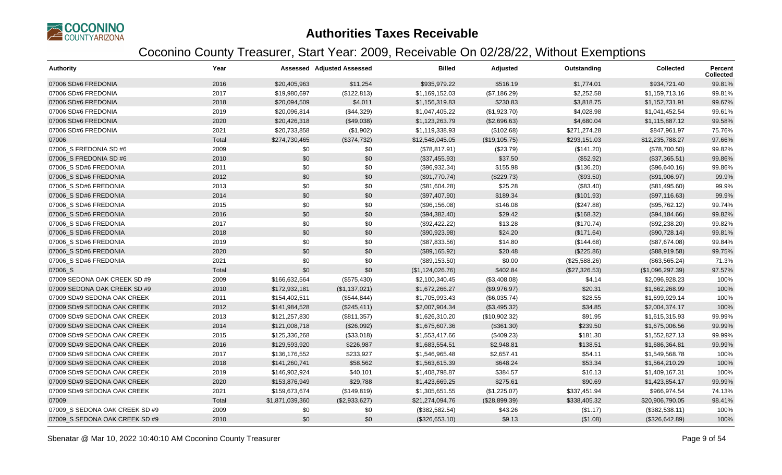

| <b>Authority</b>               | Year  |                 | <b>Assessed Adjusted Assessed</b> | <b>Billed</b>    | Adjusted       | Outstanding   | <b>Collected</b> | Percent<br><b>Collected</b> |
|--------------------------------|-------|-----------------|-----------------------------------|------------------|----------------|---------------|------------------|-----------------------------|
| 07006 SD#6 FREDONIA            | 2016  | \$20,405,963    | \$11,254                          | \$935,979.22     | \$516.19       | \$1,774.01    | \$934,721.40     | 99.81%                      |
| 07006 SD#6 FREDONIA            | 2017  | \$19,980,697    | (\$122,813)                       | \$1,169,152.03   | (\$7,186.29)   | \$2,252.58    | \$1,159,713.16   | 99.81%                      |
| 07006 SD#6 FREDONIA            | 2018  | \$20,094,509    | \$4,011                           | \$1,156,319.83   | \$230.83       | \$3,818.75    | \$1,152,731.91   | 99.67%                      |
| 07006 SD#6 FREDONIA            | 2019  | \$20,096,814    | (\$44,329)                        | \$1,047,405.22   | (\$1,923.70)   | \$4,028.98    | \$1,041,452.54   | 99.61%                      |
| 07006 SD#6 FREDONIA            | 2020  | \$20,426,318    | (\$49,038)                        | \$1,123,263.79   | (\$2,696.63)   | \$4,680.04    | \$1,115,887.12   | 99.58%                      |
| 07006 SD#6 FREDONIA            | 2021  | \$20,733,858    | (\$1,902)                         | \$1,119,338.93   | (\$102.68)     | \$271,274.28  | \$847,961.97     | 75.76%                      |
| 07006                          | Total | \$274,730,465   | (\$374,732)                       | \$12,548,045.05  | (\$19, 105.75) | \$293,151.03  | \$12,235,788.27  | 97.66%                      |
| 07006_S FREDONIA SD #6         | 2009  | \$0             | \$0                               | (\$78,817.91)    | (\$23.79)      | (\$141.20)    | (\$78,700.50)    | 99.82%                      |
| 07006_S FREDONIA SD #6         | 2010  | \$0             | \$0                               | (\$37,455.93)    | \$37.50        | (\$52.92)     | (\$37,365.51)    | 99.86%                      |
| 07006 S SD#6 FREDONIA          | 2011  | \$0             | \$0                               | (\$96,932.34)    | \$155.98       | (\$136.20)    | (\$96,640.16)    | 99.86%                      |
| 07006 S SD#6 FREDONIA          | 2012  | \$0             | \$0                               | (\$91,770.74)    | (\$229.73)     | (\$93.50)     | (\$91,906.97)    | 99.9%                       |
| 07006_S SD#6 FREDONIA          | 2013  | \$0             | \$0                               | (\$81,604.28)    | \$25.28        | (\$83.40)     | (\$81,495.60)    | 99.9%                       |
| 07006 S SD#6 FREDONIA          | 2014  | \$0             | \$0                               | (\$97,407.90)    | \$189.34       | (\$101.93)    | (\$97,116.63)    | 99.9%                       |
| 07006_S SD#6 FREDONIA          | 2015  | \$0             | \$0                               | (\$96,156.08)    | \$146.08       | (\$247.88)    | (\$95,762.12)    | 99.74%                      |
| 07006 S SD#6 FREDONIA          | 2016  | \$0             | \$0                               | (\$94,382.40)    | \$29.42        | (\$168.32)    | (\$94,184.66)    | 99.82%                      |
| 07006 S SD#6 FREDONIA          | 2017  | \$0             | \$0                               | (\$92,422.22)    | \$13.28        | (\$170.74)    | (\$92,238.20)    | 99.82%                      |
| 07006_S SD#6 FREDONIA          | 2018  | \$0             | \$0                               | (\$90,923.98)    | \$24.20        | (\$171.64)    | (\$90,728.14)    | 99.81%                      |
| 07006_S SD#6 FREDONIA          | 2019  | \$0             | \$0                               | (\$87,833.56)    | \$14.80        | (\$144.68)    | (\$87,674.08)    | 99.84%                      |
| 07006_S SD#6 FREDONIA          | 2020  | \$0             | \$0                               | (\$89,165.92)    | \$20.48        | (\$225.86)    | (\$88,919.58)    | 99.75%                      |
| 07006_S SD#6 FREDONIA          | 2021  | \$0             | \$0                               | (\$89,153.50)    | \$0.00         | (\$25,588.26) | (\$63,565.24)    | 71.3%                       |
| 07006 S                        | Total | \$0             | \$0                               | (\$1,124,026.76) | \$402.84       | (\$27,326.53) | (\$1,096,297.39) | 97.57%                      |
| 07009 SEDONA OAK CREEK SD #9   | 2009  | \$166,632,564   | (\$575,430)                       | \$2,100,340.45   | (\$3,408.08)   | \$4.14        | \$2,096,928.23   | 100%                        |
| 07009 SEDONA OAK CREEK SD #9   | 2010  | \$172,932,181   | (\$1,137,021)                     | \$1,672,266.27   | (\$9,976.97)   | \$20.31       | \$1,662,268.99   | 100%                        |
| 07009 SD#9 SEDONA OAK CREEK    | 2011  | \$154,402,511   | (\$544, 844)                      | \$1,705,993.43   | (\$6,035.74)   | \$28.55       | \$1,699,929.14   | 100%                        |
| 07009 SD#9 SEDONA OAK CREEK    | 2012  | \$141,984,528   | (\$245,411)                       | \$2,007,904.34   | (\$3,495.32)   | \$34.85       | \$2,004,374.17   | 100%                        |
| 07009 SD#9 SEDONA OAK CREEK    | 2013  | \$121,257,830   | (\$811,357)                       | \$1,626,310.20   | (\$10,902.32)  | \$91.95       | \$1,615,315.93   | 99.99%                      |
| 07009 SD#9 SEDONA OAK CREEK    | 2014  | \$121,008,718   | (\$26,092)                        | \$1,675,607.36   | (\$361.30)     | \$239.50      | \$1,675,006.56   | 99.99%                      |
| 07009 SD#9 SEDONA OAK CREEK    | 2015  | \$125,336,268   | (\$33,018)                        | \$1,553,417.66   | (\$409.23)     | \$181.30      | \$1,552,827.13   | 99.99%                      |
| 07009 SD#9 SEDONA OAK CREEK    | 2016  | \$129,593,920   | \$226,987                         | \$1,683,554.51   | \$2,948.81     | \$138.51      | \$1,686,364.81   | 99.99%                      |
| 07009 SD#9 SEDONA OAK CREEK    | 2017  | \$136,176,552   | \$233,927                         | \$1,546,965.48   | \$2,657.41     | \$54.11       | \$1,549,568.78   | 100%                        |
| 07009 SD#9 SEDONA OAK CREEK    | 2018  | \$141,260,741   | \$58,562                          | \$1,563,615.39   | \$648.24       | \$53.34       | \$1,564,210.29   | 100%                        |
| 07009 SD#9 SEDONA OAK CREEK    | 2019  | \$146,902,924   | \$40,101                          | \$1,408,798.87   | \$384.57       | \$16.13       | \$1,409,167.31   | 100%                        |
| 07009 SD#9 SEDONA OAK CREEK    | 2020  | \$153,876,949   | \$29,788                          | \$1,423,669.25   | \$275.61       | \$90.69       | \$1,423,854.17   | 99.99%                      |
| 07009 SD#9 SEDONA OAK CREEK    | 2021  | \$159,673,674   | (\$149, 819)                      | \$1,305,651.55   | (\$1,225.07)   | \$337,451.94  | \$966,974.54     | 74.13%                      |
| 07009                          | Total | \$1,871,039,360 | (\$2,933,627)                     | \$21,274,094.76  | (\$28,899.39)  | \$338,405.32  | \$20,906,790.05  | 98.41%                      |
| 07009 S SEDONA OAK CREEK SD #9 | 2009  | \$0             | \$0                               | (\$382,582.54)   | \$43.26        | (\$1.17)      | (\$382,538.11)   | 100%                        |
| 07009 S SEDONA OAK CREEK SD #9 | 2010  | \$0             | \$0                               | (\$326,653.10)   | \$9.13         | (\$1.08)      | (\$326,642.89)   | 100%                        |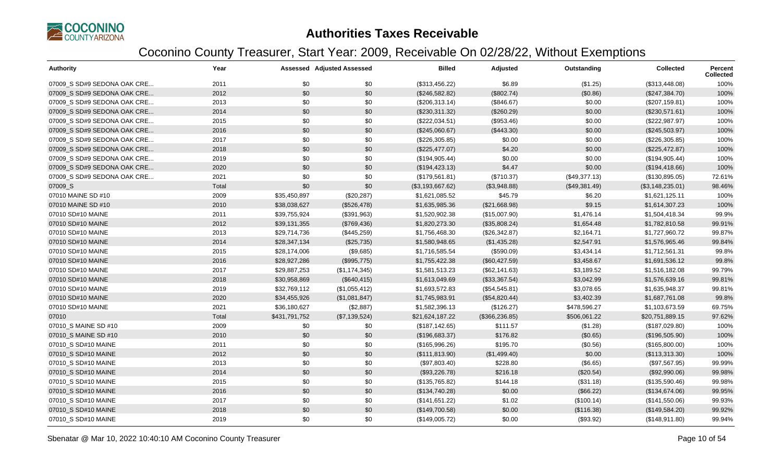

| <b>Authority</b>            | Year  |               | <b>Assessed Adjusted Assessed</b> | <b>Billed</b>    | Adjusted        | Outstanding   | <b>Collected</b> | <b>Percent</b><br><b>Collected</b> |
|-----------------------------|-------|---------------|-----------------------------------|------------------|-----------------|---------------|------------------|------------------------------------|
| 07009 S SD#9 SEDONA OAK CRE | 2011  | \$0           | \$0                               | (\$313,456.22)   | \$6.89          | (\$1.25)      | (\$313,448.08)   | 100%                               |
| 07009 S SD#9 SEDONA OAK CRE | 2012  | \$0           | \$0                               | (\$246,582.82)   | (\$802.74)      | (\$0.86)      | (\$247,384.70)   | 100%                               |
| 07009 S SD#9 SEDONA OAK CRE | 2013  | \$0           | \$0                               | (\$206,313.14)   | (\$846.67)      | \$0.00        | (\$207, 159.81)  | 100%                               |
| 07009_S SD#9 SEDONA OAK CRE | 2014  | \$0           | \$0                               | $(\$230,311.32)$ | (\$260.29)      | \$0.00        | (\$230,571.61)   | 100%                               |
| 07009_S SD#9 SEDONA OAK CRE | 2015  | \$0           | \$0                               | (\$222,034.51)   | (\$953.46)      | \$0.00        | (\$222,987.97)   | 100%                               |
| 07009 S SD#9 SEDONA OAK CRE | 2016  | \$0           | \$0                               | (\$245,060.67)   | (\$443.30)      | \$0.00        | (\$245,503.97)   | 100%                               |
| 07009_S SD#9 SEDONA OAK CRE | 2017  | \$0           | \$0                               | (\$226,305.85)   | \$0.00          | \$0.00        | (\$226,305.85)   | 100%                               |
| 07009 S SD#9 SEDONA OAK CRE | 2018  | \$0           | \$0                               | (\$225,477.07)   | \$4.20          | \$0.00        | (\$225,472.87)   | 100%                               |
| 07009_S SD#9 SEDONA OAK CRE | 2019  | \$0           | \$0                               | (\$194,905.44)   | \$0.00          | \$0.00        | (\$194,905.44)   | 100%                               |
| 07009 S SD#9 SEDONA OAK CRE | 2020  | \$0           | \$0                               | (\$194, 423.13)  | \$4.47          | \$0.00        | (\$194,418.66)   | 100%                               |
| 07009_S SD#9 SEDONA OAK CRE | 2021  | \$0           | \$0                               | (\$179,561.81)   | (\$710.37)      | (\$49,377.13) | (\$130,895.05)   | 72.61%                             |
| 07009_S                     | Total | \$0           | \$0                               | (\$3,193,667.62) | (\$3,948.88)    | (\$49,381.49) | (\$3,148,235.01) | 98.46%                             |
| 07010 MAINE SD #10          | 2009  | \$35,450,897  | (\$20,287)                        | \$1,621,085.52   | \$45.79         | \$6.20        | \$1,621,125.11   | 100%                               |
| 07010 MAINE SD #10          | 2010  | \$38,038,627  | (\$526,478)                       | \$1,635,985.36   | (\$21,668.98)   | \$9.15        | \$1,614,307.23   | 100%                               |
| 07010 SD#10 MAINE           | 2011  | \$39,755,924  | (\$391,963)                       | \$1,520,902.38   | (\$15,007.90)   | \$1,476.14    | \$1,504,418.34   | 99.9%                              |
| 07010 SD#10 MAINE           | 2012  | \$39,131,355  | (\$769,436)                       | \$1,820,273.30   | (\$35,808.24)   | \$1,654.48    | \$1,782,810.58   | 99.91%                             |
| 07010 SD#10 MAINE           | 2013  | \$29,714,736  | (\$445,259)                       | \$1,756,468.30   | (\$26,342.87)   | \$2,164.71    | \$1,727,960.72   | 99.87%                             |
| 07010 SD#10 MAINE           | 2014  | \$28,347,134  | (\$25,735)                        | \$1,580,948.65   | (\$1,435.28)    | \$2,547.91    | \$1,576,965.46   | 99.84%                             |
| 07010 SD#10 MAINE           | 2015  | \$28,174,006  | (\$9,685)                         | \$1,716,585.54   | (\$590.09)      | \$3,434.14    | \$1,712,561.31   | 99.8%                              |
| 07010 SD#10 MAINE           | 2016  | \$28,927,286  | (\$995,775)                       | \$1,755,422.38   | (\$60,427.59)   | \$3,458.67    | \$1,691,536.12   | 99.8%                              |
| 07010 SD#10 MAINE           | 2017  | \$29,887,253  | (\$1,174,345)                     | \$1,581,513.23   | (\$62,141.63)   | \$3,189.52    | \$1,516,182.08   | 99.79%                             |
| 07010 SD#10 MAINE           | 2018  | \$30,958,869  | (\$640, 415)                      | \$1,613,049.69   | (\$33,367.54)   | \$3,042.99    | \$1,576,639.16   | 99.81%                             |
| 07010 SD#10 MAINE           | 2019  | \$32,769,112  | (\$1,055,412)                     | \$1,693,572.83   | (\$54,545.81)   | \$3,078.65    | \$1,635,948.37   | 99.81%                             |
| 07010 SD#10 MAINE           | 2020  | \$34,455,926  | (\$1,081,847)                     | \$1,745,983.91   | (\$54,820.44)   | \$3,402.39    | \$1,687,761.08   | 99.8%                              |
| 07010 SD#10 MAINE           | 2021  | \$36,180,627  | (\$2,887)                         | \$1,582,396.13   | (\$126.27)      | \$478,596.27  | \$1,103,673.59   | 69.75%                             |
| 07010                       | Total | \$431,791,752 | (\$7,139,524)                     | \$21,624,187.22  | (\$366, 236.85) | \$506,061.22  | \$20,751,889.15  | 97.62%                             |
| 07010_S MAINE SD #10        | 2009  | \$0           | \$0                               | (\$187, 142.65)  | \$111.57        | (\$1.28)      | (\$187,029.80)   | 100%                               |
| 07010_S MAINE SD #10        | 2010  | \$0           | \$0                               | (\$196,683.37)   | \$176.82        | (\$0.65)      | (\$196,505.90)   | 100%                               |
| 07010_S SD#10 MAINE         | 2011  | \$0           | \$0                               | (\$165,996.26)   | \$195.70        | (\$0.56)      | (\$165,800.00)   | 100%                               |
| 07010 S SD#10 MAINE         | 2012  | \$0           | \$0                               | (\$111, 813.90)  | (\$1,499.40)    | \$0.00        | (\$113,313.30)   | 100%                               |
| 07010 S SD#10 MAINE         | 2013  | \$0           | \$0                               | (\$97,803.40)    | \$228.80        | (\$6.65)      | (\$97,567.95)    | 99.99%                             |
| 07010 S SD#10 MAINE         | 2014  | \$0           | \$0                               | (\$93,226.78)    | \$216.18        | (\$20.54)     | (\$92,990.06)    | 99.98%                             |
| 07010 S SD#10 MAINE         | 2015  | \$0           | \$0                               | (\$135,765.82)   | \$144.18        | (\$31.18)     | (\$135,590.46)   | 99.98%                             |
| 07010_S SD#10 MAINE         | 2016  | \$0           | \$0                               | (\$134,740.28)   | \$0.00          | (\$66.22)     | (\$134,674.06)   | 99.95%                             |
| 07010 S SD#10 MAINE         | 2017  | \$0           | \$0                               | (\$141,651.22)   | \$1.02          | (\$100.14)    | (\$141,550.06)   | 99.93%                             |
| 07010 S SD#10 MAINE         | 2018  | \$0           | \$0                               | (\$149,700.58)   | \$0.00          | (\$116.38)    | (\$149,584.20)   | 99.92%                             |
| 07010_S SD#10 MAINE         | 2019  | \$0           | \$0                               | (\$149,005.72)   | \$0.00          | (\$93.92)     | (\$148,911.80)   | 99.94%                             |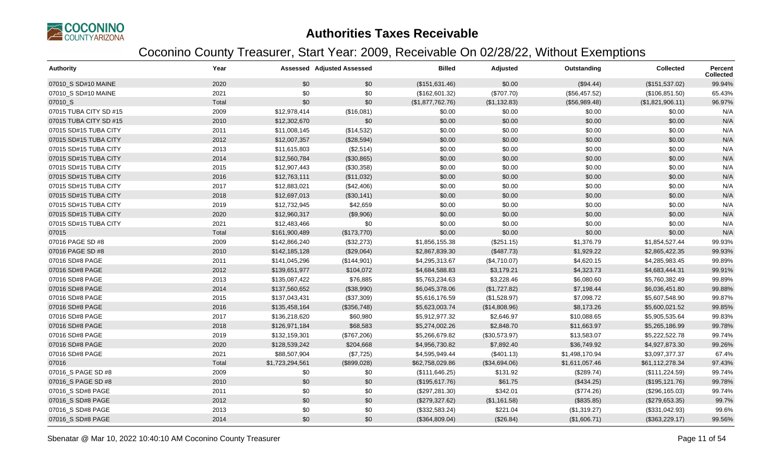

| <b>Authority</b>       | Year  |                 | <b>Assessed Adjusted Assessed</b> | <b>Billed</b>    | Adjusted      | Outstanding    | <b>Collected</b> | Percent<br>Collected |
|------------------------|-------|-----------------|-----------------------------------|------------------|---------------|----------------|------------------|----------------------|
| 07010_S SD#10 MAINE    | 2020  | \$0             | \$0                               | (\$151,631.46)   | \$0.00        | (\$94.44)      | (\$151,537.02)   | 99.94%               |
| 07010 S SD#10 MAINE    | 2021  | \$0             | \$0                               | (\$162,601.32)   | (\$707.70)    | (\$56,457.52)  | (\$106,851.50)   | 65.43%               |
| 07010 S                | Total | \$0             | \$0                               | (\$1,877,762.76) | (\$1,132.83)  | (\$56,989.48)  | (\$1,821,906.11) | 96.97%               |
| 07015 TUBA CITY SD #15 | 2009  | \$12,978,414    | (\$16,081)                        | \$0.00           | \$0.00        | \$0.00         | \$0.00           | N/A                  |
| 07015 TUBA CITY SD #15 | 2010  | \$12,302,670    | \$0                               | \$0.00           | \$0.00        | \$0.00         | \$0.00           | N/A                  |
| 07015 SD#15 TUBA CITY  | 2011  | \$11,008,145    | (\$14,532)                        | \$0.00           | \$0.00        | \$0.00         | \$0.00           | N/A                  |
| 07015 SD#15 TUBA CITY  | 2012  | \$12,007,357    | (\$28,594)                        | \$0.00           | \$0.00        | \$0.00         | \$0.00           | N/A                  |
| 07015 SD#15 TUBA CITY  | 2013  | \$11,615,803    | (\$2,514)                         | \$0.00           | \$0.00        | \$0.00         | \$0.00           | N/A                  |
| 07015 SD#15 TUBA CITY  | 2014  | \$12,560,784    | (\$30,865)                        | \$0.00           | \$0.00        | \$0.00         | \$0.00           | N/A                  |
| 07015 SD#15 TUBA CITY  | 2015  | \$12,907,443    | (\$30,358)                        | \$0.00           | \$0.00        | \$0.00         | \$0.00           | N/A                  |
| 07015 SD#15 TUBA CITY  | 2016  | \$12,763,111    | (\$11,032)                        | \$0.00           | \$0.00        | \$0.00         | \$0.00           | N/A                  |
| 07015 SD#15 TUBA CITY  | 2017  | \$12,883,021    | (\$42,406)                        | \$0.00           | \$0.00        | \$0.00         | \$0.00           | N/A                  |
| 07015 SD#15 TUBA CITY  | 2018  | \$12,697,013    | (\$30,141)                        | \$0.00           | \$0.00        | \$0.00         | \$0.00           | N/A                  |
| 07015 SD#15 TUBA CITY  | 2019  | \$12,732,945    | \$42,659                          | \$0.00           | \$0.00        | \$0.00         | \$0.00           | N/A                  |
| 07015 SD#15 TUBA CITY  | 2020  | \$12,960,317    | (\$9,906)                         | \$0.00           | \$0.00        | \$0.00         | \$0.00           | N/A                  |
| 07015 SD#15 TUBA CITY  | 2021  | \$12,483,466    | \$0                               | \$0.00           | \$0.00        | \$0.00         | \$0.00           | N/A                  |
| 07015                  | Total | \$161,900,489   | (\$173,770)                       | \$0.00           | \$0.00        | \$0.00         | \$0.00           | N/A                  |
| 07016 PAGE SD #8       | 2009  | \$142,866,240   | (\$32,273)                        | \$1,856,155.38   | (\$251.15)    | \$1,376.79     | \$1,854,527.44   | 99.93%               |
| 07016 PAGE SD #8       | 2010  | \$142,185,128   | (\$29,064)                        | \$2,867,839.30   | (\$487.73)    | \$1,929.22     | \$2,865,422.35   | 99.93%               |
| 07016 SD#8 PAGE        | 2011  | \$141,045,296   | (\$144,901)                       | \$4,295,313.67   | (\$4,710.07)  | \$4,620.15     | \$4,285,983.45   | 99.89%               |
| 07016 SD#8 PAGE        | 2012  | \$139,651,977   | \$104,072                         | \$4,684,588.83   | \$3,179.21    | \$4,323.73     | \$4,683,444.31   | 99.91%               |
| 07016 SD#8 PAGE        | 2013  | \$135,087,422   | \$76,885                          | \$5,763,234.63   | \$3,228.46    | \$6,080.60     | \$5,760,382.49   | 99.89%               |
| 07016 SD#8 PAGE        | 2014  | \$137,560,652   | (\$38,990)                        | \$6,045,378.06   | (\$1,727.82)  | \$7,198.44     | \$6,036,451.80   | 99.88%               |
| 07016 SD#8 PAGE        | 2015  | \$137,043,431   | (\$37,309)                        | \$5,616,176.59   | (\$1,528.97)  | \$7,098.72     | \$5,607,548.90   | 99.87%               |
| 07016 SD#8 PAGE        | 2016  | \$135,458,164   | (\$356,748)                       | \$5,623,003.74   | (\$14,808.96) | \$8,173.26     | \$5,600,021.52   | 99.85%               |
| 07016 SD#8 PAGE        | 2017  | \$136,218,620   | \$60,980                          | \$5,912,977.32   | \$2,646.97    | \$10,088.65    | \$5,905,535.64   | 99.83%               |
| 07016 SD#8 PAGE        | 2018  | \$126,971,184   | \$68,583                          | \$5,274,002.26   | \$2,848.70    | \$11,663.97    | \$5,265,186.99   | 99.78%               |
| 07016 SD#8 PAGE        | 2019  | \$132,159,301   | (\$767,206)                       | \$5,266,679.82   | (\$30,573.97) | \$13,583.07    | \$5,222,522.78   | 99.74%               |
| 07016 SD#8 PAGE        | 2020  | \$128,539,242   | \$204,668                         | \$4,956,730.82   | \$7,892.40    | \$36,749.92    | \$4,927,873.30   | 99.26%               |
| 07016 SD#8 PAGE        | 2021  | \$88,507,904    | (\$7,725)                         | \$4,595,949.44   | (\$401.13)    | \$1,498,170.94 | \$3,097,377.37   | 67.4%                |
| 07016                  | Total | \$1,723,294,561 | (\$899,028)                       | \$62,758,029.86  | (\$34,694.06) | \$1,611,057.46 | \$61,112,278.34  | 97.43%               |
| 07016_S PAGE SD #8     | 2009  | \$0             | \$0                               | (\$111, 646.25)  | \$131.92      | (\$289.74)     | (\$111, 224.59)  | 99.74%               |
| 07016 S PAGE SD #8     | 2010  | \$0             | \$0                               | (\$195,617.76)   | \$61.75       | (\$434.25)     | (\$195, 121.76)  | 99.78%               |
| 07016 S SD#8 PAGE      | 2011  | \$0             | \$0                               | (\$297, 281.30)  | \$342.01      | (\$774.26)     | (\$296, 165.03)  | 99.74%               |
| 07016_S SD#8 PAGE      | 2012  | \$0             | \$0                               | (\$279,327.62)   | (\$1,161.58)  | (\$835.85)     | (\$279,653.35)   | 99.7%                |
| 07016_S SD#8 PAGE      | 2013  | \$0             | \$0                               | (\$332,583.24)   | \$221.04      | (\$1,319.27)   | (\$331,042.93)   | 99.6%                |
| 07016_S SD#8 PAGE      | 2014  | \$0             | \$0                               | (\$364,809.04)   | (\$26.84)     | (\$1,606.71)   | (\$363,229.17)   | 99.56%               |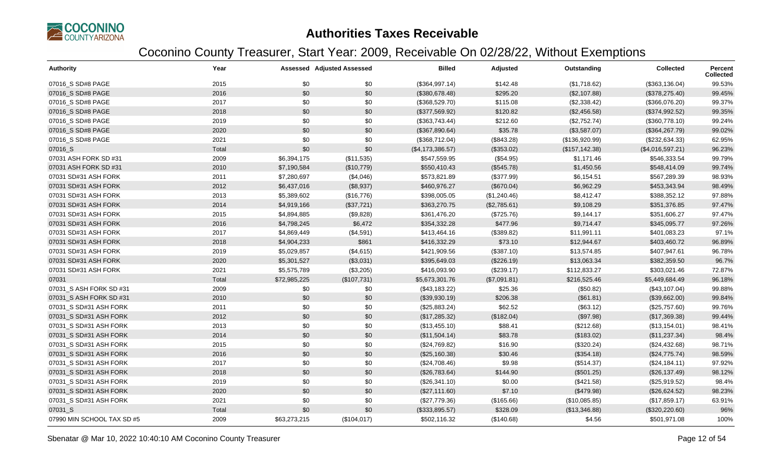

| <b>Authority</b>           | Year  |              | Assessed Adjusted Assessed | <b>Billed</b>    | Adjusted     | Outstanding     | <b>Collected</b> | Percent<br><b>Collected</b> |
|----------------------------|-------|--------------|----------------------------|------------------|--------------|-----------------|------------------|-----------------------------|
| 07016_S SD#8 PAGE          | 2015  | \$0          | \$0                        | (\$364,997.14)   | \$142.48     | (\$1,718.62)    | (\$363,136.04)   | 99.53%                      |
| 07016 S SD#8 PAGE          | 2016  | \$0          | \$0                        | (\$380,678.48)   | \$295.20     | (\$2,107.88)    | (\$378,275.40)   | 99.45%                      |
| 07016 S SD#8 PAGE          | 2017  | \$0          | \$0                        | (\$368,529.70)   | \$115.08     | (\$2,338.42)    | (\$366,076.20)   | 99.37%                      |
| 07016 S SD#8 PAGE          | 2018  | \$0          | \$0                        | (\$377,569.92)   | \$120.82     | (\$2,456.58)    | (\$374,992.52)   | 99.35%                      |
| 07016 S SD#8 PAGE          | 2019  | \$0          | \$0                        | (\$363,743.44)   | \$212.60     | (\$2,752.74)    | (\$360,778.10)   | 99.24%                      |
| 07016_S SD#8 PAGE          | 2020  | \$0          | \$0                        | (\$367,890.64)   | \$35.78      | (\$3,587.07)    | (\$364, 267.79)  | 99.02%                      |
| 07016_S SD#8 PAGE          | 2021  | \$0          | \$0                        | (\$368,712.04)   | (\$843.28)   | (\$136,920.99)  | (\$232,634.33)   | 62.95%                      |
| 07016_S                    | Total | \$0          | \$0                        | (\$4,173,386.57) | (\$353.02)   | (\$157, 142.38) | (\$4,016,597.21) | 96.23%                      |
| 07031 ASH FORK SD #31      | 2009  | \$6,394,175  | (\$11,535)                 | \$547,559.95     | (\$54.95)    | \$1,171.46      | \$546,333.54     | 99.79%                      |
| 07031 ASH FORK SD #31      | 2010  | \$7,190,584  | (\$10,779)                 | \$550,410.43     | (\$545.78)   | \$1,450.56      | \$548,414.09     | 99.74%                      |
| 07031 SD#31 ASH FORK       | 2011  | \$7,280,697  | (\$4,046)                  | \$573,821.89     | (\$377.99)   | \$6,154.51      | \$567,289.39     | 98.93%                      |
| 07031 SD#31 ASH FORK       | 2012  | \$6,437,016  | (\$8,937)                  | \$460,976.27     | (\$670.04)   | \$6,962.29      | \$453,343.94     | 98.49%                      |
| 07031 SD#31 ASH FORK       | 2013  | \$5,389,602  | (\$16,776)                 | \$398,005.05     | (\$1,240.46) | \$8,412.47      | \$388,352.12     | 97.88%                      |
| 07031 SD#31 ASH FORK       | 2014  | \$4,919,166  | (\$37,721)                 | \$363,270.75     | (\$2,785.61) | \$9,108.29      | \$351,376.85     | 97.47%                      |
| 07031 SD#31 ASH FORK       | 2015  | \$4,894,885  | (\$9,828)                  | \$361,476.20     | (\$725.76)   | \$9,144.17      | \$351,606.27     | 97.47%                      |
| 07031 SD#31 ASH FORK       | 2016  | \$4,798,245  | \$6,472                    | \$354,332.28     | \$477.96     | \$9,714.47      | \$345,095.77     | 97.26%                      |
| 07031 SD#31 ASH FORK       | 2017  | \$4,869,449  | (\$4,591)                  | \$413,464.16     | (\$389.82)   | \$11,991.11     | \$401,083.23     | 97.1%                       |
| 07031 SD#31 ASH FORK       | 2018  | \$4,904,233  | \$861                      | \$416,332.29     | \$73.10      | \$12,944.67     | \$403,460.72     | 96.89%                      |
| 07031 SD#31 ASH FORK       | 2019  | \$5,029,857  | (\$4,615)                  | \$421,909.56     | (\$387.10)   | \$13,574.85     | \$407,947.61     | 96.78%                      |
| 07031 SD#31 ASH FORK       | 2020  | \$5,301,527  | (\$3,031)                  | \$395,649.03     | (\$226.19)   | \$13,063.34     | \$382,359.50     | 96.7%                       |
| 07031 SD#31 ASH FORK       | 2021  | \$5,575,789  | (\$3,205)                  | \$416,093.90     | (\$239.17)   | \$112,833.27    | \$303,021.46     | 72.87%                      |
| 07031                      | Total | \$72,985,225 | (\$107,731)                | \$5,673,301.76   | (\$7,091.81) | \$216,525.46    | \$5,449,684.49   | 96.18%                      |
| 07031 S ASH FORK SD #31    | 2009  | \$0          | \$0                        | (\$43,183.22)    | \$25.36      | (\$50.82)       | (\$43,107.04)    | 99.88%                      |
| 07031_S ASH FORK SD #31    | 2010  | \$0          | \$0                        | (\$39,930.19)    | \$206.38     | (\$61.81)       | (\$39,662.00)    | 99.84%                      |
| 07031_S SD#31 ASH FORK     | 2011  | \$0          | \$0                        | (\$25,883.24)    | \$62.52      | (\$63.12)       | (\$25,757.60)    | 99.76%                      |
| 07031_S SD#31 ASH FORK     | 2012  | \$0          | \$0                        | (\$17,285.32)    | (\$182.04)   | (\$97.98)       | (\$17,369.38)    | 99.44%                      |
| 07031 S SD#31 ASH FORK     | 2013  | \$0          | \$0                        | (\$13,455.10)    | \$88.41      | (\$212.68)      | (\$13,154.01)    | 98.41%                      |
| 07031_S SD#31 ASH FORK     | 2014  | $\$0$        | \$0                        | (\$11,504.14)    | \$83.78      | (\$183.02)      | (\$11,237.34)    | 98.4%                       |
| 07031 S SD#31 ASH FORK     | 2015  | \$0          | \$0                        | (\$24,769.82)    | \$16.90      | (\$320.24)      | (\$24,432.68)    | 98.71%                      |
| 07031_S SD#31 ASH FORK     | 2016  | \$0          | \$0                        | (\$25,160.38)    | \$30.46      | (\$354.18)      | (\$24,775.74)    | 98.59%                      |
| 07031_S SD#31 ASH FORK     | 2017  | \$0          | \$0                        | (\$24,708.46)    | \$9.98       | (\$514.37)      | (\$24,184.11)    | 97.92%                      |
| 07031_S SD#31 ASH FORK     | 2018  | \$0          | \$0                        | (\$26,783.64)    | \$144.90     | (\$501.25)      | (\$26,137.49)    | 98.12%                      |
| 07031_S SD#31 ASH FORK     | 2019  | \$0          | \$0                        | (\$26,341.10)    | \$0.00       | (\$421.58)      | (\$25,919.52)    | 98.4%                       |
| 07031_S SD#31 ASH FORK     | 2020  | \$0          | \$0                        | (\$27,111.60)    | \$7.10       | (\$479.98)      | (\$26,624.52)    | 98.23%                      |
| 07031_S SD#31 ASH FORK     | 2021  | \$0          | \$0                        | (\$27,779.36)    | (\$165.66)   | (\$10,085.85)   | (\$17,859.17)    | 63.91%                      |
| 07031 S                    | Total | \$0          | \$0                        | (\$333,895.57)   | \$328.09     | (\$13,346.88)   | (\$320,220.60)   | 96%                         |
| 07990 MIN SCHOOL TAX SD #5 | 2009  | \$63,273,215 | (\$104,017)                | \$502,116.32     | (\$140.68)   | \$4.56          | \$501,971.08     | 100%                        |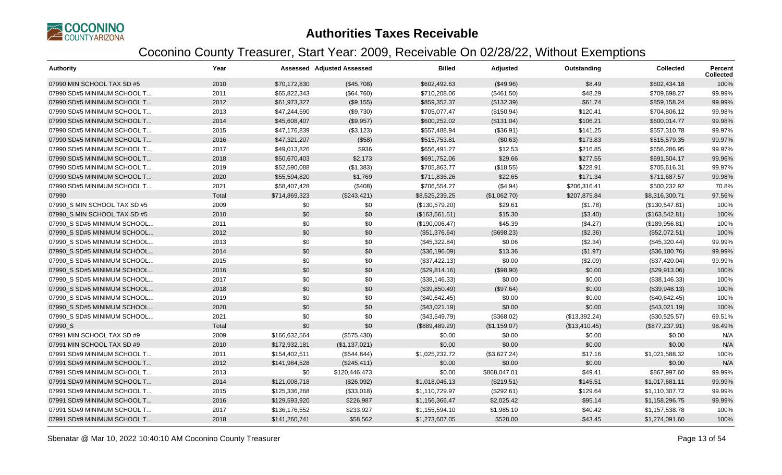

| <b>Authority</b>             | Year  |               | <b>Assessed Adjusted Assessed</b> | <b>Billed</b>  | Adjusted     | Outstanding   | Collected       | <b>Percent</b><br><b>Collected</b> |
|------------------------------|-------|---------------|-----------------------------------|----------------|--------------|---------------|-----------------|------------------------------------|
| 07990 MIN SCHOOL TAX SD #5   | 2010  | \$70,172,830  | (\$45,708)                        | \$602,492.63   | (\$49.96)    | \$8.49        | \$602,434.18    | 100%                               |
| 07990 SD#5 MINIMUM SCHOOL T  | 2011  | \$65,822,343  | (\$64,760)                        | \$710,208.06   | $(\$461.50)$ | \$48.29       | \$709,698.27    | 99.99%                             |
| 07990 SD#5 MINIMUM SCHOOL T  | 2012  | \$61,973,327  | (\$9,155)                         | \$859,352.37   | (\$132.39)   | \$61.74       | \$859,158.24    | 99.99%                             |
| 07990 SD#5 MINIMUM SCHOOL T  | 2013  | \$47,244,590  | (\$9,730)                         | \$705,077.47   | (\$150.94)   | \$120.41      | \$704,806.12    | 99.98%                             |
| 07990 SD#5 MINIMUM SCHOOL T  | 2014  | \$45,608,407  | (\$9,957)                         | \$600,252.02   | (\$131.04)   | \$106.21      | \$600,014.77    | 99.98%                             |
| 07990 SD#5 MINIMUM SCHOOL T  | 2015  | \$47,176,839  | (\$3,123)                         | \$557,488.94   | (\$36.91)    | \$141.25      | \$557,310.78    | 99.97%                             |
| 07990 SD#5 MINIMUM SCHOOL T  | 2016  | \$47,321,207  | (\$58)                            | \$515,753.81   | (\$0.63)     | \$173.83      | \$515,579.35    | 99.97%                             |
| 07990 SD#5 MINIMUM SCHOOL T  | 2017  | \$49,013,826  | \$936                             | \$656,491.27   | \$12.53      | \$216.85      | \$656,286.95    | 99.97%                             |
| 07990 SD#5 MINIMUM SCHOOL T  | 2018  | \$50,670,403  | \$2,173                           | \$691,752.06   | \$29.66      | \$277.55      | \$691,504.17    | 99.96%                             |
| 07990 SD#5 MINIMUM SCHOOL T  | 2019  | \$52,590,088  | (\$1,383)                         | \$705,863.77   | (\$18.55)    | \$228.91      | \$705,616.31    | 99.97%                             |
| 07990 SD#5 MINIMUM SCHOOL T  | 2020  | \$55,594,820  | \$1,769                           | \$711,836.26   | \$22.65      | \$171.34      | \$711,687.57    | 99.98%                             |
| 07990 SD#5 MINIMUM SCHOOL T  | 2021  | \$58,407,428  | (\$408)                           | \$706,554.27   | (\$4.94)     | \$206,316.41  | \$500,232.92    | 70.8%                              |
| 07990                        | Total | \$714,869,323 | (\$243,421)                       | \$8,525,239.25 | (\$1,062.70) | \$207,875.84  | \$8,316,300.71  | 97.56%                             |
| 07990_S MIN SCHOOL TAX SD #5 | 2009  | \$0           | \$0                               | (\$130,579.20) | \$29.61      | (\$1.78)      | (\$130,547.81)  | 100%                               |
| 07990 S MIN SCHOOL TAX SD #5 | 2010  | \$0           | \$0                               | (\$163,561.51) | \$15.30      | (\$3.40)      | (\$163,542.81)  | 100%                               |
| 07990 S SD#5 MINIMUM SCHOOL  | 2011  | \$0           | \$0                               | (\$190,006.47) | \$45.39      | (\$4.27)      | (\$189,956.81)  | 100%                               |
| 07990_S SD#5 MINIMUM SCHOOL  | 2012  | \$0           | \$0                               | (\$51,376.64)  | (\$698.23)   | (\$2.36)      | (\$52,072.51)   | 100%                               |
| 07990_S SD#5 MINIMUM SCHOOL  | 2013  | \$0           | \$0                               | (\$45,322.84)  | \$0.06       | (\$2.34)      | (\$45,320.44)   | 99.99%                             |
| 07990 S SD#5 MINIMUM SCHOOL  | 2014  | \$0           | \$0                               | (\$36,196.09)  | \$13.36      | (\$1.97)      | (\$36,180.76)   | 99.99%                             |
| 07990_S SD#5 MINIMUM SCHOOL  | 2015  | \$0           | \$0                               | (\$37,422.13)  | \$0.00       | (\$2.09)      | (\$37,420.04)   | 99.99%                             |
| 07990 S SD#5 MINIMUM SCHOOL  | 2016  | \$0           | \$0                               | (\$29,814.16)  | (\$98.90)    | \$0.00        | (\$29,913.06)   | 100%                               |
| 07990 S SD#5 MINIMUM SCHOOL  | 2017  | \$0           | \$0                               | (\$38,146.33)  | \$0.00       | \$0.00        | (\$38,146.33)   | 100%                               |
| 07990_S SD#5 MINIMUM SCHOOL  | 2018  | \$0           | \$0                               | (\$39,850.49)  | (\$97.64)    | \$0.00        | (\$39,948.13)   | 100%                               |
| 07990_S SD#5 MINIMUM SCHOOL  | 2019  | \$0           | \$0                               | (\$40,642.45)  | \$0.00       | \$0.00        | (\$40,642.45)   | 100%                               |
| 07990 S SD#5 MINIMUM SCHOOL  | 2020  | \$0           | \$0                               | (\$43,021.19)  | \$0.00       | \$0.00        | (\$43,021.19)   | 100%                               |
| 07990 S SD#5 MINIMUM SCHOOL  | 2021  | \$0           | \$0                               | (\$43,549.79)  | (\$368.02)   | (\$13,392.24) | (\$30,525.57)   | 69.51%                             |
| 07990 S                      | Total | \$0           | \$0                               | (\$889,489.29) | (\$1,159.07) | (\$13,410.45) | (\$877, 237.91) | 98.49%                             |
| 07991 MIN SCHOOL TAX SD #9   | 2009  | \$166,632,564 | (\$575,430)                       | \$0.00         | \$0.00       | \$0.00        | \$0.00          | N/A                                |
| 07991 MIN SCHOOL TAX SD #9   | 2010  | \$172,932,181 | (\$1,137,021)                     | \$0.00         | \$0.00       | \$0.00        | \$0.00          | N/A                                |
| 07991 SD#9 MINIMUM SCHOOL T  | 2011  | \$154,402,511 | (\$544, 844)                      | \$1,025,232.72 | (\$3,627.24) | \$17.16       | \$1,021,588.32  | 100%                               |
| 07991 SD#9 MINIMUM SCHOOL T  | 2012  | \$141,984,528 | (\$245,411)                       | \$0.00         | \$0.00       | \$0.00        | \$0.00          | N/A                                |
| 07991 SD#9 MINIMUM SCHOOL T  | 2013  | \$0           | \$120,446,473                     | \$0.00         | \$868,047.01 | \$49.41       | \$867,997.60    | 99.99%                             |
| 07991 SD#9 MINIMUM SCHOOL T  | 2014  | \$121,008,718 | (\$26,092)                        | \$1,018,046.13 | (\$219.51)   | \$145.51      | \$1,017,681.11  | 99.99%                             |
| 07991 SD#9 MINIMUM SCHOOL T  | 2015  | \$125,336,268 | (\$33,018)                        | \$1,110,729.97 | (\$292.61)   | \$129.64      | \$1,110,307.72  | 99.99%                             |
| 07991 SD#9 MINIMUM SCHOOL T  | 2016  | \$129,593,920 | \$226,987                         | \$1,156,366.47 | \$2,025.42   | \$95.14       | \$1,158,296.75  | 99.99%                             |
| 07991 SD#9 MINIMUM SCHOOL T  | 2017  | \$136,176,552 | \$233,927                         | \$1,155,594.10 | \$1,985.10   | \$40.42       | \$1,157,538.78  | 100%                               |
| 07991 SD#9 MINIMUM SCHOOL T  | 2018  | \$141,260,741 | \$58,562                          | \$1,273,607.05 | \$528.00     | \$43.45       | \$1,274,091.60  | 100%                               |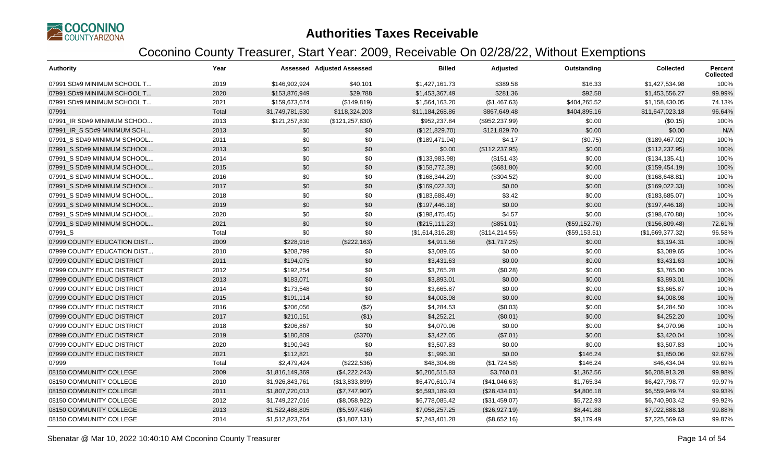

| <b>Authority</b>            | Year  |                 | <b>Assessed Adjusted Assessed</b> | <b>Billed</b>    | Adjusted        | Outstanding   | <b>Collected</b> | <b>Percent</b><br><b>Collected</b> |
|-----------------------------|-------|-----------------|-----------------------------------|------------------|-----------------|---------------|------------------|------------------------------------|
| 07991 SD#9 MINIMUM SCHOOL T | 2019  | \$146,902,924   | \$40,101                          | \$1,427,161.73   | \$389.58        | \$16.33       | \$1,427,534.98   | 100%                               |
| 07991 SD#9 MINIMUM SCHOOL T | 2020  | \$153,876,949   | \$29,788                          | \$1,453,367.49   | \$281.36        | \$92.58       | \$1,453,556.27   | 99.99%                             |
| 07991 SD#9 MINIMUM SCHOOL T | 2021  | \$159,673,674   | (\$149, 819)                      | \$1,564,163.20   | (\$1,467.63)    | \$404,265.52  | \$1,158,430.05   | 74.13%                             |
| 07991                       | Total | \$1,749,781,530 | \$118,324,203                     | \$11,184,268.86  | \$867,649.48    | \$404,895.16  | \$11,647,023.18  | 96.64%                             |
| 07991 IR SD#9 MINIMUM SCHOO | 2013  | \$121,257,830   | (\$121, 257, 830)                 | \$952,237.84     | (\$952,237.99)  | \$0.00        | (\$0.15)         | 100%                               |
| 07991 IR S SD#9 MINIMUM SCH | 2013  | \$0             | \$0                               | (\$121,829.70)   | \$121,829.70    | \$0.00        | \$0.00           | N/A                                |
| 07991_S SD#9 MINIMUM SCHOOL | 2011  | \$0             | \$0                               | (\$189,471.94)   | \$4.17          | (\$0.75)      | (\$189,467.02)   | 100%                               |
| 07991 S SD#9 MINIMUM SCHOOL | 2013  | \$0             | \$0                               | \$0.00           | (\$112, 237.95) | \$0.00        | (\$112, 237.95)  | 100%                               |
| 07991_S SD#9 MINIMUM SCHOOL | 2014  | \$0             | \$0                               | (\$133,983.98)   | (\$151.43)      | \$0.00        | (\$134, 135.41)  | 100%                               |
| 07991 S SD#9 MINIMUM SCHOOL | 2015  | \$0             | \$0                               | (\$158,772.39)   | (\$681.80)      | \$0.00        | (\$159,454.19)   | 100%                               |
| 07991 S SD#9 MINIMUM SCHOOL | 2016  | \$0             | \$0                               | (\$168,344.29)   | (\$304.52)      | \$0.00        | (\$168, 648.81)  | 100%                               |
| 07991_S SD#9 MINIMUM SCHOOL | 2017  | \$0             | \$0                               | (\$169,022.33)   | \$0.00          | \$0.00        | (\$169,022.33)   | 100%                               |
| 07991 S SD#9 MINIMUM SCHOOL | 2018  | \$0             | \$0                               | (\$183,688.49)   | \$3.42          | \$0.00        | (\$183,685.07)   | 100%                               |
| 07991 S SD#9 MINIMUM SCHOOL | 2019  | \$0             | \$0                               | (\$197,446.18)   | \$0.00          | \$0.00        | (\$197,446.18)   | 100%                               |
| 07991 S SD#9 MINIMUM SCHOOL | 2020  | \$0             | \$0                               | (\$198,475.45)   | \$4.57          | \$0.00        | (\$198,470.88)   | 100%                               |
| 07991 S SD#9 MINIMUM SCHOOL | 2021  | \$0             | \$0                               | (\$215, 111.23)  | (\$851.01)      | (\$59,152.76) | (\$156,809.48)   | 72.61%                             |
| 07991_S                     | Total | \$0             | \$0                               | (\$1,614,316.28) | (\$114, 214.55) | (\$59,153.51) | (\$1,669,377.32) | 96.58%                             |
| 07999 COUNTY EDUCATION DIST | 2009  | \$228,916       | (\$222,163)                       | \$4,911.56       | (\$1,717.25)    | \$0.00        | \$3,194.31       | 100%                               |
| 07999 COUNTY EDUCATION DIST | 2010  | \$208,799       | \$0                               | \$3,089.65       | \$0.00          | \$0.00        | \$3,089.65       | 100%                               |
| 07999 COUNTY EDUC DISTRICT  | 2011  | \$194,075       | \$0                               | \$3,431.63       | \$0.00          | \$0.00        | \$3,431.63       | 100%                               |
| 07999 COUNTY EDUC DISTRICT  | 2012  | \$192,254       | \$0                               | \$3,765.28       | (\$0.28)        | \$0.00        | \$3,765.00       | 100%                               |
| 07999 COUNTY EDUC DISTRICT  | 2013  | \$183,071       | \$0                               | \$3,893.01       | \$0.00          | \$0.00        | \$3,893.01       | 100%                               |
| 07999 COUNTY EDUC DISTRICT  | 2014  | \$173,548       | \$0                               | \$3,665.87       | \$0.00          | \$0.00        | \$3,665.87       | 100%                               |
| 07999 COUNTY EDUC DISTRICT  | 2015  | \$191,114       | \$0                               | \$4,008.98       | \$0.00          | \$0.00        | \$4,008.98       | 100%                               |
| 07999 COUNTY EDUC DISTRICT  | 2016  | \$206,056       | (\$2)                             | \$4,284.53       | (\$0.03)        | \$0.00        | \$4,284.50       | 100%                               |
| 07999 COUNTY EDUC DISTRICT  | 2017  | \$210,151       | ( \$1)                            | \$4,252.21       | (\$0.01)        | \$0.00        | \$4,252.20       | 100%                               |
| 07999 COUNTY EDUC DISTRICT  | 2018  | \$206,867       | \$0                               | \$4,070.96       | \$0.00          | \$0.00        | \$4,070.96       | 100%                               |
| 07999 COUNTY EDUC DISTRICT  | 2019  | \$180,809       | (\$370)                           | \$3,427.05       | (\$7.01)        | \$0.00        | \$3,420.04       | 100%                               |
| 07999 COUNTY EDUC DISTRICT  | 2020  | \$190,943       | \$0                               | \$3,507.83       | \$0.00          | \$0.00        | \$3,507.83       | 100%                               |
| 07999 COUNTY EDUC DISTRICT  | 2021  | \$112,821       | \$0                               | \$1,996.30       | \$0.00          | \$146.24      | \$1,850.06       | 92.67%                             |
| 07999                       | Total | \$2,479,424     | (\$222,536)                       | \$48,304.86      | (\$1,724.58)    | \$146.24      | \$46,434.04      | 99.69%                             |
| 08150 COMMUNITY COLLEGE     | 2009  | \$1,816,149,369 | (\$4,222,243)                     | \$6,206,515.83   | \$3,760.01      | \$1,362.56    | \$6,208,913.28   | 99.98%                             |
| 08150 COMMUNITY COLLEGE     | 2010  | \$1,926,843,761 | (\$13,833,899)                    | \$6,470,610.74   | (\$41,046.63)   | \$1,765.34    | \$6,427,798.77   | 99.97%                             |
| 08150 COMMUNITY COLLEGE     | 2011  | \$1,807,720,013 | (\$7,747,907)                     | \$6,593,189.93   | (\$28,434.01)   | \$4,806.18    | \$6,559,949.74   | 99.93%                             |
| 08150 COMMUNITY COLLEGE     | 2012  | \$1,749,227,016 | (\$8,058,922)                     | \$6,778,085.42   | (\$31,459.07)   | \$5,722.93    | \$6,740,903.42   | 99.92%                             |
| 08150 COMMUNITY COLLEGE     | 2013  | \$1,522,488,805 | (\$5,597,416)                     | \$7,058,257.25   | (\$26,927.19)   | \$8,441.88    | \$7,022,888.18   | 99.88%                             |
| 08150 COMMUNITY COLLEGE     | 2014  | \$1,512,823,764 | (\$1,807,131)                     | \$7,243,401.28   | (\$8,652.16)    | \$9,179.49    | \$7,225,569.63   | 99.87%                             |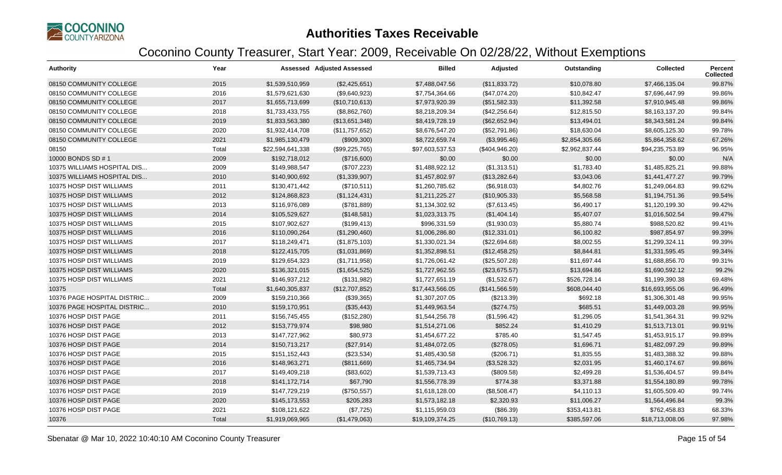

| <b>Authority</b>            | Year  |                  | <b>Assessed Adjusted Assessed</b> | <b>Billed</b>   | Adjusted       | Outstanding    | <b>Collected</b> | <b>Percent</b><br><b>Collected</b> |
|-----------------------------|-------|------------------|-----------------------------------|-----------------|----------------|----------------|------------------|------------------------------------|
| 08150 COMMUNITY COLLEGE     | 2015  | \$1,539,510,959  | (\$2,425,651)                     | \$7,488,047.56  | (\$11,833.72)  | \$10,078.80    | \$7,466,135.04   | 99.87%                             |
| 08150 COMMUNITY COLLEGE     | 2016  | \$1,579,621,630  | (\$9,640,923)                     | \$7,754,364.66  | (\$47,074.20)  | \$10,842.47    | \$7,696,447.99   | 99.86%                             |
| 08150 COMMUNITY COLLEGE     | 2017  | \$1,655,713,699  | (\$10,710,613)                    | \$7,973,920.39  | (\$51,582.33)  | \$11,392.58    | \$7,910,945.48   | 99.86%                             |
| 08150 COMMUNITY COLLEGE     | 2018  | \$1,733,433,755  | (\$8,862,760)                     | \$8,218,209.34  | (\$42,256.64)  | \$12,815.50    | \$8,163,137.20   | 99.84%                             |
| 08150 COMMUNITY COLLEGE     | 2019  | \$1,833,563,380  | (\$13,651,348)                    | \$8,419,728.19  | (\$62,652.94)  | \$13,494.01    | \$8,343,581.24   | 99.84%                             |
| 08150 COMMUNITY COLLEGE     | 2020  | \$1,932,414,708  | (\$11,757,652)                    | \$8,676,547.20  | (\$52,791.86)  | \$18,630.04    | \$8,605,125.30   | 99.78%                             |
| 08150 COMMUNITY COLLEGE     | 2021  | \$1,985,130,479  | (\$909,300)                       | \$8,722,659.74  | (\$3,995.46)   | \$2,854,305.66 | \$5,864,358.62   | 67.26%                             |
| 08150                       | Total | \$22,594,641,338 | (\$99,225,765)                    | \$97,603,537.53 | (\$404,946.20) | \$2,962,837.44 | \$94,235,753.89  | 96.95%                             |
| 10000 BONDS SD # 1          | 2009  | \$192,718,012    | (\$716,600)                       | \$0.00          | \$0.00         | \$0.00         | \$0.00           | N/A                                |
| 10375 WILLIAMS HOSPITAL DIS | 2009  | \$149,988,547    | (\$707,223)                       | \$1,488,922.12  | (\$1,313.51)   | \$1,783.40     | \$1,485,825.21   | 99.88%                             |
| 10375 WILLIAMS HOSPITAL DIS | 2010  | \$140,900,692    | (\$1,339,907)                     | \$1,457,802.97  | (\$13,282.64)  | \$3,043.06     | \$1,441,477.27   | 99.79%                             |
| 10375 HOSP DIST WILLIAMS    | 2011  | \$130,471,442    | (\$710,511)                       | \$1,260,785.62  | (\$6,918.03)   | \$4,802.76     | \$1,249,064.83   | 99.62%                             |
| 10375 HOSP DIST WILLIAMS    | 2012  | \$124,868,823    | (\$1,124,431)                     | \$1,211,225.27  | (\$10,905.33)  | \$5,568.58     | \$1,194,751.36   | 99.54%                             |
| 10375 HOSP DIST WILLIAMS    | 2013  | \$116,976,089    | (\$781, 889)                      | \$1,134,302.92  | (\$7,613.45)   | \$6,490.17     | \$1,120,199.30   | 99.42%                             |
| 10375 HOSP DIST WILLIAMS    | 2014  | \$105,529,627    | (\$148,581)                       | \$1,023,313.75  | (\$1,404.14)   | \$5,407.07     | \$1,016,502.54   | 99.47%                             |
| 10375 HOSP DIST WILLIAMS    | 2015  | \$107,902,627    | (\$199,413)                       | \$996,331.59    | (\$1,930.03)   | \$5,880.74     | \$988,520.82     | 99.41%                             |
| 10375 HOSP DIST WILLIAMS    | 2016  | \$110,090,264    | (\$1,290,460)                     | \$1,006,286.80  | (\$12,331.01)  | \$6,100.82     | \$987,854.97     | 99.39%                             |
| 10375 HOSP DIST WILLIAMS    | 2017  | \$118,249,471    | (\$1,875,103)                     | \$1,330,021.34  | (\$22,694.68)  | \$8,002.55     | \$1,299,324.11   | 99.39%                             |
| 10375 HOSP DIST WILLIAMS    | 2018  | \$122,415,705    | (\$1,031,869)                     | \$1,352,898.51  | (\$12,458.25)  | \$8,844.81     | \$1,331,595.45   | 99.34%                             |
| 10375 HOSP DIST WILLIAMS    | 2019  | \$129,654,323    | (\$1,711,958)                     | \$1,726,061.42  | (\$25,507.28)  | \$11,697.44    | \$1,688,856.70   | 99.31%                             |
| 10375 HOSP DIST WILLIAMS    | 2020  | \$136,321,015    | (\$1,654,525)                     | \$1,727,962.55  | (\$23,675.57)  | \$13,694.86    | \$1,690,592.12   | 99.2%                              |
| 10375 HOSP DIST WILLIAMS    | 2021  | \$146,937,212    | (\$131,982)                       | \$1,727,651.19  | (\$1,532.67)   | \$526,728.14   | \$1,199,390.38   | 69.48%                             |
| 10375                       | Total | \$1,640,305,837  | (\$12,707,852)                    | \$17,443,566.05 | (\$141,566.59) | \$608,044.40   | \$16,693,955.06  | 96.49%                             |
| 10376 PAGE HOSPITAL DISTRIC | 2009  | \$159,210,366    | (\$39,365)                        | \$1,307,207.05  | (\$213.39)     | \$692.18       | \$1,306,301.48   | 99.95%                             |
| 10376 PAGE HOSPITAL DISTRIC | 2010  | \$159,170,951    | (\$35,443)                        | \$1,449,963.54  | (\$274.75)     | \$685.51       | \$1,449,003.28   | 99.95%                             |
| 10376 HOSP DIST PAGE        | 2011  | \$156,745,455    | (\$152,280)                       | \$1,544,256.78  | (\$1,596.42)   | \$1,296.05     | \$1,541,364.31   | 99.92%                             |
| 10376 HOSP DIST PAGE        | 2012  | \$153,779,974    | \$98,980                          | \$1,514,271.06  | \$852.24       | \$1,410.29     | \$1,513,713.01   | 99.91%                             |
| 10376 HOSP DIST PAGE        | 2013  | \$147,727,962    | \$80,973                          | \$1,454,677.22  | \$785.40       | \$1,547.45     | \$1,453,915.17   | 99.89%                             |
| 10376 HOSP DIST PAGE        | 2014  | \$150,713,217    | (\$27,914)                        | \$1,484,072.05  | (\$278.05)     | \$1,696.71     | \$1,482,097.29   | 99.89%                             |
| 10376 HOSP DIST PAGE        | 2015  | \$151,152,443    | (\$23,534)                        | \$1,485,430.58  | (\$206.71)     | \$1,835.55     | \$1,483,388.32   | 99.88%                             |
| 10376 HOSP DIST PAGE        | 2016  | \$148,963,271    | (\$811,669)                       | \$1,465,734.94  | (\$3,528.32)   | \$2,031.95     | \$1,460,174.67   | 99.86%                             |
| 10376 HOSP DIST PAGE        | 2017  | \$149,409,218    | (\$83,602)                        | \$1,539,713.43  | (\$809.58)     | \$2,499.28     | \$1,536,404.57   | 99.84%                             |
| 10376 HOSP DIST PAGE        | 2018  | \$141,172,714    | \$67,790                          | \$1,556,778.39  | \$774.38       | \$3,371.88     | \$1,554,180.89   | 99.78%                             |
| 10376 HOSP DIST PAGE        | 2019  | \$147,729,219    | (\$750,557)                       | \$1,618,128.00  | (\$8,508.47)   | \$4,110.13     | \$1,605,509.40   | 99.74%                             |
| 10376 HOSP DIST PAGE        | 2020  | \$145,173,553    | \$205,283                         | \$1,573,182.18  | \$2,320.93     | \$11,006.27    | \$1,564,496.84   | 99.3%                              |
| 10376 HOSP DIST PAGE        | 2021  | \$108,121,622    | (\$7,725)                         | \$1,115,959.03  | (\$86.39)      | \$353,413.81   | \$762,458.83     | 68.33%                             |
| 10376                       | Total | \$1,919,069,965  | (\$1,479,063)                     | \$19,109,374.25 | (\$10,769.13)  | \$385,597.06   | \$18,713,008.06  | 97.98%                             |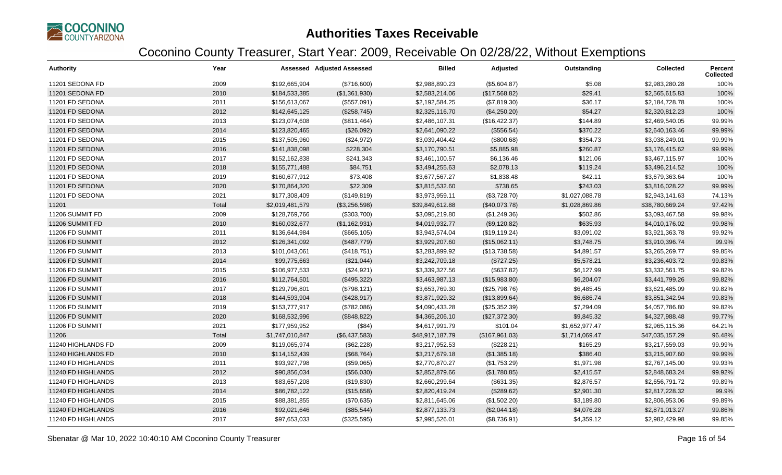

| <b>Authority</b>   | Year  |                 | <b>Assessed Adjusted Assessed</b> | <b>Billed</b>   | Adjusted       | Outstanding    | <b>Collected</b> | <b>Percent</b><br><b>Collected</b> |
|--------------------|-------|-----------------|-----------------------------------|-----------------|----------------|----------------|------------------|------------------------------------|
| 11201 SEDONA FD    | 2009  | \$192,665,904   | (\$716,600)                       | \$2,988,890.23  | (\$5,604.87)   | \$5.08         | \$2,983,280.28   | 100%                               |
| 11201 SEDONA FD    | 2010  | \$184,533,385   | (\$1,361,930)                     | \$2,583,214.06  | (\$17,568.82)  | \$29.41        | \$2,565,615.83   | 100%                               |
| 11201 FD SEDONA    | 2011  | \$156,613,067   | (\$557,091)                       | \$2,192,584.25  | (\$7,819.30)   | \$36.17        | \$2,184,728.78   | 100%                               |
| 11201 FD SEDONA    | 2012  | \$142,645,125   | (\$258,745)                       | \$2,325,116.70  | (\$4,250.20)   | \$54.27        | \$2,320,812.23   | 100%                               |
| 11201 FD SEDONA    | 2013  | \$123,074,608   | (\$811,464)                       | \$2,486,107.31  | (\$16,422.37)  | \$144.89       | \$2,469,540.05   | 99.99%                             |
| 11201 FD SEDONA    | 2014  | \$123,820,465   | (\$26,092)                        | \$2,641,090.22  | (\$556.54)     | \$370.22       | \$2,640,163.46   | 99.99%                             |
| 11201 FD SEDONA    | 2015  | \$137,505,960   | (\$24,972)                        | \$3,039,404.42  | (\$800.68)     | \$354.73       | \$3,038,249.01   | 99.99%                             |
| 11201 FD SEDONA    | 2016  | \$141,838,098   | \$228,304                         | \$3,170,790.51  | \$5,885.98     | \$260.87       | \$3,176,415.62   | 99.99%                             |
| 11201 FD SEDONA    | 2017  | \$152,162,838   | \$241,343                         | \$3,461,100.57  | \$6,136.46     | \$121.06       | \$3,467,115.97   | 100%                               |
| 11201 FD SEDONA    | 2018  | \$155,771,488   | \$84,751                          | \$3,494,255.63  | \$2,078.13     | \$119.24       | \$3,496,214.52   | 100%                               |
| 11201 FD SEDONA    | 2019  | \$160,677,912   | \$73,408                          | \$3,677,567.27  | \$1,838.48     | \$42.11        | \$3,679,363.64   | 100%                               |
| 11201 FD SEDONA    | 2020  | \$170,864,320   | \$22,309                          | \$3,815,532.60  | \$738.65       | \$243.03       | \$3,816,028.22   | 99.99%                             |
| 11201 FD SEDONA    | 2021  | \$177,308,409   | (\$149, 819)                      | \$3,973,959.11  | (\$3,728.70)   | \$1,027,088.78 | \$2,943,141.63   | 74.13%                             |
| 11201              | Total | \$2,019,481,579 | (\$3,256,598)                     | \$39,849,612.88 | (\$40,073.78)  | \$1,028,869.86 | \$38,780,669.24  | 97.42%                             |
| 11206 SUMMIT FD    | 2009  | \$128,769,766   | (\$303,700)                       | \$3,095,219.80  | (\$1,249.36)   | \$502.86       | \$3,093,467.58   | 99.98%                             |
| 11206 SUMMIT FD    | 2010  | \$160,032,677   | (\$1,162,931)                     | \$4,019,932.77  | (\$9,120.82)   | \$635.93       | \$4,010,176.02   | 99.98%                             |
| 11206 FD SUMMIT    | 2011  | \$136,644,984   | (\$665, 105)                      | \$3,943,574.04  | (\$19, 119.24) | \$3,091.02     | \$3,921,363.78   | 99.92%                             |
| 11206 FD SUMMIT    | 2012  | \$126,341,092   | (\$487,779)                       | \$3,929,207.60  | (\$15,062.11)  | \$3,748.75     | \$3,910,396.74   | 99.9%                              |
| 11206 FD SUMMIT    | 2013  | \$101,043,061   | (\$418,751)                       | \$3,283,899.92  | (\$13,738.58)  | \$4,891.57     | \$3,265,269.77   | 99.85%                             |
| 11206 FD SUMMIT    | 2014  | \$99,775,663    | (\$21,044)                        | \$3,242,709.18  | (\$727.25)     | \$5,578.21     | \$3,236,403.72   | 99.83%                             |
| 11206 FD SUMMIT    | 2015  | \$106,977,533   | (\$24,921)                        | \$3,339,327.56  | (\$637.82)     | \$6,127.99     | \$3,332,561.75   | 99.82%                             |
| 11206 FD SUMMIT    | 2016  | \$112,764,501   | (\$495,322)                       | \$3,463,987.13  | (\$15,983.80)  | \$6,204.07     | \$3,441,799.26   | 99.82%                             |
| 11206 FD SUMMIT    | 2017  | \$129,796,801   | (\$798, 121)                      | \$3,653,769.30  | (\$25,798.76)  | \$6,485.45     | \$3,621,485.09   | 99.82%                             |
| 11206 FD SUMMIT    | 2018  | \$144,593,904   | (\$428,917)                       | \$3,871,929.32  | (\$13,899.64)  | \$6,686.74     | \$3,851,342.94   | 99.83%                             |
| 11206 FD SUMMIT    | 2019  | \$153,777,917   | (\$782,086)                       | \$4,090,433.28  | (\$25,352.39)  | \$7,294.09     | \$4,057,786.80   | 99.82%                             |
| 11206 FD SUMMIT    | 2020  | \$168,532,996   | (\$848, 822)                      | \$4,365,206.10  | (\$27,372.30)  | \$9,845.32     | \$4,327,988.48   | 99.77%                             |
| 11206 FD SUMMIT    | 2021  | \$177,959,952   | (\$84)                            | \$4,617,991.79  | \$101.04       | \$1,652,977.47 | \$2,965,115.36   | 64.21%                             |
| 11206              | Total | \$1,747,010,847 | (\$6,437,583)                     | \$48,917,187.79 | (\$167,961.03) | \$1,714,069.47 | \$47,035,157.29  | 96.48%                             |
| 11240 HIGHLANDS FD | 2009  | \$119,065,974   | (\$62,228)                        | \$3,217,952.53  | (\$228.21)     | \$165.29       | \$3,217,559.03   | 99.99%                             |
| 11240 HIGHLANDS FD | 2010  | \$114,152,439   | (\$68,764)                        | \$3,217,679.18  | (\$1,385.18)   | \$386.40       | \$3,215,907.60   | 99.99%                             |
| 11240 FD HIGHLANDS | 2011  | \$93,927,798    | (\$59,065)                        | \$2,770,870.27  | (\$1,753.29)   | \$1,971.98     | \$2,767,145.00   | 99.93%                             |
| 11240 FD HIGHLANDS | 2012  | \$90,856,034    | (\$56,030)                        | \$2,852,879.66  | (\$1,780.85)   | \$2,415.57     | \$2,848,683.24   | 99.92%                             |
| 11240 FD HIGHLANDS | 2013  | \$83,657,208    | (\$19,830)                        | \$2,660,299.64  | (\$631.35)     | \$2,876.57     | \$2,656,791.72   | 99.89%                             |
| 11240 FD HIGHLANDS | 2014  | \$86,782,122    | (\$15,658)                        | \$2,820,419.24  | (\$289.62)     | \$2,901.30     | \$2,817,228.32   | 99.9%                              |
| 11240 FD HIGHLANDS | 2015  | \$88,381,855    | (\$70,635)                        | \$2,811,645.06  | (\$1,502.20)   | \$3,189.80     | \$2,806,953.06   | 99.89%                             |
| 11240 FD HIGHLANDS | 2016  | \$92,021,646    | (\$85,544)                        | \$2,877,133.73  | (\$2,044.18)   | \$4,076.28     | \$2,871,013.27   | 99.86%                             |
| 11240 FD HIGHLANDS | 2017  | \$97,653,033    | (\$325,595)                       | \$2,995,526.01  | (\$8,736.91)   | \$4,359.12     | \$2,982,429.98   | 99.85%                             |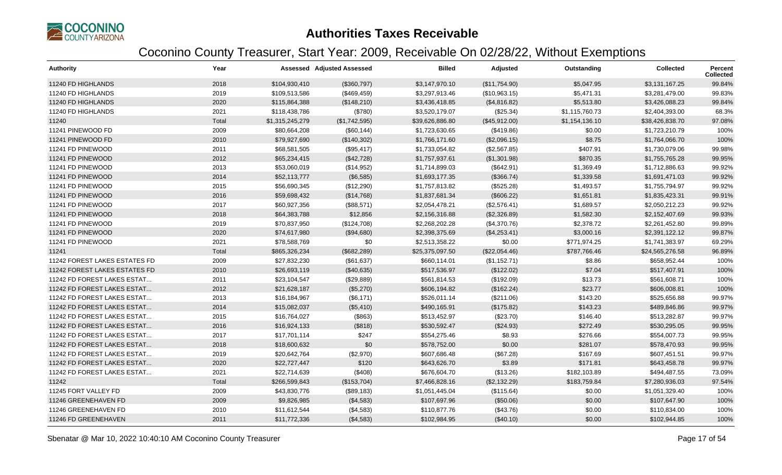

| <b>Authority</b>              | Year  |                 | <b>Assessed Adjusted Assessed</b> | <b>Billed</b>   | Adjusted      | Outstanding    | Collected       | <b>Percent</b><br><b>Collected</b> |
|-------------------------------|-------|-----------------|-----------------------------------|-----------------|---------------|----------------|-----------------|------------------------------------|
| 11240 FD HIGHLANDS            | 2018  | \$104,930,410   | (\$360,797)                       | \$3,147,970.10  | (\$11,754.90) | \$5,047.95     | \$3,131,167.25  | 99.84%                             |
| 11240 FD HIGHLANDS            | 2019  | \$109,513,586   | (\$469,459)                       | \$3,297,913.46  | (\$10,963.15) | \$5,471.31     | \$3,281,479.00  | 99.83%                             |
| 11240 FD HIGHLANDS            | 2020  | \$115,864,388   | (\$148,210)                       | \$3,436,418.85  | (\$4,816.82)  | \$5,513.80     | \$3,426,088.23  | 99.84%                             |
| 11240 FD HIGHLANDS            | 2021  | \$118,438,786   | (\$780)                           | \$3,520,179.07  | (\$25.34)     | \$1,115,760.73 | \$2,404,393.00  | 68.3%                              |
| 11240                         | Total | \$1,315,245,279 | (\$1,742,595)                     | \$39,626,886.80 | (\$45,912.00) | \$1,154,136.10 | \$38,426,838.70 | 97.08%                             |
| 11241 PINEWOOD FD             | 2009  | \$80,664,208    | (\$60,144)                        | \$1,723,630.65  | (\$419.86)    | \$0.00         | \$1,723,210.79  | 100%                               |
| 11241 PINEWOOD FD             | 2010  | \$79,927,690    | (\$140,302)                       | \$1,766,171.60  | (\$2,096.15)  | \$8.75         | \$1,764,066.70  | 100%                               |
| 11241 FD PINEWOOD             | 2011  | \$68,581,505    | (\$95,417)                        | \$1,733,054.82  | (\$2,567.85)  | \$407.91       | \$1,730,079.06  | 99.98%                             |
| 11241 FD PINEWOOD             | 2012  | \$65,234,415    | (\$42,728)                        | \$1,757,937.61  | (\$1,301.98)  | \$870.35       | \$1,755,765.28  | 99.95%                             |
| 11241 FD PINEWOOD             | 2013  | \$53,060,019    | (\$14,952)                        | \$1,714,899.03  | (\$642.91)    | \$1,369.49     | \$1,712,886.63  | 99.92%                             |
| 11241 FD PINEWOOD             | 2014  | \$52,113,777    | (\$6,585)                         | \$1,693,177.35  | (\$366.74)    | \$1,339.58     | \$1,691,471.03  | 99.92%                             |
| 11241 FD PINEWOOD             | 2015  | \$56,690,345    | (\$12,290)                        | \$1,757,813.82  | (\$525.28)    | \$1,493.57     | \$1,755,794.97  | 99.92%                             |
| 11241 FD PINEWOOD             | 2016  | \$59,698,432    | (\$14,768)                        | \$1,837,681.34  | (\$606.22)    | \$1,651.81     | \$1,835,423.31  | 99.91%                             |
| 11241 FD PINEWOOD             | 2017  | \$60,927,356    | (\$88,571)                        | \$2,054,478.21  | (\$2,576.41)  | \$1,689.57     | \$2,050,212.23  | 99.92%                             |
| 11241 FD PINEWOOD             | 2018  | \$64,383,788    | \$12,856                          | \$2,156,316.88  | (\$2,326.89)  | \$1,582.30     | \$2,152,407.69  | 99.93%                             |
| 11241 FD PINEWOOD             | 2019  | \$70,837,950    | (\$124,708)                       | \$2,268,202.28  | (\$4,370.76)  | \$2,378.72     | \$2,261,452.80  | 99.89%                             |
| 11241 FD PINEWOOD             | 2020  | \$74,617,980    | (\$94,680)                        | \$2,398,375.69  | (\$4,253.41)  | \$3,000.16     | \$2,391,122.12  | 99.87%                             |
| 11241 FD PINEWOOD             | 2021  | \$78,588,769    | \$0                               | \$2,513,358.22  | \$0.00        | \$771,974.25   | \$1,741,383.97  | 69.29%                             |
| 11241                         | Total | \$865,326,234   | (\$682,289)                       | \$25,375,097.50 | (\$22,054.46) | \$787,766.46   | \$24,565,276.58 | 96.89%                             |
| 11242 FOREST LAKES ESTATES FD | 2009  | \$27,832,230    | (\$61,637)                        | \$660,114.01    | (\$1,152.71)  | \$8.86         | \$658,952.44    | 100%                               |
| 11242 FOREST LAKES ESTATES FD | 2010  | \$26,693,119    | (\$40,635)                        | \$517,536.97    | (\$122.02)    | \$7.04         | \$517,407.91    | 100%                               |
| 11242 FD FOREST LAKES ESTAT   | 2011  | \$23,104,547    | (\$29,889)                        | \$561,814.53    | (\$192.09)    | \$13.73        | \$561,608.71    | 100%                               |
| 11242 FD FOREST LAKES ESTAT   | 2012  | \$21,628,187    | (\$5,270)                         | \$606,194.82    | (\$162.24)    | \$23.77        | \$606,008.81    | 100%                               |
| 11242 FD FOREST LAKES ESTAT   | 2013  | \$16,184,967    | (\$6,171)                         | \$526,011.14    | (\$211.06)    | \$143.20       | \$525,656.88    | 99.97%                             |
| 11242 FD FOREST LAKES ESTAT   | 2014  | \$15,082,037    | (\$5,410)                         | \$490,165.91    | (\$175.82)    | \$143.23       | \$489,846.86    | 99.97%                             |
| 11242 FD FOREST LAKES ESTAT   | 2015  | \$16,764,027    | (\$863)                           | \$513,452.97    | (\$23.70)     | \$146.40       | \$513,282.87    | 99.97%                             |
| 11242 FD FOREST LAKES ESTAT   | 2016  | \$16,924,133    | (\$818)                           | \$530,592.47    | (\$24.93)     | \$272.49       | \$530,295.05    | 99.95%                             |
| 11242 FD FOREST LAKES ESTAT   | 2017  | \$17,701,114    | \$247                             | \$554,275.46    | \$8.93        | \$276.66       | \$554,007.73    | 99.95%                             |
| 11242 FD FOREST LAKES ESTAT   | 2018  | \$18,600,632    | \$0                               | \$578,752.00    | \$0.00        | \$281.07       | \$578,470.93    | 99.95%                             |
| 11242 FD FOREST LAKES ESTAT   | 2019  | \$20,642,764    | (\$2,970)                         | \$607,686.48    | (\$67.28)     | \$167.69       | \$607,451.51    | 99.97%                             |
| 11242 FD FOREST LAKES ESTAT   | 2020  | \$22,727,447    | \$120                             | \$643,626.70    | \$3.89        | \$171.81       | \$643,458.78    | 99.97%                             |
| 11242 FD FOREST LAKES ESTAT   | 2021  | \$22,714,639    | (\$408)                           | \$676,604.70    | (\$13.26)     | \$182,103.89   | \$494,487.55    | 73.09%                             |
| 11242                         | Total | \$266,599,843   | (\$153,704)                       | \$7,466,828.16  | (\$2,132.29)  | \$183,759.84   | \$7,280,936.03  | 97.54%                             |
| 11245 FORT VALLEY FD          | 2009  | \$43,830,776    | (\$89,183)                        | \$1,051,445.04  | (\$115.64)    | \$0.00         | \$1,051,329.40  | 100%                               |
| 11246 GREENEHAVEN FD          | 2009  | \$9,826,985     | (\$4,583)                         | \$107,697.96    | (\$50.06)     | \$0.00         | \$107,647.90    | 100%                               |
| 11246 GREENEHAVEN FD          | 2010  | \$11,612,544    | (\$4,583)                         | \$110,877.76    | (\$43.76)     | \$0.00         | \$110,834.00    | 100%                               |
| 11246 FD GREENEHAVEN          | 2011  | \$11,772,336    | (\$4,583)                         | \$102,984.95    | (\$40.10)     | \$0.00         | \$102,944.85    | 100%                               |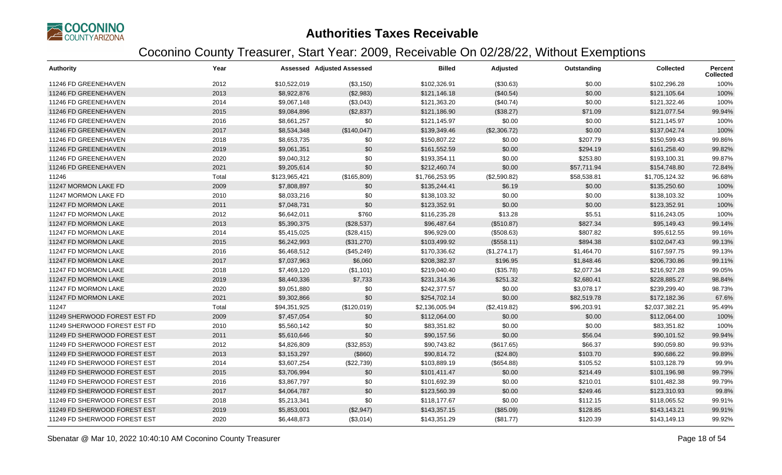

| <b>Authority</b>             | Year  |               | <b>Assessed Adjusted Assessed</b> | <b>Billed</b>  | Adjusted     | Outstanding | <b>Collected</b> | Percent<br><b>Collected</b> |
|------------------------------|-------|---------------|-----------------------------------|----------------|--------------|-------------|------------------|-----------------------------|
| 11246 FD GREENEHAVEN         | 2012  | \$10,522,019  | (\$3,150)                         | \$102,326.91   | (\$30.63)    | \$0.00      | \$102,296.28     | 100%                        |
| 11246 FD GREENEHAVEN         | 2013  | \$8,922,876   | (\$2,983)                         | \$121,146.18   | (\$40.54)    | \$0.00      | \$121,105.64     | 100%                        |
| 11246 FD GREENEHAVEN         | 2014  | \$9,067,148   | (\$3,043)                         | \$121,363.20   | (\$40.74)    | \$0.00      | \$121,322.46     | 100%                        |
| 11246 FD GREENEHAVEN         | 2015  | \$9,084,896   | (\$2,837)                         | \$121,186.90   | (\$38.27)    | \$71.09     | \$121,077.54     | 99.94%                      |
| 11246 FD GREENEHAVEN         | 2016  | \$8,661,257   | \$0                               | \$121,145.97   | \$0.00       | \$0.00      | \$121,145.97     | 100%                        |
| 11246 FD GREENEHAVEN         | 2017  | \$8,534,348   | (\$140,047)                       | \$139,349.46   | (\$2,306.72) | \$0.00      | \$137,042.74     | 100%                        |
| 11246 FD GREENEHAVEN         | 2018  | \$8,653,735   | \$0                               | \$150,807.22   | \$0.00       | \$207.79    | \$150,599.43     | 99.86%                      |
| 11246 FD GREENEHAVEN         | 2019  | \$9,061,351   | \$0                               | \$161,552.59   | \$0.00       | \$294.19    | \$161,258.40     | 99.82%                      |
| 11246 FD GREENEHAVEN         | 2020  | \$9,040,312   | \$0                               | \$193,354.11   | \$0.00       | \$253.80    | \$193,100.31     | 99.87%                      |
| 11246 FD GREENEHAVEN         | 2021  | \$9,205,614   | \$0                               | \$212,460.74   | \$0.00       | \$57,711.94 | \$154,748.80     | 72.84%                      |
| 11246                        | Total | \$123,965,421 | (\$165,809)                       | \$1,766,253.95 | (\$2,590.82) | \$58,538.81 | \$1,705,124.32   | 96.68%                      |
| 11247 MORMON LAKE FD         | 2009  | \$7,808,897   | \$0                               | \$135,244.41   | \$6.19       | \$0.00      | \$135,250.60     | 100%                        |
| 11247 MORMON LAKE FD         | 2010  | \$8,033,216   | \$0                               | \$138,103.32   | \$0.00       | \$0.00      | \$138,103.32     | 100%                        |
| 11247 FD MORMON LAKE         | 2011  | \$7,048,731   | \$0                               | \$123,352.91   | \$0.00       | \$0.00      | \$123,352.91     | 100%                        |
| 11247 FD MORMON LAKE         | 2012  | \$6,642,011   | \$760                             | \$116,235.28   | \$13.28      | \$5.51      | \$116,243.05     | 100%                        |
| 11247 FD MORMON LAKE         | 2013  | \$5,390,375   | (\$28,537)                        | \$96,487.64    | (\$510.87)   | \$827.34    | \$95,149.43      | 99.14%                      |
| 11247 FD MORMON LAKE         | 2014  | \$5,415,025   | (\$28,415)                        | \$96,929.00    | (\$508.63)   | \$807.82    | \$95,612.55      | 99.16%                      |
| 11247 FD MORMON LAKE         | 2015  | \$6,242,993   | (\$31,270)                        | \$103,499.92   | (\$558.11)   | \$894.38    | \$102,047.43     | 99.13%                      |
| 11247 FD MORMON LAKE         | 2016  | \$6,468,512   | (\$45,249)                        | \$170,336.62   | (\$1,274.17) | \$1,464.70  | \$167,597.75     | 99.13%                      |
| 11247 FD MORMON LAKE         | 2017  | \$7,037,963   | \$6,060                           | \$208,382.37   | \$196.95     | \$1,848.46  | \$206,730.86     | 99.11%                      |
| 11247 FD MORMON LAKE         | 2018  | \$7,469,120   | (\$1,101)                         | \$219,040.40   | (\$35.78)    | \$2,077.34  | \$216,927.28     | 99.05%                      |
| 11247 FD MORMON LAKE         | 2019  | \$8,440,336   | \$7,733                           | \$231,314.36   | \$251.32     | \$2,680.41  | \$228,885.27     | 98.84%                      |
| 11247 FD MORMON LAKE         | 2020  | \$9,051,880   | \$0                               | \$242,377.57   | \$0.00       | \$3,078.17  | \$239,299.40     | 98.73%                      |
| 11247 FD MORMON LAKE         | 2021  | \$9,302,866   | \$0                               | \$254,702.14   | \$0.00       | \$82,519.78 | \$172,182.36     | 67.6%                       |
| 11247                        | Total | \$94,351,925  | (\$120,019)                       | \$2,136,005.94 | (\$2,419.82) | \$96,203.91 | \$2,037,382.21   | 95.49%                      |
| 11249 SHERWOOD FOREST EST FD | 2009  | \$7,457,054   | \$0                               | \$112,064.00   | \$0.00       | \$0.00      | \$112,064.00     | 100%                        |
| 11249 SHERWOOD FOREST EST FD | 2010  | \$5,560,142   | \$0                               | \$83,351.82    | \$0.00       | \$0.00      | \$83,351.82      | 100%                        |
| 11249 FD SHERWOOD FOREST EST | 2011  | \$5,610,646   | \$0                               | \$90,157.56    | \$0.00       | \$56.04     | \$90,101.52      | 99.94%                      |
| 11249 FD SHERWOOD FOREST EST | 2012  | \$4,826,809   | (\$32,853)                        | \$90,743.82    | (\$617.65)   | \$66.37     | \$90,059.80      | 99.93%                      |
| 11249 FD SHERWOOD FOREST EST | 2013  | \$3,153,297   | (\$860)                           | \$90,814.72    | (\$24.80)    | \$103.70    | \$90,686.22      | 99.89%                      |
| 11249 FD SHERWOOD FOREST EST | 2014  | \$3,607,254   | (\$22,739)                        | \$103,889.19   | (\$654.88)   | \$105.52    | \$103,128.79     | 99.9%                       |
| 11249 FD SHERWOOD FOREST EST | 2015  | \$3,706,994   | \$0                               | \$101,411.47   | \$0.00       | \$214.49    | \$101,196.98     | 99.79%                      |
| 11249 FD SHERWOOD FOREST EST | 2016  | \$3,867,797   | \$0                               | \$101,692.39   | \$0.00       | \$210.01    | \$101,482.38     | 99.79%                      |
| 11249 FD SHERWOOD FOREST EST | 2017  | \$4,064,787   | \$0                               | \$123,560.39   | \$0.00       | \$249.46    | \$123,310.93     | 99.8%                       |
| 11249 FD SHERWOOD FOREST EST | 2018  | \$5,213,341   | \$0                               | \$118,177.67   | \$0.00       | \$112.15    | \$118,065.52     | 99.91%                      |
| 11249 FD SHERWOOD FOREST EST | 2019  | \$5,853,001   | (\$2,947)                         | \$143,357.15   | (\$85.09)    | \$128.85    | \$143,143.21     | 99.91%                      |
| 11249 FD SHERWOOD FOREST EST | 2020  | \$6,448,873   | (\$3,014)                         | \$143,351.29   | (\$81.77)    | \$120.39    | \$143,149.13     | 99.92%                      |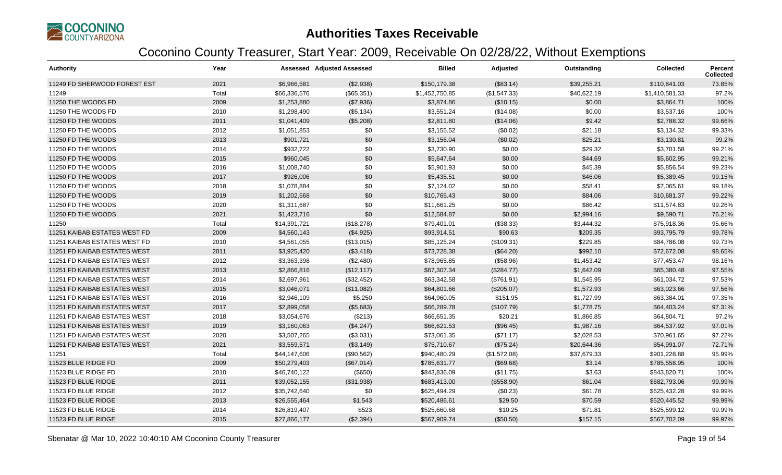

| <b>Authority</b>             | Year  |              | <b>Assessed Adjusted Assessed</b> | <b>Billed</b>  | Adjusted     | Outstanding | <b>Collected</b> | Percent<br><b>Collected</b> |
|------------------------------|-------|--------------|-----------------------------------|----------------|--------------|-------------|------------------|-----------------------------|
| 11249 FD SHERWOOD FOREST EST | 2021  | \$6,966,581  | (\$2,938)                         | \$150,179.38   | (\$83.14)    | \$39,255.21 | \$110,841.03     | 73.85%                      |
| 11249                        | Total | \$66,336,576 | (\$65,351)                        | \$1,452,750.85 | (\$1,547.33) | \$40,622.19 | \$1,410,581.33   | 97.2%                       |
| 11250 THE WOODS FD           | 2009  | \$1,253,880  | (\$7,936)                         | \$3,874.86     | (\$10.15)    | \$0.00      | \$3,864.71       | 100%                        |
| 11250 THE WOODS FD           | 2010  | \$1,298,490  | (\$5,134)                         | \$3,551.24     | (\$14.08)    | \$0.00      | \$3,537.16       | 100%                        |
| 11250 FD THE WOODS           | 2011  | \$1,041,409  | (\$5,208)                         | \$2,811.80     | (\$14.06)    | \$9.42      | \$2,788.32       | 99.66%                      |
| 11250 FD THE WOODS           | 2012  | \$1,051,853  | \$0                               | \$3,155.52     | (\$0.02)     | \$21.18     | \$3,134.32       | 99.33%                      |
| 11250 FD THE WOODS           | 2013  | \$901,721    | \$0                               | \$3,156.04     | (\$0.02)     | \$25.21     | \$3,130.81       | 99.2%                       |
| 11250 FD THE WOODS           | 2014  | \$932,722    | \$0                               | \$3,730.90     | \$0.00       | \$29.32     | \$3,701.58       | 99.21%                      |
| 11250 FD THE WOODS           | 2015  | \$960,045    | \$0                               | \$5,647.64     | \$0.00       | \$44.69     | \$5,602.95       | 99.21%                      |
| 11250 FD THE WOODS           | 2016  | \$1,008,740  | \$0                               | \$5,901.93     | \$0.00       | \$45.39     | \$5,856.54       | 99.23%                      |
| 11250 FD THE WOODS           | 2017  | \$926,006    | \$0                               | \$5,435.51     | \$0.00       | \$46.06     | \$5,389.45       | 99.15%                      |
| 11250 FD THE WOODS           | 2018  | \$1,078,884  | \$0                               | \$7,124.02     | \$0.00       | \$58.41     | \$7,065.61       | 99.18%                      |
| 11250 FD THE WOODS           | 2019  | \$1,202,568  | \$0                               | \$10,765.43    | \$0.00       | \$84.06     | \$10,681.37      | 99.22%                      |
| 11250 FD THE WOODS           | 2020  | \$1,311,687  | \$0                               | \$11,661.25    | \$0.00       | \$86.42     | \$11,574.83      | 99.26%                      |
| 11250 FD THE WOODS           | 2021  | \$1,423,716  | \$0                               | \$12,584.87    | \$0.00       | \$2,994.16  | \$9,590.71       | 76.21%                      |
| 11250                        | Total | \$14,391,721 | (\$18,278)                        | \$79,401.01    | (\$38.33)    | \$3,444.32  | \$75,918.36      | 95.66%                      |
| 11251 KAIBAB ESTATES WEST FD | 2009  | \$4,560,143  | (\$4,925)                         | \$93,914.51    | \$90.63      | \$209.35    | \$93,795.79      | 99.78%                      |
| 11251 KAIBAB ESTATES WEST FD | 2010  | \$4,561,055  | (\$13,015)                        | \$85,125.24    | (\$109.31)   | \$229.85    | \$84,786.08      | 99.73%                      |
| 11251 FD KAIBAB ESTATES WEST | 2011  | \$3,925,420  | (\$3,418)                         | \$73,728.38    | (\$64.20)    | \$992.10    | \$72,672.08      | 98.65%                      |
| 11251 FD KAIBAB ESTATES WEST | 2012  | \$3,363,398  | (\$2,480)                         | \$78,965.85    | (\$58.96)    | \$1,453.42  | \$77,453.47      | 98.16%                      |
| 11251 FD KAIBAB ESTATES WEST | 2013  | \$2,866,816  | (\$12, 117)                       | \$67,307.34    | (\$284.77)   | \$1,642.09  | \$65,380.48      | 97.55%                      |
| 11251 FD KAIBAB ESTATES WEST | 2014  | \$2,697,961  | (\$32,452)                        | \$63,342.58    | (\$761.91)   | \$1,545.95  | \$61,034.72      | 97.53%                      |
| 11251 FD KAIBAB ESTATES WEST | 2015  | \$3,046,071  | (\$11,082)                        | \$64,801.66    | (\$205.07)   | \$1,572.93  | \$63,023.66      | 97.56%                      |
| 11251 FD KAIBAB ESTATES WEST | 2016  | \$2,946,109  | \$5,250                           | \$64,960.05    | \$151.95     | \$1,727.99  | \$63,384.01      | 97.35%                      |
| 11251 FD KAIBAB ESTATES WEST | 2017  | \$2,899,058  | (\$5,683)                         | \$66,289.78    | (\$107.79)   | \$1,778.75  | \$64,403.24      | 97.31%                      |
| 11251 FD KAIBAB ESTATES WEST | 2018  | \$3,054,676  | (\$213)                           | \$66,651.35    | \$20.21      | \$1,866.85  | \$64,804.71      | 97.2%                       |
| 11251 FD KAIBAB ESTATES WEST | 2019  | \$3,160,063  | (\$4,247)                         | \$66,621.53    | (\$96.45)    | \$1,987.16  | \$64,537.92      | 97.01%                      |
| 11251 FD KAIBAB ESTATES WEST | 2020  | \$3,507,265  | (\$3,031)                         | \$73,061.35    | (\$71.17)    | \$2,028.53  | \$70,961.65      | 97.22%                      |
| 11251 FD KAIBAB ESTATES WEST | 2021  | \$3,559,571  | (\$3,149)                         | \$75,710.67    | (\$75.24)    | \$20,644.36 | \$54,991.07      | 72.71%                      |
| 11251                        | Total | \$44,147,606 | (\$90,562)                        | \$940,480.29   | (\$1,572.08) | \$37,679.33 | \$901,228.88     | 95.99%                      |
| 11523 BLUE RIDGE FD          | 2009  | \$50,279,403 | (\$67,014)                        | \$785,631.77   | (\$69.68)    | \$3.14      | \$785,558.95     | 100%                        |
| 11523 BLUE RIDGE FD          | 2010  | \$46,740,122 | (\$650)                           | \$843,836.09   | (\$11.75)    | \$3.63      | \$843,820.71     | 100%                        |
| 11523 FD BLUE RIDGE          | 2011  | \$39,052,155 | (\$31,938)                        | \$683,413.00   | (\$558.90)   | \$61.04     | \$682,793.06     | 99.99%                      |
| 11523 FD BLUE RIDGE          | 2012  | \$35,742,640 | \$0                               | \$625,494.29   | (\$0.23)     | \$61.78     | \$625,432.28     | 99.99%                      |
| 11523 FD BLUE RIDGE          | 2013  | \$26,555,464 | \$1,543                           | \$520,486.61   | \$29.50      | \$70.59     | \$520,445.52     | 99.99%                      |
| 11523 FD BLUE RIDGE          | 2014  | \$26,819,407 | \$523                             | \$525,660.68   | \$10.25      | \$71.81     | \$525,599.12     | 99.99%                      |
| 11523 FD BLUE RIDGE          | 2015  | \$27,866,177 | (\$2,394)                         | \$567,909.74   | (\$50.50)    | \$157.15    | \$567,702.09     | 99.97%                      |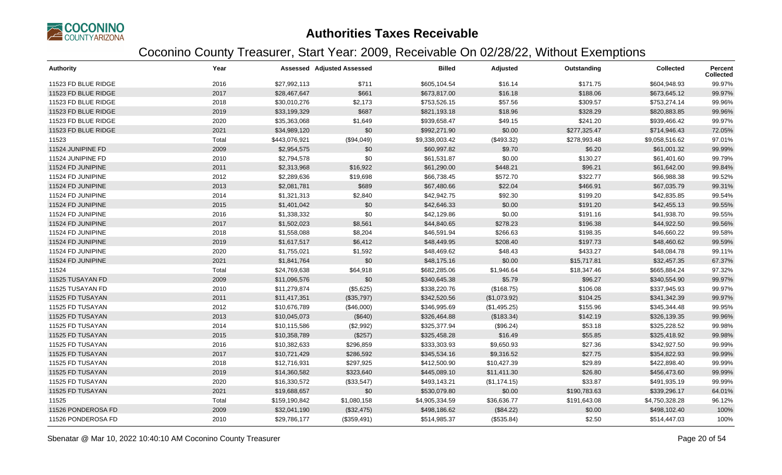

| <b>Authority</b>    | Year  |               | <b>Assessed Adjusted Assessed</b> | <b>Billed</b>  | Adjusted     | Outstanding  | <b>Collected</b> | <b>Percent</b><br><b>Collected</b> |
|---------------------|-------|---------------|-----------------------------------|----------------|--------------|--------------|------------------|------------------------------------|
| 11523 FD BLUE RIDGE | 2016  | \$27,992,113  | \$711                             | \$605,104.54   | \$16.14      | \$171.75     | \$604,948.93     | 99.97%                             |
| 11523 FD BLUE RIDGE | 2017  | \$28,467,647  | \$661                             | \$673,817.00   | \$16.18      | \$188.06     | \$673,645.12     | 99.97%                             |
| 11523 FD BLUE RIDGE | 2018  | \$30,010,276  | \$2,173                           | \$753,526.15   | \$57.56      | \$309.57     | \$753,274.14     | 99.96%                             |
| 11523 FD BLUE RIDGE | 2019  | \$33,199,329  | \$687                             | \$821,193.18   | \$18.96      | \$328.29     | \$820,883.85     | 99.96%                             |
| 11523 FD BLUE RIDGE | 2020  | \$35,363,068  | \$1,649                           | \$939,658.47   | \$49.15      | \$241.20     | \$939,466.42     | 99.97%                             |
| 11523 FD BLUE RIDGE | 2021  | \$34,989,120  | \$0                               | \$992,271.90   | \$0.00       | \$277,325.47 | \$714,946.43     | 72.05%                             |
| 11523               | Total | \$443,076,921 | (\$94,049)                        | \$9,338,003.42 | (\$493.32)   | \$278,993.48 | \$9,058,516.62   | 97.01%                             |
| 11524 JUNIPINE FD   | 2009  | \$2,954,575   | \$0                               | \$60,997.82    | \$9.70       | \$6.20       | \$61,001.32      | 99.99%                             |
| 11524 JUNIPINE FD   | 2010  | \$2,794,578   | \$0                               | \$61,531.87    | \$0.00       | \$130.27     | \$61,401.60      | 99.79%                             |
| 11524 FD JUNIPINE   | 2011  | \$2,313,968   | \$16,922                          | \$61,290.00    | \$448.21     | \$96.21      | \$61,642.00      | 99.84%                             |
| 11524 FD JUNIPINE   | 2012  | \$2,289,636   | \$19,698                          | \$66,738.45    | \$572.70     | \$322.77     | \$66,988.38      | 99.52%                             |
| 11524 FD JUNIPINE   | 2013  | \$2,081,781   | \$689                             | \$67,480.66    | \$22.04      | \$466.91     | \$67,035.79      | 99.31%                             |
| 11524 FD JUNIPINE   | 2014  | \$1,321,313   | \$2,840                           | \$42,942.75    | \$92.30      | \$199.20     | \$42,835.85      | 99.54%                             |
| 11524 FD JUNIPINE   | 2015  | \$1,401,042   | \$0                               | \$42,646.33    | \$0.00       | \$191.20     | \$42,455.13      | 99.55%                             |
| 11524 FD JUNIPINE   | 2016  | \$1,338,332   | \$0                               | \$42,129.86    | \$0.00       | \$191.16     | \$41,938.70      | 99.55%                             |
| 11524 FD JUNIPINE   | 2017  | \$1,502,023   | \$8,561                           | \$44,840.65    | \$278.23     | \$196.38     | \$44,922.50      | 99.56%                             |
| 11524 FD JUNIPINE   | 2018  | \$1,558,088   | \$8,204                           | \$46,591.94    | \$266.63     | \$198.35     | \$46,660.22      | 99.58%                             |
| 11524 FD JUNIPINE   | 2019  | \$1,617,517   | \$6,412                           | \$48,449.95    | \$208.40     | \$197.73     | \$48,460.62      | 99.59%                             |
| 11524 FD JUNIPINE   | 2020  | \$1,755,021   | \$1,592                           | \$48,469.62    | \$48.43      | \$433.27     | \$48,084.78      | 99.11%                             |
| 11524 FD JUNIPINE   | 2021  | \$1,841,764   | \$0                               | \$48,175.16    | \$0.00       | \$15,717.81  | \$32,457.35      | 67.37%                             |
| 11524               | Total | \$24,769,638  | \$64,918                          | \$682,285.06   | \$1,946.64   | \$18,347.46  | \$665,884.24     | 97.32%                             |
| 11525 TUSAYAN FD    | 2009  | \$11,096,576  | \$0                               | \$340,645.38   | \$5.79       | \$96.27      | \$340,554.90     | 99.97%                             |
| 11525 TUSAYAN FD    | 2010  | \$11,279,874  | (\$5,625)                         | \$338,220.76   | (\$168.75)   | \$106.08     | \$337,945.93     | 99.97%                             |
| 11525 FD TUSAYAN    | 2011  | \$11,417,351  | (\$35,797)                        | \$342,520.56   | (\$1,073.92) | \$104.25     | \$341,342.39     | 99.97%                             |
| 11525 FD TUSAYAN    | 2012  | \$10,676,789  | (\$46,000)                        | \$346,995.69   | (\$1,495.25) | \$155.96     | \$345,344.48     | 99.95%                             |
| 11525 FD TUSAYAN    | 2013  | \$10,045,073  | (\$640)                           | \$326,464.88   | (\$183.34)   | \$142.19     | \$326,139.35     | 99.96%                             |
| 11525 FD TUSAYAN    | 2014  | \$10,115,586  | (\$2,992)                         | \$325,377.94   | (\$96.24)    | \$53.18      | \$325,228.52     | 99.98%                             |
| 11525 FD TUSAYAN    | 2015  | \$10,358,789  | (\$257)                           | \$325,458.28   | \$16.49      | \$55.85      | \$325,418.92     | 99.98%                             |
| 11525 FD TUSAYAN    | 2016  | \$10,382,633  | \$296,859                         | \$333,303.93   | \$9,650.93   | \$27.36      | \$342,927.50     | 99.99%                             |
| 11525 FD TUSAYAN    | 2017  | \$10,721,429  | \$286,592                         | \$345,534.16   | \$9,316.52   | \$27.75      | \$354,822.93     | 99.99%                             |
| 11525 FD TUSAYAN    | 2018  | \$12,716,931  | \$297,925                         | \$412,500.90   | \$10,427.39  | \$29.89      | \$422,898.40     | 99.99%                             |
| 11525 FD TUSAYAN    | 2019  | \$14,360,582  | \$323,640                         | \$445,089.10   | \$11,411.30  | \$26.80      | \$456,473.60     | 99.99%                             |
| 11525 FD TUSAYAN    | 2020  | \$16,330,572  | (\$33,547)                        | \$493,143.21   | (\$1,174.15) | \$33.87      | \$491,935.19     | 99.99%                             |
| 11525 FD TUSAYAN    | 2021  | \$19,688,657  | \$0                               | \$530,079.80   | \$0.00       | \$190,783.63 | \$339,296.17     | 64.01%                             |
| 11525               | Total | \$159,190,842 | \$1,080,158                       | \$4,905,334.59 | \$36,636.77  | \$191,643.08 | \$4,750,328.28   | 96.12%                             |
| 11526 PONDEROSA FD  | 2009  | \$32,041,190  | (\$32,475)                        | \$498,186.62   | (\$84.22)    | \$0.00       | \$498,102.40     | 100%                               |
| 11526 PONDEROSA FD  | 2010  | \$29,786,177  | (\$359,491)                       | \$514,985.37   | (\$535.84)   | \$2.50       | \$514,447.03     | 100%                               |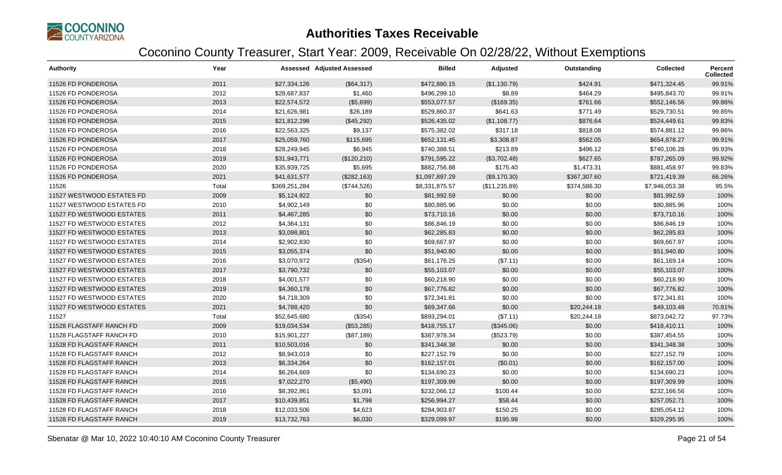

| <b>Authority</b>          | Year  |               | <b>Assessed Adjusted Assessed</b> | <b>Billed</b>  | Adjusted      | Outstanding  | <b>Collected</b> | Percent<br><b>Collected</b> |
|---------------------------|-------|---------------|-----------------------------------|----------------|---------------|--------------|------------------|-----------------------------|
| 11526 FD PONDEROSA        | 2011  | \$27,334,126  | (\$64,317)                        | \$472,880.15   | (\$1,130.79)  | \$424.91     | \$471,324.45     | 99.91%                      |
| 11526 FD PONDEROSA        | 2012  | \$28,687,837  | \$1,460                           | \$496,299.10   | \$8.89        | \$464.29     | \$495,843.70     | 99.91%                      |
| 11526 FD PONDEROSA        | 2013  | \$22,574,572  | (\$5,699)                         | \$553,077.57   | (\$169.35)    | \$761.66     | \$552,146.56     | 99.86%                      |
| 11526 FD PONDEROSA        | 2014  | \$21,626,981  | \$26,189                          | \$529,860.37   | \$641.63      | \$771.49     | \$529,730.51     | 99.85%                      |
| 11526 FD PONDEROSA        | 2015  | \$21,812,298  | (\$45,292)                        | \$526,435.02   | (\$1,108.77)  | \$876.64     | \$524,449.61     | 99.83%                      |
| 11526 FD PONDEROSA        | 2016  | \$22,563,325  | \$9,137                           | \$575,382.02   | \$317.18      | \$818.08     | \$574,881.12     | 99.86%                      |
| 11526 FD PONDEROSA        | 2017  | \$25,059,760  | \$115,695                         | \$652,131.45   | \$3,308.87    | \$562.05     | \$654,878.27     | 99.91%                      |
| 11526 FD PONDEROSA        | 2018  | \$28,249,945  | \$6,945                           | \$740,388.51   | \$213.89      | \$496.12     | \$740,106.28     | 99.93%                      |
| 11526 FD PONDEROSA        | 2019  | \$31,943,771  | (\$120,210)                       | \$791,595.22   | (\$3,702.48)  | \$627.65     | \$787,265.09     | 99.92%                      |
| 11526 FD PONDEROSA        | 2020  | \$35,939,725  | \$5,695                           | \$882,756.88   | \$175.40      | \$1,473.31   | \$881,458.97     | 99.83%                      |
| 11526 FD PONDEROSA        | 2021  | \$41,631,577  | (\$282,163)                       | \$1,097,897.29 | (\$9,170.30)  | \$367,307.60 | \$721,419.39     | 66.26%                      |
| 11526                     | Total | \$369,251,284 | (\$744,526)                       | \$8,331,875.57 | (\$11,235.89) | \$374,586.30 | \$7,946,053.38   | 95.5%                       |
| 11527 WESTWOOD ESTATES FD | 2009  | \$5,124,922   | \$0                               | \$81,992.59    | \$0.00        | \$0.00       | \$81,992.59      | 100%                        |
| 11527 WESTWOOD ESTATES FD | 2010  | \$4,902,149   | \$0                               | \$80,885.96    | \$0.00        | \$0.00       | \$80,885.96      | 100%                        |
| 11527 FD WESTWOOD ESTATES | 2011  | \$4,467,285   | \$0                               | \$73,710.16    | \$0.00        | \$0.00       | \$73,710.16      | 100%                        |
| 11527 FD WESTWOOD ESTATES | 2012  | \$4,364,131   | \$0                               | \$86,846.19    | \$0.00        | \$0.00       | \$86,846.19      | 100%                        |
| 11527 FD WESTWOOD ESTATES | 2013  | \$3,098,801   | \$0                               | \$62,285.83    | \$0.00        | \$0.00       | \$62,285.83      | 100%                        |
| 11527 FD WESTWOOD ESTATES | 2014  | \$2,902,830   | \$0                               | \$69,667.97    | \$0.00        | \$0.00       | \$69,667.97      | 100%                        |
| 11527 FD WESTWOOD ESTATES | 2015  | \$3,055,374   | \$0                               | \$51,940.80    | \$0.00        | \$0.00       | \$51,940.80      | 100%                        |
| 11527 FD WESTWOOD ESTATES | 2016  | \$3,070,972   | (\$354)                           | \$61,176.25    | (\$7.11)      | \$0.00       | \$61,169.14      | 100%                        |
| 11527 FD WESTWOOD ESTATES | 2017  | \$3,790,732   | \$0                               | \$55,103.07    | \$0.00        | \$0.00       | \$55,103.07      | 100%                        |
| 11527 FD WESTWOOD ESTATES | 2018  | \$4,001,577   | \$0                               | \$60,218.90    | \$0.00        | \$0.00       | \$60,218.90      | 100%                        |
| 11527 FD WESTWOOD ESTATES | 2019  | \$4,360,178   | \$0                               | \$67,776.82    | \$0.00        | \$0.00       | \$67,776.82      | 100%                        |
| 11527 FD WESTWOOD ESTATES | 2020  | \$4,718,309   | \$0                               | \$72,341.81    | \$0.00        | \$0.00       | \$72,341.81      | 100%                        |
| 11527 FD WESTWOOD ESTATES | 2021  | \$4,788,420   | \$0                               | \$69,347.66    | \$0.00        | \$20,244.18  | \$49,103.48      | 70.81%                      |
| 11527                     | Total | \$52,645,680  | (\$354)                           | \$893,294.01   | (\$7.11)      | \$20,244.18  | \$873,042.72     | 97.73%                      |
| 11528 FLAGSTAFF RANCH FD  | 2009  | \$19,034,534  | (\$53,285)                        | \$418,755.17   | (\$345.06)    | \$0.00       | \$418,410.11     | 100%                        |
| 11528 FLAGSTAFF RANCH FD  | 2010  | \$15,901,227  | (\$87,189)                        | \$387,978.34   | (\$523.79)    | \$0.00       | \$387,454.55     | 100%                        |
| 11528 FD FLAGSTAFF RANCH  | 2011  | \$10,503,016  | \$0                               | \$341,348.38   | \$0.00        | \$0.00       | \$341,348.38     | 100%                        |
| 11528 FD FLAGSTAFF RANCH  | 2012  | \$8,943,019   | \$0                               | \$227,152.79   | \$0.00        | \$0.00       | \$227,152.79     | 100%                        |
| 11528 FD FLAGSTAFF RANCH  | 2013  | \$6,334,264   | \$0                               | \$162,157.01   | (\$0.01)      | \$0.00       | \$162,157.00     | 100%                        |
| 11528 FD FLAGSTAFF RANCH  | 2014  | \$6,264,669   | \$0                               | \$134,690.23   | \$0.00        | \$0.00       | \$134,690.23     | 100%                        |
| 11528 FD FLAGSTAFF RANCH  | 2015  | \$7,022,270   | (\$5,490)                         | \$197,309.99   | \$0.00        | \$0.00       | \$197,309.99     | 100%                        |
| 11528 FD FLAGSTAFF RANCH  | 2016  | \$8,392,861   | \$3,091                           | \$232,066.12   | \$100.44      | \$0.00       | \$232,166.56     | 100%                        |
| 11528 FD FLAGSTAFF RANCH  | 2017  | \$10,439,851  | \$1,798                           | \$256,994.27   | \$58.44       | \$0.00       | \$257,052.71     | 100%                        |
| 11528 FD FLAGSTAFF RANCH  | 2018  | \$12,033,506  | \$4,623                           | \$284,903.87   | \$150.25      | \$0.00       | \$285,054.12     | 100%                        |
| 11528 FD FLAGSTAFF RANCH  | 2019  | \$13,732,763  | \$6,030                           | \$329,099.97   | \$195.98      | \$0.00       | \$329,295.95     | 100%                        |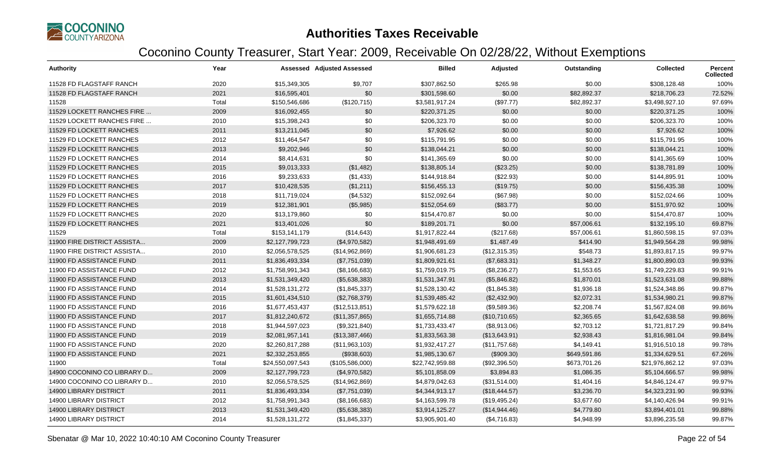

| <b>Authority</b>              | Year  |                  | <b>Assessed Adjusted Assessed</b> | <b>Billed</b>   | Adjusted      | Outstanding  | <b>Collected</b> | Percent<br><b>Collected</b> |
|-------------------------------|-------|------------------|-----------------------------------|-----------------|---------------|--------------|------------------|-----------------------------|
| 11528 FD FLAGSTAFF RANCH      | 2020  | \$15,349,305     | \$9,707                           | \$307,862.50    | \$265.98      | \$0.00       | \$308,128.48     | 100%                        |
| 11528 FD FLAGSTAFF RANCH      | 2021  | \$16,595,401     | \$0                               | \$301,598.60    | \$0.00        | \$82,892.37  | \$218,706.23     | 72.52%                      |
| 11528                         | Total | \$150,546,686    | (\$120,715)                       | \$3,581,917.24  | (\$97.77)     | \$82,892.37  | \$3,498,927.10   | 97.69%                      |
| 11529 LOCKETT RANCHES FIRE    | 2009  | \$16,092,455     | \$0                               | \$220,371.25    | \$0.00        | \$0.00       | \$220,371.25     | 100%                        |
| 11529 LOCKETT RANCHES FIRE    | 2010  | \$15,398,243     | \$0                               | \$206,323.70    | \$0.00        | \$0.00       | \$206,323.70     | 100%                        |
| 11529 FD LOCKETT RANCHES      | 2011  | \$13,211,045     | \$0                               | \$7,926.62      | \$0.00        | \$0.00       | \$7,926.62       | 100%                        |
| 11529 FD LOCKETT RANCHES      | 2012  | \$11,464,547     | \$0                               | \$115,791.95    | \$0.00        | \$0.00       | \$115,791.95     | 100%                        |
| 11529 FD LOCKETT RANCHES      | 2013  | \$9,202,946      | \$0                               | \$138,044.21    | \$0.00        | \$0.00       | \$138,044.21     | 100%                        |
| 11529 FD LOCKETT RANCHES      | 2014  | \$8,414,631      | \$0                               | \$141,365.69    | \$0.00        | \$0.00       | \$141,365.69     | 100%                        |
| 11529 FD LOCKETT RANCHES      | 2015  | \$9,013,333      | (\$1,482)                         | \$138,805.14    | (\$23.25)     | \$0.00       | \$138,781.89     | 100%                        |
| 11529 FD LOCKETT RANCHES      | 2016  | \$9,233,633      | (\$1,433)                         | \$144,918.84    | (\$22.93)     | \$0.00       | \$144,895.91     | 100%                        |
| 11529 FD LOCKETT RANCHES      | 2017  | \$10,428,535     | (\$1,211)                         | \$156,455.13    | (\$19.75)     | \$0.00       | \$156,435.38     | 100%                        |
| 11529 FD LOCKETT RANCHES      | 2018  | \$11,719,024     | (\$4,532)                         | \$152,092.64    | (\$67.98)     | \$0.00       | \$152,024.66     | 100%                        |
| 11529 FD LOCKETT RANCHES      | 2019  | \$12,381,901     | (\$5,985)                         | \$152,054.69    | (\$83.77)     | \$0.00       | \$151,970.92     | 100%                        |
| 11529 FD LOCKETT RANCHES      | 2020  | \$13,179,860     | \$0                               | \$154,470.87    | \$0.00        | \$0.00       | \$154,470.87     | 100%                        |
| 11529 FD LOCKETT RANCHES      | 2021  | \$13,401,026     | \$0                               | \$189,201.71    | \$0.00        | \$57,006.61  | \$132,195.10     | 69.87%                      |
| 11529                         | Total | \$153,141,179    | (\$14,643)                        | \$1,917,822.44  | (\$217.68)    | \$57,006.61  | \$1,860,598.15   | 97.03%                      |
| 11900 FIRE DISTRICT ASSISTA   | 2009  | \$2,127,799,723  | (\$4,970,582)                     | \$1,948,491.69  | \$1,487.49    | \$414.90     | \$1,949,564.28   | 99.98%                      |
| 11900 FIRE DISTRICT ASSISTA   | 2010  | \$2,056,578,525  | (\$14,962,869)                    | \$1,906,681.23  | (\$12,315.35) | \$548.73     | \$1,893,817.15   | 99.97%                      |
| 11900 FD ASSISTANCE FUND      | 2011  | \$1,836,493,334  | (\$7,751,039)                     | \$1,809,921.61  | (\$7,683.31)  | \$1,348.27   | \$1,800,890.03   | 99.93%                      |
| 11900 FD ASSISTANCE FUND      | 2012  | \$1,758,991,343  | (\$8,166,683)                     | \$1,759,019.75  | (\$8,236.27)  | \$1,553.65   | \$1,749,229.83   | 99.91%                      |
| 11900 FD ASSISTANCE FUND      | 2013  | \$1,531,349,420  | (\$5,638,383)                     | \$1,531,347.91  | (\$5,846.82)  | \$1,870.01   | \$1,523,631.08   | 99.88%                      |
| 11900 FD ASSISTANCE FUND      | 2014  | \$1,528,131,272  | (\$1,845,337)                     | \$1,528,130.42  | (\$1,845.38)  | \$1,936.18   | \$1,524,348.86   | 99.87%                      |
| 11900 FD ASSISTANCE FUND      | 2015  | \$1,601,434,510  | (\$2,768,379)                     | \$1,539,485.42  | (\$2,432.90)  | \$2,072.31   | \$1,534,980.21   | 99.87%                      |
| 11900 FD ASSISTANCE FUND      | 2016  | \$1,677,453,437  | (\$12,513,851)                    | \$1,579,622.18  | (\$9,589.36)  | \$2,208.74   | \$1,567,824.08   | 99.86%                      |
| 11900 FD ASSISTANCE FUND      | 2017  | \$1,812,240,672  | (\$11,357,865)                    | \$1,655,714.88  | (\$10,710.65) | \$2,365.65   | \$1,642,638.58   | 99.86%                      |
| 11900 FD ASSISTANCE FUND      | 2018  | \$1,944,597,023  | (\$9,321,840)                     | \$1,733,433.47  | (\$8,913.06)  | \$2,703.12   | \$1,721,817.29   | 99.84%                      |
| 11900 FD ASSISTANCE FUND      | 2019  | \$2,081,957,141  | (\$13,387,466)                    | \$1,833,563.38  | (\$13,643.91) | \$2,938.43   | \$1,816,981.04   | 99.84%                      |
| 11900 FD ASSISTANCE FUND      | 2020  | \$2,260,817,288  | (\$11,963,103)                    | \$1,932,417.27  | (\$11,757.68) | \$4,149.41   | \$1,916,510.18   | 99.78%                      |
| 11900 FD ASSISTANCE FUND      | 2021  | \$2,332,253,855  | (\$938,603)                       | \$1,985,130.67  | (\$909.30)    | \$649,591.86 | \$1,334,629.51   | 67.26%                      |
| 11900                         | Total | \$24,550,097,543 | (\$105,586,000)                   | \$22,742,959.88 | (\$92,396.50) | \$673,701.26 | \$21,976,862.12  | 97.03%                      |
| 14900 COCONINO CO LIBRARY D   | 2009  | \$2,127,799,723  | (\$4,970,582)                     | \$5,101,858.09  | \$3,894.83    | \$1,086.35   | \$5,104,666.57   | 99.98%                      |
| 14900 COCONINO CO LIBRARY D   | 2010  | \$2,056,578,525  | (\$14,962,869)                    | \$4,879,042.63  | (\$31,514.00) | \$1,404.16   | \$4,846,124.47   | 99.97%                      |
| <b>14900 LIBRARY DISTRICT</b> | 2011  | \$1,836,493,334  | (\$7,751,039)                     | \$4,344,913.17  | (\$18,444.57) | \$3,236.70   | \$4,323,231.90   | 99.93%                      |
| <b>14900 LIBRARY DISTRICT</b> | 2012  | \$1,758,991,343  | (\$8,166,683)                     | \$4,163,599.78  | (\$19,495.24) | \$3,677.60   | \$4,140,426.94   | 99.91%                      |
| <b>14900 LIBRARY DISTRICT</b> | 2013  | \$1,531,349,420  | (\$5,638,383)                     | \$3,914,125.27  | (\$14,944.46) | \$4,779.80   | \$3,894,401.01   | 99.88%                      |
| 14900 LIBRARY DISTRICT        | 2014  | \$1,528,131,272  | (\$1,845,337)                     | \$3,905,901.40  | (\$4,716.83)  | \$4,948.99   | \$3,896,235.58   | 99.87%                      |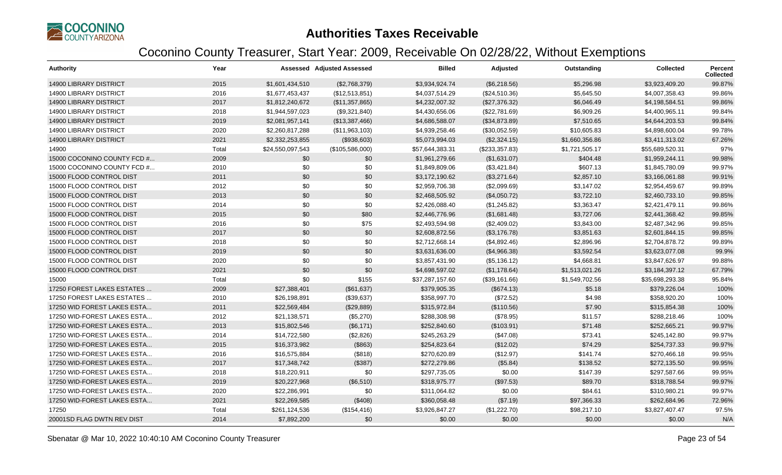

| <b>Authority</b>              | Year  |                  | Assessed Adjusted Assessed | <b>Billed</b>   | Adjusted       | Outstanding    | <b>Collected</b> | <b>Percent</b><br><b>Collected</b> |
|-------------------------------|-------|------------------|----------------------------|-----------------|----------------|----------------|------------------|------------------------------------|
| <b>14900 LIBRARY DISTRICT</b> | 2015  | \$1,601,434,510  | (\$2,768,379)              | \$3,934,924.74  | (\$6,218.56)   | \$5,296.98     | \$3,923,409.20   | 99.87%                             |
| <b>14900 LIBRARY DISTRICT</b> | 2016  | \$1,677,453,437  | (\$12,513,851)             | \$4,037,514.29  | (\$24,510.36)  | \$5,645.50     | \$4.007.358.43   | 99.86%                             |
| <b>14900 LIBRARY DISTRICT</b> | 2017  | \$1,812,240,672  | (\$11,357,865)             | \$4,232,007.32  | (\$27,376.32)  | \$6,046.49     | \$4,198,584.51   | 99.86%                             |
| 14900 LIBRARY DISTRICT        | 2018  | \$1,944,597,023  | (\$9,321,840)              | \$4,430,656.06  | (\$22,781.69)  | \$6,909.26     | \$4,400,965.11   | 99.84%                             |
| <b>14900 LIBRARY DISTRICT</b> | 2019  | \$2,081,957,141  | (\$13,387,466)             | \$4,686,588.07  | (\$34,873.89)  | \$7,510.65     | \$4,644,203.53   | 99.84%                             |
| <b>14900 LIBRARY DISTRICT</b> | 2020  | \$2,260,817,288  | (\$11,963,103)             | \$4,939,258.46  | (\$30,052.59)  | \$10,605.83    | \$4,898,600.04   | 99.78%                             |
| <b>14900 LIBRARY DISTRICT</b> | 2021  | \$2,332,253,855  | (\$938,603)                | \$5,073,994.03  | (\$2,324.15)   | \$1,660,356.86 | \$3,411,313.02   | 67.26%                             |
| 14900                         | Total | \$24,550,097,543 | (\$105,586,000)            | \$57,644,383.31 | (\$233,357.83) | \$1,721,505.17 | \$55,689,520.31  | 97%                                |
| 15000 COCONINO COUNTY FCD #   | 2009  | \$0              | \$0                        | \$1,961,279.66  | (\$1,631.07)   | \$404.48       | \$1,959,244.11   | 99.98%                             |
| 15000 COCONINO COUNTY FCD #   | 2010  | \$0              | \$0                        | \$1,849,809.06  | (\$3,421.84)   | \$607.13       | \$1,845,780.09   | 99.97%                             |
| 15000 FLOOD CONTROL DIST      | 2011  | \$0              | \$0                        | \$3,172,190.62  | (\$3,271.64)   | \$2,857.10     | \$3,166,061.88   | 99.91%                             |
| 15000 FLOOD CONTROL DIST      | 2012  | \$0              | \$0                        | \$2,959,706.38  | (\$2,099.69)   | \$3,147.02     | \$2,954,459.67   | 99.89%                             |
| 15000 FLOOD CONTROL DIST      | 2013  | \$0              | \$0                        | \$2,468,505.92  | (\$4,050.72)   | \$3,722.10     | \$2,460,733.10   | 99.85%                             |
| 15000 FLOOD CONTROL DIST      | 2014  | \$0              | \$0                        | \$2,426,088.40  | (\$1,245.82)   | \$3,363.47     | \$2,421,479.11   | 99.86%                             |
| 15000 FLOOD CONTROL DIST      | 2015  | \$0              | \$80                       | \$2,446,776.96  | (\$1,681.48)   | \$3,727.06     | \$2,441,368.42   | 99.85%                             |
| 15000 FLOOD CONTROL DIST      | 2016  | \$0              | \$75                       | \$2,493,594.98  | (\$2,409.02)   | \$3,843.00     | \$2,487,342.96   | 99.85%                             |
| 15000 FLOOD CONTROL DIST      | 2017  | \$0              | \$0                        | \$2,608,872.56  | (\$3,176.78)   | \$3,851.63     | \$2,601,844.15   | 99.85%                             |
| 15000 FLOOD CONTROL DIST      | 2018  | \$0              | \$0                        | \$2,712,668.14  | (\$4,892.46)   | \$2,896.96     | \$2,704,878.72   | 99.89%                             |
| 15000 FLOOD CONTROL DIST      | 2019  | \$0              | \$0                        | \$3,631,636.00  | (\$4,966.38)   | \$3,592.54     | \$3,623,077.08   | 99.9%                              |
| 15000 FLOOD CONTROL DIST      | 2020  | \$0              | \$0                        | \$3,857,431.90  | (\$5,136.12)   | \$4,668.81     | \$3,847,626.97   | 99.88%                             |
| 15000 FLOOD CONTROL DIST      | 2021  | \$0              | \$0                        | \$4,698,597.02  | (\$1,178.64)   | \$1,513,021.26 | \$3,184,397.12   | 67.79%                             |
| 15000                         | Total | \$0              | \$155                      | \$37,287,157.60 | (\$39,161.66)  | \$1,549,702.56 | \$35,698,293.38  | 95.84%                             |
| 17250 FOREST LAKES ESTATES    | 2009  | \$27,388,401     | (\$61,637)                 | \$379,905.35    | (\$674.13)     | \$5.18         | \$379,226.04     | 100%                               |
| 17250 FOREST LAKES ESTATES    | 2010  | \$26,198,891     | (\$39,637)                 | \$358,997.70    | (\$72.52)      | \$4.98         | \$358,920.20     | 100%                               |
| 17250 WID FOREST LAKES ESTA   | 2011  | \$22,569,484     | (\$29,889)                 | \$315,972.84    | (\$110.56)     | \$7.90         | \$315,854.38     | 100%                               |
| 17250 WID-FOREST LAKES ESTA   | 2012  | \$21,138,571     | (\$5,270)                  | \$288,308.98    | (\$78.95)      | \$11.57        | \$288,218.46     | 100%                               |
| 17250 WID-FOREST LAKES ESTA   | 2013  | \$15,802,546     | (\$6,171)                  | \$252,840.60    | (\$103.91)     | \$71.48        | \$252,665.21     | 99.97%                             |
| 17250 WID-FOREST LAKES ESTA   | 2014  | \$14,722,580     | (\$2,826)                  | \$245,263.29    | (\$47.08)      | \$73.41        | \$245,142.80     | 99.97%                             |
| 17250 WID-FOREST LAKES ESTA   | 2015  | \$16,373,982     | (\$863)                    | \$254,823.64    | (\$12.02)      | \$74.29        | \$254,737.33     | 99.97%                             |
| 17250 WID-FOREST LAKES ESTA   | 2016  | \$16,575,884     | (\$818)                    | \$270,620.89    | (\$12.97)      | \$141.74       | \$270,466.18     | 99.95%                             |
| 17250 WID-FOREST LAKES ESTA   | 2017  | \$17,348,742     | (\$387)                    | \$272,279.86    | (\$5.84)       | \$138.52       | \$272,135.50     | 99.95%                             |
| 17250 WID-FOREST LAKES ESTA   | 2018  | \$18,220,911     | \$0                        | \$297,735.05    | \$0.00         | \$147.39       | \$297,587.66     | 99.95%                             |
| 17250 WID-FOREST LAKES ESTA   | 2019  | \$20,227,968     | (\$6,510)                  | \$318,975.77    | (\$97.53)      | \$89.70        | \$318,788.54     | 99.97%                             |
| 17250 WID-FOREST LAKES ESTA   | 2020  | \$22,286,991     | \$0                        | \$311,064.82    | \$0.00         | \$84.61        | \$310,980.21     | 99.97%                             |
| 17250 WID-FOREST LAKES ESTA   | 2021  | \$22,269,585     | (\$408)                    | \$360,058.48    | (\$7.19)       | \$97,366.33    | \$262,684.96     | 72.96%                             |
| 17250                         | Total | \$261,124,536    | (\$154,416)                | \$3,926,847.27  | (\$1,222.70)   | \$98,217.10    | \$3,827,407.47   | 97.5%                              |
| 20001SD FLAG DWTN REV DIST    | 2014  | \$7,892,200      | \$0                        | \$0.00          | \$0.00         | \$0.00         | \$0.00           | N/A                                |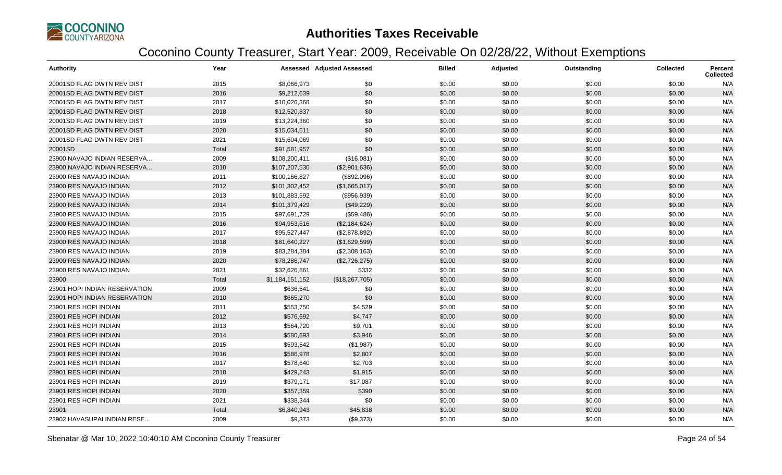

| <b>Authority</b>              | Year  |                 | <b>Assessed Adjusted Assessed</b> | <b>Billed</b> | Adjusted | Outstanding | <b>Collected</b> | <b>Percent</b><br><b>Collected</b> |
|-------------------------------|-------|-----------------|-----------------------------------|---------------|----------|-------------|------------------|------------------------------------|
| 20001SD FLAG DWTN REV DIST    | 2015  | \$8,066,973     | \$0                               | \$0.00        | \$0.00   | \$0.00      | \$0.00           | N/A                                |
| 20001SD FLAG DWTN REV DIST    | 2016  | \$9,212,639     | \$0                               | \$0.00        | \$0.00   | \$0.00      | \$0.00           | N/A                                |
| 20001SD FLAG DWTN REV DIST    | 2017  | \$10,026,368    | \$0                               | \$0.00        | \$0.00   | \$0.00      | \$0.00           | N/A                                |
| 20001SD FLAG DWTN REV DIST    | 2018  | \$12,520,837    | \$0                               | \$0.00        | \$0.00   | \$0.00      | \$0.00           | N/A                                |
| 20001SD FLAG DWTN REV DIST    | 2019  | \$13,224,360    | \$0                               | \$0.00        | \$0.00   | \$0.00      | \$0.00           | N/A                                |
| 20001SD FLAG DWTN REV DIST    | 2020  | \$15,034,511    | \$0                               | \$0.00        | \$0.00   | \$0.00      | \$0.00           | N/A                                |
| 20001SD FLAG DWTN REV DIST    | 2021  | \$15,604,069    | \$0                               | \$0.00        | \$0.00   | \$0.00      | \$0.00           | N/A                                |
| 20001SD                       | Total | \$91,581,957    | \$0                               | \$0.00        | \$0.00   | \$0.00      | \$0.00           | N/A                                |
| 23900 NAVAJO INDIAN RESERVA   | 2009  | \$108,200,411   | (\$16,081)                        | \$0.00        | \$0.00   | \$0.00      | \$0.00           | N/A                                |
| 23900 NAVAJO INDIAN RESERVA   | 2010  | \$107,207,530   | (\$2,901,636)                     | \$0.00        | \$0.00   | \$0.00      | \$0.00           | N/A                                |
| 23900 RES NAVAJO INDIAN       | 2011  | \$100,166,827   | (\$892,096)                       | \$0.00        | \$0.00   | \$0.00      | \$0.00           | N/A                                |
| 23900 RES NAVAJO INDIAN       | 2012  | \$101,302,452   | (\$1,665,017)                     | \$0.00        | \$0.00   | \$0.00      | \$0.00           | N/A                                |
| 23900 RES NAVAJO INDIAN       | 2013  | \$101,883,592   | (\$956,939)                       | \$0.00        | \$0.00   | \$0.00      | \$0.00           | N/A                                |
| 23900 RES NAVAJO INDIAN       | 2014  | \$101,379,429   | (\$49,229)                        | \$0.00        | \$0.00   | \$0.00      | \$0.00           | N/A                                |
| 23900 RES NAVAJO INDIAN       | 2015  | \$97,691,729    | (\$59,486)                        | \$0.00        | \$0.00   | \$0.00      | \$0.00           | N/A                                |
| 23900 RES NAVAJO INDIAN       | 2016  | \$94,953,516    | (\$2,184,624)                     | \$0.00        | \$0.00   | \$0.00      | \$0.00           | N/A                                |
| 23900 RES NAVAJO INDIAN       | 2017  | \$95,527,447    | (\$2,878,892)                     | \$0.00        | \$0.00   | \$0.00      | \$0.00           | N/A                                |
| 23900 RES NAVAJO INDIAN       | 2018  | \$81,640,227    | (\$1,629,599)                     | \$0.00        | \$0.00   | \$0.00      | \$0.00           | N/A                                |
| 23900 RES NAVAJO INDIAN       | 2019  | \$83,284,384    | (\$2,308,163)                     | \$0.00        | \$0.00   | \$0.00      | \$0.00           | N/A                                |
| 23900 RES NAVAJO INDIAN       | 2020  | \$78,286,747    | (\$2,726,275)                     | \$0.00        | \$0.00   | \$0.00      | \$0.00           | N/A                                |
| 23900 RES NAVAJO INDIAN       | 2021  | \$32,626,861    | \$332                             | \$0.00        | \$0.00   | \$0.00      | \$0.00           | N/A                                |
| 23900                         | Total | \$1,184,151,152 | (\$18,267,705)                    | \$0.00        | \$0.00   | \$0.00      | \$0.00           | N/A                                |
| 23901 HOPI INDIAN RESERVATION | 2009  | \$636,541       | \$0                               | \$0.00        | \$0.00   | \$0.00      | \$0.00           | N/A                                |
| 23901 HOPI INDIAN RESERVATION | 2010  | \$665,270       | \$0                               | \$0.00        | \$0.00   | \$0.00      | \$0.00           | N/A                                |
| 23901 RES HOPI INDIAN         | 2011  | \$553,750       | \$4,529                           | \$0.00        | \$0.00   | \$0.00      | \$0.00           | N/A                                |
| 23901 RES HOPI INDIAN         | 2012  | \$576,692       | \$4,747                           | \$0.00        | \$0.00   | \$0.00      | \$0.00           | N/A                                |
| 23901 RES HOPI INDIAN         | 2013  | \$564,720       | \$9,701                           | \$0.00        | \$0.00   | \$0.00      | \$0.00           | N/A                                |
| 23901 RES HOPI INDIAN         | 2014  | \$580,693       | \$3,946                           | \$0.00        | \$0.00   | \$0.00      | \$0.00           | N/A                                |
| 23901 RES HOPI INDIAN         | 2015  | \$593,542       | (\$1,987)                         | \$0.00        | \$0.00   | \$0.00      | \$0.00           | N/A                                |
| 23901 RES HOPI INDIAN         | 2016  | \$586,978       | \$2,807                           | \$0.00        | \$0.00   | \$0.00      | \$0.00           | N/A                                |
| 23901 RES HOPI INDIAN         | 2017  | \$578,640       | \$2,703                           | \$0.00        | \$0.00   | \$0.00      | \$0.00           | N/A                                |
| 23901 RES HOPI INDIAN         | 2018  | \$429,243       | \$1,915                           | \$0.00        | \$0.00   | \$0.00      | \$0.00           | N/A                                |
| 23901 RES HOPI INDIAN         | 2019  | \$379,171       | \$17,087                          | \$0.00        | \$0.00   | \$0.00      | \$0.00           | N/A                                |
| 23901 RES HOPI INDIAN         | 2020  | \$357,359       | \$390                             | \$0.00        | \$0.00   | \$0.00      | \$0.00           | N/A                                |
| 23901 RES HOPI INDIAN         | 2021  | \$338,344       | \$0                               | \$0.00        | \$0.00   | \$0.00      | \$0.00           | N/A                                |
| 23901                         | Total | \$6,840,943     | \$45,838                          | \$0.00        | \$0.00   | \$0.00      | \$0.00           | N/A                                |
| 23902 HAVASUPAI INDIAN RESE   | 2009  | \$9,373         | (\$9,373)                         | \$0.00        | \$0.00   | \$0.00      | \$0.00           | N/A                                |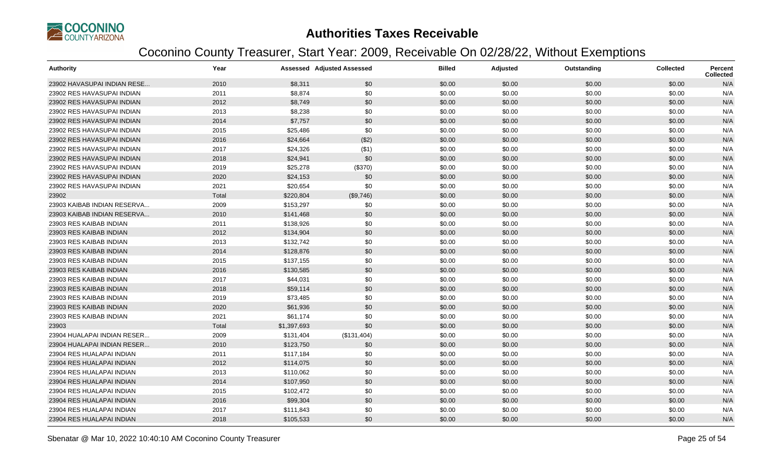

| <b>Authority</b>            | Year  |             | <b>Assessed Adjusted Assessed</b> | <b>Billed</b> | Adjusted | Outstanding | <b>Collected</b> | <b>Percent</b><br><b>Collected</b> |
|-----------------------------|-------|-------------|-----------------------------------|---------------|----------|-------------|------------------|------------------------------------|
| 23902 HAVASUPAI INDIAN RESE | 2010  | \$8,311     | \$0                               | \$0.00        | \$0.00   | \$0.00      | \$0.00           | N/A                                |
| 23902 RES HAVASUPAI INDIAN  | 2011  | \$8,874     | \$0                               | \$0.00        | \$0.00   | \$0.00      | \$0.00           | N/A                                |
| 23902 RES HAVASUPAI INDIAN  | 2012  | \$8,749     | \$0                               | \$0.00        | \$0.00   | \$0.00      | \$0.00           | N/A                                |
| 23902 RES HAVASUPAI INDIAN  | 2013  | \$8,238     | \$0                               | \$0.00        | \$0.00   | \$0.00      | \$0.00           | N/A                                |
| 23902 RES HAVASUPAI INDIAN  | 2014  | \$7,757     | \$0                               | \$0.00        | \$0.00   | \$0.00      | \$0.00           | N/A                                |
| 23902 RES HAVASUPAI INDIAN  | 2015  | \$25,486    | \$0                               | \$0.00        | \$0.00   | \$0.00      | \$0.00           | N/A                                |
| 23902 RES HAVASUPAI INDIAN  | 2016  | \$24,664    | (\$2)                             | \$0.00        | \$0.00   | \$0.00      | \$0.00           | N/A                                |
| 23902 RES HAVASUPAI INDIAN  | 2017  | \$24,326    | (\$1)                             | \$0.00        | \$0.00   | \$0.00      | \$0.00           | N/A                                |
| 23902 RES HAVASUPAI INDIAN  | 2018  | \$24,941    | \$0                               | \$0.00        | \$0.00   | \$0.00      | \$0.00           | N/A                                |
| 23902 RES HAVASUPAI INDIAN  | 2019  | \$25,278    | (\$370)                           | \$0.00        | \$0.00   | \$0.00      | \$0.00           | N/A                                |
| 23902 RES HAVASUPAI INDIAN  | 2020  | \$24,153    | \$0                               | \$0.00        | \$0.00   | \$0.00      | \$0.00           | N/A                                |
| 23902 RES HAVASUPAI INDIAN  | 2021  | \$20,654    | \$0                               | \$0.00        | \$0.00   | \$0.00      | \$0.00           | N/A                                |
| 23902                       | Total | \$220,804   | (\$9,746)                         | \$0.00        | \$0.00   | \$0.00      | \$0.00           | N/A                                |
| 23903 KAIBAB INDIAN RESERVA | 2009  | \$153,297   | \$0                               | \$0.00        | \$0.00   | \$0.00      | \$0.00           | N/A                                |
| 23903 KAIBAB INDIAN RESERVA | 2010  | \$141,468   | \$0                               | \$0.00        | \$0.00   | \$0.00      | \$0.00           | N/A                                |
| 23903 RES KAIBAB INDIAN     | 2011  | \$138,926   | \$0                               | \$0.00        | \$0.00   | \$0.00      | \$0.00           | N/A                                |
| 23903 RES KAIBAB INDIAN     | 2012  | \$134,904   | \$0                               | \$0.00        | \$0.00   | \$0.00      | \$0.00           | N/A                                |
| 23903 RES KAIBAB INDIAN     | 2013  | \$132,742   | \$0                               | \$0.00        | \$0.00   | \$0.00      | \$0.00           | N/A                                |
| 23903 RES KAIBAB INDIAN     | 2014  | \$128,876   | \$0                               | \$0.00        | \$0.00   | \$0.00      | \$0.00           | N/A                                |
| 23903 RES KAIBAB INDIAN     | 2015  | \$137,155   | \$0                               | \$0.00        | \$0.00   | \$0.00      | \$0.00           | N/A                                |
| 23903 RES KAIBAB INDIAN     | 2016  | \$130,585   | \$0                               | \$0.00        | \$0.00   | \$0.00      | \$0.00           | N/A                                |
| 23903 RES KAIBAB INDIAN     | 2017  | \$44,031    | \$0                               | \$0.00        | \$0.00   | \$0.00      | \$0.00           | N/A                                |
| 23903 RES KAIBAB INDIAN     | 2018  | \$59,114    | \$0                               | \$0.00        | \$0.00   | \$0.00      | \$0.00           | N/A                                |
| 23903 RES KAIBAB INDIAN     | 2019  | \$73,485    | \$0                               | \$0.00        | \$0.00   | \$0.00      | \$0.00           | N/A                                |
| 23903 RES KAIBAB INDIAN     | 2020  | \$61,936    | \$0                               | \$0.00        | \$0.00   | \$0.00      | \$0.00           | N/A                                |
| 23903 RES KAIBAB INDIAN     | 2021  | \$61,174    | \$0                               | \$0.00        | \$0.00   | \$0.00      | \$0.00           | N/A                                |
| 23903                       | Total | \$1,397,693 | \$0                               | \$0.00        | \$0.00   | \$0.00      | \$0.00           | N/A                                |
| 23904 HUALAPAI INDIAN RESER | 2009  | \$131,404   | (\$131,404)                       | \$0.00        | \$0.00   | \$0.00      | \$0.00           | N/A                                |
| 23904 HUALAPAI INDIAN RESER | 2010  | \$123,750   | \$0                               | \$0.00        | \$0.00   | \$0.00      | \$0.00           | N/A                                |
| 23904 RES HUALAPAI INDIAN   | 2011  | \$117,184   | \$0                               | \$0.00        | \$0.00   | \$0.00      | \$0.00           | N/A                                |
| 23904 RES HUALAPAI INDIAN   | 2012  | \$114,075   | \$0                               | \$0.00        | \$0.00   | \$0.00      | \$0.00           | N/A                                |
| 23904 RES HUALAPAI INDIAN   | 2013  | \$110,062   | \$0                               | \$0.00        | \$0.00   | \$0.00      | \$0.00           | N/A                                |
| 23904 RES HUALAPAI INDIAN   | 2014  | \$107,950   | \$0                               | \$0.00        | \$0.00   | \$0.00      | \$0.00           | N/A                                |
| 23904 RES HUALAPAI INDIAN   | 2015  | \$102,472   | \$0                               | \$0.00        | \$0.00   | \$0.00      | \$0.00           | N/A                                |
| 23904 RES HUALAPAI INDIAN   | 2016  | \$99,304    | \$0                               | \$0.00        | \$0.00   | \$0.00      | \$0.00           | N/A                                |
| 23904 RES HUALAPAI INDIAN   | 2017  | \$111,843   | \$0                               | \$0.00        | \$0.00   | \$0.00      | \$0.00           | N/A                                |
| 23904 RES HUALAPAI INDIAN   | 2018  | \$105,533   | \$0                               | \$0.00        | \$0.00   | \$0.00      | \$0.00           | N/A                                |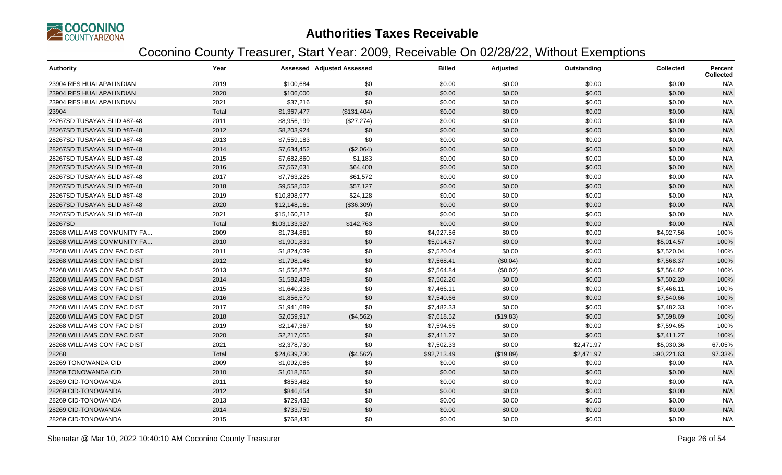

| <b>Authority</b>            | Year  |               | <b>Assessed Adjusted Assessed</b> | <b>Billed</b> | <b>Adjusted</b> | Outstanding | <b>Collected</b> | <b>Percent</b><br><b>Collected</b> |
|-----------------------------|-------|---------------|-----------------------------------|---------------|-----------------|-------------|------------------|------------------------------------|
| 23904 RES HUALAPAI INDIAN   | 2019  | \$100,684     | \$0                               | \$0.00        | \$0.00          | \$0.00      | \$0.00           | N/A                                |
| 23904 RES HUALAPAI INDIAN   | 2020  | \$106,000     | \$0                               | \$0.00        | \$0.00          | \$0.00      | \$0.00           | N/A                                |
| 23904 RES HUALAPAI INDIAN   | 2021  | \$37,216      | \$0                               | \$0.00        | \$0.00          | \$0.00      | \$0.00           | N/A                                |
| 23904                       | Total | \$1,367,477   | (\$131,404)                       | \$0.00        | \$0.00          | \$0.00      | \$0.00           | N/A                                |
| 28267SD TUSAYAN SLID #87-48 | 2011  | \$8,956,199   | (\$27,274)                        | \$0.00        | \$0.00          | \$0.00      | \$0.00           | N/A                                |
| 28267SD TUSAYAN SLID #87-48 | 2012  | \$8,203,924   | \$0                               | \$0.00        | \$0.00          | \$0.00      | \$0.00           | N/A                                |
| 28267SD TUSAYAN SLID #87-48 | 2013  | \$7,559,183   | \$0                               | \$0.00        | \$0.00          | \$0.00      | \$0.00           | N/A                                |
| 28267SD TUSAYAN SLID #87-48 | 2014  | \$7,634,452   | (\$2,064)                         | \$0.00        | \$0.00          | \$0.00      | \$0.00           | N/A                                |
| 28267SD TUSAYAN SLID #87-48 | 2015  | \$7,682,860   | \$1,183                           | \$0.00        | \$0.00          | \$0.00      | \$0.00           | N/A                                |
| 28267SD TUSAYAN SLID #87-48 | 2016  | \$7,567,631   | \$64,400                          | \$0.00        | \$0.00          | \$0.00      | \$0.00           | N/A                                |
| 28267SD TUSAYAN SLID #87-48 | 2017  | \$7,763,226   | \$61,572                          | \$0.00        | \$0.00          | \$0.00      | \$0.00           | N/A                                |
| 28267SD TUSAYAN SLID #87-48 | 2018  | \$9,558,502   | \$57,127                          | \$0.00        | \$0.00          | \$0.00      | \$0.00           | N/A                                |
| 28267SD TUSAYAN SLID #87-48 | 2019  | \$10,898,977  | \$24,128                          | \$0.00        | \$0.00          | \$0.00      | \$0.00           | N/A                                |
| 28267SD TUSAYAN SLID #87-48 | 2020  | \$12,148,161  | (\$36,309)                        | \$0.00        | \$0.00          | \$0.00      | \$0.00           | N/A                                |
| 28267SD TUSAYAN SLID #87-48 | 2021  | \$15,160,212  | \$0                               | \$0.00        | \$0.00          | \$0.00      | \$0.00           | N/A                                |
| 28267SD                     | Total | \$103,133,327 | \$142,763                         | \$0.00        | \$0.00          | \$0.00      | \$0.00           | N/A                                |
| 28268 WILLIAMS COMMUNITY FA | 2009  | \$1,734,861   | \$0                               | \$4,927.56    | \$0.00          | \$0.00      | \$4,927.56       | 100%                               |
| 28268 WILLIAMS COMMUNITY FA | 2010  | \$1,901,831   | \$0                               | \$5,014.57    | \$0.00          | \$0.00      | \$5,014.57       | 100%                               |
| 28268 WILLIAMS COM FAC DIST | 2011  | \$1,824,039   | \$0                               | \$7,520.04    | \$0.00          | \$0.00      | \$7,520.04       | 100%                               |
| 28268 WILLIAMS COM FAC DIST | 2012  | \$1,798,148   | \$0                               | \$7,568.41    | (\$0.04)        | \$0.00      | \$7,568.37       | 100%                               |
| 28268 WILLIAMS COM FAC DIST | 2013  | \$1,556,876   | \$0                               | \$7,564.84    | (\$0.02)        | \$0.00      | \$7,564.82       | 100%                               |
| 28268 WILLIAMS COM FAC DIST | 2014  | \$1,582,409   | \$0                               | \$7,502.20    | \$0.00          | \$0.00      | \$7,502.20       | 100%                               |
| 28268 WILLIAMS COM FAC DIST | 2015  | \$1,640,238   | \$0                               | \$7,466.11    | \$0.00          | \$0.00      | \$7,466.11       | 100%                               |
| 28268 WILLIAMS COM FAC DIST | 2016  | \$1,856,570   | \$0                               | \$7,540.66    | \$0.00          | \$0.00      | \$7,540.66       | 100%                               |
| 28268 WILLIAMS COM FAC DIST | 2017  | \$1,941,689   | \$0                               | \$7,482.33    | \$0.00          | \$0.00      | \$7,482.33       | 100%                               |
| 28268 WILLIAMS COM FAC DIST | 2018  | \$2,059,917   | (\$4,562)                         | \$7,618.52    | (\$19.83)       | \$0.00      | \$7,598.69       | 100%                               |
| 28268 WILLIAMS COM FAC DIST | 2019  | \$2,147,367   | \$0                               | \$7,594.65    | \$0.00          | \$0.00      | \$7,594.65       | 100%                               |
| 28268 WILLIAMS COM FAC DIST | 2020  | \$2,217,055   | \$0                               | \$7,411.27    | \$0.00          | \$0.00      | \$7,411.27       | 100%                               |
| 28268 WILLIAMS COM FAC DIST | 2021  | \$2,378,730   | \$0                               | \$7,502.33    | \$0.00          | \$2,471.97  | \$5,030.36       | 67.05%                             |
| 28268                       | Total | \$24,639,730  | (\$4,562)                         | \$92,713.49   | (\$19.89)       | \$2,471.97  | \$90,221.63      | 97.33%                             |
| 28269 TONOWANDA CID         | 2009  | \$1,092,086   | \$0                               | \$0.00        | \$0.00          | \$0.00      | \$0.00           | N/A                                |
| 28269 TONOWANDA CID         | 2010  | \$1,018,265   | \$0                               | \$0.00        | \$0.00          | \$0.00      | \$0.00           | N/A                                |
| 28269 CID-TONOWANDA         | 2011  | \$853,482     | \$0                               | \$0.00        | \$0.00          | \$0.00      | \$0.00           | N/A                                |
| 28269 CID-TONOWANDA         | 2012  | \$846,654     | \$0                               | \$0.00        | \$0.00          | \$0.00      | \$0.00           | N/A                                |
| 28269 CID-TONOWANDA         | 2013  | \$729,432     | \$0                               | \$0.00        | \$0.00          | \$0.00      | \$0.00           | N/A                                |
| 28269 CID-TONOWANDA         | 2014  | \$733,759     | \$0                               | \$0.00        | \$0.00          | \$0.00      | \$0.00           | N/A                                |
| 28269 CID-TONOWANDA         | 2015  | \$768,435     | \$0                               | \$0.00        | \$0.00          | \$0.00      | \$0.00           | N/A                                |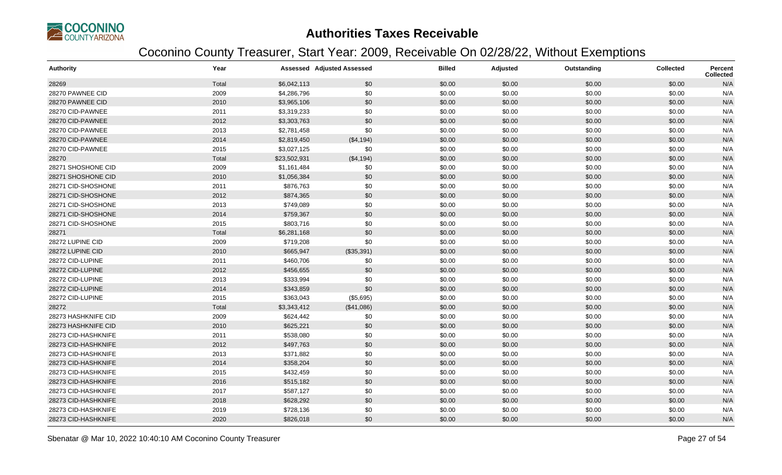

| <b>Authority</b>    | Year  |              | <b>Assessed Adjusted Assessed</b> | <b>Billed</b> | Adjusted | Outstanding | <b>Collected</b> | <b>Percent</b><br>Collected |
|---------------------|-------|--------------|-----------------------------------|---------------|----------|-------------|------------------|-----------------------------|
| 28269               | Total | \$6,042,113  | \$0                               | \$0.00        | \$0.00   | \$0.00      | \$0.00           | N/A                         |
| 28270 PAWNEE CID    | 2009  | \$4,286,796  | \$0                               | \$0.00        | \$0.00   | \$0.00      | \$0.00           | N/A                         |
| 28270 PAWNEE CID    | 2010  | \$3,965,106  | \$0                               | \$0.00        | \$0.00   | \$0.00      | \$0.00           | N/A                         |
| 28270 CID-PAWNEE    | 2011  | \$3,319,233  | \$0                               | \$0.00        | \$0.00   | \$0.00      | \$0.00           | N/A                         |
| 28270 CID-PAWNEE    | 2012  | \$3,303,763  | \$0                               | \$0.00        | \$0.00   | \$0.00      | \$0.00           | N/A                         |
| 28270 CID-PAWNEE    | 2013  | \$2,781,458  | \$0                               | \$0.00        | \$0.00   | \$0.00      | \$0.00           | N/A                         |
| 28270 CID-PAWNEE    | 2014  | \$2,819,450  | (\$4,194)                         | \$0.00        | \$0.00   | \$0.00      | \$0.00           | N/A                         |
| 28270 CID-PAWNEE    | 2015  | \$3,027,125  | \$0                               | \$0.00        | \$0.00   | \$0.00      | \$0.00           | N/A                         |
| 28270               | Total | \$23,502,931 | (\$4,194)                         | \$0.00        | \$0.00   | \$0.00      | \$0.00           | N/A                         |
| 28271 SHOSHONE CID  | 2009  | \$1,161,484  | \$0                               | \$0.00        | \$0.00   | \$0.00      | \$0.00           | N/A                         |
| 28271 SHOSHONE CID  | 2010  | \$1,056,384  | \$0                               | \$0.00        | \$0.00   | \$0.00      | \$0.00           | N/A                         |
| 28271 CID-SHOSHONE  | 2011  | \$876,763    | \$0                               | \$0.00        | \$0.00   | \$0.00      | \$0.00           | N/A                         |
| 28271 CID-SHOSHONE  | 2012  | \$874,365    | \$0                               | \$0.00        | \$0.00   | \$0.00      | \$0.00           | N/A                         |
| 28271 CID-SHOSHONE  | 2013  | \$749,089    | \$0                               | \$0.00        | \$0.00   | \$0.00      | \$0.00           | N/A                         |
| 28271 CID-SHOSHONE  | 2014  | \$759,367    | \$0                               | \$0.00        | \$0.00   | \$0.00      | \$0.00           | N/A                         |
| 28271 CID-SHOSHONE  | 2015  | \$803,716    | \$0                               | \$0.00        | \$0.00   | \$0.00      | \$0.00           | N/A                         |
| 28271               | Total | \$6,281,168  | \$0                               | \$0.00        | \$0.00   | \$0.00      | \$0.00           | N/A                         |
| 28272 LUPINE CID    | 2009  | \$719,208    | \$0                               | \$0.00        | \$0.00   | \$0.00      | \$0.00           | N/A                         |
| 28272 LUPINE CID    | 2010  | \$665,947    | (\$35,391)                        | \$0.00        | \$0.00   | \$0.00      | \$0.00           | N/A                         |
| 28272 CID-LUPINE    | 2011  | \$460,706    | \$0                               | \$0.00        | \$0.00   | \$0.00      | \$0.00           | N/A                         |
| 28272 CID-LUPINE    | 2012  | \$456,655    | \$0                               | \$0.00        | \$0.00   | \$0.00      | \$0.00           | N/A                         |
| 28272 CID-LUPINE    | 2013  | \$333,994    | \$0                               | \$0.00        | \$0.00   | \$0.00      | \$0.00           | N/A                         |
| 28272 CID-LUPINE    | 2014  | \$343,859    | \$0                               | \$0.00        | \$0.00   | \$0.00      | \$0.00           | N/A                         |
| 28272 CID-LUPINE    | 2015  | \$363,043    | (\$5,695)                         | \$0.00        | \$0.00   | \$0.00      | \$0.00           | N/A                         |
| 28272               | Total | \$3,343,412  | (\$41,086)                        | \$0.00        | \$0.00   | \$0.00      | \$0.00           | N/A                         |
| 28273 HASHKNIFE CID | 2009  | \$624,442    | \$0                               | \$0.00        | \$0.00   | \$0.00      | \$0.00           | N/A                         |
| 28273 HASHKNIFE CID | 2010  | \$625,221    | \$0                               | \$0.00        | \$0.00   | \$0.00      | \$0.00           | N/A                         |
| 28273 CID-HASHKNIFE | 2011  | \$538,080    | \$0                               | \$0.00        | \$0.00   | \$0.00      | \$0.00           | N/A                         |
| 28273 CID-HASHKNIFE | 2012  | \$497,763    | \$0                               | \$0.00        | \$0.00   | \$0.00      | \$0.00           | N/A                         |
| 28273 CID-HASHKNIFE | 2013  | \$371,882    | \$0                               | \$0.00        | \$0.00   | \$0.00      | \$0.00           | N/A                         |
| 28273 CID-HASHKNIFE | 2014  | \$358,204    | \$0                               | \$0.00        | \$0.00   | \$0.00      | \$0.00           | N/A                         |
| 28273 CID-HASHKNIFE | 2015  | \$432,459    | \$0                               | \$0.00        | \$0.00   | \$0.00      | \$0.00           | N/A                         |
| 28273 CID-HASHKNIFE | 2016  | \$515,182    | \$0                               | \$0.00        | \$0.00   | \$0.00      | \$0.00           | N/A                         |
| 28273 CID-HASHKNIFE | 2017  | \$587,127    | \$0                               | \$0.00        | \$0.00   | \$0.00      | \$0.00           | N/A                         |
| 28273 CID-HASHKNIFE | 2018  | \$628,292    | \$0                               | \$0.00        | \$0.00   | \$0.00      | \$0.00           | N/A                         |
| 28273 CID-HASHKNIFE | 2019  | \$728,136    | \$0                               | \$0.00        | \$0.00   | \$0.00      | \$0.00           | N/A                         |
| 28273 CID-HASHKNIFE | 2020  | \$826,018    | \$0                               | \$0.00        | \$0.00   | \$0.00      | \$0.00           | N/A                         |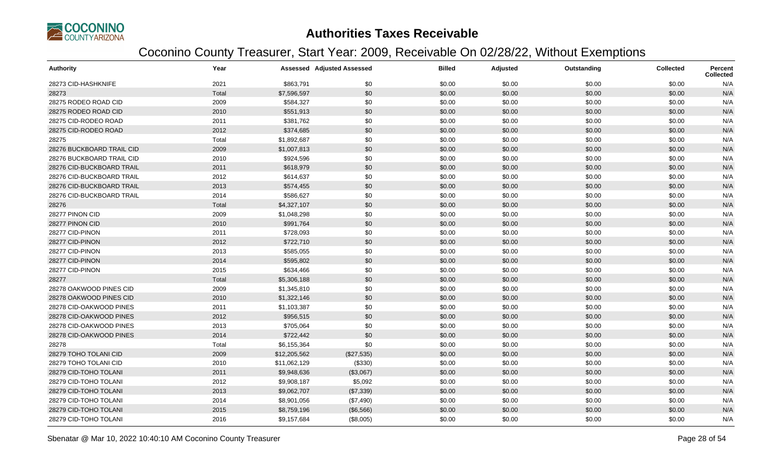

| <b>Authority</b>          | Year  |              | <b>Assessed Adjusted Assessed</b> | <b>Billed</b> | Adjusted | Outstanding | <b>Collected</b> | Percent<br><b>Collected</b> |
|---------------------------|-------|--------------|-----------------------------------|---------------|----------|-------------|------------------|-----------------------------|
| 28273 CID-HASHKNIFE       | 2021  | \$863,791    | \$0                               | \$0.00        | \$0.00   | \$0.00      | \$0.00           | N/A                         |
| 28273                     | Total | \$7,596,597  | \$0                               | \$0.00        | \$0.00   | \$0.00      | \$0.00           | N/A                         |
| 28275 RODEO ROAD CID      | 2009  | \$584,327    | \$0                               | \$0.00        | \$0.00   | \$0.00      | \$0.00           | N/A                         |
| 28275 RODEO ROAD CID      | 2010  | \$551,913    | \$0                               | \$0.00        | \$0.00   | \$0.00      | \$0.00           | N/A                         |
| 28275 CID-RODEO ROAD      | 2011  | \$381,762    | \$0                               | \$0.00        | \$0.00   | \$0.00      | \$0.00           | N/A                         |
| 28275 CID-RODEO ROAD      | 2012  | \$374,685    | \$0                               | \$0.00        | \$0.00   | \$0.00      | \$0.00           | N/A                         |
| 28275                     | Total | \$1,892,687  | \$0                               | \$0.00        | \$0.00   | \$0.00      | \$0.00           | N/A                         |
| 28276 BUCKBOARD TRAIL CID | 2009  | \$1,007,813  | \$0                               | \$0.00        | \$0.00   | \$0.00      | \$0.00           | N/A                         |
| 28276 BUCKBOARD TRAIL CID | 2010  | \$924,596    | \$0                               | \$0.00        | \$0.00   | \$0.00      | \$0.00           | N/A                         |
| 28276 CID-BUCKBOARD TRAIL | 2011  | \$618,979    | \$0                               | \$0.00        | \$0.00   | \$0.00      | \$0.00           | N/A                         |
| 28276 CID-BUCKBOARD TRAIL | 2012  | \$614,637    | \$0                               | \$0.00        | \$0.00   | \$0.00      | \$0.00           | N/A                         |
| 28276 CID-BUCKBOARD TRAIL | 2013  | \$574,455    | \$0                               | \$0.00        | \$0.00   | \$0.00      | \$0.00           | N/A                         |
| 28276 CID-BUCKBOARD TRAIL | 2014  | \$586,627    | \$0                               | \$0.00        | \$0.00   | \$0.00      | \$0.00           | N/A                         |
| 28276                     | Total | \$4,327,107  | \$0                               | \$0.00        | \$0.00   | \$0.00      | \$0.00           | N/A                         |
| 28277 PINON CID           | 2009  | \$1,048,298  | \$0                               | \$0.00        | \$0.00   | \$0.00      | \$0.00           | N/A                         |
| 28277 PINON CID           | 2010  | \$991,764    | \$0                               | \$0.00        | \$0.00   | \$0.00      | \$0.00           | N/A                         |
| 28277 CID-PINON           | 2011  | \$728,093    | \$0                               | \$0.00        | \$0.00   | \$0.00      | \$0.00           | N/A                         |
| 28277 CID-PINON           | 2012  | \$722,710    | \$0                               | \$0.00        | \$0.00   | \$0.00      | \$0.00           | N/A                         |
| 28277 CID-PINON           | 2013  | \$585,055    | \$0                               | \$0.00        | \$0.00   | \$0.00      | \$0.00           | N/A                         |
| 28277 CID-PINON           | 2014  | \$595,802    | \$0                               | \$0.00        | \$0.00   | \$0.00      | \$0.00           | N/A                         |
| 28277 CID-PINON           | 2015  | \$634,466    | \$0                               | \$0.00        | \$0.00   | \$0.00      | \$0.00           | N/A                         |
| 28277                     | Total | \$5,306,188  | \$0                               | \$0.00        | \$0.00   | \$0.00      | \$0.00           | N/A                         |
| 28278 OAKWOOD PINES CID   | 2009  | \$1,345,810  | \$0                               | \$0.00        | \$0.00   | \$0.00      | \$0.00           | N/A                         |
| 28278 OAKWOOD PINES CID   | 2010  | \$1,322,146  | \$0                               | \$0.00        | \$0.00   | \$0.00      | \$0.00           | N/A                         |
| 28278 CID-OAKWOOD PINES   | 2011  | \$1,103,387  | \$0                               | \$0.00        | \$0.00   | \$0.00      | \$0.00           | N/A                         |
| 28278 CID-OAKWOOD PINES   | 2012  | \$956,515    | \$0                               | \$0.00        | \$0.00   | \$0.00      | \$0.00           | N/A                         |
| 28278 CID-OAKWOOD PINES   | 2013  | \$705,064    | \$0                               | \$0.00        | \$0.00   | \$0.00      | \$0.00           | N/A                         |
| 28278 CID-OAKWOOD PINES   | 2014  | \$722,442    | \$0                               | \$0.00        | \$0.00   | \$0.00      | \$0.00           | N/A                         |
| 28278                     | Total | \$6,155,364  | \$0                               | \$0.00        | \$0.00   | \$0.00      | \$0.00           | N/A                         |
| 28279 TOHO TOLANI CID     | 2009  | \$12,205,562 | (\$27,535)                        | \$0.00        | \$0.00   | \$0.00      | \$0.00           | N/A                         |
| 28279 TOHO TOLANI CID     | 2010  | \$11,062,129 | (\$330)                           | \$0.00        | \$0.00   | \$0.00      | \$0.00           | N/A                         |
| 28279 CID-TOHO TOLANI     | 2011  | \$9,948,636  | (\$3,067)                         | \$0.00        | \$0.00   | \$0.00      | \$0.00           | N/A                         |
| 28279 CID-TOHO TOLANI     | 2012  | \$9,908,187  | \$5,092                           | \$0.00        | \$0.00   | \$0.00      | \$0.00           | N/A                         |
| 28279 CID-TOHO TOLANI     | 2013  | \$9,062,707  | (\$7,339)                         | \$0.00        | \$0.00   | \$0.00      | \$0.00           | N/A                         |
| 28279 CID-TOHO TOLANI     | 2014  | \$8,901,056  | (\$7,490)                         | \$0.00        | \$0.00   | \$0.00      | \$0.00           | N/A                         |
| 28279 CID-TOHO TOLANI     | 2015  | \$8,759,196  | (\$6,566)                         | \$0.00        | \$0.00   | \$0.00      | \$0.00           | N/A                         |
| 28279 CID-TOHO TOLANI     | 2016  | \$9,157,684  | (\$8,005)                         | \$0.00        | \$0.00   | \$0.00      | \$0.00           | N/A                         |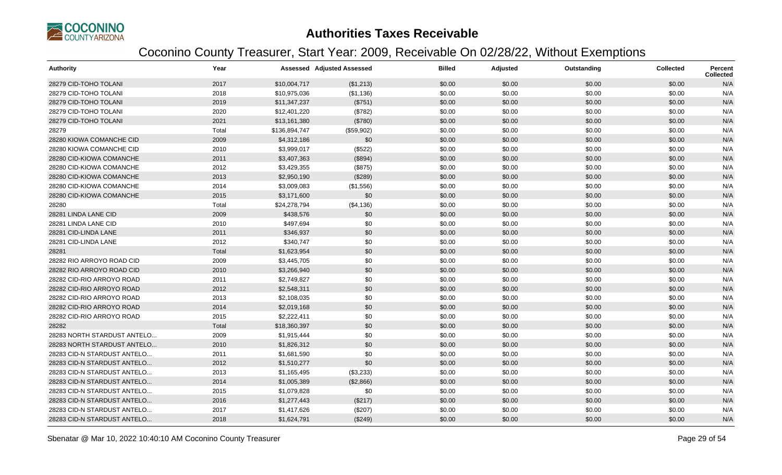

| <b>Authority</b>            | Year  |               | <b>Assessed Adjusted Assessed</b> | <b>Billed</b> | <b>Adjusted</b> | Outstanding | <b>Collected</b> | Percent<br><b>Collected</b> |
|-----------------------------|-------|---------------|-----------------------------------|---------------|-----------------|-------------|------------------|-----------------------------|
| 28279 CID-TOHO TOLANI       | 2017  | \$10,004,717  | (\$1,213)                         | \$0.00        | \$0.00          | \$0.00      | \$0.00           | N/A                         |
| 28279 CID-TOHO TOLANI       | 2018  | \$10,975,036  | (\$1,136)                         | \$0.00        | \$0.00          | \$0.00      | \$0.00           | N/A                         |
| 28279 CID-TOHO TOLANI       | 2019  | \$11,347,237  | (\$751)                           | \$0.00        | \$0.00          | \$0.00      | \$0.00           | N/A                         |
| 28279 CID-TOHO TOLANI       | 2020  | \$12,401,220  | (\$782)                           | \$0.00        | \$0.00          | \$0.00      | \$0.00           | N/A                         |
| 28279 CID-TOHO TOLANI       | 2021  | \$13,161,380  | (\$780)                           | \$0.00        | \$0.00          | \$0.00      | \$0.00           | N/A                         |
| 28279                       | Total | \$136,894,747 | (\$59,902)                        | \$0.00        | \$0.00          | \$0.00      | \$0.00           | N/A                         |
| 28280 KIOWA COMANCHE CID    | 2009  | \$4,312,186   | \$0                               | \$0.00        | \$0.00          | \$0.00      | \$0.00           | N/A                         |
| 28280 KIOWA COMANCHE CID    | 2010  | \$3,999,017   | (\$522)                           | \$0.00        | \$0.00          | \$0.00      | \$0.00           | N/A                         |
| 28280 CID-KIOWA COMANCHE    | 2011  | \$3,407,363   | (\$894)                           | \$0.00        | \$0.00          | \$0.00      | \$0.00           | N/A                         |
| 28280 CID-KIOWA COMANCHE    | 2012  | \$3,429,355   | (\$875)                           | \$0.00        | \$0.00          | \$0.00      | \$0.00           | N/A                         |
| 28280 CID-KIOWA COMANCHE    | 2013  | \$2,950,190   | (\$289)                           | \$0.00        | \$0.00          | \$0.00      | \$0.00           | N/A                         |
| 28280 CID-KIOWA COMANCHE    | 2014  | \$3,009,083   | (\$1,556)                         | \$0.00        | \$0.00          | \$0.00      | \$0.00           | N/A                         |
| 28280 CID-KIOWA COMANCHE    | 2015  | \$3,171,600   | \$0                               | \$0.00        | \$0.00          | \$0.00      | \$0.00           | N/A                         |
| 28280                       | Total | \$24,278,794  | (\$4,136)                         | \$0.00        | \$0.00          | \$0.00      | \$0.00           | N/A                         |
| 28281 LINDA LANE CID        | 2009  | \$438,576     | \$0                               | \$0.00        | \$0.00          | \$0.00      | \$0.00           | N/A                         |
| 28281 LINDA LANE CID        | 2010  | \$497,694     | \$0                               | \$0.00        | \$0.00          | \$0.00      | \$0.00           | N/A                         |
| 28281 CID-LINDA LANE        | 2011  | \$346,937     | \$0                               | \$0.00        | \$0.00          | \$0.00      | \$0.00           | N/A                         |
| 28281 CID-LINDA LANE        | 2012  | \$340,747     | \$0                               | \$0.00        | \$0.00          | \$0.00      | \$0.00           | N/A                         |
| 28281                       | Total | \$1,623,954   | \$0                               | \$0.00        | \$0.00          | \$0.00      | \$0.00           | N/A                         |
| 28282 RIO ARROYO ROAD CID   | 2009  | \$3,445,705   | \$0                               | \$0.00        | \$0.00          | \$0.00      | \$0.00           | N/A                         |
| 28282 RIO ARROYO ROAD CID   | 2010  | \$3,266,940   | \$0                               | \$0.00        | \$0.00          | \$0.00      | \$0.00           | N/A                         |
| 28282 CID-RIO ARROYO ROAD   | 2011  | \$2,749,827   | \$0                               | \$0.00        | \$0.00          | \$0.00      | \$0.00           | N/A                         |
| 28282 CID-RIO ARROYO ROAD   | 2012  | \$2,548,311   | \$0                               | \$0.00        | \$0.00          | \$0.00      | \$0.00           | N/A                         |
| 28282 CID-RIO ARROYO ROAD   | 2013  | \$2,108,035   | \$0                               | \$0.00        | \$0.00          | \$0.00      | \$0.00           | N/A                         |
| 28282 CID-RIO ARROYO ROAD   | 2014  | \$2,019,168   | \$0                               | \$0.00        | \$0.00          | \$0.00      | \$0.00           | N/A                         |
| 28282 CID-RIO ARROYO ROAD   | 2015  | \$2,222,411   | \$0                               | \$0.00        | \$0.00          | \$0.00      | \$0.00           | N/A                         |
| 28282                       | Total | \$18,360,397  | \$0                               | \$0.00        | \$0.00          | \$0.00      | \$0.00           | N/A                         |
| 28283 NORTH STARDUST ANTELO | 2009  | \$1,915,444   | \$0                               | \$0.00        | \$0.00          | \$0.00      | \$0.00           | N/A                         |
| 28283 NORTH STARDUST ANTELO | 2010  | \$1,826,312   | \$0                               | \$0.00        | \$0.00          | \$0.00      | \$0.00           | N/A                         |
| 28283 CID-N STARDUST ANTELO | 2011  | \$1,681,590   | \$0                               | \$0.00        | \$0.00          | \$0.00      | \$0.00           | N/A                         |
| 28283 CID-N STARDUST ANTELO | 2012  | \$1,510,277   | \$0                               | \$0.00        | \$0.00          | \$0.00      | \$0.00           | N/A                         |
| 28283 CID-N STARDUST ANTELO | 2013  | \$1,165,495   | (\$3,233)                         | \$0.00        | \$0.00          | \$0.00      | \$0.00           | N/A                         |
| 28283 CID-N STARDUST ANTELO | 2014  | \$1,005,389   | (\$2,866)                         | \$0.00        | \$0.00          | \$0.00      | \$0.00           | N/A                         |
| 28283 CID-N STARDUST ANTELO | 2015  | \$1,079,828   | \$0                               | \$0.00        | \$0.00          | \$0.00      | \$0.00           | N/A                         |
| 28283 CID-N STARDUST ANTELO | 2016  | \$1,277,443   | (\$217)                           | \$0.00        | \$0.00          | \$0.00      | \$0.00           | N/A                         |
| 28283 CID-N STARDUST ANTELO | 2017  | \$1,417,626   | (\$207)                           | \$0.00        | \$0.00          | \$0.00      | \$0.00           | N/A                         |
| 28283 CID-N STARDUST ANTELO | 2018  | \$1,624,791   | (\$249)                           | \$0.00        | \$0.00          | \$0.00      | \$0.00           | N/A                         |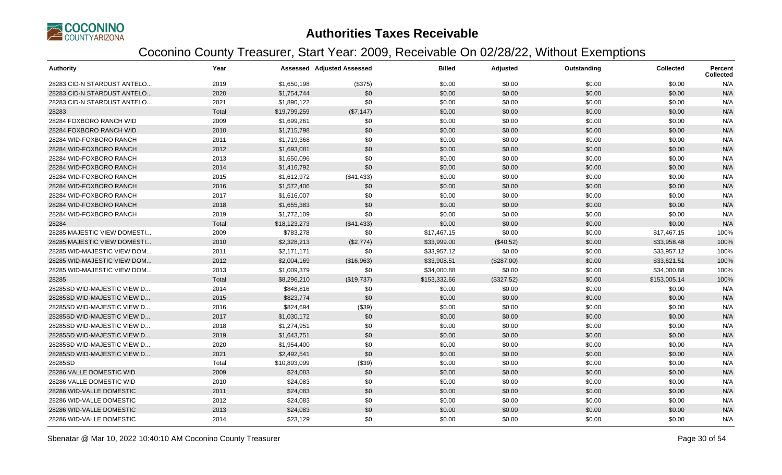

| <b>Authority</b>            | Year  |              | Assessed Adjusted Assessed | <b>Billed</b> | <b>Adjusted</b> | Outstanding | <b>Collected</b> | Percent<br><b>Collected</b> |
|-----------------------------|-------|--------------|----------------------------|---------------|-----------------|-------------|------------------|-----------------------------|
| 28283 CID-N STARDUST ANTELO | 2019  | \$1,650,198  | (\$375)                    | \$0.00        | \$0.00          | \$0.00      | \$0.00           | N/A                         |
| 28283 CID-N STARDUST ANTELO | 2020  | \$1,754,744  | \$0                        | \$0.00        | \$0.00          | \$0.00      | \$0.00           | N/A                         |
| 28283 CID-N STARDUST ANTELO | 2021  | \$1,890,122  | \$0                        | \$0.00        | \$0.00          | \$0.00      | \$0.00           | N/A                         |
| 28283                       | Total | \$19,799,259 | (\$7,147)                  | \$0.00        | \$0.00          | \$0.00      | \$0.00           | N/A                         |
| 28284 FOXBORO RANCH WID     | 2009  | \$1,699,261  | \$0                        | \$0.00        | \$0.00          | \$0.00      | \$0.00           | N/A                         |
| 28284 FOXBORO RANCH WID     | 2010  | \$1,715,798  | \$0                        | \$0.00        | \$0.00          | \$0.00      | \$0.00           | N/A                         |
| 28284 WID-FOXBORO RANCH     | 2011  | \$1,719,368  | \$0                        | \$0.00        | \$0.00          | \$0.00      | \$0.00           | N/A                         |
| 28284 WID-FOXBORO RANCH     | 2012  | \$1,693,081  | \$0                        | \$0.00        | \$0.00          | \$0.00      | \$0.00           | N/A                         |
| 28284 WID-FOXBORO RANCH     | 2013  | \$1,650,096  | \$0                        | \$0.00        | \$0.00          | \$0.00      | \$0.00           | N/A                         |
| 28284 WID-FOXBORO RANCH     | 2014  | \$1,416,792  | \$0                        | \$0.00        | \$0.00          | \$0.00      | \$0.00           | N/A                         |
| 28284 WID-FOXBORO RANCH     | 2015  | \$1,612,972  | (\$41,433)                 | \$0.00        | \$0.00          | \$0.00      | \$0.00           | N/A                         |
| 28284 WID-FOXBORO RANCH     | 2016  | \$1,572,406  | \$0                        | \$0.00        | \$0.00          | \$0.00      | \$0.00           | N/A                         |
| 28284 WID-FOXBORO RANCH     | 2017  | \$1,616,007  | \$0                        | \$0.00        | \$0.00          | \$0.00      | \$0.00           | N/A                         |
| 28284 WID-FOXBORO RANCH     | 2018  | \$1,655,383  | \$0                        | \$0.00        | \$0.00          | \$0.00      | \$0.00           | N/A                         |
| 28284 WID-FOXBORO RANCH     | 2019  | \$1,772,109  | \$0                        | \$0.00        | \$0.00          | \$0.00      | \$0.00           | N/A                         |
| 28284                       | Total | \$18,123,273 | (\$41,433)                 | \$0.00        | \$0.00          | \$0.00      | \$0.00           | N/A                         |
| 28285 MAJESTIC VIEW DOMESTI | 2009  | \$783,278    | \$0                        | \$17,467.15   | \$0.00          | \$0.00      | \$17,467.15      | 100%                        |
| 28285 MAJESTIC VIEW DOMESTI | 2010  | \$2,328,213  | (\$2,774)                  | \$33,999.00   | (\$40.52)       | \$0.00      | \$33,958.48      | 100%                        |
| 28285 WID-MAJESTIC VIEW DOM | 2011  | \$2,171,171  | \$0                        | \$33,957.12   | \$0.00          | \$0.00      | \$33,957.12      | 100%                        |
| 28285 WID-MAJESTIC VIEW DOM | 2012  | \$2,004,169  | (\$16,963)                 | \$33,908.51   | (\$287.00)      | \$0.00      | \$33,621.51      | 100%                        |
| 28285 WID-MAJESTIC VIEW DOM | 2013  | \$1,009,379  | \$0                        | \$34,000.88   | \$0.00          | \$0.00      | \$34,000.88      | 100%                        |
| 28285                       | Total | \$8,296,210  | (\$19,737)                 | \$153,332.66  | (\$327.52)      | \$0.00      | \$153,005.14     | 100%                        |
| 28285SD WID-MAJESTIC VIEW D | 2014  | \$848,816    | \$0                        | \$0.00        | \$0.00          | \$0.00      | \$0.00           | N/A                         |
| 28285SD WID-MAJESTIC VIEW D | 2015  | \$823,774    | \$0                        | \$0.00        | \$0.00          | \$0.00      | \$0.00           | N/A                         |
| 28285SD WID-MAJESTIC VIEW D | 2016  | \$824,694    | (\$39)                     | \$0.00        | \$0.00          | \$0.00      | \$0.00           | N/A                         |
| 28285SD WID-MAJESTIC VIEW D | 2017  | \$1,030,172  | \$0                        | \$0.00        | \$0.00          | \$0.00      | \$0.00           | N/A                         |
| 28285SD WID-MAJESTIC VIEW D | 2018  | \$1,274,951  | \$0                        | \$0.00        | \$0.00          | \$0.00      | \$0.00           | N/A                         |
| 28285SD WID-MAJESTIC VIEW D | 2019  | \$1,643,751  | \$0                        | \$0.00        | \$0.00          | \$0.00      | \$0.00           | N/A                         |
| 28285SD WID-MAJESTIC VIEW D | 2020  | \$1,954,400  | \$0                        | \$0.00        | \$0.00          | \$0.00      | \$0.00           | N/A                         |
| 28285SD WID-MAJESTIC VIEW D | 2021  | \$2,492,541  | \$0                        | \$0.00        | \$0.00          | \$0.00      | \$0.00           | N/A                         |
| 28285SD                     | Total | \$10,893,099 | (\$39)                     | \$0.00        | \$0.00          | \$0.00      | \$0.00           | N/A                         |
| 28286 VALLE DOMESTIC WID    | 2009  | \$24,083     | \$0                        | \$0.00        | \$0.00          | \$0.00      | \$0.00           | N/A                         |
| 28286 VALLE DOMESTIC WID    | 2010  | \$24,083     | \$0                        | \$0.00        | \$0.00          | \$0.00      | \$0.00           | N/A                         |
| 28286 WID-VALLE DOMESTIC    | 2011  | \$24,083     | \$0                        | \$0.00        | \$0.00          | \$0.00      | \$0.00           | N/A                         |
| 28286 WID-VALLE DOMESTIC    | 2012  | \$24,083     | \$0                        | \$0.00        | \$0.00          | \$0.00      | \$0.00           | N/A                         |
| 28286 WID-VALLE DOMESTIC    | 2013  | \$24,083     | \$0                        | \$0.00        | \$0.00          | \$0.00      | \$0.00           | N/A                         |
| 28286 WID-VALLE DOMESTIC    | 2014  | \$23,129     | \$0                        | \$0.00        | \$0.00          | \$0.00      | \$0.00           | N/A                         |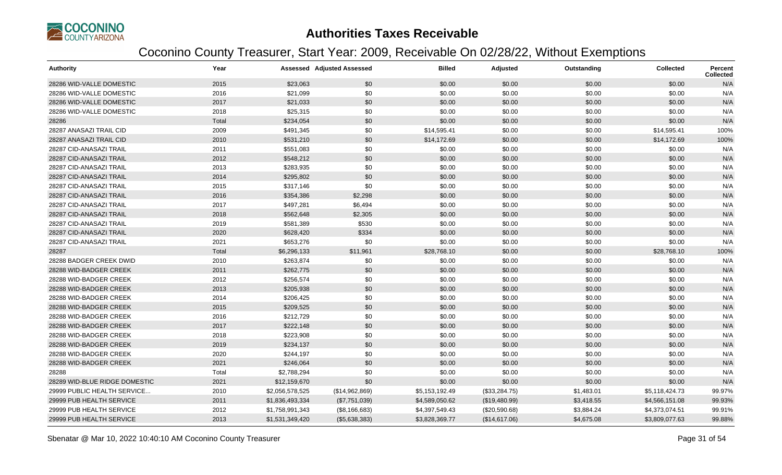

| <b>Authority</b>              | Year  |                 | <b>Assessed Adjusted Assessed</b> | <b>Billed</b>  | Adjusted      | Outstanding | <b>Collected</b> | <b>Percent</b><br><b>Collected</b> |
|-------------------------------|-------|-----------------|-----------------------------------|----------------|---------------|-------------|------------------|------------------------------------|
| 28286 WID-VALLE DOMESTIC      | 2015  | \$23,063        | \$0                               | \$0.00         | \$0.00        | \$0.00      | \$0.00           | N/A                                |
| 28286 WID-VALLE DOMESTIC      | 2016  | \$21,099        | \$0                               | \$0.00         | \$0.00        | \$0.00      | \$0.00           | N/A                                |
| 28286 WID-VALLE DOMESTIC      | 2017  | \$21,033        | \$0                               | \$0.00         | \$0.00        | \$0.00      | \$0.00           | N/A                                |
| 28286 WID-VALLE DOMESTIC      | 2018  | \$25,315        | \$0                               | \$0.00         | \$0.00        | \$0.00      | \$0.00           | N/A                                |
| 28286                         | Total | \$234,054       | \$0                               | \$0.00         | \$0.00        | \$0.00      | \$0.00           | N/A                                |
| 28287 ANASAZI TRAIL CID       | 2009  | \$491,345       | \$0                               | \$14,595.41    | \$0.00        | \$0.00      | \$14,595.41      | 100%                               |
| 28287 ANASAZI TRAIL CID       | 2010  | \$531,210       | \$0                               | \$14,172.69    | \$0.00        | \$0.00      | \$14,172.69      | 100%                               |
| 28287 CID-ANASAZI TRAIL       | 2011  | \$551,083       | \$0                               | \$0.00         | \$0.00        | \$0.00      | \$0.00           | N/A                                |
| 28287 CID-ANASAZI TRAIL       | 2012  | \$548,212       | \$0                               | \$0.00         | \$0.00        | \$0.00      | \$0.00           | N/A                                |
| 28287 CID-ANASAZI TRAIL       | 2013  | \$283,935       | \$0                               | \$0.00         | \$0.00        | \$0.00      | \$0.00           | N/A                                |
| 28287 CID-ANASAZI TRAIL       | 2014  | \$295,802       | \$0                               | \$0.00         | \$0.00        | \$0.00      | \$0.00           | N/A                                |
| 28287 CID-ANASAZI TRAIL       | 2015  | \$317,146       | \$0                               | \$0.00         | \$0.00        | \$0.00      | \$0.00           | N/A                                |
| 28287 CID-ANASAZI TRAIL       | 2016  | \$354,386       | \$2,298                           | \$0.00         | \$0.00        | \$0.00      | \$0.00           | N/A                                |
| 28287 CID-ANASAZI TRAIL       | 2017  | \$497,281       | \$6,494                           | \$0.00         | \$0.00        | \$0.00      | \$0.00           | N/A                                |
| 28287 CID-ANASAZI TRAIL       | 2018  | \$562,648       | \$2,305                           | \$0.00         | \$0.00        | \$0.00      | \$0.00           | N/A                                |
| 28287 CID-ANASAZI TRAIL       | 2019  | \$581,389       | \$530                             | \$0.00         | \$0.00        | \$0.00      | \$0.00           | N/A                                |
| 28287 CID-ANASAZI TRAIL       | 2020  | \$628,420       | \$334                             | \$0.00         | \$0.00        | \$0.00      | \$0.00           | N/A                                |
| 28287 CID-ANASAZI TRAIL       | 2021  | \$653,276       | \$0                               | \$0.00         | \$0.00        | \$0.00      | \$0.00           | N/A                                |
| 28287                         | Total | \$6,296,133     | \$11,961                          | \$28,768.10    | \$0.00        | \$0.00      | \$28,768.10      | 100%                               |
| 28288 BADGER CREEK DWID       | 2010  | \$263,874       | \$0                               | \$0.00         | \$0.00        | \$0.00      | \$0.00           | N/A                                |
| 28288 WID-BADGER CREEK        | 2011  | \$262,775       | \$0                               | \$0.00         | \$0.00        | \$0.00      | \$0.00           | N/A                                |
| 28288 WID-BADGER CREEK        | 2012  | \$256,574       | \$0                               | \$0.00         | \$0.00        | \$0.00      | \$0.00           | N/A                                |
| 28288 WID-BADGER CREEK        | 2013  | \$205,938       | \$0                               | \$0.00         | \$0.00        | \$0.00      | \$0.00           | N/A                                |
| 28288 WID-BADGER CREEK        | 2014  | \$206,425       | \$0                               | \$0.00         | \$0.00        | \$0.00      | \$0.00           | N/A                                |
| 28288 WID-BADGER CREEK        | 2015  | \$209,525       | \$0                               | \$0.00         | \$0.00        | \$0.00      | \$0.00           | N/A                                |
| 28288 WID-BADGER CREEK        | 2016  | \$212,729       | \$0                               | \$0.00         | \$0.00        | \$0.00      | \$0.00           | N/A                                |
| 28288 WID-BADGER CREEK        | 2017  | \$222,148       | \$0                               | \$0.00         | \$0.00        | \$0.00      | \$0.00           | N/A                                |
| 28288 WID-BADGER CREEK        | 2018  | \$223,908       | \$0                               | \$0.00         | \$0.00        | \$0.00      | \$0.00           | N/A                                |
| 28288 WID-BADGER CREEK        | 2019  | \$234,137       | \$0                               | \$0.00         | \$0.00        | \$0.00      | \$0.00           | N/A                                |
| 28288 WID-BADGER CREEK        | 2020  | \$244,197       | \$0                               | \$0.00         | \$0.00        | \$0.00      | \$0.00           | N/A                                |
| 28288 WID-BADGER CREEK        | 2021  | \$246,064       | \$0                               | \$0.00         | \$0.00        | \$0.00      | \$0.00           | N/A                                |
| 28288                         | Total | \$2,788,294     | \$0                               | \$0.00         | \$0.00        | \$0.00      | \$0.00           | N/A                                |
| 28289 WID-BLUE RIDGE DOMESTIC | 2021  | \$12,159,670    | \$0                               | \$0.00         | \$0.00        | \$0.00      | \$0.00           | N/A                                |
| 29999 PUBLIC HEALTH SERVICE   | 2010  | \$2,056,578,525 | (\$14,962,869)                    | \$5,153,192.49 | (\$33,284.75) | \$1,483.01  | \$5,118,424.73   | 99.97%                             |
| 29999 PUB HEALTH SERVICE      | 2011  | \$1,836,493,334 | (\$7,751,039)                     | \$4,589,050.62 | (\$19,480.99) | \$3,418.55  | \$4,566,151.08   | 99.93%                             |
| 29999 PUB HEALTH SERVICE      | 2012  | \$1,758,991,343 | (\$8,166,683)                     | \$4,397,549.43 | (\$20,590.68) | \$3,884.24  | \$4,373,074.51   | 99.91%                             |
| 29999 PUB HEALTH SERVICE      | 2013  | \$1,531,349,420 | (\$5,638,383)                     | \$3,828,369.77 | (\$14,617.06) | \$4,675.08  | \$3,809,077.63   | 99.88%                             |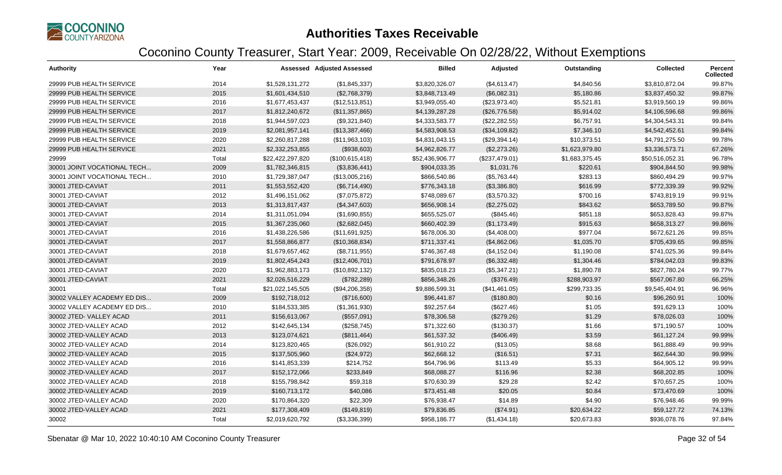

| <b>Authority</b>            | Year  |                  | Assessed Adjusted Assessed | <b>Billed</b>   | Adjusted       | Outstanding    | <b>Collected</b> | <b>Percent</b><br><b>Collected</b> |
|-----------------------------|-------|------------------|----------------------------|-----------------|----------------|----------------|------------------|------------------------------------|
| 29999 PUB HEALTH SERVICE    | 2014  | \$1,528,131,272  | (\$1,845,337)              | \$3,820,326.07  | (\$4,613.47)   | \$4,840.56     | \$3,810,872.04   | 99.87%                             |
| 29999 PUB HEALTH SERVICE    | 2015  | \$1,601,434,510  | (\$2,768,379)              | \$3,848,713.49  | (\$6,082.31)   | \$5,180.86     | \$3,837,450.32   | 99.87%                             |
| 29999 PUB HEALTH SERVICE    | 2016  | \$1,677,453,437  | (\$12,513,851)             | \$3,949,055.40  | (\$23,973.40)  | \$5,521.81     | \$3,919,560.19   | 99.86%                             |
| 29999 PUB HEALTH SERVICE    | 2017  | \$1,812,240,672  | (\$11,357,865)             | \$4,139,287.28  | (\$26,776.58)  | \$5,914.02     | \$4,106,596.68   | 99.86%                             |
| 29999 PUB HEALTH SERVICE    | 2018  | \$1,944,597,023  | (\$9,321,840)              | \$4,333,583.77  | (\$22, 282.55) | \$6,757.91     | \$4,304,543.31   | 99.84%                             |
| 29999 PUB HEALTH SERVICE    | 2019  | \$2,081,957,141  | (\$13,387,466)             | \$4,583,908.53  | (\$34,109.82)  | \$7,346.10     | \$4,542,452.61   | 99.84%                             |
| 29999 PUB HEALTH SERVICE    | 2020  | \$2,260,817,288  | (\$11,963,103)             | \$4,831,043.15  | (\$29,394.14)  | \$10,373.51    | \$4,791,275.50   | 99.78%                             |
| 29999 PUB HEALTH SERVICE    | 2021  | \$2,332,253,855  | (\$938,603)                | \$4,962,826.77  | (\$2,273.26)   | \$1,623,979.80 | \$3,336,573.71   | 67.26%                             |
| 29999                       | Total | \$22,422,297,820 | (\$100,615,418)            | \$52,436,906.77 | (\$237,479.01) | \$1,683,375.45 | \$50,516,052.31  | 96.78%                             |
| 30001 JOINT VOCATIONAL TECH | 2009  | \$1,782,346,815  | (\$3,836,441)              | \$904,033.35    | \$1,031.76     | \$220.61       | \$904,844.50     | 99.98%                             |
| 30001 JOINT VOCATIONAL TECH | 2010  | \$1,729,387,047  | (\$13,005,216)             | \$866,540.86    | (\$5,763.44)   | \$283.13       | \$860,494.29     | 99.97%                             |
| 30001 JTED-CAVIAT           | 2011  | \$1,553,552,420  | (\$6,714,490)              | \$776,343.18    | (\$3,386.80)   | \$616.99       | \$772,339.39     | 99.92%                             |
| 30001 JTED-CAVIAT           | 2012  | \$1,496,151,062  | (\$7,075,872)              | \$748,089.67    | (\$3,570.32)   | \$700.16       | \$743,819.19     | 99.91%                             |
| 30001 JTED-CAVIAT           | 2013  | \$1,313,817,437  | (\$4,347,603)              | \$656,908.14    | (\$2,275.02)   | \$843.62       | \$653,789.50     | 99.87%                             |
| 30001 JTED-CAVIAT           | 2014  | \$1,311,051,094  | (\$1,690,855)              | \$655,525.07    | (\$845.46)     | \$851.18       | \$653,828.43     | 99.87%                             |
| 30001 JTED-CAVIAT           | 2015  | \$1,367,235,060  | (\$2,682,045)              | \$660,402.39    | (\$1,173.49)   | \$915.63       | \$658,313.27     | 99.86%                             |
| 30001 JTED-CAVIAT           | 2016  | \$1,438,226,586  | (\$11,691,925)             | \$678,006.30    | (\$4,408.00)   | \$977.04       | \$672,621.26     | 99.85%                             |
| 30001 JTED-CAVIAT           | 2017  | \$1,558,866,877  | (\$10,368,834)             | \$711,337.41    | (\$4,862.06)   | \$1,035.70     | \$705,439.65     | 99.85%                             |
| 30001 JTED-CAVIAT           | 2018  | \$1,679,657,462  | (\$8,711,955)              | \$746,367.48    | (\$4,152.04)   | \$1,190.08     | \$741,025.36     | 99.84%                             |
| 30001 JTED-CAVIAT           | 2019  | \$1,802,454,243  | (\$12,406,701)             | \$791,678.97    | (\$6,332.48)   | \$1,304.46     | \$784,042.03     | 99.83%                             |
| 30001 JTED-CAVIAT           | 2020  | \$1,962,883,173  | (\$10,892,132)             | \$835,018.23    | (\$5,347.21)   | \$1,890.78     | \$827,780.24     | 99.77%                             |
| 30001 JTED-CAVIAT           | 2021  | \$2,026,516,229  | (\$782,289)                | \$856,348.26    | (\$376.49)     | \$288,903.97   | \$567,067.80     | 66.25%                             |
| 30001                       | Total | \$21,022,145,505 | (\$94,206,358)             | \$9,886,599.31  | (\$41,461.05)  | \$299,733.35   | \$9,545,404.91   | 96.96%                             |
| 30002 VALLEY ACADEMY ED DIS | 2009  | \$192,718,012    | (\$716,600)                | \$96,441.87     | (\$180.80)     | \$0.16         | \$96,260.91      | 100%                               |
| 30002 VALLEY ACADEMY ED DIS | 2010  | \$184,533,385    | (\$1,361,930)              | \$92,257.64     | (\$627.46)     | \$1.05         | \$91,629.13      | 100%                               |
| 30002 JTED-VALLEY ACAD      | 2011  | \$156,613,067    | (\$557,091)                | \$78,306.58     | (\$279.26)     | \$1.29         | \$78,026.03      | 100%                               |
| 30002 JTED-VALLEY ACAD      | 2012  | \$142,645,134    | (\$258,745)                | \$71,322.60     | (\$130.37)     | \$1.66         | \$71,190.57      | 100%                               |
| 30002 JTED-VALLEY ACAD      | 2013  | \$123,074,621    | (\$811,464)                | \$61,537.32     | (\$406.49)     | \$3.59         | \$61,127.24      | 99.99%                             |
| 30002 JTED-VALLEY ACAD      | 2014  | \$123,820,465    | (\$26,092)                 | \$61,910.22     | (\$13.05)      | \$8.68         | \$61,888.49      | 99.99%                             |
| 30002 JTED-VALLEY ACAD      | 2015  | \$137,505,960    | (\$24,972)                 | \$62,668.12     | (\$16.51)      | \$7.31         | \$62,644.30      | 99.99%                             |
| 30002 JTED-VALLEY ACAD      | 2016  | \$141,853,339    | \$214,752                  | \$64,796.96     | \$113.49       | \$5.33         | \$64,905.12      | 99.99%                             |
| 30002 JTED-VALLEY ACAD      | 2017  | \$152,172,066    | \$233,849                  | \$68,088.27     | \$116.96       | \$2.38         | \$68,202.85      | 100%                               |
| 30002 JTED-VALLEY ACAD      | 2018  | \$155,798,842    | \$59,318                   | \$70,630.39     | \$29.28        | \$2.42         | \$70,657.25      | 100%                               |
| 30002 JTED-VALLEY ACAD      | 2019  | \$160,713,172    | \$40,086                   | \$73,451.48     | \$20.05        | \$0.84         | \$73,470.69      | 100%                               |
| 30002 JTED-VALLEY ACAD      | 2020  | \$170,864,320    | \$22,309                   | \$76,938.47     | \$14.89        | \$4.90         | \$76,948.46      | 99.99%                             |
| 30002 JTED-VALLEY ACAD      | 2021  | \$177,308,409    | (\$149, 819)               | \$79,836.85     | (\$74.91)      | \$20,634.22    | \$59,127.72      | 74.13%                             |
| 30002                       | Total | \$2,019,620,792  | (\$3,336,399)              | \$958,186.77    | (\$1,434.18)   | \$20,673.83    | \$936,078.76     | 97.84%                             |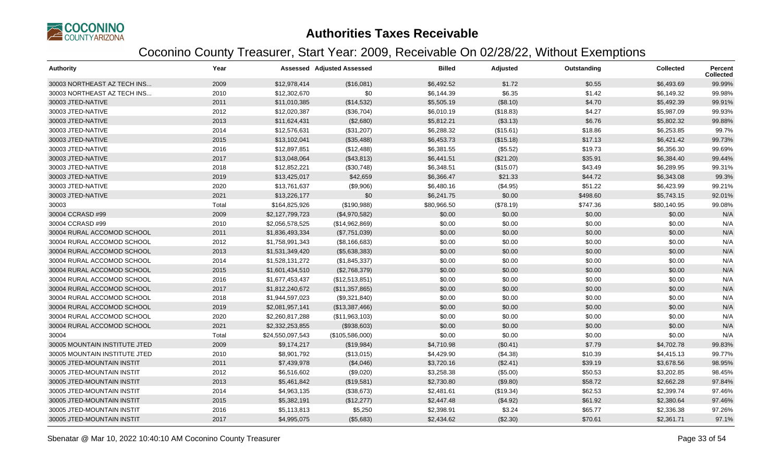

| <b>Authority</b>              | Year  |                  | <b>Assessed Adjusted Assessed</b> | <b>Billed</b> | Adjusted  | Outstanding | <b>Collected</b> | Percent<br><b>Collected</b> |
|-------------------------------|-------|------------------|-----------------------------------|---------------|-----------|-------------|------------------|-----------------------------|
| 30003 NORTHEAST AZ TECH INS   | 2009  | \$12,978,414     | (\$16,081)                        | \$6,492.52    | \$1.72    | \$0.55      | \$6,493.69       | 99.99%                      |
| 30003 NORTHEAST AZ TECH INS   | 2010  | \$12,302,670     | \$0                               | \$6,144.39    | \$6.35    | \$1.42      | \$6,149.32       | 99.98%                      |
| 30003 JTED-NATIVE             | 2011  | \$11,010,385     | (\$14,532)                        | \$5,505.19    | (\$8.10)  | \$4.70      | \$5,492.39       | 99.91%                      |
| 30003 JTED-NATIVE             | 2012  | \$12,020,387     | (\$36,704)                        | \$6,010.19    | (\$18.83) | \$4.27      | \$5,987.09       | 99.93%                      |
| 30003 JTED-NATIVE             | 2013  | \$11,624,431     | (\$2,680)                         | \$5,812.21    | (\$3.13)  | \$6.76      | \$5,802.32       | 99.88%                      |
| 30003 JTED-NATIVE             | 2014  | \$12,576,631     | (\$31,207)                        | \$6,288.32    | (\$15.61) | \$18.86     | \$6,253.85       | 99.7%                       |
| 30003 JTED-NATIVE             | 2015  | \$13,102,041     | (\$35,488)                        | \$6,453.73    | (\$15.18) | \$17.13     | \$6,421.42       | 99.73%                      |
| 30003 JTED-NATIVE             | 2016  | \$12,897,851     | (\$12,488)                        | \$6,381.55    | (\$5.52)  | \$19.73     | \$6,356.30       | 99.69%                      |
| 30003 JTED-NATIVE             | 2017  | \$13,048,064     | (\$43,813)                        | \$6,441.51    | (\$21.20) | \$35.91     | \$6,384.40       | 99.44%                      |
| 30003 JTED-NATIVE             | 2018  | \$12,852,221     | (\$30,748)                        | \$6,348.51    | (\$15.07) | \$43.49     | \$6,289.95       | 99.31%                      |
| 30003 JTED-NATIVE             | 2019  | \$13,425,017     | \$42,659                          | \$6,366.47    | \$21.33   | \$44.72     | \$6,343.08       | 99.3%                       |
| 30003 JTED-NATIVE             | 2020  | \$13,761,637     | (\$9,906)                         | \$6,480.16    | (\$4.95)  | \$51.22     | \$6,423.99       | 99.21%                      |
| 30003 JTED-NATIVE             | 2021  | \$13,226,177     | \$0                               | \$6,241.75    | \$0.00    | \$498.60    | \$5,743.15       | 92.01%                      |
| 30003                         | Total | \$164,825,926    | (\$190,988)                       | \$80,966.50   | (\$78.19) | \$747.36    | \$80,140.95      | 99.08%                      |
| 30004 CCRASD #99              | 2009  | \$2,127,799,723  | (\$4,970,582)                     | \$0.00        | \$0.00    | \$0.00      | \$0.00           | N/A                         |
| 30004 CCRASD #99              | 2010  | \$2,056,578,525  | (\$14,962,869)                    | \$0.00        | \$0.00    | \$0.00      | \$0.00           | N/A                         |
| 30004 RURAL ACCOMOD SCHOOL    | 2011  | \$1,836,493,334  | (\$7,751,039)                     | \$0.00        | \$0.00    | \$0.00      | \$0.00           | N/A                         |
| 30004 RURAL ACCOMOD SCHOOL    | 2012  | \$1,758,991,343  | (\$8,166,683)                     | \$0.00        | \$0.00    | \$0.00      | \$0.00           | N/A                         |
| 30004 RURAL ACCOMOD SCHOOL    | 2013  | \$1,531,349,420  | (\$5,638,383)                     | \$0.00        | \$0.00    | \$0.00      | \$0.00           | N/A                         |
| 30004 RURAL ACCOMOD SCHOOL    | 2014  | \$1,528,131,272  | (\$1,845,337)                     | \$0.00        | \$0.00    | \$0.00      | \$0.00           | N/A                         |
| 30004 RURAL ACCOMOD SCHOOL    | 2015  | \$1,601,434,510  | (\$2,768,379)                     | \$0.00        | \$0.00    | \$0.00      | \$0.00           | N/A                         |
| 30004 RURAL ACCOMOD SCHOOL    | 2016  | \$1,677,453,437  | (\$12,513,851)                    | \$0.00        | \$0.00    | \$0.00      | \$0.00           | N/A                         |
| 30004 RURAL ACCOMOD SCHOOL    | 2017  | \$1,812,240,672  | (\$11,357,865)                    | \$0.00        | \$0.00    | \$0.00      | \$0.00           | N/A                         |
| 30004 RURAL ACCOMOD SCHOOL    | 2018  | \$1,944,597,023  | (\$9,321,840)                     | \$0.00        | \$0.00    | \$0.00      | \$0.00           | N/A                         |
| 30004 RURAL ACCOMOD SCHOOL    | 2019  | \$2,081,957,141  | (\$13,387,466)                    | \$0.00        | \$0.00    | \$0.00      | \$0.00           | N/A                         |
| 30004 RURAL ACCOMOD SCHOOL    | 2020  | \$2,260,817,288  | (\$11,963,103)                    | \$0.00        | \$0.00    | \$0.00      | \$0.00           | N/A                         |
| 30004 RURAL ACCOMOD SCHOOL    | 2021  | \$2,332,253,855  | (\$938,603)                       | \$0.00        | \$0.00    | \$0.00      | \$0.00           | N/A                         |
| 30004                         | Total | \$24,550,097,543 | (\$105,586,000)                   | \$0.00        | \$0.00    | \$0.00      | \$0.00           | N/A                         |
| 30005 MOUNTAIN INSTITUTE JTED | 2009  | \$9,174,217      | (\$19,984)                        | \$4,710.98    | (\$0.41)  | \$7.79      | \$4,702.78       | 99.83%                      |
| 30005 MOUNTAIN INSTITUTE JTED | 2010  | \$8,901,792      | (\$13,015)                        | \$4,429.90    | (\$4.38)  | \$10.39     | \$4,415.13       | 99.77%                      |
| 30005 JTED-MOUNTAIN INSTIT    | 2011  | \$7,439,978      | (\$4,046)                         | \$3,720.16    | (\$2.41)  | \$39.19     | \$3,678.56       | 98.95%                      |
| 30005 JTED-MOUNTAIN INSTIT    | 2012  | \$6,516,602      | (\$9,020)                         | \$3,258.38    | (\$5.00)  | \$50.53     | \$3,202.85       | 98.45%                      |
| 30005 JTED-MOUNTAIN INSTIT    | 2013  | \$5,461,842      | (\$19,581)                        | \$2,730.80    | (\$9.80)  | \$58.72     | \$2,662.28       | 97.84%                      |
| 30005 JTED-MOUNTAIN INSTIT    | 2014  | \$4,963,135      | (\$38,673)                        | \$2,481.61    | (\$19.34) | \$62.53     | \$2,399.74       | 97.46%                      |
| 30005 JTED-MOUNTAIN INSTIT    | 2015  | \$5,382,191      | (\$12,277)                        | \$2,447.48    | (\$4.92)  | \$61.92     | \$2,380.64       | 97.46%                      |
| 30005 JTED-MOUNTAIN INSTIT    | 2016  | \$5,113,813      | \$5,250                           | \$2,398.91    | \$3.24    | \$65.77     | \$2,336.38       | 97.26%                      |
| 30005 JTED-MOUNTAIN INSTIT    | 2017  | \$4,995,075      | (\$5,683)                         | \$2,434.62    | (\$2.30)  | \$70.61     | \$2,361.71       | 97.1%                       |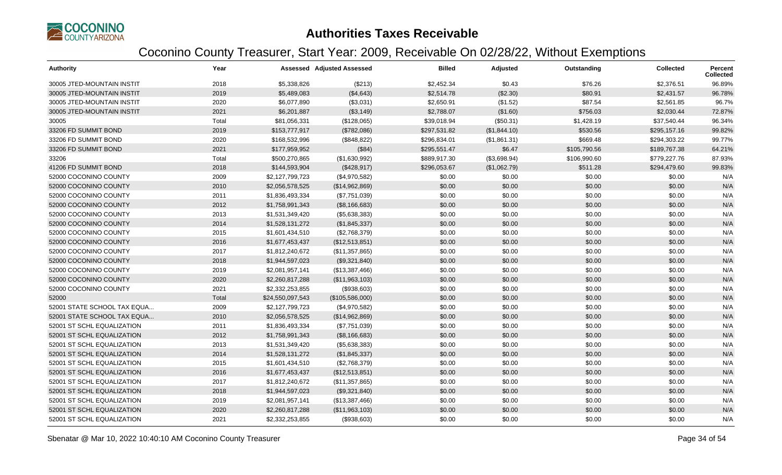

| <b>Authority</b>            | Year  |                  | <b>Assessed Adjusted Assessed</b> | <b>Billed</b> | Adjusted     | Outstanding  | <b>Collected</b> | <b>Percent</b><br><b>Collected</b> |
|-----------------------------|-------|------------------|-----------------------------------|---------------|--------------|--------------|------------------|------------------------------------|
| 30005 JTED-MOUNTAIN INSTIT  | 2018  | \$5,338,826      | (\$213)                           | \$2,452.34    | \$0.43       | \$76.26      | \$2,376.51       | 96.89%                             |
| 30005 JTED-MOUNTAIN INSTIT  | 2019  | \$5,489,083      | (\$4,643)                         | \$2,514.78    | (\$2.30)     | \$80.91      | \$2,431.57       | 96.78%                             |
| 30005 JTED-MOUNTAIN INSTIT  | 2020  | \$6,077,890      | (\$3,031)                         | \$2,650.91    | (\$1.52)     | \$87.54      | \$2,561.85       | 96.7%                              |
| 30005 JTED-MOUNTAIN INSTIT  | 2021  | \$6,201,887      | (\$3,149)                         | \$2,788.07    | (\$1.60)     | \$756.03     | \$2,030.44       | 72.87%                             |
| 30005                       | Total | \$81,056,331     | (\$128,065)                       | \$39,018.94   | (\$50.31)    | \$1,428.19   | \$37,540.44      | 96.34%                             |
| 33206 FD SUMMIT BOND        | 2019  | \$153,777,917    | (\$782,086)                       | \$297,531.82  | (\$1,844.10) | \$530.56     | \$295,157.16     | 99.82%                             |
| 33206 FD SUMMIT BOND        | 2020  | \$168,532,996    | (\$848,822)                       | \$296,834.01  | (\$1,861.31) | \$669.48     | \$294,303.22     | 99.77%                             |
| 33206 FD SUMMIT BOND        | 2021  | \$177,959,952    | (\$84)                            | \$295,551.47  | \$6.47       | \$105,790.56 | \$189,767.38     | 64.21%                             |
| 33206                       | Total | \$500,270,865    | (\$1,630,992)                     | \$889,917.30  | (\$3,698.94) | \$106,990.60 | \$779,227.76     | 87.93%                             |
| 41206 FD SUMMIT BOND        | 2018  | \$144,593,904    | (\$428,917)                       | \$296,053.67  | (\$1,062.79) | \$511.28     | \$294,479.60     | 99.83%                             |
| 52000 COCONINO COUNTY       | 2009  | \$2,127,799,723  | (\$4,970,582)                     | \$0.00        | \$0.00       | \$0.00       | \$0.00           | N/A                                |
| 52000 COCONINO COUNTY       | 2010  | \$2,056,578,525  | (\$14,962,869)                    | \$0.00        | \$0.00       | \$0.00       | \$0.00           | N/A                                |
| 52000 COCONINO COUNTY       | 2011  | \$1,836,493,334  | (\$7,751,039)                     | \$0.00        | \$0.00       | \$0.00       | \$0.00           | N/A                                |
| 52000 COCONINO COUNTY       | 2012  | \$1,758,991,343  | (\$8,166,683)                     | \$0.00        | \$0.00       | \$0.00       | \$0.00           | N/A                                |
| 52000 COCONINO COUNTY       | 2013  | \$1,531,349,420  | (\$5,638,383)                     | \$0.00        | \$0.00       | \$0.00       | \$0.00           | N/A                                |
| 52000 COCONINO COUNTY       | 2014  | \$1,528,131,272  | (\$1,845,337)                     | \$0.00        | \$0.00       | \$0.00       | \$0.00           | N/A                                |
| 52000 COCONINO COUNTY       | 2015  | \$1,601,434,510  | (\$2,768,379)                     | \$0.00        | \$0.00       | \$0.00       | \$0.00           | N/A                                |
| 52000 COCONINO COUNTY       | 2016  | \$1,677,453,437  | (\$12,513,851)                    | \$0.00        | \$0.00       | \$0.00       | \$0.00           | N/A                                |
| 52000 COCONINO COUNTY       | 2017  | \$1,812,240,672  | (\$11,357,865)                    | \$0.00        | \$0.00       | \$0.00       | \$0.00           | N/A                                |
| 52000 COCONINO COUNTY       | 2018  | \$1,944,597,023  | (\$9,321,840)                     | \$0.00        | \$0.00       | \$0.00       | \$0.00           | N/A                                |
| 52000 COCONINO COUNTY       | 2019  | \$2,081,957,141  | (\$13,387,466)                    | \$0.00        | \$0.00       | \$0.00       | \$0.00           | N/A                                |
| 52000 COCONINO COUNTY       | 2020  | \$2,260,817,288  | (\$11,963,103)                    | \$0.00        | \$0.00       | \$0.00       | \$0.00           | N/A                                |
| 52000 COCONINO COUNTY       | 2021  | \$2,332,253,855  | (\$938,603)                       | \$0.00        | \$0.00       | \$0.00       | \$0.00           | N/A                                |
| 52000                       | Total | \$24,550,097,543 | (\$105,586,000)                   | \$0.00        | \$0.00       | \$0.00       | \$0.00           | N/A                                |
| 52001 STATE SCHOOL TAX EQUA | 2009  | \$2,127,799,723  | (\$4,970,582)                     | \$0.00        | \$0.00       | \$0.00       | \$0.00           | N/A                                |
| 52001 STATE SCHOOL TAX EQUA | 2010  | \$2,056,578,525  | (\$14,962,869)                    | \$0.00        | \$0.00       | \$0.00       | \$0.00           | N/A                                |
| 52001 ST SCHL EQUALIZATION  | 2011  | \$1,836,493,334  | (\$7,751,039)                     | \$0.00        | \$0.00       | \$0.00       | \$0.00           | N/A                                |
| 52001 ST SCHL EQUALIZATION  | 2012  | \$1,758,991,343  | (\$8,166,683)                     | \$0.00        | \$0.00       | \$0.00       | \$0.00           | N/A                                |
| 52001 ST SCHL EQUALIZATION  | 2013  | \$1,531,349,420  | (\$5,638,383)                     | \$0.00        | \$0.00       | \$0.00       | \$0.00           | N/A                                |
| 52001 ST SCHL EQUALIZATION  | 2014  | \$1,528,131,272  | (\$1,845,337)                     | \$0.00        | \$0.00       | \$0.00       | \$0.00           | N/A                                |
| 52001 ST SCHL EQUALIZATION  | 2015  | \$1,601,434,510  | (\$2,768,379)                     | \$0.00        | \$0.00       | \$0.00       | \$0.00           | N/A                                |
| 52001 ST SCHL EQUALIZATION  | 2016  | \$1,677,453,437  | (\$12,513,851)                    | \$0.00        | \$0.00       | \$0.00       | \$0.00           | N/A                                |
| 52001 ST SCHL EQUALIZATION  | 2017  | \$1,812,240,672  | (\$11,357,865)                    | \$0.00        | \$0.00       | \$0.00       | \$0.00           | N/A                                |
| 52001 ST SCHL EQUALIZATION  | 2018  | \$1,944,597,023  | (\$9,321,840)                     | \$0.00        | \$0.00       | \$0.00       | \$0.00           | N/A                                |
| 52001 ST SCHL EQUALIZATION  | 2019  | \$2,081,957,141  | (\$13,387,466)                    | \$0.00        | \$0.00       | \$0.00       | \$0.00           | N/A                                |
| 52001 ST SCHL EQUALIZATION  | 2020  | \$2,260,817,288  | (\$11,963,103)                    | \$0.00        | \$0.00       | \$0.00       | \$0.00           | N/A                                |
| 52001 ST SCHL EQUALIZATION  | 2021  | \$2,332,253,855  | (\$938,603)                       | \$0.00        | \$0.00       | \$0.00       | \$0.00           | N/A                                |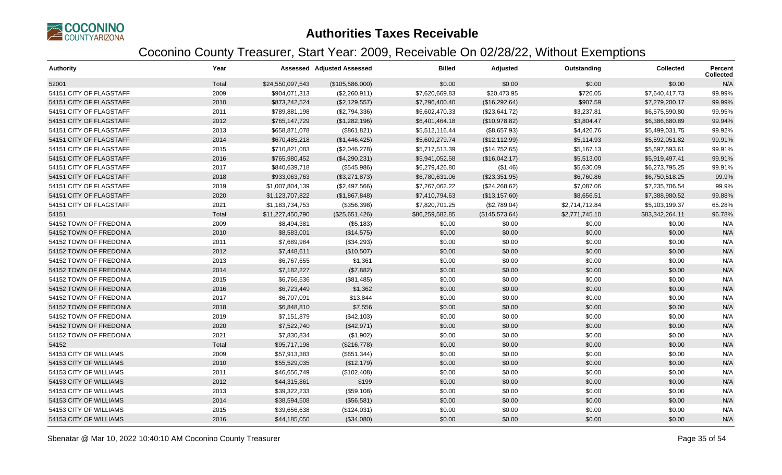

| <b>Authority</b>        | Year  |                  | <b>Assessed Adjusted Assessed</b> | <b>Billed</b>   | Adjusted       | Outstanding    | Collected       | <b>Percent</b><br>Collected |
|-------------------------|-------|------------------|-----------------------------------|-----------------|----------------|----------------|-----------------|-----------------------------|
| 52001                   | Total | \$24,550,097,543 | (\$105,586,000)                   | \$0.00          | \$0.00         | \$0.00         | \$0.00          | N/A                         |
| 54151 CITY OF FLAGSTAFF | 2009  | \$904,071,313    | (\$2,260,911)                     | \$7,620,669.83  | \$20,473.95    | \$726.05       | \$7,640,417.73  | 99.99%                      |
| 54151 CITY OF FLAGSTAFF | 2010  | \$873,242,524    | (\$2,129,557)                     | \$7,296,400.40  | (\$16,292.64)  | \$907.59       | \$7,279,200.17  | 99.99%                      |
| 54151 CITY OF FLAGSTAFF | 2011  | \$789,881,198    | (\$2,794,336)                     | \$6,602,470.33  | (\$23,641.72)  | \$3,237.81     | \$6,575,590.80  | 99.95%                      |
| 54151 CITY OF FLAGSTAFF | 2012  | \$765,147,729    | (\$1,282,196)                     | \$6,401,464.18  | (\$10,978.82)  | \$3,804.47     | \$6,386,680.89  | 99.94%                      |
| 54151 CITY OF FLAGSTAFF | 2013  | \$658,871,078    | (\$861, 821)                      | \$5,512,116.44  | (\$8,657.93)   | \$4,426.76     | \$5,499,031.75  | 99.92%                      |
| 54151 CITY OF FLAGSTAFF | 2014  | \$670,485,218    | (\$1,446,425)                     | \$5,609,279.74  | (\$12,112.99)  | \$5,114.93     | \$5,592,051.82  | 99.91%                      |
| 54151 CITY OF FLAGSTAFF | 2015  | \$710,821,083    | (\$2,046,278)                     | \$5,717,513.39  | (\$14,752.65)  | \$5,167.13     | \$5,697,593.61  | 99.91%                      |
| 54151 CITY OF FLAGSTAFF | 2016  | \$765,980,452    | (\$4,290,231)                     | \$5,941,052.58  | (\$16,042.17)  | \$5,513.00     | \$5,919,497.41  | 99.91%                      |
| 54151 CITY OF FLAGSTAFF | 2017  | \$840,639,718    | (\$545,986)                       | \$6,279,426.80  | (\$1.46)       | \$5,630.09     | \$6,273,795.25  | 99.91%                      |
| 54151 CITY OF FLAGSTAFF | 2018  | \$933,063,763    | (\$3,271,873)                     | \$6,780,631.06  | (\$23,351.95)  | \$6,760.86     | \$6,750,518.25  | 99.9%                       |
| 54151 CITY OF FLAGSTAFF | 2019  | \$1,007,804,139  | (\$2,497,566)                     | \$7,267,062.22  | (\$24,268.62)  | \$7,087.06     | \$7,235,706.54  | 99.9%                       |
| 54151 CITY OF FLAGSTAFF | 2020  | \$1,123,707,822  | (\$1,867,848)                     | \$7,410,794.63  | (\$13,157.60)  | \$8,656.51     | \$7,388,980.52  | 99.88%                      |
| 54151 CITY OF FLAGSTAFF | 2021  | \$1,183,734,753  | (\$356,398)                       | \$7,820,701.25  | (\$2,789.04)   | \$2,714,712.84 | \$5,103,199.37  | 65.28%                      |
| 54151                   | Total | \$11,227,450,790 | (\$25,651,426)                    | \$86,259,582.85 | (\$145,573.64) | \$2,771,745.10 | \$83,342,264.11 | 96.78%                      |
| 54152 TOWN OF FREDONIA  | 2009  | \$8,494,381      | (\$5,183)                         | \$0.00          | \$0.00         | \$0.00         | \$0.00          | N/A                         |
| 54152 TOWN OF FREDONIA  | 2010  | \$8,583,001      | (\$14,575)                        | \$0.00          | \$0.00         | \$0.00         | \$0.00          | N/A                         |
| 54152 TOWN OF FREDONIA  | 2011  | \$7,689,984      | (\$34,293)                        | \$0.00          | \$0.00         | \$0.00         | \$0.00          | N/A                         |
| 54152 TOWN OF FREDONIA  | 2012  | \$7,448,611      | (\$10,507)                        | \$0.00          | \$0.00         | \$0.00         | \$0.00          | N/A                         |
| 54152 TOWN OF FREDONIA  | 2013  | \$6,767,655      | \$1,361                           | \$0.00          | \$0.00         | \$0.00         | \$0.00          | N/A                         |
| 54152 TOWN OF FREDONIA  | 2014  | \$7,182,227      | (\$7,882)                         | \$0.00          | \$0.00         | \$0.00         | \$0.00          | N/A                         |
| 54152 TOWN OF FREDONIA  | 2015  | \$6,766,536      | (\$81,485)                        | \$0.00          | \$0.00         | \$0.00         | \$0.00          | N/A                         |
| 54152 TOWN OF FREDONIA  | 2016  | \$6,723,449      | \$1,362                           | \$0.00          | \$0.00         | \$0.00         | \$0.00          | N/A                         |
| 54152 TOWN OF FREDONIA  | 2017  | \$6,707,091      | \$13,844                          | \$0.00          | \$0.00         | \$0.00         | \$0.00          | N/A                         |
| 54152 TOWN OF FREDONIA  | 2018  | \$6,848,810      | \$7,556                           | \$0.00          | \$0.00         | \$0.00         | \$0.00          | N/A                         |
| 54152 TOWN OF FREDONIA  | 2019  | \$7,151,879      | (\$42,103)                        | \$0.00          | \$0.00         | \$0.00         | \$0.00          | N/A                         |
| 54152 TOWN OF FREDONIA  | 2020  | \$7,522,740      | (\$42,971)                        | \$0.00          | \$0.00         | \$0.00         | \$0.00          | N/A                         |
| 54152 TOWN OF FREDONIA  | 2021  | \$7,830,834      | (\$1,902)                         | \$0.00          | \$0.00         | \$0.00         | \$0.00          | N/A                         |
| 54152                   | Total | \$95,717,198     | (\$216,778)                       | \$0.00          | \$0.00         | \$0.00         | \$0.00          | N/A                         |
| 54153 CITY OF WILLIAMS  | 2009  | \$57,913,383     | (\$651,344)                       | \$0.00          | \$0.00         | \$0.00         | \$0.00          | N/A                         |
| 54153 CITY OF WILLIAMS  | 2010  | \$55,529,035     | (\$12,179)                        | \$0.00          | \$0.00         | \$0.00         | \$0.00          | N/A                         |
| 54153 CITY OF WILLIAMS  | 2011  | \$46,656,749     | (\$102,408)                       | \$0.00          | \$0.00         | \$0.00         | \$0.00          | N/A                         |
| 54153 CITY OF WILLIAMS  | 2012  | \$44,315,861     | \$199                             | \$0.00          | \$0.00         | \$0.00         | \$0.00          | N/A                         |
| 54153 CITY OF WILLIAMS  | 2013  | \$39,322,233     | (\$59,108)                        | \$0.00          | \$0.00         | \$0.00         | \$0.00          | N/A                         |
| 54153 CITY OF WILLIAMS  | 2014  | \$38,594,508     | (\$56,581)                        | \$0.00          | \$0.00         | \$0.00         | \$0.00          | N/A                         |
| 54153 CITY OF WILLIAMS  | 2015  | \$39,656,638     | (\$124,031)                       | \$0.00          | \$0.00         | \$0.00         | \$0.00          | N/A                         |
| 54153 CITY OF WILLIAMS  | 2016  | \$44,185,050     | (\$34,080)                        | \$0.00          | \$0.00         | \$0.00         | \$0.00          | N/A                         |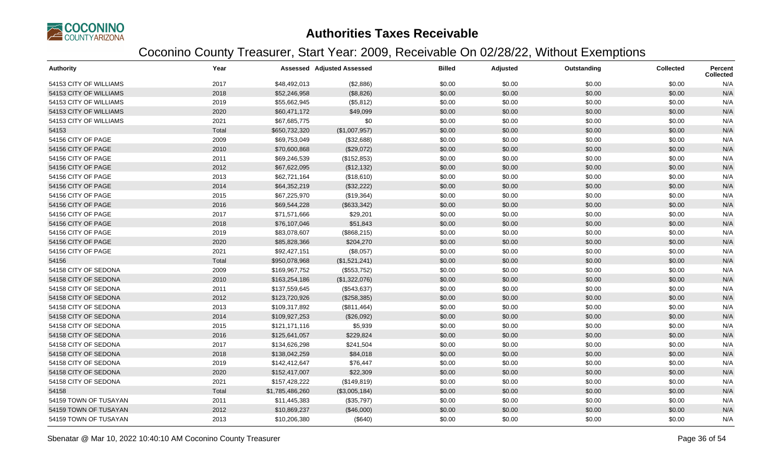

| <b>Authority</b>       | Year  |                 | <b>Assessed Adjusted Assessed</b> | <b>Billed</b> | Adjusted | Outstanding | <b>Collected</b> | Percent<br><b>Collected</b> |
|------------------------|-------|-----------------|-----------------------------------|---------------|----------|-------------|------------------|-----------------------------|
| 54153 CITY OF WILLIAMS | 2017  | \$48,492,013    | (\$2,886)                         | \$0.00        | \$0.00   | \$0.00      | \$0.00           | N/A                         |
| 54153 CITY OF WILLIAMS | 2018  | \$52,246,958    | (\$8,826)                         | \$0.00        | \$0.00   | \$0.00      | \$0.00           | N/A                         |
| 54153 CITY OF WILLIAMS | 2019  | \$55,662,945    | (\$5,812)                         | \$0.00        | \$0.00   | \$0.00      | \$0.00           | N/A                         |
| 54153 CITY OF WILLIAMS | 2020  | \$60,471,172    | \$49,099                          | \$0.00        | \$0.00   | \$0.00      | \$0.00           | N/A                         |
| 54153 CITY OF WILLIAMS | 2021  | \$67,685,775    | \$0                               | \$0.00        | \$0.00   | \$0.00      | \$0.00           | N/A                         |
| 54153                  | Total | \$650,732,320   | (\$1,007,957)                     | \$0.00        | \$0.00   | \$0.00      | \$0.00           | N/A                         |
| 54156 CITY OF PAGE     | 2009  | \$69,753,049    | (\$32,688)                        | \$0.00        | \$0.00   | \$0.00      | \$0.00           | N/A                         |
| 54156 CITY OF PAGE     | 2010  | \$70,600,868    | (\$29,072)                        | \$0.00        | \$0.00   | \$0.00      | \$0.00           | N/A                         |
| 54156 CITY OF PAGE     | 2011  | \$69,246,539    | (\$152,853)                       | \$0.00        | \$0.00   | \$0.00      | \$0.00           | N/A                         |
| 54156 CITY OF PAGE     | 2012  | \$67,622,095    | (\$12, 132)                       | \$0.00        | \$0.00   | \$0.00      | \$0.00           | N/A                         |
| 54156 CITY OF PAGE     | 2013  | \$62,721,164    | (\$18,610)                        | \$0.00        | \$0.00   | \$0.00      | \$0.00           | N/A                         |
| 54156 CITY OF PAGE     | 2014  | \$64,352,219    | (\$32,222)                        | \$0.00        | \$0.00   | \$0.00      | \$0.00           | N/A                         |
| 54156 CITY OF PAGE     | 2015  | \$67,225,970    | (\$19,364)                        | \$0.00        | \$0.00   | \$0.00      | \$0.00           | N/A                         |
| 54156 CITY OF PAGE     | 2016  | \$69,544,228    | (\$633,342)                       | \$0.00        | \$0.00   | \$0.00      | \$0.00           | N/A                         |
| 54156 CITY OF PAGE     | 2017  | \$71,571,666    | \$29,201                          | \$0.00        | \$0.00   | \$0.00      | \$0.00           | N/A                         |
| 54156 CITY OF PAGE     | 2018  | \$76,107,046    | \$51,843                          | \$0.00        | \$0.00   | \$0.00      | \$0.00           | N/A                         |
| 54156 CITY OF PAGE     | 2019  | \$83,078,607    | (\$868,215)                       | \$0.00        | \$0.00   | \$0.00      | \$0.00           | N/A                         |
| 54156 CITY OF PAGE     | 2020  | \$85,828,366    | \$204,270                         | \$0.00        | \$0.00   | \$0.00      | \$0.00           | N/A                         |
| 54156 CITY OF PAGE     | 2021  | \$92,427,151    | (\$8,057)                         | \$0.00        | \$0.00   | \$0.00      | \$0.00           | N/A                         |
| 54156                  | Total | \$950,078,968   | (\$1,521,241)                     | \$0.00        | \$0.00   | \$0.00      | \$0.00           | N/A                         |
| 54158 CITY OF SEDONA   | 2009  | \$169,967,752   | (\$553,752)                       | \$0.00        | \$0.00   | \$0.00      | \$0.00           | N/A                         |
| 54158 CITY OF SEDONA   | 2010  | \$163,254,186   | (\$1,322,076)                     | \$0.00        | \$0.00   | \$0.00      | \$0.00           | N/A                         |
| 54158 CITY OF SEDONA   | 2011  | \$137,559,645   | (\$543,637)                       | \$0.00        | \$0.00   | \$0.00      | \$0.00           | N/A                         |
| 54158 CITY OF SEDONA   | 2012  | \$123,720,926   | (\$258,385)                       | \$0.00        | \$0.00   | \$0.00      | \$0.00           | N/A                         |
| 54158 CITY OF SEDONA   | 2013  | \$109,317,892   | (\$811,464)                       | \$0.00        | \$0.00   | \$0.00      | \$0.00           | N/A                         |
| 54158 CITY OF SEDONA   | 2014  | \$109,927,253   | (\$26,092)                        | \$0.00        | \$0.00   | \$0.00      | \$0.00           | N/A                         |
| 54158 CITY OF SEDONA   | 2015  | \$121,171,116   | \$5,939                           | \$0.00        | \$0.00   | \$0.00      | \$0.00           | N/A                         |
| 54158 CITY OF SEDONA   | 2016  | \$125,641,057   | \$229,824                         | \$0.00        | \$0.00   | \$0.00      | \$0.00           | N/A                         |
| 54158 CITY OF SEDONA   | 2017  | \$134,626,298   | \$241,504                         | \$0.00        | \$0.00   | \$0.00      | \$0.00           | N/A                         |
| 54158 CITY OF SEDONA   | 2018  | \$138,042,259   | \$84,018                          | \$0.00        | \$0.00   | \$0.00      | \$0.00           | N/A                         |
| 54158 CITY OF SEDONA   | 2019  | \$142,412,647   | \$76,447                          | \$0.00        | \$0.00   | \$0.00      | \$0.00           | N/A                         |
| 54158 CITY OF SEDONA   | 2020  | \$152,417,007   | \$22,309                          | \$0.00        | \$0.00   | \$0.00      | \$0.00           | N/A                         |
| 54158 CITY OF SEDONA   | 2021  | \$157,428,222   | (\$149, 819)                      | \$0.00        | \$0.00   | \$0.00      | \$0.00           | N/A                         |
| 54158                  | Total | \$1,785,486,260 | (\$3,005,184)                     | \$0.00        | \$0.00   | \$0.00      | \$0.00           | N/A                         |
| 54159 TOWN OF TUSAYAN  | 2011  | \$11,445,383    | (\$35,797)                        | \$0.00        | \$0.00   | \$0.00      | \$0.00           | N/A                         |
| 54159 TOWN OF TUSAYAN  | 2012  | \$10,869,237    | (\$46,000)                        | \$0.00        | \$0.00   | \$0.00      | \$0.00           | N/A                         |
| 54159 TOWN OF TUSAYAN  | 2013  | \$10,206,380    | (\$640)                           | \$0.00        | \$0.00   | \$0.00      | \$0.00           | N/A                         |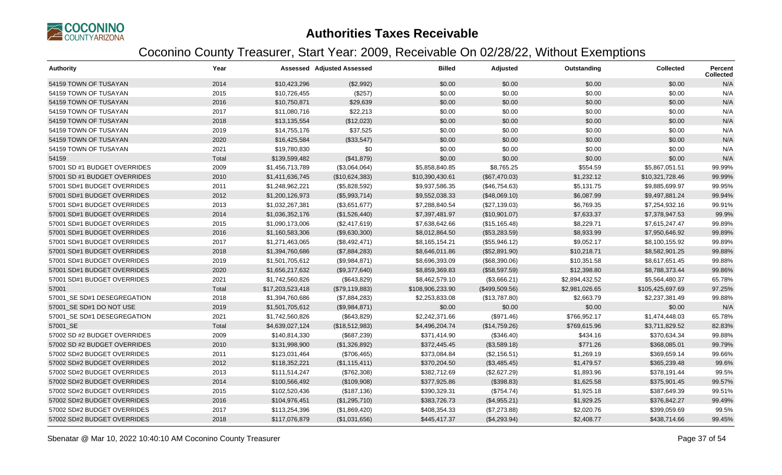

| <b>Authority</b>             | Year  |                  | <b>Assessed Adjusted Assessed</b> | <b>Billed</b>    | Adjusted       | Outstanding    | <b>Collected</b> | <b>Percent</b><br><b>Collected</b> |
|------------------------------|-------|------------------|-----------------------------------|------------------|----------------|----------------|------------------|------------------------------------|
| 54159 TOWN OF TUSAYAN        | 2014  | \$10,423,296     | (\$2,992)                         | \$0.00           | \$0.00         | \$0.00         | \$0.00           | N/A                                |
| 54159 TOWN OF TUSAYAN        | 2015  | \$10,726,455     | (\$257)                           | \$0.00           | \$0.00         | \$0.00         | \$0.00           | N/A                                |
| 54159 TOWN OF TUSAYAN        | 2016  | \$10,750,871     | \$29,639                          | \$0.00           | \$0.00         | \$0.00         | \$0.00           | N/A                                |
| 54159 TOWN OF TUSAYAN        | 2017  | \$11,080,716     | \$22,213                          | \$0.00           | \$0.00         | \$0.00         | \$0.00           | N/A                                |
| 54159 TOWN OF TUSAYAN        | 2018  | \$13,135,554     | (\$12,023)                        | \$0.00           | \$0.00         | \$0.00         | \$0.00           | N/A                                |
| 54159 TOWN OF TUSAYAN        | 2019  | \$14,755,176     | \$37,525                          | \$0.00           | \$0.00         | \$0.00         | \$0.00           | N/A                                |
| 54159 TOWN OF TUSAYAN        | 2020  | \$16,425,584     | (\$33,547)                        | \$0.00           | \$0.00         | \$0.00         | \$0.00           | N/A                                |
| 54159 TOWN OF TUSAYAN        | 2021  | \$19,780,830     | \$0                               | \$0.00           | \$0.00         | \$0.00         | \$0.00           | N/A                                |
| 54159                        | Total | \$139,599,482    | (\$41,879)                        | \$0.00           | \$0.00         | \$0.00         | \$0.00           | N/A                                |
| 57001 SD #1 BUDGET OVERRIDES | 2009  | \$1,456,713,789  | (\$3,064,064)                     | \$5,858,840.85   | \$8,765.25     | \$554.59       | \$5,867,051.51   | 99.99%                             |
| 57001 SD #1 BUDGET OVERRIDES | 2010  | \$1,411,636,745  | (\$10,624,383)                    | \$10,390,430.61  | (\$67,470.03)  | \$1,232.12     | \$10,321,728.46  | 99.99%                             |
| 57001 SD#1 BUDGET OVERRIDES  | 2011  | \$1,248,962,221  | (\$5,828,592)                     | \$9,937,586.35   | (\$46,754.63)  | \$5,131.75     | \$9,885,699.97   | 99.95%                             |
| 57001 SD#1 BUDGET OVERRIDES  | 2012  | \$1,200,126,973  | (\$5,993,714)                     | \$9,552,038.33   | (\$48,069.10)  | \$6,087.99     | \$9,497,881.24   | 99.94%                             |
| 57001 SD#1 BUDGET OVERRIDES  | 2013  | \$1,032,267,381  | (\$3,651,677)                     | \$7,288,840.54   | (\$27,139.03)  | \$6,769.35     | \$7,254,932.16   | 99.91%                             |
| 57001 SD#1 BUDGET OVERRIDES  | 2014  | \$1,036,352,176  | (\$1,526,440)                     | \$7,397,481.97   | (\$10,901.07)  | \$7,633.37     | \$7,378,947.53   | 99.9%                              |
| 57001 SD#1 BUDGET OVERRIDES  | 2015  | \$1,090,173,006  | (\$2,417,619)                     | \$7,638,642.66   | (\$15, 165.48) | \$8,229.71     | \$7,615,247.47   | 99.89%                             |
| 57001 SD#1 BUDGET OVERRIDES  | 2016  | \$1,160,583,306  | (\$9,630,300)                     | \$8,012,864.50   | (\$53,283.59)  | \$8,933.99     | \$7,950,646.92   | 99.89%                             |
| 57001 SD#1 BUDGET OVERRIDES  | 2017  | \$1,271,463,065  | (\$8,492,471)                     | \$8,165,154.21   | (\$55,946.12)  | \$9,052.17     | \$8,100,155.92   | 99.89%                             |
| 57001 SD#1 BUDGET OVERRIDES  | 2018  | \$1,394,760,686  | (\$7,884,283)                     | \$8,646,011.86   | (\$52,891.90)  | \$10,218.71    | \$8,582,901.25   | 99.88%                             |
| 57001 SD#1 BUDGET OVERRIDES  | 2019  | \$1,501,705,612  | (\$9,984,871)                     | \$8,696,393.09   | (\$68,390.06)  | \$10,351.58    | \$8,617,651.45   | 99.88%                             |
| 57001 SD#1 BUDGET OVERRIDES  | 2020  | \$1,656,217,632  | (\$9,377,640)                     | \$8,859,369.83   | (\$58,597.59)  | \$12,398.80    | \$8,788,373.44   | 99.86%                             |
| 57001 SD#1 BUDGET OVERRIDES  | 2021  | \$1,742,560,826  | (\$643,829)                       | \$8,462,579.10   | (\$3,666.21)   | \$2,894,432.52 | \$5,564,480.37   | 65.78%                             |
| 57001                        | Total | \$17,203,523,418 | (\$79,119,883)                    | \$108,906,233.90 | (\$499,509.56) | \$2,981,026.65 | \$105,425,697.69 | 97.25%                             |
| 57001_SE SD#1 DESEGREGATION  | 2018  | \$1,394,760,686  | (\$7,884,283)                     | \$2,253,833.08   | (\$13,787.80)  | \$2,663.79     | \$2,237,381.49   | 99.88%                             |
| 57001 SE SD#1 DO NOT USE     | 2019  | \$1,501,705,612  | (\$9,984,871)                     | \$0.00           | \$0.00         | \$0.00         | \$0.00           | N/A                                |
| 57001_SE SD#1 DESEGREGATION  | 2021  | \$1,742,560,826  | (\$643,829)                       | \$2,242,371.66   | (\$971.46)     | \$766,952.17   | \$1,474,448.03   | 65.78%                             |
| 57001 SE                     | Total | \$4,639,027,124  | (\$18,512,983)                    | \$4,496,204.74   | (\$14,759.26)  | \$769,615.96   | \$3,711,829.52   | 82.83%                             |
| 57002 SD #2 BUDGET OVERRIDES | 2009  | \$140,814,330    | (\$687,239)                       | \$371,414.90     | (\$346.40)     | \$434.16       | \$370,634.34     | 99.88%                             |
| 57002 SD #2 BUDGET OVERRIDES | 2010  | \$131,998,900    | (\$1,326,892)                     | \$372,445.45     | (\$3,589.18)   | \$771.26       | \$368,085.01     | 99.79%                             |
| 57002 SD#2 BUDGET OVERRIDES  | 2011  | \$123,031,464    | (\$706,465)                       | \$373,084.84     | (\$2,156.51)   | \$1,269.19     | \$369,659.14     | 99.66%                             |
| 57002 SD#2 BUDGET OVERRIDES  | 2012  | \$118,352,221    | (\$1,115,411)                     | \$370,204.50     | (\$3,485.45)   | \$1,479.57     | \$365,239.48     | 99.6%                              |
| 57002 SD#2 BUDGET OVERRIDES  | 2013  | \$111,514,247    | (\$762,308)                       | \$382,712.69     | (\$2,627.29)   | \$1,893.96     | \$378,191.44     | 99.5%                              |
| 57002 SD#2 BUDGET OVERRIDES  | 2014  | \$100,566,492    | (\$109,908)                       | \$377,925.86     | (\$398.83)     | \$1,625.58     | \$375,901.45     | 99.57%                             |
| 57002 SD#2 BUDGET OVERRIDES  | 2015  | \$102,520,436    | (\$187, 136)                      | \$390,329.31     | (\$754.74)     | \$1,925.18     | \$387,649.39     | 99.51%                             |
| 57002 SD#2 BUDGET OVERRIDES  | 2016  | \$104,976,451    | (\$1,295,710)                     | \$383,726.73     | (\$4,955.21)   | \$1,929.25     | \$376,842.27     | 99.49%                             |
| 57002 SD#2 BUDGET OVERRIDES  | 2017  | \$113,254,396    | (\$1,869,420)                     | \$408,354.33     | (\$7,273.88)   | \$2,020.76     | \$399,059.69     | 99.5%                              |
| 57002 SD#2 BUDGET OVERRIDES  | 2018  | \$117,076,879    | (\$1,031,656)                     | \$445,417.37     | (\$4,293.94)   | \$2,408.77     | \$438,714.66     | 99.45%                             |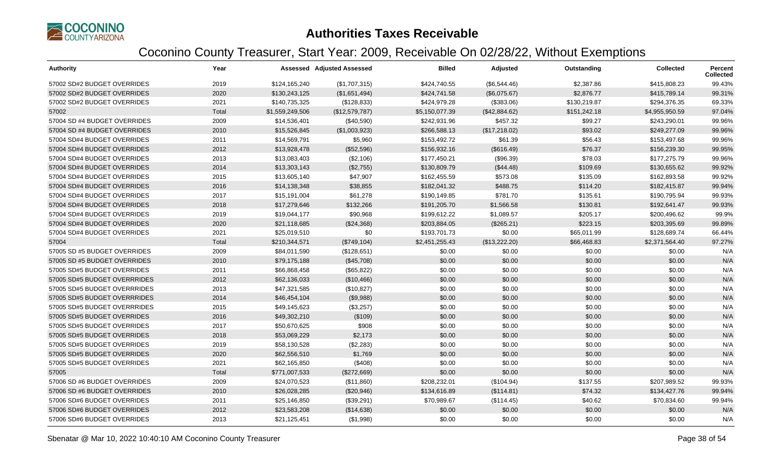

| <b>Authority</b>             | Year  |                 | <b>Assessed Adjusted Assessed</b> | <b>Billed</b>  | Adjusted      | Outstanding  | <b>Collected</b> | <b>Percent</b><br><b>Collected</b> |
|------------------------------|-------|-----------------|-----------------------------------|----------------|---------------|--------------|------------------|------------------------------------|
| 57002 SD#2 BUDGET OVERRIDES  | 2019  | \$124,165,240   | (\$1,707,315)                     | \$424,740.55   | (\$6,544.46)  | \$2,387.86   | \$415,808.23     | 99.43%                             |
| 57002 SD#2 BUDGET OVERRIDES  | 2020  | \$130,243,125   | (\$1,651,494)                     | \$424,741.58   | (\$6,075.67)  | \$2,876.77   | \$415,789.14     | 99.31%                             |
| 57002 SD#2 BUDGET OVERRIDES  | 2021  | \$140,735,325   | (\$128,833)                       | \$424,979.28   | (\$383.06)    | \$130,219.87 | \$294,376.35     | 69.33%                             |
| 57002                        | Total | \$1,559,249,506 | (\$12,579,787)                    | \$5,150,077.39 | (\$42,884.62) | \$151,242.18 | \$4,955,950.59   | 97.04%                             |
| 57004 SD #4 BUDGET OVERRIDES | 2009  | \$14,536,401    | (\$40,590)                        | \$242,931.96   | \$457.32      | \$99.27      | \$243,290.01     | 99.96%                             |
| 57004 SD #4 BUDGET OVERRIDES | 2010  | \$15,526,845    | (\$1,003,923)                     | \$266,588.13   | (\$17,218.02) | \$93.02      | \$249,277.09     | 99.96%                             |
| 57004 SD#4 BUDGET OVERRIDES  | 2011  | \$14,569,791    | \$5,960                           | \$153,492.72   | \$61.39       | \$56.43      | \$153,497.68     | 99.96%                             |
| 57004 SD#4 BUDGET OVERRIDES  | 2012  | \$13,928,478    | (\$52,596)                        | \$156,932.16   | (\$616.49)    | \$76.37      | \$156,239.30     | 99.95%                             |
| 57004 SD#4 BUDGET OVERRIDES  | 2013  | \$13,083,403    | (\$2,106)                         | \$177,450.21   | (\$96.39)     | \$78.03      | \$177,275.79     | 99.96%                             |
| 57004 SD#4 BUDGET OVERRIDES  | 2014  | \$13,303,143    | (\$2,755)                         | \$130,809.79   | (\$44.48)     | \$109.69     | \$130,655.62     | 99.92%                             |
| 57004 SD#4 BUDGET OVERRIDES  | 2015  | \$13,605,140    | \$47,907                          | \$162,455.59   | \$573.08      | \$135.09     | \$162,893.58     | 99.92%                             |
| 57004 SD#4 BUDGET OVERRIDES  | 2016  | \$14,138,348    | \$38,855                          | \$182,041.32   | \$488.75      | \$114.20     | \$182,415.87     | 99.94%                             |
| 57004 SD#4 BUDGET OVERRIDES  | 2017  | \$15,191,004    | \$61,278                          | \$190,149.85   | \$781.70      | \$135.61     | \$190,795.94     | 99.93%                             |
| 57004 SD#4 BUDGET OVERRIDES  | 2018  | \$17,279,646    | \$132,266                         | \$191,205.70   | \$1,566.58    | \$130.81     | \$192,641.47     | 99.93%                             |
| 57004 SD#4 BUDGET OVERRIDES  | 2019  | \$19,044,177    | \$90,968                          | \$199,612.22   | \$1,089.57    | \$205.17     | \$200,496.62     | 99.9%                              |
| 57004 SD#4 BUDGET OVERRIDES  | 2020  | \$21,118,685    | (\$24,368)                        | \$203,884.05   | (\$265.21)    | \$223.15     | \$203,395.69     | 99.89%                             |
| 57004 SD#4 BUDGET OVERRIDES  | 2021  | \$25,019,510    | \$0                               | \$193,701.73   | \$0.00        | \$65,011.99  | \$128,689.74     | 66.44%                             |
| 57004                        | Total | \$210,344,571   | (\$749, 104)                      | \$2,451,255.43 | (\$13,222.20) | \$66,468.83  | \$2,371,564.40   | 97.27%                             |
| 57005 SD #5 BUDGET OVERRIDES | 2009  | \$84,011,590    | (\$128,651)                       | \$0.00         | \$0.00        | \$0.00       | \$0.00           | N/A                                |
| 57005 SD #5 BUDGET OVERRIDES | 2010  | \$79,175,188    | (\$45,708)                        | \$0.00         | \$0.00        | \$0.00       | \$0.00           | N/A                                |
| 57005 SD#5 BUDGET OVERRIDES  | 2011  | \$66,868,458    | (\$65,822)                        | \$0.00         | \$0.00        | \$0.00       | \$0.00           | N/A                                |
| 57005 SD#5 BUDGET OVERRRIDES | 2012  | \$62,136,033    | (\$10,466)                        | \$0.00         | \$0.00        | \$0.00       | \$0.00           | N/A                                |
| 57005 SD#5 BUDGET OVERRRIDES | 2013  | \$47,321,585    | (\$10,827)                        | \$0.00         | \$0.00        | \$0.00       | \$0.00           | N/A                                |
| 57005 SD#5 BUDGET OVERRRIDES | 2014  | \$46,454,104    | (\$9,988)                         | \$0.00         | \$0.00        | \$0.00       | \$0.00           | N/A                                |
| 57005 SD#5 BUDGET OVERRRIDES | 2015  | \$49,145,623    | (\$3,257)                         | \$0.00         | \$0.00        | \$0.00       | \$0.00           | N/A                                |
| 57005 SD#5 BUDGET OVERRIDES  | 2016  | \$49,302,210    | (\$109)                           | \$0.00         | \$0.00        | \$0.00       | \$0.00           | N/A                                |
| 57005 SD#5 BUDGET OVERRIDES  | 2017  | \$50,670,625    | \$908                             | \$0.00         | \$0.00        | \$0.00       | \$0.00           | N/A                                |
| 57005 SD#5 BUDGET OVERRIDES  | 2018  | \$53,069,229    | \$2,173                           | \$0.00         | \$0.00        | \$0.00       | \$0.00           | N/A                                |
| 57005 SD#5 BUDGET OVERRIDES  | 2019  | \$58,130,528    | (\$2,283)                         | \$0.00         | \$0.00        | \$0.00       | \$0.00           | N/A                                |
| 57005 SD#5 BUDGET OVERRIDES  | 2020  | \$62,556,510    | \$1,769                           | \$0.00         | \$0.00        | \$0.00       | \$0.00           | N/A                                |
| 57005 SD#5 BUDGET OVERRIDES  | 2021  | \$62,165,850    | (\$408)                           | \$0.00         | \$0.00        | \$0.00       | \$0.00           | N/A                                |
| 57005                        | Total | \$771,007,533   | (\$272,669)                       | \$0.00         | \$0.00        | \$0.00       | \$0.00           | N/A                                |
| 57006 SD #6 BUDGET OVERRIDES | 2009  | \$24,070,523    | (\$11,860)                        | \$208,232.01   | (\$104.94)    | \$137.55     | \$207,989.52     | 99.93%                             |
| 57006 SD #6 BUDGET OVERRIDES | 2010  | \$26,028,285    | (\$20,946)                        | \$134,616.89   | (\$114.81)    | \$74.32      | \$134,427.76     | 99.94%                             |
| 57006 SD#6 BUDGET OVERRIDES  | 2011  | \$25,146,850    | (\$39,291)                        | \$70,989.67    | (\$114.45)    | \$40.62      | \$70,834.60      | 99.94%                             |
| 57006 SD#6 BUDGET OVERRIDES  | 2012  | \$23,583,208    | (\$14,638)                        | \$0.00         | \$0.00        | \$0.00       | \$0.00           | N/A                                |
| 57006 SD#6 BUDGET OVERRIDES  | 2013  | \$21,125,451    | (\$1,998)                         | \$0.00         | \$0.00        | \$0.00       | \$0.00           | N/A                                |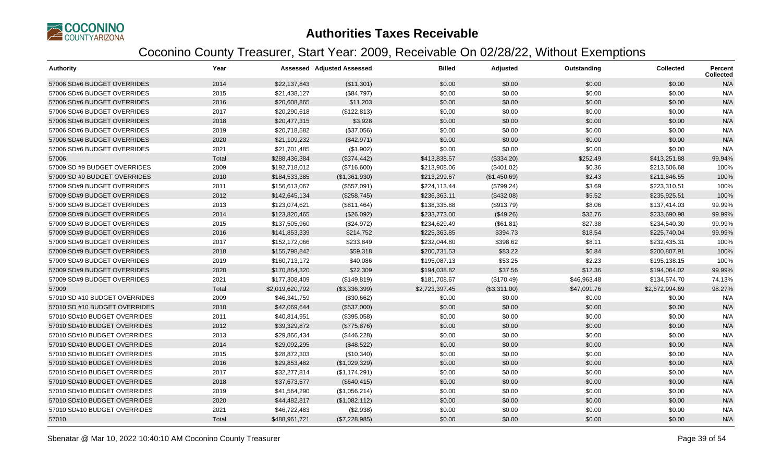

| <b>Authority</b>              | Year  |                 | <b>Assessed Adjusted Assessed</b> | <b>Billed</b>  | Adjusted     | Outstanding | <b>Collected</b> | <b>Percent</b><br><b>Collected</b> |
|-------------------------------|-------|-----------------|-----------------------------------|----------------|--------------|-------------|------------------|------------------------------------|
| 57006 SD#6 BUDGET OVERRIDES   | 2014  | \$22,137,843    | (\$11,301)                        | \$0.00         | \$0.00       | \$0.00      | \$0.00           | N/A                                |
| 57006 SD#6 BUDGET OVERRIDES   | 2015  | \$21,438,127    | (\$84,797)                        | \$0.00         | \$0.00       | \$0.00      | \$0.00           | N/A                                |
| 57006 SD#6 BUDGET OVERRIDES   | 2016  | \$20,608,865    | \$11,203                          | \$0.00         | \$0.00       | \$0.00      | \$0.00           | N/A                                |
| 57006 SD#6 BUDGET OVERRIDES   | 2017  | \$20,290,618    | (\$122,813)                       | \$0.00         | \$0.00       | \$0.00      | \$0.00           | N/A                                |
| 57006 SD#6 BUDGET OVERRIDES   | 2018  | \$20,477,315    | \$3,928                           | \$0.00         | \$0.00       | \$0.00      | \$0.00           | N/A                                |
| 57006 SD#6 BUDGET OVERRIDES   | 2019  | \$20,718,582    | (\$37,056)                        | \$0.00         | \$0.00       | \$0.00      | \$0.00           | N/A                                |
| 57006 SD#6 BUDGET OVERRIDES   | 2020  | \$21,109,232    | (\$42,971)                        | \$0.00         | \$0.00       | \$0.00      | \$0.00           | N/A                                |
| 57006 SD#6 BUDGET OVERRIDES   | 2021  | \$21,701,485    | (\$1,902)                         | \$0.00         | \$0.00       | \$0.00      | \$0.00           | N/A                                |
| 57006                         | Total | \$288,436,384   | (\$374,442)                       | \$413,838.57   | (\$334.20)   | \$252.49    | \$413,251.88     | 99.94%                             |
| 57009 SD #9 BUDGET OVERRIDES  | 2009  | \$192,718,012   | (\$716,600)                       | \$213,908.06   | (\$401.02)   | \$0.36      | \$213,506.68     | 100%                               |
| 57009 SD #9 BUDGET OVERRIDES  | 2010  | \$184,533,385   | (\$1,361,930)                     | \$213,299.67   | (\$1,450.69) | \$2.43      | \$211,846.55     | 100%                               |
| 57009 SD#9 BUDGET OVERRIDES   | 2011  | \$156,613,067   | (\$557,091)                       | \$224,113.44   | (\$799.24)   | \$3.69      | \$223,310.51     | 100%                               |
| 57009 SD#9 BUDGET OVERRIDES   | 2012  | \$142,645,134   | (\$258,745)                       | \$236,363.11   | (\$432.08)   | \$5.52      | \$235,925.51     | 100%                               |
| 57009 SD#9 BUDGET OVERRIDES   | 2013  | \$123,074,621   | (\$811,464)                       | \$138,335.88   | (\$913.79)   | \$8.06      | \$137,414.03     | 99.99%                             |
| 57009 SD#9 BUDGET OVERRIDES   | 2014  | \$123,820,465   | (\$26,092)                        | \$233,773.00   | (\$49.26)    | \$32.76     | \$233,690.98     | 99.99%                             |
| 57009 SD#9 BUDGET OVERRIDES   | 2015  | \$137,505,960   | (\$24,972)                        | \$234,629.49   | (\$61.81)    | \$27.38     | \$234,540.30     | 99.99%                             |
| 57009 SD#9 BUDGET OVERRIDES   | 2016  | \$141,853,339   | \$214,752                         | \$225,363.85   | \$394.73     | \$18.54     | \$225,740.04     | 99.99%                             |
| 57009 SD#9 BUDGET OVERRIDES   | 2017  | \$152,172,066   | \$233,849                         | \$232,044.80   | \$398.62     | \$8.11      | \$232,435.31     | 100%                               |
| 57009 SD#9 BUDGET OVERRIDES   | 2018  | \$155,798,842   | \$59,318                          | \$200,731.53   | \$83.22      | \$6.84      | \$200,807.91     | 100%                               |
| 57009 SD#9 BUDGET OVERRIDES   | 2019  | \$160,713,172   | \$40,086                          | \$195,087.13   | \$53.25      | \$2.23      | \$195,138.15     | 100%                               |
| 57009 SD#9 BUDGET OVERRIDES   | 2020  | \$170,864,320   | \$22,309                          | \$194,038.82   | \$37.56      | \$12.36     | \$194,064.02     | 99.99%                             |
| 57009 SD#9 BUDGET OVERRIDES   | 2021  | \$177,308,409   | (\$149, 819)                      | \$181,708.67   | (\$170.49)   | \$46,963.48 | \$134,574.70     | 74.13%                             |
| 57009                         | Total | \$2,019,620,792 | (\$3,336,399)                     | \$2,723,397.45 | (\$3,311.00) | \$47,091.76 | \$2,672,994.69   | 98.27%                             |
| 57010 SD #10 BUDGET OVERRIDES | 2009  | \$46,341,759    | (\$30,662)                        | \$0.00         | \$0.00       | \$0.00      | \$0.00           | N/A                                |
| 57010 SD #10 BUDGET OVERRIDES | 2010  | \$42,069,644    | (\$537,000)                       | \$0.00         | \$0.00       | \$0.00      | \$0.00           | N/A                                |
| 57010 SD#10 BUDGET OVERRIDES  | 2011  | \$40,814,951    | (\$395,058)                       | \$0.00         | \$0.00       | \$0.00      | \$0.00           | N/A                                |
| 57010 SD#10 BUDGET OVERRIDES  | 2012  | \$39,329,872    | (\$775,876)                       | \$0.00         | \$0.00       | \$0.00      | \$0.00           | N/A                                |
| 57010 SD#10 BUDGET OVERRIDES  | 2013  | \$29,866,434    | (\$446,228)                       | \$0.00         | \$0.00       | \$0.00      | \$0.00           | N/A                                |
| 57010 SD#10 BUDGET OVERRIDES  | 2014  | \$29,092,295    | (\$48,522)                        | \$0.00         | \$0.00       | \$0.00      | \$0.00           | N/A                                |
| 57010 SD#10 BUDGET OVERRIDES  | 2015  | \$28,872,303    | (\$10,340)                        | \$0.00         | \$0.00       | \$0.00      | \$0.00           | N/A                                |
| 57010 SD#10 BUDGET OVERRIDES  | 2016  | \$29,853,482    | (\$1,029,329)                     | \$0.00         | \$0.00       | \$0.00      | \$0.00           | N/A                                |
| 57010 SD#10 BUDGET OVERRIDES  | 2017  | \$32,277,814    | (\$1,174,291)                     | \$0.00         | \$0.00       | \$0.00      | \$0.00           | N/A                                |
| 57010 SD#10 BUDGET OVERRIDES  | 2018  | \$37,673,577    | (\$640, 415)                      | \$0.00         | \$0.00       | \$0.00      | \$0.00           | N/A                                |
| 57010 SD#10 BUDGET OVERRIDES  | 2019  | \$41,564,290    | (\$1,056,214)                     | \$0.00         | \$0.00       | \$0.00      | \$0.00           | N/A                                |
| 57010 SD#10 BUDGET OVERRIDES  | 2020  | \$44,482,817    | (\$1,082,112)                     | \$0.00         | \$0.00       | \$0.00      | \$0.00           | N/A                                |
| 57010 SD#10 BUDGET OVERRIDES  | 2021  | \$46,722,483    | (\$2,938)                         | \$0.00         | \$0.00       | \$0.00      | \$0.00           | N/A                                |
| 57010                         | Total | \$488,961,721   | (\$7,228,985)                     | \$0.00         | \$0.00       | \$0.00      | \$0.00           | N/A                                |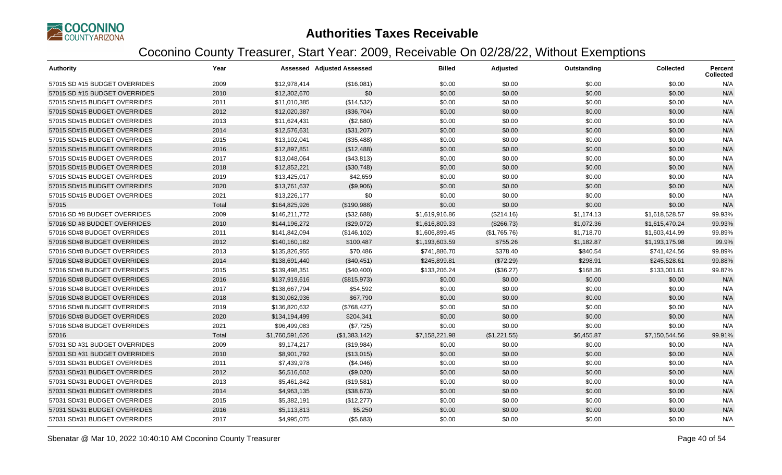

| <b>Authority</b>              | Year  |                 | Assessed Adjusted Assessed | <b>Billed</b>  | Adjusted     | Outstanding | <b>Collected</b> | <b>Percent</b><br><b>Collected</b> |
|-------------------------------|-------|-----------------|----------------------------|----------------|--------------|-------------|------------------|------------------------------------|
| 57015 SD #15 BUDGET OVERRIDES | 2009  | \$12,978,414    | (\$16,081)                 | \$0.00         | \$0.00       | \$0.00      | \$0.00           | N/A                                |
| 57015 SD #15 BUDGET OVERRIDES | 2010  | \$12,302,670    | \$0                        | \$0.00         | \$0.00       | \$0.00      | \$0.00           | N/A                                |
| 57015 SD#15 BUDGET OVERRIDES  | 2011  | \$11,010,385    | (\$14,532)                 | \$0.00         | \$0.00       | \$0.00      | \$0.00           | N/A                                |
| 57015 SD#15 BUDGET OVERRIDES  | 2012  | \$12,020,387    | (\$36,704)                 | \$0.00         | \$0.00       | \$0.00      | \$0.00           | N/A                                |
| 57015 SD#15 BUDGET OVERRIDES  | 2013  | \$11,624,431    | (\$2,680)                  | \$0.00         | \$0.00       | \$0.00      | \$0.00           | N/A                                |
| 57015 SD#15 BUDGET OVERRIDES  | 2014  | \$12,576,631    | (\$31,207)                 | \$0.00         | \$0.00       | \$0.00      | \$0.00           | N/A                                |
| 57015 SD#15 BUDGET OVERRIDES  | 2015  | \$13,102,041    | (\$35,488)                 | \$0.00         | \$0.00       | \$0.00      | \$0.00           | N/A                                |
| 57015 SD#15 BUDGET OVERRIDES  | 2016  | \$12,897,851    | (\$12,488)                 | \$0.00         | \$0.00       | \$0.00      | \$0.00           | N/A                                |
| 57015 SD#15 BUDGET OVERRIDES  | 2017  | \$13,048,064    | (\$43,813)                 | \$0.00         | \$0.00       | \$0.00      | \$0.00           | N/A                                |
| 57015 SD#15 BUDGET OVERRIDES  | 2018  | \$12,852,221    | (\$30,748)                 | \$0.00         | \$0.00       | \$0.00      | \$0.00           | N/A                                |
| 57015 SD#15 BUDGET OVERRIDES  | 2019  | \$13,425,017    | \$42,659                   | \$0.00         | \$0.00       | \$0.00      | \$0.00           | N/A                                |
| 57015 SD#15 BUDGET OVERRIDES  | 2020  | \$13,761,637    | (\$9,906)                  | \$0.00         | \$0.00       | \$0.00      | \$0.00           | N/A                                |
| 57015 SD#15 BUDGET OVERRIDES  | 2021  | \$13,226,177    | \$0                        | \$0.00         | \$0.00       | \$0.00      | \$0.00           | N/A                                |
| 57015                         | Total | \$164,825,926   | (\$190,988)                | \$0.00         | \$0.00       | \$0.00      | \$0.00           | N/A                                |
| 57016 SD #8 BUDGET OVERRIDES  | 2009  | \$146,211,772   | (\$32,688)                 | \$1,619,916.86 | (\$214.16)   | \$1,174.13  | \$1,618,528.57   | 99.93%                             |
| 57016 SD #8 BUDGET OVERRIDES  | 2010  | \$144,196,272   | (\$29,072)                 | \$1,616,809.33 | (\$266.73)   | \$1,072.36  | \$1,615,470.24   | 99.93%                             |
| 57016 SD#8 BUDGET OVERRIDES   | 2011  | \$141,842,094   | (\$146, 102)               | \$1,606,899.45 | (\$1,765.76) | \$1,718.70  | \$1,603,414.99   | 99.89%                             |
| 57016 SD#8 BUDGET OVERRIDES   | 2012  | \$140,160,182   | \$100,487                  | \$1,193,603.59 | \$755.26     | \$1,182.87  | \$1,193,175.98   | 99.9%                              |
| 57016 SD#8 BUDGET OVERRIDES   | 2013  | \$135,826,955   | \$70,486                   | \$741,886.70   | \$378.40     | \$840.54    | \$741,424.56     | 99.89%                             |
| 57016 SD#8 BUDGET OVERRIDES   | 2014  | \$138,691,440   | (\$40,451)                 | \$245,899.81   | (\$72.29)    | \$298.91    | \$245,528.61     | 99.88%                             |
| 57016 SD#8 BUDGET OVERRIDES   | 2015  | \$139,498,351   | (\$40,400)                 | \$133,206.24   | (\$36.27)    | \$168.36    | \$133,001.61     | 99.87%                             |
| 57016 SD#8 BUDGET OVERRIDES   | 2016  | \$137,919,616   | (\$815,973)                | \$0.00         | \$0.00       | \$0.00      | \$0.00           | N/A                                |
| 57016 SD#8 BUDGET OVERRIDES   | 2017  | \$138,667,794   | \$54,592                   | \$0.00         | \$0.00       | \$0.00      | \$0.00           | N/A                                |
| 57016 SD#8 BUDGET OVERRIDES   | 2018  | \$130,062,936   | \$67,790                   | \$0.00         | \$0.00       | \$0.00      | \$0.00           | N/A                                |
| 57016 SD#8 BUDGET OVERRIDES   | 2019  | \$136,820,632   | (\$768,427)                | \$0.00         | \$0.00       | \$0.00      | \$0.00           | N/A                                |
| 57016 SD#8 BUDGET OVERRIDES   | 2020  | \$134,194,499   | \$204,341                  | \$0.00         | \$0.00       | \$0.00      | \$0.00           | N/A                                |
| 57016 SD#8 BUDGET OVERRIDES   | 2021  | \$96,499,083    | (\$7,725)                  | \$0.00         | \$0.00       | \$0.00      | \$0.00           | N/A                                |
| 57016                         | Total | \$1,760,591,626 | (\$1,383,142)              | \$7,158,221.98 | (\$1,221.55) | \$6,455.87  | \$7,150,544.56   | 99.91%                             |
| 57031 SD #31 BUDGET OVERRIDES | 2009  | \$9,174,217     | (\$19,984)                 | \$0.00         | \$0.00       | \$0.00      | \$0.00           | N/A                                |
| 57031 SD #31 BUDGET OVERRIDES | 2010  | \$8,901,792     | (\$13,015)                 | \$0.00         | \$0.00       | \$0.00      | \$0.00           | N/A                                |
| 57031 SD#31 BUDGET OVERRIDES  | 2011  | \$7,439,978     | (\$4,046)                  | \$0.00         | \$0.00       | \$0.00      | \$0.00           | N/A                                |
| 57031 SD#31 BUDGET OVERRIDES  | 2012  | \$6,516,602     | (\$9,020)                  | \$0.00         | \$0.00       | \$0.00      | \$0.00           | N/A                                |
| 57031 SD#31 BUDGET OVERRIDES  | 2013  | \$5,461,842     | (\$19,581)                 | \$0.00         | \$0.00       | \$0.00      | \$0.00           | N/A                                |
| 57031 SD#31 BUDGET OVERRIDES  | 2014  | \$4,963,135     | (\$38,673)                 | \$0.00         | \$0.00       | \$0.00      | \$0.00           | N/A                                |
| 57031 SD#31 BUDGET OVERRIDES  | 2015  | \$5,382,191     | (\$12,277)                 | \$0.00         | \$0.00       | \$0.00      | \$0.00           | N/A                                |
| 57031 SD#31 BUDGET OVERRIDES  | 2016  | \$5,113,813     | \$5,250                    | \$0.00         | \$0.00       | \$0.00      | \$0.00           | N/A                                |
| 57031 SD#31 BUDGET OVERRIDES  | 2017  | \$4,995,075     | (\$5,683)                  | \$0.00         | \$0.00       | \$0.00      | \$0.00           | N/A                                |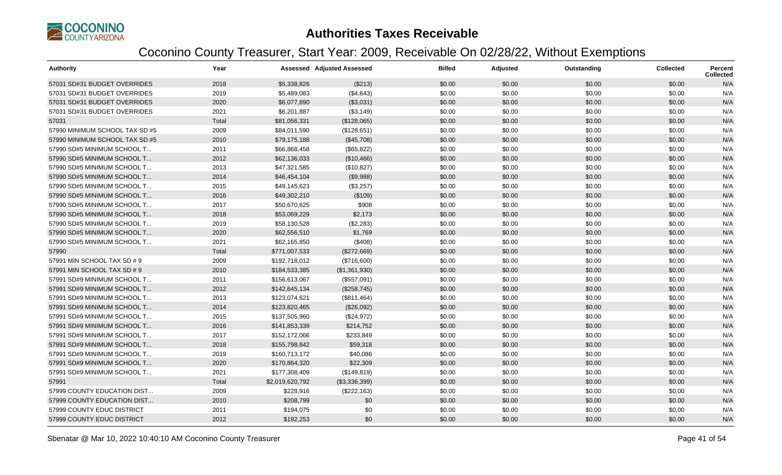

| <b>Authority</b>               | Year  |                 | <b>Assessed Adjusted Assessed</b> | <b>Billed</b> | Adjusted | Outstanding | <b>Collected</b> | <b>Percent</b><br><b>Collected</b> |
|--------------------------------|-------|-----------------|-----------------------------------|---------------|----------|-------------|------------------|------------------------------------|
| 57031 SD#31 BUDGET OVERRIDES   | 2018  | \$5,338,826     | (\$213)                           | \$0.00        | \$0.00   | \$0.00      | \$0.00           | N/A                                |
| 57031 SD#31 BUDGET OVERRIDES   | 2019  | \$5,489,083     | (\$4,643)                         | \$0.00        | \$0.00   | \$0.00      | \$0.00           | N/A                                |
| 57031 SD#31 BUDGET OVERRIDES   | 2020  | \$6,077,890     | (\$3,031)                         | \$0.00        | \$0.00   | \$0.00      | \$0.00           | N/A                                |
| 57031 SD#31 BUDGET OVERRIDES   | 2021  | \$6,201,887     | (\$3,149)                         | \$0.00        | \$0.00   | \$0.00      | \$0.00           | N/A                                |
| 57031                          | Total | \$81,056,331    | (\$128,065)                       | \$0.00        | \$0.00   | \$0.00      | \$0.00           | N/A                                |
| 57990 MINIMUM SCHOOL TAX SD #5 | 2009  | \$84,011,590    | (\$128,651)                       | \$0.00        | \$0.00   | \$0.00      | \$0.00           | N/A                                |
| 57990 MINIMUM SCHOOL TAX SD #5 | 2010  | \$79,175,188    | (\$45,708)                        | \$0.00        | \$0.00   | \$0.00      | \$0.00           | N/A                                |
| 57990 SD#5 MINIMUM SCHOOL T    | 2011  | \$66,868,458    | (\$65,822)                        | \$0.00        | \$0.00   | \$0.00      | \$0.00           | N/A                                |
| 57990 SD#5 MINIMUM SCHOOL T    | 2012  | \$62,136,033    | (\$10,466)                        | \$0.00        | \$0.00   | \$0.00      | \$0.00           | N/A                                |
| 57990 SD#5 MINIMUM SCHOOL T    | 2013  | \$47,321,585    | (\$10,827)                        | \$0.00        | \$0.00   | \$0.00      | \$0.00           | N/A                                |
| 57990 SD#5 MINIMUM SCHOOL T    | 2014  | \$46,454,104    | (\$9,988)                         | \$0.00        | \$0.00   | \$0.00      | \$0.00           | N/A                                |
| 57990 SD#5 MINIMUM SCHOOL T    | 2015  | \$49,145,623    | (\$3,257)                         | \$0.00        | \$0.00   | \$0.00      | \$0.00           | N/A                                |
| 57990 SD#5 MINIMUM SCHOOL T    | 2016  | \$49,302,210    | (\$109)                           | \$0.00        | \$0.00   | \$0.00      | \$0.00           | N/A                                |
| 57990 SD#5 MINIMUM SCHOOL T    | 2017  | \$50,670,625    | \$908                             | \$0.00        | \$0.00   | \$0.00      | \$0.00           | N/A                                |
| 57990 SD#5 MINIMUM SCHOOL T    | 2018  | \$53,069,229    | \$2,173                           | \$0.00        | \$0.00   | \$0.00      | \$0.00           | N/A                                |
| 57990 SD#5 MINIMUM SCHOOL T    | 2019  | \$58,130,528    | (\$2,283)                         | \$0.00        | \$0.00   | \$0.00      | \$0.00           | N/A                                |
| 57990 SD#5 MINIMUM SCHOOL T    | 2020  | \$62,556,510    | \$1,769                           | \$0.00        | \$0.00   | \$0.00      | \$0.00           | N/A                                |
| 57990 SD#5 MINIMUM SCHOOL T    | 2021  | \$62,165,850    | (\$408)                           | \$0.00        | \$0.00   | \$0.00      | \$0.00           | N/A                                |
| 57990                          | Total | \$771,007,533   | (\$272,669)                       | \$0.00        | \$0.00   | \$0.00      | \$0.00           | N/A                                |
| 57991 MIN SCHOOL TAX SD # 9    | 2009  | \$192,718,012   | (\$716,600)                       | \$0.00        | \$0.00   | \$0.00      | \$0.00           | N/A                                |
| 57991 MIN SCHOOL TAX SD # 9    | 2010  | \$184,533,385   | (\$1,361,930)                     | \$0.00        | \$0.00   | \$0.00      | \$0.00           | N/A                                |
| 57991 SD#9 MINIMUM SCHOOL T    | 2011  | \$156,613,067   | (\$557,091)                       | \$0.00        | \$0.00   | \$0.00      | \$0.00           | N/A                                |
| 57991 SD#9 MINIMUM SCHOOL T    | 2012  | \$142,645,134   | (\$258,745)                       | \$0.00        | \$0.00   | \$0.00      | \$0.00           | N/A                                |
| 57991 SD#9 MINIMUM SCHOOL T    | 2013  | \$123,074,621   | (\$811,464)                       | \$0.00        | \$0.00   | \$0.00      | \$0.00           | N/A                                |
| 57991 SD#9 MINIMUM SCHOOL T    | 2014  | \$123,820,465   | (\$26,092)                        | \$0.00        | \$0.00   | \$0.00      | \$0.00           | N/A                                |
| 57991 SD#9 MINIMUM SCHOOL T    | 2015  | \$137,505,960   | (\$24,972)                        | \$0.00        | \$0.00   | \$0.00      | \$0.00           | N/A                                |
| 57991 SD#9 MINIMUM SCHOOL T    | 2016  | \$141,853,339   | \$214,752                         | \$0.00        | \$0.00   | \$0.00      | \$0.00           | N/A                                |
| 57991 SD#9 MINIMUM SCHOOL T    | 2017  | \$152,172,066   | \$233,849                         | \$0.00        | \$0.00   | \$0.00      | \$0.00           | N/A                                |
| 57991 SD#9 MINIMUM SCHOOL T    | 2018  | \$155,798,842   | \$59,318                          | \$0.00        | \$0.00   | \$0.00      | \$0.00           | N/A                                |
| 57991 SD#9 MINIMUM SCHOOL T    | 2019  | \$160,713,172   | \$40,086                          | \$0.00        | \$0.00   | \$0.00      | \$0.00           | N/A                                |
| 57991 SD#9 MINIMUM SCHOOL T    | 2020  | \$170,864,320   | \$22,309                          | \$0.00        | \$0.00   | \$0.00      | \$0.00           | N/A                                |
| 57991 SD#9 MINIMUM SCHOOL T    | 2021  | \$177,308,409   | (\$149, 819)                      | \$0.00        | \$0.00   | \$0.00      | \$0.00           | N/A                                |
| 57991                          | Total | \$2,019,620,792 | (\$3,336,399)                     | \$0.00        | \$0.00   | \$0.00      | \$0.00           | N/A                                |
| 57999 COUNTY EDUCATION DIST    | 2009  | \$228,916       | (\$222, 163)                      | \$0.00        | \$0.00   | \$0.00      | \$0.00           | N/A                                |
| 57999 COUNTY EDUCATION DIST    | 2010  | \$208,799       | \$0                               | \$0.00        | \$0.00   | \$0.00      | \$0.00           | N/A                                |
| 57999 COUNTY EDUC DISTRICT     | 2011  | \$194,075       | \$0                               | \$0.00        | \$0.00   | \$0.00      | \$0.00           | N/A                                |
| 57999 COUNTY EDUC DISTRICT     | 2012  | \$192,253       | \$0                               | \$0.00        | \$0.00   | \$0.00      | \$0.00           | N/A                                |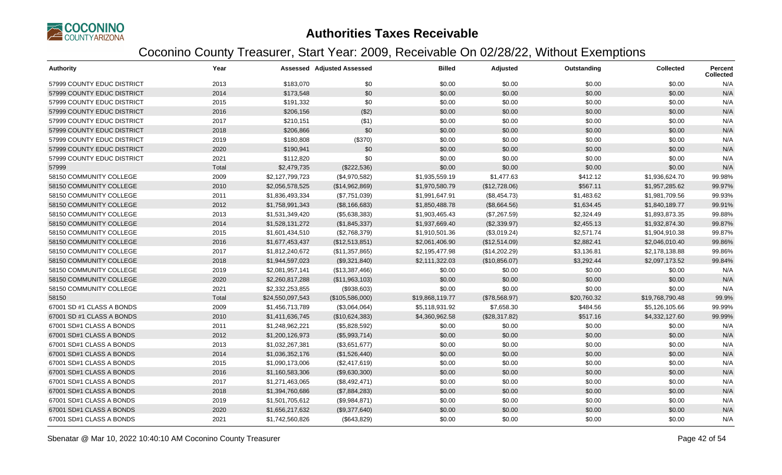

| <b>Authority</b>           | Year  |                  | <b>Assessed Adjusted Assessed</b> | <b>Billed</b>   | Adjusted      | Outstanding | <b>Collected</b> | Percent<br><b>Collected</b> |
|----------------------------|-------|------------------|-----------------------------------|-----------------|---------------|-------------|------------------|-----------------------------|
| 57999 COUNTY EDUC DISTRICT | 2013  | \$183,070        | \$0                               | \$0.00          | \$0.00        | \$0.00      | \$0.00           | N/A                         |
| 57999 COUNTY EDUC DISTRICT | 2014  | \$173,548        | \$0                               | \$0.00          | \$0.00        | \$0.00      | \$0.00           | N/A                         |
| 57999 COUNTY EDUC DISTRICT | 2015  | \$191,332        | \$0                               | \$0.00          | \$0.00        | \$0.00      | \$0.00           | N/A                         |
| 57999 COUNTY EDUC DISTRICT | 2016  | \$206,156        | (\$2)                             | \$0.00          | \$0.00        | \$0.00      | \$0.00           | N/A                         |
| 57999 COUNTY EDUC DISTRICT | 2017  | \$210,151        | (\$1)                             | \$0.00          | \$0.00        | \$0.00      | \$0.00           | N/A                         |
| 57999 COUNTY EDUC DISTRICT | 2018  | \$206,866        | \$0                               | \$0.00          | \$0.00        | \$0.00      | \$0.00           | N/A                         |
| 57999 COUNTY EDUC DISTRICT | 2019  | \$180,808        | (\$370)                           | \$0.00          | \$0.00        | \$0.00      | \$0.00           | N/A                         |
| 57999 COUNTY EDUC DISTRICT | 2020  | \$190,941        | \$0                               | \$0.00          | \$0.00        | \$0.00      | \$0.00           | N/A                         |
| 57999 COUNTY EDUC DISTRICT | 2021  | \$112,820        | \$0                               | \$0.00          | \$0.00        | \$0.00      | \$0.00           | N/A                         |
| 57999                      | Total | \$2,479,735      | (\$222,536)                       | \$0.00          | \$0.00        | \$0.00      | \$0.00           | N/A                         |
| 58150 COMMUNITY COLLEGE    | 2009  | \$2,127,799,723  | (\$4,970,582)                     | \$1,935,559.19  | \$1,477.63    | \$412.12    | \$1,936,624.70   | 99.98%                      |
| 58150 COMMUNITY COLLEGE    | 2010  | \$2,056,578,525  | (\$14,962,869)                    | \$1,970,580.79  | (\$12,728.06) | \$567.11    | \$1,957,285.62   | 99.97%                      |
| 58150 COMMUNITY COLLEGE    | 2011  | \$1,836,493,334  | (\$7,751,039)                     | \$1,991,647.91  | (\$8,454.73)  | \$1,483.62  | \$1,981,709.56   | 99.93%                      |
| 58150 COMMUNITY COLLEGE    | 2012  | \$1,758,991,343  | (\$8,166,683)                     | \$1,850,488.78  | (\$8,664.56)  | \$1,634.45  | \$1,840,189.77   | 99.91%                      |
| 58150 COMMUNITY COLLEGE    | 2013  | \$1,531,349,420  | (\$5,638,383)                     | \$1,903,465.43  | (\$7,267.59)  | \$2,324.49  | \$1,893,873.35   | 99.88%                      |
| 58150 COMMUNITY COLLEGE    | 2014  | \$1,528,131,272  | (\$1,845,337)                     | \$1,937,669.40  | (\$2,339.97)  | \$2,455.13  | \$1,932,874.30   | 99.87%                      |
| 58150 COMMUNITY COLLEGE    | 2015  | \$1,601,434,510  | (\$2,768,379)                     | \$1,910,501.36  | (\$3,019.24)  | \$2,571.74  | \$1,904,910.38   | 99.87%                      |
| 58150 COMMUNITY COLLEGE    | 2016  | \$1,677,453,437  | (\$12,513,851)                    | \$2,061,406.90  | (\$12,514.09) | \$2,882.41  | \$2,046,010.40   | 99.86%                      |
| 58150 COMMUNITY COLLEGE    | 2017  | \$1,812,240,672  | (\$11,357,865)                    | \$2,195,477.98  | (\$14,202.29) | \$3,136.81  | \$2,178,138.88   | 99.86%                      |
| 58150 COMMUNITY COLLEGE    | 2018  | \$1,944,597,023  | (\$9,321,840)                     | \$2,111,322.03  | (\$10,856.07) | \$3,292.44  | \$2,097,173.52   | 99.84%                      |
| 58150 COMMUNITY COLLEGE    | 2019  | \$2,081,957,141  | (\$13,387,466)                    | \$0.00          | \$0.00        | \$0.00      | \$0.00           | N/A                         |
| 58150 COMMUNITY COLLEGE    | 2020  | \$2,260,817,288  | (\$11,963,103)                    | \$0.00          | \$0.00        | \$0.00      | \$0.00           | N/A                         |
| 58150 COMMUNITY COLLEGE    | 2021  | \$2,332,253,855  | (\$938,603)                       | \$0.00          | \$0.00        | \$0.00      | \$0.00           | N/A                         |
| 58150                      | Total | \$24,550,097,543 | (\$105,586,000)                   | \$19,868,119.77 | (\$78,568.97) | \$20,760.32 | \$19,768,790.48  | 99.9%                       |
| 67001 SD #1 CLASS A BONDS  | 2009  | \$1,456,713,789  | (\$3,064,064)                     | \$5,118,931.92  | \$7,658.30    | \$484.56    | \$5,126,105.66   | 99.99%                      |
| 67001 SD #1 CLASS A BONDS  | 2010  | \$1,411,636,745  | (\$10,624,383)                    | \$4,360,962.58  | (\$28,317.82) | \$517.16    | \$4,332,127.60   | 99.99%                      |
| 67001 SD#1 CLASS A BONDS   | 2011  | \$1,248,962,221  | (\$5,828,592)                     | \$0.00          | \$0.00        | \$0.00      | \$0.00           | N/A                         |
| 67001 SD#1 CLASS A BONDS   | 2012  | \$1,200,126,973  | (\$5,993,714)                     | \$0.00          | \$0.00        | \$0.00      | \$0.00           | N/A                         |
| 67001 SD#1 CLASS A BONDS   | 2013  | \$1,032,267,381  | (\$3,651,677)                     | \$0.00          | \$0.00        | \$0.00      | \$0.00           | N/A                         |
| 67001 SD#1 CLASS A BONDS   | 2014  | \$1,036,352,176  | (\$1,526,440)                     | \$0.00          | \$0.00        | \$0.00      | \$0.00           | N/A                         |
| 67001 SD#1 CLASS A BONDS   | 2015  | \$1,090,173,006  | (\$2,417,619)                     | \$0.00          | \$0.00        | \$0.00      | \$0.00           | N/A                         |
| 67001 SD#1 CLASS A BONDS   | 2016  | \$1,160,583,306  | (\$9,630,300)                     | \$0.00          | \$0.00        | \$0.00      | \$0.00           | N/A                         |
| 67001 SD#1 CLASS A BONDS   | 2017  | \$1,271,463,065  | (\$8,492,471)                     | \$0.00          | \$0.00        | \$0.00      | \$0.00           | N/A                         |
| 67001 SD#1 CLASS A BONDS   | 2018  | \$1,394,760,686  | (\$7,884,283)                     | \$0.00          | \$0.00        | \$0.00      | \$0.00           | N/A                         |
| 67001 SD#1 CLASS A BONDS   | 2019  | \$1,501,705,612  | (\$9,984,871)                     | \$0.00          | \$0.00        | \$0.00      | \$0.00           | N/A                         |
| 67001 SD#1 CLASS A BONDS   | 2020  | \$1,656,217,632  | (\$9,377,640)                     | \$0.00          | \$0.00        | \$0.00      | \$0.00           | N/A                         |
| 67001 SD#1 CLASS A BONDS   | 2021  | \$1,742,560,826  | (\$643,829)                       | \$0.00          | \$0.00        | \$0.00      | \$0.00           | N/A                         |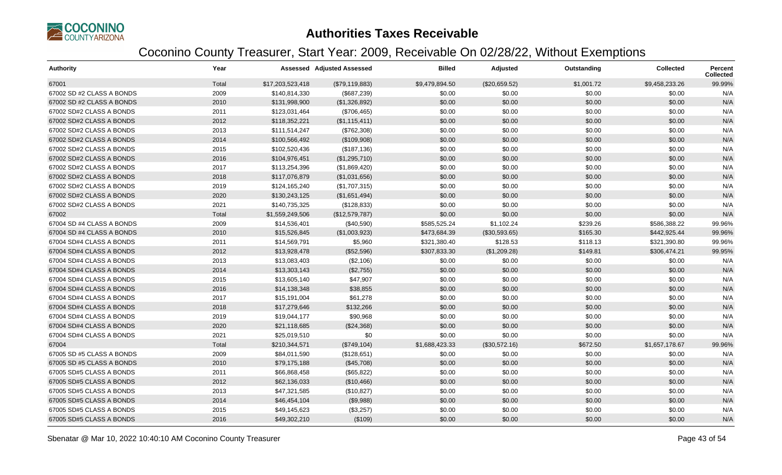

| <b>Authority</b>          | Year  |                  | Assessed Adjusted Assessed | <b>Billed</b>  | Adjusted      | Outstanding | <b>Collected</b> | Percent<br><b>Collected</b> |
|---------------------------|-------|------------------|----------------------------|----------------|---------------|-------------|------------------|-----------------------------|
| 67001                     | Total | \$17,203,523,418 | (\$79,119,883)             | \$9,479,894.50 | (\$20,659.52) | \$1,001.72  | \$9,458,233.26   | 99.99%                      |
| 67002 SD #2 CLASS A BONDS | 2009  | \$140,814,330    | (\$687,239)                | \$0.00         | \$0.00        | \$0.00      | \$0.00           | N/A                         |
| 67002 SD #2 CLASS A BONDS | 2010  | \$131,998,900    | (\$1,326,892)              | \$0.00         | \$0.00        | \$0.00      | \$0.00           | N/A                         |
| 67002 SD#2 CLASS A BONDS  | 2011  | \$123,031,464    | (\$706,465)                | \$0.00         | \$0.00        | \$0.00      | \$0.00           | N/A                         |
| 67002 SD#2 CLASS A BONDS  | 2012  | \$118,352,221    | (\$1,115,411)              | \$0.00         | \$0.00        | \$0.00      | \$0.00           | N/A                         |
| 67002 SD#2 CLASS A BONDS  | 2013  | \$111,514,247    | (\$762,308)                | \$0.00         | \$0.00        | \$0.00      | \$0.00           | N/A                         |
| 67002 SD#2 CLASS A BONDS  | 2014  | \$100,566,492    | (\$109,908)                | \$0.00         | \$0.00        | \$0.00      | \$0.00           | N/A                         |
| 67002 SD#2 CLASS A BONDS  | 2015  | \$102,520,436    | (\$187, 136)               | \$0.00         | \$0.00        | \$0.00      | \$0.00           | N/A                         |
| 67002 SD#2 CLASS A BONDS  | 2016  | \$104,976,451    | (\$1,295,710)              | \$0.00         | \$0.00        | \$0.00      | \$0.00           | N/A                         |
| 67002 SD#2 CLASS A BONDS  | 2017  | \$113,254,396    | (\$1,869,420)              | \$0.00         | \$0.00        | \$0.00      | \$0.00           | N/A                         |
| 67002 SD#2 CLASS A BONDS  | 2018  | \$117,076,879    | (\$1,031,656)              | \$0.00         | \$0.00        | \$0.00      | \$0.00           | N/A                         |
| 67002 SD#2 CLASS A BONDS  | 2019  | \$124,165,240    | (\$1,707,315)              | \$0.00         | \$0.00        | \$0.00      | \$0.00           | N/A                         |
| 67002 SD#2 CLASS A BONDS  | 2020  | \$130,243,125    | (\$1,651,494)              | \$0.00         | \$0.00        | \$0.00      | \$0.00           | N/A                         |
| 67002 SD#2 CLASS A BONDS  | 2021  | \$140,735,325    | (\$128,833)                | \$0.00         | \$0.00        | \$0.00      | \$0.00           | N/A                         |
| 67002                     | Total | \$1,559,249,506  | (\$12,579,787)             | \$0.00         | \$0.00        | \$0.00      | \$0.00           | N/A                         |
| 67004 SD #4 CLASS A BONDS | 2009  | \$14,536,401     | (\$40,590)                 | \$585,525.24   | \$1,102.24    | \$239.26    | \$586,388.22     | 99.96%                      |
| 67004 SD #4 CLASS A BONDS | 2010  | \$15,526,845     | (\$1,003,923)              | \$473,684.39   | (\$30,593.65) | \$165.30    | \$442,925.44     | 99.96%                      |
| 67004 SD#4 CLASS A BONDS  | 2011  | \$14,569,791     | \$5,960                    | \$321,380.40   | \$128.53      | \$118.13    | \$321,390.80     | 99.96%                      |
| 67004 SD#4 CLASS A BONDS  | 2012  | \$13,928,478     | (\$52,596)                 | \$307,833.30   | (\$1,209.28)  | \$149.81    | \$306,474.21     | 99.95%                      |
| 67004 SD#4 CLASS A BONDS  | 2013  | \$13,083,403     | (\$2,106)                  | \$0.00         | \$0.00        | \$0.00      | \$0.00           | N/A                         |
| 67004 SD#4 CLASS A BONDS  | 2014  | \$13,303,143     | (\$2,755)                  | \$0.00         | \$0.00        | \$0.00      | \$0.00           | N/A                         |
| 67004 SD#4 CLASS A BONDS  | 2015  | \$13,605,140     | \$47,907                   | \$0.00         | \$0.00        | \$0.00      | \$0.00           | N/A                         |
| 67004 SD#4 CLASS A BONDS  | 2016  | \$14,138,348     | \$38,855                   | \$0.00         | \$0.00        | \$0.00      | \$0.00           | N/A                         |
| 67004 SD#4 CLASS A BONDS  | 2017  | \$15,191,004     | \$61,278                   | \$0.00         | \$0.00        | \$0.00      | \$0.00           | N/A                         |
| 67004 SD#4 CLASS A BONDS  | 2018  | \$17,279,646     | \$132,266                  | \$0.00         | \$0.00        | \$0.00      | \$0.00           | N/A                         |
| 67004 SD#4 CLASS A BONDS  | 2019  | \$19,044,177     | \$90,968                   | \$0.00         | \$0.00        | \$0.00      | \$0.00           | N/A                         |
| 67004 SD#4 CLASS A BONDS  | 2020  | \$21,118,685     | (\$24,368)                 | \$0.00         | \$0.00        | \$0.00      | \$0.00           | N/A                         |
| 67004 SD#4 CLASS A BONDS  | 2021  | \$25,019,510     | \$0                        | \$0.00         | \$0.00        | \$0.00      | \$0.00           | N/A                         |
| 67004                     | Total | \$210,344,571    | (\$749,104)                | \$1,688,423.33 | (\$30,572.16) | \$672.50    | \$1,657,178.67   | 99.96%                      |
| 67005 SD #5 CLASS A BONDS | 2009  | \$84,011,590     | (\$128,651)                | \$0.00         | \$0.00        | \$0.00      | \$0.00           | N/A                         |
| 67005 SD #5 CLASS A BONDS | 2010  | \$79,175,188     | (\$45,708)                 | \$0.00         | \$0.00        | \$0.00      | \$0.00           | N/A                         |
| 67005 SD#5 CLASS A BONDS  | 2011  | \$66,868,458     | (\$65,822)                 | \$0.00         | \$0.00        | \$0.00      | \$0.00           | N/A                         |
| 67005 SD#5 CLASS A BONDS  | 2012  | \$62,136,033     | (\$10,466)                 | \$0.00         | \$0.00        | \$0.00      | \$0.00           | N/A                         |
| 67005 SD#5 CLASS A BONDS  | 2013  | \$47,321,585     | (\$10,827)                 | \$0.00         | \$0.00        | \$0.00      | \$0.00           | N/A                         |
| 67005 SD#5 CLASS A BONDS  | 2014  | \$46,454,104     | (\$9,988)                  | \$0.00         | \$0.00        | \$0.00      | \$0.00           | N/A                         |
| 67005 SD#5 CLASS A BONDS  | 2015  | \$49,145,623     | (\$3,257)                  | \$0.00         | \$0.00        | \$0.00      | \$0.00           | N/A                         |
| 67005 SD#5 CLASS A BONDS  | 2016  | \$49,302,210     | (\$109)                    | \$0.00         | \$0.00        | \$0.00      | \$0.00           | N/A                         |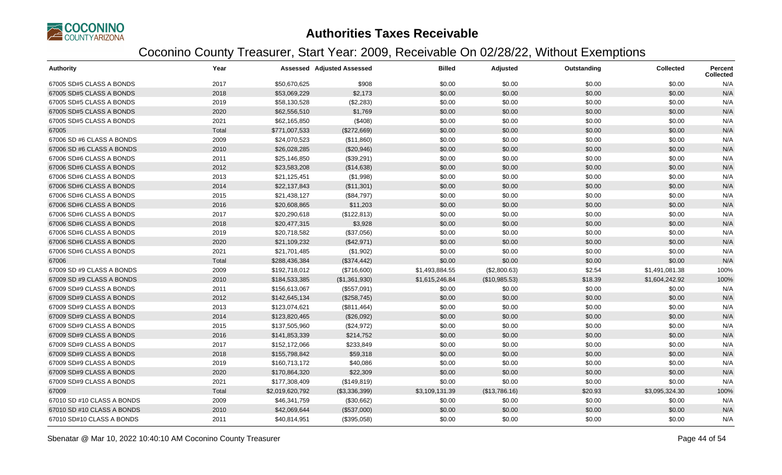

| <b>Authority</b>           | Year  |                 | <b>Assessed Adjusted Assessed</b> | <b>Billed</b>  | Adjusted      | Outstanding | <b>Collected</b> | Percent<br><b>Collected</b> |
|----------------------------|-------|-----------------|-----------------------------------|----------------|---------------|-------------|------------------|-----------------------------|
| 67005 SD#5 CLASS A BONDS   | 2017  | \$50,670,625    | \$908                             | \$0.00         | \$0.00        | \$0.00      | \$0.00           | N/A                         |
| 67005 SD#5 CLASS A BONDS   | 2018  | \$53,069,229    | \$2,173                           | \$0.00         | \$0.00        | \$0.00      | \$0.00           | N/A                         |
| 67005 SD#5 CLASS A BONDS   | 2019  | \$58,130,528    | (\$2,283)                         | \$0.00         | \$0.00        | \$0.00      | \$0.00           | N/A                         |
| 67005 SD#5 CLASS A BONDS   | 2020  | \$62,556,510    | \$1,769                           | \$0.00         | \$0.00        | \$0.00      | \$0.00           | N/A                         |
| 67005 SD#5 CLASS A BONDS   | 2021  | \$62,165,850    | (\$408)                           | \$0.00         | \$0.00        | \$0.00      | \$0.00           | N/A                         |
| 67005                      | Total | \$771,007,533   | (\$272,669)                       | \$0.00         | \$0.00        | \$0.00      | \$0.00           | N/A                         |
| 67006 SD #6 CLASS A BONDS  | 2009  | \$24,070,523    | (\$11,860)                        | \$0.00         | \$0.00        | \$0.00      | \$0.00           | N/A                         |
| 67006 SD #6 CLASS A BONDS  | 2010  | \$26,028,285    | (\$20,946)                        | \$0.00         | \$0.00        | \$0.00      | \$0.00           | N/A                         |
| 67006 SD#6 CLASS A BONDS   | 2011  | \$25,146,850    | (\$39,291)                        | \$0.00         | \$0.00        | \$0.00      | \$0.00           | N/A                         |
| 67006 SD#6 CLASS A BONDS   | 2012  | \$23,583,208    | (\$14,638)                        | \$0.00         | \$0.00        | \$0.00      | \$0.00           | N/A                         |
| 67006 SD#6 CLASS A BONDS   | 2013  | \$21,125,451    | (\$1,998)                         | \$0.00         | \$0.00        | \$0.00      | \$0.00           | N/A                         |
| 67006 SD#6 CLASS A BONDS   | 2014  | \$22,137,843    | (\$11,301)                        | \$0.00         | \$0.00        | \$0.00      | \$0.00           | N/A                         |
| 67006 SD#6 CLASS A BONDS   | 2015  | \$21,438,127    | (\$84,797)                        | \$0.00         | \$0.00        | \$0.00      | \$0.00           | N/A                         |
| 67006 SD#6 CLASS A BONDS   | 2016  | \$20,608,865    | \$11,203                          | \$0.00         | \$0.00        | \$0.00      | \$0.00           | N/A                         |
| 67006 SD#6 CLASS A BONDS   | 2017  | \$20,290,618    | (\$122,813)                       | \$0.00         | \$0.00        | \$0.00      | \$0.00           | N/A                         |
| 67006 SD#6 CLASS A BONDS   | 2018  | \$20,477,315    | \$3,928                           | \$0.00         | \$0.00        | \$0.00      | \$0.00           | N/A                         |
| 67006 SD#6 CLASS A BONDS   | 2019  | \$20,718,582    | (\$37,056)                        | \$0.00         | \$0.00        | \$0.00      | \$0.00           | N/A                         |
| 67006 SD#6 CLASS A BONDS   | 2020  | \$21,109,232    | (\$42,971)                        | \$0.00         | \$0.00        | \$0.00      | \$0.00           | N/A                         |
| 67006 SD#6 CLASS A BONDS   | 2021  | \$21,701,485    | (\$1,902)                         | \$0.00         | \$0.00        | \$0.00      | \$0.00           | N/A                         |
| 67006                      | Total | \$288,436,384   | (\$374,442)                       | \$0.00         | \$0.00        | \$0.00      | \$0.00           | N/A                         |
| 67009 SD #9 CLASS A BONDS  | 2009  | \$192,718,012   | (\$716,600)                       | \$1,493,884.55 | (\$2,800.63)  | \$2.54      | \$1,491,081.38   | 100%                        |
| 67009 SD #9 CLASS A BONDS  | 2010  | \$184,533,385   | (\$1,361,930)                     | \$1,615,246.84 | (\$10,985.53) | \$18.39     | \$1,604,242.92   | 100%                        |
| 67009 SD#9 CLASS A BONDS   | 2011  | \$156,613,067   | (\$557,091)                       | \$0.00         | \$0.00        | \$0.00      | \$0.00           | N/A                         |
| 67009 SD#9 CLASS A BONDS   | 2012  | \$142,645,134   | (\$258,745)                       | \$0.00         | \$0.00        | \$0.00      | \$0.00           | N/A                         |
| 67009 SD#9 CLASS A BONDS   | 2013  | \$123,074,621   | (\$811,464)                       | \$0.00         | \$0.00        | \$0.00      | \$0.00           | N/A                         |
| 67009 SD#9 CLASS A BONDS   | 2014  | \$123,820,465   | (\$26,092)                        | \$0.00         | \$0.00        | \$0.00      | \$0.00           | N/A                         |
| 67009 SD#9 CLASS A BONDS   | 2015  | \$137,505,960   | (\$24,972)                        | \$0.00         | \$0.00        | \$0.00      | \$0.00           | N/A                         |
| 67009 SD#9 CLASS A BONDS   | 2016  | \$141,853,339   | \$214,752                         | \$0.00         | \$0.00        | \$0.00      | \$0.00           | N/A                         |
| 67009 SD#9 CLASS A BONDS   | 2017  | \$152,172,066   | \$233,849                         | \$0.00         | \$0.00        | \$0.00      | \$0.00           | N/A                         |
| 67009 SD#9 CLASS A BONDS   | 2018  | \$155,798,842   | \$59,318                          | \$0.00         | \$0.00        | \$0.00      | \$0.00           | N/A                         |
| 67009 SD#9 CLASS A BONDS   | 2019  | \$160,713,172   | \$40,086                          | \$0.00         | \$0.00        | \$0.00      | \$0.00           | N/A                         |
| 67009 SD#9 CLASS A BONDS   | 2020  | \$170,864,320   | \$22,309                          | \$0.00         | \$0.00        | \$0.00      | \$0.00           | N/A                         |
| 67009 SD#9 CLASS A BONDS   | 2021  | \$177,308,409   | (\$149, 819)                      | \$0.00         | \$0.00        | \$0.00      | \$0.00           | N/A                         |
| 67009                      | Total | \$2,019,620,792 | (\$3,336,399)                     | \$3,109,131.39 | (\$13,786.16) | \$20.93     | \$3,095,324.30   | 100%                        |
| 67010 SD #10 CLASS A BONDS | 2009  | \$46,341,759    | (\$30,662)                        | \$0.00         | \$0.00        | \$0.00      | \$0.00           | N/A                         |
| 67010 SD #10 CLASS A BONDS | 2010  | \$42,069,644    | (\$537,000)                       | \$0.00         | \$0.00        | \$0.00      | \$0.00           | N/A                         |
| 67010 SD#10 CLASS A BONDS  | 2011  | \$40,814,951    | (\$395,058)                       | \$0.00         | \$0.00        | \$0.00      | \$0.00           | N/A                         |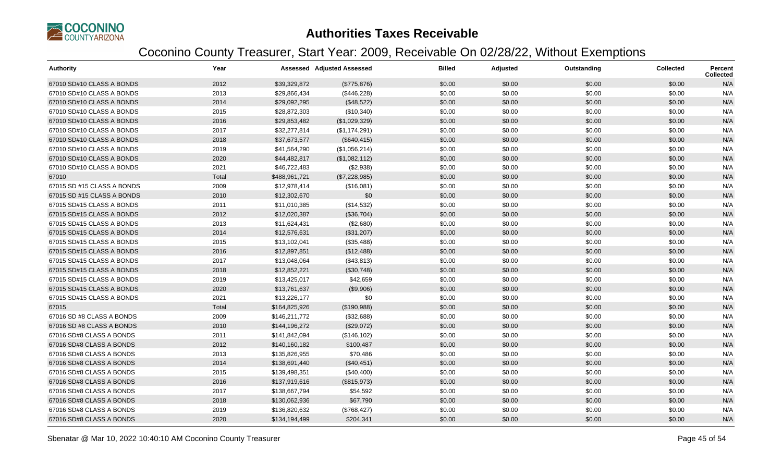

| <b>Authority</b>           | Year  |               | <b>Assessed Adjusted Assessed</b> | <b>Billed</b> | Adjusted | Outstanding | <b>Collected</b> | <b>Percent</b><br><b>Collected</b> |
|----------------------------|-------|---------------|-----------------------------------|---------------|----------|-------------|------------------|------------------------------------|
| 67010 SD#10 CLASS A BONDS  | 2012  | \$39,329,872  | (\$775,876)                       | \$0.00        | \$0.00   | \$0.00      | \$0.00           | N/A                                |
| 67010 SD#10 CLASS A BONDS  | 2013  | \$29,866,434  | (\$446,228)                       | \$0.00        | \$0.00   | \$0.00      | \$0.00           | N/A                                |
| 67010 SD#10 CLASS A BONDS  | 2014  | \$29,092,295  | (\$48,522)                        | \$0.00        | \$0.00   | \$0.00      | \$0.00           | N/A                                |
| 67010 SD#10 CLASS A BONDS  | 2015  | \$28,872,303  | (\$10,340)                        | \$0.00        | \$0.00   | \$0.00      | \$0.00           | N/A                                |
| 67010 SD#10 CLASS A BONDS  | 2016  | \$29,853,482  | (\$1,029,329)                     | \$0.00        | \$0.00   | \$0.00      | \$0.00           | N/A                                |
| 67010 SD#10 CLASS A BONDS  | 2017  | \$32,277,814  | (\$1,174,291)                     | \$0.00        | \$0.00   | \$0.00      | \$0.00           | N/A                                |
| 67010 SD#10 CLASS A BONDS  | 2018  | \$37,673,577  | (\$640, 415)                      | \$0.00        | \$0.00   | \$0.00      | \$0.00           | N/A                                |
| 67010 SD#10 CLASS A BONDS  | 2019  | \$41,564,290  | (\$1,056,214)                     | \$0.00        | \$0.00   | \$0.00      | \$0.00           | N/A                                |
| 67010 SD#10 CLASS A BONDS  | 2020  | \$44,482,817  | (\$1,082,112)                     | \$0.00        | \$0.00   | \$0.00      | \$0.00           | N/A                                |
| 67010 SD#10 CLASS A BONDS  | 2021  | \$46,722,483  | (\$2,938)                         | \$0.00        | \$0.00   | \$0.00      | \$0.00           | N/A                                |
| 67010                      | Total | \$488,961,721 | (\$7,228,985)                     | \$0.00        | \$0.00   | \$0.00      | \$0.00           | N/A                                |
| 67015 SD #15 CLASS A BONDS | 2009  | \$12,978,414  | (\$16,081)                        | \$0.00        | \$0.00   | \$0.00      | \$0.00           | N/A                                |
| 67015 SD #15 CLASS A BONDS | 2010  | \$12,302,670  | \$0                               | \$0.00        | \$0.00   | \$0.00      | \$0.00           | N/A                                |
| 67015 SD#15 CLASS A BONDS  | 2011  | \$11,010,385  | (\$14,532)                        | \$0.00        | \$0.00   | \$0.00      | \$0.00           | N/A                                |
| 67015 SD#15 CLASS A BONDS  | 2012  | \$12,020,387  | (\$36,704)                        | \$0.00        | \$0.00   | \$0.00      | \$0.00           | N/A                                |
| 67015 SD#15 CLASS A BONDS  | 2013  | \$11,624,431  | (\$2,680)                         | \$0.00        | \$0.00   | \$0.00      | \$0.00           | N/A                                |
| 67015 SD#15 CLASS A BONDS  | 2014  | \$12,576,631  | (\$31,207)                        | \$0.00        | \$0.00   | \$0.00      | \$0.00           | N/A                                |
| 67015 SD#15 CLASS A BONDS  | 2015  | \$13,102,041  | (\$35,488)                        | \$0.00        | \$0.00   | \$0.00      | \$0.00           | N/A                                |
| 67015 SD#15 CLASS A BONDS  | 2016  | \$12,897,851  | (\$12,488)                        | \$0.00        | \$0.00   | \$0.00      | \$0.00           | N/A                                |
| 67015 SD#15 CLASS A BONDS  | 2017  | \$13,048,064  | (\$43,813)                        | \$0.00        | \$0.00   | \$0.00      | \$0.00           | N/A                                |
| 67015 SD#15 CLASS A BONDS  | 2018  | \$12,852,221  | (\$30,748)                        | \$0.00        | \$0.00   | \$0.00      | \$0.00           | N/A                                |
| 67015 SD#15 CLASS A BONDS  | 2019  | \$13,425,017  | \$42,659                          | \$0.00        | \$0.00   | \$0.00      | \$0.00           | N/A                                |
| 67015 SD#15 CLASS A BONDS  | 2020  | \$13,761,637  | (\$9,906)                         | \$0.00        | \$0.00   | \$0.00      | \$0.00           | N/A                                |
| 67015 SD#15 CLASS A BONDS  | 2021  | \$13,226,177  | \$0                               | \$0.00        | \$0.00   | \$0.00      | \$0.00           | N/A                                |
| 67015                      | Total | \$164,825,926 | (\$190,988)                       | \$0.00        | \$0.00   | \$0.00      | \$0.00           | N/A                                |
| 67016 SD #8 CLASS A BONDS  | 2009  | \$146,211,772 | (\$32,688)                        | \$0.00        | \$0.00   | \$0.00      | \$0.00           | N/A                                |
| 67016 SD #8 CLASS A BONDS  | 2010  | \$144,196,272 | (\$29,072)                        | \$0.00        | \$0.00   | \$0.00      | \$0.00           | N/A                                |
| 67016 SD#8 CLASS A BONDS   | 2011  | \$141,842,094 | (\$146, 102)                      | \$0.00        | \$0.00   | \$0.00      | \$0.00           | N/A                                |
| 67016 SD#8 CLASS A BONDS   | 2012  | \$140,160,182 | \$100,487                         | \$0.00        | \$0.00   | \$0.00      | \$0.00           | N/A                                |
| 67016 SD#8 CLASS A BONDS   | 2013  | \$135,826,955 | \$70,486                          | \$0.00        | \$0.00   | \$0.00      | \$0.00           | N/A                                |
| 67016 SD#8 CLASS A BONDS   | 2014  | \$138,691,440 | (\$40,451)                        | \$0.00        | \$0.00   | \$0.00      | \$0.00           | N/A                                |
| 67016 SD#8 CLASS A BONDS   | 2015  | \$139,498,351 | (\$40,400)                        | \$0.00        | \$0.00   | \$0.00      | \$0.00           | N/A                                |
| 67016 SD#8 CLASS A BONDS   | 2016  | \$137,919,616 | (\$815,973)                       | \$0.00        | \$0.00   | \$0.00      | \$0.00           | N/A                                |
| 67016 SD#8 CLASS A BONDS   | 2017  | \$138,667,794 | \$54,592                          | \$0.00        | \$0.00   | \$0.00      | \$0.00           | N/A                                |
| 67016 SD#8 CLASS A BONDS   | 2018  | \$130,062,936 | \$67,790                          | \$0.00        | \$0.00   | \$0.00      | \$0.00           | N/A                                |
| 67016 SD#8 CLASS A BONDS   | 2019  | \$136,820,632 | (\$768,427)                       | \$0.00        | \$0.00   | \$0.00      | \$0.00           | N/A                                |
| 67016 SD#8 CLASS A BONDS   | 2020  | \$134,194,499 | \$204,341                         | \$0.00        | \$0.00   | \$0.00      | \$0.00           | N/A                                |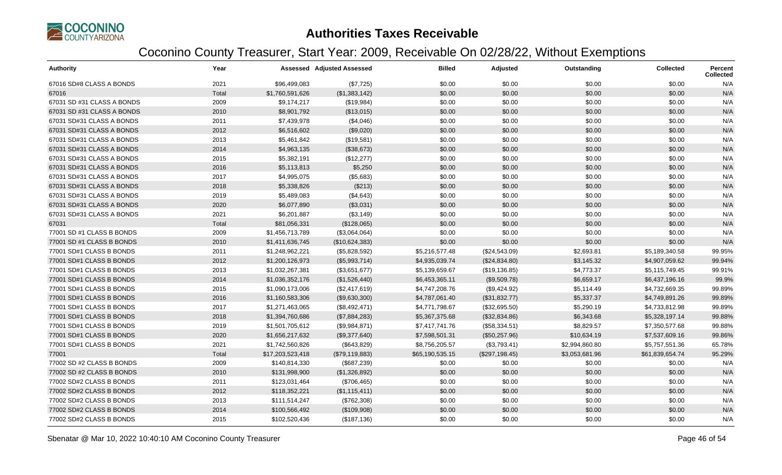

| <b>Authority</b>           | Year  |                  | <b>Assessed Adjusted Assessed</b> | <b>Billed</b>   | Adjusted       | Outstanding    | <b>Collected</b> | Percent<br><b>Collected</b> |
|----------------------------|-------|------------------|-----------------------------------|-----------------|----------------|----------------|------------------|-----------------------------|
| 67016 SD#8 CLASS A BONDS   | 2021  | \$96,499,083     | (\$7,725)                         | \$0.00          | \$0.00         | \$0.00         | \$0.00           | N/A                         |
| 67016                      | Total | \$1,760,591,626  | (\$1,383,142)                     | \$0.00          | \$0.00         | \$0.00         | \$0.00           | N/A                         |
| 67031 SD #31 CLASS A BONDS | 2009  | \$9,174,217      | (\$19,984)                        | \$0.00          | \$0.00         | \$0.00         | \$0.00           | N/A                         |
| 67031 SD #31 CLASS A BONDS | 2010  | \$8,901,792      | (\$13,015)                        | \$0.00          | \$0.00         | \$0.00         | \$0.00           | N/A                         |
| 67031 SD#31 CLASS A BONDS  | 2011  | \$7,439,978      | (\$4,046)                         | \$0.00          | \$0.00         | \$0.00         | \$0.00           | N/A                         |
| 67031 SD#31 CLASS A BONDS  | 2012  | \$6,516,602      | (\$9,020)                         | \$0.00          | \$0.00         | \$0.00         | \$0.00           | N/A                         |
| 67031 SD#31 CLASS A BONDS  | 2013  | \$5,461,842      | (\$19,581)                        | \$0.00          | \$0.00         | \$0.00         | \$0.00           | N/A                         |
| 67031 SD#31 CLASS A BONDS  | 2014  | \$4,963,135      | (\$38,673)                        | \$0.00          | \$0.00         | \$0.00         | \$0.00           | N/A                         |
| 67031 SD#31 CLASS A BONDS  | 2015  | \$5,382,191      | (\$12,277)                        | \$0.00          | \$0.00         | \$0.00         | \$0.00           | N/A                         |
| 67031 SD#31 CLASS A BONDS  | 2016  | \$5,113,813      | \$5,250                           | \$0.00          | \$0.00         | \$0.00         | \$0.00           | N/A                         |
| 67031 SD#31 CLASS A BONDS  | 2017  | \$4,995,075      | (\$5,683)                         | \$0.00          | \$0.00         | \$0.00         | \$0.00           | N/A                         |
| 67031 SD#31 CLASS A BONDS  | 2018  | \$5,338,826      | (\$213)                           | \$0.00          | \$0.00         | \$0.00         | \$0.00           | N/A                         |
| 67031 SD#31 CLASS A BONDS  | 2019  | \$5,489,083      | (\$4,643)                         | \$0.00          | \$0.00         | \$0.00         | \$0.00           | N/A                         |
| 67031 SD#31 CLASS A BONDS  | 2020  | \$6,077,890      | (\$3,031)                         | \$0.00          | \$0.00         | \$0.00         | \$0.00           | N/A                         |
| 67031 SD#31 CLASS A BONDS  | 2021  | \$6,201,887      | (\$3,149)                         | \$0.00          | \$0.00         | \$0.00         | \$0.00           | N/A                         |
| 67031                      | Total | \$81,056,331     | (\$128,065)                       | \$0.00          | \$0.00         | \$0.00         | \$0.00           | N/A                         |
| 77001 SD #1 CLASS B BONDS  | 2009  | \$1,456,713,789  | (\$3,064,064)                     | \$0.00          | \$0.00         | \$0.00         | \$0.00           | N/A                         |
| 77001 SD #1 CLASS B BONDS  | 2010  | \$1,411,636,745  | (\$10,624,383)                    | \$0.00          | \$0.00         | \$0.00         | \$0.00           | N/A                         |
| 77001 SD#1 CLASS B BONDS   | 2011  | \$1,248,962,221  | (\$5,828,592)                     | \$5,216,577.48  | (\$24,543.09)  | \$2,693.81     | \$5,189,340.58   | 99.95%                      |
| 77001 SD#1 CLASS B BONDS   | 2012  | \$1,200,126,973  | (\$5,993,714)                     | \$4,935,039.74  | (\$24,834.80)  | \$3,145.32     | \$4,907,059.62   | 99.94%                      |
| 77001 SD#1 CLASS B BONDS   | 2013  | \$1,032,267,381  | (\$3,651,677)                     | \$5,139,659.67  | (\$19,136.85)  | \$4,773.37     | \$5,115,749.45   | 99.91%                      |
| 77001 SD#1 CLASS B BONDS   | 2014  | \$1,036,352,176  | (\$1,526,440)                     | \$6,453,365.11  | (\$9,509.78)   | \$6,659.17     | \$6,437,196.16   | 99.9%                       |
| 77001 SD#1 CLASS B BONDS   | 2015  | \$1,090,173,006  | (\$2,417,619)                     | \$4,747,208.76  | (\$9,424.92)   | \$5,114.49     | \$4,732,669.35   | 99.89%                      |
| 77001 SD#1 CLASS B BONDS   | 2016  | \$1,160,583,306  | (\$9,630,300)                     | \$4,787,061.40  | (\$31,832.77)  | \$5,337.37     | \$4,749,891.26   | 99.89%                      |
| 77001 SD#1 CLASS B BONDS   | 2017  | \$1,271,463,065  | (\$8,492,471)                     | \$4,771,798.67  | (\$32,695.50)  | \$5,290.19     | \$4,733,812.98   | 99.89%                      |
| 77001 SD#1 CLASS B BONDS   | 2018  | \$1,394,760,686  | (\$7,884,283)                     | \$5,367,375.68  | (\$32,834.86)  | \$6,343.68     | \$5,328,197.14   | 99.88%                      |
| 77001 SD#1 CLASS B BONDS   | 2019  | \$1,501,705,612  | (\$9,984,871)                     | \$7,417,741.76  | (\$58,334.51)  | \$8,829.57     | \$7,350,577.68   | 99.88%                      |
| 77001 SD#1 CLASS B BONDS   | 2020  | \$1,656,217,632  | (\$9,377,640)                     | \$7,598,501.31  | (\$50,257.96)  | \$10,634.19    | \$7,537,609.16   | 99.86%                      |
| 77001 SD#1 CLASS B BONDS   | 2021  | \$1,742,560,826  | (\$643,829)                       | \$8,756,205.57  | (\$3,793.41)   | \$2,994,860.80 | \$5,757,551.36   | 65.78%                      |
| 77001                      | Total | \$17,203,523,418 | (\$79,119,883)                    | \$65,190,535.15 | (\$297,198.45) | \$3,053,681.96 | \$61,839,654.74  | 95.29%                      |
| 77002 SD #2 CLASS B BONDS  | 2009  | \$140,814,330    | (\$687,239)                       | \$0.00          | \$0.00         | \$0.00         | \$0.00           | N/A                         |
| 77002 SD #2 CLASS B BONDS  | 2010  | \$131,998,900    | (\$1,326,892)                     | \$0.00          | \$0.00         | \$0.00         | \$0.00           | N/A                         |
| 77002 SD#2 CLASS B BONDS   | 2011  | \$123,031,464    | (\$706,465)                       | \$0.00          | \$0.00         | \$0.00         | \$0.00           | N/A                         |
| 77002 SD#2 CLASS B BONDS   | 2012  | \$118,352,221    | (\$1,115,411)                     | \$0.00          | \$0.00         | \$0.00         | \$0.00           | N/A                         |
| 77002 SD#2 CLASS B BONDS   | 2013  | \$111,514,247    | (\$762,308)                       | \$0.00          | \$0.00         | \$0.00         | \$0.00           | N/A                         |
| 77002 SD#2 CLASS B BONDS   | 2014  | \$100,566,492    | (\$109,908)                       | \$0.00          | \$0.00         | \$0.00         | \$0.00           | N/A                         |
| 77002 SD#2 CLASS B BONDS   | 2015  | \$102,520,436    | (\$187, 136)                      | \$0.00          | \$0.00         | \$0.00         | \$0.00           | N/A                         |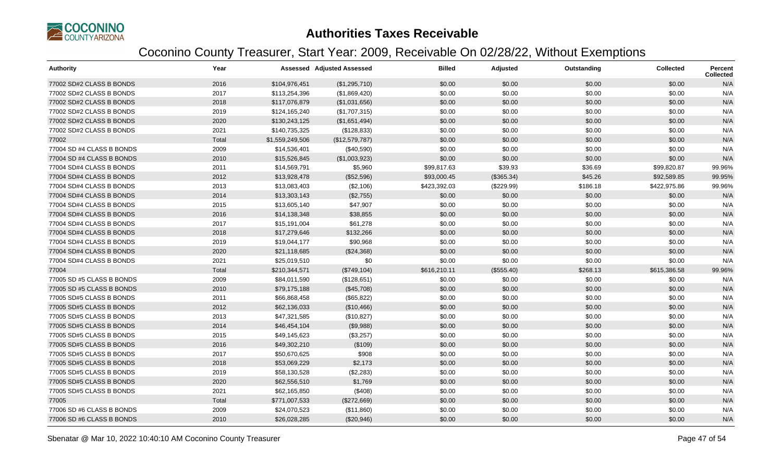

| <b>Authority</b>          | Year  |                 | <b>Assessed Adjusted Assessed</b> | <b>Billed</b> | Adjusted   | Outstanding | <b>Collected</b> | <b>Percent</b><br><b>Collected</b> |
|---------------------------|-------|-----------------|-----------------------------------|---------------|------------|-------------|------------------|------------------------------------|
| 77002 SD#2 CLASS B BONDS  | 2016  | \$104,976,451   | (\$1,295,710)                     | \$0.00        | \$0.00     | \$0.00      | \$0.00           | N/A                                |
| 77002 SD#2 CLASS B BONDS  | 2017  | \$113,254,396   | (\$1,869,420)                     | \$0.00        | \$0.00     | \$0.00      | \$0.00           | N/A                                |
| 77002 SD#2 CLASS B BONDS  | 2018  | \$117,076,879   | (\$1,031,656)                     | \$0.00        | \$0.00     | \$0.00      | \$0.00           | N/A                                |
| 77002 SD#2 CLASS B BONDS  | 2019  | \$124,165,240   | (\$1,707,315)                     | \$0.00        | \$0.00     | \$0.00      | \$0.00           | N/A                                |
| 77002 SD#2 CLASS B BONDS  | 2020  | \$130,243,125   | (\$1,651,494)                     | \$0.00        | \$0.00     | \$0.00      | \$0.00           | N/A                                |
| 77002 SD#2 CLASS B BONDS  | 2021  | \$140,735,325   | (\$128,833)                       | \$0.00        | \$0.00     | \$0.00      | \$0.00           | N/A                                |
| 77002                     | Total | \$1,559,249,506 | (\$12,579,787)                    | \$0.00        | \$0.00     | \$0.00      | \$0.00           | N/A                                |
| 77004 SD #4 CLASS B BONDS | 2009  | \$14,536,401    | (\$40,590)                        | \$0.00        | \$0.00     | \$0.00      | \$0.00           | N/A                                |
| 77004 SD #4 CLASS B BONDS | 2010  | \$15,526,845    | (\$1,003,923)                     | \$0.00        | \$0.00     | \$0.00      | \$0.00           | N/A                                |
| 77004 SD#4 CLASS B BONDS  | 2011  | \$14,569,791    | \$5,960                           | \$99,817.63   | \$39.93    | \$36.69     | \$99,820.87      | 99.96%                             |
| 77004 SD#4 CLASS B BONDS  | 2012  | \$13,928,478    | (\$52,596)                        | \$93,000.45   | (\$365.34) | \$45.26     | \$92,589.85      | 99.95%                             |
| 77004 SD#4 CLASS B BONDS  | 2013  | \$13,083,403    | (\$2,106)                         | \$423,392.03  | (\$229.99) | \$186.18    | \$422,975.86     | 99.96%                             |
| 77004 SD#4 CLASS B BONDS  | 2014  | \$13,303,143    | (\$2,755)                         | \$0.00        | \$0.00     | \$0.00      | \$0.00           | N/A                                |
| 77004 SD#4 CLASS B BONDS  | 2015  | \$13,605,140    | \$47,907                          | \$0.00        | \$0.00     | \$0.00      | \$0.00           | N/A                                |
| 77004 SD#4 CLASS B BONDS  | 2016  | \$14,138,348    | \$38,855                          | \$0.00        | \$0.00     | \$0.00      | \$0.00           | N/A                                |
| 77004 SD#4 CLASS B BONDS  | 2017  | \$15,191,004    | \$61,278                          | \$0.00        | \$0.00     | \$0.00      | \$0.00           | N/A                                |
| 77004 SD#4 CLASS B BONDS  | 2018  | \$17,279,646    | \$132,266                         | \$0.00        | \$0.00     | \$0.00      | \$0.00           | N/A                                |
| 77004 SD#4 CLASS B BONDS  | 2019  | \$19,044,177    | \$90,968                          | \$0.00        | \$0.00     | \$0.00      | \$0.00           | N/A                                |
| 77004 SD#4 CLASS B BONDS  | 2020  | \$21,118,685    | (\$24,368)                        | \$0.00        | \$0.00     | \$0.00      | \$0.00           | N/A                                |
| 77004 SD#4 CLASS B BONDS  | 2021  | \$25,019,510    | \$0                               | \$0.00        | \$0.00     | \$0.00      | \$0.00           | N/A                                |
| 77004                     | Total | \$210,344,571   | (\$749,104)                       | \$616,210.11  | (\$555.40) | \$268.13    | \$615,386.58     | 99.96%                             |
| 77005 SD #5 CLASS B BONDS | 2009  | \$84,011,590    | (\$128,651)                       | \$0.00        | \$0.00     | \$0.00      | \$0.00           | N/A                                |
| 77005 SD #5 CLASS B BONDS | 2010  | \$79,175,188    | (\$45,708)                        | \$0.00        | \$0.00     | \$0.00      | \$0.00           | N/A                                |
| 77005 SD#5 CLASS B BONDS  | 2011  | \$66,868,458    | (\$65,822)                        | \$0.00        | \$0.00     | \$0.00      | \$0.00           | N/A                                |
| 77005 SD#5 CLASS B BONDS  | 2012  | \$62,136,033    | (\$10,466)                        | \$0.00        | \$0.00     | \$0.00      | \$0.00           | N/A                                |
| 77005 SD#5 CLASS B BONDS  | 2013  | \$47,321,585    | (\$10,827)                        | \$0.00        | \$0.00     | \$0.00      | \$0.00           | N/A                                |
| 77005 SD#5 CLASS B BONDS  | 2014  | \$46,454,104    | (\$9,988)                         | \$0.00        | \$0.00     | \$0.00      | \$0.00           | N/A                                |
| 77005 SD#5 CLASS B BONDS  | 2015  | \$49,145,623    | (\$3,257)                         | \$0.00        | \$0.00     | \$0.00      | \$0.00           | N/A                                |
| 77005 SD#5 CLASS B BONDS  | 2016  | \$49,302,210    | (\$109)                           | \$0.00        | \$0.00     | \$0.00      | \$0.00           | N/A                                |
| 77005 SD#5 CLASS B BONDS  | 2017  | \$50,670,625    | \$908                             | \$0.00        | \$0.00     | \$0.00      | \$0.00           | N/A                                |
| 77005 SD#5 CLASS B BONDS  | 2018  | \$53,069,229    | \$2,173                           | \$0.00        | \$0.00     | \$0.00      | \$0.00           | N/A                                |
| 77005 SD#5 CLASS B BONDS  | 2019  | \$58,130,528    | (\$2,283)                         | \$0.00        | \$0.00     | \$0.00      | \$0.00           | N/A                                |
| 77005 SD#5 CLASS B BONDS  | 2020  | \$62,556,510    | \$1,769                           | \$0.00        | \$0.00     | \$0.00      | \$0.00           | N/A                                |
| 77005 SD#5 CLASS B BONDS  | 2021  | \$62,165,850    | (\$408)                           | \$0.00        | \$0.00     | \$0.00      | \$0.00           | N/A                                |
| 77005                     | Total | \$771,007,533   | (\$272,669)                       | \$0.00        | \$0.00     | \$0.00      | \$0.00           | N/A                                |
| 77006 SD #6 CLASS B BONDS | 2009  | \$24,070,523    | (\$11,860)                        | \$0.00        | \$0.00     | \$0.00      | \$0.00           | N/A                                |
| 77006 SD #6 CLASS B BONDS | 2010  | \$26,028,285    | (\$20,946)                        | \$0.00        | \$0.00     | \$0.00      | \$0.00           | N/A                                |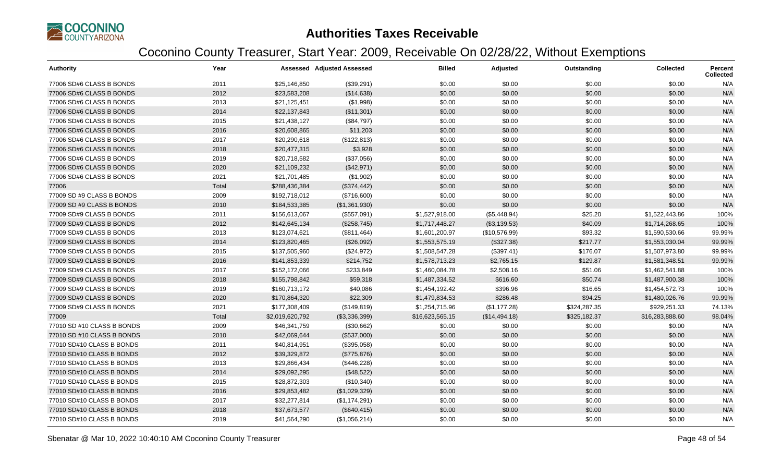

| <b>Authority</b>           | Year  |                 | <b>Assessed Adjusted Assessed</b> | <b>Billed</b>   | Adjusted      | Outstanding  | <b>Collected</b> | <b>Percent</b><br><b>Collected</b> |
|----------------------------|-------|-----------------|-----------------------------------|-----------------|---------------|--------------|------------------|------------------------------------|
| 77006 SD#6 CLASS B BONDS   | 2011  | \$25,146,850    | (\$39,291)                        | \$0.00          | \$0.00        | \$0.00       | \$0.00           | N/A                                |
| 77006 SD#6 CLASS B BONDS   | 2012  | \$23,583,208    | (\$14,638)                        | \$0.00          | \$0.00        | \$0.00       | \$0.00           | N/A                                |
| 77006 SD#6 CLASS B BONDS   | 2013  | \$21,125,451    | (\$1,998)                         | \$0.00          | \$0.00        | \$0.00       | \$0.00           | N/A                                |
| 77006 SD#6 CLASS B BONDS   | 2014  | \$22,137,843    | (\$11,301)                        | \$0.00          | \$0.00        | \$0.00       | \$0.00           | N/A                                |
| 77006 SD#6 CLASS B BONDS   | 2015  | \$21,438,127    | (\$84,797)                        | \$0.00          | \$0.00        | \$0.00       | \$0.00           | N/A                                |
| 77006 SD#6 CLASS B BONDS   | 2016  | \$20,608,865    | \$11,203                          | \$0.00          | \$0.00        | \$0.00       | \$0.00           | N/A                                |
| 77006 SD#6 CLASS B BONDS   | 2017  | \$20,290,618    | (\$122,813)                       | \$0.00          | \$0.00        | \$0.00       | \$0.00           | N/A                                |
| 77006 SD#6 CLASS B BONDS   | 2018  | \$20,477,315    | \$3,928                           | \$0.00          | \$0.00        | \$0.00       | \$0.00           | N/A                                |
| 77006 SD#6 CLASS B BONDS   | 2019  | \$20,718,582    | (\$37,056)                        | \$0.00          | \$0.00        | \$0.00       | \$0.00           | N/A                                |
| 77006 SD#6 CLASS B BONDS   | 2020  | \$21,109,232    | (\$42,971)                        | \$0.00          | \$0.00        | \$0.00       | \$0.00           | N/A                                |
| 77006 SD#6 CLASS B BONDS   | 2021  | \$21,701,485    | (\$1,902)                         | \$0.00          | \$0.00        | \$0.00       | \$0.00           | N/A                                |
| 77006                      | Total | \$288,436,384   | (\$374,442)                       | \$0.00          | \$0.00        | \$0.00       | \$0.00           | N/A                                |
| 77009 SD #9 CLASS B BONDS  | 2009  | \$192,718,012   | (\$716,600)                       | \$0.00          | \$0.00        | \$0.00       | \$0.00           | N/A                                |
| 77009 SD #9 CLASS B BONDS  | 2010  | \$184,533,385   | (\$1,361,930)                     | \$0.00          | \$0.00        | \$0.00       | \$0.00           | N/A                                |
| 77009 SD#9 CLASS B BONDS   | 2011  | \$156,613,067   | (\$557,091)                       | \$1,527,918.00  | (\$5,448.94)  | \$25.20      | \$1,522,443.86   | 100%                               |
| 77009 SD#9 CLASS B BONDS   | 2012  | \$142,645,134   | (\$258,745)                       | \$1,717,448.27  | (\$3,139.53)  | \$40.09      | \$1,714,268.65   | 100%                               |
| 77009 SD#9 CLASS B BONDS   | 2013  | \$123,074,621   | (\$811,464)                       | \$1,601,200.97  | (\$10,576.99) | \$93.32      | \$1,590,530.66   | 99.99%                             |
| 77009 SD#9 CLASS B BONDS   | 2014  | \$123,820,465   | (\$26,092)                        | \$1,553,575.19  | (\$327.38)    | \$217.77     | \$1,553,030.04   | 99.99%                             |
| 77009 SD#9 CLASS B BONDS   | 2015  | \$137,505,960   | (\$24,972)                        | \$1,508,547.28  | (\$397.41)    | \$176.07     | \$1,507,973.80   | 99.99%                             |
| 77009 SD#9 CLASS B BONDS   | 2016  | \$141,853,339   | \$214,752                         | \$1,578,713.23  | \$2,765.15    | \$129.87     | \$1,581,348.51   | 99.99%                             |
| 77009 SD#9 CLASS B BONDS   | 2017  | \$152,172,066   | \$233,849                         | \$1,460,084.78  | \$2,508.16    | \$51.06      | \$1,462,541.88   | 100%                               |
| 77009 SD#9 CLASS B BONDS   | 2018  | \$155,798,842   | \$59,318                          | \$1,487,334.52  | \$616.60      | \$50.74      | \$1,487,900.38   | 100%                               |
| 77009 SD#9 CLASS B BONDS   | 2019  | \$160,713,172   | \$40,086                          | \$1,454,192.42  | \$396.96      | \$16.65      | \$1,454,572.73   | 100%                               |
| 77009 SD#9 CLASS B BONDS   | 2020  | \$170,864,320   | \$22,309                          | \$1,479,834.53  | \$286.48      | \$94.25      | \$1,480,026.76   | 99.99%                             |
| 77009 SD#9 CLASS B BONDS   | 2021  | \$177,308,409   | (\$149, 819)                      | \$1,254,715.96  | (\$1,177.28)  | \$324,287.35 | \$929,251.33     | 74.13%                             |
| 77009                      | Total | \$2,019,620,792 | (\$3,336,399)                     | \$16,623,565.15 | (\$14,494.18) | \$325,182.37 | \$16,283,888.60  | 98.04%                             |
| 77010 SD #10 CLASS B BONDS | 2009  | \$46,341,759    | (\$30,662)                        | \$0.00          | \$0.00        | \$0.00       | \$0.00           | N/A                                |
| 77010 SD #10 CLASS B BONDS | 2010  | \$42,069,644    | (\$537,000)                       | \$0.00          | \$0.00        | \$0.00       | \$0.00           | N/A                                |
| 77010 SD#10 CLASS B BONDS  | 2011  | \$40,814,951    | (\$395,058)                       | \$0.00          | \$0.00        | \$0.00       | \$0.00           | N/A                                |
| 77010 SD#10 CLASS B BONDS  | 2012  | \$39,329,872    | (\$775,876)                       | \$0.00          | \$0.00        | \$0.00       | \$0.00           | N/A                                |
| 77010 SD#10 CLASS B BONDS  | 2013  | \$29,866,434    | (\$446,228)                       | \$0.00          | \$0.00        | \$0.00       | \$0.00           | N/A                                |
| 77010 SD#10 CLASS B BONDS  | 2014  | \$29,092,295    | (\$48,522)                        | \$0.00          | \$0.00        | \$0.00       | \$0.00           | N/A                                |
| 77010 SD#10 CLASS B BONDS  | 2015  | \$28,872,303    | (\$10,340)                        | \$0.00          | \$0.00        | \$0.00       | \$0.00           | N/A                                |
| 77010 SD#10 CLASS B BONDS  | 2016  | \$29,853,482    | (\$1,029,329)                     | \$0.00          | \$0.00        | \$0.00       | \$0.00           | N/A                                |
| 77010 SD#10 CLASS B BONDS  | 2017  | \$32,277,814    | (\$1,174,291)                     | \$0.00          | \$0.00        | \$0.00       | \$0.00           | N/A                                |
| 77010 SD#10 CLASS B BONDS  | 2018  | \$37,673,577    | (\$640, 415)                      | \$0.00          | \$0.00        | \$0.00       | \$0.00           | N/A                                |
| 77010 SD#10 CLASS B BONDS  | 2019  | \$41,564,290    | (\$1,056,214)                     | \$0.00          | \$0.00        | \$0.00       | \$0.00           | N/A                                |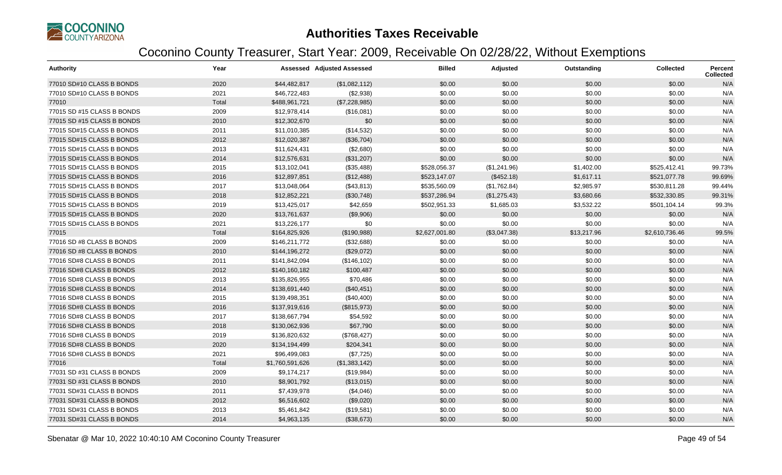

| <b>Authority</b>           | Year  |                 | <b>Assessed Adjusted Assessed</b> | <b>Billed</b>  | Adjusted     | Outstanding | <b>Collected</b> | <b>Percent</b><br><b>Collected</b> |
|----------------------------|-------|-----------------|-----------------------------------|----------------|--------------|-------------|------------------|------------------------------------|
| 77010 SD#10 CLASS B BONDS  | 2020  | \$44,482,817    | (\$1,082,112)                     | \$0.00         | \$0.00       | \$0.00      | \$0.00           | N/A                                |
| 77010 SD#10 CLASS B BONDS  | 2021  | \$46,722,483    | (\$2,938)                         | \$0.00         | \$0.00       | \$0.00      | \$0.00           | N/A                                |
| 77010                      | Total | \$488,961,721   | (\$7,228,985)                     | \$0.00         | \$0.00       | \$0.00      | \$0.00           | N/A                                |
| 77015 SD #15 CLASS B BONDS | 2009  | \$12,978,414    | (\$16,081)                        | \$0.00         | \$0.00       | \$0.00      | \$0.00           | N/A                                |
| 77015 SD #15 CLASS B BONDS | 2010  | \$12,302,670    | \$0                               | \$0.00         | \$0.00       | \$0.00      | \$0.00           | N/A                                |
| 77015 SD#15 CLASS B BONDS  | 2011  | \$11,010,385    | (\$14,532)                        | \$0.00         | \$0.00       | \$0.00      | \$0.00           | N/A                                |
| 77015 SD#15 CLASS B BONDS  | 2012  | \$12,020,387    | (\$36,704)                        | \$0.00         | \$0.00       | \$0.00      | \$0.00           | N/A                                |
| 77015 SD#15 CLASS B BONDS  | 2013  | \$11,624,431    | (\$2,680)                         | \$0.00         | \$0.00       | \$0.00      | \$0.00           | N/A                                |
| 77015 SD#15 CLASS B BONDS  | 2014  | \$12,576,631    | (\$31,207)                        | \$0.00         | \$0.00       | \$0.00      | \$0.00           | N/A                                |
| 77015 SD#15 CLASS B BONDS  | 2015  | \$13,102,041    | (\$35,488)                        | \$528,056.37   | (\$1,241.96) | \$1,402.00  | \$525,412.41     | 99.73%                             |
| 77015 SD#15 CLASS B BONDS  | 2016  | \$12,897,851    | (\$12,488)                        | \$523,147.07   | (\$452.18)   | \$1,617.11  | \$521,077.78     | 99.69%                             |
| 77015 SD#15 CLASS B BONDS  | 2017  | \$13,048,064    | (\$43,813)                        | \$535,560.09   | (\$1,762.84) | \$2,985.97  | \$530,811.28     | 99.44%                             |
| 77015 SD#15 CLASS B BONDS  | 2018  | \$12,852,221    | (\$30,748)                        | \$537,286.94   | (\$1,275.43) | \$3,680.66  | \$532,330.85     | 99.31%                             |
| 77015 SD#15 CLASS B BONDS  | 2019  | \$13,425,017    | \$42,659                          | \$502,951.33   | \$1,685.03   | \$3,532.22  | \$501,104.14     | 99.3%                              |
| 77015 SD#15 CLASS B BONDS  | 2020  | \$13,761,637    | (\$9,906)                         | \$0.00         | \$0.00       | \$0.00      | \$0.00           | N/A                                |
| 77015 SD#15 CLASS B BONDS  | 2021  | \$13,226,177    | \$0                               | \$0.00         | \$0.00       | \$0.00      | \$0.00           | N/A                                |
| 77015                      | Total | \$164,825,926   | (\$190,988)                       | \$2,627,001.80 | (\$3,047.38) | \$13,217.96 | \$2,610,736.46   | 99.5%                              |
| 77016 SD #8 CLASS B BONDS  | 2009  | \$146,211,772   | (\$32,688)                        | \$0.00         | \$0.00       | \$0.00      | \$0.00           | N/A                                |
| 77016 SD #8 CLASS B BONDS  | 2010  | \$144,196,272   | (\$29,072)                        | \$0.00         | \$0.00       | \$0.00      | \$0.00           | N/A                                |
| 77016 SD#8 CLASS B BONDS   | 2011  | \$141,842,094   | (\$146, 102)                      | \$0.00         | \$0.00       | \$0.00      | \$0.00           | N/A                                |
| 77016 SD#8 CLASS B BONDS   | 2012  | \$140,160,182   | \$100,487                         | \$0.00         | \$0.00       | \$0.00      | \$0.00           | N/A                                |
| 77016 SD#8 CLASS B BONDS   | 2013  | \$135,826,955   | \$70,486                          | \$0.00         | \$0.00       | \$0.00      | \$0.00           | N/A                                |
| 77016 SD#8 CLASS B BONDS   | 2014  | \$138,691,440   | (\$40,451)                        | \$0.00         | \$0.00       | \$0.00      | \$0.00           | N/A                                |
| 77016 SD#8 CLASS B BONDS   | 2015  | \$139,498,351   | (\$40,400)                        | \$0.00         | \$0.00       | \$0.00      | \$0.00           | N/A                                |
| 77016 SD#8 CLASS B BONDS   | 2016  | \$137,919,616   | (\$815,973)                       | \$0.00         | \$0.00       | \$0.00      | \$0.00           | N/A                                |
| 77016 SD#8 CLASS B BONDS   | 2017  | \$138,667,794   | \$54,592                          | \$0.00         | \$0.00       | \$0.00      | \$0.00           | N/A                                |
| 77016 SD#8 CLASS B BONDS   | 2018  | \$130,062,936   | \$67,790                          | \$0.00         | \$0.00       | \$0.00      | \$0.00           | N/A                                |
| 77016 SD#8 CLASS B BONDS   | 2019  | \$136,820,632   | (\$768,427)                       | \$0.00         | \$0.00       | \$0.00      | \$0.00           | N/A                                |
| 77016 SD#8 CLASS B BONDS   | 2020  | \$134,194,499   | \$204,341                         | \$0.00         | \$0.00       | \$0.00      | \$0.00           | N/A                                |
| 77016 SD#8 CLASS B BONDS   | 2021  | \$96,499,083    | (\$7,725)                         | \$0.00         | \$0.00       | \$0.00      | \$0.00           | N/A                                |
| 77016                      | Total | \$1,760,591,626 | (\$1,383,142)                     | \$0.00         | \$0.00       | \$0.00      | \$0.00           | N/A                                |
| 77031 SD #31 CLASS B BONDS | 2009  | \$9,174,217     | (\$19,984)                        | \$0.00         | \$0.00       | \$0.00      | \$0.00           | N/A                                |
| 77031 SD #31 CLASS B BONDS | 2010  | \$8,901,792     | (\$13,015)                        | \$0.00         | \$0.00       | \$0.00      | \$0.00           | N/A                                |
| 77031 SD#31 CLASS B BONDS  | 2011  | \$7,439,978     | (\$4,046)                         | \$0.00         | \$0.00       | \$0.00      | \$0.00           | N/A                                |
| 77031 SD#31 CLASS B BONDS  | 2012  | \$6,516,602     | (\$9,020)                         | \$0.00         | \$0.00       | \$0.00      | \$0.00           | N/A                                |
| 77031 SD#31 CLASS B BONDS  | 2013  | \$5,461,842     | (\$19,581)                        | \$0.00         | \$0.00       | \$0.00      | \$0.00           | N/A                                |
| 77031 SD#31 CLASS B BONDS  | 2014  | \$4,963,135     | (\$38,673)                        | \$0.00         | \$0.00       | \$0.00      | \$0.00           | N/A                                |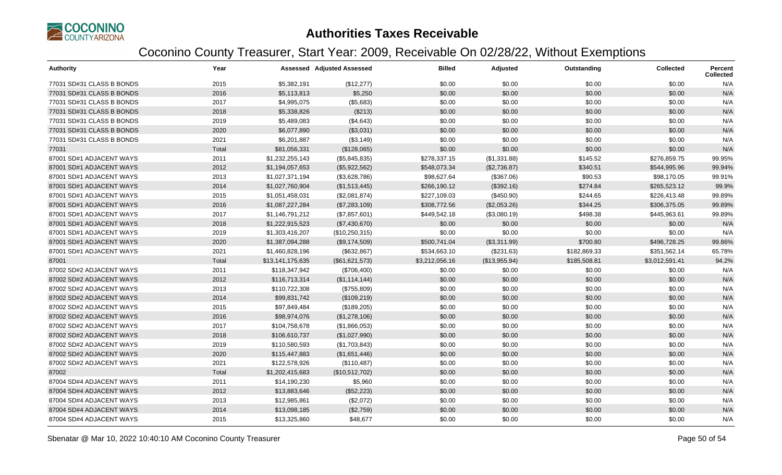

| <b>Authority</b>          | Year  |                  | <b>Assessed Adjusted Assessed</b> | <b>Billed</b>  | Adjusted      | Outstanding  | <b>Collected</b> | Percent<br><b>Collected</b> |
|---------------------------|-------|------------------|-----------------------------------|----------------|---------------|--------------|------------------|-----------------------------|
| 77031 SD#31 CLASS B BONDS | 2015  | \$5,382,191      | (\$12,277)                        | \$0.00         | \$0.00        | \$0.00       | \$0.00           | N/A                         |
| 77031 SD#31 CLASS B BONDS | 2016  | \$5,113,813      | \$5,250                           | \$0.00         | \$0.00        | \$0.00       | \$0.00           | N/A                         |
| 77031 SD#31 CLASS B BONDS | 2017  | \$4,995,075      | (\$5,683)                         | \$0.00         | \$0.00        | \$0.00       | \$0.00           | N/A                         |
| 77031 SD#31 CLASS B BONDS | 2018  | \$5,338,826      | (\$213)                           | \$0.00         | \$0.00        | \$0.00       | \$0.00           | N/A                         |
| 77031 SD#31 CLASS B BONDS | 2019  | \$5,489,083      | (\$4,643)                         | \$0.00         | \$0.00        | \$0.00       | \$0.00           | N/A                         |
| 77031 SD#31 CLASS B BONDS | 2020  | \$6,077,890      | (\$3,031)                         | \$0.00         | \$0.00        | \$0.00       | \$0.00           | N/A                         |
| 77031 SD#31 CLASS B BONDS | 2021  | \$6,201,887      | (\$3,149)                         | \$0.00         | \$0.00        | \$0.00       | \$0.00           | N/A                         |
| 77031                     | Total | \$81,056,331     | (\$128,065)                       | \$0.00         | \$0.00        | \$0.00       | \$0.00           | N/A                         |
| 87001 SD#1 ADJACENT WAYS  | 2011  | \$1,232,255,143  | (\$5,845,835)                     | \$278,337.15   | (\$1,331.88)  | \$145.52     | \$276,859.75     | 99.95%                      |
| 87001 SD#1 ADJACENT WAYS  | 2012  | \$1,194,057,653  | (\$5,922,562)                     | \$548,073.34   | (\$2,736.87)  | \$340.51     | \$544,995.96     | 99.94%                      |
| 87001 SD#1 ADJACENT WAYS  | 2013  | \$1,027,371,194  | (\$3,628,786)                     | \$98,627.64    | (\$367.06)    | \$90.53      | \$98,170.05      | 99.91%                      |
| 87001 SD#1 ADJACENT WAYS  | 2014  | \$1,027,760,904  | (\$1,513,445)                     | \$266,190.12   | (\$392.16)    | \$274.84     | \$265,523.12     | 99.9%                       |
| 87001 SD#1 ADJACENT WAYS  | 2015  | \$1,051,458,031  | (\$2,081,874)                     | \$227,109.03   | (\$450.90)    | \$244.65     | \$226,413.48     | 99.89%                      |
| 87001 SD#1 ADJACENT WAYS  | 2016  | \$1,087,227,284  | (\$7,283,109)                     | \$308,772.56   | (\$2,053.26)  | \$344.25     | \$306,375.05     | 99.89%                      |
| 87001 SD#1 ADJACENT WAYS  | 2017  | \$1,146,791,212  | (\$7,857,601)                     | \$449,542.18   | (\$3,080.19)  | \$498.38     | \$445,963.61     | 99.89%                      |
| 87001 SD#1 ADJACENT WAYS  | 2018  | \$1,222,915,523  | (\$7,430,670)                     | \$0.00         | \$0.00        | \$0.00       | \$0.00           | N/A                         |
| 87001 SD#1 ADJACENT WAYS  | 2019  | \$1,303,416,207  | (\$10,250,315)                    | \$0.00         | \$0.00        | \$0.00       | \$0.00           | N/A                         |
| 87001 SD#1 ADJACENT WAYS  | 2020  | \$1,387,094,288  | (\$9,174,509)                     | \$500,741.04   | (\$3,311.99)  | \$700.80     | \$496,728.25     | 99.86%                      |
| 87001 SD#1 ADJACENT WAYS  | 2021  | \$1,460,828,196  | (\$632, 867)                      | \$534,663.10   | (\$231.63)    | \$182,869.33 | \$351,562.14     | 65.78%                      |
| 87001                     | Total | \$13,141,175,635 | (\$61,621,573)                    | \$3,212,056.16 | (\$13,955.94) | \$185,508.81 | \$3,012,591.41   | 94.2%                       |
| 87002 SD#2 ADJACENT WAYS  | 2011  | \$118,347,942    | (\$706,400)                       | \$0.00         | \$0.00        | \$0.00       | \$0.00           | N/A                         |
| 87002 SD#2 ADJACENT WAYS  | 2012  | \$116,713,314    | (\$1,114,144)                     | \$0.00         | \$0.00        | \$0.00       | \$0.00           | N/A                         |
| 87002 SD#2 ADJACENT WAYS  | 2013  | \$110,722,308    | (\$755,809)                       | \$0.00         | \$0.00        | \$0.00       | \$0.00           | N/A                         |
| 87002 SD#2 ADJACENT WAYS  | 2014  | \$99,831,742     | (\$109,219)                       | \$0.00         | \$0.00        | \$0.00       | \$0.00           | N/A                         |
| 87002 SD#2 ADJACENT WAYS  | 2015  | \$97,849,484     | (\$189,205)                       | \$0.00         | \$0.00        | \$0.00       | \$0.00           | N/A                         |
| 87002 SD#2 ADJACENT WAYS  | 2016  | \$98,974,076     | (\$1,278,106)                     | \$0.00         | \$0.00        | \$0.00       | \$0.00           | N/A                         |
| 87002 SD#2 ADJACENT WAYS  | 2017  | \$104,758,678    | (\$1,866,053)                     | \$0.00         | \$0.00        | \$0.00       | \$0.00           | N/A                         |
| 87002 SD#2 ADJACENT WAYS  | 2018  | \$106,610,737    | (\$1,027,990)                     | \$0.00         | \$0.00        | \$0.00       | \$0.00           | N/A                         |
| 87002 SD#2 ADJACENT WAYS  | 2019  | \$110,580,593    | (\$1,703,843)                     | \$0.00         | \$0.00        | \$0.00       | \$0.00           | N/A                         |
| 87002 SD#2 ADJACENT WAYS  | 2020  | \$115,447,883    | (\$1,651,446)                     | \$0.00         | \$0.00        | \$0.00       | \$0.00           | N/A                         |
| 87002 SD#2 ADJACENT WAYS  | 2021  | \$122,578,926    | (\$110,487)                       | \$0.00         | \$0.00        | \$0.00       | \$0.00           | N/A                         |
| 87002                     | Total | \$1,202,415,683  | (\$10,512,702)                    | \$0.00         | \$0.00        | \$0.00       | \$0.00           | N/A                         |
| 87004 SD#4 ADJACENT WAYS  | 2011  | \$14,190,230     | \$5,960                           | \$0.00         | \$0.00        | \$0.00       | \$0.00           | N/A                         |
| 87004 SD#4 ADJACENT WAYS  | 2012  | \$13,883,646     | (\$52,223)                        | \$0.00         | \$0.00        | \$0.00       | \$0.00           | N/A                         |
| 87004 SD#4 ADJACENT WAYS  | 2013  | \$12,985,861     | (\$2,072)                         | \$0.00         | \$0.00        | \$0.00       | \$0.00           | N/A                         |
| 87004 SD#4 ADJACENT WAYS  | 2014  | \$13,098,185     | (\$2,759)                         | \$0.00         | \$0.00        | \$0.00       | \$0.00           | N/A                         |
| 87004 SD#4 ADJACENT WAYS  | 2015  | \$13,325,860     | \$48,677                          | \$0.00         | \$0.00        | \$0.00       | \$0.00           | N/A                         |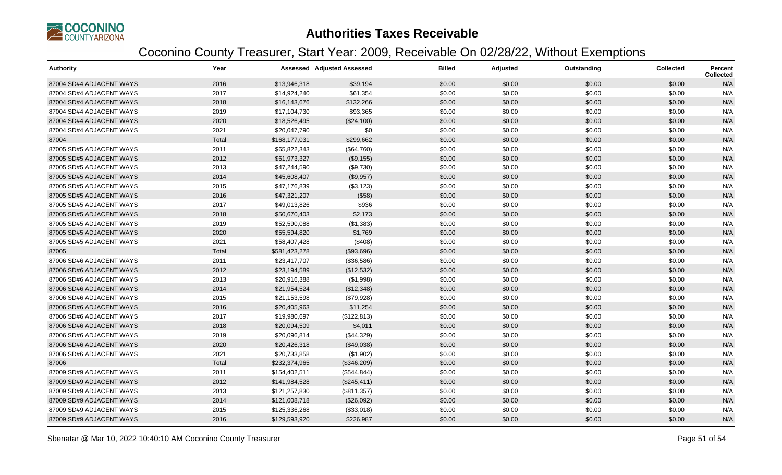

| <b>Authority</b>         | Year  |               | <b>Assessed Adjusted Assessed</b> | <b>Billed</b> | Adjusted | Outstanding | <b>Collected</b> | <b>Percent</b><br><b>Collected</b> |
|--------------------------|-------|---------------|-----------------------------------|---------------|----------|-------------|------------------|------------------------------------|
| 87004 SD#4 ADJACENT WAYS | 2016  | \$13,946,318  | \$39,194                          | \$0.00        | \$0.00   | \$0.00      | \$0.00           | N/A                                |
| 87004 SD#4 ADJACENT WAYS | 2017  | \$14,924,240  | \$61,354                          | \$0.00        | \$0.00   | \$0.00      | \$0.00           | N/A                                |
| 87004 SD#4 ADJACENT WAYS | 2018  | \$16,143,676  | \$132,266                         | \$0.00        | \$0.00   | \$0.00      | \$0.00           | N/A                                |
| 87004 SD#4 ADJACENT WAYS | 2019  | \$17,104,730  | \$93,365                          | \$0.00        | \$0.00   | \$0.00      | \$0.00           | N/A                                |
| 87004 SD#4 ADJACENT WAYS | 2020  | \$18,526,495  | (\$24,100)                        | \$0.00        | \$0.00   | \$0.00      | \$0.00           | N/A                                |
| 87004 SD#4 ADJACENT WAYS | 2021  | \$20,047,790  | \$0                               | \$0.00        | \$0.00   | \$0.00      | \$0.00           | N/A                                |
| 87004                    | Total | \$168,177,031 | \$299,662                         | \$0.00        | \$0.00   | \$0.00      | \$0.00           | N/A                                |
| 87005 SD#5 ADJACENT WAYS | 2011  | \$65,822,343  | (\$64,760)                        | \$0.00        | \$0.00   | \$0.00      | \$0.00           | N/A                                |
| 87005 SD#5 ADJACENT WAYS | 2012  | \$61,973,327  | (\$9,155)                         | \$0.00        | \$0.00   | \$0.00      | \$0.00           | N/A                                |
| 87005 SD#5 ADJACENT WAYS | 2013  | \$47,244,590  | (\$9,730)                         | \$0.00        | \$0.00   | \$0.00      | \$0.00           | N/A                                |
| 87005 SD#5 ADJACENT WAYS | 2014  | \$45,608,407  | (\$9,957)                         | \$0.00        | \$0.00   | \$0.00      | \$0.00           | N/A                                |
| 87005 SD#5 ADJACENT WAYS | 2015  | \$47,176,839  | (\$3,123)                         | \$0.00        | \$0.00   | \$0.00      | \$0.00           | N/A                                |
| 87005 SD#5 ADJACENT WAYS | 2016  | \$47,321,207  | (\$58)                            | \$0.00        | \$0.00   | \$0.00      | \$0.00           | N/A                                |
| 87005 SD#5 ADJACENT WAYS | 2017  | \$49,013,826  | \$936                             | \$0.00        | \$0.00   | \$0.00      | \$0.00           | N/A                                |
| 87005 SD#5 ADJACENT WAYS | 2018  | \$50,670,403  | \$2,173                           | \$0.00        | \$0.00   | \$0.00      | \$0.00           | N/A                                |
| 87005 SD#5 ADJACENT WAYS | 2019  | \$52,590,088  | (\$1,383)                         | \$0.00        | \$0.00   | \$0.00      | \$0.00           | N/A                                |
| 87005 SD#5 ADJACENT WAYS | 2020  | \$55,594,820  | \$1,769                           | \$0.00        | \$0.00   | \$0.00      | \$0.00           | N/A                                |
| 87005 SD#5 ADJACENT WAYS | 2021  | \$58,407,428  | (\$408)                           | \$0.00        | \$0.00   | \$0.00      | \$0.00           | N/A                                |
| 87005                    | Total | \$581,423,278 | (\$93,696)                        | \$0.00        | \$0.00   | \$0.00      | \$0.00           | N/A                                |
| 87006 SD#6 ADJACENT WAYS | 2011  | \$23,417,707  | (\$36,586)                        | \$0.00        | \$0.00   | \$0.00      | \$0.00           | N/A                                |
| 87006 SD#6 ADJACENT WAYS | 2012  | \$23,194,589  | (\$12,532)                        | \$0.00        | \$0.00   | \$0.00      | \$0.00           | N/A                                |
| 87006 SD#6 ADJACENT WAYS | 2013  | \$20,916,388  | (\$1,998)                         | \$0.00        | \$0.00   | \$0.00      | \$0.00           | N/A                                |
| 87006 SD#6 ADJACENT WAYS | 2014  | \$21,954,524  | (\$12,348)                        | \$0.00        | \$0.00   | \$0.00      | \$0.00           | N/A                                |
| 87006 SD#6 ADJACENT WAYS | 2015  | \$21,153,598  | (\$79,928)                        | \$0.00        | \$0.00   | \$0.00      | \$0.00           | N/A                                |
| 87006 SD#6 ADJACENT WAYS | 2016  | \$20,405,963  | \$11,254                          | \$0.00        | \$0.00   | \$0.00      | \$0.00           | N/A                                |
| 87006 SD#6 ADJACENT WAYS | 2017  | \$19,980,697  | (\$122,813)                       | \$0.00        | \$0.00   | \$0.00      | \$0.00           | N/A                                |
| 87006 SD#6 ADJACENT WAYS | 2018  | \$20,094,509  | \$4,011                           | \$0.00        | \$0.00   | \$0.00      | \$0.00           | N/A                                |
| 87006 SD#6 ADJACENT WAYS | 2019  | \$20,096,814  | (\$44,329)                        | \$0.00        | \$0.00   | \$0.00      | \$0.00           | N/A                                |
| 87006 SD#6 ADJACENT WAYS | 2020  | \$20,426,318  | (\$49,038)                        | \$0.00        | \$0.00   | \$0.00      | \$0.00           | N/A                                |
| 87006 SD#6 ADJACENT WAYS | 2021  | \$20,733,858  | (\$1,902)                         | \$0.00        | \$0.00   | \$0.00      | \$0.00           | N/A                                |
| 87006                    | Total | \$232,374,965 | (\$346,209)                       | \$0.00        | \$0.00   | \$0.00      | \$0.00           | N/A                                |
| 87009 SD#9 ADJACENT WAYS | 2011  | \$154,402,511 | (\$544, 844)                      | \$0.00        | \$0.00   | \$0.00      | \$0.00           | N/A                                |
| 87009 SD#9 ADJACENT WAYS | 2012  | \$141,984,528 | (\$245,411)                       | \$0.00        | \$0.00   | \$0.00      | \$0.00           | N/A                                |
| 87009 SD#9 ADJACENT WAYS | 2013  | \$121,257,830 | (\$811,357)                       | \$0.00        | \$0.00   | \$0.00      | \$0.00           | N/A                                |
| 87009 SD#9 ADJACENT WAYS | 2014  | \$121,008,718 | (\$26,092)                        | \$0.00        | \$0.00   | \$0.00      | \$0.00           | N/A                                |
| 87009 SD#9 ADJACENT WAYS | 2015  | \$125,336,268 | (\$33,018)                        | \$0.00        | \$0.00   | \$0.00      | \$0.00           | N/A                                |
| 87009 SD#9 ADJACENT WAYS | 2016  | \$129,593,920 | \$226,987                         | \$0.00        | \$0.00   | \$0.00      | \$0.00           | N/A                                |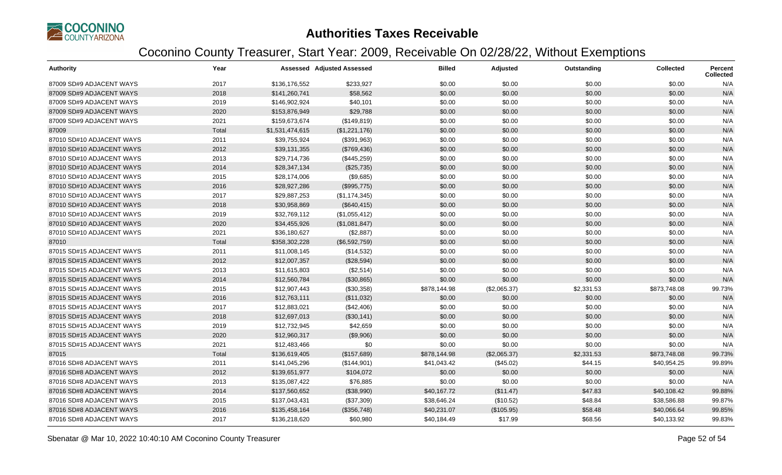

| <b>Authority</b>          | Year  |                 | <b>Assessed Adjusted Assessed</b> | <b>Billed</b> | Adjusted     | Outstanding | <b>Collected</b> | Percent<br><b>Collected</b> |
|---------------------------|-------|-----------------|-----------------------------------|---------------|--------------|-------------|------------------|-----------------------------|
| 87009 SD#9 ADJACENT WAYS  | 2017  | \$136,176,552   | \$233,927                         | \$0.00        | \$0.00       | \$0.00      | \$0.00           | N/A                         |
| 87009 SD#9 ADJACENT WAYS  | 2018  | \$141,260,741   | \$58,562                          | \$0.00        | \$0.00       | \$0.00      | \$0.00           | N/A                         |
| 87009 SD#9 ADJACENT WAYS  | 2019  | \$146,902,924   | \$40,101                          | \$0.00        | \$0.00       | \$0.00      | \$0.00           | N/A                         |
| 87009 SD#9 ADJACENT WAYS  | 2020  | \$153,876,949   | \$29,788                          | \$0.00        | \$0.00       | \$0.00      | \$0.00           | N/A                         |
| 87009 SD#9 ADJACENT WAYS  | 2021  | \$159,673,674   | (\$149, 819)                      | \$0.00        | \$0.00       | \$0.00      | \$0.00           | N/A                         |
| 87009                     | Total | \$1,531,474,615 | (\$1,221,176)                     | \$0.00        | \$0.00       | \$0.00      | \$0.00           | N/A                         |
| 87010 SD#10 ADJACENT WAYS | 2011  | \$39,755,924    | (\$391,963)                       | \$0.00        | \$0.00       | \$0.00      | \$0.00           | N/A                         |
| 87010 SD#10 ADJACENT WAYS | 2012  | \$39,131,355    | (\$769,436)                       | \$0.00        | \$0.00       | \$0.00      | \$0.00           | N/A                         |
| 87010 SD#10 ADJACENT WAYS | 2013  | \$29,714,736    | (\$445,259)                       | \$0.00        | \$0.00       | \$0.00      | \$0.00           | N/A                         |
| 87010 SD#10 ADJACENT WAYS | 2014  | \$28,347,134    | (\$25,735)                        | \$0.00        | \$0.00       | \$0.00      | \$0.00           | N/A                         |
| 87010 SD#10 ADJACENT WAYS | 2015  | \$28,174,006    | (\$9,685)                         | \$0.00        | \$0.00       | \$0.00      | \$0.00           | N/A                         |
| 87010 SD#10 ADJACENT WAYS | 2016  | \$28,927,286    | (\$995,775)                       | \$0.00        | \$0.00       | \$0.00      | \$0.00           | N/A                         |
| 87010 SD#10 ADJACENT WAYS | 2017  | \$29,887,253    | (\$1,174,345)                     | \$0.00        | \$0.00       | \$0.00      | \$0.00           | N/A                         |
| 87010 SD#10 ADJACENT WAYS | 2018  | \$30,958,869    | (\$640, 415)                      | \$0.00        | \$0.00       | \$0.00      | \$0.00           | N/A                         |
| 87010 SD#10 ADJACENT WAYS | 2019  | \$32,769,112    | (\$1,055,412)                     | \$0.00        | \$0.00       | \$0.00      | \$0.00           | N/A                         |
| 87010 SD#10 ADJACENT WAYS | 2020  | \$34,455,926    | (\$1,081,847)                     | \$0.00        | \$0.00       | \$0.00      | \$0.00           | N/A                         |
| 87010 SD#10 ADJACENT WAYS | 2021  | \$36,180,627    | (\$2,887)                         | \$0.00        | \$0.00       | \$0.00      | \$0.00           | N/A                         |
| 87010                     | Total | \$358,302,228   | (\$6,592,759)                     | \$0.00        | \$0.00       | \$0.00      | \$0.00           | N/A                         |
| 87015 SD#15 ADJACENT WAYS | 2011  | \$11,008,145    | (\$14,532)                        | \$0.00        | \$0.00       | \$0.00      | \$0.00           | N/A                         |
| 87015 SD#15 ADJACENT WAYS | 2012  | \$12,007,357    | (\$28,594)                        | \$0.00        | \$0.00       | \$0.00      | \$0.00           | N/A                         |
| 87015 SD#15 ADJACENT WAYS | 2013  | \$11,615,803    | (\$2,514)                         | \$0.00        | \$0.00       | \$0.00      | \$0.00           | N/A                         |
| 87015 SD#15 ADJACENT WAYS | 2014  | \$12,560,784    | (\$30,865)                        | \$0.00        | \$0.00       | \$0.00      | \$0.00           | N/A                         |
| 87015 SD#15 ADJACENT WAYS | 2015  | \$12,907,443    | (\$30,358)                        | \$878,144.98  | (\$2,065.37) | \$2,331.53  | \$873,748.08     | 99.73%                      |
| 87015 SD#15 ADJACENT WAYS | 2016  | \$12,763,111    | (\$11,032)                        | \$0.00        | \$0.00       | \$0.00      | \$0.00           | N/A                         |
| 87015 SD#15 ADJACENT WAYS | 2017  | \$12,883,021    | (\$42,406)                        | \$0.00        | \$0.00       | \$0.00      | \$0.00           | N/A                         |
| 87015 SD#15 ADJACENT WAYS | 2018  | \$12,697,013    | (\$30,141)                        | \$0.00        | \$0.00       | \$0.00      | \$0.00           | N/A                         |
| 87015 SD#15 ADJACENT WAYS | 2019  | \$12,732,945    | \$42,659                          | \$0.00        | \$0.00       | \$0.00      | \$0.00           | N/A                         |
| 87015 SD#15 ADJACENT WAYS | 2020  | \$12,960,317    | (\$9,906)                         | \$0.00        | \$0.00       | \$0.00      | \$0.00           | N/A                         |
| 87015 SD#15 ADJACENT WAYS | 2021  | \$12,483,466    | \$0                               | \$0.00        | \$0.00       | \$0.00      | \$0.00           | N/A                         |
| 87015                     | Total | \$136,619,405   | (\$157,689)                       | \$878,144.98  | (\$2,065.37) | \$2,331.53  | \$873,748.08     | 99.73%                      |
| 87016 SD#8 ADJACENT WAYS  | 2011  | \$141,045,296   | (\$144,901)                       | \$41,043.42   | (\$45.02)    | \$44.15     | \$40,954.25      | 99.89%                      |
| 87016 SD#8 ADJACENT WAYS  | 2012  | \$139,651,977   | \$104,072                         | \$0.00        | \$0.00       | \$0.00      | \$0.00           | N/A                         |
| 87016 SD#8 ADJACENT WAYS  | 2013  | \$135,087,422   | \$76,885                          | \$0.00        | \$0.00       | \$0.00      | \$0.00           | N/A                         |
| 87016 SD#8 ADJACENT WAYS  | 2014  | \$137,560,652   | (\$38,990)                        | \$40,167.72   | (\$11.47)    | \$47.83     | \$40,108.42      | 99.88%                      |
| 87016 SD#8 ADJACENT WAYS  | 2015  | \$137,043,431   | (\$37,309)                        | \$38,646.24   | (\$10.52)    | \$48.84     | \$38,586.88      | 99.87%                      |
| 87016 SD#8 ADJACENT WAYS  | 2016  | \$135,458,164   | (\$356,748)                       | \$40,231.07   | (\$105.95)   | \$58.48     | \$40,066.64      | 99.85%                      |
| 87016 SD#8 ADJACENT WAYS  | 2017  | \$136,218,620   | \$60,980                          | \$40,184.49   | \$17.99      | \$68.56     | \$40,133.92      | 99.83%                      |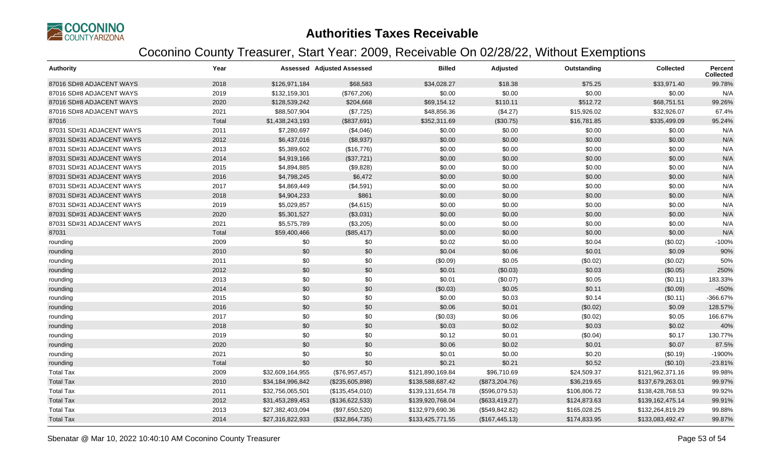

| <b>Authority</b>          | Year  |                  | <b>Assessed Adjusted Assessed</b> | <b>Billed</b>    | Adjusted        | Outstanding  | <b>Collected</b> | <b>Percent</b><br>Collected |
|---------------------------|-------|------------------|-----------------------------------|------------------|-----------------|--------------|------------------|-----------------------------|
| 87016 SD#8 ADJACENT WAYS  | 2018  | \$126,971,184    | \$68,583                          | \$34,028.27      | \$18.38         | \$75.25      | \$33,971.40      | 99.78%                      |
| 87016 SD#8 ADJACENT WAYS  | 2019  | \$132,159,301    | (\$767,206)                       | \$0.00           | \$0.00          | \$0.00       | \$0.00           | N/A                         |
| 87016 SD#8 ADJACENT WAYS  | 2020  | \$128,539,242    | \$204,668                         | \$69,154.12      | \$110.11        | \$512.72     | \$68,751.51      | 99.26%                      |
| 87016 SD#8 ADJACENT WAYS  | 2021  | \$88,507,904     | (\$7,725)                         | \$48,856.36      | (\$4.27)        | \$15,926.02  | \$32,926.07      | 67.4%                       |
| 87016                     | Total | \$1,438,243,193  | (\$837,691)                       | \$352,311.69     | (\$30.75)       | \$16,781.85  | \$335,499.09     | 95.24%                      |
| 87031 SD#31 ADJACENT WAYS | 2011  | \$7,280,697      | (\$4,046)                         | \$0.00           | \$0.00          | \$0.00       | \$0.00           | N/A                         |
| 87031 SD#31 ADJACENT WAYS | 2012  | \$6,437,016      | (\$8,937)                         | \$0.00           | \$0.00          | \$0.00       | \$0.00           | N/A                         |
| 87031 SD#31 ADJACENT WAYS | 2013  | \$5,389,602      | (\$16,776)                        | \$0.00           | \$0.00          | \$0.00       | \$0.00           | N/A                         |
| 87031 SD#31 ADJACENT WAYS | 2014  | \$4,919,166      | (\$37,721)                        | \$0.00           | \$0.00          | \$0.00       | \$0.00           | N/A                         |
| 87031 SD#31 ADJACENT WAYS | 2015  | \$4,894,885      | (\$9,828)                         | \$0.00           | \$0.00          | \$0.00       | \$0.00           | N/A                         |
| 87031 SD#31 ADJACENT WAYS | 2016  | \$4,798,245      | \$6,472                           | \$0.00           | \$0.00          | \$0.00       | \$0.00           | N/A                         |
| 87031 SD#31 ADJACENT WAYS | 2017  | \$4,869,449      | (\$4,591)                         | \$0.00           | \$0.00          | \$0.00       | \$0.00           | N/A                         |
| 87031 SD#31 ADJACENT WAYS | 2018  | \$4,904,233      | \$861                             | \$0.00           | \$0.00          | \$0.00       | \$0.00           | N/A                         |
| 87031 SD#31 ADJACENT WAYS | 2019  | \$5,029,857      | (\$4,615)                         | \$0.00           | \$0.00          | \$0.00       | \$0.00           | N/A                         |
| 87031 SD#31 ADJACENT WAYS | 2020  | \$5,301,527      | (\$3,031)                         | \$0.00           | \$0.00          | \$0.00       | \$0.00           | N/A                         |
| 87031 SD#31 ADJACENT WAYS | 2021  | \$5,575,789      | (\$3,205)                         | \$0.00           | \$0.00          | \$0.00       | \$0.00           | N/A                         |
| 87031                     | Total | \$59,400,466     | (\$85,417)                        | \$0.00           | \$0.00          | \$0.00       | \$0.00           | N/A                         |
| rounding                  | 2009  | \$0              | \$0                               | \$0.02           | \$0.00          | \$0.04       | (\$0.02)         | $-100%$                     |
| rounding                  | 2010  | \$0              | \$0                               | \$0.04           | \$0.06          | \$0.01       | \$0.09           | 90%                         |
| rounding                  | 2011  | \$0              | \$0                               | (\$0.09)         | \$0.05          | (\$0.02)     | (\$0.02)         | 50%                         |
| rounding                  | 2012  | \$0              | \$0                               | \$0.01           | (\$0.03)        | \$0.03       | (\$0.05)         | 250%                        |
| rounding                  | 2013  | \$0              | \$0                               | \$0.01           | (\$0.07)        | \$0.05       | (\$0.11)         | 183.33%                     |
| rounding                  | 2014  | \$0              | \$0                               | (\$0.03)         | \$0.05          | \$0.11       | (\$0.09)         | $-450%$                     |
| rounding                  | 2015  | \$0              | \$0                               | \$0.00           | \$0.03          | \$0.14       | (\$0.11)         | -366.67%                    |
| rounding                  | 2016  | \$0              | \$0                               | \$0.06           | \$0.01          | (\$0.02)     | \$0.09           | 128.57%                     |
| rounding                  | 2017  | \$0              | \$0                               | (\$0.03)         | \$0.06          | (\$0.02)     | \$0.05           | 166.67%                     |
| rounding                  | 2018  | \$0              | \$0                               | \$0.03           | \$0.02          | \$0.03       | \$0.02           | 40%                         |
| rounding                  | 2019  | \$0              | \$0                               | \$0.12           | \$0.01          | (\$0.04)     | \$0.17           | 130.77%                     |
| rounding                  | 2020  | \$0              | \$0                               | \$0.06           | \$0.02          | \$0.01       | \$0.07           | 87.5%                       |
| rounding                  | 2021  | \$0              | \$0                               | \$0.01           | \$0.00          | \$0.20       | (\$0.19)         | -1900%                      |
| rounding                  | Total | \$0              | \$0                               | \$0.21           | \$0.21          | \$0.52       | (\$0.10)         | $-23.81%$                   |
| <b>Total Tax</b>          | 2009  | \$32,609,164,955 | (\$76,957,457)                    | \$121,890,169.84 | \$96,710.69     | \$24,509.37  | \$121,962,371.16 | 99.98%                      |
| <b>Total Tax</b>          | 2010  | \$34,184,996,842 | (\$235,605,898)                   | \$138,588,687.42 | (\$873,204.76)  | \$36,219.65  | \$137,679,263.01 | 99.97%                      |
| <b>Total Tax</b>          | 2011  | \$32,756,065,501 | (\$135,454,010)                   | \$139,131,654.78 | (\$596,079.53)  | \$106,806.72 | \$138,428,768.53 | 99.92%                      |
| <b>Total Tax</b>          | 2012  | \$31,453,289,453 | (\$136,622,533)                   | \$139,920,768.04 | (\$633,419.27)  | \$124,873.63 | \$139,162,475.14 | 99.91%                      |
| <b>Total Tax</b>          | 2013  | \$27,382,403,094 | (\$97,650,520)                    | \$132,979,690.36 | (\$549, 842.82) | \$165,028.25 | \$132,264,819.29 | 99.88%                      |
| <b>Total Tax</b>          | 2014  | \$27,316,822,933 | (\$32,864,735)                    | \$133,425,771.55 | (\$167,445.13)  | \$174,833.95 | \$133,083,492.47 | 99.87%                      |